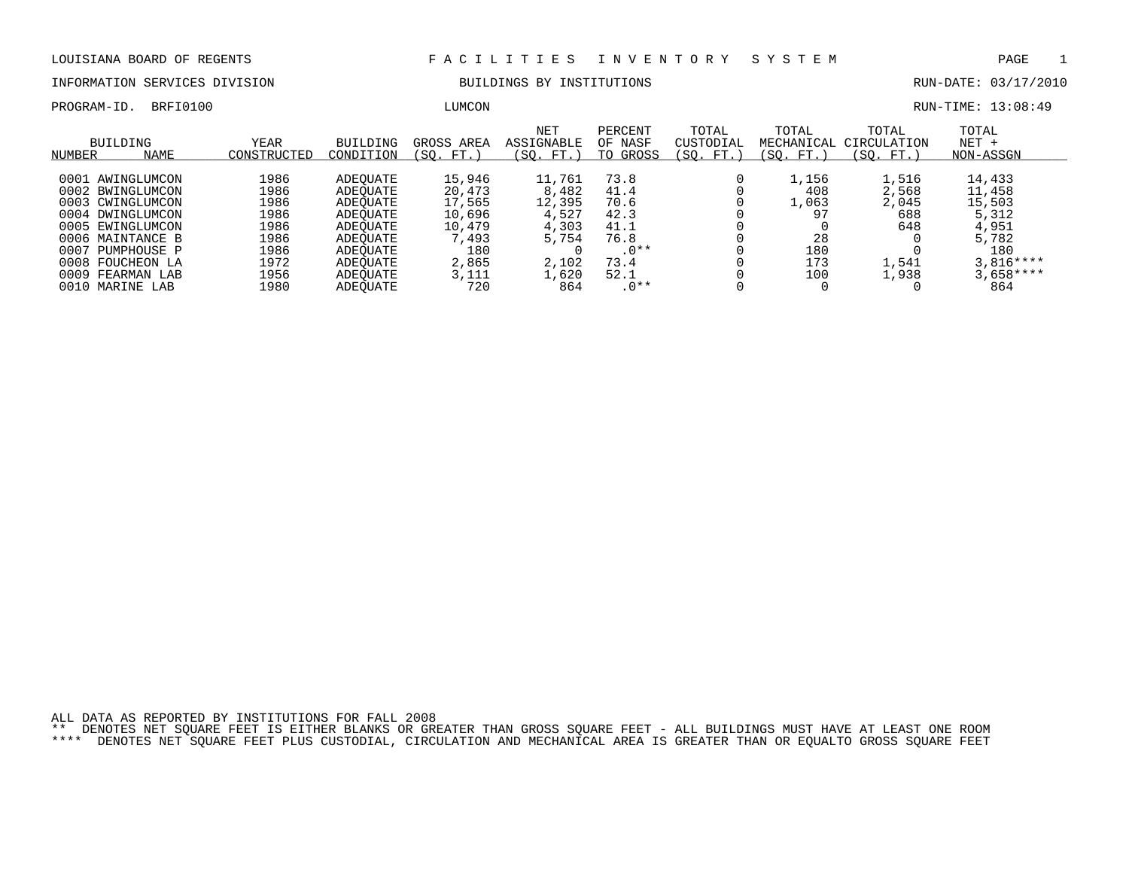INFORMATION SERVICES DIVISION BUILDINGS BY INSTITUTIONS RUN-DATE: 03/17/2010

PROGRAM-ID. BRFI0100 LUMCON RUN-TIME: 13:08:49

| NUMBER | <b>BUILDING</b><br>NAME | <b>YEAR</b><br>CONSTRUCTED | <b>BUILDING</b><br>CONDITION | GROSS AREA<br>FT.<br>SO. | <b>NET</b><br>ASSIGNABLE<br>(SO. FT.) | PERCENT<br>OF NASF<br>GROSS<br>TO | TOTAL<br>CUSTODIAL<br>SO.<br>FT. | TOTAL<br>MECHANICAL<br>FT.<br>SO. | TOTAL<br>CIRCULATION<br>SO.<br>FT. | TOTAL<br>$NET +$<br>NON-ASSGN |
|--------|-------------------------|----------------------------|------------------------------|--------------------------|---------------------------------------|-----------------------------------|----------------------------------|-----------------------------------|------------------------------------|-------------------------------|
|        |                         |                            |                              |                          |                                       |                                   |                                  |                                   |                                    |                               |
| 0001   | AWINGLUMCON             | 1986                       | ADEOUATE                     | 15,946                   | 11,761                                | 73.8                              |                                  | 1,156                             | 1,516                              | 14,433                        |
|        | 0002 BWINGLUMCON        | 1986                       | ADEOUATE                     | 20,473                   | 8,482                                 | 41.4                              |                                  | 408                               | 2,568                              | 11,458                        |
|        | 0003 CWINGLUMCON        | 1986                       | ADEOUATE                     | 17,565                   | 12,395                                | 70.6                              |                                  | 1,063                             | 2,045                              | 15,503                        |
| 0004   | DWINGLUMCON             | 1986                       | ADEOUATE                     | 10,696                   | 4,527                                 | 42.3                              |                                  | 97                                | 688                                | 5,312                         |
|        | 0005 EWINGLUMCON        | 1986                       | ADEOUATE                     | 10,479                   | 4,303                                 | 41.1                              |                                  |                                   | 648                                | 4,951                         |
|        | 0006 MAINTANCE B        | 1986                       | ADEOUATE                     | 493 "                    | 5,754                                 | 76.8                              |                                  | 28                                |                                    | 5,782                         |
| 0007   | PUMPHOUSE P             | 1986                       | ADEOUATE                     | 180                      |                                       | $.0**$                            |                                  | 180                               |                                    | 180                           |
| 0008   | FOUCHEON LA             | 1972                       | ADEOUATE                     | 2,865                    | 2,102                                 | 73.4                              |                                  | 173                               | 1,541                              | $3.816***$                    |
| 0009   | FEARMAN LAB             | 1956                       | ADEOUATE                     | 3,111                    | 1,620                                 | 52.1                              |                                  | 100                               | 1,938                              | $3,658***$                    |
| 0010   | MARINE LAB              | 1980                       | ADEOUATE                     | 720                      | 864                                   | $.0**$                            |                                  |                                   |                                    | 864                           |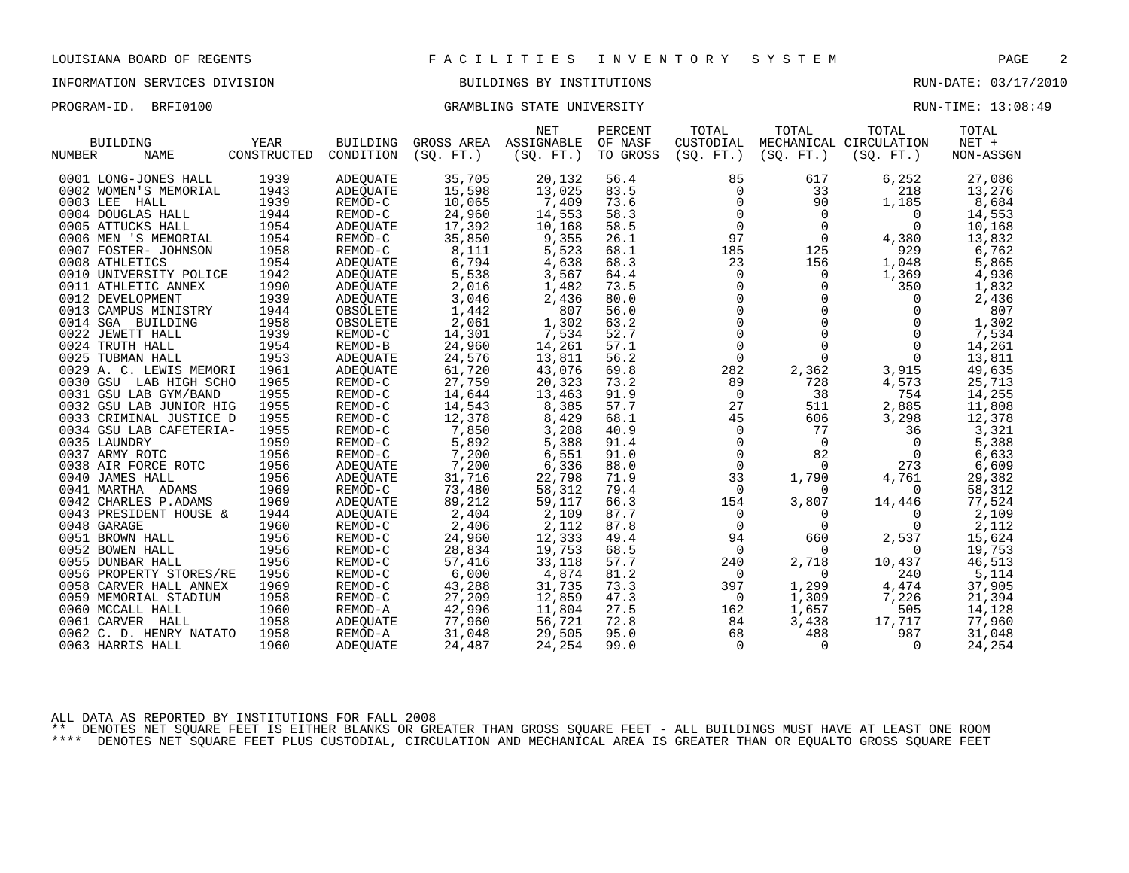### INFORMATION SERVICES DIVISION BUILDINGS BY INSTITUTIONS RUN-DATE: 03/17/2010

PROGRAM-ID. BRFI0100 CRAMBLING STATE UNIVERSITY STATE UNIVERSITY RUN-TIME: 13:08:49

|                         |             |                 |            | <b>NET</b>            | PERCENT  | TOTAL          | TOTAL                                                               | TOTAL                  | TOTAL     |  |
|-------------------------|-------------|-----------------|------------|-----------------------|----------|----------------|---------------------------------------------------------------------|------------------------|-----------|--|
| <b>BUILDING</b>         | YEAR        | BUILDING        |            | GROSS AREA ASSIGNABLE | OF NASF  | CUSTODIAL      |                                                                     | MECHANICAL CIRCULATION | $NET +$   |  |
| NUMBER<br><b>NAME</b>   | CONSTRUCTED | CONDITION       | (SO. FT. ) | (SO. FT. )            | TO GROSS | (SO. FT. )     | (SO. FT. )                                                          | (SO. FT.)              | NON-ASSGN |  |
|                         |             |                 |            |                       |          |                |                                                                     |                        |           |  |
| 0001 LONG-JONES HALL    | 1939        | ADEOUATE        | 35,705     | 20,132                | 56.4     | 85             | 617                                                                 | 6,252                  | 27,086    |  |
| 0002 WOMEN'S MEMORIAL   | 1943        | ADEQUATE        | 15,598     | 13,025                | 83.5     | $\mathbf 0$    | 33                                                                  | 218                    | 13,276    |  |
| 0003 LEE HALL           | 1939        | REMOD-C         | 10,065     | 7,409                 | 73.6     | 0              | 90                                                                  | 1,185                  | 8,684     |  |
| 0004 DOUGLAS HALL       | 1944        | REMOD-C         | 24,960     | 14,553                | 58.3     | $\mathsf{O}$   | $\overline{0}$                                                      | $\overline{0}$         | 14,553    |  |
| 0005 ATTUCKS HALL       | 1954        | ADEOUATE        | 17,392     | 10,168                | 58.5     | $\frac{0}{97}$ | $\mathbf 0$                                                         | $\Omega$               | 10,168    |  |
| 0006 MEN 'S MEMORIAL    | 1954        | REMOD-C         | 35,850     | 9,355                 | 26.1     |                | $\overline{0}$                                                      | 4,380                  | 13,832    |  |
| 0007 FOSTER- JOHNSON    | 1958        | REMOD-C         | 8,111      | 5,523                 | 68.1     | 185            | 125                                                                 | 929                    | 6,762     |  |
| 0008 ATHLETICS          | 1954        | ADEOUATE        | 6,794      | 4,638                 | 68.3     | 23             | 156                                                                 | 1,048                  | 5,865     |  |
| 0010 UNIVERSITY POLICE  | 1942        | ADEOUATE        | 5,538      | 3,567                 | 64.4     | $\mathbf{0}$   | $\mathbf 0$                                                         | 1,369                  | 4,936     |  |
| 0011 ATHLETIC ANNEX     | 1990        | ADEQUATE        | 2,016      | 1,482                 | 73.5     |                | $\mathbf 0$                                                         | 350                    | 1,832     |  |
| 0012 DEVELOPMENT        | 1939        | ADEQUATE        | 3,046      | 2,436                 | 80.0     |                | $\Omega$                                                            | $\overline{0}$         | 2,436     |  |
| 0013 CAMPUS MINISTRY    | 1944        | OBSOLETE        | 1,442      | 807                   | 56.0     |                | $\mathbf{0}$                                                        | $\mathbf 0$            | 807       |  |
| 0014 SGA BUILDING       | 1958        | OBSOLETE        | 2,061      | 1,302                 | 63.2     |                | $\begin{array}{c} 0 \\ 0 \\ 0 \\ \gamma \end{array}$<br>$\mathbf 0$ | $\mathbf 0$            | 1,302     |  |
| 0022 JEWETT HALL        | 1939        | REMOD-C         | 14,301     | 7,534                 | 52.7     |                | $\mathbf 0$                                                         | $\overline{0}$         | 7,534     |  |
| 0024 TRUTH HALL         | 1954        | REMOD-B         | 24,960     | 14,261                | 57.1     | $\mathbf 0$    | $\Omega$                                                            | $\Omega$               | 14,261    |  |
| 0025 TUBMAN HALL        | 1953        | ADEQUATE        | 24,576     | 13,811                | 56.2     | $\mathbf 0$    | $\Omega$                                                            | $\mathbf 0$            | 13,811    |  |
| 0029 A. C. LEWIS MEMORI | 1961        | ADEQUATE        | 61,720     | 43,076                | 69.8     | 282            | 2,362                                                               | 3,915                  | 49,635    |  |
| 0030 GSU LAB HIGH SCHO  | 1965        | REMOD-C         | 27,759     | 20,323                | 73.2     | 89             | 728                                                                 | 4,573                  | 25,713    |  |
| 0031 GSU LAB GYM/BAND   | 1955        | REMOD-C         | 14,644     | 13,463                | 91.9     | $\overline{0}$ | 38                                                                  | 754                    | 14,255    |  |
| 0032 GSU LAB JUNIOR HIG | 1955        | REMOD-C         | 14,543     | 8,385                 | 57.7     | 27             | 511                                                                 | 2,885                  | 11,808    |  |
| 0033 CRIMINAL JUSTICE D | 1955        | REMOD-C         | 12,378     | 8,429                 | 68.1     | 45             | 606                                                                 | 3,298                  | 12,378    |  |
| 0034 GSU LAB CAFETERIA- | 1955        | REMOD-C         | 7,850      | 3,208                 | 40.9     | $\overline{0}$ | 77                                                                  | 36                     | 3,321     |  |
| 0035 LAUNDRY            | 1959        | REMOD-C         | 5,892      | 5,388                 | 91.4     | $\mathsf 0$    | $\overline{0}$                                                      | $\overline{0}$         | 5,388     |  |
| 0037 ARMY ROTC          | 1956        | REMOD-C         | 7,200      | 6,551                 | 91.0     | $\mathsf{O}$   | 82                                                                  | $\overline{0}$         | 6,633     |  |
| 0038 AIR FORCE ROTC     | 1956        | ADEQUATE        | 7,200      | 6,336                 | 88.0     | $\overline{0}$ | $\Omega$                                                            | 273                    | 6,609     |  |
| 0040 JAMES HALL         | 1956        | ADEOUATE        | 31,716     | 22,798                | 71.9     | 33             | 1,790                                                               | 4,761                  | 29,382    |  |
| 0041 MARTHA ADAMS       | 1969        | REMOD-C         | 73,480     | 58,312                | 79.4     | 0              | $\Omega$                                                            | 0                      | 58,312    |  |
| 0042 CHARLES P.ADAMS    | 1969        | ADEQUATE        | 89,212     | 59,117                | 66.3     | 154            | 3,807                                                               | 14,446                 | 77,524    |  |
| 0043 PRESIDENT HOUSE &  | 1944        | <b>ADEOUATE</b> | 2,404      | 2,109                 | 87.7     | $\mathbf 0$    | $\mathbf 0$                                                         | 0                      | 2,109     |  |
| 0048 GARAGE             | 1960        | REMOD-C         | 2,406      | 2,112                 | 87.8     | $\mathbf 0$    | $\mathbf 0$                                                         | 0                      | 2,112     |  |
| 0051 BROWN HALL         | 1956        | REMOD-C         | 24,960     | 12,333                | 49.4     | 94             | 660                                                                 | 2,537                  | 15,624    |  |
| 0052 BOWEN HALL         | 1956        | REMOD-C         | 28,834     | 19,753                | 68.5     | $\mathbf 0$    | $\Omega$                                                            | $\Omega$               | 19,753    |  |
| 0055 DUNBAR HALL        | 1956        | REMOD-C         | 57,416     | 33,118                | 57.7     | 240            | 2,718                                                               | 10,437                 | 46,513    |  |
| 0056 PROPERTY STORES/RE | 1956        | REMOD-C         | 6,000      | 4,874                 | 81.2     | 0              | 0                                                                   | 240                    | 5,114     |  |
| 0058 CARVER HALL ANNEX  | 1969        | REMOD-C         | 43,288     | 31,735                | 73.3     | 397            | 1,299                                                               | 4,474                  | 37,905    |  |
| 0059 MEMORIAL STADIUM   | 1958        | REMOD-C         | 27,209     | 12,859                | 47.3     | $\overline{0}$ | 1,309                                                               | 7,226                  | 21,394    |  |
| 0060 MCCALL HALL        | 1960        | REMOD-A         | 42,996     | 11,804                | 27.5     | 162            | 1,657                                                               | 505                    | 14,128    |  |
| 0061 CARVER HALL        | 1958        | ADEQUATE        | 77,960     | 56,721                | 72.8     | 84             | 3,438                                                               | 17,717                 | 77,960    |  |
| 0062 C. D. HENRY NATATO | 1958        | REMOD-A         | 31,048     | 29,505                | 95.0     | 68             | 488                                                                 | 987                    | 31,048    |  |
| 0063 HARRIS HALL        | 1960        | ADEOUATE        | 24,487     | 24,254                | 99.0     | $\overline{0}$ | 0                                                                   | $\Omega$               | 24,254    |  |
|                         |             |                 |            |                       |          |                |                                                                     |                        |           |  |

ALL DATA AS REPORTED BY INSTITUTIONS FOR FALL 2008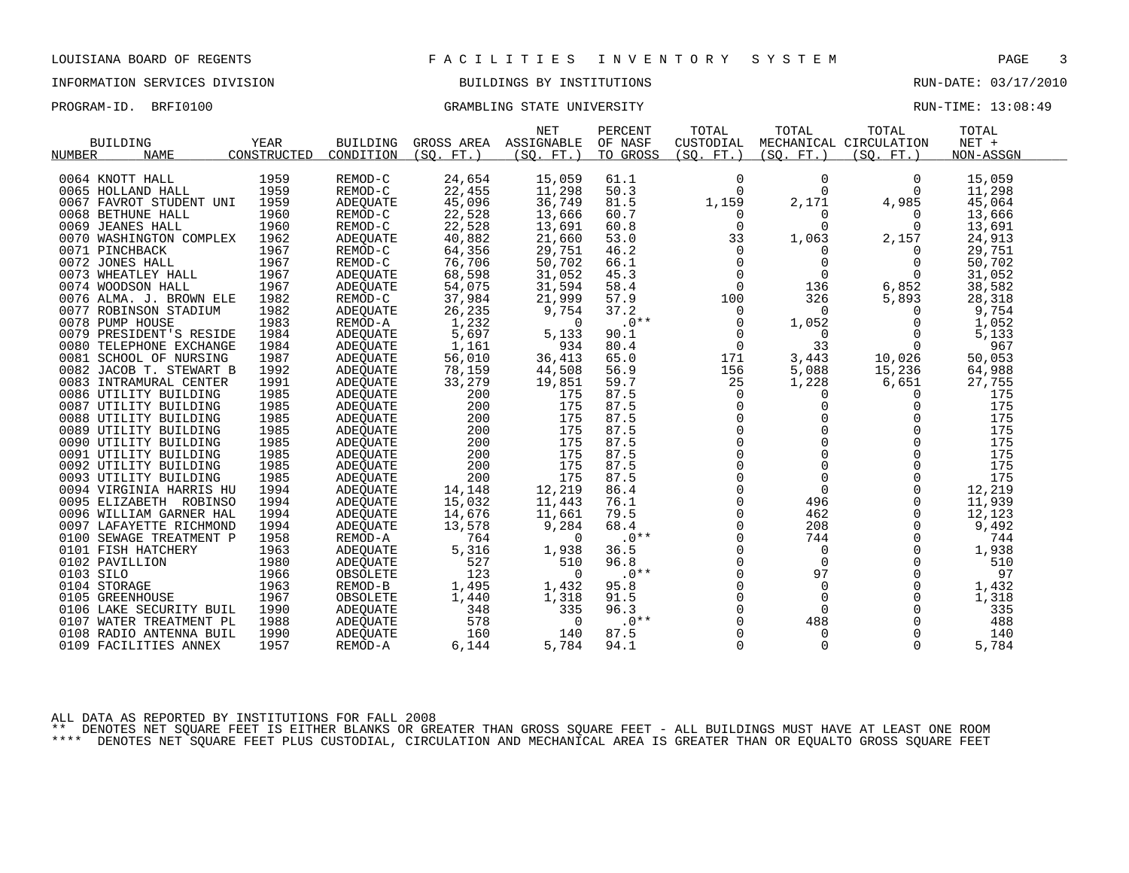### INFORMATION SERVICES DIVISION BUILDINGS BY INSTITUTIONS RUN-DATE: 03/17/2010

PROGRAM-ID. BRFI0100 CRAMBLING STATE UNIVERSITY STATE UNIVERSITY RUN-TIME: 13:08:49

|                         |             |           |                       | NET            | PERCENT  | TOTAL               | TOTAL          | TOTAL                  | TOTAL     |  |
|-------------------------|-------------|-----------|-----------------------|----------------|----------|---------------------|----------------|------------------------|-----------|--|
| <b>BUILDING</b>         | YEAR        | BUILDING  | GROSS AREA ASSIGNABLE |                | OF NASF  | CUSTODIAL           |                | MECHANICAL CIRCULATION | $NET +$   |  |
| <b>NAME</b><br>NUMBER   | CONSTRUCTED | CONDITION | (SO. FT.)             | (SO. FT. )     | TO GROSS | (SQ. FT.)           | (SO. FT.)      | (SO. FT. )             | NON-ASSGN |  |
|                         |             |           |                       |                |          |                     |                |                        |           |  |
| 0064 KNOTT HALL         | 1959        | REMOD-C   | 24,654                | 15,059         | 61.1     | $\mathbf 0$         | $\mathbf 0$    | $\Omega$               | 15,059    |  |
| 0065 HOLLAND HALL       | 1959        | REMOD-C   | 22,455                | 11,298         | 50.3     | $\Omega$            | $\Omega$       | $\Omega$               | 11,298    |  |
| 0067 FAVROT STUDENT UNI | 1959        | ADEQUATE  | 45,096                | 36,749         | 81.5     | 1,159               | 2,171          | 4,985                  | 45,064    |  |
| 0068 BETHUNE HALL       | 1960        | REMOD-C   | 22,528                | 13,666         | 60.7     | 0                   | 0              | $\Omega$               | 13,666    |  |
| 0069 JEANES HALL        | 1960        | REMOD-C   | 22,528                | 13,691         | 60.8     | $\mathbf 0$         | $\Omega$       | $\Omega$               | 13,691    |  |
| 0070 WASHINGTON COMPLEX | 1962        | ADEQUATE  | 40,882                | 21,660         | 53.0     | 33                  | 1,063          | 2,157                  | 24,913    |  |
| 0071 PINCHBACK          | 1967        | REMOD-C   | 64,356                | 29,751         | 46.2     | $\mathbf 0$         | $\Omega$       | $\Omega$               | 29,751    |  |
| 0072 JONES HALL         | 1967        | REMOD-C   | 76,706                | 50,702         | 66.1     | $\mathbf{0}$        | $\mathbf 0$    | 0                      | 50,702    |  |
| 0073 WHEATLEY HALL      | 1967        | ADEQUATE  | 68,598                | 31,052         | 45.3     | $\mathsf{O}$        | $\overline{0}$ | $\overline{0}$         | 31,052    |  |
| 0074 WOODSON HALL       | 1967        | ADEOUATE  | 54,075                | 31,594         | 58.4     | $\mathbf 0$         | 136            | 6,852                  | 38,582    |  |
| 0076 ALMA. J. BROWN ELE | 1982        | REMOD-C   | 37,984                | 21,999         | 57.9     | 100                 | 326            | 5,893                  | 28,318    |  |
| 0077 ROBINSON STADIUM   | 1982        | ADEQUATE  | 26,235                | 9,754          | 37.2     | 0                   | $\Omega$       | 0                      | 9,754     |  |
| 0078 PUMP HOUSE         | 1983        | REMOD-A   | 1,232                 | $\overline{0}$ | $.0***$  | 0                   | 1,052          | 0                      | 1,052     |  |
| 0079 PRESIDENT'S RESIDE | 1984        | ADEOUATE  | 5,697                 | 5,133          | 90.1     | 0                   | $\overline{0}$ | 0                      | 5,133     |  |
| 0080 TELEPHONE EXCHANGE | 1984        | ADEQUATE  | 1,161                 | 934            | 80.4     | $\mathbf 0$         | 33             | $\mathbf 0$            | 967       |  |
| 0081 SCHOOL OF NURSING  | 1987        | ADEQUATE  | 56,010                | 36,413         | 65.0     | 171                 | 3,443          | 10,026                 | 50,053    |  |
| 0082 JACOB T. STEWART B | 1992        | ADEOUATE  | 78,159                | 44,508         | 56.9     | 156                 | 5,088          | 15,236                 | 64,988    |  |
| 0083 INTRAMURAL CENTER  | 1991        | ADEQUATE  | 33,279                | 19,851         | 59.7     | 25                  | 1,228          | 6,651                  | 27,755    |  |
| 0086 UTILITY BUILDING   | 1985        | ADEOUATE  | 200                   | 175            | 87.5     | $\mathbf 0$         | $\Omega$       | $\Omega$               | 175       |  |
| 0087 UTILITY BUILDING   | 1985        | ADEOUATE  | 200                   | 175            | 87.5     | $\mathbf 0$         | $\mathbf 0$    | $\Omega$               | 175       |  |
| 0088 UTILITY BUILDING   | 1985        | ADEQUATE  | 200                   | 175            | 87.5     | $\overline{0}$      | $\mathbf 0$    | $\mathbf 0$            | 175       |  |
| 0089 UTILITY BUILDING   | 1985        | ADEOUATE  | 200                   | 175            | 87.5     |                     |                | $\mathsf 0$            | 175       |  |
| 0090 UTILITY BUILDING   | 1985        | ADEOUATE  | 200                   | 175            | 87.5     | $_{0}^{0}$          | $\Omega$       | $\Omega$               | 175       |  |
| 0091 UTILITY BUILDING   | 1985        | ADEOUATE  | 200                   | 175            | 87.5     | $\Omega$            | $\Omega$       | $\Omega$               | 175       |  |
| 0092 UTILITY BUILDING   | 1985        | ADEOUATE  | 200                   | 175            | 87.5     | $\mathsf{O}\xspace$ | $\Omega$       | $\mathbf 0$            | 175       |  |
| 0093 UTILITY BUILDING   | 1985        | ADEOUATE  | 200                   | 175            | 87.5     | $\mathsf{O}$        | $\mathbf 0$    | $\mathbf 0$            | 175       |  |
| 0094 VIRGINIA HARRIS HU | 1994        | ADEQUATE  | 14,148                | 12,219         | 86.4     | $\Omega$            | $\Omega$       | $\Omega$               | 12,219    |  |
| 0095 ELIZABETH ROBINSO  | 1994        | ADEQUATE  | 15,032                | 11,443         | 76.1     | 0                   | 496            | $\mathbf 0$            | 11,939    |  |
| 0096 WILLIAM GARNER HAL | 1994        | ADEQUATE  | 14,676                | 11,661         | 79.5     | $\mathbf 0$         | 462            | $\mathbf 0$            | 12,123    |  |
| 0097 LAFAYETTE RICHMOND | 1994        | ADEQUATE  | 13,578                | 9,284          | 68.4     | $\Omega$            | 208            | $\Omega$               | 9,492     |  |
| 0100 SEWAGE TREATMENT P | 1958        | REMOD-A   | 764                   | 0              | $.0**$   | $\mathbf 0$         | 744            | $\mathbf 0$            | 744       |  |
| 0101 FISH HATCHERY      | 1963        | ADEOUATE  | 5,316                 | 1,938          | 36.5     | $\mathbf 0$         | $\Omega$       | $\Omega$               | 1,938     |  |
| 0102 PAVILLION          | 1980        | ADEQUATE  | 527                   | 510            | 96.8     | $\Omega$            | $\Omega$       | $\Omega$               | 510       |  |
| 0103 SILO               | 1966        | OBSOLETE  | 123                   | $\Omega$       | $.0**$   | $\Omega$            | 97             | $\Omega$               | 97        |  |
| 0104 STORAGE            | 1963        | REMOD-B   | 1,495                 | 1,432          | 95.8     |                     | $\mathbf 0$    | 0                      | 1,432     |  |
| 0105 GREENHOUSE         | 1967        | OBSOLETE  | 1,440                 | 1,318          | 91.5     | $_0^0$              | $\Omega$       | $\Omega$               | 1,318     |  |
| 0106 LAKE SECURITY BUIL | 1990        | ADEOUATE  | 348                   | 335            | 96.3     | $\Omega$            | $\Omega$       | $\Omega$               | 335       |  |
| 0107 WATER TREATMENT PL | 1988        | ADEOUATE  | 578                   | 0              | $.0**$   | $\mathbf 0$         | 488            | 0                      | 488       |  |
| 0108 RADIO ANTENNA BUIL | 1990        | ADEQUATE  | 160                   | 140            | 87.5     | $\mathbf 0$         | $\mathbf 0$    | $\mathbf 0$            | 140       |  |
| 0109 FACILITIES ANNEX   | 1957        | REMOD-A   | 6,144                 | 5,784          | 94.1     | $\Omega$            | $\Omega$       | $\Omega$               | 5,784     |  |
|                         |             |           |                       |                |          |                     |                |                        |           |  |

ALL DATA AS REPORTED BY INSTITUTIONS FOR FALL 2008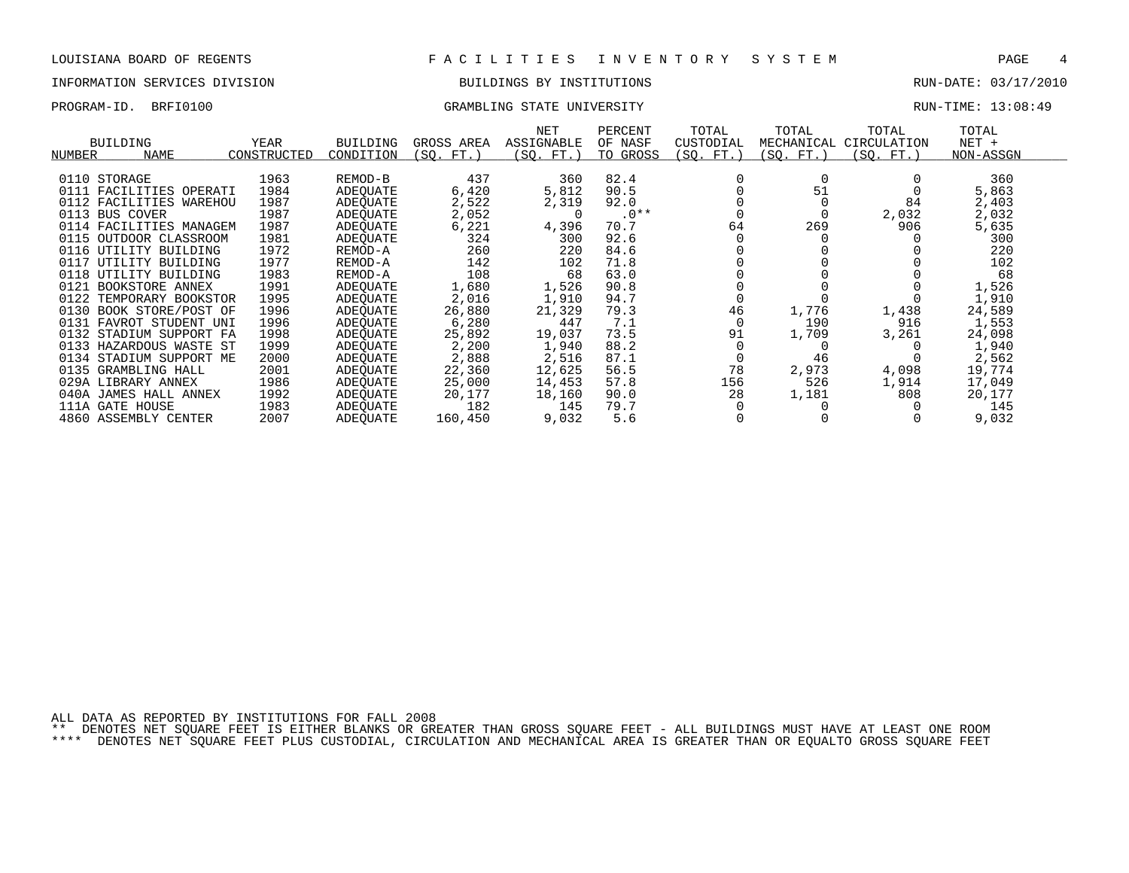### INFORMATION SERVICES DIVISION BUILDINGS BY INSTITUTIONS RUN-DATE: 03/17/2010

PROGRAM-ID. BRFI0100 GRAMBLING STATE UNIVERSITY RUN-TIME: 13:08:49

| <b>BUILDING</b><br><b>NAME</b><br>NUMBER                                                                                                                                                                                                                                                                                            | YEAR<br>CONSTRUCTED                                                                                  | <b>BUILDING</b><br>CONDITION                                                                                                                         | GROSS AREA<br>(SQ. FT.)                                                                                  | NET<br>ASSIGNABLE<br>(SQ. FT.)                                                                           | PERCENT<br>OF NASF<br>TO GROSS                                                                        | TOTAL<br>CUSTODIAL<br>(SQ. FT.         | TOTAL<br>MECHANICAL<br>(SQ. FT.)     | TOTAL<br>CIRCULATION<br>(SQ. FT.)  | TOTAL<br>$NET +$<br>NON-ASSGN                                                                           |  |
|-------------------------------------------------------------------------------------------------------------------------------------------------------------------------------------------------------------------------------------------------------------------------------------------------------------------------------------|------------------------------------------------------------------------------------------------------|------------------------------------------------------------------------------------------------------------------------------------------------------|----------------------------------------------------------------------------------------------------------|----------------------------------------------------------------------------------------------------------|-------------------------------------------------------------------------------------------------------|----------------------------------------|--------------------------------------|------------------------------------|---------------------------------------------------------------------------------------------------------|--|
| 0110 STORAGE<br>0111 FACILITIES OPERATI<br>0112 FACILITIES WAREHOU<br>0113 BUS COVER<br>0114 FACILITIES MANAGEM<br>0115<br>OUTDOOR CLASSROOM<br>0116 UTILITY BUILDING<br>0117<br>UTILITY BUILDING<br>0118 UTILITY BUILDING<br>0121 BOOKSTORE ANNEX<br>0122 TEMPORARY BOOKSTOR<br>0130 BOOK STORE/POST OF<br>0131 FAVROT STUDENT UNI | 1963<br>1984<br>1987<br>1987<br>1987<br>1981<br>1972<br>1977<br>1983<br>1991<br>1995<br>1996<br>1996 | REMOD-B<br>ADEOUATE<br>ADEOUATE<br>ADEOUATE<br>ADEOUATE<br>ADEOUATE<br>REMOD-A<br>REMOD-A<br>REMOD-A<br>ADEOUATE<br>ADEQUATE<br>ADEOUATE<br>ADEOUATE | 437<br>6,420<br>2,522<br>2,052<br>6,221<br>324<br>260<br>142<br>108<br>1,680<br>2,016<br>26,880<br>6,280 | 360<br>5,812<br>2,319<br>$\Omega$<br>4,396<br>300<br>220<br>102<br>68<br>1,526<br>1,910<br>21,329<br>447 | 82.4<br>90.5<br>92.0<br>$.0**$<br>70.7<br>92.6<br>84.6<br>71.8<br>63.0<br>90.8<br>94.7<br>79.3<br>7.1 | $\Omega$<br>64<br>46                   | 51<br>269<br>1,776<br>190            | 84<br>2,032<br>906<br>1,438<br>916 | 360<br>5,863<br>2,403<br>2,032<br>5,635<br>300<br>220<br>102<br>68<br>1,526<br>1,910<br>24,589<br>1,553 |  |
| 0132 STADIUM SUPPORT FA<br>0133 HAZARDOUS WASTE ST<br>0134<br>STADIUM SUPPORT ME<br>0135 GRAMBLING HALL<br>029A LIBRARY ANNEX<br>040A<br>JAMES HALL ANNEX<br>111A GATE HOUSE                                                                                                                                                        | 1998<br>1999<br>2000<br>2001<br>1986<br>1992<br>1983                                                 | ADEOUATE<br>ADEOUATE<br>ADEQUATE<br>ADEOUATE<br>ADEOUATE<br>ADEOUATE<br><b>ADEOUATE</b>                                                              | 25,892<br>2,200<br>2,888<br>22,360<br>25,000<br>20,177<br>182                                            | 19,037<br>1,940<br>2,516<br>12,625<br>14,453<br>18,160<br>145                                            | 73.5<br>88.2<br>87.1<br>56.5<br>57.8<br>90.0<br>79.7                                                  | 91<br>0<br>78<br>156<br>28<br>$\Omega$ | 1,709<br>46<br>2,973<br>526<br>1,181 | 3,261<br>4,098<br>1,914<br>808     | 24,098<br>1,940<br>2,562<br>19,774<br>17,049<br>20,177<br>145                                           |  |

4860 ASSEMBLY CENTER 2007 ADEQUATE 160,450 9,032 5.6 0 0 0 9,032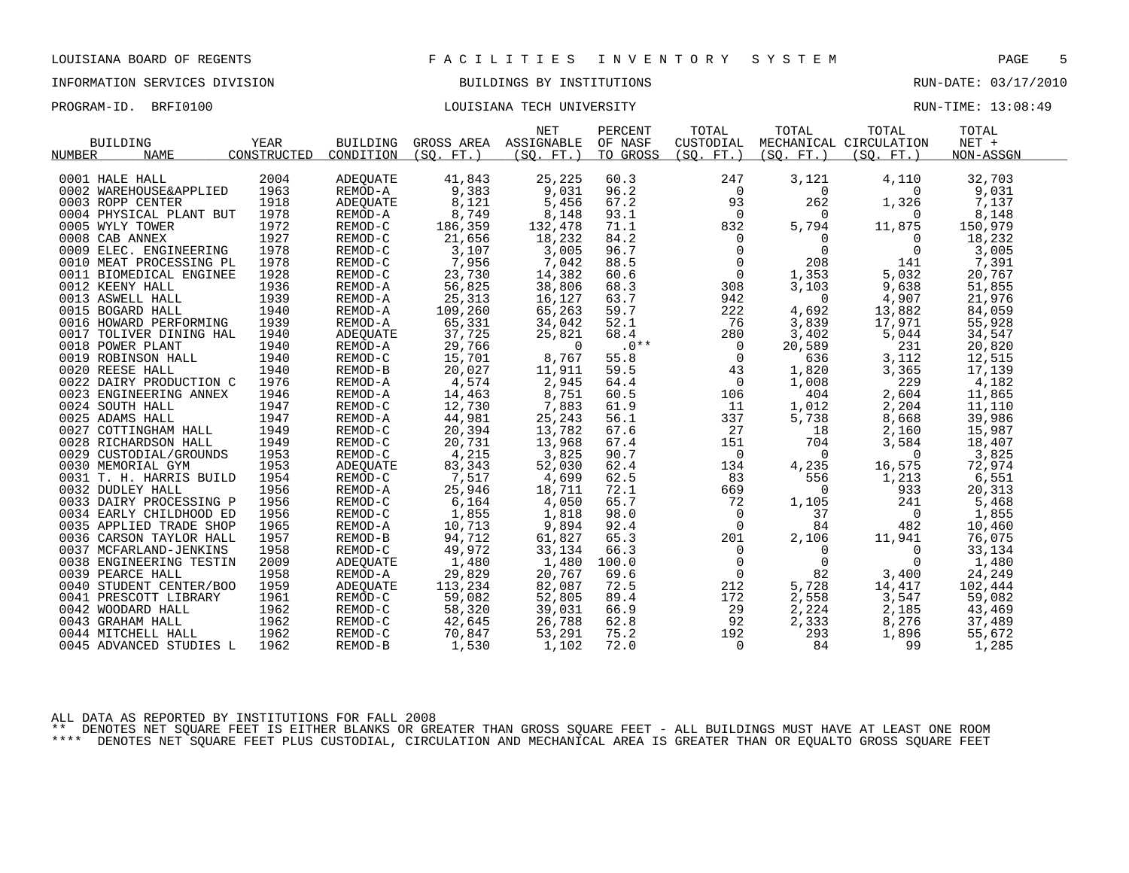# INFORMATION SERVICES DIVISION BUILDINGS BY INSTITUTIONS AND RUN-DATE: 03/17/2010

### PROGRAM-ID. BRFI0100 COULSIANA TECH UNIVERSITY COULSIAN TECH UNIVERSITY

|        |                              |             |                               |                            | <b>NET</b>     | PERCENT  | TOTAL                                         | TOTAL                                                                                                                 | TOTAL                  | TOTAL     |  |
|--------|------------------------------|-------------|-------------------------------|----------------------------|----------------|----------|-----------------------------------------------|-----------------------------------------------------------------------------------------------------------------------|------------------------|-----------|--|
|        | <b>BUILDING</b>              | YEAR        | BUILDING                      | GROSS AREA ASSIGNABLE      |                | OF NASF  | CUSTODIAL                                     |                                                                                                                       | MECHANICAL CIRCULATION | $NET +$   |  |
| NUMBER | NAME                         | CONSTRUCTED | CONDITION                     | (SO. FT. )                 | (SO. FT. )     | TO GROSS | (SO. FT. )                                    | (SO. FT. )                                                                                                            | (SQ. FT.)              | NON-ASSGN |  |
|        |                              |             |                               |                            |                |          |                                               |                                                                                                                       |                        |           |  |
|        | 0001 HALE HALL               | 2004        | ADEQUATE                      | 41,843                     | 25,225         | 60.3     | 247                                           | 3,121                                                                                                                 | 4,110                  | 32,703    |  |
|        | 0002 WAREHOUSE&APPLIED       | 1963        | REMOD-A                       | 9,383                      | 9,031          | 96.2     | $\overline{0}$                                | $\Omega$                                                                                                              | $\Omega$               | 9,031     |  |
|        | 0003 ROPP CENTER             | 1918        | ADEQUATE                      | 8,121                      | 5,456          | 67.2     | 93                                            | 262                                                                                                                   | 1,326                  | 7,137     |  |
|        | 0004 PHYSICAL PLANT BUT      | 1978        | REMOD-A                       | 8,749                      | 8,148          | 93.1     | $\overline{0}$                                | $\overline{0}$                                                                                                        | $\Omega$               | 8,148     |  |
|        | 0005 WYLY TOWER              | 1972        | REMOD-C                       | 186,359                    | 132,478        | 71.1     | 832                                           | 5,794                                                                                                                 | 11,875                 | 150,979   |  |
|        | 0008 CAB ANNEX               | 1927        | REMOD-C                       | 21,656                     | 18,232         | 84.2     |                                               | $\begin{array}{ccc} 0 & & 2\nonumber \\ 0 & & 2\nonumber \\ 0 & & 1,353\nonumber \\ 2 & & 3,103\nonumber \end{array}$ | $\mathbf{0}$           | 18,232    |  |
|        | 0009 ELEC. ENGINEERING       | 1978        | REMOD-C                       | 3,107                      | 3,005          | 96.7     |                                               |                                                                                                                       | $\overline{0}$         | 3,005     |  |
|        | 0010 MEAT PROCESSING PL      | 1978        | REMOD-C                       | 7,956                      | 7,042          | 88.5     |                                               |                                                                                                                       | 141                    | 7,391     |  |
|        | 0011 BIOMEDICAL ENGINEE      | 1928        | REMOD-C                       | 23,730                     | 14,382         | 60.6     |                                               |                                                                                                                       | 5,032                  | 20,767    |  |
|        | 0012 KEENY HALL              | 1936        | REMOD-A                       | 56,825                     | 38,806         | 68.3     |                                               |                                                                                                                       | 9,638                  | 51,855    |  |
|        | 0013 ASWELL HALL             | 1939        | REMOD-A                       | 25,313                     | 16,127         | 63.7     |                                               |                                                                                                                       | 4,907                  | 21,976    |  |
|        | 0015 BOGARD HALL             | 1940        | REMOD-A                       | 109,260                    | 65,263         | 59.7     | 222                                           | 4,692                                                                                                                 | 13,882                 | 84,059    |  |
|        | 0016 HOWARD PERFORMING 1939  |             | REMOD-A                       | 65,331                     | 34,042         | 52.1     | 76                                            | 3,839                                                                                                                 | 17,971                 | 55,928    |  |
|        | 0017 TOLIVER DINING HAL      | 1940        | ADEOUATE                      | 37,725                     | 25,821         | 68.4     | 280                                           | 3,402                                                                                                                 | 5,044                  | 34,547    |  |
|        | 0018 POWER PLANT             | 1940        | REMOD-A                       | 29,766                     | $\overline{0}$ | $.0***$  | $\overline{0}$                                | 20,589                                                                                                                | 231                    | 20,820    |  |
|        | 0019 ROBINSON HALL           | 1940        | REMOD-C                       | 15,701                     | 8,767          | 55.8     | $\mathsf{O}$                                  | 636                                                                                                                   | 3,112                  | 12,515    |  |
|        | 0020 REESE HALL              | 1940        | REMOD-B                       | 20,027                     | 11,911         | 59.5     | 43                                            | 1,820                                                                                                                 | 3,365                  | 17,139    |  |
|        | 0022 DAIRY PRODUCTION C      | 1976        | REMOD-A                       | 4,574                      | 2,945          | 64.4     | $\overline{0}$                                | 1,008                                                                                                                 | 229                    | 4,182     |  |
|        | 0023 ENGINEERING ANNEX       | 1946        | REMOD-A                       | 14,463                     | 8,751          | 60.5     | 106                                           | 404                                                                                                                   | 2,604                  | 11,865    |  |
|        | 0024 SOUTH HALL              | 1947        | REMOD-C                       | 12,730                     | 7,883          | 61.9     | 11                                            | 1,012                                                                                                                 | 2,204                  | 11,110    |  |
|        | 0025 ADAMS HALL              | 1947        | REMOD-A                       | 44,981                     | 25,243         | 56.1     | 337                                           | 5,738                                                                                                                 | 8,668                  | 39,986    |  |
|        | 0027 COTTINGHAM HALL         | 1949        | REMOD-C                       | 20,394                     | 13,782         | 67.6     | 27                                            | 18                                                                                                                    | 2,160                  | 15,987    |  |
|        | 0028 RICHARDSON HALL         | 1949        | REMOD-C                       | 20,731                     | 13,968         | 67.4     | 151                                           | 704                                                                                                                   | 3,584                  | 18,407    |  |
|        | 0029 CUSTODIAL/GROUNDS       | 1953        | REMOD-C                       | 4,215                      | 3,825          | 90.7     | $\overline{0}$                                | $\overline{0}$                                                                                                        | $\overline{0}$         | 3,825     |  |
|        | 0030 MEMORIAL GYM            | 1953        | ADEOUATE                      | 83,343                     | 52,030         | 62.4     | 134                                           | 4,235                                                                                                                 | 16,575                 | 72,974    |  |
|        | 0031 T. H. HARRIS BUILD      | 1954        | REMOD-C                       | 7,517                      | 4,699          | 62.5     | 83                                            | 556                                                                                                                   | 1,213                  | 6,551     |  |
|        | 0032 DUDLEY HALL             | 1956        | REMOD-A                       | 25,946                     | 18,711         | 72.1     | 669                                           | $\mathbf 0$                                                                                                           | 933                    | 20,313    |  |
|        | 0033 DAIRY PROCESSING P      | 1956        | REMOD-C                       | 6,164                      | 4,050          | 65.7     | 72                                            | 1,105                                                                                                                 | 241                    | 5,468     |  |
|        | 0034 EARLY CHILDHOOD ED      | 1956        | REMOD-C                       | 1,855                      | 1,818          | 98.0     | $\overline{0}$                                | 37                                                                                                                    | $\overline{0}$         | 1,855     |  |
|        | 0035 APPLIED TRADE SHOP      | 1965        | REMOD-A                       | 10,713                     | 9,894          | 92.4     | $\mathbf 0$                                   | 84                                                                                                                    | 482                    | 10,460    |  |
|        | 0036 CARSON TAYLOR HALL      | 1957        | REMOD-B                       | 94,712                     | 61,827         | 65.3     | 201                                           | 2,106                                                                                                                 | 11,941                 | 76,075    |  |
|        | 0037 MCFARLAND-JENKINS       | 1958        | REMOD-C                       | 49,972                     | 33,134         | 66.3     | $\mathsf{O}$                                  | $\mathbf 0$                                                                                                           | $\overline{0}$         | 33,134    |  |
|        | 0038 ENGINEERING TESTIN      | 2009        | ADEQUATE                      | 1,480                      | 1,480          | 100.0    | $\overline{0}$                                | $\overline{0}$                                                                                                        | 0                      | 1,480     |  |
|        | 0039 PEARCE HALL             | 1958        | REMOD-A                       | 29,829                     | 20,767         | 69.6     | $\begin{smallmatrix}0\0\212\end{smallmatrix}$ | 82                                                                                                                    | 3,400                  | 24,249    |  |
|        | 0040 STUDENT CENTER/BOO 1959 |             | ADEQUATE                      | 113,234                    | 82,087         | 72.5     | 212                                           | 5,728                                                                                                                 | 14,417                 | 102,444   |  |
|        | 0041 PRESCOTT LIBRARY        | 1961        | REMOD-C                       | 59,082                     | 52,805         | 89.4     | 172                                           | 2,558                                                                                                                 | 3,547                  | 59,082    |  |
|        | 0042 WOODARD HALL            | 1962        | REMOD-C                       | 58,320                     | 39,031         | 66.9     | 29                                            | 2,224                                                                                                                 | 2,185                  | 43,469    |  |
|        | 0043 GRAHAM HALL             | 1962        |                               |                            | 26,788         | 62.8     | 92                                            | 2,333                                                                                                                 | 8,276                  | 37,489    |  |
|        | 0044 MITCHELL HALL           | 1962        | REMOD-C<br>REMOD-C<br>REMOD-C | 42,645<br>70,847<br>70,847 | 53,291         | 75.2     | 192                                           | 293                                                                                                                   | 1,896                  | 55,672    |  |
|        | 0045 ADVANCED STUDIES L      | 1962        | REMOD-B                       | 1,530                      | 1,102          | 72.0     | $\Omega$                                      | 84                                                                                                                    | 99                     | 1,285     |  |
|        |                              |             |                               |                            |                |          |                                               |                                                                                                                       |                        |           |  |

ALL DATA AS REPORTED BY INSTITUTIONS FOR FALL 2008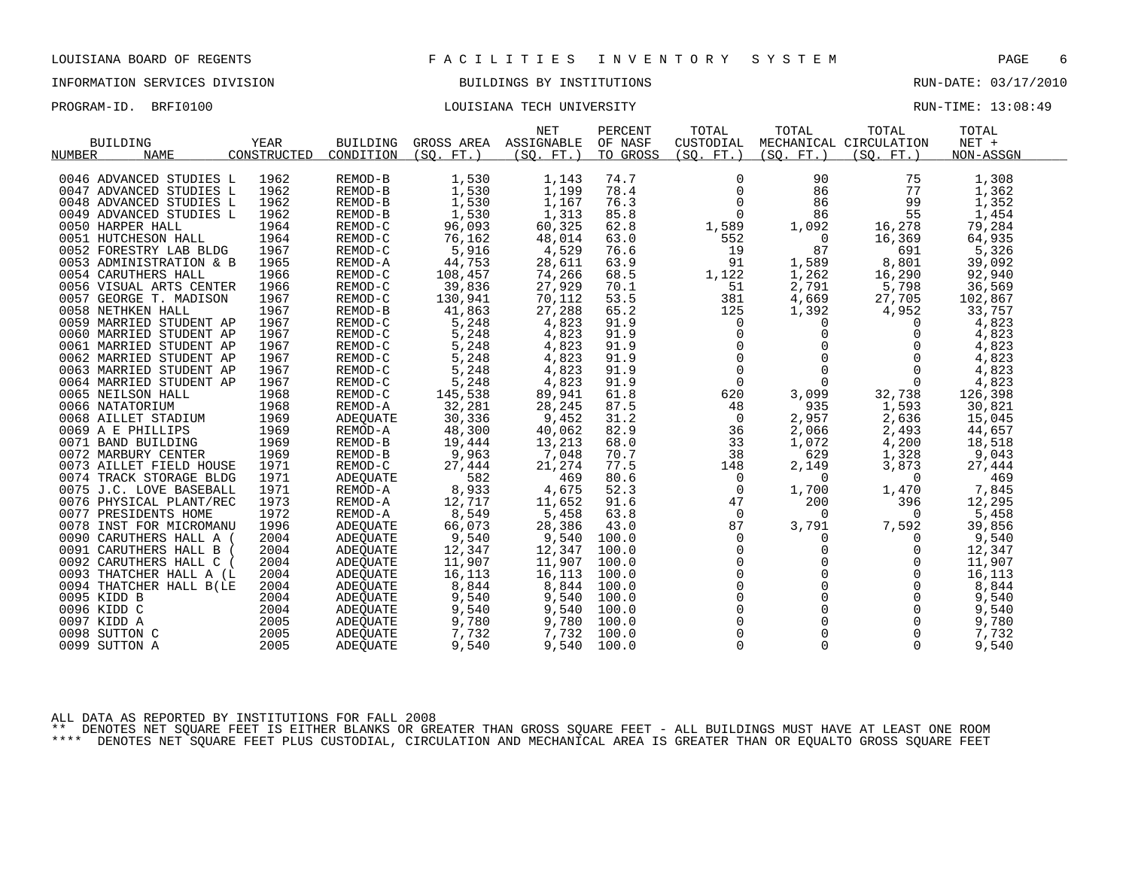# INFORMATION SERVICES DIVISION BUILDINGS BY INSTITUTIONS AND RUN-DATE: 03/17/2010

### PROGRAM-ID. BRFI0100 COULSIANA TECH UNIVERSITY COULSIAN TECH UNIVERSITY

| <b>BUILDING</b><br><b>NAME</b><br>NUMBER | YEAR<br>CONSTRUCTED | BUILDING<br>CONDITION | GROSS AREA ASSIGNABLE<br>(SO. FT.) | <b>NET</b><br>(SO. FT. ) | PERCENT<br>OF NASF<br>TO GROSS | TOTAL<br>CUSTODIAL<br>(SO. FT. ) | TOTAL<br>(SO. FT. )                               | TOTAL<br>MECHANICAL CIRCULATION<br>(SO. FT.) | TOTAL<br>$NET +$<br>NON-ASSGN |  |
|------------------------------------------|---------------------|-----------------------|------------------------------------|--------------------------|--------------------------------|----------------------------------|---------------------------------------------------|----------------------------------------------|-------------------------------|--|
|                                          |                     |                       |                                    |                          |                                |                                  |                                                   |                                              |                               |  |
| 0046 ADVANCED STUDIES L                  | 1962                | REMOD-B               | 1,530                              | 1,143                    | 74.7                           | 0                                | 90                                                | 75                                           | 1,308                         |  |
| 0047 ADVANCED STUDIES L                  | 1962                | REMOD-B               | 1,530                              | 1,199                    | 78.4                           | 0                                | 86                                                | 77                                           | 1,362                         |  |
| 0048 ADVANCED STUDIES L                  | 1962                | REMOD-B               | 1,530                              | 1,167                    | 76.3                           | $\mathsf{O}$                     | 86                                                | 99                                           | 1,352                         |  |
| 0049 ADVANCED STUDIES L                  | 1962                | REMOD-B               | 1,530                              | 1,313                    | 85.8                           | $\overline{0}$                   | 86                                                | 55                                           | 1,454                         |  |
| 0050 HARPER HALL                         | 1964                | REMOD-C               | 96,093                             | 60,325                   | 62.8                           | 1,589                            | 1,092                                             | 16,278                                       | 79,284                        |  |
| 0051 HUTCHESON HALL                      | 1964                | REMOD-C               | 76,162                             | 48,014                   | 63.0                           | 552                              | $\overline{0}$                                    | 16,369                                       | 64,935                        |  |
| 0052 FORESTRY LAB BLDG                   | 1967                | REMOD-C               | 5,916                              | 4,529                    | 76.6                           | 19                               | 87                                                | 691                                          | 5,326                         |  |
| 0053 ADMINISTRATION & B                  | 1965                | REMOD-A               | 44,753                             | 28,611                   | 63.9                           | 91                               | 1,589                                             | 8,801                                        | 39,092                        |  |
| 0054 CARUTHERS HALL                      | 1966                | REMOD-C               | 108,457                            | 74,266                   | 68.5                           | 1,122                            | 1,262                                             | 16,290                                       | 92,940                        |  |
| 0056 VISUAL ARTS CENTER                  | 1966                | REMOD-C               | 39,836                             | 27,929                   | 70.1                           | 51                               | 2,791                                             | 5,798                                        | 36,569                        |  |
| 0057 GEORGE T. MADISON                   | 1967                | REMOD-C               | 130,941                            | 70,112                   | 53.5                           | 381                              | 4,669                                             | 27,705                                       | 102,867                       |  |
| 0058 NETHKEN HALL                        | 1967                | REMOD-B               | 41,863                             | 27,288                   | 65.2                           | 125                              | 1,392                                             | 4,952                                        | 33,757                        |  |
| 0059 MARRIED STUDENT AP                  | 1967                | REMOD-C               | 5,248                              | 4,823                    | 91.9                           | $\overline{0}$                   | $\overline{0}$                                    | $\mathbf{0}$                                 | 4,823                         |  |
| 0060 MARRIED STUDENT AP                  | 1967                | REMOD-C               | 5,248                              | 4,823                    | 91.9                           | $\mathsf{O}$                     | $\mathsf{O}$                                      | $\mathbf 0$                                  | 4,823                         |  |
| 0061 MARRIED STUDENT AP                  | 1967                | REMOD-C               | 5,248                              | 4,823                    | 91.9                           |                                  | $\mathbf{0}$                                      | $\mathbf 0$                                  | 4,823                         |  |
| 0062 MARRIED STUDENT AP                  | 1967                | REMOD-C               | 5,248                              | 4,823                    | 91.9                           |                                  | $\begin{array}{c}\n0 \\ 0 \\ 0\n\end{array}$<br>0 | $\mathbf 0$                                  | 4,823                         |  |
| 0063 MARRIED STUDENT AP                  | 1967                | REMOD-C               | 5,248                              | 4,823                    | 91.9                           |                                  | 0                                                 | $\mathsf{O}$                                 | 4,823                         |  |
| 0064 MARRIED STUDENT AP                  | 1967                | REMOD-C               | 5,248                              | 4,823                    | 91.9                           | $\overline{0}$                   | $\overline{0}$                                    | $\overline{0}$                               | 4,823                         |  |
| 0065 NEILSON HALL                        | 1968                | REMOD-C               | 145,538                            | 89,941                   | 61.8                           | 620                              | 3,099                                             | 32,738                                       | 126,398                       |  |
| 0066 NATATORIUM                          | 1968                | REMOD-A               | 32,281                             | 28,245                   | 87.5                           | 48                               | 935                                               | 1,593                                        | 30,821                        |  |
| 0068 AILLET STADIUM                      | 1969                | ADEQUATE              | 30,336                             | 9,452                    | 31.2                           | $\overline{0}$                   | 2,957                                             | 2,636                                        | 15,045                        |  |
| 0069 A E PHILLIPS                        | 1969                | REMOD-A               | 48,300                             | 40,062                   | 82.9                           | 36                               | 2,066                                             | 2,493                                        | 44,657                        |  |
| 0071 BAND BUILDING                       | 1969                | REMOD-B               | 19,444                             | $13,213$<br>7,048        | 68.0                           | 33                               | 1,072                                             | 4,200                                        | 18,518                        |  |
| 0072 MARBURY CENTER                      | 1969                | REMOD-B               | +++, 41<br>9, 963                  |                          | 70.7                           | 38                               | 629                                               | 1,328                                        | 9,043                         |  |
| 0073 AILLET FIELD HOUSE                  | 1971                | REMOD-C               | 27,444                             | 21,274                   | 77.5                           | 148                              | 2,149                                             | 3,873                                        | 27,444                        |  |
| 0074 TRACK STORAGE BLDG                  | 1971                | ADEQUATE              | 582                                | 469                      | 80.6                           | $\mathbf 0$                      | $\overline{0}$                                    | $\overline{0}$                               | 469                           |  |
| 0075 J.C. LOVE BASEBALL                  | 1971                | REMOD-A               | 8,933                              | 4,675                    | 52.3                           | $\mathbf 0$                      | 1,700                                             | 1,470                                        | 7,845                         |  |
| 0076 PHYSICAL PLANT/REC                  | 1973                | REMOD-A               | 12,717                             | 11,652                   | 91.6                           | 47                               | 200                                               | 396                                          | 12,295                        |  |
| 0077 PRESIDENTS HOME                     | 1972                | REMOD-A               | 8,549                              | 5,458                    | 63.8                           | $\Omega$                         | $\Omega$                                          | $\overline{0}$                               | 5,458                         |  |
| 0078 INST FOR MICROMANU                  | 1996                | ADEQUATE              | 66,073                             | 28,386                   | 43.0                           | 87                               | 3,791                                             | 7,592                                        | 39,856                        |  |
| 0090 CARUTHERS HALL A (                  | 2004                | ADEQUATE              | 9,540                              | 9,540                    | 100.0                          | 0                                | 0                                                 | $\mathbf{0}$                                 | 9,540                         |  |
| 0091 CARUTHERS HALL B                    | 2004                | ADEOUATE              | 12,347                             | 12,347                   | 100.0                          | 0                                | $\mathbf 0$                                       | 0                                            | 12,347                        |  |
| 0092 CARUTHERS HALL C (                  | 2004                | ADEQUATE              | 11,907                             | 11,907                   | 100.0                          | $\mathsf{O}$                     | $\mathbf 0$                                       | $\mathbf 0$                                  | 11,907                        |  |
| 0093 THATCHER HALL A (L                  | 2004                | ADEQUATE              | 16,113                             | 16,113                   | 100.0                          | $\overline{0}$                   | $\Omega$                                          | $\Omega$                                     | 16,113                        |  |
| 0094 THATCHER HALL B(LE                  | 2004                | ADEQUATE              | 8,844                              | 8,844                    | 100.0                          | $\overline{0}$                   | $\Omega$                                          | $\Omega$                                     | 8,844                         |  |
| 0095 KIDD B                              | 2004                | ADEQUATE              | 9,540                              | 9,540                    | 100.0                          | $\overline{0}$                   | $\Omega$                                          | $\mathbf 0$                                  | 9,540                         |  |
| 0096 KIDD C                              | 2004                | ADEQUATE              | 9,540                              | 9,540                    | 100.0                          |                                  | $\Omega$                                          | $\mathbf 0$                                  | 9,540                         |  |
| 0097 KIDD A                              | 2005                | ADEQUATE              | 9,780                              | 9,780                    | 100.0                          | $_0^0$                           | $\mathbf 0$                                       | $\mathbf 0$                                  | 9,780                         |  |
| 0098 SUTTON C                            | 2005                | ADEOUATE              | 7,732                              | 7,732                    | 100.0                          | $\mathbf 0$                      | $\Omega$                                          | $\Omega$                                     | 7,732                         |  |
| 0099 SUTTON A                            | 2005                | ADEQUATE              | 9,540                              | 9,540                    | 100.0                          | $\mathbf 0$                      | $\mathbf 0$                                       | $\Omega$                                     | 9,540                         |  |
|                                          |                     |                       |                                    |                          |                                |                                  |                                                   |                                              |                               |  |

ALL DATA AS REPORTED BY INSTITUTIONS FOR FALL 2008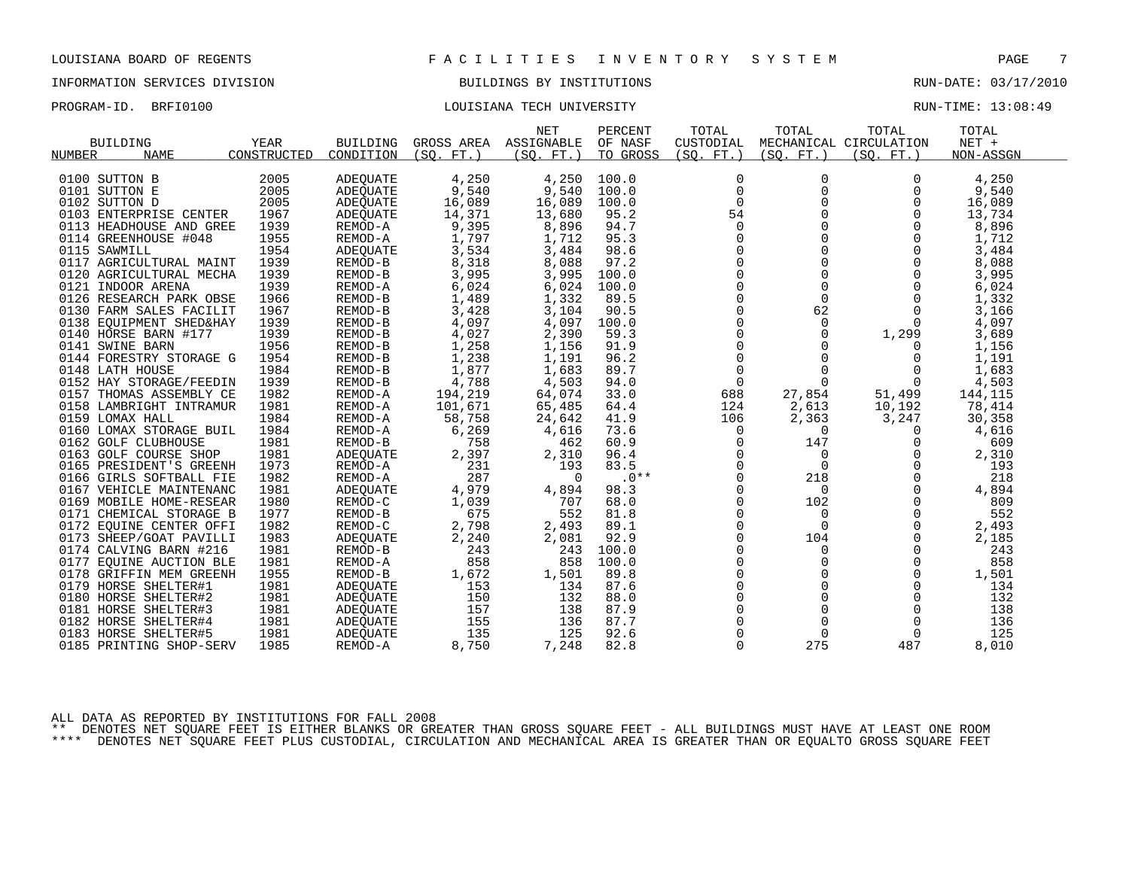# INFORMATION SERVICES DIVISION BUILDINGS BY INSTITUTIONS AND RUN-DATE: 03/17/2010

### PROGRAM-ID. BRFI0100 COULSIANA TECH UNIVERSITY COULSIAN TECH UNIVERSITY

|                         |             |           |                       | <b>NET</b> | PERCENT  | TOTAL               | TOTAL          | TOTAL                  | TOTAL     |  |
|-------------------------|-------------|-----------|-----------------------|------------|----------|---------------------|----------------|------------------------|-----------|--|
| <b>BUILDING</b>         | YEAR        | BUILDING  | GROSS AREA ASSIGNABLE |            | OF NASF  | CUSTODIAL           |                | MECHANICAL CIRCULATION | $NET +$   |  |
| <b>NAME</b><br>NUMBER   | CONSTRUCTED | CONDITION | (SO, FT.)             | (SO. FT. ) | TO GROSS | (SO. FT. )          | (SO. FT.)      | (SQ. FT. )             | NON-ASSGN |  |
|                         |             |           |                       |            |          |                     |                |                        |           |  |
| 0100 SUTTON B           | 2005        | ADEOUATE  | 4,250                 | 4,250      | 100.0    | $\mathbf 0$         | $\mathbf 0$    | $\Omega$               | 4,250     |  |
| 0101 SUTTON E           | 2005        | ADEOUATE  | 9,540                 | 9,540      | 100.0    | 0                   | 0              | 0                      | 9,540     |  |
| 0102 SUTTON D           | 2005        | ADEQUATE  | 16,089                | 16,089     | 100.0    | $\Omega$            | $\Omega$       | $\Omega$               | 16,089    |  |
| 0103 ENTERPRISE CENTER  | 1967        | ADEQUATE  | 14,371                | 13,680     | 95.2     | 54                  |                | $\Omega$               | 13,734    |  |
| 0113 HEADHOUSE AND GREE | 1939        | REMOD-A   | 9,395                 | 8,896      | 94.7     | $\overline{0}$      | $\mathbf 0$    | $\Omega$               | 8,896     |  |
| 0114 GREENHOUSE #048    | 1955        | REMOD-A   | 1,797                 | 1,712      | 95.3     | 0                   |                |                        | 1,712     |  |
| 0115 SAWMILL            | 1954        | ADEOUATE  | 3,534                 | 3,484      | 98.6     | $\mathbf 0$         |                | 0                      | 3,484     |  |
| 0117 AGRICULTURAL MAINT | 1939        | REMOD-B   | 8,318                 | 8,088      | 97.2     | $\overline{0}$      | $\Omega$       | $\Omega$               | 8,088     |  |
| 0120 AGRICULTURAL MECHA | 1939        | REMOD-B   | 3,995                 | 3,995      | 100.0    | $\mathsf{O}\xspace$ | 0              | $\mathbf 0$            | 3,995     |  |
| 0121 INDOOR ARENA       | 1939        | REMOD-A   | 6,024                 | 6,024      | 100.0    | $\mathbf 0$         |                | 0                      | 6,024     |  |
| 0126 RESEARCH PARK OBSE | 1966        | REMOD-B   | 1,489                 | 1,332      | 89.5     | $\Omega$            | $\Omega$       | $\Omega$               | 1,332     |  |
| 0130 FARM SALES FACILIT | 1967        | REMOD-B   | 3,428                 | 3,104      | 90.5     | $\mathsf{O}$        | 62             | $\mathbf 0$            | 3,166     |  |
| 0138 EQUIPMENT SHED&HAY | 1939        | REMOD-B   | 4,097                 | 4,097      | 100.0    | 0                   | $\mathbf 0$    | 0                      | 4,097     |  |
| 0140 HORSE BARN #177    | 1939        | REMOD-B   | 4,027                 | 2,390      | 59.3     | $\mathbf 0$         | $\Omega$       | 1,299                  | 3,689     |  |
| 0141 SWINE BARN         | 1956        | REMOD-B   | 1,258                 | 1,156      | 91.9     | $\mathsf{O}$        | $\Omega$       | $\Omega$               | 1,156     |  |
| 0144 FORESTRY STORAGE G | 1954        | REMOD-B   | 1,238                 | 1,191      | 96.2     | $\mathbf 0$         |                | 0                      | 1,191     |  |
| 0148 LATH HOUSE         | 1984        | REMOD-B   | 1,877                 | 1,683      | 89.7     | $\mathbf 0$         | $\Omega$       | 0                      | 1,683     |  |
| 0152 HAY STORAGE/FEEDIN | 1939        | REMOD-B   | 4,788                 | 4,503      | 94.0     | $\mathbf 0$         | $\overline{0}$ | 0                      | 4,503     |  |
| 0157 THOMAS ASSEMBLY CE | 1982        | REMOD-A   | 194,219               | 64,074     | 33.0     | 688                 | 27,854         | 51,499                 | 144,115   |  |
| 0158 LAMBRIGHT INTRAMUR | 1981        | REMOD-A   | 101,671               | 65,485     | 64.4     | 124                 | 2,613          | 10,192                 | 78,414    |  |
| 0159 LOMAX HALL         | 1984        | REMOD-A   | 58,758                | 24,642     | 41.9     | 106                 | 2,363          | 3,247                  | 30,358    |  |
| 0160 LOMAX STORAGE BUIL | 1984        | REMOD-A   | 6,269                 | 4,616      | 73.6     | $\mathbf 0$         | $\mathbf 0$    | $\mathbf 0$            | 4,616     |  |
| 0162 GOLF CLUBHOUSE     | 1981        | REMOD-B   | 758                   | 462        | 60.9     | 0                   | 147            | $\mathbf 0$            | 609       |  |
| 0163 GOLF COURSE SHOP   | 1981        | ADEOUATE  | 2,397                 | 2,310      | 96.4     | $\Omega$            | $\Omega$       | $\Omega$               | 2,310     |  |
| 0165 PRESIDENT'S GREENH | 1973        | REMOD-A   | 231                   | 193        | 83.5     | 0                   | $\Omega$       | $\mathbf 0$            | 193       |  |
| 0166 GIRLS SOFTBALL FIE | 1982        | REMOD-A   | 287                   | $\Omega$   | $.0**$   | $\mathbf 0$         | 218            | $\mathbf 0$            | 218       |  |
| 0167 VEHICLE MAINTENANC | 1981        | ADEOUATE  | 4,979                 | 4,894      | 98.3     | $\Omega$            | $\Omega$       | $\Omega$               | 4,894     |  |
| 0169 MOBILE HOME-RESEAR | 1980        | REMOD-C   | 1,039                 | 707        | 68.0     | 0                   | 102            | $\mathbf 0$            | 809       |  |
| 0171 CHEMICAL STORAGE B | 1977        | REMOD-B   | 675                   | 552        | 81.8     | $\Omega$            | $\Omega$       | $\Omega$               | 552       |  |
| 0172 EOUINE CENTER OFFI | 1982        | REMOD-C   | 2,798                 | 2,493      | 89.1     | $\mathbf 0$         | $\Omega$       | $\mathbf 0$            | 2,493     |  |
| 0173 SHEEP/GOAT PAVILLI | 1983        | ADEQUATE  | 2,240                 | 2,081      | 92.9     | $\mathbf 0$         | 104            | $\mathbf 0$            | 2,185     |  |
| 0174 CALVING BARN #216  | 1981        | REMOD-B   | 243                   | 243        | 100.0    | $\Omega$            | $\Omega$       | $\Omega$               | 243       |  |
| 0177 EQUINE AUCTION BLE | 1981        | REMOD-A   | 858                   | 858        | 100.0    | $\Omega$            | $\Omega$       | $\mathbf 0$            | 858       |  |
| 0178 GRIFFIN MEM GREENH | 1955        | REMOD-B   | 1,672                 | 1,501      | 89.8     | $\Omega$            | $\Omega$       | $\mathbf 0$            | 1,501     |  |
| 0179 HORSE SHELTER#1    | 1981        | ADEOUATE  | 153                   | 134        | 87.6     | $\mathsf 0$         | 0              | 0                      | 134       |  |
| 0180 HORSE SHELTER#2    | 1981        | ADEQUATE  | 150                   | 132        | 88.0     | $\mathbf 0$         | $\Omega$       | $\mathbf 0$            | 132       |  |
| 0181 HORSE SHELTER#3    | 1981        | ADEQUATE  | 157                   | 138        | 87.9     | $\Omega$            | $\Omega$       | $\Omega$               | 138       |  |
| 0182 HORSE SHELTER#4    | 1981        | ADEOUATE  | 155                   | 136        | 87.7     | $\mathbf 0$         | $\mathbf 0$    | $\mathbf 0$            | 136       |  |
| 0183 HORSE SHELTER#5    | 1981        | ADEQUATE  | 135                   | 125        | 92.6     | 0                   | $\mathbf 0$    | 0                      | 125       |  |
| 0185 PRINTING SHOP-SERV | 1985        | REMOD-A   | 8,750                 | 7,248      | 82.8     | $\Omega$            | 275            | 487                    | 8,010     |  |
|                         |             |           |                       |            |          |                     |                |                        |           |  |

ALL DATA AS REPORTED BY INSTITUTIONS FOR FALL 2008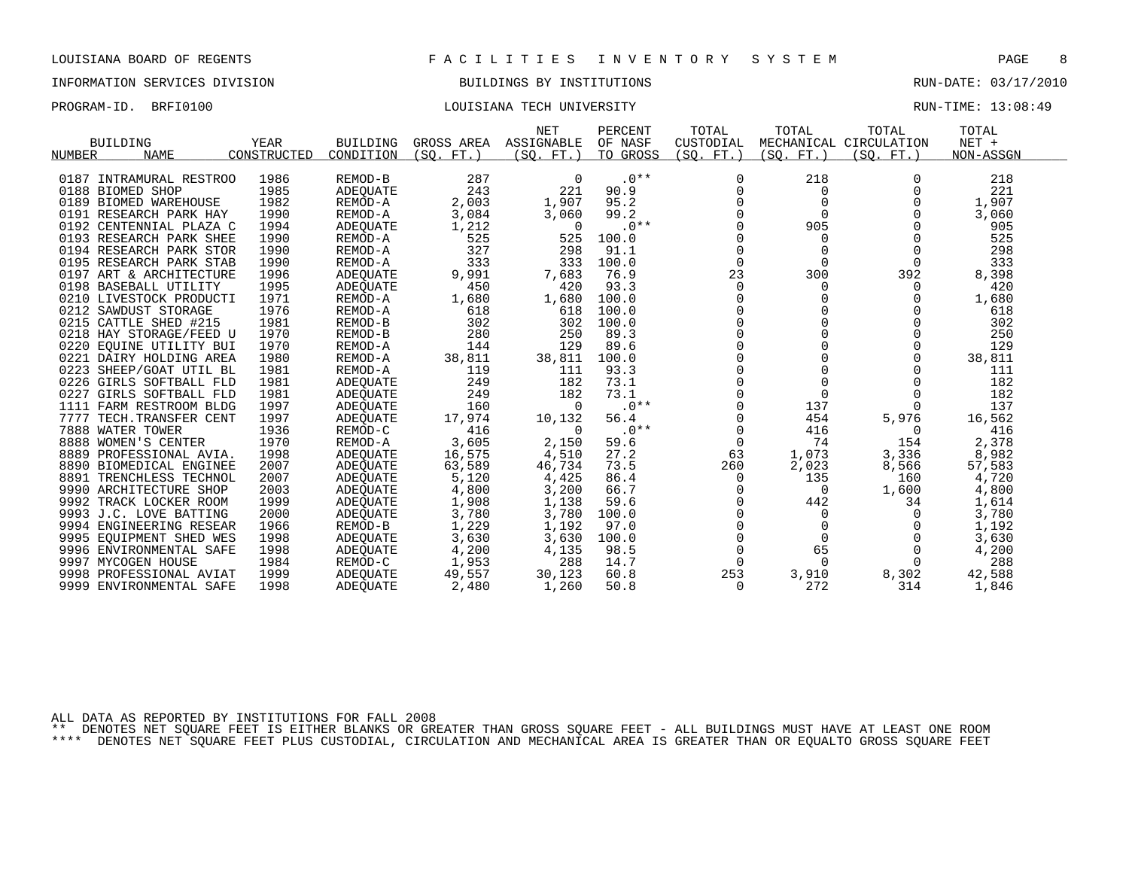# INFORMATION SERVICES DIVISION BUILDINGS BY INSTITUTIONS AND RUN-DATE: 03/17/2010

### PROGRAM-ID. BRFI0100 COULSIANA TECH UNIVERSITY COULSIAN TECH UNIVERSITY

|        |                          |             |                 |             | <b>NET</b> | PERCENT  | TOTAL       | TOTAL       | TOTAL                  | TOTAL     |
|--------|--------------------------|-------------|-----------------|-------------|------------|----------|-------------|-------------|------------------------|-----------|
|        | <b>BUILDING</b>          | YEAR        | <b>BUILDING</b> | GROSS AREA  | ASSIGNABLE | OF NASF  | CUSTODIAL   |             | MECHANICAL CIRCULATION | $NET +$   |
| NUMBER | <b>NAME</b>              | CONSTRUCTED | CONDITION       | FT.<br>(SO. | (SO. FT.)  | TO GROSS | (SO. FT.)   | (SO.<br>FT. | (SO. FT.)              | NON-ASSGN |
|        |                          |             |                 |             |            |          |             |             |                        |           |
| 0187   | INTRAMURAL RESTROO       | 1986        | REMOD-B         | 287         | 0          | $.0**$   | 0           | 218         | $\Omega$               | 218       |
|        | 0188 BIOMED SHOP         | 1985        | ADEOUATE        | 243         | 221        | 90.9     | 0           | 0           |                        | 221       |
|        | 0189 BIOMED WAREHOUSE    | 1982        | REMOD-A         | 2,003       | 1,907      | 95.2     | $\Omega$    | $\Omega$    |                        | 1,907     |
|        | 0191 RESEARCH PARK HAY   | 1990        | REMOD-A         | 3,084       | 3,060      | 99.2     | $\Omega$    | $\Omega$    |                        | 3,060     |
|        | 0192 CENTENNIAL PLAZA C  | 1994        | ADEQUATE        | 1,212       | $\Omega$   | $.0**$   | $\Omega$    | 905         | $\Omega$               | 905       |
|        | 0193 RESEARCH PARK SHEE  | 1990        | REMOD-A         | 525         | 525        | 100.0    | $\Omega$    | $\Omega$    | $\Omega$               | 525       |
|        | 0194 RESEARCH PARK STOR  | 1990        | REMOD-A         | 327         | 298        | 91.1     | $\mathbf 0$ | $\mathbf 0$ | $\Omega$               | 298       |
|        | 0195 RESEARCH PARK STAB  | 1990        | REMOD-A         | 333         | 333        | 100.0    | $\Omega$    | $\Omega$    | $\Omega$               | 333       |
|        | 0197 ART & ARCHITECTURE  | 1996        | ADEOUATE        | 9,991       | 7,683      | 76.9     | 23          | 300         | 392                    | 8,398     |
|        | 0198 BASEBALL UTILITY    | 1995        | ADEOUATE        | 450         | 420        | 93.3     | $\mathbf 0$ | 0           | 0                      | 420       |
|        | 0210 LIVESTOCK PRODUCTI  | 1971        | REMOD-A         | 1,680       | 1,680      | 100.0    | $\Omega$    | $\Omega$    | $\Omega$               | 1,680     |
|        | 0212 SAWDUST STORAGE     | 1976        | REMOD-A         | 618         | 618        | 100.0    |             |             |                        | 618       |
|        | 0215 CATTLE SHED #215    | 1981        | REMOD-B         | 302         | 302        | 100.0    | $\Omega$    |             |                        | 302       |
|        | 0218 HAY STORAGE/FEED U  | 1970        | REMOD-B         | 280         | 250        | 89.3     | $\Omega$    |             |                        | 250       |
| 0220   | EQUINE UTILITY BUI       | 1970        | REMOD-A         | 144         | 129        | 89.6     | $\cap$      | $\cap$      |                        | 129       |
|        | 0221 DAIRY HOLDING AREA  | 1980        | REMOD-A         | 38,811      | 38,811     | 100.0    | $\Omega$    | $\Omega$    | $\Omega$               | 38,811    |
|        | 0223 SHEEP/GOAT UTIL BL  | 1981        | REMOD-A         | 119         | 111        | 93.3     | $\Omega$    | $\Omega$    | $\Omega$               | 111       |
|        | 0226 GIRLS SOFTBALL FLD  | 1981        | ADEOUATE        | 249         | 182        | 73.1     | 0           | $\mathbf 0$ |                        | 182       |
| 0227   | GIRLS SOFTBALL FLD       | 1981        | ADEOUATE        | 249         | 182        | 73.1     | $\mathbf 0$ | $\mathbf 0$ |                        | 182       |
|        | 1111 FARM RESTROOM BLDG  | 1997        | ADEQUATE        | 160         | $\Omega$   | $.0**$   | $\mathbf 0$ | 137         | $\Omega$               | 137       |
|        | 7777 TECH. TRANSFER CENT | 1997        | ADEQUATE        | 17,974      | 10,132     | 56.4     | 0           | 454         | 5,976                  | 16,562    |
|        | 7888 WATER TOWER         | 1936        | REMOD-C         | 416         | $\Omega$   | $.0**$   | $\Omega$    | 416         | $\Omega$               | 416       |
|        | 8888 WOMEN'S CENTER      | 1970        | REMOD-A         | 3,605       | 2,150      | 59.6     | $\mathbf 0$ | 74          | 154                    | 2,378     |
|        | 8889 PROFESSIONAL AVIA.  | 1998        | ADEOUATE        | 16,575      | 4,510      | 27.2     | 63          | 1,073       | 3,336                  | 8,982     |
|        | 8890 BIOMEDICAL ENGINEE  | 2007        | ADEQUATE        | 63,589      | 46,734     | 73.5     | 260         | 2,023       | 8,566                  | 57,583    |
|        | 8891 TRENCHLESS TECHNOL  | 2007        | ADEQUATE        | 5,120       | 4,425      | 86.4     | $\Omega$    | 135         | 160                    | 4,720     |
|        | 9990 ARCHITECTURE SHOP   | 2003        | ADEOUATE        | 4,800       | 3,200      | 66.7     | $\Omega$    | $\Omega$    | 1,600                  | 4,800     |
|        | 9992 TRACK LOCKER ROOM   | 1999        | ADEQUATE        | 1,908       | 1,138      | 59.6     | $\mathbf 0$ | 442         | 34                     | 1,614     |
|        | 9993 J.C. LOVE BATTING   | 2000        | ADEOUATE        | 3,780       | 3,780      | 100.0    | $\mathbf 0$ | 0           | $\Omega$               | 3,780     |
|        | 9994 ENGINEERING RESEAR  | 1966        | REMOD-B         | 1,229       | 1,192      | 97.0     |             | $\mathbf 0$ |                        | 1,192     |
|        | 9995 EQUIPMENT SHED WES  | 1998        | ADEQUATE        | 3,630       | 3,630      | 100.0    | 0           | $\Omega$    |                        | 3,630     |
|        | 9996 ENVIRONMENTAL SAFE  | 1998        | ADEQUATE        | 4,200       | 4,135      | 98.5     | $\mathbf 0$ | 65          | $\Omega$               | 4,200     |
|        | 9997 MYCOGEN HOUSE       | 1984        | REMOD-C         | 1,953       | 288        | 14.7     | $\Omega$    | $\Omega$    | $\Omega$               | 288       |
|        | 9998 PROFESSIONAL AVIAT  | 1999        | ADEOUATE        | 49,557      | 30,123     | 60.8     | 253         | 3,910       | 8,302                  | 42,588    |
|        | 9999 ENVIRONMENTAL SAFE  | 1998        | ADEOUATE        | 2,480       | 1,260      | 50.8     | 0           | 272         | 314                    | 1,846     |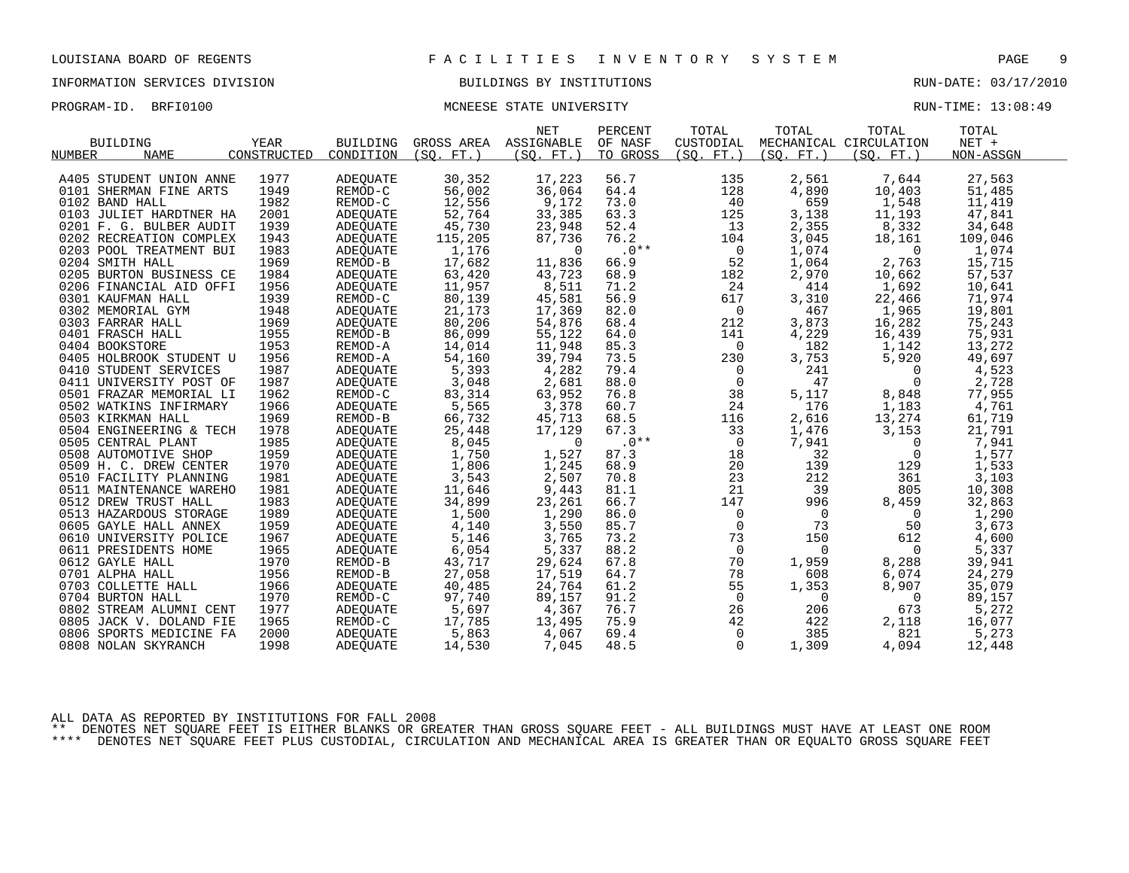### PROGRAM-ID. BRFI0100 **MONEESE STATE UNIVERSITY RUN-TIME: 13:08:49** RUN-TIME: 13:08:49

|                         |             |           |                       | <b>NET</b> | PERCENT  | TOTAL          | TOTAL          | TOTAL                  | TOTAL     |  |
|-------------------------|-------------|-----------|-----------------------|------------|----------|----------------|----------------|------------------------|-----------|--|
| <b>BUILDING</b>         | YEAR        | BUILDING  | GROSS AREA ASSIGNABLE |            | OF NASF  | CUSTODIAL      |                | MECHANICAL CIRCULATION | $NET +$   |  |
| <b>NAME</b><br>NUMBER   | CONSTRUCTED | CONDITION | (SO. FT.)             | (SO. FT. ) | TO GROSS | (SO. FT.)      | (SO. FT. )     | (SO. FT. )             | NON-ASSGN |  |
|                         |             |           |                       |            |          |                |                |                        |           |  |
| A405 STUDENT UNION ANNE | 1977        | ADEOUATE  | 30,352                | 17,223     | 56.7     | 135            | 2,561          | 7,644                  | 27,563    |  |
| 0101 SHERMAN FINE ARTS  | 1949        | REMOD-C   | 56,002                | 36,064     | 64.4     | 128            | 4,890          | 10,403                 | 51,485    |  |
| 0102 BAND HALL          | 1982        | REMOD-C   | 12,556                | 9,172      | 73.0     | 40             | 659            | 1,548                  | 11,419    |  |
| 0103 JULIET HARDTNER HA | 2001        | ADEQUATE  | 52,764                | 33,385     | 63.3     | 125            | 3,138          | 11,193                 | 47,841    |  |
| 0201 F. G. BULBER AUDIT | 1939        | ADEQUATE  | 45,730                | 23,948     | 52.4     | 13             | 2,355          | 8,332                  | 34,648    |  |
| 0202 RECREATION COMPLEX | 1943        | ADEQUATE  | 115,205               | 87,736     | 76.2     | 104            | 3,045          | 18,161                 | 109,046   |  |
| 0203 POOL TREATMENT BUI | 1983        | ADEOUATE  | 1,176                 | $\Omega$   | $.0***$  | $\overline{0}$ | 1,074          | $\overline{0}$         | 1,074     |  |
| 0204 SMITH HALL         | 1969        | REMOD-B   | 17,682                | 11,836     | 66.9     | 52             | 1,064          | 2,763                  | 15,715    |  |
| 0205 BURTON BUSINESS CE | 1984        | ADEQUATE  | 63,420                | 43,723     | 68.9     | 182            | 2,970          | 10,662                 | 57,537    |  |
| 0206 FINANCIAL AID OFFI | 1956        | ADEQUATE  | 11,957                | 8,511      | 71.2     | 24             | 414            | 1,692                  | 10,641    |  |
| 0301 KAUFMAN HALL       | 1939        | REMOD-C   | 80,139                | 45,581     | 56.9     | 617            | 3,310          | 22,466                 | 71,974    |  |
| 0302 MEMORIAL GYM       | 1948        | ADEOUATE  | 21,173                | 17,369     | 82.0     | $\mathsf{O}$   | 467            | 1,965                  | 19,801    |  |
| 0303 FARRAR HALL        | 1969        | ADEQUATE  | 80,206                | 54,876     | 68.4     | 212            | 3,873          | 16,282                 | 75,243    |  |
| 0401 FRASCH HALL        | 1955        | REMOD-B   | 86,099                | 55,122     | 64.0     | 141            | 4,229          | 16,439                 | 75,931    |  |
| 0404 BOOKSTORE          | 1953        | REMOD-A   | 14,014                | 11,948     | 85.3     | $\Omega$       | 182            | 1,142                  | 13,272    |  |
| 0405 HOLBROOK STUDENT U | 1956        | REMOD-A   | 54,160                | 39,794     | 73.5     | 230            | 3,753          | 5,920                  | 49,697    |  |
| 0410 STUDENT SERVICES   | 1987        | ADEOUATE  | 5,393                 | 4,282      | 79.4     | $\overline{0}$ | 241            | $\mathbf{0}$           | 4,523     |  |
| 0411 UNIVERSITY POST OF | 1987        | ADEQUATE  | 3,048                 | 2,681      | 88.0     | $\mathbf 0$    | 47             | $\Omega$               | 2,728     |  |
| 0501 FRAZAR MEMORIAL LI | 1962        | REMOD-C   | 83,314                | 63,952     | 76.8     | 38             | 5,117          | 8,848                  | 77,955    |  |
| 0502 WATKINS INFIRMARY  | 1966        | ADEQUATE  | 5,565                 | 3,378      | 60.7     | 24             | 176            | 1,183                  | 4,761     |  |
| 0503 KIRKMAN HALL       | 1969        | REMOD-B   | 66,732                | 45,713     | 68.5     | 116            | 2,616          | 13,274                 | 61,719    |  |
| 0504 ENGINEERING & TECH | 1978        | ADEOUATE  | 25,448                | 17,129     | 67.3     | 33             | 1,476          | 3,153                  | 21,791    |  |
| 0505 CENTRAL PLANT      | 1985        | ADEQUATE  | 8,045                 | $\Omega$   | $.0**$   | $\mathsf{O}$   | 7,941          | $\mathbf 0$            | 7,941     |  |
| 0508 AUTOMOTIVE SHOP    | 1959        | ADEQUATE  | 1,750                 | 1,527      | 87.3     | 18             | 32             | 0                      | 1,577     |  |
| 0509 H. C. DREW CENTER  | 1970        | ADEQUATE  | 1,806                 | 1,245      | 68.9     | 20             | 139            | 129                    | 1,533     |  |
| 0510 FACILITY PLANNING  | 1981        | ADEQUATE  | 3,543                 | 2,507      | 70.8     | 23             | 212            | 361                    | 3,103     |  |
| 0511 MAINTENANCE WAREHO | 1981        | ADEOUATE  | 11,646                | 9,443      | 81.1     | 21             | 39             | 805                    | 10,308    |  |
| 0512 DREW TRUST HALL    | 1983        | ADEQUATE  | 34,899                | 23,261     | 66.7     | 147            | 996            | 8,459                  | 32,863    |  |
| 0513 HAZARDOUS STORAGE  | 1989        | ADEQUATE  | 1,500                 | 1,290      | 86.0     | $\mathsf{O}$   | $\overline{0}$ | $\overline{0}$         | 1,290     |  |
| 0605 GAYLE HALL ANNEX   | 1959        | ADEQUATE  | 4,140                 | 3,550      | 85.7     | $\overline{0}$ | 73             | 50                     | 3,673     |  |
| 0610 UNIVERSITY POLICE  | 1967        | ADEQUATE  | 5,146                 | 3,765      | 73.2     | 73             | 150            | 612                    | 4,600     |  |
| 0611 PRESIDENTS HOME    | 1965        | ADEQUATE  | 6,054                 | 5,337      | 88.2     | $\overline{0}$ | $\overline{0}$ | $\mathbf{0}$           | 5,337     |  |
| 0612 GAYLE HALL         | 1970        | REMOD-B   | 43,717                | 29,624     | 67.8     | 70             | 1,959          | 8,288                  | 39,941    |  |
| 0701 ALPHA HALL         | 1956        | REMOD-B   | 27,058                | 17,519     | 64.7     | 78             | 608            | 6,074                  | 24,279    |  |
| 0703 COLLETTE HALL      | 1966        | ADEQUATE  | 40,485                | 24,764     | 61.2     | 55             | 1,353          | 8,907                  | 35,079    |  |
| 0704 BURTON HALL        | 1970        | REMOD-C   | 97,740                | 89,157     | 91.2     | $\mathsf{O}$   | $\overline{0}$ | $\overline{0}$         | 89,157    |  |
| 0802 STREAM ALUMNI CENT | 1977        | ADEQUATE  | 5,697                 | 4,367      | 76.7     | 26             | 206            | 673                    | 5,272     |  |
| 0805 JACK V. DOLAND FIE | 1965        | REMOD-C   | 17,785                | 13,495     | 75.9     | 42             | 422            | 2,118                  | 16,077    |  |
| 0806 SPORTS MEDICINE FA | 2000        | ADEQUATE  | 5,863                 | 4,067      | 69.4     | $\mathbf 0$    | 385            | 821                    | 5,273     |  |
| 0808 NOLAN SKYRANCH     | 1998        | ADEQUATE  | 14,530                | 7,045      | 48.5     | $\Omega$       | 1,309          | 4,094                  | 12,448    |  |
|                         |             |           |                       |            |          |                |                |                        |           |  |

ALL DATA AS REPORTED BY INSTITUTIONS FOR FALL 2008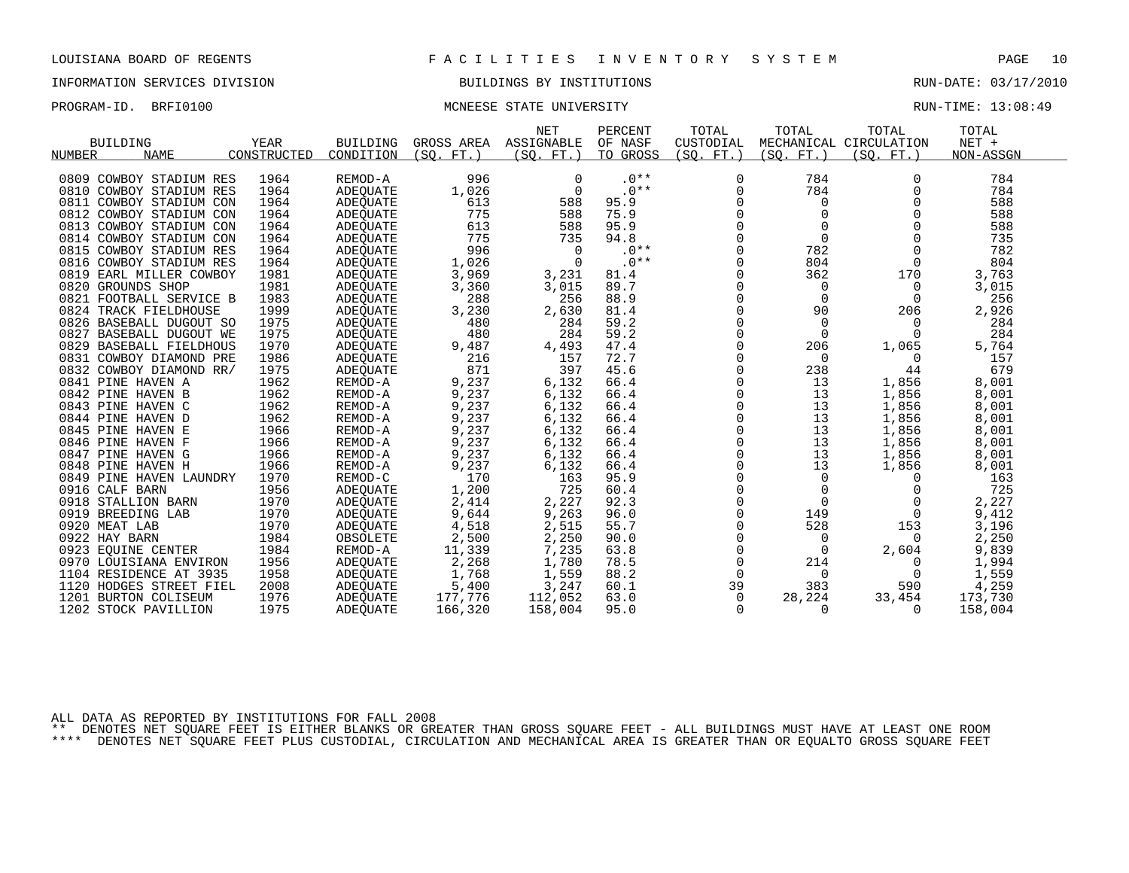## INFORMATION SERVICES DIVISION BUILDINGS BY INSTITUTIONS RUN-DATE: 03/17/2010

### PROGRAM-ID. BRFI0100 **MONEESE STATE UNIVERSITY RUN-TIME: 13:08:49** RUN-TIME: 13:08:49

| <b>BUILDING</b>         | YEAR        | <b>BUILDING</b> | GROSS AREA | <b>NET</b><br>ASSIGNABLE | PERCENT<br>OF NASF | TOTAL<br>CUSTODIAL | TOTAL           | TOTAL<br>MECHANICAL CIRCULATION | TOTAL<br>$NET +$ |  |
|-------------------------|-------------|-----------------|------------|--------------------------|--------------------|--------------------|-----------------|---------------------------------|------------------|--|
| <b>NAME</b><br>NUMBER   | CONSTRUCTED | CONDITION       | (SO, FT.)  | (SO. FT.)                | TO GROSS           | (SO. FT. )         | (SO.<br>$FT.$ ) | (SO. FT.)                       | NON-ASSGN        |  |
|                         |             |                 |            |                          |                    |                    |                 |                                 |                  |  |
| 0809 COWBOY STADIUM RES | 1964        | REMOD-A         | 996        | 0                        | $.0**$             | 0                  | 784             | 0                               | 784              |  |
| 0810 COWBOY STADIUM RES | 1964        | <b>ADEOUATE</b> | 1,026      | $\Omega$                 | $.0**$             | $\Omega$           | 784             | $\Omega$                        | 784              |  |
| 0811 COWBOY STADIUM CON | 1964        | ADEOUATE        | 613        | 588                      | 95.9               | 0                  | 0               | 0                               | 588              |  |
| 0812 COWBOY STADIUM CON | 1964        | <b>ADEOUATE</b> | 775        | 588                      | 75.9               | 0                  | $\mathbf 0$     |                                 | 588              |  |
| 0813 COWBOY STADIUM CON | 1964        | ADEQUATE        | 613        | 588                      | 95.9               | 0                  | $\Omega$        |                                 | 588              |  |
| 0814 COWBOY STADIUM CON | 1964        | ADEQUATE        | 775        | 735                      | 94.8               | $\Omega$           | $\Omega$        |                                 | 735              |  |
| 0815 COWBOY STADIUM RES | 1964        | ADEQUATE        | 996        | $\Omega$                 | $.0**$             | $\Omega$           | 782             |                                 | 782              |  |
| 0816 COWBOY STADIUM RES | 1964        | ADEQUATE        | 1,026      | 0                        | $.0**$             | $\mathbf 0$        | 804             | $\mathbf 0$                     | 804              |  |
| 0819 EARL MILLER COWBOY | 1981        | <b>ADEOUATE</b> | 3,969      | 3,231                    | 81.4               | 0                  | 362             | 170                             | 3,763            |  |
| 0820 GROUNDS SHOP       | 1981        | ADEQUATE        | 3,360      | 3,015                    | 89.7               | $\Omega$           | $\Omega$        | 0                               | 3,015            |  |
| 0821 FOOTBALL SERVICE B | 1983        | ADEQUATE        | 288        | 256                      | 88.9               | $\Omega$           | $\Omega$        | 0                               | 256              |  |
| 0824 TRACK FIELDHOUSE   | 1999        | ADEQUATE        | 3,230      | 2,630                    | 81.4               | $\Omega$           | 90              | 206                             | 2,926            |  |
| 0826 BASEBALL DUGOUT SO | 1975        | ADEQUATE        | 480        | 284                      | 59.2               | $\mathbf 0$        | 0               | 0                               | 284              |  |
| 0827 BASEBALL DUGOUT WE | 1975        | ADEQUATE        | 480        | 284                      | 59.2               | 0                  | $\Omega$        | $\Omega$                        | 284              |  |
| 0829 BASEBALL FIELDHOUS | 1970        | ADEQUATE        | 9,487      | 4,493                    | 47.4               | 0                  | 206             | 1,065                           | 5,764            |  |
| 0831 COWBOY DIAMOND PRE | 1986        | ADEQUATE        | 216        | 157                      | 72.7               | $\Omega$           | $\Omega$        | $\Omega$                        | 157              |  |
| 0832 COWBOY DIAMOND RR/ | 1975        | ADEQUATE        | 871        | 397                      | 45.6               | $\Omega$           | 238             | 44                              | 679              |  |
| 0841 PINE HAVEN A       | 1962        | REMOD-A         | 9,237      | 6,132                    | 66.4               | $\Omega$           | 13              | 1,856                           | 8,001            |  |
| 0842 PINE HAVEN B       | 1962        | REMOD-A         | 9,237      | 6,132                    | 66.4               | 0                  | 13              | 1,856                           | 8,001            |  |
| 0843 PINE HAVEN C       | 1962        | REMOD-A         | 9,237      | 6,132                    | 66.4               | 0                  | 13              | 1,856                           | 8,001            |  |
| 0844 PINE HAVEN D       | 1962        | REMOD-A         | 9,237      | 6,132                    | 66.4               | 0                  | 13              | 1,856                           | 8,001            |  |
| 0845 PINE HAVEN E       | 1966        | REMOD-A         | 9,237      | 6,132                    | 66.4               | 0                  | 13              | 1,856                           | 8,001            |  |
| 0846 PINE HAVEN F       | 1966        | REMOD-A         | 9,237      | 6,132                    | 66.4               | $\Omega$           | 13              | 1,856                           | 8,001            |  |
| 0847 PINE HAVEN G       | 1966        | REMOD-A         | 9,237      | 6,132                    | 66.4               | $\mathbf 0$        | 13              | 1,856                           | 8,001            |  |
| 0848 PINE HAVEN H       | 1966        | REMOD-A         | 9,237      | 6,132                    | 66.4               | 0                  | 13              | 1,856                           | 8,001            |  |
| 0849 PINE HAVEN LAUNDRY | 1970        | REMOD-C         | 170        | 163                      | 95.9               | 0                  | 0               | $\Omega$                        | 163              |  |
| 0916 CALF BARN          | 1956        | <b>ADEOUATE</b> | 1,200      | 725                      | 60.4               | 0                  |                 |                                 | 725              |  |
| 0918 STALLION BARN      | 1970        | ADEQUATE        | 2,414      | 2,227                    | 92.3               | $\Omega$           | $\Omega$        |                                 | 2,227            |  |
| 0919 BREEDING LAB       | 1970        | ADEOUATE        | 9,644      | 9,263                    | 96.0               | $\mathbf 0$        | 149             | 0                               | 9,412            |  |
| 0920 MEAT LAB           | 1970        | ADEQUATE        | 4,518      | 2,515                    | 55.7               | 0                  | 528             | 153                             | 3,196            |  |
| 0922 HAY BARN           | 1984        | OBSOLETE        | 2,500      | 2,250                    | 90.0               | 0                  | $\Omega$        | 0                               | 2,250            |  |
| 0923 EQUINE CENTER      | 1984        | REMOD-A         | 11,339     | 7,235                    | 63.8               | 0                  | 0               | 2,604                           | 9,839            |  |
| 0970 LOUISIANA ENVIRON  | 1956        | ADEQUATE        | 2,268      | 1,780                    | 78.5               | $\mathbf 0$        | 214             | 0                               | 1,994            |  |
| 1104 RESIDENCE AT 3935  | 1958        | <b>ADEOUATE</b> | 1,768      | 1,559                    | 88.2               | $\Omega$           | $\Omega$        | $\Omega$                        | 1,559            |  |
| 1120 HODGES STREET FIEL | 2008        | ADEQUATE        | 5,400      | 3,247                    | 60.1               | 39                 | 383             | 590                             | 4,259            |  |
| 1201 BURTON COLISEUM    | 1976        | ADEQUATE        | 177,776    | 112,052                  | 63.0               | $\Omega$           | 28,224          | 33,454                          | 173,730          |  |
| 1202 STOCK PAVILLION    | 1975        | ADEQUATE        | 166,320    | 158,004                  | 95.0               | $\Omega$           | 0               | $\Omega$                        | 158,004          |  |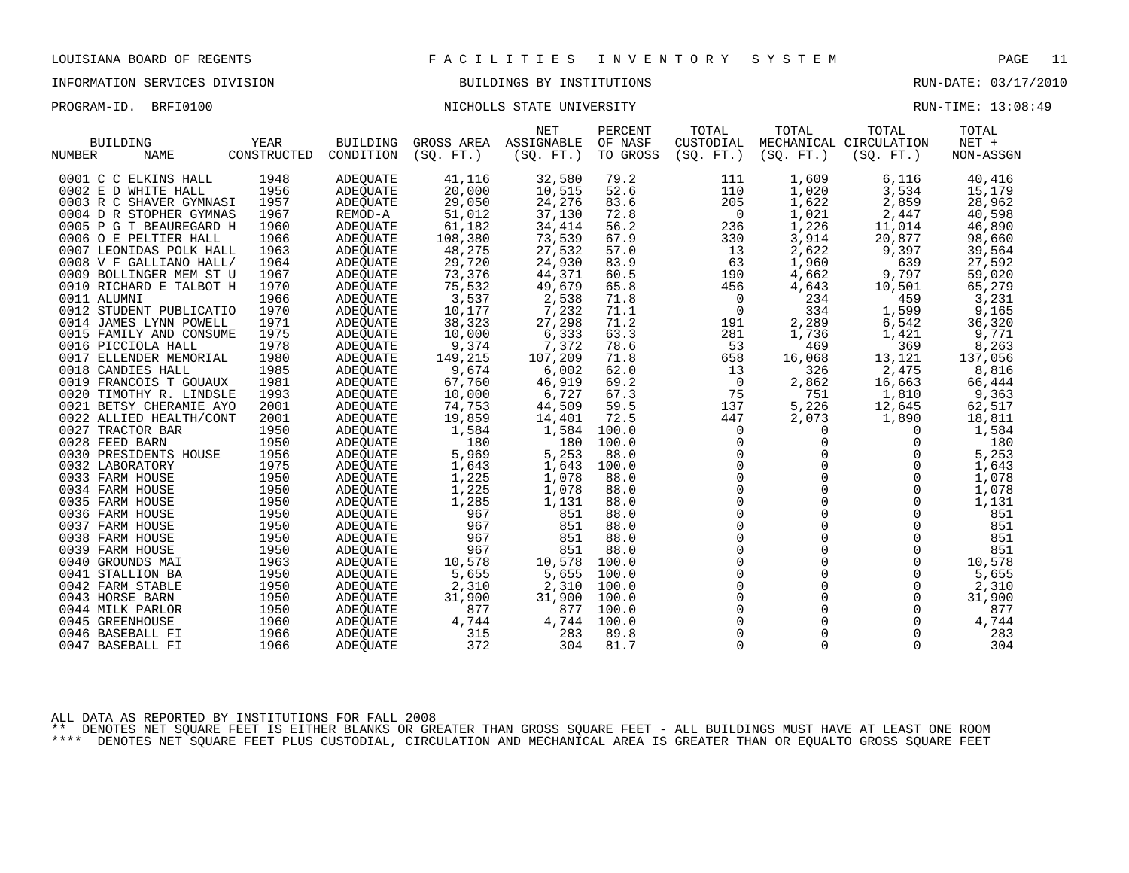### INFORMATION SERVICES DIVISION BUILDINGS BY INSTITUTIONS RUN-DATE: 03/17/2010

PROGRAM-ID. BRFI0100 NICHOLLS STATE UNIVERSITY NEXT RUN-TIME: 13:08:49

|                         |             |                 |                       | <b>NET</b> | PERCENT  | TOTAL          | TOTAL       | TOTAL                  | TOTAL     |  |
|-------------------------|-------------|-----------------|-----------------------|------------|----------|----------------|-------------|------------------------|-----------|--|
| <b>BUILDING</b>         | <b>YEAR</b> | <b>BUILDING</b> | GROSS AREA ASSIGNABLE |            | OF NASF  | CUSTODIAL      |             | MECHANICAL CIRCULATION | $NET +$   |  |
| <b>NAME</b><br>NUMBER   | CONSTRUCTED | CONDITION       | (SO, FT.)             | (SO, FT.)  | TO GROSS | (SO, FT.)      | (SO, FT.)   | (SO, FT.)              | NON-ASSGN |  |
|                         |             |                 |                       |            |          |                |             |                        |           |  |
| 0001 C C ELKINS HALL    | 1948        | ADEQUATE        | 41,116                | 32,580     | 79.2     | 111            | 1,609       | 6,116                  | 40,416    |  |
| 0002 E D WHITE HALL     | 1956        | ADEOUATE        | 20,000                | 10,515     | 52.6     | 110            | 1,020       | 3,534                  | 15,179    |  |
| 0003 R C SHAVER GYMNASI | 1957        | ADEQUATE        | 29,050                | 24,276     | 83.6     | 205            | 1,622       | 2,859                  | 28,962    |  |
| 0004 D R STOPHER GYMNAS | 1967        | REMOD-A         | 51,012                | 37,130     | 72.8     | 0              | 1,021       | 2,447                  | 40,598    |  |
| 0005 P G T BEAUREGARD H | 1960        | ADEOUATE        | 61,182                | 34,414     | 56.2     | 236            | 1,226       | 11,014                 | 46,890    |  |
| 0006 O E PELTIER HALL   | 1966        | ADEQUATE        | 108,380               | 73,539     | 67.9     | 330            | 3,914       | 20,877                 | 98,660    |  |
| 0007 LEONIDAS POLK HALL | 1963        | ADEOUATE        | 48,275                | 27,532     | 57.0     | 13             | 2,622       | 9,397                  | 39,564    |  |
| 0008 V F GALLIANO HALL/ | 1964        | ADEQUATE        | 29,720                | 24,930     | 83.9     | 63             | 1,960       | 639                    | 27,592    |  |
| 0009 BOLLINGER MEM ST U | 1967        | ADEOUATE        | 73,376                | 44,371     | 60.5     | 190            | 4,662       | 9,797                  | 59,020    |  |
| 0010 RICHARD E TALBOT H | 1970        | ADEQUATE        | 75,532                | 49,679     | 65.8     | 456            | 4,643       | 10,501                 | 65,279    |  |
| 0011 ALUMNI             | 1966        | ADEQUATE        | 3,537                 | 2,538      | 71.8     | $\overline{0}$ | 234         | 459                    | 3,231     |  |
| 0012 STUDENT PUBLICATIO | 1970        | <b>ADEOUATE</b> | 10,177                | 7,232      | 71.1     | $\overline{0}$ | 334         | 1,599                  | 9,165     |  |
| 0014 JAMES LYNN POWELL  | 1971        | ADEQUATE        | 38,323                | 27,298     | 71.2     | 191            | 2,289       | 6,542                  | 36,320    |  |
| 0015 FAMILY AND CONSUME | 1975        | ADEQUATE        | 10,000                | 6,333      | 63.3     | 281            | 1,736       | 1,421                  | 9,771     |  |
| 0016 PICCIOLA HALL      | 1978        | <b>ADEOUATE</b> | 9,374                 | 7,372      | 78.6     | 53             | 469         | 369                    | 8,263     |  |
| 0017 ELLENDER MEMORIAL  | 1980        | ADEQUATE        | 149,215               | 107,209    | 71.8     | 658            | 16,068      | 13,121                 | 137,056   |  |
| 0018 CANDIES HALL       | 1985        | ADEOUATE        | 9,674                 | 6,002      | 62.0     | 13             | 326         | 2,475                  | 8,816     |  |
| 0019 FRANCOIS T GOUAUX  | 1981        | ADEQUATE        | 67,760                | 46,919     | 69.2     | $\overline{0}$ | 2,862       | 16,663                 | 66,444    |  |
| 0020 TIMOTHY R. LINDSLE | 1993        | ADEQUATE        | 10,000                | 6,727      | 67.3     | 75             | 751         | 1,810                  | 9,363     |  |
| 0021 BETSY CHERAMIE AYO | 2001        | ADEOUATE        | 74,753                | 44,509     | 59.5     | 137            | 5,226       | 12,645                 | 62,517    |  |
| 0022 ALLIED HEALTH/CONT | 2001        | ADEQUATE        | 19,859                | 14,401     | 72.5     | 447            | 2,073       | 1,890                  | 18,811    |  |
| 0027 TRACTOR BAR        | 1950        | ADEQUATE        | 1,584                 | 1,584      | 100.0    | $\mathbf 0$    | $\Omega$    | $\Omega$               | 1,584     |  |
| 0028 FEED BARN          | 1950        | ADEQUATE        | 180                   | 180        | 100.0    | 0              | $\mathbf 0$ | 0                      | 180       |  |
| 0030 PRESIDENTS HOUSE   | 1956        | ADEQUATE        | 5,969                 | 5,253      | 88.0     | $\mathbf 0$    | $\Omega$    | $\mathbf 0$            | 5,253     |  |
| 0032 LABORATORY         | 1975        | ADEQUATE        | 1,643                 | 1,643      | 100.0    | $\overline{0}$ | $\Omega$    | $\mathbf 0$            | 1,643     |  |
| 0033 FARM HOUSE         | 1950        | ADEQUATE        | 1,225                 | 1,078      | 88.0     | $\mathsf{O}$   | $\mathbf 0$ | $\mathbf 0$            | 1,078     |  |
| 0034 FARM HOUSE         | 1950        | ADEOUATE        | 1,225                 | 1,078      | 88.0     | $\mathbf 0$    | $\Omega$    | $\Omega$               | 1,078     |  |
| 0035 FARM HOUSE         | 1950        | ADEQUATE        | 1,285                 | 1,131      | 88.0     | $\overline{0}$ | $\Omega$    | $\Omega$               | 1,131     |  |
| 0036 FARM HOUSE         | 1950        | ADEQUATE        | 967                   | 851        | 88.0     | $\overline{0}$ | $\Omega$    | $\Omega$               | 851       |  |
| 0037 FARM HOUSE         | 1950        | ADEOUATE        | 967                   | 851        | 88.0     |                | $\mathbf 0$ | $\mathbf 0$            | 851       |  |
| 0038 FARM HOUSE         | 1950        | ADEQUATE        | 967                   | 851        | 88.0     | $_{0}^{0}$     | $\Omega$    | $\Omega$               | 851       |  |
| 0039 FARM HOUSE         | 1950        | ADEOUATE        | 967                   | 851        | 88.0     | $\Omega$       | $\Omega$    | $\Omega$               | 851       |  |
| 0040 GROUNDS MAI        | 1963        | ADEOUATE        | 10,578                | 10,578     | 100.0    | $\mathsf{O}$   | 0           | $\mathbf 0$            | 10,578    |  |
| 0041 STALLION BA        | 1950        | ADEQUATE        | 5,655                 | 5,655      | 100.0    | $\mathsf{O}$   | $\mathbf 0$ | $\Omega$               | 5,655     |  |
| 0042 FARM STABLE        | 1950        | ADEOUATE        | 2,310                 | 2,310      | 100.0    | $\Omega$       | $\Omega$    | $\Omega$               | 2,310     |  |
| 0043 HORSE BARN         | 1950        | ADEQUATE        | 31,900                | 31,900     | 100.0    | $\mathsf 0$    | $\mathbf 0$ | 0                      | 31,900    |  |
| 0044 MILK PARLOR        | 1950        | ADEQUATE        | 877                   | 877        | 100.0    | $\mathbf 0$    | $\Omega$    | $\mathbf 0$            | 877       |  |
| 0045 GREENHOUSE         | 1960        | ADEOUATE        | 4,744                 | 4,744      | 100.0    | $\mathbf{0}$   | $\mathbf 0$ | 0                      | 4,744     |  |
| 0046 BASEBALL FI        | 1966        | ADEOUATE        | 315                   | 283        | 89.8     | $\mathsf{O}$   | $\mathbf 0$ | $\mathbf 0$            | 283       |  |
| 0047 BASEBALL FI        | 1966        | <b>ADEQUATE</b> | 372                   | 304        | 81.7     | $\Omega$       | $\Omega$    | $\Omega$               | 304       |  |
|                         |             |                 |                       |            |          |                |             |                        |           |  |

ALL DATA AS REPORTED BY INSTITUTIONS FOR FALL 2008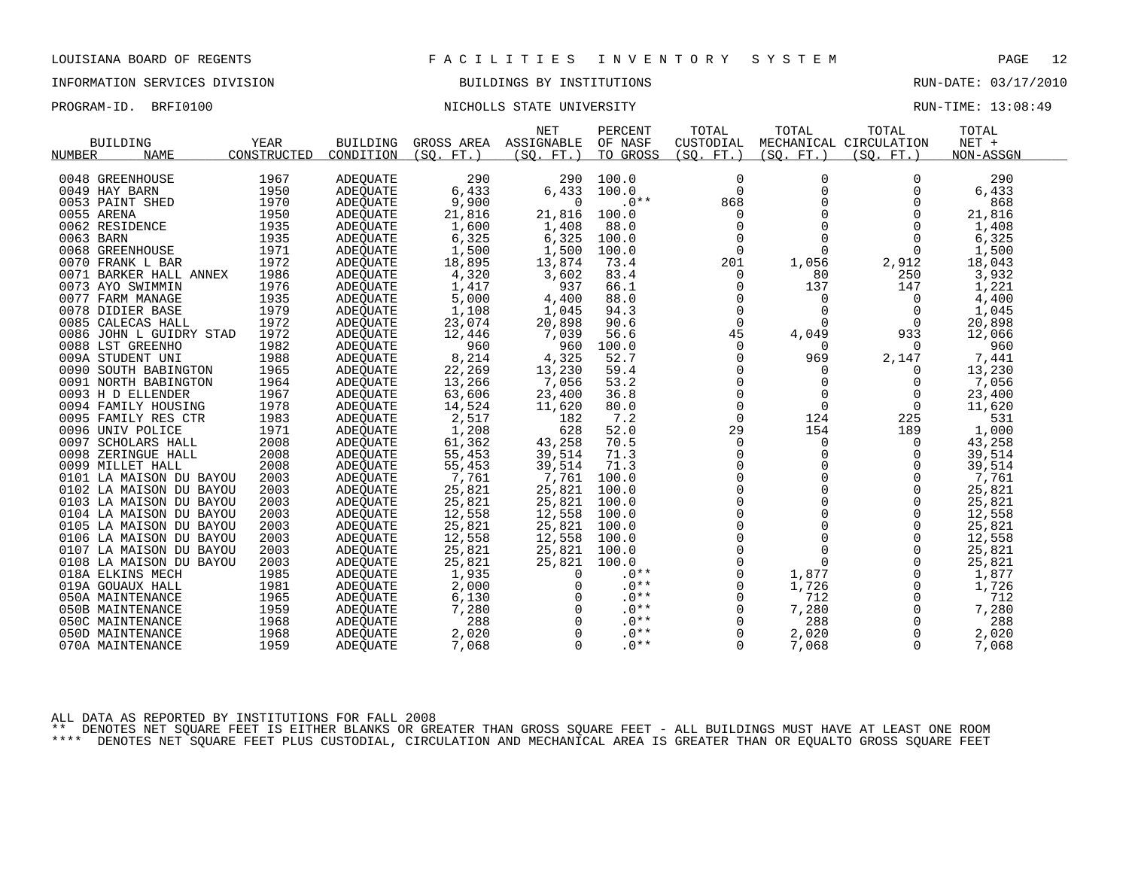## INFORMATION SERVICES DIVISION BUILDINGS BY INSTITUTIONS RUN-DATE: 03/17/2010

## PROGRAM-ID. BRFI0100 NICHOLLS STATE UNIVERSITY NEXT RUN-TIME: 13:08:49

|                                      |             |                 |              | <b>NET</b>  | PERCENT  | TOTAL         | TOTAL        | TOTAL                  | TOTAL     |  |
|--------------------------------------|-------------|-----------------|--------------|-------------|----------|---------------|--------------|------------------------|-----------|--|
| <b>BUILDING</b>                      | <b>YEAR</b> | <b>BUILDING</b> | GROSS AREA   | ASSIGNABLE  | OF NASF  | CUSTODIAL     |              | MECHANICAL CIRCULATION | $NET +$   |  |
| NUMBER<br><b>NAME</b>                | CONSTRUCTED | CONDITION       | (SO. FT. )   | (SO. FT. )  | TO GROSS | (SO. FT. )    | (SO. FT. )   | (SO. FT. )             | NON-ASSGN |  |
|                                      |             |                 |              |             |          |               |              |                        |           |  |
| 0048 GREENHOUSE                      | 1967        | ADEQUATE        | 290          | 290         | 100.0    | 0             | 0            | $\Omega$               | 290       |  |
| 0049 HAY BARN                        | 1950        | <b>ADEOUATE</b> | 6,433        | 6,433       | 100.0    | $\Omega$      | $\Omega$     | $\Omega$               | 6,433     |  |
| 0053 PAINT SHED                      | 1970        | <b>ADEQUATE</b> | 9,900        | $\mathbf 0$ | $.0**$   | 868           | $\mathbf 0$  | 0                      | 868       |  |
| 0055 ARENA                           | 1950        | ADEQUATE        | 21,816       | 21,816      | 100.0    | $\mathbf 0$   |              | $\Omega$               | 21,816    |  |
| 0062 RESIDENCE                       | 1935        | <b>ADEOUATE</b> | 1,600        | 1,408       | 88.0     | $\Omega$      | $\Omega$     | $\Omega$               | 1,408     |  |
| 0063 BARN                            | 1935        | <b>ADEOUATE</b> | 6,325        | 6,325       | 100.0    | 0             | $\mathbf 0$  | $\Omega$               | 6,325     |  |
| 0068 GREENHOUSE                      | 1971        | ADEQUATE        | 1,500        | 1,500       | 100.0    | $\mathbf 0$   | $\Omega$     | $\mathbf 0$            | 1,500     |  |
| 0070 FRANK L BAR                     | 1972        | ADEQUATE        | 18,895       | 13,874      | 73.4     | 201           | 1,056        | 2,912                  | 18,043    |  |
| 0071 BARKER HALL ANNEX               | 1986        | ADEQUATE        | 4,320        | 3,602       | 83.4     | $\Omega$      | 80           | 250                    | 3,932     |  |
| 0073 AYO SWIMMIN                     | 1976        | <b>ADEOUATE</b> | 1,417        | 937         | 66.1     | 0             | 137          | 147                    | 1,221     |  |
| 0077 FARM MANAGE                     | 1935        | ADEQUATE        | 5,000        | 4,400       | 88.0     | 0             | 0            | 0                      | 4,400     |  |
| 0078 DIDIER BASE                     | 1979        | ADEQUATE        | 1,108        | 1,045       | 94.3     | $\Omega$      | $\Omega$     | $\Omega$               | 1,045     |  |
| 0085 CALECAS HALL                    | 1972        | ADEQUATE        | 23,074       | 20,898      | 90.6     | $\mathbf 0$   | 0            | 0                      | 20,898    |  |
| 0086 JOHN L GUIDRY STAD              | 1972        | ADEQUATE        | 12,446       | 7,039       | 56.6     | 45            | 4,049        | 933                    | 12,066    |  |
| 0088 LST GREENHO                     | 1982        | <b>ADEQUATE</b> | 960          | 960         | 100.0    | 0             | $\Omega$     | $\Omega$               | 960       |  |
| 009A STUDENT UNI                     | 1988        | ADEQUATE        | 8,214        | 4,325       | 52.7     | 0             | 969          | 2,147                  | 7,441     |  |
| 0090 SOUTH BABINGTON                 | 1965        | ADEQUATE        | 22,269       | 13,230      | 59.4     | $\Omega$      | $\Omega$     | $\Omega$               | 13,230    |  |
| 0091 NORTH BABINGTON                 | 1964        | <b>ADEOUATE</b> | 13,266       | 7,056       | 53.2     | $\mathbf 0$   | 0            | $\Omega$               | 7,056     |  |
| 0093 H D ELLENDER                    | 1967        | <b>ADEOUATE</b> | 63,606       | 23,400      | 36.8     | 0             | $\mathbf 0$  | 0                      | 23,400    |  |
| 0094 FAMILY HOUSING                  | 1978        | ADEQUATE        | 14,524       | 11,620      | 80.0     | $\mathbf 0$   | $\Omega$     | 0                      | 11,620    |  |
| 0095 FAMILY RES CTR                  | 1983        | <b>ADEOUATE</b> | 2,517        | 182         | 7.2      | $\mathbf 0$   | 124          | 225                    | 531       |  |
| 0096 UNIV POLICE                     | 1971        | ADEQUATE        | 1,208        | 628         | 52.0     | 29            | 154          | 189                    | 1,000     |  |
| 0097 SCHOLARS HALL                   | 2008        | ADEQUATE        | 61,362       | 43,258      | 70.5     | 0             | 0            | 0                      | 43,258    |  |
| 0098 ZERINGUE HALL                   | 2008        | ADEQUATE        | 55,453       | 39,514      | 71.3     | 0             | 0            | 0                      | 39,514    |  |
| 0099 MILLET HALL                     | 2008        | ADEQUATE        | 55,453       | 39,514      | 71.3     | $\Omega$      | $\Omega$     | $\Omega$               | 39,514    |  |
| 0101 LA MAISON DU BAYOU              | 2003        | <b>ADEOUATE</b> | 7,761        | 7,761       | 100.0    | $\mathsf 0$   | $\mathbf 0$  | $\mathbf 0$            | 7,761     |  |
| 0102 LA MAISON DU BAYOU              | 2003        | ADEQUATE        | 25,821       | 25,821      | 100.0    | $\mathbf 0$   | $\Omega$     | $\Omega$               | 25,821    |  |
| 0103 LA MAISON DU BAYOU              | 2003        | ADEQUATE        | 25,821       | 25,821      | 100.0    | $\Omega$      | $\Omega$     | $\Omega$               | 25,821    |  |
| 0104 LA MAISON DU BAYOU              | 2003        | ADEOUATE        | 12,558       | 12,558      | 100.0    | $\mathbf 0$   | $\mathbf 0$  | 0                      | 12,558    |  |
| 0105 LA MAISON DU BAYOU              | 2003        | ADEQUATE        | 25,821       | 25,821      | 100.0    | 0             | $\Omega$     | $\mathbf 0$            | 25,821    |  |
| 0106 LA MAISON DU BAYOU              | 2003        | ADEQUATE        | 12,558       | 12,558      | 100.0    | $\mathbf 0$   | $\Omega$     | $\Omega$               | 12,558    |  |
| 0107 LA MAISON DU BAYOU              | 2003        | <b>ADEQUATE</b> | 25,821       | 25,821      | 100.0    | $\mathbf 0$   | $\Omega$     | $\Omega$               | 25,821    |  |
| 0108 LA MAISON DU BAYOU              | 2003        | ADEQUATE        | 25,821       | 25,821      | 100.0    | $\mathbf 0$   | $\mathbf 0$  | $\Omega$               | 25,821    |  |
| 018A ELKINS MECH                     | 1985        | <b>ADEOUATE</b> | 1,935        | 0           | $.0**$   | $\mathbf 0$   | 1,877        | 0                      | 1,877     |  |
| 019A GOUAUX HALL                     | 1981        | ADEQUATE        | 2,000        | $\Omega$    | $.0**$   | $\Omega$      | 1,726        | $\Omega$               | 1,726     |  |
| 050A MAINTENANCE                     | 1965        | ADEQUATE        | 6,130        |             | $.0**$   | $\mathbf 0$   | 712          | $\mathbf 0$            | 712       |  |
|                                      | 1959        |                 |              | $\Omega$    | $.0**$   |               |              | $\Omega$               | 7,280     |  |
| 050B MAINTENANCE<br>050C MAINTENANCE | 1968        | ADEQUATE        | 7,280<br>288 | $\Omega$    | $.0**$   | 0<br>$\Omega$ | 7,280<br>288 | $\Omega$               | 288       |  |
|                                      |             | ADEOUATE        |              |             |          |               |              |                        |           |  |
| 050D MAINTENANCE                     | 1968        | ADEOUATE        | 2,020        | $\Omega$    | $.0**$   | 0             | 2,020        | 0                      | 2,020     |  |
| 070A MAINTENANCE                     | 1959        | <b>ADEQUATE</b> | 7,068        | $\Omega$    | $.0**$   | $\Omega$      | 7,068        | $\Omega$               | 7,068     |  |

ALL DATA AS REPORTED BY INSTITUTIONS FOR FALL 2008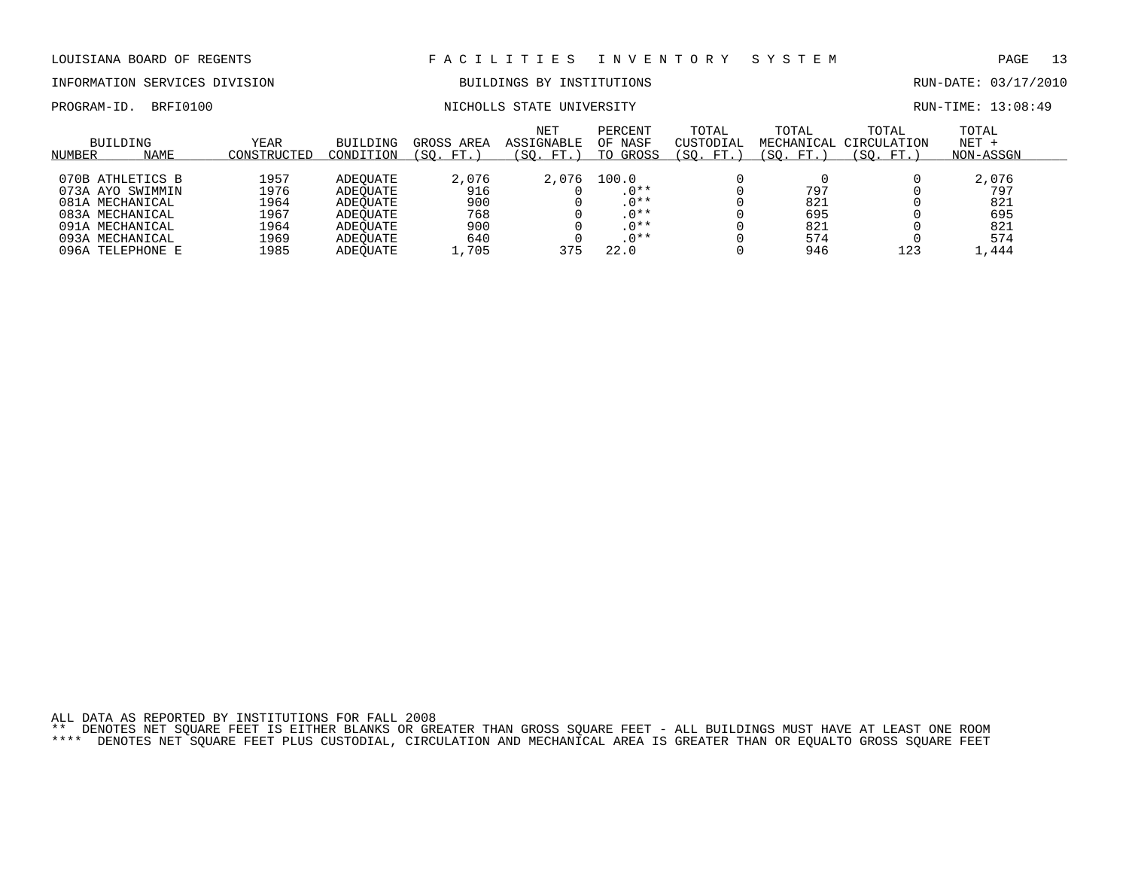### INFORMATION SERVICES DIVISION BUILDINGS BY INSTITUTIONS RUN-DATE: 03/17/2010

# PROGRAM-ID. BRFI0100 NICHOLLS STATE UNIVERSITY NEXT RUN-TIME: 13:08:49

| NUMBER | BUILDING<br>NAME | YEAR<br>CONSTRUCTED | <b>BUILDING</b><br>CONDITION | GROSS AREA<br>FT.<br>'SO. | NET<br><b>ASSIGNABLE</b><br>SO.<br>FT. | PERCENT<br>OF NASF<br>TO GROSS | TOTAL<br>CUSTODIAL<br>SO.<br>FT.) | TOTAL<br>MECHANICAL<br>SO.<br>FT. | TOTAL<br>CIRCULATION<br>'SO.<br>FT.) | TOTAL<br>$NET +$<br>NON-ASSGN |  |
|--------|------------------|---------------------|------------------------------|---------------------------|----------------------------------------|--------------------------------|-----------------------------------|-----------------------------------|--------------------------------------|-------------------------------|--|
|        |                  |                     |                              |                           |                                        |                                |                                   |                                   |                                      |                               |  |
|        | 070B ATHLETICS B | 1957                | ADEOUATE                     | 2,076                     | 2,076                                  | 100.0                          |                                   |                                   |                                      | 2,076                         |  |
|        | 073A AYO SWIMMIN | 1976                | ADEOUATE                     | 916                       |                                        | $0***$                         |                                   | 797                               |                                      | 797                           |  |
|        | 081A MECHANICAL  | 1964                | ADEOUATE                     | 900                       |                                        | $.0***$                        |                                   | 821                               |                                      | 821                           |  |
|        | 083A MECHANICAL  | 1967                | ADEOUATE                     | 768                       |                                        | $.0***$                        |                                   | 695                               |                                      | 695                           |  |
|        | 091A MECHANICAL  | 1964                | ADEOUATE                     | 900                       |                                        | $0***$                         |                                   | 821                               |                                      | 821                           |  |
|        | 093A MECHANICAL  | 1969                | ADEOUATE                     | 640                       |                                        | $.0**$                         |                                   | 574                               |                                      | 574                           |  |
|        | 096A TELEPHONE E | 1985                | ADEOUATE                     | ,705                      | 375                                    | 22.0                           |                                   | 946                               | 123                                  | .,444                         |  |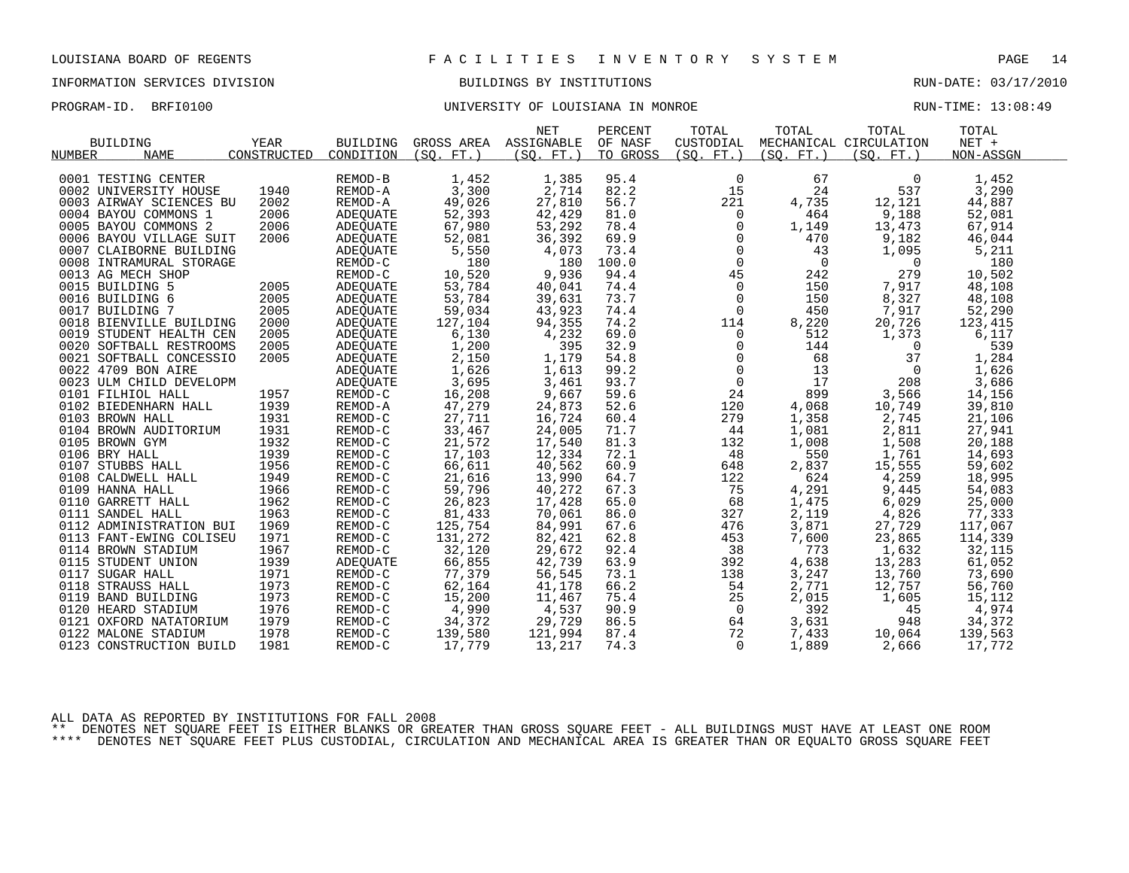# INFORMATION SERVICES DIVISION BUILDINGS BY INSTITUTIONS AND RUN-DATE: 03/17/2010

### PROGRAM-ID. BRFI0100 **BRFION CONFERSITY OF LOUISIANA IN MONROE** RUN-TIME: 13:08:49

|                         |                     |                                                                    |                        | <b>NET</b> | PERCENT  | TOTAL          | TOTAL                                                                  | TOTAL                  | TOTAL     |  |
|-------------------------|---------------------|--------------------------------------------------------------------|------------------------|------------|----------|----------------|------------------------------------------------------------------------|------------------------|-----------|--|
| <b>BUILDING</b>         | YEAR                | BUILDING                                                           | GROSS AREA ASSIGNABLE  |            | OF NASF  | CUSTODIAL      |                                                                        | MECHANICAL CIRCULATION | $NET +$   |  |
| <b>NAME</b><br>NUMBER   | CONSTRUCTED         | CONDITION                                                          | (SO. FT. )             | (SQ. FT. ) | TO GROSS | (SQ. FT. )     | (SO. FT. )                                                             | (SO. FT.)              | NON-ASSGN |  |
|                         |                     |                                                                    |                        |            |          |                |                                                                        |                        |           |  |
| 0001 TESTING CENTER     |                     | REMOD-B                                                            | 1,452                  | 1,385      | 95.4     | 0              | 67                                                                     | $\mathbf{0}$           | 1,452     |  |
| 0002 UNIVERSITY HOUSE   | 1940                | REMOD-A                                                            | 3,300                  | 2,714      | 82.2     | 15             | 24                                                                     | 537                    | 3,290     |  |
| 0003 AIRWAY SCIENCES BU | 2002                | REMOD-A                                                            | 49,026                 | 27,810     | 56.7     | 221            | 4,735                                                                  | 12,121                 | 44,887    |  |
| 0004 BAYOU COMMONS 1    | 2006                | ADEQUATE                                                           | 52,393                 | 42,429     | 81.0     | $\overline{0}$ | 464                                                                    | 9,188                  | 52,081    |  |
| 0005 BAYOU COMMONS 2    | 2006                | ADEOUATE                                                           | 67,980                 | 53,292     | 78.4     | $\mathsf{O}$   | 1,149                                                                  | 13,473                 | 67,914    |  |
| 0006 BAYOU VILLAGE SUIT | $\frac{2006}{2006}$ | ADEQUATE                                                           | 52,081                 | 36,392     | 69.9     | $\overline{0}$ | 470                                                                    | 9,182                  | 46,044    |  |
| 0007 CLAIBORNE BUILDING |                     | ADEQUATE                                                           | 5,550                  | 4,073      | 73.4     |                | $\frac{1}{2}$<br>43                                                    | 1,095                  | 5,211     |  |
| 0008 INTRAMURAL STORAGE |                     | REMOD-C                                                            | 180                    | 180        | 100.0    |                | $\overline{\mathbf{0}}$                                                | $\overline{0}$         | 180       |  |
| 0013 AG MECH SHOP       |                     | REMOD-C                                                            | 10,520                 | 9,936      | 94.4     |                | 242                                                                    | 279                    | 10,502    |  |
| 0015 BUILDING 5         |                     | ADEQUATE                                                           | 53,784                 | 40,041     | 74.4     | $\mathsf 0$    | 150                                                                    | 7,917                  | 48,108    |  |
| 0016 BUILDING 6         | 2005                | ADEQUATE                                                           | 53,784                 | 39,631     | 73.7     | $\overline{0}$ | 150                                                                    | 8,327                  | 48,108    |  |
| 0017 BUILDING 7         | 2005                | <b>ADEOUATE</b>                                                    | 59,034                 | 43,923     | 74.4     | $\mathsf{O}$   | 450                                                                    | 7,917                  | 52,290    |  |
| 0018 BIENVILLE BUILDING | 2000                | ADEQUATE                                                           | 127,104                | 94,355     | 74.2     | 114            | 8,220                                                                  | 20,726                 | 123,415   |  |
| 0019 STUDENT HEALTH CEN | 2005                | ADEQUATE                                                           | 6,130                  | 4,232      | 69.0     | $\overline{0}$ | 512                                                                    | 1,373                  | 6,117     |  |
| 0020 SOFTBALL RESTROOMS | 2005                |                                                                    | 1,200                  | 395        | 32.9     |                | 144                                                                    | $\overline{0}$         | 539       |  |
| 0021 SOFTBALL CONCESSIO | 2005                |                                                                    | 2,150                  | 1,179      | 54.8     |                | 68                                                                     | 37                     | 1,284     |  |
| 0022 4709 BON AIRE      |                     |                                                                    | 1,626                  | 1,613      | 99.2     |                | 13                                                                     | $\overline{0}$         | 1,626     |  |
| 0023 ULM CHILD DEVELOPM |                     |                                                                    | 3,695                  | 3,461      | 93.7     |                | 17                                                                     | 208                    | 3,686     |  |
| 0101 FILHIOL HALL       | 1957                |                                                                    | 16,208                 | 9,667      | 59.6     |                | 899                                                                    | 3,566                  | 14,156    |  |
| 0102 BIEDENHARN HALL    | 1939                | ADEQUATE<br>ADEQUATE<br>ADEQUATE<br>ADEQUATE<br>REMOD-C<br>REMOD-A | 47,279                 | 24,873     | 52.6     | 120            | $\begin{bmatrix} 0 \\ 0 \\ 0 \\ 0 \\ 24 \\ 120 \end{bmatrix}$<br>4,068 | 10,749                 | 39,810    |  |
| 0103 BROWN HALL         | 1931                | REMOD-C                                                            | 27,711                 | 16,724     | 60.4     | 279            | 1,358                                                                  | 2,745                  | 21,106    |  |
| 0104 BROWN AUDITORIUM   | 1931                | REMOD-C                                                            | 33,467                 | 24,005     | 71.7     | 44             | 1,081                                                                  | 2,811                  | 27,941    |  |
| 0105 BROWN GYM          | 1932                | REMOD-C                                                            | 21,572                 | 17,540     | 81.3     | 132            | 1,008                                                                  | 1,508                  | 20,188    |  |
| 0106 BRY HALL           | 1939                | REMOD-C                                                            | 17,103                 | 12,334     | 72.1     | 48             | 550                                                                    | 1,761                  | 14,693    |  |
| 0107 STUBBS HALL        | 1956                | REMOD-C                                                            | 66,611                 | 40,562     | 60.9     | 648            | 2,837                                                                  | 15,555                 | 59,602    |  |
| 0108 CALDWELL HALL      | 1949                | REMOD-C                                                            | 21,616                 | 13,990     | 64.7     | 122            | 624                                                                    | 4,259                  | 18,995    |  |
| 0109 HANNA HALL         | 1966                | REMOD-C                                                            | 59,796                 | 40,272     | 67.3     | 75             | 4,291                                                                  | 9,445                  | 54,083    |  |
| 0110 GARRETT HALL       | 1962                | REMOD-C                                                            | 26,823                 | 17,428     | 65.0     | 68             | 1,475                                                                  | 6,029                  | 25,000    |  |
| 0111 SANDEL HALL        | 1963                | REMOD-C                                                            | 81,433                 | 70,061     | 86.0     | 327            | 2,119                                                                  | 4,826                  | 77,333    |  |
| 0112 ADMINISTRATION BUI | 1969                | REMOD-C                                                            | 125,754                | 84,991     | 67.6     | 476            | 3,871                                                                  | 27,729                 | 117,067   |  |
| 0113 FANT-EWING COLISEU | 1971                | REMOD-C                                                            | 131,272                | 82,421     | 62.8     | 453            | 7,600                                                                  | 23,865                 | 114,339   |  |
| 0114 BROWN STADIUM      | 1967                | REMOD-C                                                            | 32,120                 | 29,672     | 92.4     | 38             | 773                                                                    | 1,632                  | 32,115    |  |
| 0115 STUDENT UNION      | 1939                | ADEQUATE                                                           | 66,855                 | 42,739     | 63.9     | 392            | 4,638                                                                  | 13,283                 | 61,052    |  |
| 0117 SUGAR HALL         | 1971                | REMOD-C                                                            | 77,379                 | 56,545     | 73.1     | 138            | 3,247                                                                  | 13,760                 | 73,690    |  |
| 0118 STRAUSS HALL       | 1973                | REMOD-C                                                            | 62,164                 | 41,178     | 66.2     | 54             | 2,771                                                                  | 12,757                 | 56,760    |  |
| 0119 BAND BUILDING      | 1973                | REMOD-C                                                            | 15,200                 | 11,467     | 75.4     | 25             | 2,015                                                                  | 1,605                  | 15,112    |  |
| 0120 HEARD STADIUM      | 1976                | REMOD-C                                                            |                        | 4,537      | 90.9     | $\overline{0}$ | 392                                                                    | 45                     | 4,974     |  |
| 0121 OXFORD NATATORIUM  | 1979                | REMOD-C                                                            | $\frac{4,990}{34,372}$ | 29,729     | 86.5     | 64             | 3,631                                                                  | 948                    | 34,372    |  |
| 0122 MALONE STADIUM     | 1978                | REMOD-C                                                            | 139,580                | 121,994    | 87.4     | 72             | 7,433                                                                  | 10,064                 | 139,563   |  |
| 0123 CONSTRUCTION BUILD | 1981                | REMOD-C                                                            | 17,779                 | 13,217     | 74.3     | $\Omega$       | 1,889                                                                  | 2,666                  | 17,772    |  |
|                         |                     |                                                                    |                        |            |          |                |                                                                        |                        |           |  |

ALL DATA AS REPORTED BY INSTITUTIONS FOR FALL 2008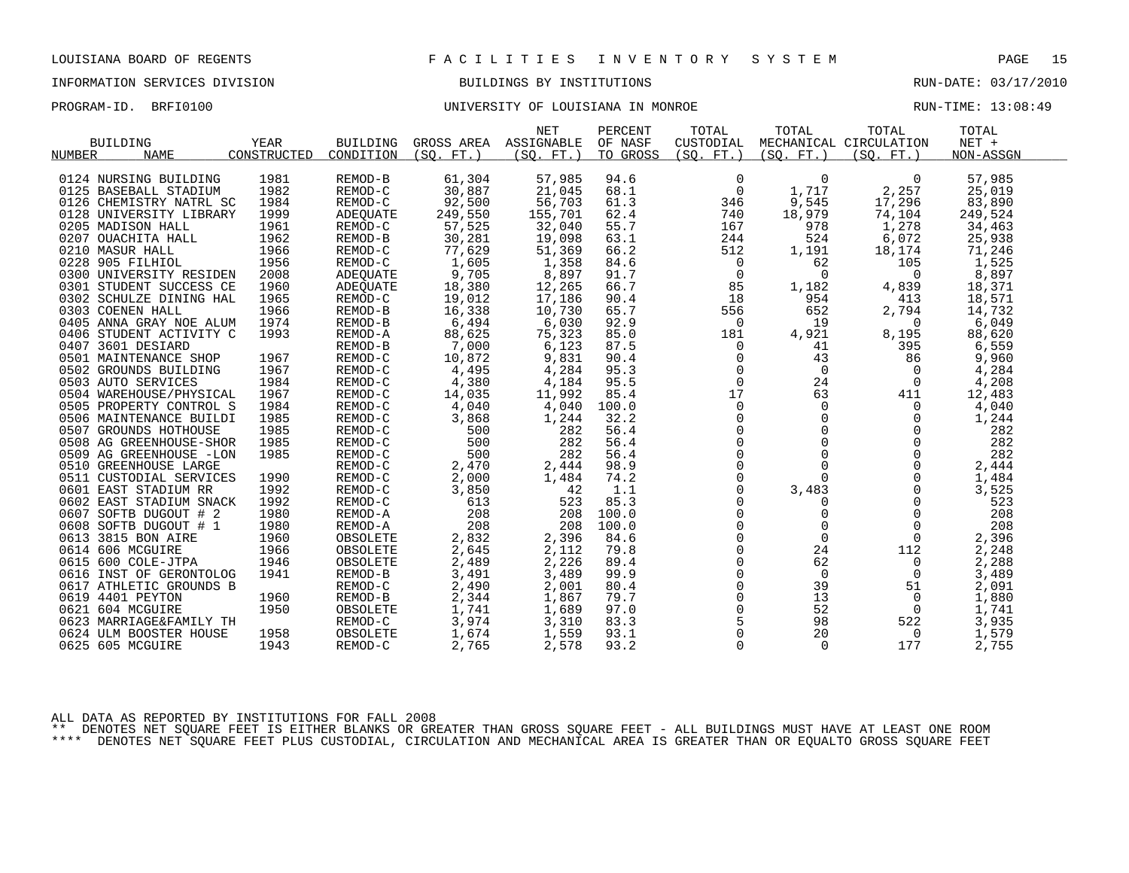## INFORMATION SERVICES DIVISION BUILDINGS BY INSTITUTIONS RUN-DATE: 03/17/2010

### PROGRAM-ID. BRFI0100 **BRFION CONFERSITY OF LOUISIANA IN MONROE** RUN-TIME: 13:08:49

|                         |             |           |                       | <b>NET</b> | PERCENT  | TOTAL               | TOTAL                                                  | TOTAL                  | TOTAL     |  |
|-------------------------|-------------|-----------|-----------------------|------------|----------|---------------------|--------------------------------------------------------|------------------------|-----------|--|
| BUILDING                | YEAR        | BUILDING  | GROSS AREA ASSIGNABLE |            | OF NASF  | CUSTODIAL           |                                                        | MECHANICAL CIRCULATION | $NET +$   |  |
| NUMBER<br><b>NAME</b>   | CONSTRUCTED | CONDITION | (SQ. FT.)             | (SO. FT. ) | TO GROSS | (SO. FT.)           | (SO. FT. )                                             | (SQ. FT. )             | NON-ASSGN |  |
|                         |             |           |                       |            |          |                     |                                                        |                        |           |  |
| 0124 NURSING BUILDING   | 1981        | REMOD-B   | 61,304                | 57,985     | 94.6     | $\mathbf 0$         | $\Omega$                                               | 0                      | 57,985    |  |
| 0125 BASEBALL STADIUM   | 1982        | REMOD-C   | 30,887                | 21,045     | 68.1     | $\overline{0}$      | 1,717                                                  | 2,257                  | 25,019    |  |
| 0126 CHEMISTRY NATRL SC | 1984        | REMOD-C   | 92,500                | 56,703     | 61.3     | 346                 | 9,545                                                  | 17,296                 | 83,890    |  |
| 0128 UNIVERSITY LIBRARY | 1999        | ADEQUATE  | 249,550               | 155,701    | 62.4     | 740                 | 18,979                                                 | 74,104                 | 249,524   |  |
| 0205 MADISON HALL       | 1961        | REMOD-C   | 57,525                | 32,040     | 55.7     | 167                 | 978                                                    | 1,278                  | 34,463    |  |
| 0207 OUACHITA HALL      | 1962        | REMOD-B   | 30,281                | 19,098     | 63.1     | 244                 | 524                                                    | 6,072                  | 25,938    |  |
| 0210 MASUR HALL         | 1966        | REMOD-C   | 77,629                | 51,369     | 66.2     | 512                 | 1,191                                                  | 18,174                 | 71,246    |  |
| 0228 905 FILHIOL        | 1956        | REMOD-C   | 1,605                 | 1,358      | 84.6     | 0                   | 62                                                     | 105                    | 1,525     |  |
| 0300 UNIVERSITY RESIDEN | 2008        | ADEQUATE  | 9,705                 | 8,897      | 91.7     | 0                   | $\mathbf{0}$                                           | 0                      | 8,897     |  |
| 0301 STUDENT SUCCESS CE | 1960        | ADEQUATE  | 18,380                | 12,265     | 66.7     | 85                  | 1,182                                                  | 4,839                  | 18,371    |  |
| 0302 SCHULZE DINING HAL | 1965        | REMOD-C   | 19,012                | 17,186     | 90.4     | 18                  | 954                                                    | 413                    | 18,571    |  |
| 0303 COENEN HALL        | 1966        | REMOD-B   | 16,338                | 10,730     | 65.7     | 556                 | 652                                                    | 2,794                  | 14,732    |  |
| 0405 ANNA GRAY NOE ALUM | 1974        | REMOD-B   | 6,494                 | 6,030      | 92.9     | 0                   | 19                                                     | 0                      | 6,049     |  |
| 0406 STUDENT ACTIVITY C | 1993        | REMOD-A   | 88,625                | 75,323     | 85.0     | 181                 | 4,921                                                  | 8,195                  | 88,620    |  |
| 0407 3601 DESIARD       |             | REMOD-B   | 7,000                 | 6,123      | 87.5     | 0                   | 41                                                     | 395                    | 6,559     |  |
| 0501 MAINTENANCE SHOP   | 1967        | REMOD-C   | 10,872                | 9,831      | 90.4     | 0                   | 43                                                     | 86                     | 9,960     |  |
| 0502 GROUNDS BUILDING   | 1967        | REMOD-C   | 4,495                 | 4,284      | 95.3     |                     | $\begin{matrix} 0 \\ 0 \end{matrix}$<br>$\overline{0}$ | 0                      | 4,284     |  |
| 0503 AUTO SERVICES      | 1984        | REMOD-C   | 4,380                 | 4,184      | 95.5     |                     | 24                                                     | $\Omega$               | 4,208     |  |
| 0504 WAREHOUSE/PHYSICAL | 1967        | REMOD-C   | 14,035                | 11,992     | 85.4     | 17                  | 63                                                     | 411                    | 12,483    |  |
| 0505 PROPERTY CONTROL S | 1984        | REMOD-C   | 4,040                 | 4,040      | 100.0    | $\mathbf 0$         | $\overline{0}$                                         | $\overline{0}$         | 4,040     |  |
| 0506 MAINTENANCE BUILDI | 1985        | REMOD-C   | 3,868                 | 1,244      | 32.2     | $\mathbf 0$         | $\overline{0}$                                         | $\Omega$               | 1,244     |  |
| 0507 GROUNDS HOTHOUSE   | 1985        | REMOD-C   | 500                   | 282        | 56.4     | $\mathsf 0$         | $\mathbf 0$                                            | $\mathbf 0$            | 282       |  |
| 0508 AG GREENHOUSE-SHOR | 1985        | REMOD-C   | 500                   | 282        | 56.4     | $\mathbf 0$         | $\mathbf 0$                                            | 0                      | 282       |  |
| 0509 AG GREENHOUSE -LON | 1985        | REMOD-C   | 500                   | 282        | 56.4     | $\mathbf 0$         | $\Omega$                                               | $\Omega$               | 282       |  |
| 0510 GREENHOUSE LARGE   |             | REMOD-C   | 2,470                 | 2,444      | 98.9     | $\mathsf{O}$        | $\mathbf 0$                                            | $\mathbf 0$            | 2,444     |  |
| 0511 CUSTODIAL SERVICES | 1990        | REMOD-C   | 2,000                 | 1,484      | 74.2     | 0                   | $\mathbf 0$                                            | $\mathbf 0$            | 1,484     |  |
| 0601 EAST STADIUM RR    | 1992        | REMOD-C   | 3,850                 | 42         | 1.1      | $\Omega$            | 3,483                                                  | $\Omega$               | 3,525     |  |
| 0602 EAST STADIUM SNACK | 1992        | REMOD-C   | 613                   | 523        | 85.3     | 0                   | 0                                                      | 0                      | 523       |  |
| 0607 SOFTB DUGOUT # 2   | 1980        | REMOD-A   | 208                   | 208        | 100.0    | $\Omega$            | $\Omega$                                               | $\Omega$               | 208       |  |
| 0608 SOFTB DUGOUT # 1   | 1980        | REMOD-A   | 208                   | 208        | 100.0    | $\mathbf 0$         | $\mathbf 0$                                            | $\mathbf{0}$           | 208       |  |
| 0613 3815 BON AIRE      | 1960        | OBSOLETE  | 2,832                 | 2,396      | 84.6     | $\overline{0}$      | $\mathbf{0}$                                           | $\mathbf 0$            | 2,396     |  |
| 0614 606 MCGUIRE        | 1966        | OBSOLETE  | 2,645                 | 2,112      | 79.8     | $\mathsf{O}\xspace$ | 24                                                     | 112                    | 2,248     |  |
| 0615 600 COLE-JTPA      | 1946        | OBSOLETE  | 2,489                 | 2,226      | 89.4     | $\mathsf{O}\xspace$ | 62                                                     | 0                      | 2,288     |  |
| 0616 INST OF GERONTOLOG | 1941        | REMOD-B   | 3,491                 | 3,489      | 99.9     | $\mathbf 0$         | $\overline{0}$                                         | 0                      | 3,489     |  |
| 0617 ATHLETIC GROUNDS B |             | REMOD-C   | 2,490                 | 2,001      | 80.4     | $\mathsf{O}\xspace$ | 39                                                     | 51                     | 2,091     |  |
| 0619 4401 PEYTON        | 1960        | REMOD-B   | 2,344                 | 1,867      | 79.7     | $\mathbf 0$         | 13                                                     | 0                      | 1,880     |  |
| 0621 604 MCGUIRE        | 1950        | OBSOLETE  | 1,741                 | 1,689      | 97.0     | $\mathbf 0$         | 52                                                     | 0                      | 1,741     |  |
| 0623 MARRIAGE&FAMILY TH |             | REMOD-C   | 3,974                 | 3,310      | 83.3     | $\overline{5}$      | 98                                                     | 522                    | 3,935     |  |
| 0624 ULM BOOSTER HOUSE  | 1958        | OBSOLETE  | 1,674                 | 1,559      | 93.1     | $\mathsf{O}$        | 20                                                     | 0                      | 1,579     |  |
| 0625 605 MCGUIRE        | 1943        | REMOD-C   | 2,765                 | 2,578      | 93.2     | $\Omega$            | $\Omega$                                               | 177                    | 2,755     |  |
|                         |             |           |                       |            |          |                     |                                                        |                        |           |  |

ALL DATA AS REPORTED BY INSTITUTIONS FOR FALL 2008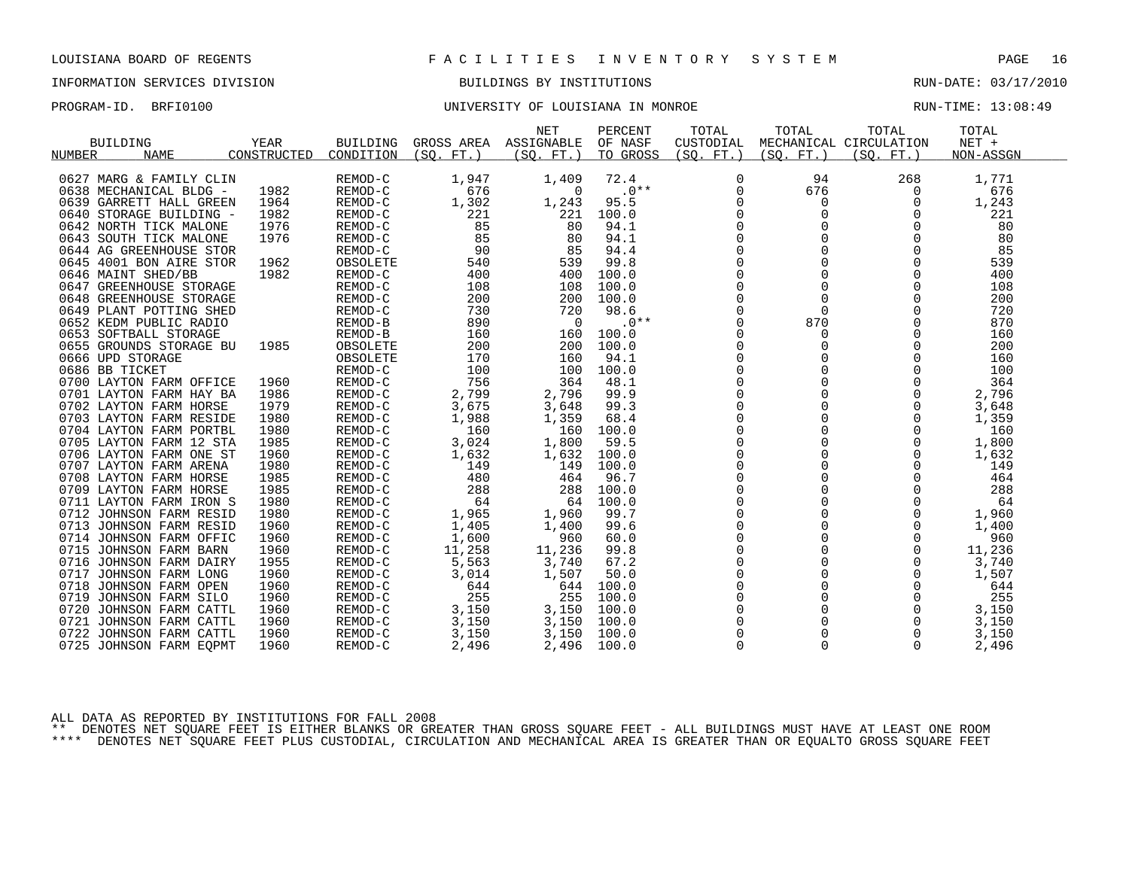## INFORMATION SERVICES DIVISION BUILDINGS BY INSTITUTIONS RUN-DATE: 03/17/2010

### PROGRAM-ID. BRFI0100 **BRFION CONFERSITY OF LOUISIANA IN MONROE** RUN-TIME: 13:08:49

|                         |             |           |                       | <b>NET</b>     | PERCENT  | TOTAL        | TOTAL       | TOTAL                  | TOTAL     |
|-------------------------|-------------|-----------|-----------------------|----------------|----------|--------------|-------------|------------------------|-----------|
| BUILDING                | YEAR        | BUILDING  | GROSS AREA ASSIGNABLE |                | OF NASF  | CUSTODIAL    |             | MECHANICAL CIRCULATION | NET +     |
| <b>NAME</b><br>NUMBER   | CONSTRUCTED | CONDITION | (SO. FT. )            | (SQ. FT. )     | TO GROSS | (SQ. FT.)    | (SQ. FT. )  | (SO. FT. )             | NON-ASSGN |
|                         |             |           |                       |                |          |              |             |                        |           |
| 0627 MARG & FAMILY CLIN |             | REMOD-C   | 1,947                 | 1,409          | 72.4     | 0            | 94          | 268                    | 1,771     |
| 0638 MECHANICAL BLDG -  | 1982        | REMOD-C   | 676                   | $\overline{0}$ | $.0**$   | 0            | 676         | 0                      | 676       |
| 0639 GARRETT HALL GREEN | 1964        | REMOD-C   | 1,302                 | 1,243          | 95.5     | 0            | 0           | 0                      | 1,243     |
| 0640 STORAGE BUILDING - | 1982        | REMOD-C   | 221                   | 221            | 100.0    | $\mathbf 0$  | $\Omega$    | $\Omega$               | 221       |
| 0642 NORTH TICK MALONE  | 1976        | REMOD-C   | 85                    | 80             | 94.1     | $\mathsf{O}$ |             | $\mathbf 0$            | 80        |
| 0643 SOUTH TICK MALONE  | 1976        | REMOD-C   | 85                    | 80             | 94.1     | $\mathsf{O}$ | $\mathbf 0$ | 0                      | 80        |
| 0644 AG GREENHOUSE STOR |             | REMOD-C   | 90                    | 85             | 94.4     | $\mathsf{O}$ | $\Omega$    | $\mathbf 0$            | 85        |
| 0645 4001 BON AIRE STOR | 1962        | OBSOLETE  | 540                   | 539            | 99.8     | $\Omega$     |             | $\Omega$               | 539       |
| 0646 MAINT SHED/BB      | 1982        | REMOD-C   | 400                   | 400            | 100.0    | $\mathsf{O}$ | $\mathbf 0$ | $\mathbf 0$            | 400       |
| 0647 GREENHOUSE STORAGE |             | REMOD-C   | 108                   | 108            | 100.0    | $\pmb{0}$    | $\Omega$    | $\mathbf 0$            | 108       |
| 0648 GREENHOUSE STORAGE |             | REMOD-C   | 200                   | 200            | 100.0    | $\mathbf 0$  | $\mathbf 0$ | $\mathbf 0$            | 200       |
| 0649 PLANT POTTING SHED |             | REMOD-C   | 730                   | 720            | 98.6     | $\mathbf 0$  | $\Omega$    | $\mathbf 0$            | 720       |
| 0652 KEDM PUBLIC RADIO  |             | REMOD-B   | 890                   | $\overline{0}$ | $.0**$   | 0            | 870         | 0                      | 870       |
| 0653 SOFTBALL STORAGE   |             | REMOD-B   | 160                   | 160            | 100.0    | 0            | 0           | $\mathbf 0$            | 160       |
| 0655 GROUNDS STORAGE BU | 1985        | OBSOLETE  | 200                   | 200            | 100.0    | $\mathbf 0$  | $\Omega$    | $\mathbf 0$            | 200       |
| 0666 UPD STORAGE        |             | OBSOLETE  | 170                   | 160            | 94.1     | $\mathsf{O}$ |             | 0                      | 160       |
| 0686 BB TICKET          |             | REMOD-C   | 100                   | 100            | 100.0    | $\mathbf 0$  |             | 0                      | 100       |
| 0700 LAYTON FARM OFFICE | 1960        | REMOD-C   | 756                   | 364            | 48.1     | $\Omega$     | $\Omega$    | $\Omega$               | 364       |
| 0701 LAYTON FARM HAY BA | 1986        | REMOD-C   | 2,799                 | 2,796          | 99.9     | $\mathsf{O}$ |             | 0                      | 2,796     |
| 0702 LAYTON FARM HORSE  | 1979        | REMOD-C   | 3,675                 | 3,648          | 99.3     | 0            |             | 0                      | 3,648     |
| 0703 LAYTON FARM RESIDE | 1980        | REMOD-C   | 1,988                 | 1,359          | 68.4     | $\Omega$     | $\Omega$    | 0                      | 1,359     |
| 0704 LAYTON FARM PORTBL | 1980        | REMOD-C   | 160                   | 160            | 100.0    | $\mathsf{O}$ |             | $\mathbf 0$            | 160       |
| 0705 LAYTON FARM 12 STA | 1985        | REMOD-C   | 3,024                 | 1,800          | 59.5     | $\mathbf 0$  |             | $\Omega$               | 1,800     |
| 0706 LAYTON FARM ONE ST | 1960        | REMOD-C   | 1,632                 | 1,632          | 100.0    | $\mathbf{0}$ |             | 0                      | 1,632     |
| 0707 LAYTON FARM ARENA  | 1980        | REMOD-C   | 149                   | 149            | 100.0    | 0            |             | 0                      | 149       |
| 0708 LAYTON FARM HORSE  | 1985        | REMOD-C   | 480                   | 464            | 96.7     | $\mathbf 0$  |             |                        | 464       |
| 0709 LAYTON FARM HORSE  | 1985        | REMOD-C   | 288                   | 288            | 100.0    | $\Omega$     |             |                        | 288       |
| 0711 LAYTON FARM IRON S | 1980        | REMOD-C   | 64                    | 64             | 100.0    | 0            | 0           | 0                      | 64        |
| 0712 JOHNSON FARM RESID | 1980        | REMOD-C   | 1,965                 | 1,960          | 99.7     | $\pmb{0}$    |             |                        | 1,960     |
| 0713 JOHNSON FARM RESID | 1960        | REMOD-C   | 1,405                 | 1,400          | 99.6     | $\mathbf 0$  |             | 0                      | 1,400     |
| 0714 JOHNSON FARM OFFIC | 1960        | REMOD-C   | 1,600                 | 960            | 60.0     | $\mathbf 0$  | $\mathbf 0$ | 0                      | 960       |
| 0715 JOHNSON FARM BARN  | 1960        | REMOD-C   | 11,258                | 11,236         | 99.8     | 0            |             | 0                      | 11,236    |
| 0716 JOHNSON FARM DAIRY | 1955        | REMOD-C   | 5,563                 | 3,740          | 67.2     | $\mathbf 0$  |             | 0                      | 3,740     |
| 0717 JOHNSON FARM LONG  | 1960        | REMOD-C   | 3,014                 | 1,507          | 50.0     | $\Omega$     | $\Omega$    | $\Omega$               | 1,507     |
| 0718 JOHNSON FARM OPEN  | 1960        | REMOD-C   | 644                   | 644            | 100.0    | $\mathsf 0$  |             | 0                      | 644       |
| 0719 JOHNSON FARM SILO  | 1960        | REMOD-C   | 255                   | 255            | 100.0    | 0            |             | 0                      | 255       |
| 0720 JOHNSON FARM CATTL | 1960        | REMOD-C   | 3,150                 | 3,150          | 100.0    | $\mathbf 0$  | $\Omega$    | 0                      | 3,150     |
| 0721 JOHNSON FARM CATTL | 1960        | REMOD-C   | 3,150                 | 3,150          | 100.0    | $\mathsf 0$  |             | 0                      | 3,150     |
| 0722 JOHNSON FARM CATTL | 1960        | REMOD-C   | 3,150                 | 3,150          | 100.0    | $\mathbf 0$  |             | 0                      | 3,150     |
| 0725 JOHNSON FARM EQPMT | 1960        | REMOD-C   | 2,496                 | 2,496          | 100.0    | $\Omega$     |             | $\Omega$               | 2,496     |
|                         |             |           |                       |                |          |              |             |                        |           |

ALL DATA AS REPORTED BY INSTITUTIONS FOR FALL 2008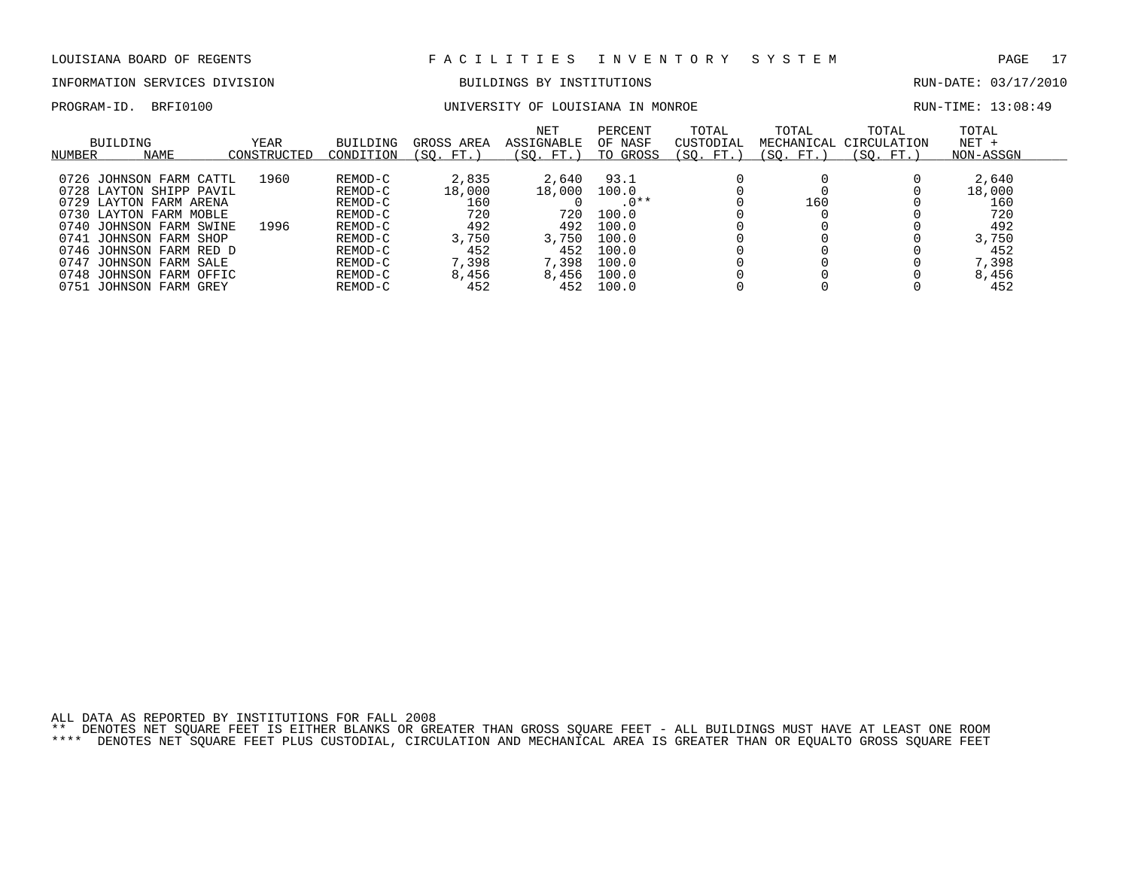# INFORMATION SERVICES DIVISION BUILDINGS BY INSTITUTIONS AND RUN-DATE: 03/17/2010

PROGRAM-ID. BRFI0100 UNIVERSITY OF LOUISIANA IN MONROE RUN-TIME: 13:08:49

|        | BUILDING                | YEAR        | <b>BUILDING</b> | GROSS AREA  | NET<br>ASSIGNABLE | PERCENT<br>OF NASF | TOTAL<br>CUSTODIAL | TOTAL<br>MECHANICAL | TOTAL<br>CIRCULATION | TOTAL<br>$NET +$ |  |
|--------|-------------------------|-------------|-----------------|-------------|-------------------|--------------------|--------------------|---------------------|----------------------|------------------|--|
|        |                         |             |                 |             |                   |                    |                    |                     |                      |                  |  |
| NUMBER | NAME                    | CONSTRUCTED | CONDITION       | FT.<br>(SO. | (SO. FT.)         | TO GROSS           | (SO. FT.)          | (SO. FT.)           | (SO. FT.)            | NON-ASSGN        |  |
|        |                         |             |                 |             |                   |                    |                    |                     |                      |                  |  |
|        | 0726 JOHNSON FARM CATTL | 1960        | REMOD-C         | 2,835       | 2,640             | 93.1               |                    |                     |                      | 2,640            |  |
|        | 0728 LAYTON SHIPP PAVIL |             | REMOD-C         | 18,000      | 18,000            | 100.0              |                    |                     |                      | 18,000           |  |
|        | 0729 LAYTON FARM ARENA  |             | REMOD-C         | 160         |                   | $.0**$             |                    | 160                 |                      | 160              |  |
|        | 0730 LAYTON FARM MOBLE  |             | REMOD-C         | 720         | 720               | 100.0              |                    |                     |                      | 720              |  |
|        | 0740 JOHNSON FARM SWINE | 1996        | REMOD-C         | 492         | 492               | 100.0              |                    |                     |                      | 492              |  |
|        | 0741 JOHNSON FARM SHOP  |             | REMOD-C         | 3,750       | 3,750             | 100.0              |                    |                     |                      | 3,750            |  |
|        | 0746 JOHNSON FARM RED D |             | REMOD-C         | 452         | 452               | 100.0              |                    |                     |                      | 452              |  |
| 0747   | JOHNSON FARM SALE       |             | REMOD-C         | 7,398       | 7,398             | 100.0              |                    |                     |                      | 7,398            |  |
|        | 0748 JOHNSON FARM OFFIC |             | REMOD-C         | 8,456       | 8,456             | 100.0              |                    |                     |                      | 8,456            |  |
|        | 0751 JOHNSON FARM GREY  |             | REMOD-C         | 452         | 452               | 100.0              |                    |                     |                      | 452              |  |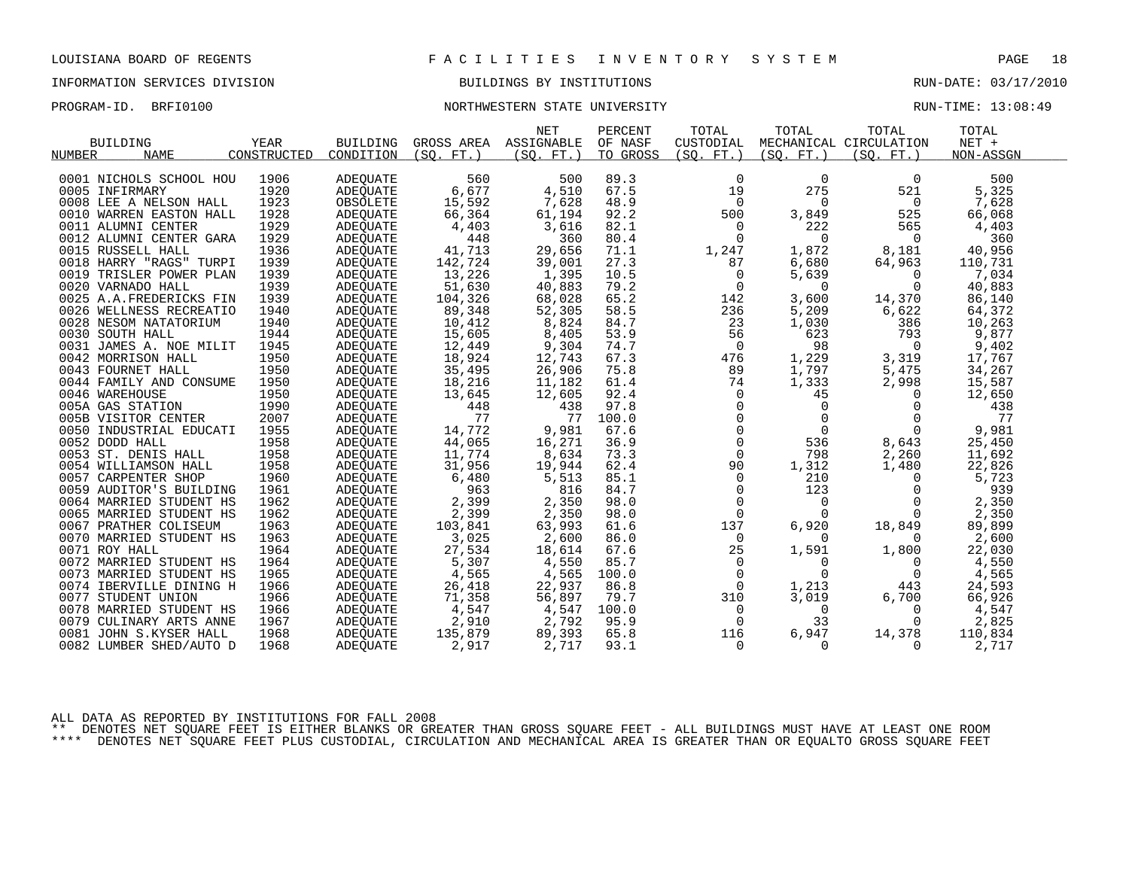## INFORMATION SERVICES DIVISION BUILDINGS BY INSTITUTIONS RUN-DATE: 03/17/2010

### PROGRAM-ID. BRFI0100 **NORTHWESTERN STATE UNIVERSITY** NORTHWESTERN STATE ON THE STATE ON THE STATE OF THE STATE O

|                         |             |                 |            | <b>NET</b> | PERCENT  | TOTAL          | TOTAL       | TOTAL                  | TOTAL     |  |
|-------------------------|-------------|-----------------|------------|------------|----------|----------------|-------------|------------------------|-----------|--|
| <b>BUILDING</b>         | <b>YEAR</b> | <b>BUILDING</b> | GROSS AREA | ASSIGNABLE | OF NASF  | CUSTODIAL      |             | MECHANICAL CIRCULATION | $NET +$   |  |
| <b>NAME</b><br>NUMBER   | CONSTRUCTED | CONDITION       | (SO, FT.)  | (SO, FT.)  | TO GROSS | (SO, FT.)      | (SO, FT.)   | (SO, FT.)              | NON-ASSGN |  |
|                         |             |                 |            |            |          |                |             |                        |           |  |
| 0001 NICHOLS SCHOOL HOU | 1906        | <b>ADEQUATE</b> | 560        | 500        | 89.3     | $\mathbf 0$    | $\mathbf 0$ | 0                      | 500       |  |
| 0005 INFIRMARY          | 1920        | <b>ADEOUATE</b> | 6,677      | 4,510      | 67.5     | 19             | 275         | 521                    | 5,325     |  |
| 0008 LEE A NELSON HALL  | 1923        | OBSOLETE        | 15,592     | 7,628      | 48.9     | 0              | $\mathbf 0$ | 0                      | 7,628     |  |
| 0010 WARREN EASTON HALL | 1928        | ADEOUATE        | 66,364     | 61,194     | 92.2     | 500            | 3,849       | 525                    | 66,068    |  |
| 0011 ALUMNI CENTER      | 1929        | ADEQUATE        | 4,403      | 3,616      | 82.1     | 0              | 222         | 565                    | 4,403     |  |
| 0012 ALUMNI CENTER GARA | 1929        | ADEQUATE        | 448        | 360        | 80.4     | $\Omega$       | 0           | 0                      | 360       |  |
| 0015 RUSSELL HALL       | 1936        | ADEOUATE        | 41,713     | 29,656     | 71.1     | 1,247          | 1,872       | 8,181                  | 40,956    |  |
| 0018 HARRY "RAGS" TURPI | 1939        | ADEQUATE        | 142,724    | 39,001     | 27.3     | 87             | 6,680       | 64,963                 | 110,731   |  |
| 0019 TRISLER POWER PLAN | 1939        | ADEOUATE        | 13,226     | 1,395      | 10.5     | $\mathbf 0$    | 5,639       | $\Omega$               | 7,034     |  |
| 0020 VARNADO HALL       | 1939        | ADEQUATE        | 51,630     | 40,883     | 79.2     | $\overline{0}$ | $\mathbf 0$ | $\Omega$               | 40,883    |  |
| 0025 A.A.FREDERICKS FIN | 1939        | ADEQUATE        | 104,326    | 68,028     | 65.2     | 142            | 3,600       | 14,370                 | 86,140    |  |
| 0026 WELLNESS RECREATIO | 1940        | ADEOUATE        | 89,348     | 52,305     | 58.5     | 236            | 5,209       | 6,622                  | 64,372    |  |
| 0028 NESOM NATATORIUM   | 1940        | ADEQUATE        | 10,412     | 8,824      | 84.7     | 23             | 1,030       | 386                    | 10,263    |  |
| 0030 SOUTH HALL         | 1944        | ADEQUATE        | 15,605     | 8,405      | 53.9     | 56             | 623         | 793                    | 9,877     |  |
| 0031 JAMES A. NOE MILIT | 1945        | ADEQUATE        | 12,449     | 9,304      | 74.7     | 0              | 98          | $\Omega$               | 9,402     |  |
| 0042 MORRISON HALL      | 1950        | ADEQUATE        | 18,924     | 12,743     | 67.3     | 476            | 1,229       | 3,319                  | 17,767    |  |
| 0043 FOURNET HALL       | 1950        | ADEQUATE        | 35,495     | 26,906     | 75.8     | 89             | 1,797       | 5,475                  | 34,267    |  |
| 0044 FAMILY AND CONSUME | 1950        | ADEQUATE        | 18,216     | 11,182     | 61.4     | 74             | 1,333       | 2,998                  | 15,587    |  |
| 0046 WAREHOUSE          | 1950        | ADEQUATE        | 13,645     | 12,605     | 92.4     | $\Omega$       | 45          | $\Omega$               | 12,650    |  |
| 005A GAS STATION        | 1990        | ADEOUATE        | 448        | 438        | 97.8     | $\mathsf{O}$   | $\mathbf 0$ | 0                      | 438       |  |
| 005B VISITOR CENTER     | 2007        | ADEQUATE        | 77         | 77         | 100.0    | $\Omega$       | $\mathbf 0$ | $\Omega$               | 77        |  |
| 0050 INDUSTRIAL EDUCATI | 1955        | ADEOUATE        | 14,772     | 9,981      | 67.6     | $\mathbf 0$    | $\mathbf 0$ | $\Omega$               | 9,981     |  |
| 0052 DODD HALL          | 1958        | ADEQUATE        | 44,065     | 16,271     | 36.9     | $\mathsf{O}$   | 536         | 8,643                  | 25,450    |  |
| 0053 ST. DENIS HALL     | 1958        | ADEQUATE        | 11,774     | 8,634      | 73.3     | $\mathbf 0$    | 798         | 2,260                  | 11,692    |  |
| 0054 WILLIAMSON HALL    | 1958        | ADEOUATE        | 31,956     | 19,944     | 62.4     | 90             | 1,312       | 1,480                  | 22,826    |  |
| 0057 CARPENTER SHOP     | 1960        | ADEQUATE        | 6,480      | 5,513      | 85.1     | $\mathbf 0$    | 210         | $\Omega$               | 5,723     |  |
| 0059 AUDITOR'S BUILDING | 1961        | ADEQUATE        | 963        | 816        | 84.7     | $\mathbf 0$    | 123         | $\Omega$               | 939       |  |
| 0064 MARRIED STUDENT HS | 1962        | ADEQUATE        | 2,399      | 2,350      | 98.0     | $\mathbf 0$    | $\Omega$    | $\Omega$               | 2,350     |  |
| 0065 MARRIED STUDENT HS | 1962        | ADEQUATE        | 2,399      | 2,350      | 98.0     | $\Omega$       | $\Omega$    | $\Omega$               | 2,350     |  |
| 0067 PRATHER COLISEUM   | 1963        | ADEQUATE        | 103,841    | 63,993     | 61.6     | 137            | 6,920       | 18,849                 | 89,899    |  |
| 0070 MARRIED STUDENT HS | 1963        | ADEQUATE        | 3,025      | 2,600      | 86.0     | $\mathbf 0$    | $\Omega$    | $\Omega$               | 2,600     |  |
| 0071 ROY HALL           | 1964        | ADEOUATE        | 27,534     | 18,614     | 67.6     | 25             | 1,591       | 1,800                  | 22,030    |  |
| 0072 MARRIED STUDENT HS | 1964        | ADEQUATE        | 5,307      | 4,550      | 85.7     | $\mathbf 0$    | $\Omega$    | $\Omega$               | 4,550     |  |
| 0073 MARRIED STUDENT HS | 1965        | ADEQUATE        | 4,565      | 4,565      | 100.0    | $\overline{0}$ | $\Omega$    | $\Omega$               | 4,565     |  |
| 0074 IBERVILLE DINING H | 1966        | ADEOUATE        | 26,418     | 22,937     | 86.8     | $\Omega$       | 1,213       | 443                    | 24,593    |  |
| 0077 STUDENT UNION      | 1966        | ADEQUATE        | 71,358     | 56,897     | 79.7     | 310            | 3,019       | 6,700                  | 66,926    |  |
| 0078 MARRIED STUDENT HS | 1966        | ADEQUATE        | 4,547      | 4,547      | 100.0    | 0              | $\mathbf 0$ | $\Omega$               | 4,547     |  |
| 0079 CULINARY ARTS ANNE | 1967        | ADEQUATE        | 2,910      | 2,792      | 95.9     | 0              | 33          | $\Omega$               | 2,825     |  |
| 0081 JOHN S.KYSER HALL  | 1968        | ADEOUATE        | 135,879    | 89,393     | 65.8     | 116            | 6,947       | 14,378                 | 110,834   |  |
| 0082 LUMBER SHED/AUTO D | 1968        | ADEQUATE        | 2,917      | 2,717      | 93.1     | 0              | 0           | 0                      | 2,717     |  |
|                         |             |                 |            |            |          |                |             |                        |           |  |

ALL DATA AS REPORTED BY INSTITUTIONS FOR FALL 2008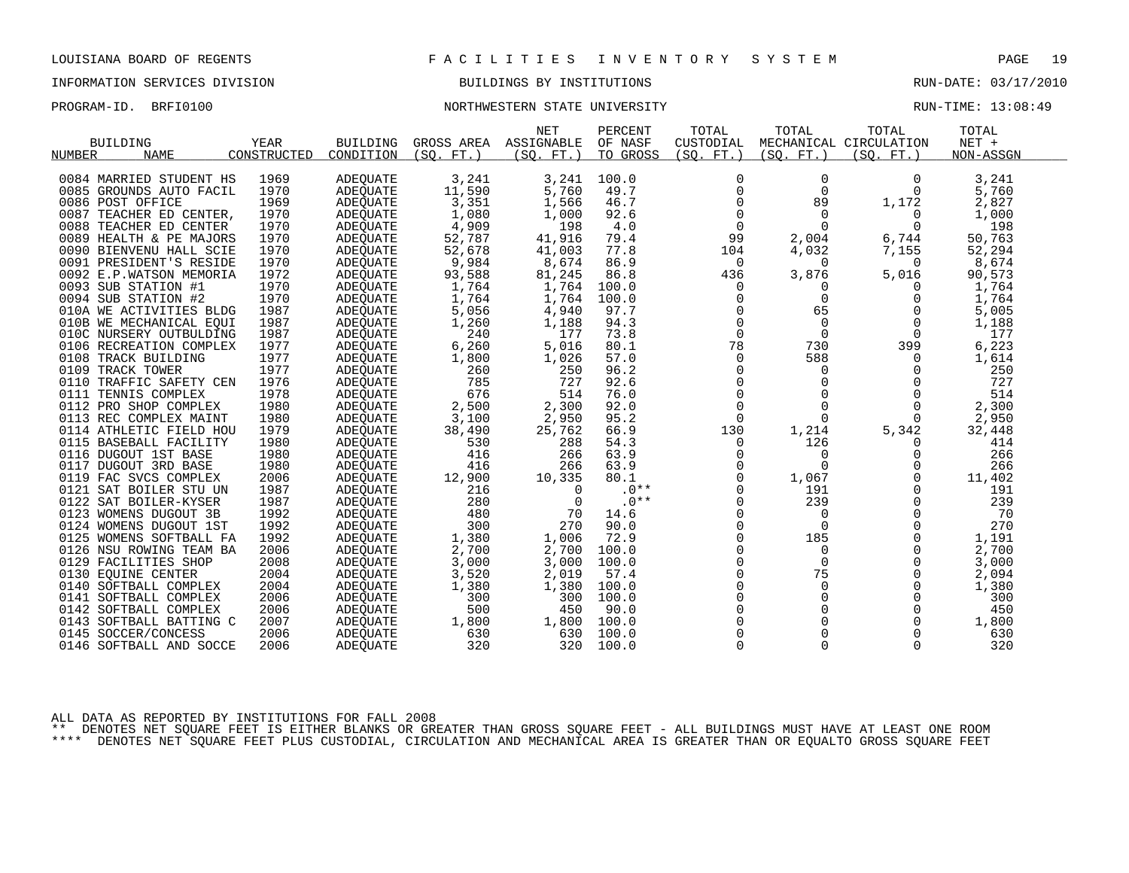## INFORMATION SERVICES DIVISION BUILDINGS BY INSTITUTIONS RUN-DATE: 03/17/2010

## PROGRAM-ID. BRFI0100 **NORTHWESTERN STATE UNIVERSITY** NORTHWESTERN STATE ON THE STATE ON THE STATE OF THE STATE O

|                         |             |                 |            | <b>NET</b> | PERCENT  | TOTAL       | TOTAL       | TOTAL                  | TOTAL     |  |
|-------------------------|-------------|-----------------|------------|------------|----------|-------------|-------------|------------------------|-----------|--|
| <b>BUILDING</b>         | <b>YEAR</b> | <b>BUILDING</b> | GROSS AREA | ASSIGNABLE | OF NASF  | CUSTODIAL   |             | MECHANICAL CIRCULATION | NET +     |  |
| NUMBER<br><b>NAME</b>   | CONSTRUCTED | CONDITION       | (SO, FT.)  | (SO, FT.)  | TO GROSS | (SO. FT. )  | (SO. FT. )  | (SO, FT.)              | NON-ASSGN |  |
|                         |             |                 |            |            |          |             |             |                        |           |  |
| 0084 MARRIED STUDENT HS | 1969        | <b>ADEQUATE</b> | 3,241      | 3,241      | 100.0    | 0           | 0           | $\Omega$               | 3,241     |  |
| 0085 GROUNDS AUTO FACIL | 1970        | ADEQUATE        | 11,590     | 5,760      | 49.7     | $\mathsf 0$ | $\mathbf 0$ | $\Omega$               | 5,760     |  |
| 0086 POST OFFICE        | 1969        | ADEQUATE        | 3,351      | 1,566      | 46.7     | $\Omega$    | 89          | 1,172                  | 2,827     |  |
| 0087 TEACHER ED CENTER, | 1970        | <b>ADEOUATE</b> | 1,080      | 1,000      | 92.6     | $\mathbf 0$ | 0           | 0                      | 1,000     |  |
| 0088 TEACHER ED CENTER  | 1970        | <b>ADEOUATE</b> | 4,909      | 198        | 4.0      | 0           | $\Omega$    | $\Omega$               | 198       |  |
| 0089 HEALTH & PE MAJORS | 1970        | ADEQUATE        | 52,787     | 41,916     | 79.4     | 99          | 2,004       | 6,744                  | 50,763    |  |
| 0090 BIENVENU HALL SCIE | 1970        | ADEOUATE        | 52,678     | 41,003     | 77.8     | 104         | 4,032       | 7,155                  | 52,294    |  |
| 0091 PRESIDENT'S RESIDE | 1970        | ADEQUATE        | 9,984      | 8,674      | 86.9     | 0           | 0           | 0                      | 8,674     |  |
| 0092 E.P.WATSON MEMORIA | 1972        | <b>ADEOUATE</b> | 93,588     | 81,245     | 86.8     | 436         | 3,876       | 5,016                  | 90,573    |  |
| 0093 SUB STATION #1     | 1970        | ADEQUATE        | 1,764      | 1,764      | 100.0    | 0           | 0           | 0                      | 1,764     |  |
| 0094 SUB STATION #2     | 1970        | ADEQUATE        | 1,764      | 1,764      | 100.0    | 0           | $\Omega$    | $\Omega$               | 1,764     |  |
| 010A WE ACTIVITIES BLDG | 1987        | <b>ADEOUATE</b> | 5,056      | 4,940      | 97.7     | 0           | 65          | 0                      | 5,005     |  |
| 010B WE MECHANICAL EOUI | 1987        | <b>ADEOUATE</b> | 1,260      | 1,188      | 94.3     | 0           | 0           | $\Omega$               | 1,188     |  |
| 010C NURSERY OUTBULDING | 1987        | ADEQUATE        | 240        | 177        | 73.8     | $\mathbf 0$ | $\mathbf 0$ | 0                      | 177       |  |
| 0106 RECREATION COMPLEX | 1977        | ADEQUATE        | 6,260      | 5,016      | 80.1     | 78          | 730         | 399                    | 6,223     |  |
| 0108 TRACK BUILDING     | 1977        | ADEQUATE        | 1,800      | 1,026      | 57.0     | 0           | 588         | $\Omega$               | 1,614     |  |
| 0109 TRACK TOWER        | 1977        | <b>ADEOUATE</b> | 260        | 250        | 96.2     | 0           | $\mathbf 0$ | 0                      | 250       |  |
| 0110 TRAFFIC SAFETY CEN | 1976        | ADEQUATE        | 785        | 727        | 92.6     | 0           | $\mathbf 0$ | $\Omega$               | 727       |  |
| 0111 TENNIS COMPLEX     | 1978        | <b>ADEOUATE</b> | 676        | 514        | 76.0     | $\Omega$    | $\Omega$    | $\Omega$               | 514       |  |
| 0112 PRO SHOP COMPLEX   | 1980        | ADEOUATE        | 2,500      | 2,300      | 92.0     | $\mathbf 0$ | $\mathbf 0$ | 0                      | 2,300     |  |
| 0113 REC COMPLEX MAINT  | 1980        | ADEQUATE        | 3,100      | 2,950      | 95.2     | $\mathbf 0$ | $\Omega$    | 0                      | 2,950     |  |
| 0114 ATHLETIC FIELD HOU | 1979        | ADEQUATE        | 38,490     | 25,762     | 66.9     | 130         | 1,214       | 5,342                  | 32,448    |  |
| 0115 BASEBALL FACILITY  | 1980        | ADEQUATE        | 530        | 288        | 54.3     | 0           | 126         | $\Omega$               | 414       |  |
| 0116 DUGOUT 1ST BASE    | 1980        | <b>ADEOUATE</b> | 416        | 266        | 63.9     | 0           | 0           | 0                      | 266       |  |
| 0117 DUGOUT 3RD BASE    | 1980        | <b>ADEOUATE</b> | 416        | 266        | 63.9     | 0           | $\Omega$    | $\Omega$               | 266       |  |
| 0119 FAC SVCS COMPLEX   | 2006        | <b>ADEQUATE</b> | 12,900     | 10,335     | 80.1     | $\Omega$    | 1,067       | $\Omega$               | 11,402    |  |
| 0121 SAT BOILER STU UN  | 1987        | <b>ADEOUATE</b> | 216        | $\Omega$   | $.0**$   | $\mathbf 0$ | 191         | $\Omega$               | 191       |  |
| 0122 SAT BOILER-KYSER   | 1987        | ADEQUATE        | 280        | 0          | $.0**$   | 0           | 239         | 0                      | 239       |  |
| 0123 WOMENS DUGOUT 3B   | 1992        | <b>ADEOUATE</b> | 480        | 70         | 14.6     | $\Omega$    | 0           | $\Omega$               | 70        |  |
| 0124 WOMENS DUGOUT 1ST  | 1992        | <b>ADEQUATE</b> | 300        | 270        | 90.0     | 0           | $\Omega$    | 0                      | 270       |  |
| 0125 WOMENS SOFTBALL FA | 1992        | ADEQUATE        | 1,380      | 1,006      | 72.9     | $\Omega$    | 185         | $\Omega$               | 1,191     |  |
| 0126 NSU ROWING TEAM BA | 2006        | <b>ADEOUATE</b> | 2,700      | 2,700      | 100.0    | $\mathbf 0$ | 0           | 0                      | 2,700     |  |
| 0129 FACILITIES SHOP    | 2008        | ADEOUATE        | 3,000      | 3,000      | 100.0    | 0           | $\mathbf 0$ | 0                      | 3,000     |  |
| 0130 EQUINE CENTER      | 2004        | ADEQUATE        | 3,520      | 2,019      | 57.4     | 0           | 75          | $\Omega$               | 2,094     |  |
| 0140 SOFTBALL COMPLEX   | 2004        | ADEOUATE        | 1,380      | 1,380      | 100.0    | $\Omega$    | $\Omega$    | $\Omega$               | 1,380     |  |
| 0141 SOFTBALL COMPLEX   | 2006        | ADEQUATE        | 300        | 300        | 100.0    | $\mathbf 0$ | $\mathbf 0$ | 0                      | 300       |  |
| 0142 SOFTBALL COMPLEX   | 2006        | <b>ADEOUATE</b> | 500        | 450        | 90.0     | 0           | 0           | 0                      | 450       |  |
| 0143 SOFTBALL BATTING C | 2007        | ADEQUATE        | 1,800      | 1,800      | 100.0    | 0           | 0           | 0                      | 1,800     |  |
| 0145 SOCCER/CONCESS     | 2006        | <b>ADEQUATE</b> | 630        | 630        | 100.0    | $\Omega$    | $\Omega$    | $\Omega$               | 630       |  |
| 0146 SOFTBALL AND SOCCE | 2006        | <b>ADEOUATE</b> | 320        | 320        | 100.0    | $\Omega$    | $\Omega$    | $\Omega$               | 320       |  |

ALL DATA AS REPORTED BY INSTITUTIONS FOR FALL 2008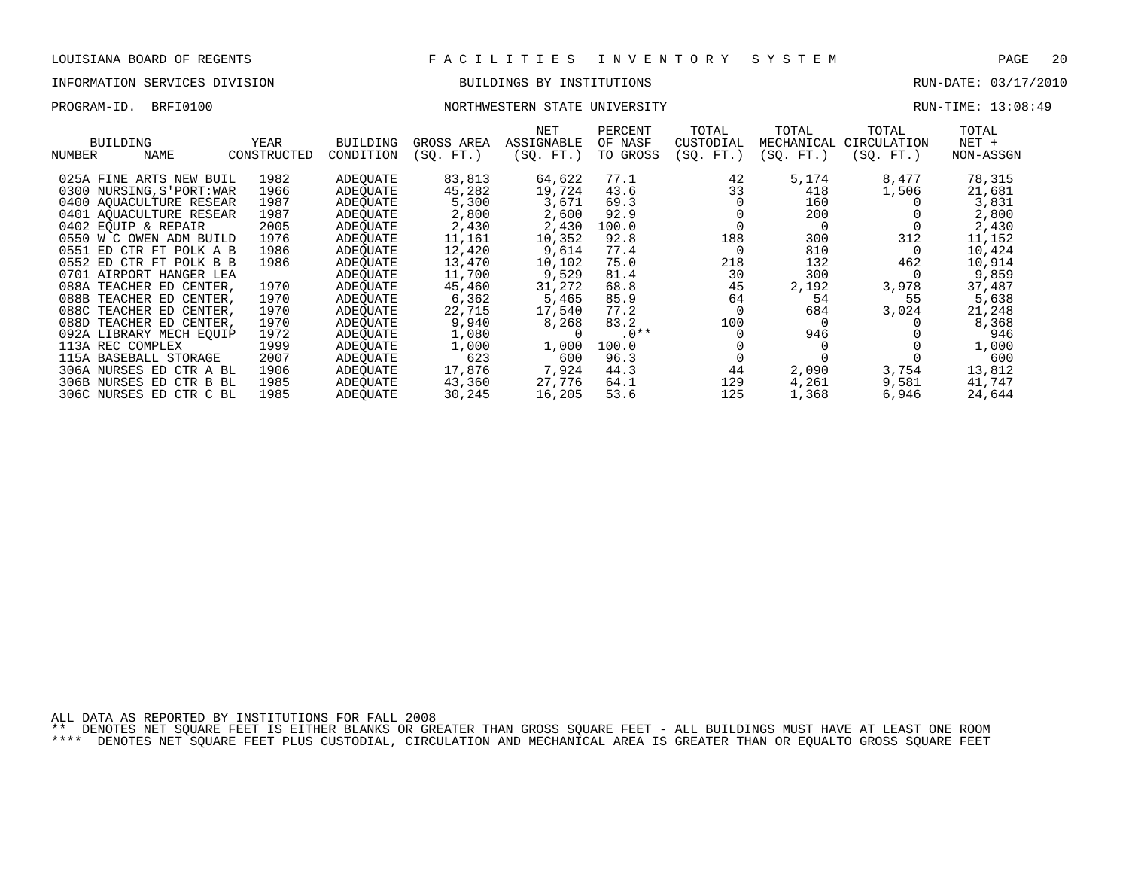### INFORMATION SERVICES DIVISION BUILDINGS BY INSTITUTIONS RUN-DATE: 03/17/2010

0401 AQUACULTURE RESEAR 1987 ADEQUATE 2,800 2,600 92.9 0 200 0 2,800 0402 EQUIP & REPAIR 2005 ADEQUATE 2,430 2,430 100.0 0 0 0 2,430 0550 W C OWEN ADM BUILD 1976 ADEQUATE 11,161 10,352 92.8 188 300 312 11,152 0551 ED CTR FT POLK A B 1986 ADEQUATE 12,420 9,614 77.4 0 810 0 10,424 0552 ED CTR FT POLK B B 1986 ADEQUATE 13,470 10,102 75.0 218 132 462 10,914 0701 AIRPORT HANGER LEA ADEQUATE 11,700 9,529 81.4 30 0 9,859 088A TEACHER ED CENTER, 1970 ADEQUATE 45,460 31,272 68.8 45 2,192 3,978 37,487 088B TEACHER ED CENTER, 1970 ADEQUATE 6,362 5,465 85.9 64 54 55 5,638 088C TEACHER ED CENTER, 1970 ADEQUATE 22,715 17,540 77.2 0 684 3,024 21,248 088D TEACHER ED CENTER, 1970 ADEQUATE 9,940 8,268 83.2 100 0 0 8,368 092A LIBRARY MECH EQUIP 1972 ADEQUATE 1,080 0 .0\*\* 0 946 0 946 113A REC COMPLEX 1999 ADEQUATE 1,000 1,000 100.0 0 0 0 1,000 115A BASEBALL STORAGE 2007 ADEQUATE 623 600 96.3 0 0 0 600 306A NURSES ED CTR A BL 1906 ADEQUATE 17,876 7,924 44.3 44 2,090 3,754 13,812 306B NURSES ED CTR B BL 1985 ADEQUATE 43,360 27,776 64.1 129 4,261 9,581 41,747 306C NURSES ED CTR C BL 1985 ADEQUATE 30,245 16,205 53.6 125 1,368 6,946 24,644

# PROGRAM-ID. BRFI0100 NORTHWESTERN STATE UNIVERSITY NEXT AND RUN-TIME: 13:08:49

|        | BUILDING                  | YEAR        | <b>BUILDING</b> | GROSS AREA  | NET<br>ASSIGNABLE | PERCENT<br>OF NASF | TOTAL<br>CUSTODIAL | TOTAL      | TOTAL<br>MECHANICAL CIRCULATION | TOTAL<br>$NET +$ |
|--------|---------------------------|-------------|-----------------|-------------|-------------------|--------------------|--------------------|------------|---------------------------------|------------------|
| NUMBER | NAME                      | CONSTRUCTED | CONDITION       | SO.<br>FT.) | 'SO.<br>. FT.     | TO GROSS           | SO.<br>FT.)        | SO.<br>FT. | $'SO.$ FT.                      | NON-ASSGN        |
|        |                           |             |                 |             |                   |                    |                    |            |                                 |                  |
|        | 025A FINE ARTS NEW BUIL   | 1982        | ADEOUATE        | 83,813      | 64,622            | 77.1               | 42                 | 5,174      | 8,477                           | 78,315           |
|        | 0300 NURSING, S'PORT: WAR | 1966        | ADEOUATE        | 45,282      | 19,724            | 43.6               | 33                 | 418        | 1,506                           | 21,681           |
|        | 0400 AOUACULTURE RESEAR   | 1987        | ADEOUATE        | 5,300       | 3.671             | 69.3               |                    | 160        |                                 | 3,831            |

| PAGE | ι.<br>╱. |
|------|----------|
|      |          |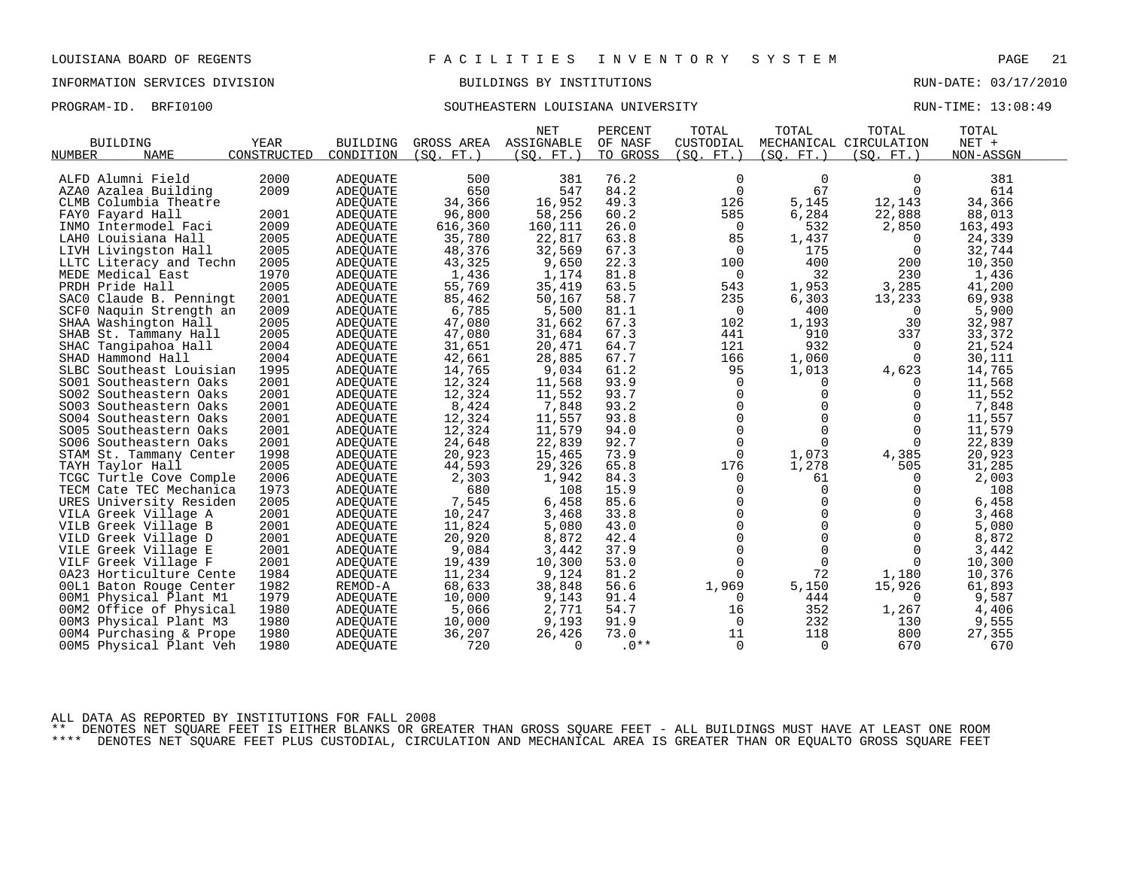## INFORMATION SERVICES DIVISION BUILDINGS BY INSTITUTIONS RUN-DATE: 03/17/2010

# PROGRAM-ID. BRFI0100 SOUTHEASTERN LOUISIANA UNIVERSITY RUN-TIME: 13:08:49

|                         |             |                 |            | <b>NET</b> | PERCENT  | TOTAL          | TOTAL       | TOTAL                  | TOTAL     |  |
|-------------------------|-------------|-----------------|------------|------------|----------|----------------|-------------|------------------------|-----------|--|
| <b>BUILDING</b>         | YEAR        | <b>BUILDING</b> | GROSS AREA | ASSIGNABLE | OF NASF  | CUSTODIAL      |             | MECHANICAL CIRCULATION | NET +     |  |
| NUMBER<br><b>NAME</b>   | CONSTRUCTED | CONDITION       | (SO. FT. ) | (SO. FT.)  | TO GROSS | (SO. FT. )     | (SO. FT. )  | (SO. FT. )             | NON-ASSGN |  |
|                         |             |                 |            |            |          |                |             |                        |           |  |
| ALFD Alumni Field       | 2000        | <b>ADEQUATE</b> | 500        | 381        | 76.2     | 0              | $\mathbf 0$ | $\Omega$               | 381       |  |
| AZAO Azalea Building    | 2009        | <b>ADEOUATE</b> | 650        | 547        | 84.2     | $\mathbf 0$    | 67          | $\Omega$               | 614       |  |
| CLMB Columbia Theatre   |             | ADEQUATE        | 34,366     | 16,952     | 49.3     | 126            | 5,145       | 12,143                 | 34,366    |  |
| FAYO Fayard Hall        | 2001        | <b>ADEQUATE</b> | 96,800     | 58,256     | 60.2     | 585            | 6,284       | 22,888                 | 88,013    |  |
| INMO Intermodel Faci    | 2009        | <b>ADEQUATE</b> | 616,360    | 160,111    | 26.0     | 0              | 532         | 2,850                  | 163,493   |  |
| LAHO Louisiana Hall     | 2005        | ADEQUATE        | 35,780     | 22,817     | 63.8     | 85             | 1,437       | 0                      | 24,339    |  |
| LIVH Livingston Hall    | 2005        | <b>ADEQUATE</b> | 48,376     | 32,569     | 67.3     | 0              | 175         | $\overline{0}$         | 32,744    |  |
| LLTC Literacy and Techn | 2005        | ADEQUATE        | 43,325     | 9,650      | 22.3     | 100            | 400         | 200                    | 10,350    |  |
| MEDE Medical East       | 1970        | ADEQUATE        | 1,436      | 1,174      | 81.8     | 0              | 32          | 230                    | 1,436     |  |
| PRDH Pride Hall         | 2005        | <b>ADEQUATE</b> | 55,769     | 35,419     | 63.5     | 543            | 1,953       | 3,285                  | 41,200    |  |
| SACO Claude B. Penningt | 2001        | <b>ADEQUATE</b> | 85,462     | 50,167     | 58.7     | 235            | 6,303       | 13,233                 | 69,938    |  |
| SCF0 Naquin Strength an | 2009        | ADEQUATE        | 6,785      | 5,500      | 81.1     | 0              | 400         | 0                      | 5,900     |  |
| SHAA Washington Hall    | 2005        | ADEQUATE        | 47,080     | 31,662     | 67.3     | 102            | 1,193       | 30                     | 32,987    |  |
| SHAB St. Tammany Hall   | 2005        | <b>ADEOUATE</b> | 47,080     | 31,684     | 67.3     | 441            | 910         | 337                    | 33,372    |  |
| SHAC Tangipahoa Hall    | 2004        | <b>ADEQUATE</b> | 31,651     | 20,471     | 64.7     | 121            | 932         | $\Omega$               | 21,524    |  |
| SHAD Hammond Hall       | 2004        | ADEOUATE        | 42,661     | 28,885     | 67.7     | 166            | 1,060       | 0                      | 30,111    |  |
| SLBC Southeast Louisian | 1995        | <b>ADEQUATE</b> | 14,765     | 9,034      | 61.2     | 95             | 1,013       | 4,623                  | 14,765    |  |
| SO01 Southeastern Oaks  | 2001        | ADEQUATE        | 12,324     | 11,568     | 93.9     | $\overline{0}$ | $\Omega$    | $\Omega$               | 11,568    |  |
| SO02 Southeastern Oaks  | 2001        | <b>ADEQUATE</b> | 12,324     | 11,552     | 93.7     | $\mathbf 0$    | 0           | $\mathbf 0$            | 11,552    |  |
| SO03 Southeastern Oaks  | 2001        | ADEQUATE        | 8,424      | 7,848      | 93.2     | $\mathbf 0$    | 0           | 0                      | 7,848     |  |
| SO04 Southeastern Oaks  | 2001        | ADEQUATE        | 12,324     | 11,557     | 93.8     | $\Omega$       | $\Omega$    | $\Omega$               | 11,557    |  |
| SO05 Southeastern Oaks  | 2001        | <b>ADEQUATE</b> | 12,324     | 11,579     | 94.0     | $\mathbf 0$    | $\Omega$    | $\mathbf 0$            | 11,579    |  |
| SO06 Southeastern Oaks  | 2001        | <b>ADEQUATE</b> | 24,648     | 22,839     | 92.7     | 0              | $\Omega$    | 0                      | 22,839    |  |
| STAM St. Tammany Center | 1998        | <b>ADEOUATE</b> | 20,923     | 15,465     | 73.9     | $\Omega$       | 1,073       | 4,385                  | 20,923    |  |
| TAYH Taylor Hall        | 2005        | ADEOUATE        | 44,593     | 29,326     | 65.8     | 176            | 1,278       | 505                    | 31,285    |  |
| TCGC Turtle Cove Comple | 2006        | ADEQUATE        | 2,303      | 1,942      | 84.3     | $\mathbf 0$    | 61          | $\Omega$               | 2,003     |  |
| TECM Cate TEC Mechanica | 1973        | <b>ADEOUATE</b> | 680        | 108        | 15.9     | $\mathbf 0$    | $\mathbf 0$ | $\Omega$               | 108       |  |
| URES University Residen | 2005        | ADEQUATE        | 7,545      | 6,458      | 85.6     | $\mathbf 0$    | $\mathbf 0$ | 0                      | 6,458     |  |
| VILA Greek Village A    | 2001        | <b>ADEQUATE</b> | 10,247     | 3,468      | 33.8     | $\mathbf 0$    | $\Omega$    | $\Omega$               | 3,468     |  |
| VILB Greek Village B    | 2001        | <b>ADEQUATE</b> | 11,824     | 5,080      | 43.0     | $\Omega$       | $\Omega$    | $\Omega$               | 5,080     |  |
| VILD Greek Village D    | 2001        | ADEQUATE        | 20,920     | 8,872      | 42.4     | $\mathbf 0$    | $\Omega$    | $\Omega$               | 8,872     |  |
| VILE Greek Village E    | 2001        | <b>ADEOUATE</b> | 9,084      | 3,442      | 37.9     | $\mathbf 0$    | $\mathbf 0$ | 0                      | 3,442     |  |
| VILF Greek Village F    | 2001        | <b>ADEQUATE</b> | 19,439     | 10,300     | 53.0     | $\mathbf 0$    | $\Omega$    | $\Omega$               | 10,300    |  |
| 0A23 Horticulture Cente | 1984        | ADEQUATE        | 11,234     | 9,124      | 81.2     | $\Omega$       | 72          | 1,180                  | 10,376    |  |
| 00L1 Baton Rouge Center | 1982        | REMOD-A         | 68,633     | 38,848     | 56.6     | 1,969          | 5,150       | 15,926                 | 61,893    |  |
| 00M1 Physical Plant M1  | 1979        | ADEQUATE        | 10,000     | 9,143      | 91.4     | 0              | 444         | 0                      | 9,587     |  |
| 00M2 Office of Physical | 1980        | ADEQUATE        | 5,066      | 2,771      | 54.7     | 16             | 352         | 1,267                  | 4,406     |  |
| 00M3 Physical Plant M3  | 1980        | ADEQUATE        | 10,000     | 9,193      | 91.9     | $\overline{0}$ | 232         | 130                    | 9,555     |  |
| 00M4 Purchasing & Prope | 1980        | ADEOUATE        | 36,207     | 26,426     | 73.0     | 11             | 118         | 800                    | 27,355    |  |
| 00M5 Physical Plant Veh | 1980        | <b>ADEQUATE</b> | 720        | $\Omega$   | $.0**$   | $\Omega$       | $\Omega$    | 670                    | 670       |  |
|                         |             |                 |            |            |          |                |             |                        |           |  |

ALL DATA AS REPORTED BY INSTITUTIONS FOR FALL 2008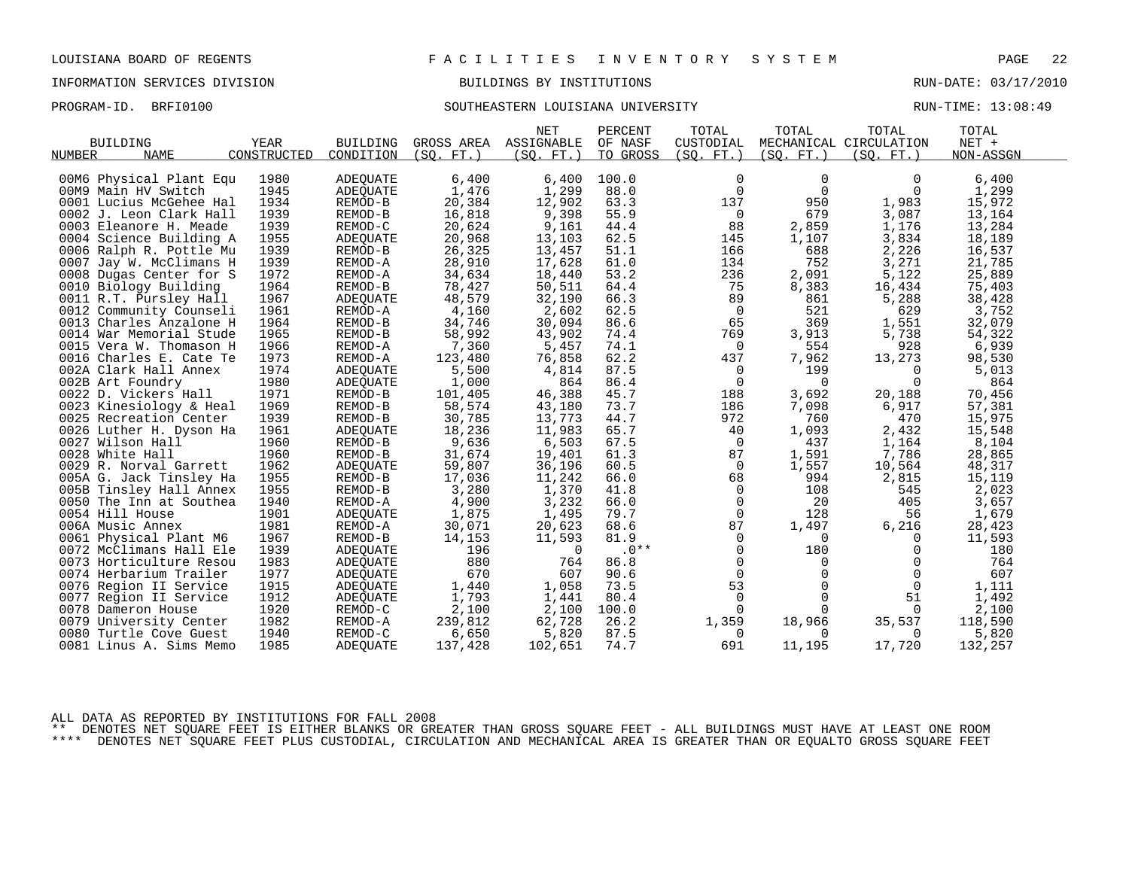# PROGRAM-ID. BRFI0100 SOUTHEASTERN LOUISIANA UNIVERSITY RUN-TIME: 13:08:49

|                         |             |                 |            | <b>NET</b> | PERCENT  | TOTAL          | TOTAL       | TOTAL                  | TOTAL     |  |
|-------------------------|-------------|-----------------|------------|------------|----------|----------------|-------------|------------------------|-----------|--|
| <b>BUILDING</b>         | <b>YEAR</b> | <b>BUILDING</b> | GROSS AREA | ASSIGNABLE | OF NASF  | CUSTODIAL      |             | MECHANICAL CIRCULATION | NET +     |  |
| <b>NAME</b><br>NUMBER   | CONSTRUCTED | CONDITION       | (SO. FT. ) | (SO. FT.)  | TO GROSS | (SQ. FT. )     | (SQ. FT. )  | (SQ. FT.)              | NON-ASSGN |  |
|                         |             |                 |            |            |          |                |             |                        |           |  |
| 00M6 Physical Plant Equ | 1980        | ADEOUATE        | 6,400      | 6,400      | 100.0    | 0              | $\Omega$    | $\Omega$               | 6,400     |  |
| 00M9 Main HV Switch     | 1945        | <b>ADEQUATE</b> | 1,476      | 1,299      | 88.0     | 0              | $\mathbf 0$ | 0                      | 1,299     |  |
| 0001 Lucius McGehee Hal | 1934        | REMOD-B         | 20,384     | 12,902     | 63.3     | 137            | 950         | 1,983                  | 15,972    |  |
| 0002 J. Leon Clark Hall | 1939        | REMOD-B         | 16,818     | 9,398      | 55.9     | $\overline{0}$ | 679         | 3,087                  | 13,164    |  |
| 0003 Eleanore H. Meade  | 1939        | REMOD-C         | 20,624     | 9,161      | 44.4     | 88             | 2,859       | 1,176                  | 13,284    |  |
| 0004 Science Building A | 1955        | <b>ADEQUATE</b> | 20,968     | 13,103     | 62.5     | 145            | 1,107       | 3,834                  | 18,189    |  |
| 0006 Ralph R. Pottle Mu | 1939        | REMOD-B         | 26,325     | 13,457     | 51.1     | 166            | 688         | 2,226                  | 16,537    |  |
| 0007 Jay W. McClimans H | 1939        | REMOD-A         | 28,910     | 17,628     | 61.0     | 134            | 752         | 3,271                  | 21,785    |  |
| 0008 Dugas Center for S | 1972        | REMOD-A         | 34,634     | 18,440     | 53.2     | 236            | 2,091       | 5,122                  | 25,889    |  |
| 0010 Biology Building   | 1964        | REMOD-B         | 78,427     | 50,511     | 64.4     | 75             | 8,383       | 16,434                 | 75,403    |  |
| 0011 R.T. Pursley Hall  | 1967        | <b>ADEQUATE</b> | 48,579     | 32,190     | 66.3     | 89             | 861         | 5,288                  | 38,428    |  |
| 0012 Community Counseli | 1961        | REMOD-A         | 4,160      | 2,602      | 62.5     | $\overline{0}$ | 521         | 629                    | 3,752     |  |
| 0013 Charles Anzalone H | 1964        | REMOD-B         | 34,746     | 30,094     | 86.6     | 65             | 369         | 1,551                  | 32,079    |  |
| 0014 War Memorial Stude | 1965        | REMOD-B         | 58,992     | 43,902     | 74.4     | 769            | 3,913       | 5,738                  | 54,322    |  |
| 0015 Vera W. Thomason H | 1966        | REMOD-A         | 7,360      | 5,457      | 74.1     | 0              | 554         | 928                    | 6,939     |  |
| 0016 Charles E. Cate Te | 1973        | REMOD-A         | 123,480    | 76,858     | 62.2     | 437            | 7,962       | 13,273                 | 98,530    |  |
| 002A Clark Hall Annex   | 1974        | ADEOUATE        | 5,500      | 4,814      | 87.5     | 0              | 199         | $\Omega$               | 5,013     |  |
| 002B Art Foundry        | 1980        | ADEQUATE        | 1,000      | 864        | 86.4     | $\mathbf 0$    | $\mathbf 0$ | $\Omega$               | 864       |  |
| 0022 D. Vickers Hall    | 1971        | REMOD-B         | 101,405    | 46,388     | 45.7     | 188            | 3,692       | 20,188                 | 70,456    |  |
| 0023 Kinesiology & Heal | 1969        | REMOD-B         | 58,574     | 43,180     | 73.7     | 186            | 7,098       | 6,917                  | 57,381    |  |
| 0025 Recreation Center  | 1939        | REMOD-B         | 30,785     | 13,773     | 44.7     | 972            | 760         | 470                    | 15,975    |  |
| 0026 Luther H. Dyson Ha | 1961        | ADEQUATE        | 18,236     | 11,983     | 65.7     | 40             | 1,093       | 2,432                  | 15,548    |  |
| 0027 Wilson Hall        | 1960        | REMOD-B         | 9,636      | 6,503      | 67.5     | $\mathbf 0$    | 437         | 1,164                  | 8,104     |  |
| 0028 White Hall         | 1960        | REMOD-B         | 31,674     | 19,401     | 61.3     | 87             | 1,591       | 7,786                  | 28,865    |  |
| 0029 R. Norval Garrett  | 1962        | ADEQUATE        | 59,807     | 36,196     | 60.5     | $\overline{0}$ | 1,557       | 10,564                 | 48,317    |  |
| 005A G. Jack Tinsley Ha | 1955        | REMOD-B         | 17,036     | 11,242     | 66.0     | 68             | 994         | 2,815                  | 15,119    |  |
| 005B Tinsley Hall Annex | 1955        | REMOD-B         | 3,280      | 1,370      | 41.8     | 0              | 108         | 545                    | 2,023     |  |
| 0050 The Inn at Southea | 1940        | REMOD-A         | 4,900      | 3,232      | 66.0     | $\mathbf 0$    | 20          | 405                    | 3,657     |  |
| 0054 Hill House         | 1901        | ADEQUATE        | 1,875      | 1,495      | 79.7     | $\mathbf 0$    | 128         | 56                     | 1,679     |  |
| 006A Music Annex        | 1981        | REMOD-A         | 30,071     | 20,623     | 68.6     | 87             | 1,497       | 6,216                  | 28,423    |  |
| 0061 Physical Plant M6  | 1967        | REMOD-B         | 14,153     | 11,593     | 81.9     | 0              | $\mathbf 0$ | $\overline{0}$         | 11,593    |  |
| 0072 McClimans Hall Ele | 1939        | <b>ADEQUATE</b> | 196        | $\Omega$   | $.0**$   | 0              | 180         | $\Omega$               | 180       |  |
| 0073 Horticulture Resou | 1983        | <b>ADEQUATE</b> | 880        | 764        | 86.8     | 0              | 0           | $\Omega$               | 764       |  |
| 0074 Herbarium Trailer  | 1977        | ADEQUATE        | 670        | 607        | 90.6     | $\mathbf 0$    | $\Omega$    | $\mathbf 0$            | 607       |  |
| 0076 Region II Service  | 1915        | ADEQUATE        | 1,440      | 1,058      | 73.5     | 53             | $\mathbf 0$ | $\overline{0}$         | 1,111     |  |
| 0077 Region II Service  | 1912        | ADEQUATE        | 1,793      | 1,441      | 80.4     | 0              | 0           | 51                     | 1,492     |  |
| 0078 Dameron House      | 1920        | REMOD-C         | 2,100      | 2,100      | 100.0    | $\Omega$       | $\Omega$    | $\Omega$               | 2,100     |  |
| 0079 University Center  | 1982        | REMOD-A         | 239,812    | 62,728     | 26.2     | 1,359          | 18,966      | 35,537                 | 118,590   |  |
| 0080 Turtle Cove Guest  | 1940        | REMOD-C         | 6,650      | 5,820      | 87.5     | 0              | $\Omega$    | 0                      | 5,820     |  |
| 0081 Linus A. Sims Memo | 1985        | <b>ADEQUATE</b> | 137,428    | 102,651    | 74.7     | 691            | 11,195      | 17,720                 | 132,257   |  |
|                         |             |                 |            |            |          |                |             |                        |           |  |

ALL DATA AS REPORTED BY INSTITUTIONS FOR FALL 2008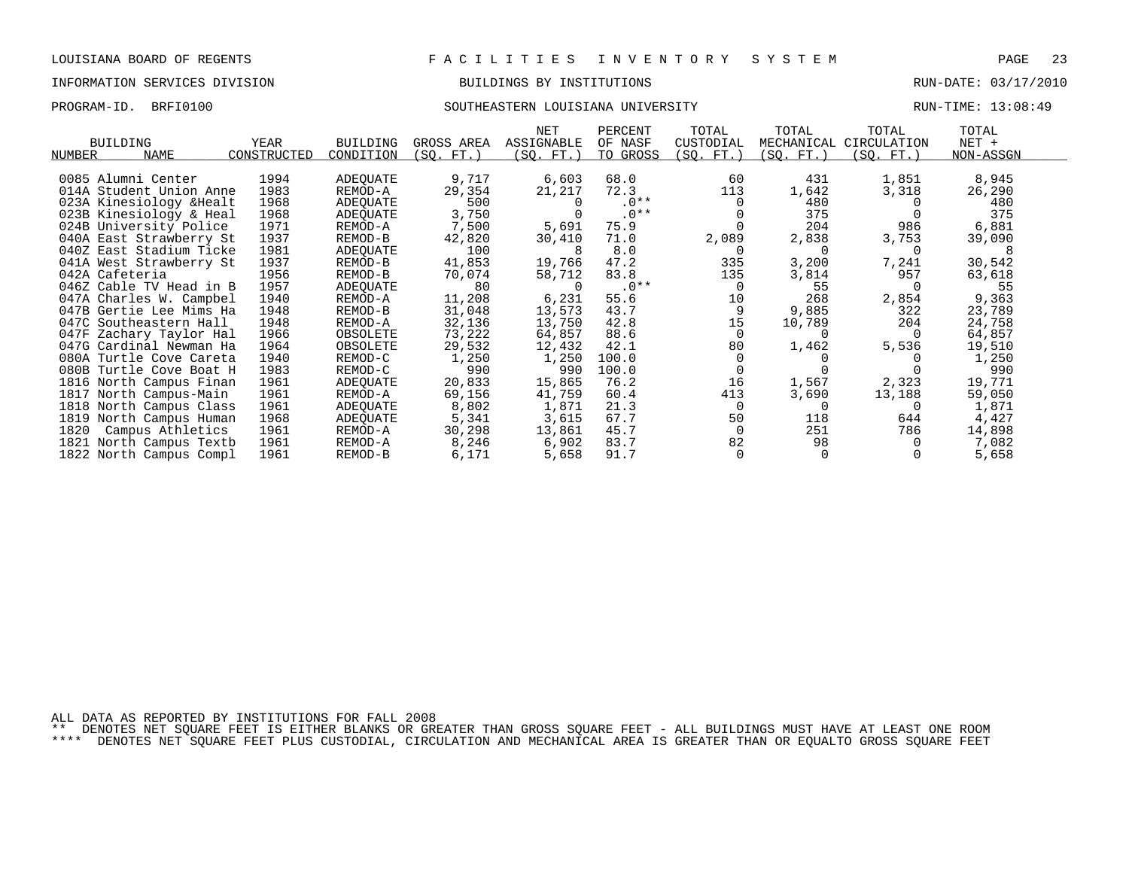## INFORMATION SERVICES DIVISION BUILDINGS BY INSTITUTIONS RUN-DATE: 03/17/2010

# PROGRAM-ID. BRFI0100 SOUTHEASTERN LOUISIANA UNIVERSITY RUN-TIME: 13:08:49

| <b>BUILDING</b>          | YEAR        | <b>BUILDING</b> | GROSS AREA | NET<br>ASSIGNABLE | PERCENT<br>OF NASF | TOTAL<br>CUSTODIAL | TOTAL<br>MECHANICAL | TOTAL<br>CIRCULATION | TOTAL<br>$NET +$ |  |
|--------------------------|-------------|-----------------|------------|-------------------|--------------------|--------------------|---------------------|----------------------|------------------|--|
| NAME<br>NUMBER           | CONSTRUCTED | CONDITION       | (SQ. FT.)  | (SQ. FT.)         | TO GROSS           | (SQ. FT.)          | (SQ. FT.)           | (SQ. FT.)            | NON-ASSGN        |  |
|                          |             |                 |            |                   |                    |                    |                     |                      |                  |  |
| 0085 Alumni Center       | 1994        | ADEQUATE        | 9,717      | 6,603             | 68.0               | 60                 | 431                 | 1,851                | 8,945            |  |
| 014A Student Union Anne  | 1983        | REMOD-A         | 29,354     | 21,217            | 72.3               | 113                | 1,642               | 3,318                | 26,290           |  |
| 023A Kinesiology & Healt | 1968        | ADEQUATE        | 500        |                   | $.0**$             |                    | 480                 |                      | 480              |  |
| 023B Kinesiology & Heal  | 1968        | ADEQUATE        | 3,750      |                   | $.0**$             |                    | 375                 |                      | 375              |  |
| 024B University Police   | 1971        | REMOD-A         | 7,500      | 5,691             | 75.9               |                    | 204                 | 986                  | 6,881            |  |
| 040A East Strawberry St  | 1937        | REMOD-B         | 42,820     | 30,410            | 71.0               | 2,089              | 2,838               | 3,753                | 39,090           |  |
| 040Z East Stadium Ticke  | 1981        | ADEQUATE        | 100        | -8                | 8.0                | $\Omega$           |                     | $\Omega$             | 8                |  |
| 041A West Strawberry St  | 1937        | REMOD-B         | 41,853     | 19,766            | 47.2               | 335                | 3,200               | 7,241                | 30,542           |  |
| 042A Cafeteria           | 1956        | REMOD-B         | 70,074     | 58,712            | 83.8               | 135                | 3,814               | 957                  | 63,618           |  |
| 046Z Cable TV Head in B  | 1957        | ADEQUATE        | 80         | $\Omega$          | $.0**$             | $\Omega$           | 55                  |                      | 55               |  |
| 047A Charles W. Campbel  | 1940        | REMOD-A         | 11,208     | 6,231             | 55.6               | 10                 | 268                 | 2,854                | 9,363            |  |
| 047B Gertie Lee Mims Ha  | 1948        | REMOD-B         | 31,048     | 13,573            | 43.7               | 9                  | 9,885               | 322                  | 23,789           |  |
| 047C Southeastern Hall   | 1948        | REMOD-A         | 32,136     | 13,750            | 42.8               | 15                 | 10,789              | 204                  | 24,758           |  |
| 047F Zachary Taylor Hal  | 1966        | OBSOLETE        | 73,222     | 64,857            | 88.6               | $\Omega$           |                     |                      | 64,857           |  |
| 047G Cardinal Newman Ha  | 1964        | OBSOLETE        | 29,532     | 12,432            | 42.1               | 80                 | 1,462               | 5,536                | 19,510           |  |
| 080A Turtle Cove Careta  | 1940        | REMOD-C         | 1,250      | 1,250             | 100.0              |                    |                     |                      | 1,250            |  |
| 080B Turtle Cove Boat H  | 1983        | REMOD-C         | 990        | 990               | 100.0              | $\Omega$           |                     |                      | 990              |  |
| 1816 North Campus Finan  | 1961        | ADEQUATE        | 20,833     | 15,865            | 76.2               | 16                 | 1,567               | 2,323                | 19,771           |  |
| 1817 North Campus-Main   | 1961        | REMOD-A         | 69,156     | 41,759            | 60.4               | 413                | 3,690               | 13,188               | 59,050           |  |
| 1818 North Campus Class  | 1961        | ADEOUATE        | 8,802      | 1,871             | 21.3               | $\Omega$           |                     |                      | 1,871            |  |
| 1819 North Campus Human  | 1968        | ADEQUATE        | 5,341      | 3,615             | 67.7               | 50                 | 118                 | 644                  | 4,427            |  |
| 1820<br>Campus Athletics | 1961        | REMOD-A         | 30,298     | 13,861            | 45.7               | $\Omega$           | 251                 | 786                  | 14,898           |  |
| 1821 North Campus Textb  | 1961        | REMOD-A         | 8,246      | 6,902             | 83.7               | 82                 | 98                  |                      | 7,082            |  |
| 1822 North Campus Compl  | 1961        | REMOD-B         | 6,171      | 5,658             | 91.7               | $\Omega$           |                     |                      | 5,658            |  |

ALL DATA AS REPORTED BY INSTITUTIONS FOR FALL 2008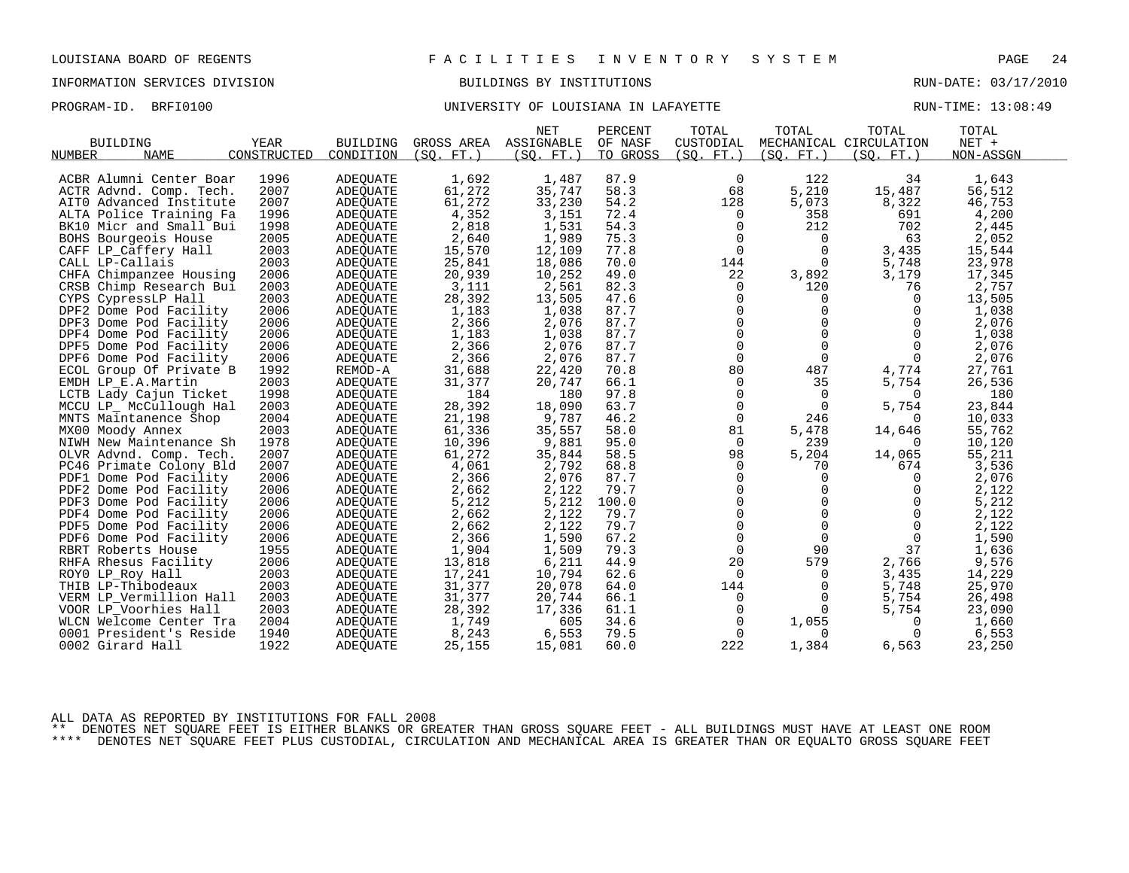PROGRAM-ID. BRFI0100 **BRFION CONFERSITY OF LOUISIANA IN LAFAYETTE** RUN-TIME: 13:08:49

|                                        |             |                 |                  | <b>NET</b> | PERCENT  | TOTAL          | TOTAL          | TOTAL                  | TOTAL     |  |
|----------------------------------------|-------------|-----------------|------------------|------------|----------|----------------|----------------|------------------------|-----------|--|
| <b>BUILDING</b>                        | <b>YEAR</b> | <b>BUILDING</b> | GROSS AREA       | ASSIGNABLE | OF NASF  | CUSTODIAL      |                | MECHANICAL CIRCULATION | $NET +$   |  |
| <b>NAME</b><br>NUMBER                  | CONSTRUCTED | CONDITION       | (SO. FT. )       | (SO. FT.)  | TO GROSS | (SO. FT. )     | (SO. FT. )     | (SO. FT. )             | NON-ASSGN |  |
|                                        |             |                 |                  |            |          |                |                |                        |           |  |
| ACBR Alumni Center Boar                | 1996        | <b>ADEQUATE</b> | 1,692            | 1,487      | 87.9     | 0              | 122            | 34                     | 1,643     |  |
| ACTR Advnd. Comp. Tech.                | 2007        | <b>ADEOUATE</b> | 61,272           | 35,747     | 58.3     | 68             | 5,210          | 15,487                 | 56,512    |  |
| AITO Advanced Institute                | 2007        | ADEQUATE        | 61,272           | 33,230     | 54.2     | 128            | 5,073          | 8,322                  | 46,753    |  |
| ALTA Police Training Fa                | 1996        | <b>ADEOUATE</b> | 4,352            | 3,151      | 72.4     | 0              | 358            | 691                    | 4,200     |  |
| BK10 Micr and Small Bui                | 1998        | <b>ADEOUATE</b> | 2,818            | 1,531      | 54.3     | $\mathbf 0$    | 212            | 702                    | 2,445     |  |
| BOHS Bourgeois House                   | 2005        | ADEQUATE        | 2,640            | 1,989      | 75.3     | 0              | 0              | 63                     | 2,052     |  |
| CAFF LP_Caffery Hall                   | 2003        | <b>ADEQUATE</b> | 15,570           | 12,109     | 77.8     | $\mathsf{O}$   | $\mathbf 0$    | 3,435                  | 15,544    |  |
| CALL LP-Callais                        | 2003        | ADEQUATE        | 25,841           | 18,086     | 70.0     | 144            | $\Omega$       | 5,748                  | 23,978    |  |
| CHFA Chimpanzee Housing                | 2006        | ADEQUATE        | 20,939           | 10,252     | 49.0     | 22             | 3,892          | 3,179                  | 17,345    |  |
| CRSB Chimp Research Bui                | 2003        | ADEQUATE        | 3,111            | 2,561      | 82.3     | 0              | 120            | 76                     | 2,757     |  |
| CYPS CypressLP Hall                    | 2003        | ADEQUATE        | 28,392           | 13,505     | 47.6     | 0              | 0              | 0                      | 13,505    |  |
| DPF2 Dome Pod Facility                 | 2006        | ADEQUATE        | 1,183            | 1,038      | 87.7     | $\Omega$       | $\Omega$       | $\Omega$               | 1,038     |  |
| DPF3 Dome Pod Facility                 | 2006        | ADEQUATE        | 2,366            | 2,076      | 87.7     | $\mathbf 0$    | $\Omega$       | $\Omega$               | 2,076     |  |
| DPF4 Dome Pod Facility                 | 2006        | ADEQUATE        | 1,183            | 1,038      | 87.7     | $\mathbf 0$    | $\mathbf 0$    | $\Omega$               | 1,038     |  |
| DPF5 Dome Pod Facility                 | 2006        | <b>ADEQUATE</b> | 2,366            | 2,076      | 87.7     | $\Omega$       | $\Omega$       | $\Omega$               | 2,076     |  |
| DPF6 Dome Pod Facility                 | 2006        | ADEQUATE        | 2,366            | 2,076      | 87.7     | $\mathbf 0$    | $\mathbf 0$    | 0                      | 2,076     |  |
| ECOL Group Of Private B                | 1992        | REMOD-A         | 31,688           | 22,420     | 70.8     | 80             | 487            | 4,774                  | 27,761    |  |
| EMDH LP E.A.Martin                     | 2003        | <b>ADEQUATE</b> | 31,377           | 20,747     | 66.1     | $\mathbf 0$    | 35             | 5,754                  | 26,536    |  |
| LCTB Lady Cajun Ticket                 | 1998        | ADEOUATE        | 184              | 180        | 97.8     | 0              | $\overline{0}$ | 0                      | 180       |  |
| MCCU LP_ McCullough Hal                | 2003        | ADEQUATE        | 28,392           | 18,090     | 63.7     | 0              | $\overline{0}$ | 5,754                  | 23,844    |  |
| MNTS Maintanence Shop                  | 2004        | ADEQUATE        | 21,198           | 9,787      | 46.2     | $\overline{0}$ | 246            | $\Omega$               | 10,033    |  |
| MX00 Moody Annex                       | 2003        | ADEOUATE        | 61,336           | 35,557     | 58.0     | 81             | 5,478          | 14,646                 | 55,762    |  |
| NIWH New Maintenance Sh                | 1978        | <b>ADEQUATE</b> | 10,396           | 9,881      | 95.0     | $\mathbf 0$    | 239            | $\Omega$               | 10,120    |  |
| OLVR Advnd. Comp. Tech.                | 2007        | <b>ADEOUATE</b> | 61,272           | 35,844     | 58.5     | 98             | 5,204          | 14,065                 | 55,211    |  |
| PC46 Primate Colony Bld                | 2007        | ADEQUATE        | 4,061            | 2,792      | 68.8     | $\mathbf 0$    | 70             | 674                    | 3,536     |  |
| PDF1 Dome Pod Facility                 | 2006        | ADEQUATE        | 2,366            | 2,076      | 87.7     | 0              | $\mathbf 0$    | 0                      | 2,076     |  |
| PDF2 Dome Pod Facility                 | 2006        | <b>ADEOUATE</b> | 2,662            | 2,122      | 79.7     | 0              | 0              | 0                      | 2,122     |  |
| PDF3 Dome Pod Facility                 | 2006        | ADEQUATE        | 5,212            | 5,212      | 100.0    | $\Omega$       | $\Omega$       | $\Omega$               | 5,212     |  |
| PDF4 Dome Pod Facility                 | 2006        | ADEQUATE        | 2,662            | 2,122      | 79.7     | $\mathbf 0$    | $\Omega$       | $\mathbf 0$            | 2,122     |  |
| PDF5 Dome Pod Facility                 | 2006        | <b>ADEQUATE</b> | 2,662            | 2,122      | 79.7     | 0              | $\mathbf 0$    | $\mathbf 0$            | 2,122     |  |
| PDF6 Dome Pod Facility                 | 2006        | <b>ADEQUATE</b> | 2,366            | 1,590      | 67.2     | $\Omega$       | $\Omega$       | $\Omega$               | 1,590     |  |
| RBRT Roberts House                     | 1955        | ADEOUATE        | 1,904            | 1,509      | 79.3     | $\mathbf 0$    | 90             | 37                     | 1,636     |  |
| RHFA Rhesus Facility                   | 2006        | <b>ADEQUATE</b> | 13,818           | 6,211      | 44.9     | 20             | 579            | 2,766                  | 9,576     |  |
|                                        | 2003        | <b>ADEOUATE</b> |                  | 10,794     | 62.6     | $\Omega$       | $\Omega$       |                        | 14,229    |  |
| ROYO LP_Roy Hall<br>THIB LP-Thibodeaux | 2003        |                 | 17,241<br>31,377 |            | 64.0     | 144            | 0              | 3,435<br>5,748         |           |  |
|                                        |             | ADEQUATE        | 31,377           | 20,078     | 66.1     |                | $\Omega$       |                        | 25,970    |  |
| VERM LP_Vermillion Hall                | 2003        | ADEQUATE        |                  | 20,744     |          | 0              |                | 5,754                  | 26,498    |  |
| VOOR LP Voorhies Hall                  | 2003        | ADEQUATE        | 28,392           | 17,336     | 61.1     | $\mathbf 0$    |                | 5,754                  | 23,090    |  |
| WLCN Welcome Center Tra                | 2004        | ADEQUATE        | 1,749            | 605        | 34.6     | 0              | 1,055          | 0                      | 1,660     |  |
| 0001 President's Reside                | 1940        | ADEOUATE        | 8,243            | 6,553      | 79.5     | $\mathbf 0$    | $\Omega$       | $\Omega$               | 6,553     |  |
| 0002 Girard Hall                       | 1922        | ADEQUATE        | 25,155           | 15,081     | 60.0     | 222            | 1,384          | 6,563                  | 23,250    |  |

ALL DATA AS REPORTED BY INSTITUTIONS FOR FALL 2008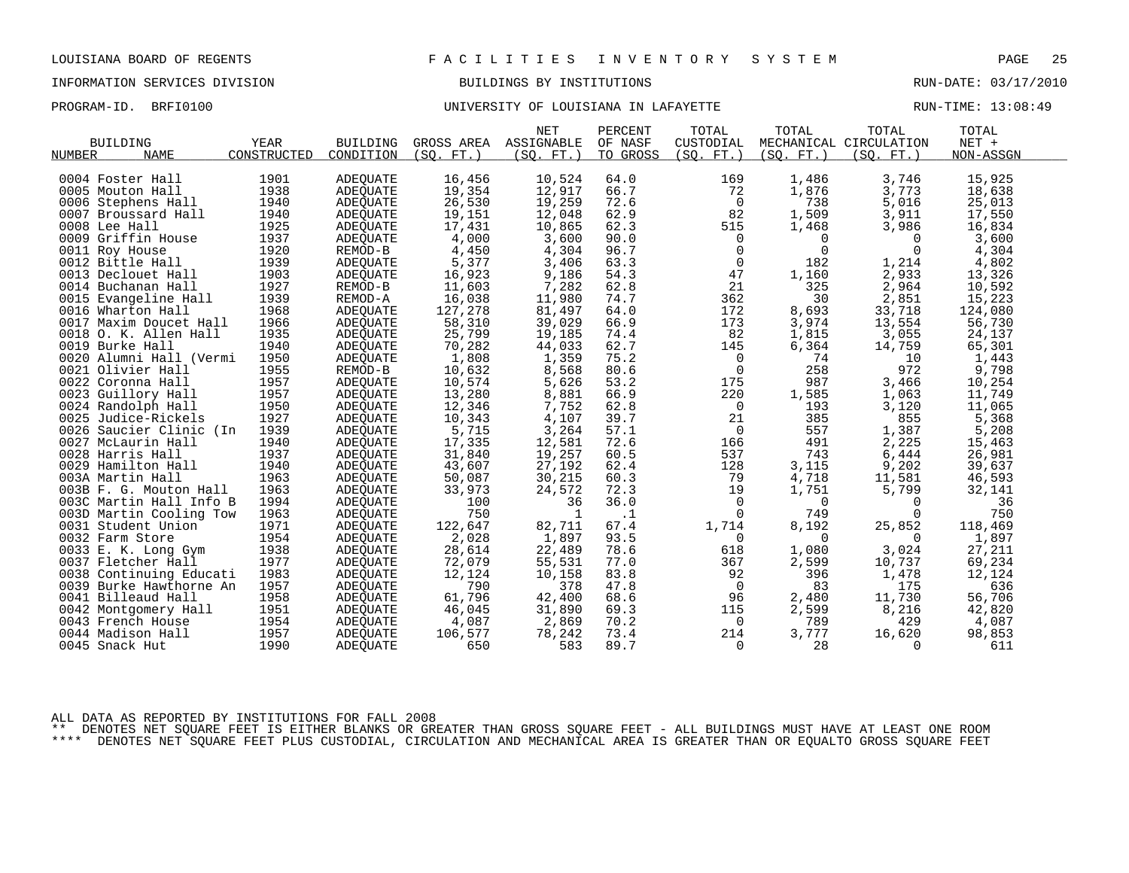PROGRAM-ID. BRFI0100 **BRFION CONFERSITY OF LOUISIANA IN LAFAYETTE** RUN-TIME: 13:08:49

|                                           |             |                 |                 | <b>NET</b>   | PERCENT   | TOTAL                 | TOTAL        | TOTAL                  | TOTAL           |
|-------------------------------------------|-------------|-----------------|-----------------|--------------|-----------|-----------------------|--------------|------------------------|-----------------|
| <b>BUILDING</b>                           | YEAR        | <b>BUILDING</b> | GROSS AREA      | ASSIGNABLE   | OF NASF   | CUSTODIAL             |              | MECHANICAL CIRCULATION | $NET +$         |
| NUMBER<br><b>NAME</b>                     | CONSTRUCTED | CONDITION       | (SO. FT. )      | (SO. FT. )   | TO GROSS  | (SO. FT. )            | (SO. FT. )   | (SO. FT. )             | NON-ASSGN       |
|                                           |             |                 |                 |              |           |                       |              |                        |                 |
| 0004 Foster Hall                          | 1901        | ADEQUATE        | 16,456          | 10,524       | 64.0      | 169                   | 1,486        | 3,746                  | 15,925          |
| 0005 Mouton Hall                          | 1938        | ADEQUATE        | 19,354          | 12,917       | 66.7      | 72                    | 1,876        | 3,773                  | 18,638          |
| 0006 Stephens Hall                        | 1940        | ADEOUATE        | 26,530          | 19,259       | 72.6      | $\overline{0}$        | 738          | 5,016                  | 25,013          |
| 0007 Broussard Hall                       | 1940        | <b>ADEOUATE</b> | 19,151          | 12,048       | 62.9      | 82                    | 1,509        | 3,911                  | 17,550          |
| 0008 Lee Hall                             | 1925        | ADEQUATE        | 17,431          | 10,865       | 62.3      | 515                   | 1,468        | 3,986                  | 16,834          |
| 0009 Griffin House                        | 1937        | ADEQUATE        | 4,000           | 3,600        | 90.0      | 0                     | $\mathbf 0$  | 0                      | 3,600           |
| 0011 Roy House                            | 1920        | REMOD-B         | 4,450           | 4,304        | 96.7      | $\mathbf 0$           | $\mathbf{0}$ | $\Omega$               | 4,304           |
| 0012 Bittle Hall                          | 1939        | ADEOUATE        | 5,377           | 3,406        | 63.3      | $\overline{0}$        | 182          | 1,214                  | 4,802           |
| 0013 Declouet Hall                        | 1903        | <b>ADEOUATE</b> | 16,923          | 9,186        | 54.3      | 47                    | 1,160        | 2,933                  | 13,326          |
| 0014 Buchanan Hall                        | 1927        | REMOD-B         | 11,603          | 7,282        | 62.8      | 21                    | 325          | 2,964                  | 10,592          |
| 0015 Evangeline Hall                      | 1939        | REMOD-A         | 16,038          | 11,980       | 74.7      | 362                   | 30           | 2,851                  | 15,223          |
| 0016 Wharton Hall                         | 1968        | ADEQUATE        | 127,278         | 81,497       | 64.0      | 172                   | 8,693        | 33,718                 | 124,080         |
| 0017 Maxim Doucet Hall                    | 1966        | <b>ADEOUATE</b> | 58,310          | 39,029       | 66.9      | 173                   | 3,974        | 13,554                 | 56,730          |
| 0018 O. K. Allen Hall                     | 1935        | ADEQUATE        | 25,799          | 19,185       | 74.4      | 82                    | 1,815        | 3,055                  | 24,137          |
| 0019 Burke Hall                           | 1940        | <b>ADEOUATE</b> | 70,282          | 44,033       | 62.7      | 145                   | 6,364        | 14,759                 | 65,301          |
| 0020 Alumni Hall (Vermi                   | 1950        | ADEQUATE        | 1,808           | 1,359        | 75.2      | $\mathbf 0$           | 74           | 10                     | 1,443           |
| 0021 Olivier Hall                         | 1955        | REMOD-B         | 10,632          | 8,568        | 80.6      | $\mathbf 0$           | 258          | 972                    | 9,798           |
| 0022 Coronna Hall                         | 1957        | ADEOUATE        | 10,574          | 5,626        | 53.2      | 175                   | 987          | 3,466                  | 10,254          |
| 0023 Guillory Hall                        | 1957        | ADEQUATE        | 13,280          | 8,881        | 66.9      | 220                   | 1,585        | 1,063                  | 11,749          |
| 0024 Randolph Hall                        | 1950        | ADEQUATE        | 12,346          | 7,752        | 62.8      | $\overline{0}$        | 193          | 3,120                  | 11,065          |
| 0025 Judice-Rickels                       | 1927        | ADEQUATE        | 10,343          | 4,107        | 39.7      | 21                    | 385          | 855                    | 5,368           |
| 0026 Saucier Clinic (In                   | 1939        | ADEQUATE        | 5,715           | 3,264        | 57.1      | $\overline{0}$        | 557          | 1,387                  | 5,208           |
| 0027 McLaurin Hall                        | 1940        | <b>ADEOUATE</b> | 17,335          | 12,581       | 72.6      | 166                   | 491          | 2,225                  | 15,463          |
| 0028 Harris Hall                          | 1937        | ADEQUATE        | 31,840          | 19,257       | 60.5      | 537                   | 743          | 6,444                  | 26,981          |
| 0029 Hamilton Hall                        | 1940        | ADEOUATE        | 43,607          | 27,192       | 62.4      | 128                   | 3,115        | 9,202                  | 39,637          |
| 003A Martin Hall                          | 1963        | ADEQUATE        | 50,087          | 30,215       | 60.3      | 79                    | 4,718        | 11,581                 | 46,593          |
| 003B F. G. Mouton Hall                    | 1963        | ADEQUATE        | 33,973          | 24,572       | 72.3      | 19                    | 1,751        | 5,799                  | 32,141          |
| 003C Martin Hall Info B                   | 1994        | <b>ADEOUATE</b> | 100             | 36           | 36.0      | $\Omega$              | $\Omega$     | $\Omega$               | 36              |
| 003D Martin Cooling Tow                   | 1963        | ADEQUATE        | 750             | $\mathbf{1}$ | $\cdot$ 1 | $\Omega$              | 749          | $\Omega$               | 750             |
| 0031 Student Union                        | 1971        | ADEQUATE        | 122,647         | 82,711       | 67.4      | 1,714                 | 8,192        | 25,852                 | 118,469         |
| 0032 Farm Store                           | 1954        | ADEQUATE        | 2,028           | 1,897        | 93.5      | $\Omega$              | $\Omega$     | $\Omega$               | 1,897           |
| 0033 E. K. Long Gym                       | 1938        | ADEQUATE        | 28,614          | 22,489       | 78.6      | 618                   | 1,080        | 3,024                  | 27,211          |
| 0037 Fletcher Hall                        | 1977        | ADEQUATE        | 72,079          | 55,531       | 77.0      | 367                   | 2,599        | 10,737                 | 69,234          |
| 0038 Continuing Educati                   | 1983        | <b>ADEOUATE</b> | 12,124          | 10,158       | 83.8      | 92                    | 396          | 1,478                  | 12,124          |
| 0039 Burke Hawthorne An                   | 1957        | ADEQUATE        | 790             | 378          | 47.8      | $\overline{0}$        | 83           | 175                    | 636             |
| 0041 Billeaud Hall                        | 1958        | ADEQUATE        | 61,796          | 42,400       | 68.6      | 96                    | 2,480        | 11,730                 | 56,706          |
|                                           | 1951        |                 |                 | 31,890       | 69.3      |                       |              |                        |                 |
| 0042 Montgomery Hall<br>0043 French House | 1954        | ADEOUATE        | 46,045<br>4,087 | 2,869        | 70.2      | 115<br>$\overline{0}$ | 2,599<br>789 | 8,216<br>429           | 42,820<br>4,087 |
|                                           |             | ADEQUATE        |                 |              |           |                       |              |                        |                 |
| 0044 Madison Hall                         | 1957        | <b>ADEOUATE</b> | 106,577         | 78,242       | 73.4      | 214                   | 3,777        | 16,620                 | 98,853          |
| 0045 Snack Hut                            | 1990        | ADEOUATE        | 650             | 583          | 89.7      | 0                     | 28           | 0                      | 611             |

ALL DATA AS REPORTED BY INSTITUTIONS FOR FALL 2008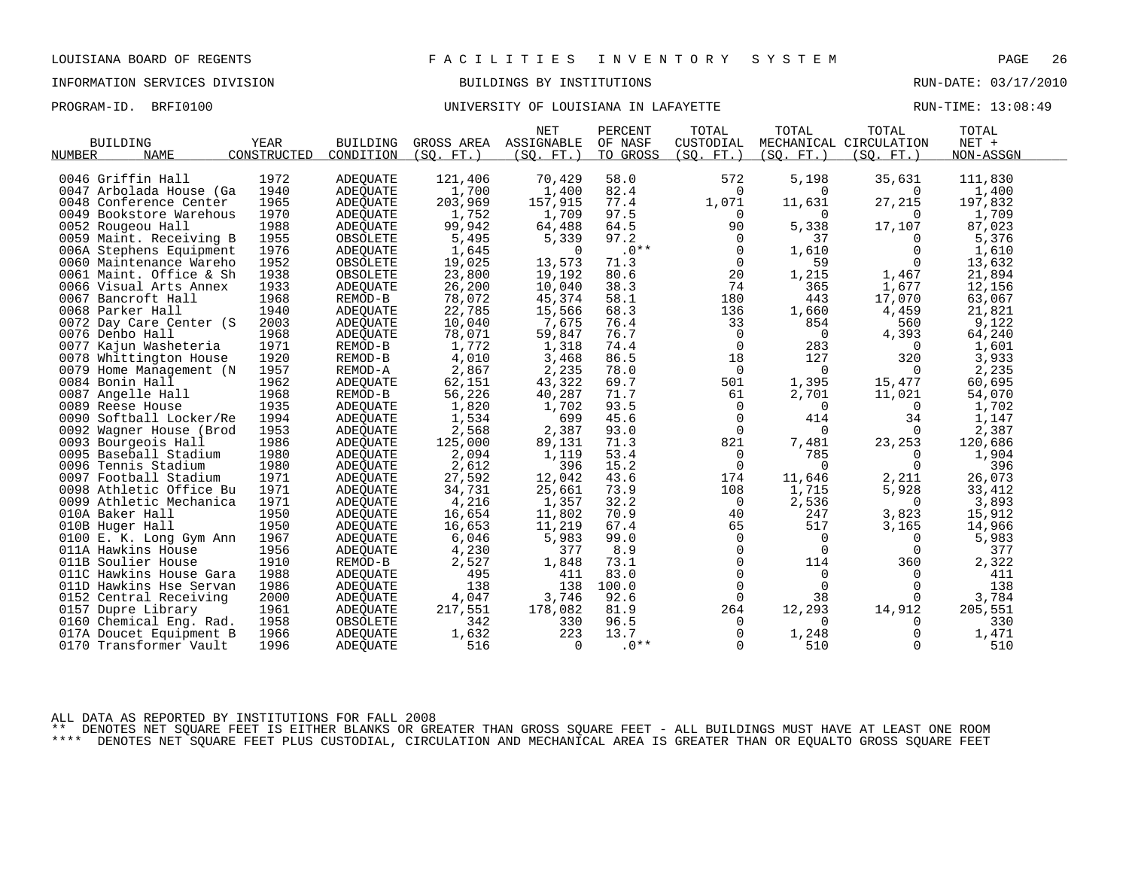# PROGRAM-ID. BRFI0100 **BRFION CONFERSITY OF LOUISIANA IN LAFAYETTE** RUN-TIME: 13:08:49

|                         |             |                 |            | <b>NET</b> | PERCENT  | TOTAL          | TOTAL          | TOTAL                  | TOTAL     |
|-------------------------|-------------|-----------------|------------|------------|----------|----------------|----------------|------------------------|-----------|
| <b>BUILDING</b>         | YEAR        | <b>BUILDING</b> | GROSS AREA | ASSIGNABLE | OF NASF  | CUSTODIAL      |                | MECHANICAL CIRCULATION | NET +     |
| <b>NAME</b><br>NUMBER   | CONSTRUCTED | CONDITION       | (SO. FT. ) | (SQ. FT. ) | TO GROSS | (SQ. FT. )     | (SO. FT. )     | (SQ. FT.)              | NON-ASSGN |
|                         |             |                 |            |            |          |                |                |                        |           |
| 0046 Griffin Hall       | 1972        | ADEQUATE        | 121,406    | 70,429     | 58.0     | 572            | 5,198          | 35,631                 | 111,830   |
| 0047 Arbolada House (Ga | 1940        | ADEOUATE        | 1,700      | 1,400      | 82.4     | $\mathbf 0$    | $\Omega$       | $\Omega$               | 1,400     |
| 0048 Conference Center  | 1965        | ADEQUATE        | 203,969    | 157,915    | 77.4     | 1,071          | 11,631         | 27,215                 | 197,832   |
| 0049 Bookstore Warehous | 1970        | ADEQUATE        | 1,752      | 1,709      | 97.5     | $\Omega$       | $\Omega$       | $\Omega$               | 1,709     |
| 0052 Rougeou Hall       | 1988        | ADEQUATE        | 99,942     | 64,488     | 64.5     | 90             | 5,338          | 17,107                 | 87,023    |
| 0059 Maint. Receiving B | 1955        | OBSOLETE        | 5,495      | 5,339      | 97.2     | $\mathbf 0$    | 37             | 0                      | 5,376     |
| 006A Stephens Equipment | 1976        | ADEQUATE        | 1,645      | $\Omega$   | $.0**$   | $\mathbf 0$    | 1,610          | $\Omega$               | 1,610     |
| 0060 Maintenance Wareho | 1952        | OBSOLETE        | 19,025     | 13,573     | 71.3     | $\mathbf 0$    | 59             | $\Omega$               | 13,632    |
| 0061 Maint. Office & Sh | 1938        | OBSOLETE        | 23,800     | 19,192     | 80.6     | 20             | 1,215          | 1,467                  | 21,894    |
| 0066 Visual Arts Annex  | 1933        | ADEQUATE        | 26,200     | 10,040     | 38.3     | 74             | 365            | 1,677                  | 12,156    |
| 0067 Bancroft Hall      | 1968        | REMOD-B         | 78,072     | 45,374     | 58.1     | 180            | 443            | 17,070                 | 63,067    |
| 0068 Parker Hall        | 1940        | ADEQUATE        | 22,785     | 15,566     | 68.3     | 136            | 1,660          | 4,459                  | 21,821    |
| 0072 Day Care Center (S | 2003        | ADEOUATE        | 10,040     | 7,675      | 76.4     | 33             | 854            | 560                    | 9,122     |
| 0076 Denbo Hall         | 1968        | ADEQUATE        | 78,071     | 59,847     | 76.7     | 0              | $\overline{0}$ | 4,393                  | 64,240    |
| 0077 Kajun Washeteria   | 1971        | REMOD-B         | 1,772      | 1,318      | 74.4     | $\mathbf 0$    | 283            | $\Omega$               | 1,601     |
| 0078 Whittington House  | 1920        | REMOD-B         | 4,010      | 3,468      | 86.5     | 18             | 127            | 320                    | 3,933     |
| 0079 Home Management (N | 1957        | REMOD-A         | 2,867      | 2,235      | 78.0     | 0              | 0              | $\Omega$               | 2,235     |
| 0084 Bonin Hall         | 1962        | ADEQUATE        | 62,151     | 43,322     | 69.7     | 501            | 1,395          | 15,477                 | 60,695    |
| 0087 Angelle Hall       | 1968        | REMOD-B         | 56,226     | 40,287     | 71.7     | 61             | 2,701          | 11,021                 | 54,070    |
| 0089 Reese House        | 1935        | ADEQUATE        | 1,820      | 1,702      | 93.5     | $\mathbf 0$    | 0              | 0                      | 1,702     |
| 0090 Softball Locker/Re | 1994        | ADEQUATE        | 1,534      | 699        | 45.6     | $\mathbf 0$    | 414            | 34                     | 1,147     |
| 0092 Wagner House (Brod | 1953        | ADEOUATE        | 2,568      | 2,387      | 93.0     | $\Omega$       | $\mathbf 0$    | $\Omega$               | 2,387     |
| 0093 Bourgeois Hall     | 1986        | ADEQUATE        | 125,000    | 89,131     | 71.3     | 821            | 7,481          | 23,253                 | 120,686   |
| 0095 Baseball Stadium   | 1980        | ADEOUATE        | 2,094      | 1,119      | 53.4     | 0              | 785            | $\Omega$               | 1,904     |
| 0096 Tennis Stadium     | 1980        | ADEQUATE        | 2,612      | 396        | 15.2     | $\mathbf 0$    | $\Omega$       | $\Omega$               | 396       |
| 0097 Football Stadium   | 1971        | ADEQUATE        | 27,592     | 12,042     | 43.6     | 174            | 11,646         | 2,211                  | 26,073    |
| 0098 Athletic Office Bu | 1971        | ADEOUATE        | 34,731     | 25,661     | 73.9     | 108            | 1,715          | 5,928                  | 33,412    |
| 0099 Athletic Mechanica | 1971        | ADEQUATE        | 4,216      | 1,357      | 32.2     | 0              | 2,536          | 0                      | 3,893     |
| 010A Baker Hall         | 1950        | ADEQUATE        | 16,654     | 11,802     | 70.9     | 40             | 247            | 3,823                  | 15,912    |
| 010B Huger Hall         | 1950        | ADEOUATE        | 16,653     | 11,219     | 67.4     | 65             | 517            | 3,165                  | 14,966    |
| 0100 E. K. Long Gym Ann | 1967        | ADEQUATE        | 6,046      | 5,983      | 99.0     | $\overline{0}$ | $\mathbf 0$    | $\Omega$               | 5,983     |
| 011A Hawkins House      | 1956        | ADEOUATE        | 4,230      | 377        | 8.9      | 0              | $\overline{0}$ | 0                      | 377       |
| 011B Soulier House      | 1910        | REMOD-B         | 2,527      | 1,848      | 73.1     | $\Omega$       | 114            | 360                    | 2,322     |
| 011C Hawkins House Gara | 1988        | ADEQUATE        | 495        | 411        | 83.0     | $\Omega$       | $\Omega$       | $\Omega$               | 411       |
| 011D Hawkins Hse Servan | 1986        | ADEQUATE        | 138        | 138        | 100.0    | 0              | $\mathbf 0$    | 0                      | 138       |
| 0152 Central Receiving  | 2000        | ADEQUATE        | 4,047      | 3,746      | 92.6     | 0              | 38             | $\Omega$               | 3,784     |
| 0157 Dupre Library      | 1961        | ADEOUATE        | 217,551    | 178,082    | 81.9     | 264            | 12,293         | 14,912                 | 205,551   |
| 0160 Chemical Eng. Rad. | 1958        | OBSOLETE        | 342        | 330        | 96.5     | $\mathbf 0$    | $\Omega$       | $\Omega$               | 330       |
| 017A Doucet Equipment B | 1966        | ADEOUATE        | 1,632      | 223        | 13.7     | $\mathbf 0$    | 1,248          | 0                      | 1,471     |
| 0170 Transformer Vault  | 1996        | ADEQUATE        | 516        | $\Omega$   | $.0**$   | $\Omega$       | 510            | $\Omega$               | 510       |
|                         |             |                 |            |            |          |                |                |                        |           |

ALL DATA AS REPORTED BY INSTITUTIONS FOR FALL 2008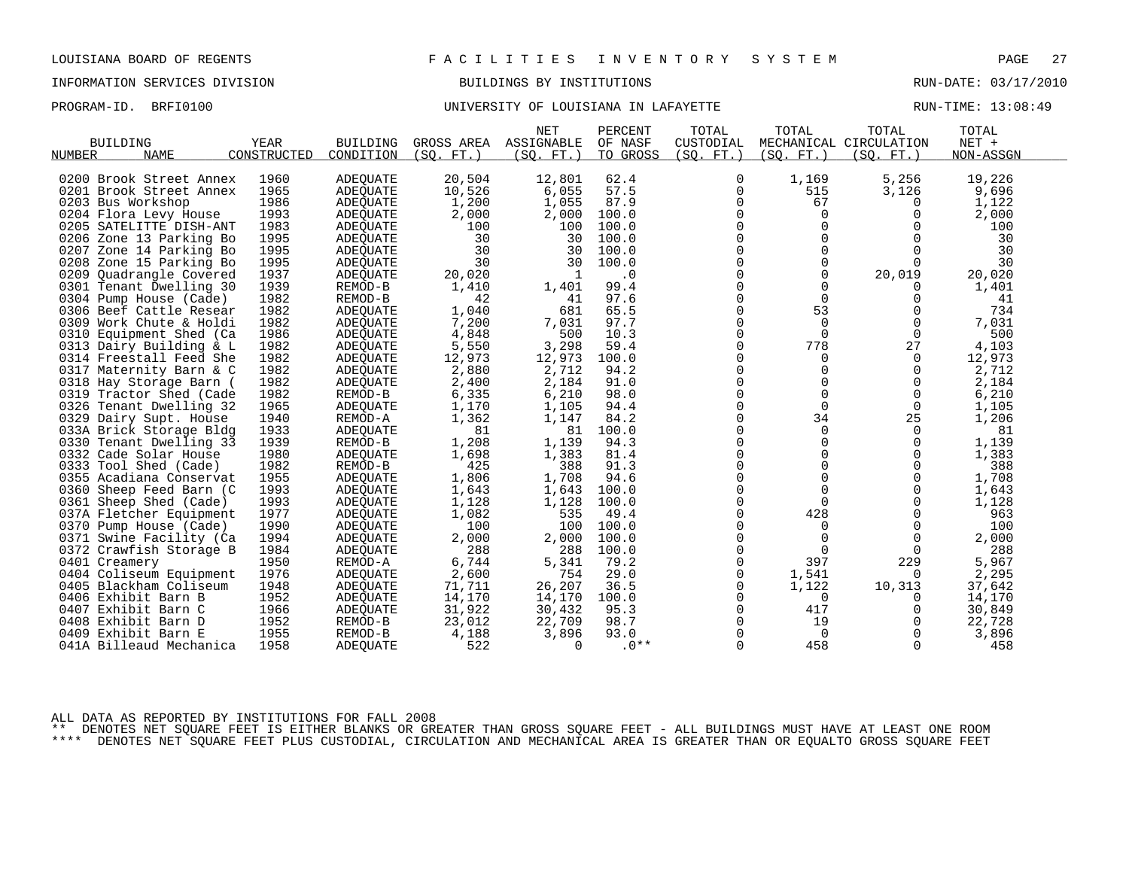PROGRAM-ID. BRFI0100 **BRFION CONTROLLER UNIVERSITY OF LOUISIANA IN LAFAYETTE EXAM** PROGRAM-ID. BRIN-TIME: 13:08:49

| <b>BUILDING</b>            | YEAR        | <b>BUILDING</b> | GROSS AREA | <b>NET</b><br>ASSIGNABLE | PERCENT<br>OF NASF | TOTAL<br>CUSTODIAL | TOTAL       | TOTAL<br>MECHANICAL CIRCULATION | TOTAL<br>NET + |  |
|----------------------------|-------------|-----------------|------------|--------------------------|--------------------|--------------------|-------------|---------------------------------|----------------|--|
| <b>NAME</b><br>NUMBER      | CONSTRUCTED | CONDITION       | (SO. FT. ) | (SO. FT. )               | TO GROSS           | (SO. FT. )         | (SO. FT. )  | (SO. FT. )                      | NON-ASSGN      |  |
|                            |             |                 |            |                          |                    |                    |             |                                 |                |  |
| 0200 Brook Street Annex    | 1960        | <b>ADEQUATE</b> | 20,504     | 12,801                   | 62.4               | 0                  | 1,169       | 5,256                           | 19,226         |  |
| 0201 Brook Street Annex    | 1965        | <b>ADEQUATE</b> | 10,526     | 6,055                    | 57.5               | $\mathbf 0$        | 515         | 3,126                           | 9,696          |  |
| 0203 Bus Workshop          | 1986        | ADEQUATE        | 1,200      | 1,055                    | 87.9               | 0                  | 67          | 0                               | 1,122          |  |
| 0204 Flora Levy House      | 1993        | <b>ADEOUATE</b> | 2,000      | 2,000                    | 100.0              | 0                  | $\Omega$    | 0                               | 2,000          |  |
| 0205 SATELITTE DISH-ANT    | 1983        | <b>ADEQUATE</b> | 100        | 100                      | 100.0              | $\Omega$           | $\Omega$    | $\Omega$                        | 100            |  |
| 0206 Zone 13 Parking Bo    | 1995        | ADEOUATE        | 30         | 30                       | 100.0              | $\mathbf 0$        | $\mathbf 0$ | $\Omega$                        | 30             |  |
| 0207<br>Zone 14 Parking Bo | 1995        | <b>ADEOUATE</b> | 30         | 30                       | 100.0              | 0                  | $\mathbf 0$ | $\Omega$                        | 30             |  |
| 0208 Zone 15 Parking Bo    | 1995        | ADEQUATE        | 30         | 30                       | 100.0              | $\mathbf 0$        | 0           | $\Omega$                        | 30             |  |
| 0209<br>Ouadrangle Covered | 1937        | ADEOUATE        | 20,020     | -1                       | $\cdot$ 0          | $\Omega$           | $\Omega$    | 20,019                          | 20,020         |  |
| 0301 Tenant Dwelling 30    | 1939        | REMOD-B         | 1,410      | 1,401                    | 99.4               | 0                  | $\Omega$    | $\Omega$                        | 1,401          |  |
| 0304 Pump House (Cade)     | 1982        | REMOD-B         | 42         | 41                       | 97.6               | 0                  | 0           | 0                               | 41             |  |
| 0306 Beef Cattle Resear    | 1982        | <b>ADEQUATE</b> | 1,040      | 681                      | 65.5               | $\Omega$           | 53          | $\Omega$                        | 734            |  |
| 0309 Work Chute & Holdi    | 1982        | ADEQUATE        | 7,200      | 7,031                    | 97.7               | $\mathbf 0$        | $\mathbf 0$ | 0                               | 7,031          |  |
| 0310<br>Equipment Shed (Ca | 1986        | ADEQUATE        | 4,848      | 500                      | 10.3               | 0                  | $\mathbf 0$ | $\mathbf 0$                     | 500            |  |
| 0313 Dairy Building & L    | 1982        | ADEOUATE        | 5,550      | 3,298                    | 59.4               | $\Omega$           | 778         | 27                              | 4,103          |  |
| 0314 Freestall Feed She    | 1982        | ADEQUATE        | 12,973     | 12,973                   | 100.0              | 0                  | 0           | 0                               | 12,973         |  |
| 0317 Maternity Barn & C    | 1982        | <b>ADEQUATE</b> | 2,880      | 2,712                    | 94.2               | $\Omega$           | $\Omega$    | $\mathbf 0$                     | 2,712          |  |
| 0318 Hay Storage Barn (    | 1982        | ADEOUATE        | 2,400      | 2,184                    | 91.0               | $\Omega$           | $\Omega$    | $\Omega$                        | 2,184          |  |
| 0319 Tractor Shed (Cade    | 1982        | REMOD-B         | 6,335      | 6,210                    | 98.0               | $\mathbf 0$        | $\mathbf 0$ | $\mathbf 0$                     | 6,210          |  |
| 0326 Tenant Dwelling 32    | 1965        | ADEQUATE        | 1,170      | 1,105                    | 94.4               | 0                  | $\Omega$    | 0                               | 1,105          |  |
| 0329 Dairy Supt. House     | 1940        | REMOD-A         | 1,362      | 1,147                    | 84.2               | $\Omega$           | 34          | 25                              | 1,206          |  |
| 033A Brick Storage Bldg    | 1933        | <b>ADEQUATE</b> | 81         | 81                       | 100.0              | $\mathbf 0$        | $\Omega$    | $\Omega$                        | 81             |  |
| Tenant Dwelling 33<br>0330 | 1939        | REMOD-B         | 1,208      | 1,139                    | 94.3               | 0                  | 0           | 0                               | 1,139          |  |
| 0332 Cade Solar House      | 1980        | <b>ADEQUATE</b> | 1,698      | 1,383                    | 81.4               | $\Omega$           | $\Omega$    | 0                               | 1,383          |  |
| 0333 Tool Shed (Cade)      | 1982        | REMOD-B         | 425        | 388                      | 91.3               | $\Omega$           | $\Omega$    | $\Omega$                        | 388            |  |
| 0355 Acadiana Conservat    | 1955        | <b>ADEQUATE</b> | 1,806      | 1,708                    | 94.6               | 0                  | 0           | $\mathbf 0$                     | 1,708          |  |
| 0360 Sheep Feed Barn (C    | 1993        | <b>ADEQUATE</b> | 1,643      | 1,643                    | 100.0              | 0                  | $\mathbf 0$ | $\Omega$                        | 1,643          |  |
| 0361 Sheep Shed (Cade)     | 1993        | ADEOUATE        | 1,128      | 1,128                    | 100.0              | $\Omega$           | $\Omega$    | $\Omega$                        | 1,128          |  |
| 037A Fletcher Equipment    | 1977        | ADEQUATE        | 1,082      | 535                      | 49.4               | $\mathbf 0$        | 428         | $\mathbf 0$                     | 963            |  |
| 0370 Pump House (Cade)     | 1990        | ADEQUATE        | 100        | 100                      | 100.0              | 0                  | 0           | 0                               | 100            |  |
| 0371 Swine Facility (Ca    | 1994        | ADEQUATE        | 2,000      | 2,000                    | 100.0              | $\Omega$           | $\Omega$    | $\Omega$                        | 2,000          |  |
| 0372 Crawfish Storage B    | 1984        | <b>ADEQUATE</b> | 288        | 288                      | 100.0              | $\mathbf 0$        | $\Omega$    | $\Omega$                        | 288            |  |
| 0401 Creamery              | 1950        | REMOD-A         | 6,744      | 5,341                    | 79.2               | $\mathbf 0$        | 397         | 229                             | 5,967          |  |
| 0404 Coliseum Equipment    | 1976        | <b>ADEOUATE</b> | 2,600      | 754                      | 29.0               | $\mathbf 0$        | 1,541       | 0                               | 2,295          |  |
| 0405 Blackham Coliseum     | 1948        | ADEQUATE        | 71,711     | 26,207                   | 36.5               | 0                  | 1,122       | 10,313                          | 37,642         |  |
| 0406 Exhibit Barn B        | 1952        | ADEQUATE        | 14,170     | 14,170                   | 100.0              | $\mathbf 0$        | $\Omega$    | $\Omega$                        | 14,170         |  |
| 0407 Exhibit Barn C        | 1966        | ADEQUATE        | 31,922     | 30,432                   | 95.3               | $\Omega$           | 417         | $\Omega$                        | 30,849         |  |
| 0408 Exhibit Barn D        | 1952        | REMOD-B         | 23,012     | 22,709                   | 98.7               | 0                  | 19          | $\Omega$                        | 22,728         |  |
| Exhibit Barn E<br>0409     | 1955        | REMOD-B         | 4,188      | 3,896                    | 93.0               | $\Omega$           | $\Omega$    | 0                               | 3,896          |  |
| 041A Billeaud Mechanica    | 1958        | ADEQUATE        | 522        | 0                        | $.0**$             | $\Omega$           | 458         | 0                               | 458            |  |
|                            |             |                 |            |                          |                    |                    |             |                                 |                |  |

ALL DATA AS REPORTED BY INSTITUTIONS FOR FALL 2008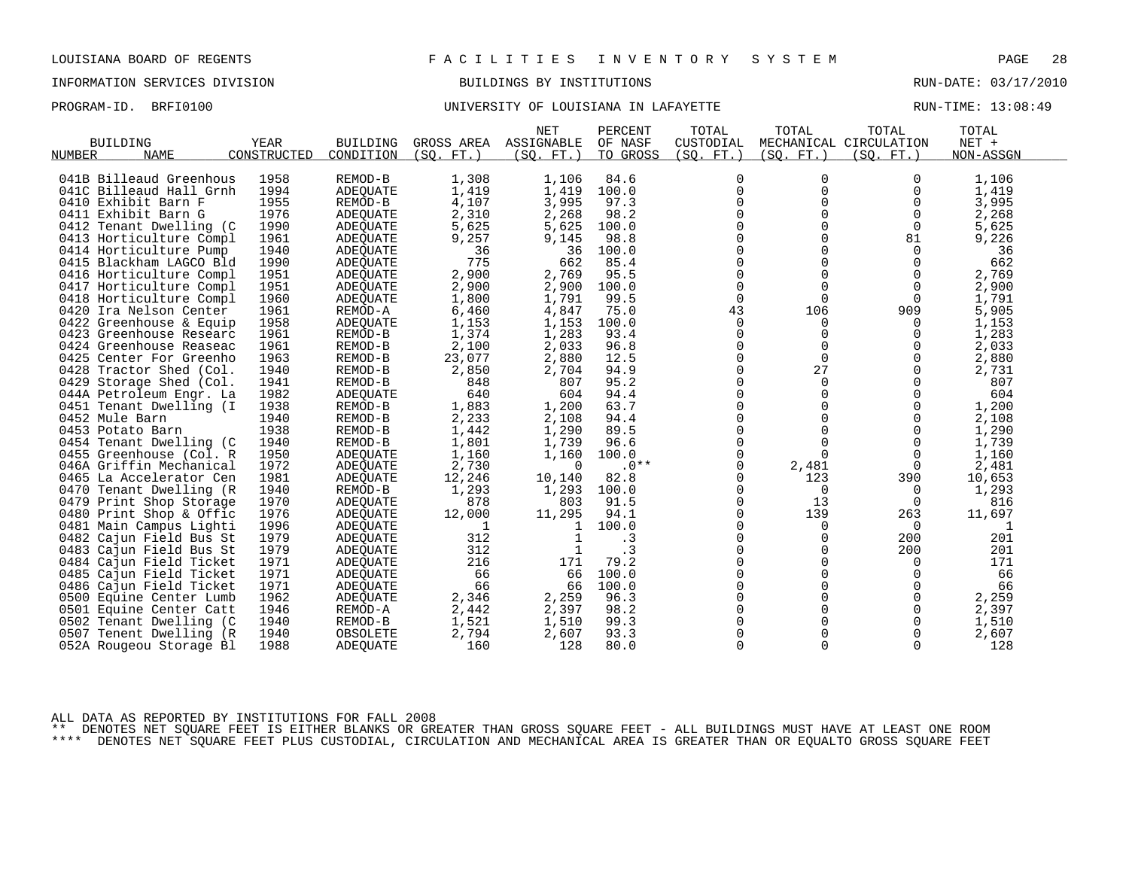## PROGRAM-ID. BRFI0100 **BRFION CONFERSITY OF LOUISIANA IN LAFAYETTE** RUN-TIME: 13:08:49

|                                                    |             |                 |            | <b>NET</b>        | PERCENT         | TOTAL         | TOTAL       | TOTAL                  | TOTAL     |  |
|----------------------------------------------------|-------------|-----------------|------------|-------------------|-----------------|---------------|-------------|------------------------|-----------|--|
| <b>BUILDING</b>                                    | YEAR        | <b>BUILDING</b> | GROSS AREA | ASSIGNABLE        | OF NASF         | CUSTODIAL     |             | MECHANICAL CIRCULATION | NET +     |  |
| NUMBER<br>NAME                                     | CONSTRUCTED | CONDITION       | (SO. FT. ) | (SQ. FT. )        | TO GROSS        | (SO. FT.)     | (SO. FT. )  | (SO. FT. )             | NON-ASSGN |  |
|                                                    |             |                 |            |                   |                 |               |             |                        |           |  |
| 041B Billeaud Greenhous                            | 1958        | REMOD-B         | 1,308      | 1,106             | 84.6            | 0             | 0           | 0                      | 1,106     |  |
| 041C Billeaud Hall Grnh                            | 1994        | ADEOUATE        | 1,419      | 1,419             | 100.0           | $\mathbf 0$   | $\Omega$    | $\Omega$               | 1,419     |  |
| 0410 Exhibit Barn F                                | 1955        | REMOD-B         | 4,107      | 3,995             | 97.3            | $\mathbf 0$   | 0           | 0                      | 3,995     |  |
| 0411 Exhibit Barn G                                | 1976        | <b>ADEOUATE</b> | 2,310      | 2,268             | 98.2            | 0             | $\Omega$    | $\mathbf 0$            | 2,268     |  |
| 0412 Tenant Dwelling (C                            | 1990        | <b>ADEQUATE</b> | 5,625      | 5,625             | 100.0           | $\Omega$      | $\Omega$    | 0                      | 5,625     |  |
| 0413 Horticulture Compl                            | 1961        | ADEQUATE        | 9,257      | 9,145             | 98.8            | $\mathbf 0$   | $\Omega$    | 81                     | 9,226     |  |
| 0414 Horticulture Pump                             | 1940        | ADEOUATE        | 36         | 36                | 100.0           | 0             | $\Omega$    | $\Omega$               | 36        |  |
| 0415 Blackham LAGCO Bld                            | 1990        | ADEQUATE        | 775        | 662               | 85.4            | $\mathbf 0$   | $\Omega$    | 0                      | 662       |  |
| 0416 Horticulture Compl                            | 1951        | ADEOUATE        | 2,900      | 2,769             | 95.5            | $\Omega$      | $\Omega$    | $\Omega$               | 2,769     |  |
| 0417 Horticulture Compl                            | 1951        | <b>ADEQUATE</b> | 2,900      | 2,900             | 100.0           | $\mathbf 0$   | $\Omega$    | $\mathbf 0$            | 2,900     |  |
| 0418 Horticulture Compl                            | 1960        | ADEQUATE        | 1,800      | 1,791             | 99.5            | 0             | $\mathbf 0$ | 0                      | 1,791     |  |
| 0420 Ira Nelson Center                             | 1961        | REMOD-A         | 6,460      | 4,847             | 75.0            | 43            | 106         | 909                    | 5,905     |  |
| 0422 Greenhouse & Equip                            | 1958        | ADEQUATE        | 1,153      | 1,153             | 100.0           | 0             | 0           | 0                      | 1,153     |  |
| 0423 Greenhouse Researc                            | 1961        | REMOD-B         | 1,374      | 1,283             | 93.4            | $\mathbf 0$   | $\Omega$    | $\Omega$               | 1,283     |  |
| 0424 Greenhouse Reaseac                            | 1961        | REMOD-B         | 2,100      | 2,033             | 96.8            | $\Omega$      | $\Omega$    | $\Omega$               | 2,033     |  |
| 0425 Center For Greenho                            | 1963        | REMOD-B         | 23,077     | 2,880             | 12.5            | $\mathbf 0$   | $\mathbf 0$ | 0                      | 2,880     |  |
| 0428 Tractor Shed (Col.                            | 1940        | REMOD-B         | 2,850      | 2,704             | 94.9            | 0             | 27          | 0                      | 2,731     |  |
| 0429 Storage Shed (Col.                            | 1941        | REMOD-B         | 848        | 807               | 95.2            | $\mathbf 0$   | $\Omega$    | $\Omega$               | 807       |  |
| 044A Petroleum Engr. La                            | 1982        | ADEQUATE        | 640        | 604               | 94.4            | $\Omega$      | $\Omega$    | $\Omega$               | 604       |  |
| 0451 Tenant Dwelling (I                            | 1938        | REMOD-B         | 1,883      | 1,200             | 63.7            | 0             | 0           | 0                      | 1,200     |  |
| 0452 Mule Barn                                     | 1940        | REMOD-B         | 2,233      | 2,108             | 94.4            | 0             |             | 0                      | 2,108     |  |
| 0453 Potato Barn                                   | 1938        | REMOD-B         | 1,442      | 1,290             | 89.5            | $\Omega$      | $\Omega$    | $\Omega$               | 1,290     |  |
| 0454 Tenant Dwelling (C                            | 1940        | REMOD-B         | 1,801      | 1,739             | 96.6            | $\mathbf 0$   | $\Omega$    | 0                      | 1,739     |  |
|                                                    |             |                 |            |                   |                 |               | $\Omega$    | $\overline{0}$         |           |  |
| 0455 Greenhouse (Col. R<br>046A Griffin Mechanical | 1950        | <b>ADEQUATE</b> | 1,160      | 1,160<br>$\Omega$ | 100.0<br>$.0**$ | 0<br>$\Omega$ |             | $\Omega$               | 1,160     |  |
|                                                    | 1972        | ADEOUATE        | 2,730      |                   |                 |               | 2,481       |                        | 2,481     |  |
| 0465 La Accelerator Cen                            | 1981        | ADEQUATE        | 12,246     | 10,140            | 82.8            | 0             | 123         | 390                    | 10,653    |  |
| 0470 Tenant Dwelling (R                            | 1940        | REMOD-B         | 1,293      | 1,293             | 100.0           | 0             | 0           | 0                      | 1,293     |  |
| 0479 Print Shop Storage                            | 1970        | <b>ADEQUATE</b> | 878        | 803               | 91.5            | $\Omega$      | 13          | 0                      | 816       |  |
| 0480 Print Shop & Offic                            | 1976        | <b>ADEQUATE</b> | 12,000     | 11,295            | 94.1            | $\Omega$      | 139         | 263                    | 11,697    |  |
| 0481 Main Campus Lighti                            | 1996        | ADEOUATE        | 1          | 1                 | 100.0           | 0             | 0           | $\overline{0}$         | 1         |  |
| 0482 Cajun Field Bus St                            | 1979        | <b>ADEQUATE</b> | 312        |                   | $\cdot$ 3       | 0             | 0           | 200                    | 201       |  |
| 0483 Cajun Field Bus St                            | 1979        | <b>ADEQUATE</b> | 312        |                   | .3              | $\Omega$      | $\Omega$    | 200                    | 201       |  |
| 0484 Cajun Field Ticket                            | 1971        | <b>ADEQUATE</b> | 216        | 171               | 79.2            | 0             | $\Omega$    | 0                      | 171       |  |
| 0485 Cajun Field Ticket                            | 1971        | ADEQUATE        | 66         | 66                | 100.0           | 0             | $\Omega$    | $\Omega$               | 66        |  |
| 0486 Cajun Field Ticket                            | 1971        | ADEOUATE        | 66         | 66                | 100.0           | $\Omega$      | $\Omega$    |                        | 66        |  |
| 0500 Equine Center Lumb                            | 1962        | ADEQUATE        | 2,346      | 2,259             | 96.3            | 0             | 0           | 0                      | 2,259     |  |
| 0501 Equine Center Catt                            | 1946        | REMOD-A         | 2,442      | 2,397             | 98.2            | 0             |             | 0                      | 2,397     |  |
| 0502 Tenant Dwelling (C                            | 1940        | REMOD-B         | 1,521      | 1,510             | 99.3            | $\Omega$      |             | $\Omega$               | 1,510     |  |
| 0507 Tenent Dwelling (R                            | 1940        | OBSOLETE        | 2,794      | 2,607             | 93.3            | $\Omega$      | $\Omega$    | $\Omega$               | 2,607     |  |
| 052A Rougeou Storage Bl                            | 1988        | <b>ADEOUATE</b> | 160        | 128               | 80.0            | $\mathbf 0$   | $\Omega$    | $\Omega$               | 128       |  |

ALL DATA AS REPORTED BY INSTITUTIONS FOR FALL 2008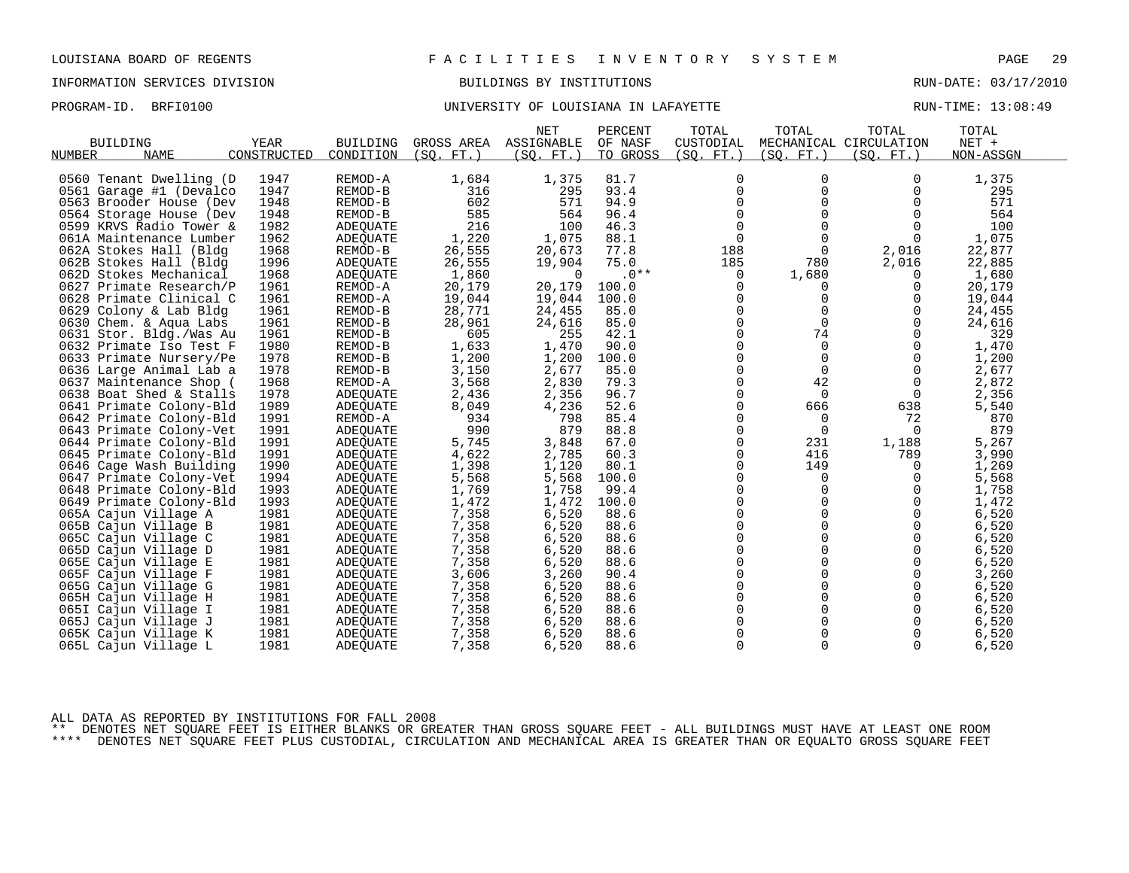## PROGRAM-ID. BRFI0100 **BRFION CONFERSITY OF LOUISIANA IN LAFAYETTE** RUN-TIME: 13:08:49

| <b>BUILDING</b><br><b>NAME</b><br>NUMBER | YEAR<br>CONSTRUCTED | <b>BUILDING</b><br>CONDITION | GROSS AREA<br>(SO, FT.) | <b>NET</b><br>ASSIGNABLE<br>(SO. FT. ) | PERCENT<br>OF NASF<br>TO GROSS | TOTAL<br>CUSTODIAL<br>(SO. FT. ) | TOTAL<br>(SO. FT. ) | TOTAL<br>MECHANICAL CIRCULATION<br>(SO. FT.) | TOTAL<br>NET +<br>NON-ASSGN |  |
|------------------------------------------|---------------------|------------------------------|-------------------------|----------------------------------------|--------------------------------|----------------------------------|---------------------|----------------------------------------------|-----------------------------|--|
|                                          |                     |                              |                         |                                        |                                |                                  |                     |                                              |                             |  |
| 0560 Tenant Dwelling (D                  | 1947                | REMOD-A                      | 1,684                   | 1,375                                  | 81.7                           | $\mathbf 0$                      | 0                   | 0                                            | 1,375                       |  |
| 0561 Garage #1 (Devalco                  | 1947                | REMOD-B                      | 316                     | 295                                    | 93.4                           | 0                                | 0                   | 0                                            | 295                         |  |
| 0563 Brooder House (Dev                  | 1948                | REMOD-B                      | 602                     | 571                                    | 94.9                           | $\Omega$                         | $\Omega$            | $\Omega$                                     | 571                         |  |
| 0564 Storage House (Dev                  | 1948                | REMOD-B                      | 585                     | 564                                    | 96.4                           | $\mathbf 0$                      | $\mathbf 0$         | $\Omega$                                     | 564                         |  |
| 0599 KRVS Radio Tower &                  | 1982                | <b>ADEQUATE</b>              | 216                     | 100                                    | 46.3                           | $\mathbf 0$                      | $\Omega$            | $\Omega$                                     | 100                         |  |
| 061A Maintenance Lumber                  | 1962                | ADEQUATE                     | 1,220                   | 1,075                                  | 88.1                           | $\mathbf 0$                      | $\Omega$            | $\Omega$                                     | 1,075                       |  |
| 062A Stokes Hall (Bldg                   | 1968                | REMOD-B                      | 26,555                  | 20,673                                 | 77.8                           | 188                              | $\Omega$            | 2,016                                        | 22,877                      |  |
| 062B Stokes Hall (Bldg                   | 1996                | <b>ADEQUATE</b>              | 26,555                  | 19,904                                 | 75.0                           | 185                              | 780                 | 2,016                                        | 22,885                      |  |
| 062D Stokes Mechanical                   | 1968                | <b>ADEOUATE</b>              | 1,860                   | $\Omega$                               | $.0**$                         | 0                                | 1,680               | $\Omega$                                     | 1,680                       |  |
| 0627 Primate Research/P                  | 1961                | REMOD-A                      | 20,179                  | 20,179                                 | 100.0                          | 0                                | 0                   | 0                                            | 20,179                      |  |
| 0628 Primate Clinical C                  | 1961                | REMOD-A                      | 19,044                  | 19,044                                 | 100.0                          | $\Omega$                         | $\Omega$            | $\Omega$                                     | 19,044                      |  |
| 0629 Colony & Lab Bldg                   | 1961                | REMOD-B                      | 28,771                  | 24,455                                 | 85.0                           | $\Omega$                         | $\Omega$            | $\Omega$                                     | 24,455                      |  |
| 0630 Chem. & Aqua Labs                   | 1961                | REMOD-B                      | 28,961                  | 24,616                                 | 85.0                           | $\mathbf 0$                      | $\Omega$            | $\Omega$                                     | 24,616                      |  |
| 0631 Stor. Bldg./Was Au                  | 1961                | REMOD-B                      | 605                     | 255                                    | 42.1                           | 0                                | 74                  | $\mathbf 0$                                  | 329                         |  |
| 0632 Primate Iso Test F                  | 1980                | REMOD-B                      | 1,633                   | 1,470                                  | 90.0                           | $\mathbf 0$                      | $\Omega$            | $\Omega$                                     | 1,470                       |  |
| 0633 Primate Nursery/Pe                  | 1978                | REMOD-B                      | 1,200                   | 1,200                                  | 100.0                          | $\mathbf 0$                      | $\mathbf 0$         | $\mathbf 0$                                  | 1,200                       |  |
| 0636 Large Animal Lab a                  | 1978                | REMOD-B                      | 3,150                   | 2,677                                  | 85.0                           | $\mathbf 0$                      | $\mathbf 0$         | $\mathbf 0$                                  | 2,677                       |  |
| 0637 Maintenance Shop (                  | 1968                | REMOD-A                      | 3,568                   | 2,830                                  | 79.3                           | $\mathbf 0$                      | 42                  | 0                                            | 2,872                       |  |
| 0638 Boat Shed & Stalls                  | 1978                | <b>ADEQUATE</b>              | 2,436                   | 2,356                                  | 96.7                           | $\Omega$                         | $\Omega$            | $\Omega$                                     | 2,356                       |  |
| 0641 Primate Colony-Bld                  | 1989                | ADEOUATE                     | 8,049                   | 4,236                                  | 52.6                           | 0                                | 666                 | 638                                          | 5,540                       |  |
| 0642 Primate Colony-Bld                  | 1991                | REMOD-A                      | 934                     | 798                                    | 85.4                           | $\mathbf 0$                      | 0                   | 72                                           | 870                         |  |
| 0643 Primate Colony-Vet                  | 1991                | ADEOUATE                     | 990                     | 879                                    | 88.8                           | $\Omega$                         | $\Omega$            | $\Omega$                                     | 879                         |  |
| 0644 Primate Colony-Bld                  | 1991                | <b>ADEQUATE</b>              | 5,745                   | 3,848                                  | 67.0                           | $\mathbf 0$                      | 231                 | 1,188                                        | 5,267                       |  |
| 0645 Primate Colony-Bld                  | 1991                | <b>ADEQUATE</b>              | 4,622                   | 2,785                                  | 60.3                           | 0                                | 416                 | 789                                          | 3,990                       |  |
| 0646 Cage Wash Building                  | 1990                | <b>ADEQUATE</b>              | 1,398                   | 1,120                                  | 80.1                           | $\Omega$                         | 149                 | $\Omega$                                     | 1,269                       |  |
| 0647 Primate Colony-Vet                  | 1994                | ADEQUATE                     | 5,568                   | 5,568                                  | 100.0                          | $\mathbf 0$                      | $\mathbf 0$         | 0                                            | 5,568                       |  |
| 0648 Primate Colony-Bld                  | 1993                | <b>ADEQUATE</b>              | 1,769                   | 1,758                                  | 99.4                           | 0                                | $\Omega$            | $\Omega$                                     | 1,758                       |  |
| 0649 Primate Colony-Bld                  | 1993                | ADEOUATE                     | 1,472                   | 1,472                                  | 100.0                          | $\Omega$                         | $\Omega$            | $\Omega$                                     | 1,472                       |  |
| 065A Cajun Village A                     | 1981                | ADEQUATE                     | 7,358                   | 6,520                                  | 88.6                           | $\mathbf 0$                      | $\mathbf 0$         | $\mathbf 0$                                  | 6,520                       |  |
| 065B Cajun Village B                     | 1981                | ADEQUATE                     | 7,358                   | 6,520                                  | 88.6                           | 0                                | 0                   | $\mathbf 0$                                  | 6,520                       |  |
| 065C Cajun Village C                     | 1981                | <b>ADEQUATE</b>              | 7,358                   | 6,520                                  | 88.6                           | $\Omega$                         | $\Omega$            | $\Omega$                                     | 6,520                       |  |
| 065D Cajun Village D                     | 1981                | ADEOUATE                     | 7,358                   | 6,520                                  | 88.6                           | $\mathbf 0$                      | 0                   | 0                                            | 6,520                       |  |
| 065E Cajun Village E                     | 1981                | ADEQUATE                     | 7,358                   | 6,520                                  | 88.6                           | $\mathbf 0$                      | $\Omega$            | $\Omega$                                     | 6,520                       |  |
| 065F Cajun Village F                     | 1981                | ADEOUATE                     | 3,606                   | 3,260                                  | 90.4                           | $\mathbf 0$                      | $\Omega$            | $\mathbf 0$                                  | 3,260                       |  |
| 065G Cajun Village G                     | 1981                | ADEQUATE                     | 7,358                   | 6,520                                  | 88.6                           | $\mathbf 0$                      | $\mathbf 0$         | $\mathbf 0$                                  | 6,520                       |  |
| 065H Cajun Village H                     | 1981                | ADEQUATE                     | 7,358                   | 6,520                                  | 88.6                           | 0                                | $\Omega$            | $\mathbf 0$                                  | 6,520                       |  |
| 065I Cajun Village I                     | 1981                | ADEQUATE                     | 7,358                   | 6,520                                  | 88.6                           | $\Omega$                         | $\Omega$            | $\Omega$                                     | 6,520                       |  |
| 065J Cajun Village J                     | 1981                | ADEQUATE                     | 7,358                   | 6,520                                  | 88.6                           | $\mathbf 0$                      | 0                   | $\mathbf 0$                                  | 6,520                       |  |
| 065K Cajun Village K                     | 1981                | ADEOUATE                     | 7,358                   | 6,520                                  | 88.6                           | $\overline{0}$                   | 0                   | $\mathbf 0$                                  | 6,520                       |  |
| 065L Cajun Village L                     | 1981                | ADEQUATE                     | 7,358                   | 6,520                                  | 88.6                           | $\mathbf 0$                      | $\Omega$            | $\Omega$                                     | 6,520                       |  |
|                                          |                     |                              |                         |                                        |                                |                                  |                     |                                              |                             |  |

ALL DATA AS REPORTED BY INSTITUTIONS FOR FALL 2008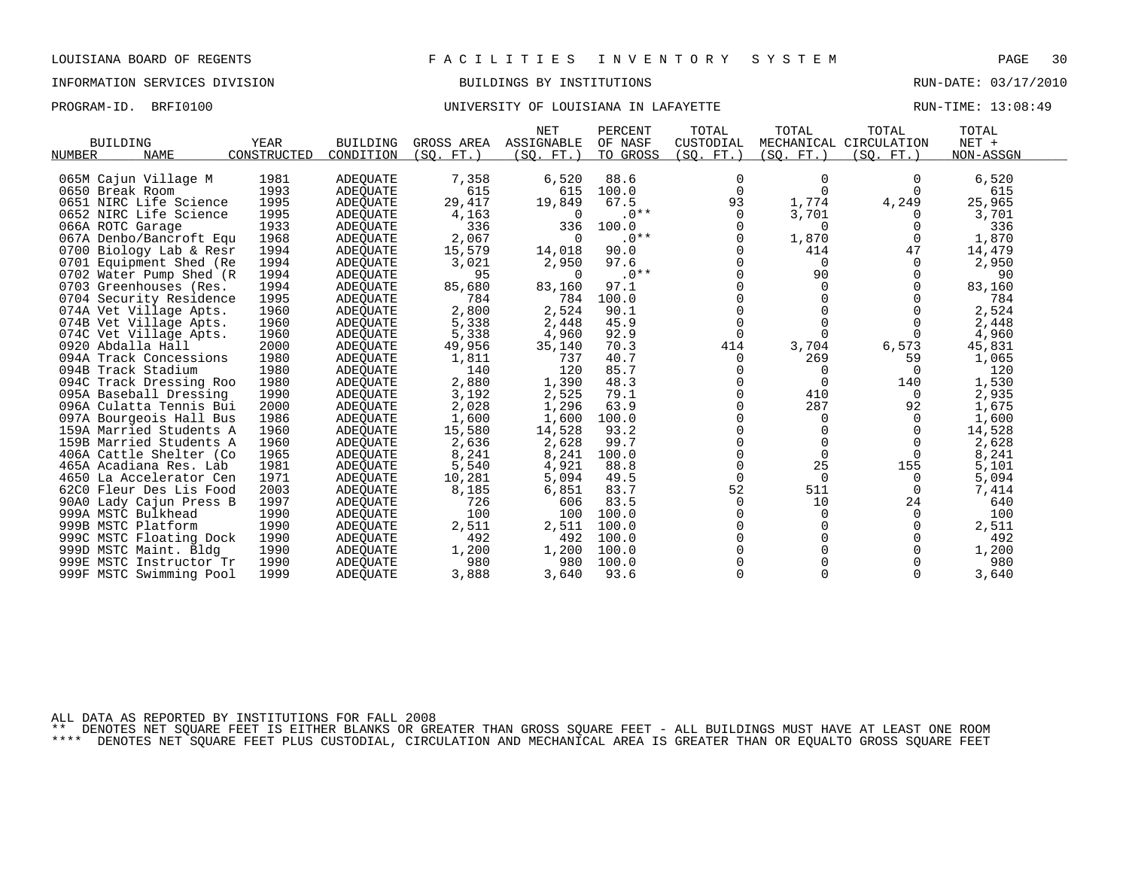# PROGRAM-ID. BRFI0100 **BRFION CONFERSITY OF LOUISIANA IN LAFAYETTE** RUN-TIME: 13:08:49

| <b>BUILDING</b><br>NAME<br>NUMBER       | <b>YEAR</b><br>CONSTRUCTED | <b>BUILDING</b><br>CONDITION       | GROSS AREA<br>(SO.<br>$FT.$ ) | <b>NET</b><br>ASSIGNABLE<br>(SQ. FT.) | PERCENT<br>OF NASF<br>TO GROSS | TOTAL<br>CUSTODIAL<br>(SQ. FT. ) | TOTAL<br>(SQ. FT. ) | TOTAL<br>MECHANICAL CIRCULATION<br>(SQ. FT.) | TOTAL<br>$NET +$<br>NON-ASSGN |
|-----------------------------------------|----------------------------|------------------------------------|-------------------------------|---------------------------------------|--------------------------------|----------------------------------|---------------------|----------------------------------------------|-------------------------------|
|                                         | 1981                       |                                    |                               |                                       | 88.6                           | 0                                | $\Omega$            |                                              |                               |
| 065M Cajun Village M<br>0650 Break Room | 1993                       | ADEQUATE<br><b>ADEQUATE</b>        | 7,358<br>615                  | 6,520<br>615                          | 100.0                          | $\Omega$                         | $\Omega$            | $\Omega$                                     | 6,520<br>615                  |
| 0651 NIRC Life Science                  | 1995                       | <b>ADEQUATE</b>                    | 29,417                        | 19,849                                | 67.5                           | 93                               | 1,774               | 4,249                                        | 25,965                        |
| 0652 NIRC Life Science                  | 1995                       |                                    | 4,163                         | $\Omega$                              | $.0**$                         | $\Omega$                         | 3,701               | $\Omega$                                     | 3,701                         |
| 066A ROTC Garage                        | 1933                       | <b>ADEQUATE</b><br><b>ADEQUATE</b> | 336                           | 336                                   | 100.0                          | $\Omega$                         | $\Omega$            | $\Omega$                                     | 336                           |
| 067A Denbo/Bancroft Equ                 | 1968                       | <b>ADEQUATE</b>                    | 2,067                         | $\Omega$                              | $.0**$                         | $\Omega$                         | 1,870               | $\Omega$                                     | 1,870                         |
| 0700 Biology Lab & Resr                 | 1994                       | ADEQUATE                           | 15,579                        | 14,018                                | 90.0                           | $\Omega$                         | 414                 | 47                                           | 14,479                        |
| 0701 Equipment Shed (Re                 | 1994                       | ADEQUATE                           | 3,021                         | 2,950                                 | 97.6                           | $\Omega$                         | 0                   | 0                                            | 2,950                         |
| 0702 Water Pump Shed (R                 | 1994                       | <b>ADEQUATE</b>                    | 95                            | $\Omega$                              | $.0**$                         | 0                                | 90                  | 0                                            | 90                            |
| 0703 Greenhouses (Res.                  | 1994                       | <b>ADEQUATE</b>                    | 85,680                        | 83,160                                | 97.1                           | 0                                | $\Omega$            | $\mathbf 0$                                  | 83,160                        |
| 0704 Security Residence                 | 1995                       | <b>ADEQUATE</b>                    | 784                           | 784                                   | 100.0                          | 0                                |                     | $\mathbf 0$                                  | 784                           |
| 074A Vet Village Apts.                  | 1960                       | <b>ADEQUATE</b>                    | 2,800                         | 2,524                                 | 90.1                           | 0                                |                     |                                              | 2,524                         |
| 074B Vet Village Apts.                  | 1960                       | ADEQUATE                           | 5,338                         | 2,448                                 | 45.9                           | $\mathbf 0$                      |                     | $\Omega$                                     | 2,448                         |
| 074C Vet Village Apts.                  | 1960                       | <b>ADEQUATE</b>                    | 5,338                         | 4,960                                 | 92.9                           | $\Omega$                         |                     | $\Omega$                                     | 4,960                         |
| 0920 Abdalla Hall                       | 2000                       | <b>ADEQUATE</b>                    | 49,956                        | 35,140                                | 70.3                           | 414                              | 3,704               | 6,573                                        | 45,831                        |
| 094A Track Concessions                  | 1980                       | ADEQUATE                           | 1,811                         | 737                                   | 40.7                           | 0                                | 269                 | 59                                           | 1,065                         |
| 094B Track Stadium                      | 1980                       | <b>ADEQUATE</b>                    | 140                           | 120                                   | 85.7                           |                                  | 0                   | 0                                            | 120                           |
| 094C Track Dressing Roo                 | 1980                       | ADEQUATE                           | 2,880                         | 1,390                                 | 48.3                           |                                  |                     | 140                                          | 1,530                         |
| 095A Baseball Dressing                  | 1990                       | <b>ADEQUATE</b>                    | 3,192                         | 2,525                                 | 79.1                           | $\Omega$                         | 410                 | 0                                            | 2,935                         |
| 096A Culatta Tennis Bui                 | 2000                       | ADEQUATE                           | 2,028                         | 1,296                                 | 63.9                           | $\Omega$                         | 287                 | 92                                           | 1,675                         |
| 097A Bourgeois Hall Bus                 | 1986                       | ADEQUATE                           | 1,600                         | 1,600                                 | 100.0                          | $\Omega$                         | $\Omega$            | $\Omega$                                     | 1,600                         |
| 159A Married Students A                 | 1960                       | ADEQUATE                           | 15,580                        | 14,528                                | 93.2                           | $\Omega$                         | $\Omega$            | $\Omega$                                     | 14,528                        |
| 159B Married Students A                 | 1960                       | ADEQUATE                           | 2,636                         | 2,628                                 | 99.7                           | $\Omega$                         | $\Omega$            | $\Omega$                                     | 2,628                         |
| 406A Cattle Shelter (Co                 | 1965                       | ADEOUATE                           | 8,241                         | 8,241                                 | 100.0                          | $\Omega$                         | $\Omega$            | $\Omega$                                     | 8,241                         |
| 465A Acadiana Res. Lab                  | 1981                       | ADEQUATE                           | 5,540                         | 4,921                                 | 88.8                           | $\Omega$                         | 25                  | 155                                          | 5,101                         |
| 4650 La Accelerator Cen                 | 1971                       | ADEQUATE                           | 10,281                        | 5,094                                 | 49.5                           | $\Omega$                         | $\Omega$            | 0                                            | 5,094                         |
| 62C0 Fleur Des Lis Food                 | 2003                       | ADEOUATE                           | 8,185                         | 6,851                                 | 83.7                           | 52                               | 511                 | 0                                            | 7,414                         |
| 90A0<br>Lady Cajun Press B              | 1997                       | <b>ADEQUATE</b>                    | 726                           | 606                                   | 83.5                           | $\mathbf 0$                      | 10                  | 24                                           | 640                           |
| 999A MSTC Bulkhead                      | 1990                       | ADEOUATE                           | 100                           | 100                                   | 100.0                          | 0                                | $\mathbf 0$         | 0                                            | 100                           |
| 999B MSTC Platform                      | 1990                       | ADEQUATE                           | 2,511                         | 2,511                                 | 100.0                          | 0                                | 0                   | $\mathbf 0$                                  | 2,511                         |
| 999C MSTC Floating Dock                 | 1990                       | ADEQUATE                           | 492                           | 492                                   | 100.0                          | $\Omega$                         |                     | 0                                            | 492                           |
| 999D MSTC Maint. Bldg                   | 1990                       | ADEOUATE                           | 1,200                         | 1,200                                 | 100.0                          |                                  |                     | 0                                            | 1,200                         |
| 999E MSTC Instructor Tr                 | 1990                       | ADEQUATE                           | 980                           | 980                                   | 100.0                          |                                  |                     |                                              | 980                           |
| 999F MSTC Swimming Pool                 | 1999                       | <b>ADEOUATE</b>                    | 3,888                         | 3,640                                 | 93.6                           | $\Omega$                         |                     | $\Omega$                                     | 3,640                         |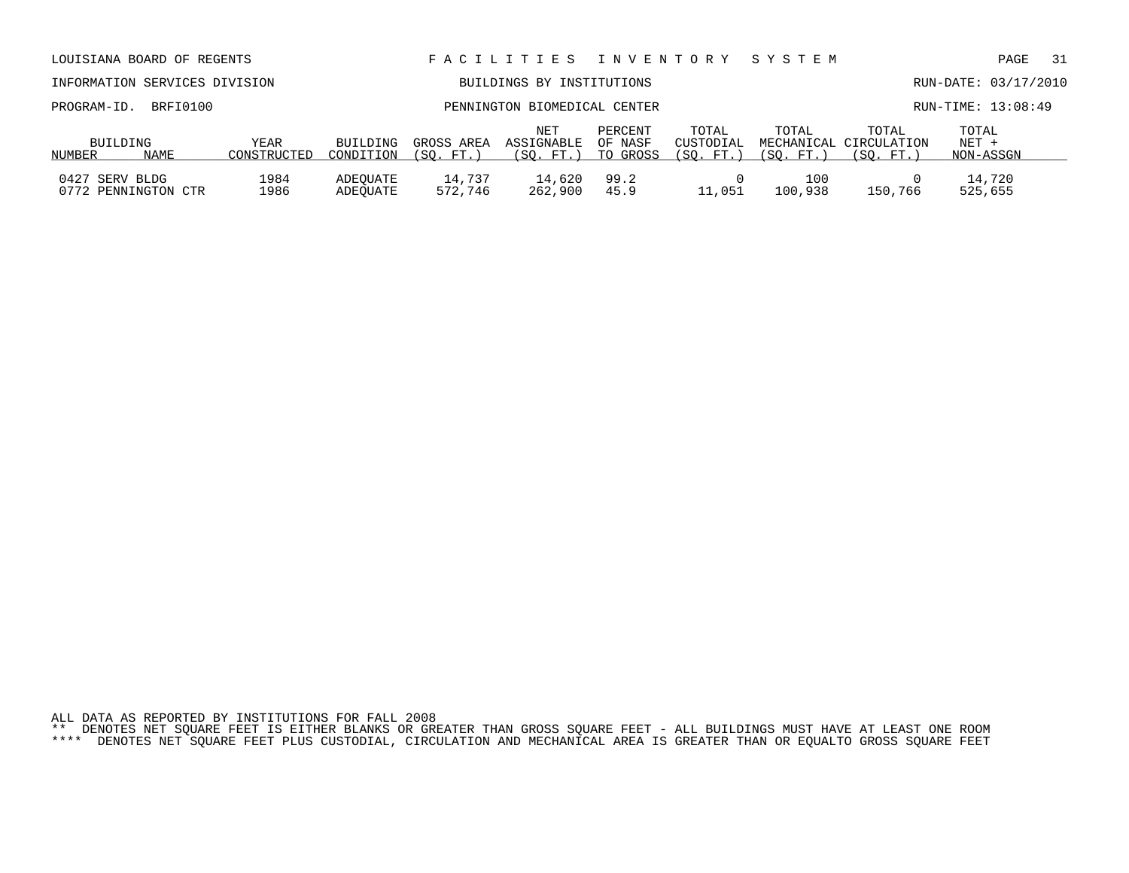|                                                       | LOUISIANA BOARD OF REGENTS    |                     |                              |                          | FACILITIES                     | I N V E N T O R Y              |                                 | SYSTEM             |                                              | PAGE                          | -31 |
|-------------------------------------------------------|-------------------------------|---------------------|------------------------------|--------------------------|--------------------------------|--------------------------------|---------------------------------|--------------------|----------------------------------------------|-------------------------------|-----|
|                                                       | INFORMATION SERVICES DIVISION |                     |                              |                          | BUILDINGS BY INSTITUTIONS      |                                |                                 |                    |                                              | RUN-DATE: 03/17/2010          |     |
| PROGRAM-ID.                                           | BRFI0100                      |                     | PENNINGTON BIOMEDICAL CENTER |                          |                                |                                |                                 |                    |                                              | RUN-TIME: 13:08:49            |     |
| BUILDING<br>NUMBER                                    | NAME                          | YEAR<br>CONSTRUCTED | BUILDING<br>CONDITION        | GROSS AREA<br>(SO. FT. ) | NET<br>ASSIGNABLE<br>(SO. FT.) | PERCENT<br>OF NASF<br>TO GROSS | TOTAL<br>CUSTODIAL<br>(SO. FT.) | TOTAL<br>(SO. FT.) | TOTAL<br>MECHANICAL CIRCULATION<br>(SO. FT.) | TOTAL<br>$NET +$<br>NON-ASSGN |     |
| 1984<br>0427 SERV BLDG<br>1986<br>0772 PENNINGTON CTR |                               |                     | ADEOUATE<br>ADEOUATE         | 14,737<br>572,746        | 14,620<br>262,900              | 99.2<br>45.9                   | 11,051                          | 100<br>100,938     | 150,766                                      | 14,720<br>525,655             |     |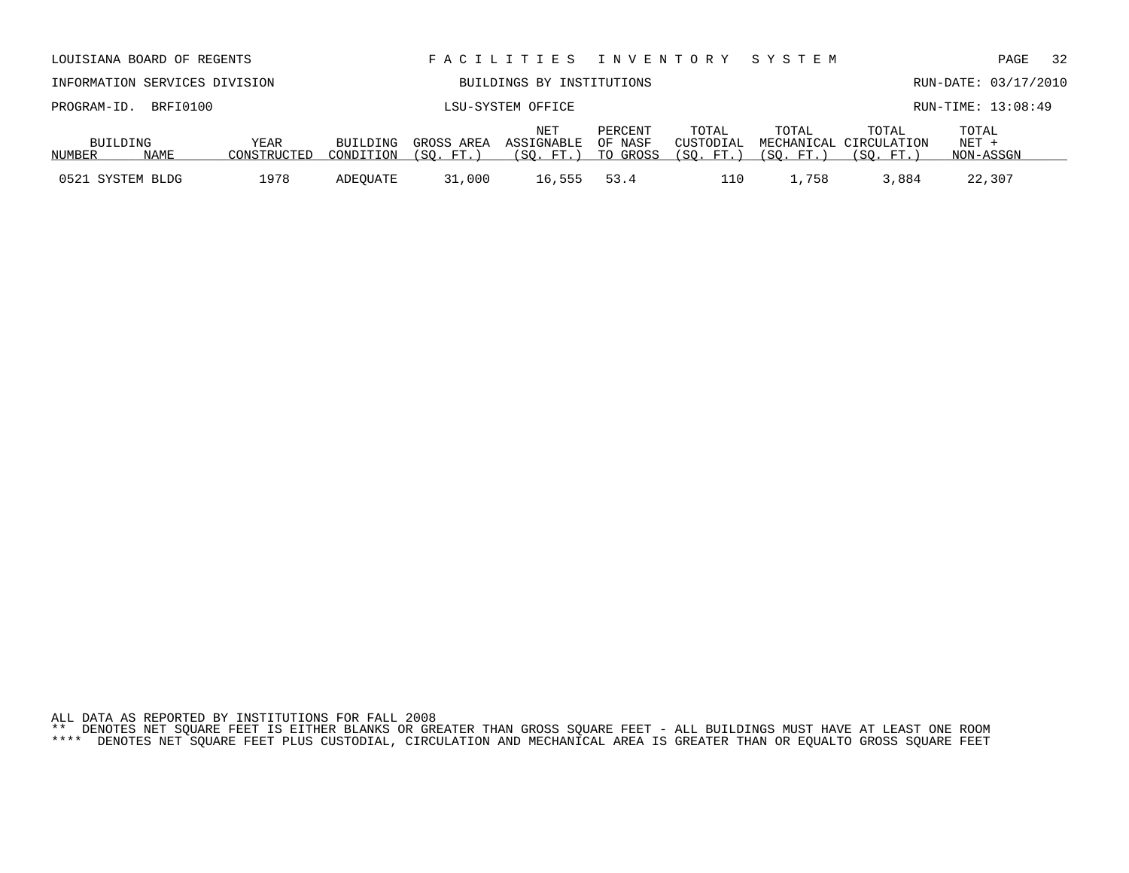| ALL DATA AS REPORTED BY INSTITUTIONS FOR FALL 2008 |  |  |  |  |  |  |                                                                                                                           |  |  |  |
|----------------------------------------------------|--|--|--|--|--|--|---------------------------------------------------------------------------------------------------------------------------|--|--|--|
|                                                    |  |  |  |  |  |  | ** DENOTES NET SOUARE FEET IS EITHER BLANKS OR GREATER THAN GROSS SOUARE FEET - ALL BUILDINGS MUST HAVE AT LEAST ONE ROOM |  |  |  |

| BUILDING         | YEAR        | BUILDING  | GROSS AREA | NET<br>ASSIGNABLE  | PERCENT<br>OF NASF | TOTAL<br>CUSTODIAL  | TOTAL   | TOTAL<br>MECHANICAL CIRCULATION | TOTAL<br>$NET +$ |  |
|------------------|-------------|-----------|------------|--------------------|--------------------|---------------------|---------|---------------------------------|------------------|--|
| NUMBER<br>NAME   | CONSTRUCTED | CONDITION | (SO. FT. ) | (SO. FT.) TO GROSS |                    | (SO. FT.) (SO. FT.) |         | (SO. FT.)                       | NON-ASSGN        |  |
| 0521 SYSTEM BLDG | 1978        | ADEOUATE  | 31,000     | 16,555             | 53.4               | 110                 | . . 758 | 3,884                           | 22,307           |  |

| LOUISIANA BOARD OF REGENTS                        |  |                       |                          | FACILITIES INVENTORY SYSTEM    |                                |                                 |                    |                                              |                               | PAGE               | 32 |
|---------------------------------------------------|--|-----------------------|--------------------------|--------------------------------|--------------------------------|---------------------------------|--------------------|----------------------------------------------|-------------------------------|--------------------|----|
| INFORMATION SERVICES DIVISION                     |  |                       |                          |                                |                                | RUN-DATE: 03/17/2010            |                    |                                              |                               |                    |    |
| PROGRAM-ID. BRFI0100                              |  |                       |                          | LSU-SYSTEM OFFICE              |                                |                                 |                    |                                              |                               | RUN-TIME: 13:08:49 |    |
| BUILDING<br>YEAR<br>CONSTRUCTED<br>NAME<br>NUMBER |  | BUILDING<br>CONDITION | GROSS AREA<br>(SO. FT. ) | NET<br>ASSIGNABLE<br>(SO. FT.) | PERCENT<br>OF NASF<br>TO GROSS | TOTAL<br>CUSTODIAL<br>(SO. FT.) | TOTAL<br>(SO. FT.) | TOTAL<br>MECHANICAL CIRCULATION<br>(SO. FT.) | TOTAL<br>$NET +$<br>NON-ASSGN |                    |    |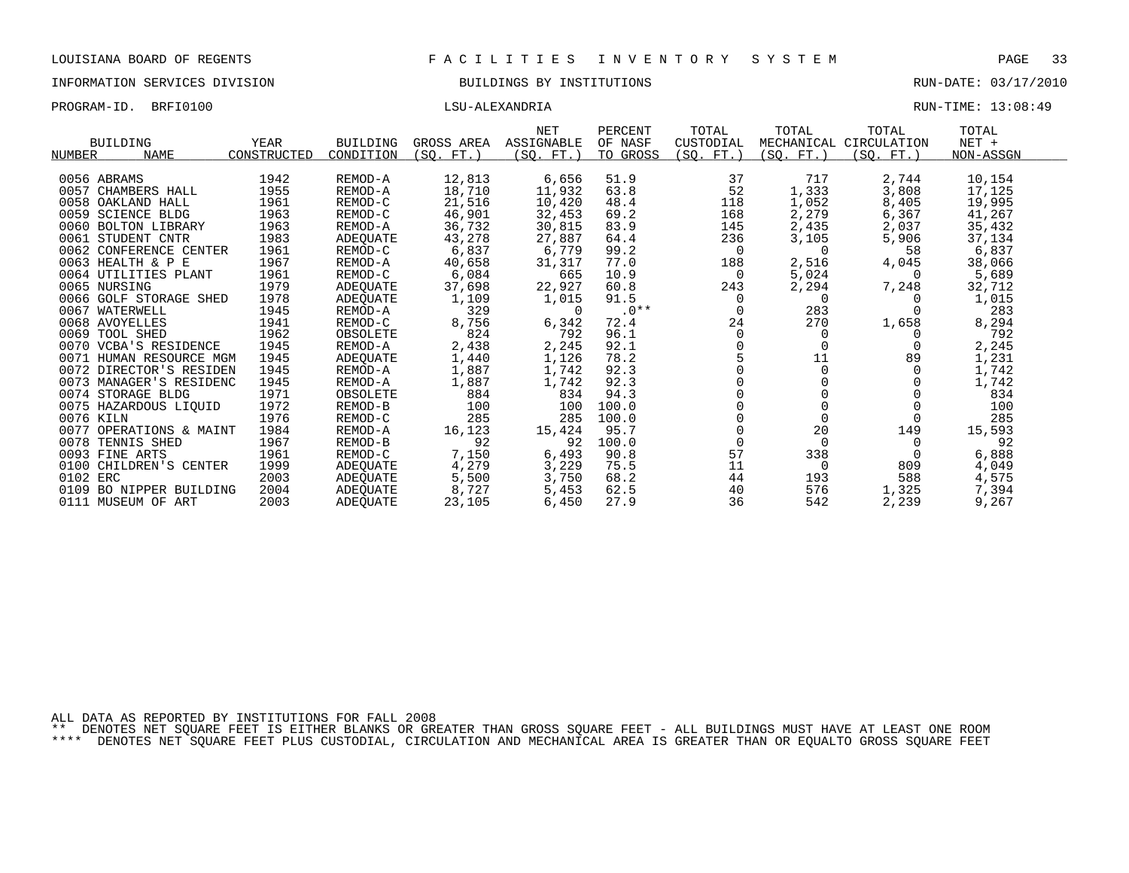PROGRAM-ID. BRFI0100 CONSULSU-ALEXANDRIA LSU-ALEXANDRIA RUN-TIME: 13:08:49

|                              |             |                 |            | NET         | PERCENT  | TOTAL     | TOTAL      | TOTAL                  | TOTAL     |  |
|------------------------------|-------------|-----------------|------------|-------------|----------|-----------|------------|------------------------|-----------|--|
| BUILDING                     | YEAR        | <b>BUILDING</b> | GROSS AREA | ASSIGNABLE  | OF NASF  | CUSTODIAL |            | MECHANICAL CIRCULATION | $NET +$   |  |
| <b>NUMBER</b><br><b>NAME</b> | CONSTRUCTED | CONDITION       | (SQ. FT.)  | $SO. FT.$ ) | TO GROSS | (SO. FT.) | (SQ. FT. ) | (SQ. FT.)              | NON-ASSGN |  |
|                              |             |                 |            |             |          |           |            |                        |           |  |
| 0056 ABRAMS                  | 1942        | REMOD-A         | 12,813     | 6,656       | 51.9     | 37        | 717        | 2,744                  | 10,154    |  |
| 0057 CHAMBERS HALL           | 1955        | REMOD-A         | 18,710     | 11,932      | 63.8     | 52        | 1,333      | 3,808                  | 17,125    |  |
| 0058 OAKLAND HALL            | 1961        | REMOD-C         | 21,516     | 10,420      | 48.4     | 118       | 1,052      | 8,405                  | 19,995    |  |
| 0059 SCIENCE BLDG            | 1963        | REMOD-C         | 46,901     | 32,453      | 69.2     | 168       | 2,279      | 6,367                  | 41,267    |  |
| 0060 BOLTON LIBRARY          | 1963        | REMOD-A         | 36,732     | 30,815      | 83.9     | 145       | 2,435      | 2,037                  | 35,432    |  |
| 0061 STUDENT CNTR            | 1983        | ADEOUATE        | 43,278     | 27,887      | 64.4     | 236       | 3,105      | 5,906                  | 37,134    |  |
| 0062 CONFERENCE CENTER       | 1961        | REMOD-C         | 6,837      | 6,779       | 99.2     | 0         | $\Omega$   | 58                     | 6,837     |  |
| 0063 HEALTH & P E            | 1967        | REMOD-A         | 40,658     | 31,317      | 77.0     | 188       | 2,516      | 4,045                  | 38,066    |  |
| 0064 UTILITIES PLANT         | 1961        | REMOD-C         | 6,084      | 665         | 10.9     | $\Omega$  | 5,024      | $\Omega$               | 5,689     |  |
| 0065 NURSING                 | 1979        | ADEOUATE        | 37,698     | 22,927      | 60.8     | 243       | 2,294      | 7,248                  | 32,712    |  |
| 0066 GOLF STORAGE SHED       | 1978        | ADEOUATE        | 1,109      | 1,015       | 91.5     | $\Omega$  | $\Omega$   |                        | 1,015     |  |
| 0067 WATERWELL               | 1945        | REMOD-A         | 329        | $\Omega$    | $.0**$   |           | 283        |                        | 283       |  |
| 0068 AVOYELLES               | 1941        | REMOD-C         | 8,756      | 6,342       | 72.4     | 24        | 270        | 1,658                  | 8,294     |  |
| 0069 TOOL SHED               | 1962        | OBSOLETE        | 824        | 792         | 96.1     | $\Omega$  | $\Omega$   |                        | 792       |  |
| 0070 VCBA'S RESIDENCE        | 1945        | REMOD-A         | 2,438      | 2,245       | 92.1     |           |            |                        | 2,245     |  |
| 0071 HUMAN RESOURCE MGM      | 1945        | ADEQUATE        | 1,440      | 1,126       | 78.2     |           | 11         | 89                     | 1,231     |  |
| 0072 DIRECTOR'S RESIDEN      | 1945        | REMOD-A         | 1,887      | 1,742       | 92.3     |           | 0          |                        | 1,742     |  |
| 0073 MANAGER'S RESIDENC      | 1945        | REMOD-A         | 1,887      | 1,742       | 92.3     |           |            |                        | 1,742     |  |
| 0074 STORAGE BLDG            | 1971        | OBSOLETE        | 884        | 834         | 94.3     |           |            |                        | 834       |  |
| 0075 HAZARDOUS LIQUID        | 1972        | REMOD-B         | 100        | 100         | 100.0    |           |            |                        | 100       |  |
| 0076 KILN                    | 1976        | REMOD-C         | 285        | 285         | 100.0    |           | $\Omega$   |                        | 285       |  |
| 0077 OPERATIONS & MAINT      | 1984        | REMOD-A         | 16,123     | 15,424      | 95.7     |           | 20         | 149                    | 15,593    |  |
| 0078<br>TENNIS SHED          | 1967        | REMOD-B         | 92         | 92          | 100.0    | $\Omega$  | 0          | $\Omega$               | 92        |  |
| 0093 FINE ARTS               | 1961        | REMOD-C         | 7,150      | 6,493       | 90.8     | 57        | 338        |                        | 6,888     |  |
| 0100 CHILDREN'S CENTER       | 1999        | ADEQUATE        | 4,279      | 3,229       | 75.5     | 11        | 0          | 809                    | 4,049     |  |
| 0102 ERC                     | 2003        | ADEQUATE        | 5,500      | 3,750       | 68.2     | 44        | 193        | 588                    | 4,575     |  |
| 0109 BO NIPPER BUILDING      | 2004        | ADEOUATE        | 8,727      | 5,453       | 62.5     | 40        | 576        | 1,325                  | 7,394     |  |
| 0111 MUSEUM OF ART           | 2003        | <b>ADEOUATE</b> | 23,105     | 6,450       | 27.9     | 36        | 542        | 2,239                  | 9,267     |  |

ALL DATA AS REPORTED BY INSTITUTIONS FOR FALL 2008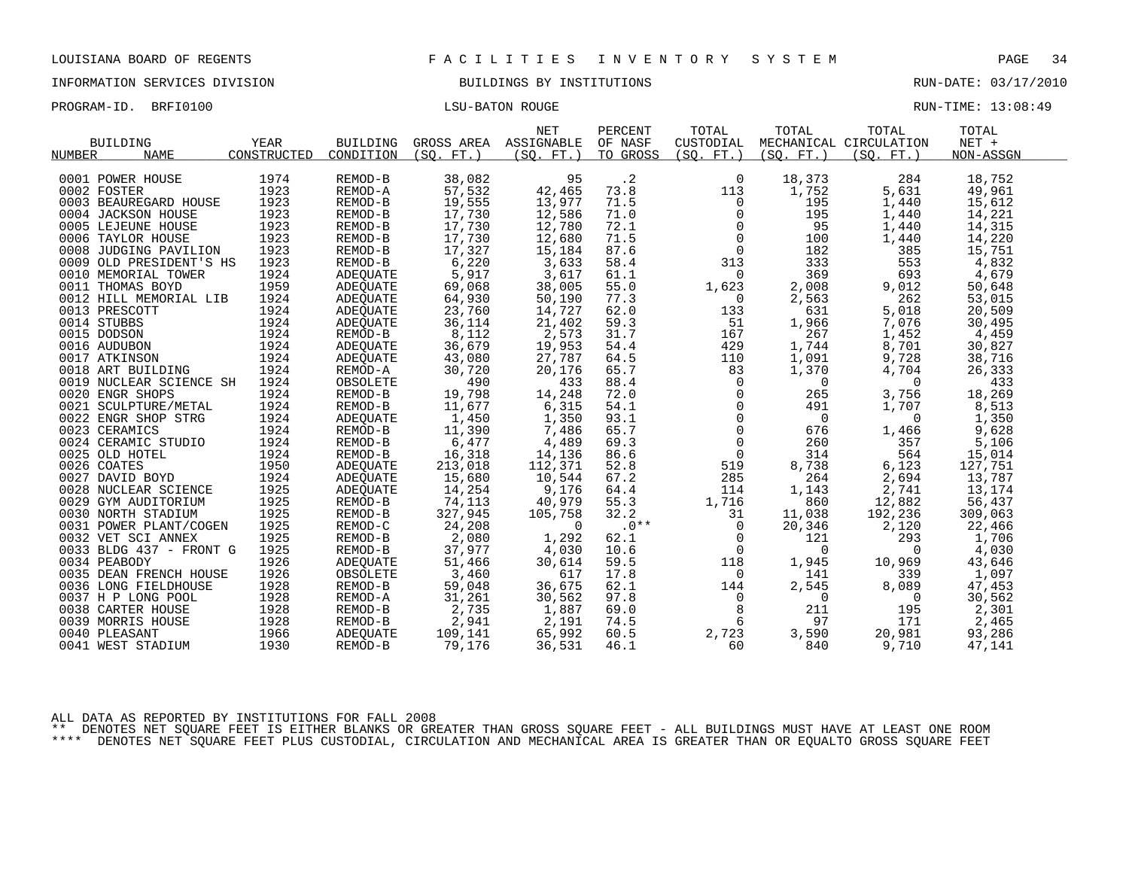PROGRAM-ID. BRFI0100 CONSTRUCTED BATON ROUGE LISU-BATON ROUGE RUN-TIME: 13:08:49

| TOTAL<br>TOTAL<br><b>NET</b><br>PERCENT<br>GROSS AREA ASSIGNABLE<br><b>BUILDING</b><br>YEAR<br><b>BUILDING</b><br>OF NASF<br>CUSTODIAL<br>CONSTRUCTED<br><b>NAME</b><br>CONDITION<br>(SO, FT.) | TOTAL<br>MECHANICAL CIRCULATION | TOTAL<br>$NET +$ |
|------------------------------------------------------------------------------------------------------------------------------------------------------------------------------------------------|---------------------------------|------------------|
| TO GROSS<br>(SO. FT. )<br>(SO. FT. )<br>(SO. FT. )<br><b>NUMBER</b>                                                                                                                            | (SO. FT. )                      | NON-ASSGN        |
| $\cdot$ 2<br>1974<br>38,082<br>95<br>18,373<br>0001 POWER HOUSE<br>REMOD-B<br>$\mathbf 0$                                                                                                      | 284                             | 18,752           |
| 1923<br>57,532<br>1,752<br>73.8<br>0002 FOSTER<br>42,465<br>113<br>REMOD-A                                                                                                                     | 5,631                           | 49,961           |
| 1923<br>19,555<br>REMOD-B<br>71.5<br>195<br>0003 BEAUREGARD HOUSE<br>13,977<br>$\mathbf 0$                                                                                                     | 1,440                           | 15,612           |
| 17,730<br>1923<br>195<br>REMOD-B<br>12,586<br>71.0<br>0<br>0004 JACKSON HOUSE                                                                                                                  | 1,440                           | 14,221           |
| 17,730<br>1923<br>72.1<br>12,780<br>95<br>0005 LEJEUNE HOUSE<br>REMOD-B                                                                                                                        | 1,440                           | 14,315           |
| $\begin{smallmatrix}0\\0\end{smallmatrix}$<br>17,730<br>1923<br>71.5<br>0006 TAYLOR HOUSE<br>REMOD-B<br>12,680<br>100                                                                          | 1,440                           | 14,220           |
| 17,327<br>1923<br>182<br>REMOD-B<br>15,184<br>87.6<br>$\overline{0}$<br>0008 JUDGING PAVILION                                                                                                  | 385                             | 15,751           |
| 1923<br>6,220<br>333<br>58.4<br>0009 OLD PRESIDENT'S HS<br>REMOD-B<br>3,633<br>313                                                                                                             | 553                             | 4,832            |
| 1924<br>5,917<br>369<br>3,617<br>61.1<br>0010 MEMORIAL TOWER<br>ADEQUATE<br>$\Omega$                                                                                                           | 693                             | 4,679            |
| 1959<br>69,068<br>55.0<br>38,005<br>1,623<br>2,008<br>0011 THOMAS BOYD<br>ADEOUATE                                                                                                             | 9,012                           | 50,648           |
| 1924<br>77.3<br>0012 HILL MEMORIAL LIB<br>ADEQUATE<br>64,930<br>50,190<br>$\mathbf 0$<br>2,563                                                                                                 | 262                             | 53,015           |
| 1924<br>23,760<br>14,727<br>62.0<br>631<br>0013 PRESCOTT<br>ADEQUATE<br>133                                                                                                                    | 5,018                           | 20,509           |
| 1924<br>36,114<br>1,966<br>0014 STUBBS<br>21,402<br>59.3<br>51<br>ADEQUATE                                                                                                                     | 7,076                           | 30,495           |
| 1924<br>8,112<br>167<br>267<br>2,573<br>31.7<br>0015 DODSON<br>REMOD-B                                                                                                                         | 1,452                           | 4,459            |
| 1924<br>36,679<br>ADEQUATE<br>54.4<br>429<br>1,744<br>0016 AUDUBON<br>19,953                                                                                                                   | 8,701                           | 30,827           |
| 1924<br>64.5<br>1,091<br>43,080<br>27,787<br>0017 ATKINSON<br>ADEQUATE<br>110                                                                                                                  | 9,728                           | 38,716           |
| 1924<br>65.7<br>1,370<br>0018 ART BUILDING<br>REMOD-A<br>30,720<br>20,176<br>83                                                                                                                | 4,704                           | 26,333           |
| 1924<br>490<br>433<br>$\mathbf 0$<br>$\mathsf{O}$<br>0019 NUCLEAR SCIENCE SH<br>OBSOLETE<br>88.4                                                                                               | $\overline{0}$                  | 433              |
| 1924<br>72.0<br>$\mathbf 0$<br>0020 ENGR SHOPS<br>19,798<br>14,248<br>265<br>REMOD-B                                                                                                           | 3,756                           | 18,269           |
| 1924<br>11,677<br>$\overline{0}$<br>6,315<br>54.1<br>491<br>0021 SCULPTURE/METAL<br>REMOD-B                                                                                                    | 1,707                           | 8,513            |
| 1,450<br>$\mathsf{O}$<br>1924<br>1,350<br>93.1<br>$\overline{0}$<br>0022 ENGR SHOP STRG<br>ADEQUATE                                                                                            | 0                               | 1,350            |
| $\mathsf{O}\xspace$<br>1924<br>11,390<br>7,486<br>65.7<br>0023 CERAMICS<br>REMOD-B<br>676                                                                                                      | 1,466                           | 9,628            |
| 1924<br>6,477<br>$\overline{0}$<br>4,489<br>260<br>REMOD-B<br>69.3<br>0024 CERAMIC STUDIO                                                                                                      | 357                             | 5,106            |
| 1924<br>16,318<br>$\mathsf{O}$<br>0025 OLD HOTEL<br>REMOD-B<br>14,136<br>86.6<br>314                                                                                                           | 564                             | 15,014           |
| 1950<br>213,018<br>0026 COATES<br><b>ADEOUATE</b><br>112,371<br>52.8<br>519<br>8,738                                                                                                           | 6,123                           | 127,751          |
| 1924<br>285<br>15,680<br>10,544<br>67.2<br>264<br>0027 DAVID BOYD<br>ADEQUATE                                                                                                                  | 2,694                           | 13,787           |
| 1925<br>14,254<br>9,176<br>1,143<br>ADEQUATE<br>64.4<br>114<br>0028 NUCLEAR SCIENCE                                                                                                            | 2,741                           | 13,174           |
| 74,113<br>1925<br>REMOD-B<br>40,979<br>55.3<br>860<br>0029 GYM AUDITORIUM<br>1,716                                                                                                             | 12,882                          | 56,437           |
| 1925<br>327,945<br>REMOD-B<br>105,758<br>32.2<br>31<br>11,038<br>0030 NORTH STADIUM                                                                                                            | 192,236                         | 309,063          |
| 1925<br>24,208<br>$.0***$<br>$\Omega$<br>0<br>0031 POWER PLANT/COGEN<br>REMOD-C<br>20,346                                                                                                      | 2,120                           | 22,466           |
| 1925<br>2,080<br>62.1<br>$\mathbf 0$<br>0032 VET SCI ANNEX<br>REMOD-B<br>1,292<br>121                                                                                                          | 293                             | 1,706            |
| 1925<br>37,977<br>REMOD-B<br>4,030<br>10.6<br>$\overline{0}$<br>$\Omega$<br>0033 BLDG 437 - FRONT G                                                                                            | $\Omega$                        | 4,030            |
| 1926<br>59.5<br>51,466<br>30,614<br>118<br>1,945<br>0034 PEABODY<br>ADEQUATE                                                                                                                   | 10,969                          | 43,646           |
| 1926<br>3,460<br>617<br>17.8<br>141<br>0035 DEAN FRENCH HOUSE<br>OBSOLETE<br>$\mathbf 0$                                                                                                       | 339                             | 1,097            |
| 1928<br>36,675<br>62.1<br>2,545<br>REMOD-B<br>59,048<br>0036 LONG FIELDHOUSE<br>144                                                                                                            | 8,089                           | 47,453           |
| 1928<br>97.8<br>0<br>$\mathbf 0$<br>0037 H P LONG POOL<br>REMOD-A<br>31,261<br>30,562                                                                                                          | 0                               | 30,562           |
| 2,735<br>1928<br>1,887<br>8<br>0038 CARTER HOUSE<br>REMOD-B<br>69.0<br>211                                                                                                                     | 195                             | 2,301            |
| 1928<br>2,941<br>2,191<br>74.5<br>6<br>97<br>0039 MORRIS HOUSE<br>REMOD-B                                                                                                                      | 171                             | 2,465            |
| 1966<br>109,141<br>60.5<br>2,723<br>0040 PLEASANT<br>65,992<br>3,590<br>ADEQUATE                                                                                                               | 20,981                          | 93,286           |
| 1930<br>0041 WEST STADIUM<br>REMOD-B<br>79,176<br>36,531<br>46.1<br>60<br>840                                                                                                                  | 9,710                           | 47,141           |

ALL DATA AS REPORTED BY INSTITUTIONS FOR FALL 2008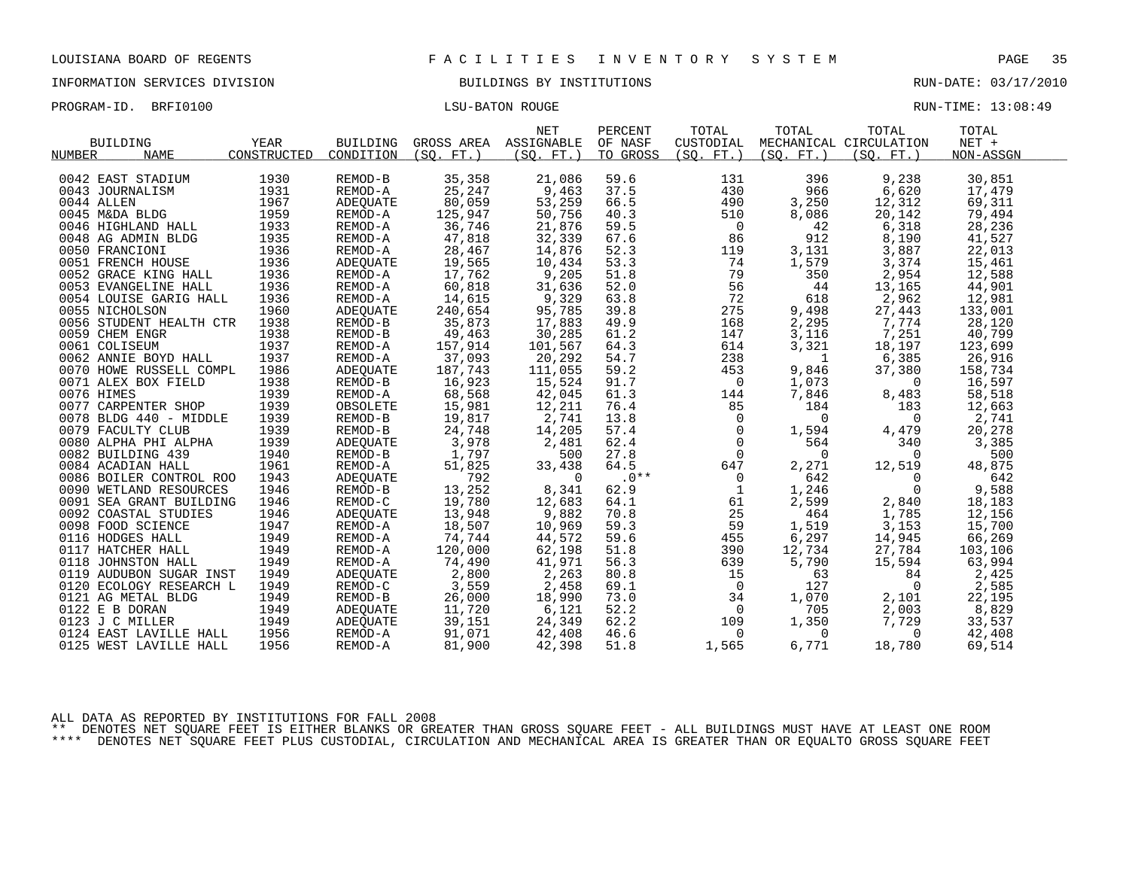| PROGRAM-ID. | BRFI0100 | <b>LSU-BATON ROUGE</b> | RUN-TIME: 13:08:49 |
|-------------|----------|------------------------|--------------------|
|             |          |                        |                    |

|            | <b>BUILDING</b>         | <b>YEAR</b> | <b>BUILDING</b> | GROSS AREA ASSIGNABLE | <b>NET</b>      | PERCENT<br>OF NASF | TOTAL<br>CUSTODIAL | TOTAL          | TOTAL<br>MECHANICAL CIRCULATION | TOTAL<br>$NET +$ |
|------------|-------------------------|-------------|-----------------|-----------------------|-----------------|--------------------|--------------------|----------------|---------------------------------|------------------|
| NUMBER     | <b>NAME</b>             | CONSTRUCTED | CONDITION       | (SO, FT.)             | (SO. FT. )      | TO GROSS           | (SO. FT. )         | (SO. FT. )     | (SO. FT.)                       | NON-ASSGN        |
|            | 0042 EAST STADIUM       | 1930        | REMOD-B         | 35,358                | 21,086          | 59.6               | 131                | 396            | 9,238                           | 30,851           |
|            | 0043 JOURNALISM         | 1931        | REMOD-A         | 25,247                | 9,463           | 37.5               | 430                | 966            | 6,620                           | 17,479           |
| 0044 ALLEN |                         | 1967        | ADEQUATE        | 80,059                | 53,259          | 66.5               | 490                | 3,250          | 12,312                          | 69,311           |
|            | 0045 M&DA BLDG          | 1959        | REMOD-A         | 125,947               | 50,756          | 40.3               | 510                | 8,086          | 20,142                          | 79,494           |
|            | 0046 HIGHLAND HALL      | 1933        | REMOD-A         | 36,746                | 21,876          | 59.5               | $\overline{0}$     | 42             | 6,318                           | 28,236           |
|            | 0048 AG ADMIN BLDG      | 1935        | REMOD-A         |                       | 32,339          | 67.6               | 86                 | 912            |                                 | 41,527           |
|            | 0050 FRANCIONI          | 1936        | REMOD-A         | 47,818<br>28,467      | 14,876          | 52.3               | 119                | 3,131          | 8,190<br>3,887                  | 22,013           |
|            | 0051 FRENCH HOUSE       | 1936        | ADEQUATE        | 19,565                | 10,434          | 53.3               | 74                 | 1,579          |                                 | 15,461           |
|            |                         | 1936        |                 |                       |                 |                    |                    |                | 3,374                           |                  |
|            | 0052 GRACE KING HALL    | 1936        | REMOD-A         | 17,762                | 9,205           | 51.8<br>52.0       | 79<br>56           | 350            | 2,954                           | 12,588           |
|            | 0053 EVANGELINE HALL    |             | REMOD-A         | 60,818                | 31,636<br>9,329 | 63.8               | 72                 | 44<br>618      | 13,165                          | 44,901           |
|            | 0054 LOUISE GARIG HALL  | 1936        | REMOD-A         | 14,615                |                 |                    |                    |                | 2,962                           | 12,981           |
|            | 0055 NICHOLSON          | 1960        | ADEOUATE        | 240,654               | 95,785          | 39.8               | 275                | 9,498          | 27,443                          | 133,001          |
|            | 0056 STUDENT HEALTH CTR | 1938        | REMOD-B         | 35,873                | 17,883          | 49.9               | 168                | 2,295          | 7,774                           | 28,120           |
|            | 0059 CHEM ENGR          | 1938        | REMOD-B         | 49,463                | 30,285          | 61.2               | 147                | 3,116          | 7,251                           | 40,799           |
|            | 0061 COLISEUM           | 1937        | REMOD-A         | 157,914               | 101,567         | 64.3               | 614                | 3,321          | 18,197                          | 123,699          |
|            | 0062 ANNIE BOYD HALL    | 1937        | REMOD-A         | 37,093                | 20,292          | 54.7               | 238                | 1              | 6,385                           | 26,916           |
|            | 0070 HOWE RUSSELL COMPL | 1986        | ADEQUATE        | 187,743               | 111,055         | 59.2               | 453                | 9,846          | 37,380                          | 158,734          |
|            | 0071 ALEX BOX FIELD     | 1938        | REMOD-B         | 16,923                | 15,524          | 91.7               | $\overline{0}$     | 1,073          | $\overline{0}$                  | 16,597           |
| 0076 HIMES |                         | 1939        | REMOD-A         | 68,568                | 42,045          | 61.3               | 144                | 7,846          | 8,483                           | 58,518           |
|            | 0077 CARPENTER SHOP     | 1939        | OBSOLETE        | 15,981                | 12,211          | 76.4               | 85                 | 184            | 183                             | 12,663           |
|            | 0078 BLDG 440 - MIDDLE  | 1939        | REMOD-B         | 19,817                | 2,741           | 13.8               | $\Omega$           | $\overline{0}$ | $\overline{0}$                  | 2,741            |
|            | 0079 FACULTY CLUB       | 1939        | REMOD-B         | 24,748                | 14,205          | 57.4               | $\Omega$           | 1,594          | 4,479                           | 20,278           |
|            | 0080 ALPHA PHI ALPHA    | 1939        | ADEQUATE        | 3,978                 | 2,481           | 62.4               | $\mathbf 0$        | 564            | 340                             | 3,385            |
|            | 0082 BUILDING 439       | 1940        | REMOD-B         | 1,797                 | 500             | 27.8               | $\mathbf 0$        | $\mathbf 0$    | $\Omega$                        | 500              |
|            | 0084 ACADIAN HALL       | 1961        | REMOD-A         | 51,825                | 33,438          | 64.5               | 647                | 2,271          | 12,519                          | 48,875           |
|            | 0086 BOILER CONTROL ROO | 1943        | ADEQUATE        | 792                   | $\overline{0}$  | $.0**$             | $\overline{0}$     | 642            | $\overline{0}$                  | 642              |
|            | 0090 WETLAND RESOURCES  | 1946        | REMOD-B         | 13,252                | 8,341           | 62.9               | $\mathbf{1}$       | 1,246          | $\mathbf 0$                     | 9,588            |
|            | 0091 SEA GRANT BUILDING | 1946        | REMOD-C         | 19,780                | 12,683          | 64.1               | 61                 | 2,599          | 2,840                           | 18,183           |
|            | 0092 COASTAL STUDIES    | 1946        | ADEQUATE        | 13,948                | 9,882           | 70.8               | 25                 | 464            | 1,785                           | 12,156           |
|            | 0098 FOOD SCIENCE       | 1947        | REMOD-A         | 18,507                | 10,969          | 59.3               | 59                 | 1,519          | 3,153                           | 15,700           |
|            | 0116 HODGES HALL        | 1949        | REMOD-A         | 74,744                | 44,572          | 59.6               | 455                | 6,297          | 14,945                          | 66,269           |
|            | 0117 HATCHER HALL       | 1949        | REMOD-A         | 120,000               | 62,198          | 51.8               | 390                | 12,734         | 27,784                          | 103,106          |
|            | 0118 JOHNSTON HALL      | 1949        | REMOD-A         | 74,490                | 41,971          | 56.3               | 639                | 5,790          | 15,594                          | 63,994           |
|            | 0119 AUDUBON SUGAR INST | 1949        | ADEQUATE        | 2,800                 | 2,263           | 80.8               | 15                 | 63             | 84                              | 2,425            |
|            | 0120 ECOLOGY RESEARCH L | 1949        | REMOD-C         | 3,559                 | 2,458           | 69.1               | $\overline{0}$     | 127            | 0                               | 2,585            |
|            | 0121 AG METAL BLDG      | 1949        | REMOD-B         | 26,000                | 18,990          | 73.0               | 34                 | 1,070          | 2,101                           | 22,195           |
|            | 0122 E B DORAN          | 1949        | ADEQUATE        | 11,720                | 6,121           | 52.2               | $\overline{0}$     | 705            | 2,003                           | 8,829            |
|            | 0123 J C MILLER         | 1949        | ADEQUATE        | 39,151                | 24,349          | 62.2               | 109                | 1,350          | 7,729                           | 33,537           |
|            | 0124 EAST LAVILLE HALL  | 1956        | REMOD-A         | 91,071                | 42,408          | 46.6               | $\Omega$           | 0              | 0                               | 42,408           |
|            | 0125 WEST LAVILLE HALL  | 1956        | REMOD-A         | 81,900                | 42,398          | 51.8               | 1,565              | 6,771          | 18,780                          | 69,514           |

ALL DATA AS REPORTED BY INSTITUTIONS FOR FALL 2008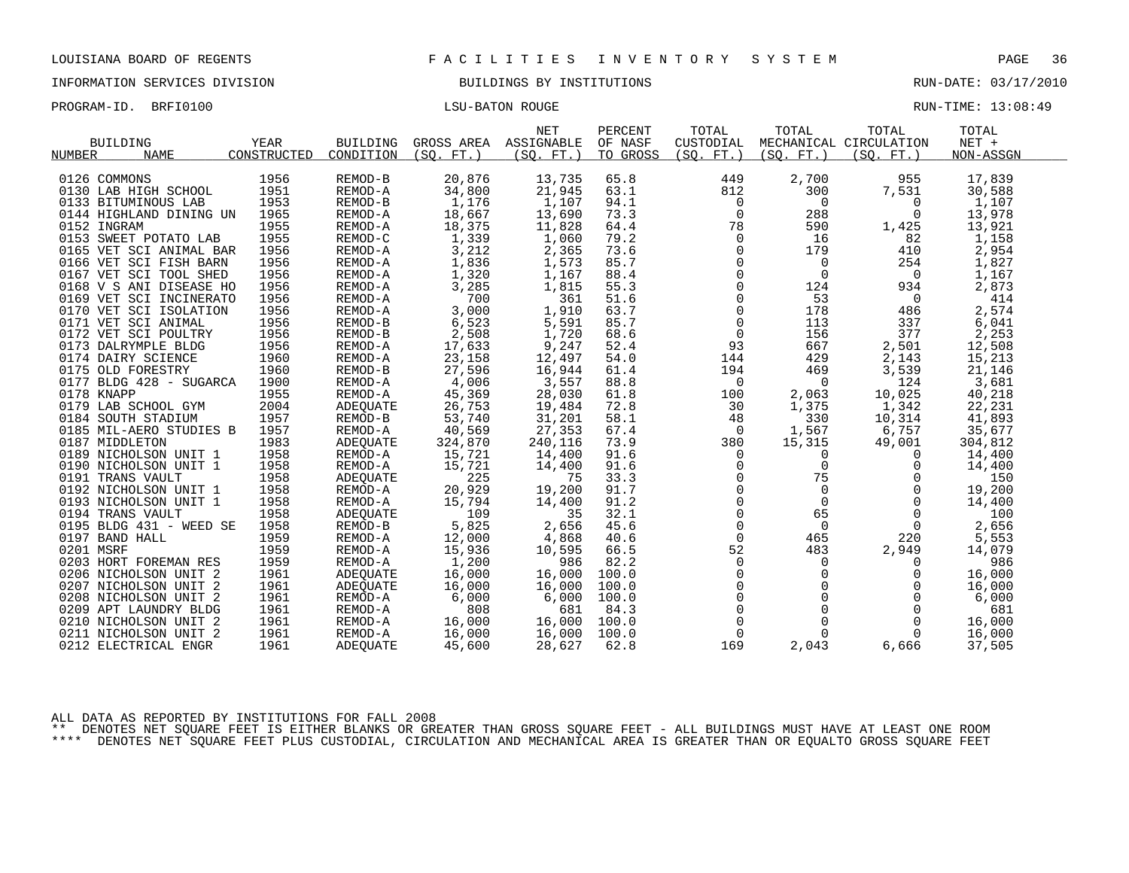| PROGRAM-ID. BRFI0100 | LSU-BATON ROUGE | RUN-TIME: 13:08:49 |
|----------------------|-----------------|--------------------|
|                      |                 |                    |

| <b>BUILDING</b><br><b>NUMBER</b><br><b>NAME</b> | YEAR<br>CONSTRUCTED | <b>BUILDING</b><br>CONDITION | GROSS AREA<br>(SO. FT. ) | <b>NET</b><br>ASSIGNABLE<br>(SO. FT. ) | PERCENT<br>OF NASF<br>TO GROSS | TOTAL<br>CUSTODIAL<br>(SO. FT. ) | TOTAL<br>(SO, FT.) | TOTAL<br>MECHANICAL CIRCULATION<br>(SO. FT. ) | TOTAL<br>$NET +$<br>NON-ASSGN |
|-------------------------------------------------|---------------------|------------------------------|--------------------------|----------------------------------------|--------------------------------|----------------------------------|--------------------|-----------------------------------------------|-------------------------------|
|                                                 |                     |                              |                          |                                        |                                |                                  |                    |                                               |                               |
| 0126 COMMONS                                    | 1956                | REMOD-B                      | 20,876                   | 13,735                                 | 65.8                           | 449                              | 2,700              | 955                                           | 17,839                        |
| 0130 LAB HIGH SCHOOL                            | 1951                | REMOD-A                      | 34,800                   | 21,945                                 | 63.1                           | 812                              | 300                | 7,531                                         | 30,588                        |
| 0133 BITUMINOUS LAB                             | 1953                | REMOD-B                      | 1,176                    | 1,107                                  | 94.1                           | $\Omega$                         | $\Omega$           | $\Omega$                                      | 1,107                         |
| 0144 HIGHLAND DINING UN                         | 1965                | REMOD-A                      | 18,667                   | 13,690                                 | 73.3                           | $\Omega$                         | 288                | $\Omega$                                      | 13,978                        |
| 0152 INGRAM                                     | 1955                | REMOD-A                      | 18,375                   | 11,828                                 | 64.4                           | 78                               | 590                | 1,425                                         | 13,921                        |
| 0153 SWEET POTATO LAB                           | 1955                | REMOD-C                      | 1,339                    | 1,060                                  | 79.2                           | $\Omega$                         | 16                 | 82                                            | 1,158                         |
| 0165 VET SCI ANIMAL BAR                         | 1956                | REMOD-A                      | 3,212                    | 2,365                                  | 73.6                           | $\Omega$                         | 179                | 410                                           | 2,954                         |
| 0166 VET SCI FISH BARN                          | 1956                | REMOD-A                      | 1,836                    | 1,573                                  | 85.7                           | 0                                | $\mathbf 0$        | 254                                           | 1,827                         |
| 0167 VET SCI TOOL SHED                          | 1956                | REMOD-A                      | 1,320                    | 1,167                                  | 88.4                           | $\mathbf 0$                      | $\overline{0}$     | $\Omega$                                      | 1,167                         |
| 0168 V S ANI DISEASE HO                         | 1956                | REMOD-A                      | 3,285                    | 1,815                                  | 55.3                           | $\Omega$                         | 124                | 934                                           | 2,873                         |
| 0169 VET SCI INCINERATO                         | 1956                | REMOD-A                      | 700                      | 361                                    | 51.6                           | 0                                | 53                 | $\mathbf 0$                                   | 414                           |
| 0170 VET SCI ISOLATION                          | 1956                | REMOD-A                      | 3,000                    | 1,910                                  | 63.7                           | 0                                | 178                | 486                                           | 2,574                         |
| 0171 VET SCI ANIMAL                             | 1956                | REMOD-B                      | 6,523                    | 5,591                                  | 85.7                           | $\Omega$                         | 113                | 337                                           | 6,041                         |
| 0172 VET SCI POULTRY                            | 1956                | REMOD-B                      | 2,508                    | 1,720                                  | 68.6                           | $\mathbf 0$                      | 156                | 377                                           | 2,253                         |
| 0173 DALRYMPLE BLDG                             | 1956                | REMOD-A                      | 17,633                   | 9,247                                  | 52.4                           | 93                               | 667                | 2,501                                         | 12,508                        |
| 0174 DAIRY SCIENCE                              | 1960                | REMOD-A                      | 23,158                   | 12,497                                 | 54.0                           | 144                              | 429                | 2,143                                         | 15,213                        |
| 0175 OLD FORESTRY                               | 1960                | REMOD-B                      | 27,596                   | 16,944                                 | 61.4                           | 194                              | 469                | 3,539                                         | 21,146                        |
| 0177 BLDG 428 - SUGARCA                         | 1900                | REMOD-A                      | 4,006                    | 3,557                                  | 88.8                           | 0                                | 0                  | 124                                           | 3,681                         |
| 0178 KNAPP                                      | 1955                | REMOD-A                      | 45,369                   | 28,030                                 | 61.8                           | 100                              | 2,063              | 10,025                                        | 40,218                        |
| 0179 LAB SCHOOL GYM                             | 2004                | ADEQUATE                     | 26,753                   | 19,484                                 | 72.8                           | 30                               | 1,375              | 1,342                                         | 22,231                        |
| 0184 SOUTH STADIUM                              | 1957                | REMOD-B                      | 53,740                   | 31,201                                 | 58.1                           | 48                               | 330                | 10,314                                        | 41,893                        |
| 0185 MIL-AERO STUDIES B                         | 1957                | REMOD-A                      | 40,569                   | 27,353                                 | 67.4                           | $\Omega$                         | 1,567              | 6,757                                         | 35,677                        |
| 0187 MIDDLETON                                  | 1983                | ADEQUATE                     | 324,870                  | 240,116                                | 73.9                           | 380                              | 15,315             | 49,001                                        | 304,812                       |
| 0189 NICHOLSON UNIT 1                           | 1958                | REMOD-A                      | 15,721                   | 14,400                                 | 91.6                           | $\Omega$                         | $\Omega$           | $\Omega$                                      | 14,400                        |
| 0190 NICHOLSON UNIT 1                           | 1958                | REMOD-A                      | 15,721                   | 14,400                                 | 91.6                           | $\Omega$                         | $\Omega$           | $\Omega$                                      | 14,400                        |
| 0191 TRANS VAULT                                | 1958                | ADEQUATE                     | 225                      | 75                                     | 33.3                           | 0                                | 75                 | 0                                             | 150                           |
| 0192 NICHOLSON UNIT 1                           | 1958                | REMOD-A                      | 20,929                   | 19,200                                 | 91.7                           | $\Omega$                         | $\Omega$           | $\Omega$                                      | 19,200                        |
| 0193 NICHOLSON UNIT 1                           | 1958                | REMOD-A                      | 15,794                   | 14,400                                 | 91.2                           | $\Omega$                         | $\Omega$           | $\Omega$                                      | 14,400                        |
| 0194 TRANS VAULT                                | 1958                | ADEQUATE                     | 109                      | 35                                     | 32.1                           | $\mathbf 0$                      | 65                 | $\Omega$                                      | 100                           |
| 0195 BLDG 431 - WEED SE                         | 1958                | REMOD-B                      | 5,825                    | 2,656                                  | 45.6                           | $\Omega$                         | $\mathbf 0$        | $\Omega$                                      | 2,656                         |
| 0197 BAND HALL                                  | 1959                | REMOD-A                      | 12,000                   | 4,868                                  | 40.6                           | $\Omega$                         | 465                | 220                                           | 5,553                         |
| 0201 MSRF                                       | 1959                | REMOD-A                      | 15,936                   | 10,595                                 | 66.5                           | 52                               | 483                | 2,949                                         | 14,079                        |
| 0203 HORT FOREMAN RES                           | 1959                | REMOD-A                      | 1,200                    | 986                                    | 82.2                           | $\Omega$                         | 0                  | $\Omega$                                      | 986                           |
| 0206 NICHOLSON UNIT 2                           | 1961                | ADEOUATE                     | 16,000                   | 16,000                                 | 100.0                          | $\Omega$                         | $\Omega$           | $\Omega$                                      | 16,000                        |
| 0207 NICHOLSON UNIT 2                           | 1961                | ADEQUATE                     | 16,000                   | 16,000                                 | 100.0                          | $\mathbf 0$                      | $\mathbf 0$        | 0                                             | 16,000                        |
| 0208 NICHOLSON UNIT 2                           | 1961                | REMOD-A                      | 6,000                    | 6,000                                  | 100.0                          | $\mathbf 0$                      | $\Omega$           | $\Omega$                                      | 6,000                         |
| 0209 APT LAUNDRY BLDG                           | 1961                | REMOD-A                      | 808                      | 681                                    | 84.3                           | $\mathbf 0$                      | $\Omega$           | $\Omega$                                      | 681                           |
| 0210 NICHOLSON UNIT 2                           | 1961                | REMOD-A                      | 16,000                   | 16,000                                 | 100.0                          | $\mathbf 0$                      | $\mathbf 0$        | $\Omega$                                      | 16,000                        |
| 0211 NICHOLSON UNIT 2                           | 1961                | REMOD-A                      | 16,000                   | 16,000                                 | 100.0                          | $\Omega$                         | $\Omega$           | $\Omega$                                      | 16,000                        |
| 0212 ELECTRICAL ENGR                            | 1961                | ADEQUATE                     | 45,600                   | 28,627                                 | 62.8                           | 169                              | 2,043              | 6,666                                         | 37,505                        |

ALL DATA AS REPORTED BY INSTITUTIONS FOR FALL 2008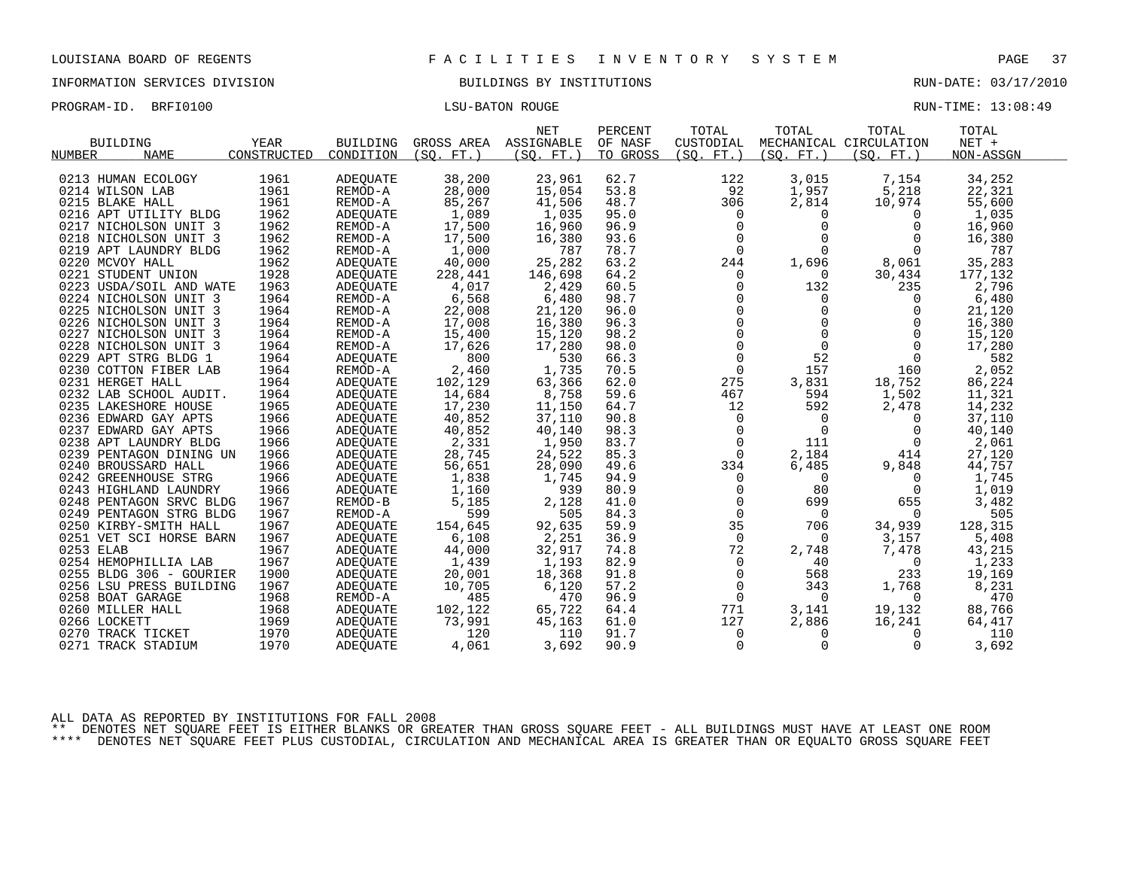INFORMATION SERVICES DIVISION BUILDINGS BY INSTITUTIONS RUN-DATE: 03/17/2010

PROGRAM-ID. BRFI0100 CONSERVERS IN THE LOSS OF THE LOSS OF THE RUN-TIME: 13:08:49

| <b>BUILDING</b>         | <b>YEAR</b> | <b>BUILDING</b> |            | <b>NET</b><br>GROSS AREA ASSIGNABLE | PERCENT<br>OF NASF | TOTAL<br>CUSTODIAL | TOTAL                                                        | TOTAL<br>MECHANICAL CIRCULATION | TOTAL<br>NET + |  |
|-------------------------|-------------|-----------------|------------|-------------------------------------|--------------------|--------------------|--------------------------------------------------------------|---------------------------------|----------------|--|
| <b>NAME</b><br>NUMBER   | CONSTRUCTED | CONDITION       | (SO. FT. ) | (SO. FT.)                           | TO GROSS           | (SO. FT. )         | (SO. FT.)                                                    | (SO. FT. )                      | NON-ASSGN      |  |
| 0213 HUMAN ECOLOGY      | 1961        | ADEOUATE        | 38,200     | 23,961                              | 62.7               | 122                | 3,015                                                        | 7,154                           | 34,252         |  |
| 0214 WILSON LAB         | 1961        | REMOD-A         | 28,000     | 15,054                              | 53.8               | 92                 | 1,957                                                        | 5,218                           | 22,321         |  |
|                         | 1961        | REMOD-A         |            |                                     | 48.7               |                    |                                                              |                                 |                |  |
| 0215 BLAKE HALL         |             |                 | 85,267     | 41,506                              |                    | 306                | 2,814                                                        | 10,974                          | 55,600         |  |
| 0216 APT UTILITY BLDG   | 1962        | ADEQUATE        | 1,089      | 1,035                               | 95.0               | 0                  | 0<br>$\Omega$                                                | $\overline{0}$                  | 1,035          |  |
| 0217 NICHOLSON UNIT 3   | 1962        | REMOD-A         | 17,500     | 16,960                              | 96.9               | $\mathbf 0$        | $\Omega$                                                     | $\Omega$                        | 16,960         |  |
| 0218 NICHOLSON UNIT 3   | 1962        | REMOD-A         | 17,500     | 16,380                              | 93.6               | $\mathbf 0$        |                                                              | $\Omega$                        | 16,380         |  |
| 0219 APT LAUNDRY BLDG   | 1962        | REMOD-A         | 1,000      | 787                                 | 78.7               | $\overline{0}$     | $\mathbf{0}$                                                 | 0                               | 787            |  |
| 0220 MCVOY HALL         | 1962        | ADEOUATE        | 40,000     | 25,282                              | 63.2               | 244                | 1,696                                                        | 8,061                           | 35,283         |  |
| 0221 STUDENT UNION      | 1928        | ADEOUATE        | 228,441    | 146,698                             | 64.2               | 0                  | $\Omega$                                                     | 30,434                          | 177,132        |  |
| 0223 USDA/SOIL AND WATE | 1963        | ADEQUATE        | 4,017      | 2,429                               | 60.5               | $\Omega$           | 132                                                          | 235                             | 2,796          |  |
| 0224 NICHOLSON UNIT 3   | 1964        | REMOD-A         | 6,568      | 6,480                               | 98.7               | 0                  | 0                                                            | 0                               | 6,480          |  |
| 0225 NICHOLSON UNIT 3   | 1964        | REMOD-A         | 22,008     | 21,120                              | 96.0               |                    |                                                              | 0                               | 21,120         |  |
| 0226 NICHOLSON UNIT 3   | 1964        | REMOD-A         | 17,008     | 16,380                              | 96.3               |                    | $\begin{bmatrix} 0 \\ 0 \\ 0 \\ 0 \end{bmatrix}$<br>$\Omega$ | $\Omega$                        | 16,380         |  |
| 0227 NICHOLSON UNIT 3   | 1964        | REMOD-A         | 15,400     | 15,120                              | 98.2               |                    | $\mathbf 0$                                                  | $\mathbf 0$                     | 15,120         |  |
| 0228 NICHOLSON UNIT 3   | 1964        | REMOD-A         | 17,626     | 17,280                              | 98.0               | 0                  | $\mathbf{0}$                                                 | $\Omega$                        | 17,280         |  |
| 0229 APT STRG BLDG 1    | 1964        | ADEQUATE        | 800        | 530                                 | 66.3               | $\Omega$           | 52                                                           | $\Omega$                        | 582            |  |
| 0230 COTTON FIBER LAB   | 1964        | REMOD-A         | 2,460      | 1,735                               | 70.5               | $\mathbf 0$        | 157                                                          | 160                             | 2,052          |  |
| 0231 HERGET HALL        | 1964        | ADEQUATE        | 102,129    | 63,366                              | 62.0               | 275                | 3,831                                                        | 18,752                          | 86,224         |  |
| 0232 LAB SCHOOL AUDIT.  | 1964        | ADEQUATE        | 14,684     | 8,758                               | 59.6               | 467                | 594                                                          | 1,502                           | 11,321         |  |
| 0235 LAKESHORE HOUSE    | 1965        | ADEOUATE        | 17,230     | 11,150                              | 64.7               | 12                 | 592                                                          | 2,478                           | 14,232         |  |
| 0236 EDWARD GAY APTS    | 1966        | ADEOUATE        | 40,852     | 37,110                              | 90.8               | $\mathsf{O}$       | $\Omega$                                                     | $\Omega$                        | 37,110         |  |
| 0237 EDWARD GAY APTS    | 1966        | ADEQUATE        | 40,852     | 40,140                              | 98.3               | 0                  | $\mathbf 0$                                                  | $\Omega$                        | 40,140         |  |
| 0238 APT LAUNDRY BLDG   | 1966        | ADEQUATE        | 2,331      | 1,950                               | 83.7               | $\Omega$           | 111                                                          | $\Omega$                        | 2,061          |  |
| 0239 PENTAGON DINING UN | 1966        | ADEOUATE        | 28,745     | 24,522                              | 85.3               | $\mathbf 0$        | 2,184                                                        | 414                             | 27,120         |  |
| 0240 BROUSSARD HALL     | 1966        | ADEQUATE        | 56,651     | 28,090                              | 49.6               | 334                | 6,485                                                        | 9,848                           | 44,757         |  |
| 0242 GREENHOUSE STRG    | 1966        | ADEQUATE        | 1,838      | 1,745                               | 94.9               | $\Omega$           | $\Omega$                                                     | $\Omega$                        | 1,745          |  |
| 0243 HIGHLAND LAUNDRY   | 1966        | ADEOUATE        | 1,160      | 939                                 | 80.9               | 0                  | 80                                                           | 0                               | 1,019          |  |
| 0248 PENTAGON SRVC BLDG | 1967        | REMOD-B         | 5,185      | 2,128                               | 41.0               | 0                  | 699                                                          | 655                             | 3,482          |  |
| 0249 PENTAGON STRG BLDG | 1967        | REMOD-A         | 599        | 505                                 | 84.3               | $\mathbf 0$        | $\Omega$                                                     | $\Omega$                        | 505            |  |
| 0250 KIRBY-SMITH HALL   | 1967        | ADEQUATE        | 154,645    | 92,635                              | 59.9               | 35                 | 706                                                          | 34,939                          | 128,315        |  |
| 0251 VET SCI HORSE BARN | 1967        | ADEQUATE        | 6,108      | 2,251                               | 36.9               | $\mathbf 0$        | 0                                                            | 3,157                           | 5,408          |  |
| 0253 ELAB               | 1967        | ADEOUATE        | 44,000     | 32,917                              | 74.8               | 72                 | 2,748                                                        | 7,478                           | 43,215         |  |
| 0254 HEMOPHILLIA LAB    | 1967        | ADEOUATE        | 1,439      | 1,193                               | 82.9               | $\mathbf 0$        | 40                                                           | 0                               | 1,233          |  |
| 0255 BLDG 306 - GOURIER | 1900        | ADEOUATE        | 20,001     | 18,368                              | 91.8               | 0                  | 568                                                          | 233                             | 19,169         |  |
| 0256 LSU PRESS BUILDING | 1967        | ADEQUATE        | 10,705     | 6,120                               | 57.2               | 0                  | 343                                                          | 1,768                           | 8,231          |  |
| 0258 BOAT GARAGE        | 1968        | REMOD-A         | 485        | 470                                 | 96.9               | $\overline{0}$     | $\Omega$                                                     | $\Omega$                        | 470            |  |
| 0260 MILLER HALL        | 1968        | ADEOUATE        | 102,122    | 65,722                              | 64.4               | 771                | 3,141                                                        | 19,132                          | 88,766         |  |
| 0266 LOCKETT            | 1969        | ADEQUATE        | 73,991     | 45,163                              | 61.0               | 127                | 2,886                                                        | 16,241                          | 64,417         |  |
| 0270 TRACK TICKET       | 1970        | ADEQUATE        | 120        | 110                                 | 91.7               | $\Omega$           | $\Omega$                                                     | $\Omega$                        | 110            |  |
| 0271 TRACK STADIUM      | 1970        | ADEOUATE        | 4,061      | 3,692                               | 90.9               | $\mathbf 0$        | $\mathbf 0$                                                  | $\Omega$                        | 3,692          |  |
|                         |             |                 |            |                                     |                    |                    |                                                              |                                 |                |  |

ALL DATA AS REPORTED BY INSTITUTIONS FOR FALL 2008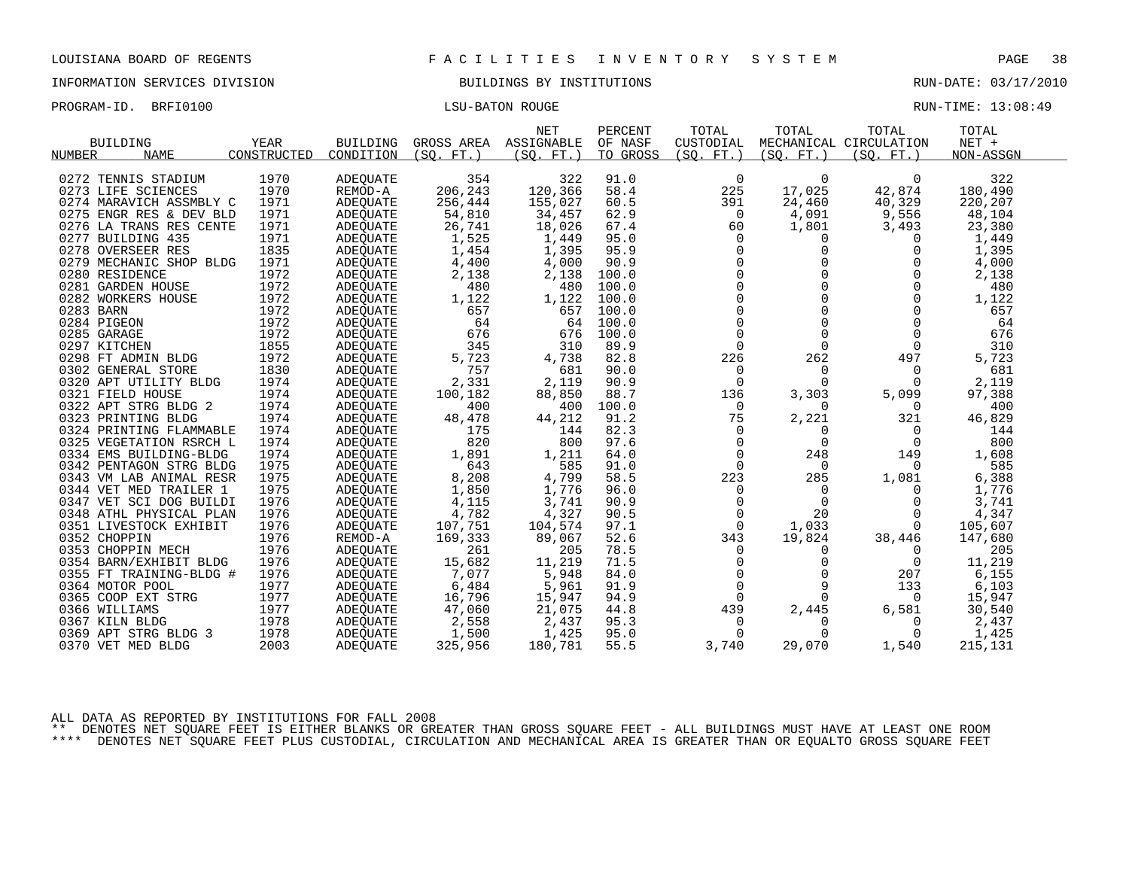INFORMATION SERVICES DIVISION BUILDINGS BY INSTITUTIONS RUN-DATE: 03/17/2010

PROGRAM-ID. BRFI0100 CONSERVERS IN THE LOSS OF THE LOSS OF THE RUN-TIME: 13:08:49

|                              |             |                 |            | <b>NET</b> | PERCENT  | TOTAL          | TOTAL      | TOTAL                  | TOTAL     |  |
|------------------------------|-------------|-----------------|------------|------------|----------|----------------|------------|------------------------|-----------|--|
| <b>BUILDING</b>              | <b>YEAR</b> | <b>BUILDING</b> | GROSS AREA | ASSIGNABLE | OF NASF  | CUSTODIAL      |            | MECHANICAL CIRCULATION | $NET +$   |  |
| <b>NAME</b><br><b>NUMBER</b> | CONSTRUCTED | CONDITION       | (SO, FT.)  | (SO, FT.)  | TO GROSS | (SO. FT.)      | (SO. FT. ) | (SO, FT.)              | NON-ASSGN |  |
|                              |             |                 |            |            |          |                |            |                        |           |  |
| 0272 TENNIS STADIUM          | 1970        | <b>ADEQUATE</b> | 354        | 322        | 91.0     | $\mathbf 0$    | $\Omega$   | $\Omega$               | 322       |  |
| 0273 LIFE SCIENCES           | 1970        | REMOD-A         | 206,243    | 120,366    | 58.4     | 225            | 17,025     | 42,874                 | 180,490   |  |
| 0274 MARAVICH ASSMBLY C      | 1971        | <b>ADEQUATE</b> | 256,444    | 155,027    | 60.5     | 391            | 24,460     | 40,329                 | 220,207   |  |
| 0275 ENGR RES & DEV BLD      | 1971        | ADEOUATE        | 54,810     | 34,457     | 62.9     | 0              | 4,091      | 9,556                  | 48,104    |  |
| 0276 LA TRANS RES CENTE      | 1971        | ADEQUATE        | 26,741     | 18,026     | 67.4     | 60             | 1,801      | 3,493                  | 23,380    |  |
| 0277 BUILDING 435            | 1971        | <b>ADEOUATE</b> | 1,525      | 1,449      | 95.0     | $\Omega$       | $\Omega$   | $\Omega$               | 1,449     |  |
| 0278 OVERSEER RES            | 1835        | <b>ADEQUATE</b> | 1,454      | 1,395      | 95.9     | $\overline{0}$ | 0          | $\Omega$               | 1,395     |  |
| 0279 MECHANIC SHOP BLDG      | 1971        | ADEQUATE        | 4,400      | 4,000      | 90.9     | 0              | 0          |                        | 4,000     |  |
| 0280 RESIDENCE               | 1972        | <b>ADEQUATE</b> | 2,138      | 2,138      | 100.0    | $\Omega$       | $\cap$     | $\Omega$               | 2,138     |  |
| 0281 GARDEN HOUSE            | 1972        | ADEQUATE        | 480        | 480        | 100.0    | $\mathbf 0$    | $\Omega$   | 0                      | 480       |  |
| 0282 WORKERS HOUSE           | 1972        | ADEQUATE        | 1,122      | 1,122      | 100.0    | $\Omega$       | $\Omega$   | $\Omega$               | 1,122     |  |
| 0283 BARN                    | 1972        | ADEOUATE        | 657        | 657        | 100.0    | $\Omega$       | $\Omega$   | $\Omega$               | 657       |  |
| 0284 PIGEON                  | 1972        | ADEQUATE        | 64         | 64         | 100.0    | $\mathbf 0$    | $\Omega$   | 0                      | 64        |  |
| 0285 GARAGE                  | 1972        | ADEQUATE        | 676        | 676        | 100.0    | $\Omega$       | $\Omega$   | $\Omega$               | 676       |  |
| 0297 KITCHEN                 | 1855        | <b>ADEOUATE</b> | 345        | 310        | 89.9     | $\Omega$       | $\Omega$   | $\Omega$               | 310       |  |
| 0298 FT ADMIN BLDG           | 1972        | <b>ADEQUATE</b> | 5,723      | 4,738      | 82.8     | 226            | 262        | 497                    | 5,723     |  |
| 0302 GENERAL STORE           | 1830        | ADEQUATE        | 757        | 681        | 90.0     | 0              | $\Omega$   | $\Omega$               | 681       |  |
| 0320 APT UTILITY BLDG        | 1974        | ADEQUATE        | 2,331      | 2,119      | 90.9     | $\Omega$       | $\Omega$   | $\Omega$               | 2,119     |  |
| 0321 FIELD HOUSE             | 1974        | <b>ADEOUATE</b> | 100,182    | 88,850     | 88.7     | 136            | 3,303      | 5,099                  | 97,388    |  |
| 0322 APT STRG BLDG 2         | 1974        | ADEQUATE        | 400        | 400        | 100.0    | $\Omega$       | $\Omega$   | $\Omega$               | 400       |  |
| 0323 PRINTING BLDG           | 1974        | ADEQUATE        | 48,478     | 44,212     | 91.2     | 75             | 2,221      | 321                    | 46,829    |  |
| 0324 PRINTING FLAMMABLE      | 1974        | <b>ADEOUATE</b> | 175        | 144        | 82.3     | $\Omega$       | 0          | $\Omega$               | 144       |  |
| 0325 VEGETATION RSRCH L      | 1974        | ADEQUATE        | 820        | 800        | 97.6     | $\mathbf 0$    | $\Omega$   | $\Omega$               | 800       |  |
| 0334 EMS BUILDING-BLDG       | 1974        | ADEOUATE        | 1,891      | 1,211      | 64.0     | 0              | 248        | 149                    | 1,608     |  |
| 0342 PENTAGON STRG BLDG      | 1975        | <b>ADEQUATE</b> | 643        | 585        | 91.0     | $\Omega$       | $\Omega$   | $\Omega$               | 585       |  |
| 0343 VM LAB ANIMAL RESR      | 1975        | <b>ADEOUATE</b> | 8,208      | 4,799      | 58.5     | 223            | 285        | 1,081                  | 6,388     |  |
| 0344 VET MED TRAILER 1       | 1975        | ADEQUATE        | 1,850      | 1,776      | 96.0     | 0              | 0          | $\Omega$               | 1,776     |  |
| 0347 VET SCI DOG BUILDI      | 1976        | ADEQUATE        | 4,115      | 3,741      | 90.9     | $\Omega$       | $\Omega$   | $\Omega$               | 3,741     |  |
| 0348 ATHL PHYSICAL PLAN      | 1976        | ADEOUATE        | 4,782      | 4,327      | 90.5     | $\mathbf 0$    | 20         | $\Omega$               | 4,347     |  |
| 0351 LIVESTOCK EXHIBIT       | 1976        | ADEQUATE        | 107,751    | 104,574    | 97.1     | $\Omega$       | 1,033      | $\Omega$               | 105,607   |  |
| 0352 CHOPPIN                 | 1976        | REMOD-A         | 169,333    | 89,067     | 52.6     | 343            | 19,824     | 38,446                 | 147,680   |  |
| 0353 CHOPPIN MECH            | 1976        | <b>ADEQUATE</b> | 261        | 205        | 78.5     | 0              | 0          | $\Omega$               | 205       |  |
| 0354 BARN/EXHIBIT BLDG       | 1976        | ADEQUATE        | 15,682     | 11,219     | 71.5     | $\Omega$       | 0          | 0                      | 11,219    |  |
| 0355 FT TRAINING-BLDG #      | 1976        | ADEQUATE        | 7,077      | 5,948      | 84.0     | $\Omega$       | $\Omega$   | 207                    | 6,155     |  |
| 0364 MOTOR POOL              | 1977        | ADEQUATE        | 6,484      | 5,961      | 91.9     | 0              | 9          | 133                    | 6,103     |  |
| 0365 COOP EXT STRG           | 1977        | ADEQUATE        | 16,796     | 15,947     | 94.9     | $\Omega$       | $\Omega$   | $\Omega$               | 15,947    |  |
| 0366 WILLIAMS                | 1977        | ADEQUATE        | 47,060     | 21,075     | 44.8     | 439            | 2,445      | 6,581                  | 30,540    |  |
| 0367 KILN BLDG               | 1978        | ADEOUATE        | 2,558      | 2,437      | 95.3     | 0              | 0          | 0                      | 2,437     |  |
| 0369 APT STRG BLDG 3         | 1978        | ADEOUATE        | 1,500      | 1,425      | 95.0     | $\Omega$       | $\Omega$   | $\Omega$               | 1,425     |  |
| 0370 VET MED BLDG            | 2003        | ADEOUATE        | 325,956    | 180,781    | 55.5     | 3,740          | 29,070     | 1,540                  | 215,131   |  |
|                              |             |                 |            |            |          |                |            |                        |           |  |

ALL DATA AS REPORTED BY INSTITUTIONS FOR FALL 2008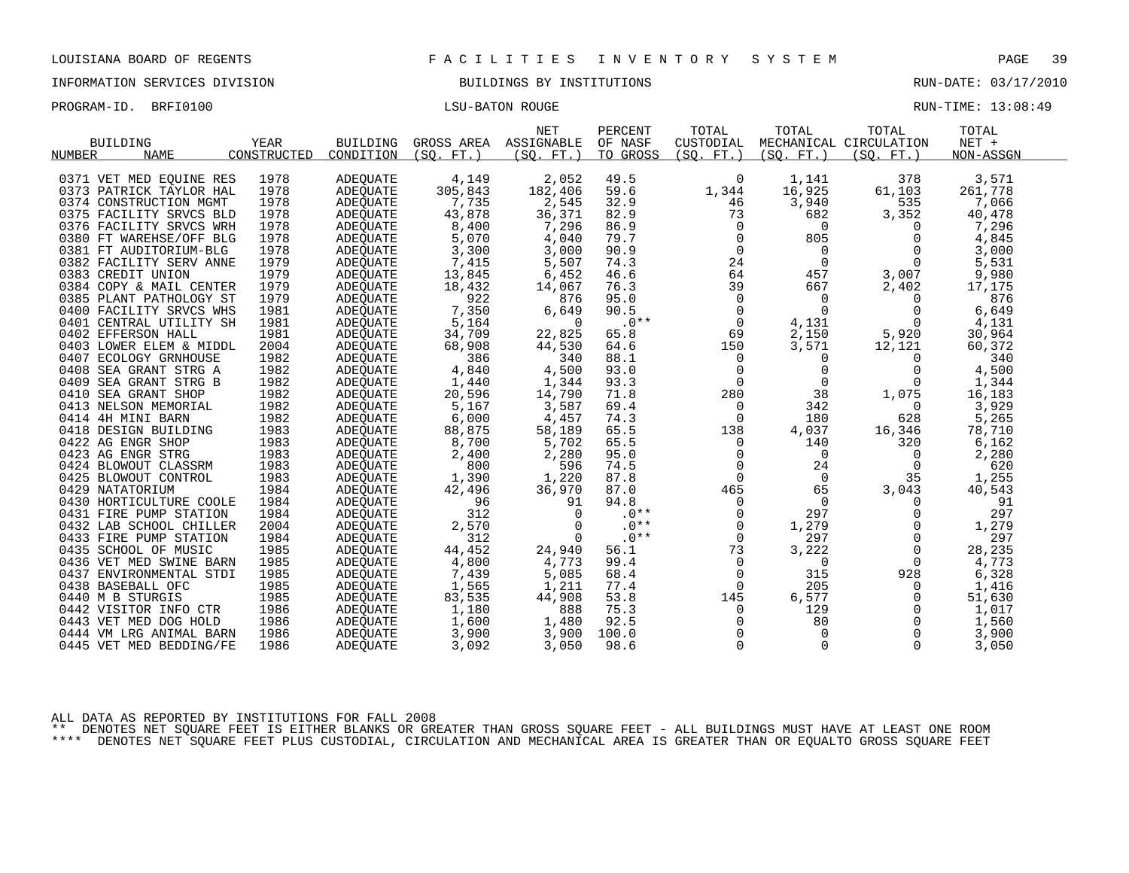INFORMATION SERVICES DIVISION BUILDINGS BY INSTITUTIONS AND RUN-DATE: 03/17/2010

PROGRAM-ID. BRFI0100 CHARGE LASS CONTROLLER IS A SECOND BOUGHT AND RELEVANCE RUN-TIME: 13:08:49

| RIN-TIME: | 12:08:4 |  |
|-----------|---------|--|

| <b>BUILDING</b>                                  | YEAR        | <b>BUILDING</b>                    | GROSS AREA    | <b>NET</b><br>ASSIGNABLE | PERCENT<br>OF NASF | TOTAL<br>CUSTODIAL | TOTAL      | TOTAL<br>MECHANICAL CIRCULATION | TOTAL<br>$NET +$ |
|--------------------------------------------------|-------------|------------------------------------|---------------|--------------------------|--------------------|--------------------|------------|---------------------------------|------------------|
| <b>NAME</b><br>NUMBER                            | CONSTRUCTED | CONDITION                          | (SO, FT.)     | (SO. FT. )               | TO GROSS           | (SO. FT. )         | (SO. FT. ) | (SO. FT. )                      | NON-ASSGN        |
| 0371 VET MED EOUINE RES                          | 1978        | <b>ADEOUATE</b>                    | 4,149         | 2,052                    | 49.5               | $\Omega$           | 1,141      | 378                             | 3,571            |
| 0373 PATRICK TAYLOR HAL                          | 1978        | <b>ADEOUATE</b>                    | 305,843       | 182,406                  | 59.6               | 1,344              | 16,925     | 61,103                          | 261,778          |
| 0374 CONSTRUCTION MGMT                           | 1978        | <b>ADEQUATE</b>                    | 7,735         | 2,545                    | 32.9               | 46                 | 3,940      | 535                             | 7,066            |
| 0375 FACILITY SRVCS BLD                          | 1978        | <b>ADEQUATE</b>                    | 43,878        | 36,371                   | 82.9               | 73                 | 682        | 3,352                           | 40,478           |
| 0376 FACILITY SRVCS WRH                          | 1978        | <b>ADEOUATE</b>                    | 8,400         | 7,296                    | 86.9               | $\Omega$           | 0          | $\Omega$                        | 7,296            |
| 0380 FT WAREHSE/OFF BLG                          | 1978        | <b>ADEQUATE</b>                    | 5,070         | 4,040                    | 79.7               | $\Omega$           | 805        | $\Omega$                        | 4,845            |
| 0381 FT AUDITORIUM-BLG                           | 1978        | <b>ADEOUATE</b>                    | 3,300         | 3,000                    | 90.9               | $\mathbf 0$        | 0          | $\Omega$                        | 3,000            |
| 0382 FACILITY SERV ANNE                          | 1979        | <b>ADEOUATE</b>                    | 7,415         | 5,507                    | 74.3               | 24                 | $\Omega$   | $\Omega$                        | 5,531            |
| 0383 CREDIT UNION                                | 1979        | <b>ADEQUATE</b>                    | 13,845        | 6,452                    | 46.6               | 64                 | 457        | 3,007                           | 9,980            |
| 0384 COPY & MAIL CENTER                          | 1979        | <b>ADEOUATE</b>                    | 18,432        | 14,067                   | 76.3               | 39                 | 667        | 2,402                           | 17,175           |
| 0385 PLANT PATHOLOGY ST                          | 1979        | ADEQUATE                           | 922           | 876                      | 95.0               | $\Omega$           | 0          | $\Omega$                        | 876              |
| 0400 FACILITY SRVCS WHS                          | 1981        | ADEOUATE                           | 7,350         | 6,649                    | 90.5               | $\Omega$           | $\Omega$   | 0                               | 6,649            |
| 0401 CENTRAL UTILITY SH                          | 1981        | <b>ADEOUATE</b>                    | 5,164         | $\Omega$                 | $.0**$             | $\Omega$           | 4,131      | $\Omega$                        | 4,131            |
| 0402 EFFERSON HALL                               | 1981        |                                    | 34,709        |                          | 65.8               |                    |            |                                 | 30,964           |
|                                                  | 2004        | <b>ADEQUATE</b>                    |               | 22,825                   | 64.6               | 69<br>150          | 2,150      | 5,920                           |                  |
| 0403 LOWER ELEM & MIDDL<br>0407 ECOLOGY GRNHOUSE | 1982        | ADEOUATE                           | 68,908<br>386 | 44,530<br>340            | 88.1               | 0                  | 3,571      | 12,121<br>$\Omega$              | 60,372<br>340    |
| 0408 SEA GRANT STRG A                            | 1982        | <b>ADEQUATE</b><br><b>ADEOUATE</b> | 4,840         | 4,500                    | 93.0               |                    | 0<br>0     | $\Omega$                        | 4,500            |
| 0409 SEA GRANT STRG B                            | 1982        |                                    |               |                          | 93.3               | 0<br>$\Omega$      | $\Omega$   | $\Omega$                        |                  |
|                                                  | 1982        | <b>ADEQUATE</b>                    | 1,440         | 1,344                    | 71.8               |                    | 38         |                                 | 1,344            |
| 0410 SEA GRANT SHOP                              | 1982        | <b>ADEQUATE</b>                    | 20,596        | 14,790                   | 69.4               | 280                | 342        | 1,075                           | 16,183           |
| 0413 NELSON MEMORIAL                             | 1982        | <b>ADEOUATE</b>                    | 5,167         | 3,587                    | 74.3               | 0<br>$\Omega$      | 180        | $\Omega$                        | 3,929            |
| 0414 4H MINI BARN                                |             | <b>ADEQUATE</b>                    | 6,000         | 4,457                    |                    |                    |            | 628                             | 5,265            |
| 0418 DESIGN BUILDING                             | 1983        | ADEOUATE                           | 88,875        | 58,189                   | 65.5               | 138                | 4,037      | 16,346                          | 78,710           |
| 0422 AG ENGR SHOP                                | 1983        | <b>ADEQUATE</b>                    | 8,700         | 5,702                    | 65.5               | $\Omega$           | 140        | 320                             | 6,162            |
| 0423 AG ENGR STRG                                | 1983        | <b>ADEQUATE</b>                    | 2,400         | 2,280                    | 95.0               | $\Omega$           | $\Omega$   | $\Omega$                        | 2,280            |
| 0424 BLOWOUT CLASSRM                             | 1983        | ADEOUATE                           | 800           | 596                      | 74.5               | 0                  | 24         | $\Omega$                        | 620              |
| 0425 BLOWOUT CONTROL                             | 1983        | <b>ADEQUATE</b>                    | 1,390         | 1,220                    | 87.8               | $\Omega$           | $\Omega$   | 35                              | 1,255            |
| 0429 NATATORIUM                                  | 1984        | <b>ADEOUATE</b>                    | 42,496        | 36,970                   | 87.0               | 465                | 65         | 3,043                           | 40,543           |
| 0430 HORTICULTURE COOLE                          | 1984        | <b>ADEQUATE</b>                    | 96            | 91                       | 94.8               | $\Omega$           | $\Omega$   | $\Omega$                        | 91               |
| 0431 FIRE PUMP STATION                           | 1984        | <b>ADEQUATE</b>                    | 312           | $\Omega$                 | $.0**$             | $\Omega$           | 297        | $\Omega$                        | 297              |
| 0432 LAB SCHOOL CHILLER                          | 2004        | <b>ADEOUATE</b>                    | 2,570         | $\Omega$                 | $.0**$             | $\Omega$           | 1,279      | $\Omega$                        | 1,279            |
| 0433 FIRE PUMP STATION                           | 1984        | <b>ADEQUATE</b>                    | 312           | $\Omega$                 | $.0**$             | $\Omega$           | 297        | $\Omega$                        | 297              |
| 0435 SCHOOL OF MUSIC                             | 1985        | <b>ADEOUATE</b>                    | 44,452        | 24,940                   | 56.1               | 73                 | 3,222      | $\Omega$                        | 28,235           |
| 0436 VET MED SWINE BARN                          | 1985        | <b>ADEOUATE</b>                    | 4,800         | 4,773                    | 99.4               | $\Omega$           | 0          | $\Omega$                        | 4,773            |
| 0437 ENVIRONMENTAL STDI                          | 1985        | <b>ADEQUATE</b>                    | 7,439         | 5,085                    | 68.4               | 0                  | 315        | 928                             | 6,328            |
| 0438 BASEBALL OFC                                | 1985        | ADEQUATE                           | 1,565         | 1,211                    | 77.4               | $\Omega$           | 205        | $\Omega$                        | 1,416            |
| 0440 M B STURGIS                                 | 1985        | <b>ADEQUATE</b>                    | 83,535        | 44,908                   | 53.8               | 145                | 6,577      | $\Omega$                        | 51,630           |
| 0442 VISITOR INFO CTR                            | 1986        | <b>ADEOUATE</b>                    | 1,180         | 888                      | 75.3               | 0                  | 129        | $\Omega$                        | 1,017            |
| 0443 VET MED DOG HOLD                            | 1986        | ADEQUATE                           | 1,600         | 1,480                    | 92.5               | $\Omega$           | 80         | $\Omega$                        | 1,560            |
| 0444 VM LRG ANIMAL BARN                          | 1986        | <b>ADEOUATE</b>                    | 3,900         | 3,900                    | 100.0              | $\Omega$           | $\Omega$   | $\Omega$                        | 3,900            |
| 0445 VET MED BEDDING/FE                          | 1986        | ADEOUATE                           | 3,092         | 3,050                    | 98.6               | $\Omega$           | $\Omega$   | 0                               | 3,050            |

ALL DATA AS REPORTED BY INSTITUTIONS FOR FALL 2008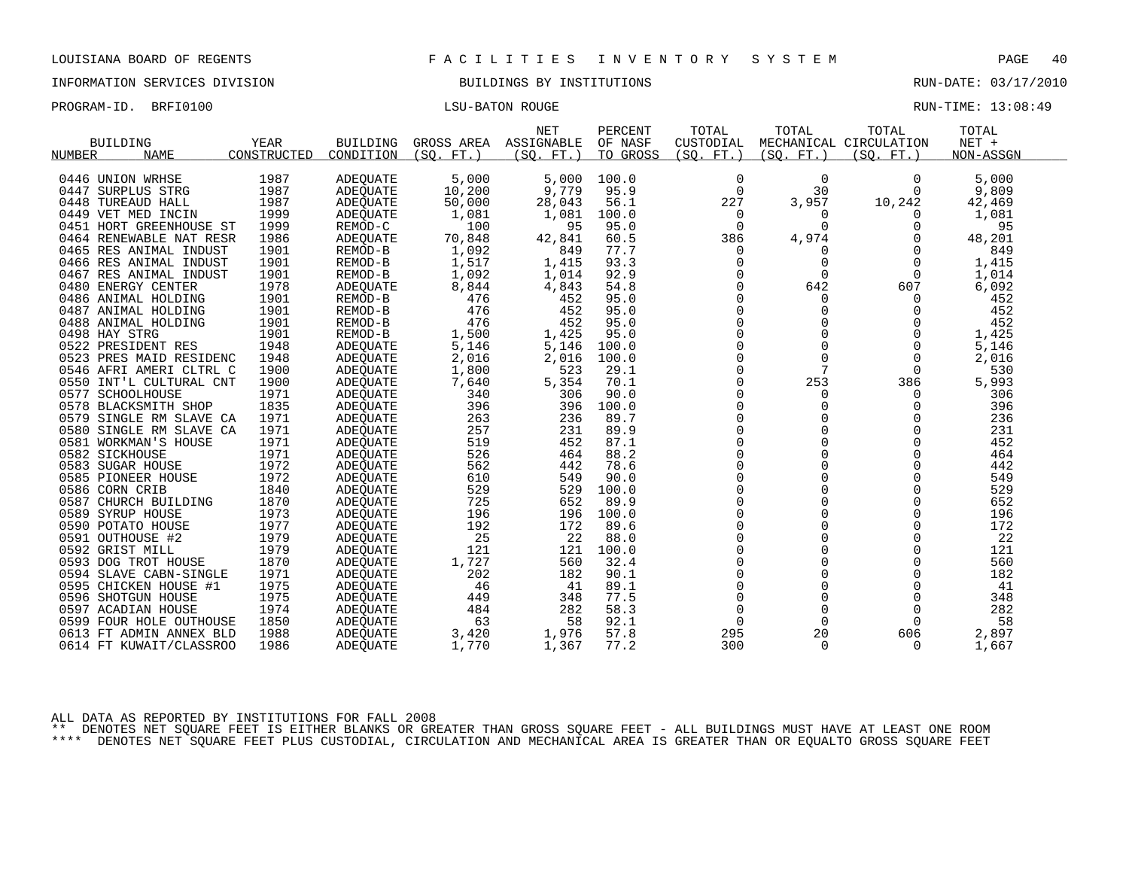INFORMATION SERVICES DIVISION BUILDINGS BY INSTITUTIONS RUN-DATE: 03/17/2010

| PROGRAM-ID. BRFI0100 | LSU-BATON ROUGE | RUN-TIME: 13:08:49 |
|----------------------|-----------------|--------------------|
|                      |                 |                    |

|                         |             |                 |            | <b>NET</b> | PERCENT  | TOTAL       | TOTAL      | TOTAL                  | TOTAL     |
|-------------------------|-------------|-----------------|------------|------------|----------|-------------|------------|------------------------|-----------|
| <b>BUILDING</b>         | YEAR        | <b>BUILDING</b> | GROSS AREA | ASSIGNABLE | OF NASF  | CUSTODIAL   |            | MECHANICAL CIRCULATION | $NET +$   |
| <b>NAME</b><br>NUMBER   | CONSTRUCTED | CONDITION       | (SO. FT. ) | (SO. FT. ) | TO GROSS | (SO. FT. )  | (SQ. FT. ) | (SO. FT. )             | NON-ASSGN |
|                         |             |                 |            |            |          |             |            |                        |           |
| 0446 UNION WRHSE        | 1987        | <b>ADEQUATE</b> | 5,000      | 5,000      | 100.0    | 0           | 0          | $\Omega$               | 5,000     |
| 0447 SURPLUS STRG       | 1987        | <b>ADEOUATE</b> | 10,200     | 9,779      | 95.9     | $\Omega$    | 30         | $\Omega$               | 9,809     |
| 0448 TUREAUD HALL       | 1987        | ADEQUATE        | 50,000     | 28,043     | 56.1     | 227         | 3,957      | 10,242                 | 42,469    |
| 0449 VET MED INCIN      | 1999        | <b>ADEQUATE</b> | 1,081      | 1,081      | 100.0    | $\Omega$    | $\Omega$   | 0                      | 1,081     |
| 0451 HORT GREENHOUSE ST | 1999        | REMOD-C         | 100        | 95         | 95.0     | $\Omega$    | ∩          | $\Omega$               | 95        |
| 0464 RENEWABLE NAT RESR | 1986        | <b>ADEQUATE</b> | 70,848     | 42,841     | 60.5     | 386         | 4,974      | $\Omega$               | 48,201    |
| 0465 RES ANIMAL INDUST  | 1901        | REMOD-B         | 1,092      | 849        | 77.7     | 0           | 0          | $\Omega$               | 849       |
| 0466 RES ANIMAL INDUST  | 1901        | REMOD-B         | 1,517      | 1,415      | 93.3     | $\Omega$    | $\Omega$   | $\Omega$               | 1,415     |
| 0467 RES ANIMAL INDUST  | 1901        | REMOD-B         | 1,092      | 1,014      | 92.9     | $\Omega$    | $\Omega$   | $\Omega$               | 1,014     |
| 0480 ENERGY CENTER      | 1978        | <b>ADEQUATE</b> | 8,844      | 4,843      | 54.8     | $\Omega$    | 642        | 607                    | 6,092     |
| 0486 ANIMAL HOLDING     | 1901        | REMOD-B         | 476        | 452        | 95.0     | $\Omega$    | $\Omega$   | $\Omega$               | 452       |
| 0487 ANIMAL HOLDING     | 1901        | REMOD-B         | 476        | 452        | 95.0     | $\Omega$    | $\Omega$   | $\Omega$               | 452       |
| 0488 ANIMAL HOLDING     | 1901        | REMOD-B         | 476        | 452        | 95.0     | 0           | $\Omega$   | $\Omega$               | 452       |
| 0498 HAY STRG           | 1901        | REMOD-B         | 1,500      | 1,425      | 95.0     | 0           | 0          | $\Omega$               | 1,425     |
| 0522 PRESIDENT RES      | 1948        | <b>ADEQUATE</b> | 5,146      | 5,146      | 100.0    | $\Omega$    | $\Omega$   | $\Omega$               | 5,146     |
| 0523 PRES MAID RESIDENC | 1948        | ADEQUATE        | 2,016      | 2,016      | 100.0    | 0           | 0          | 0                      | 2,016     |
| 0546 AFRI AMERI CLTRL C | 1900        | ADEQUATE        | 1,800      | 523        | 29.1     | $\Omega$    | 7          | $\Omega$               | 530       |
| 0550 INT'L CULTURAL CNT | 1900        | ADEQUATE        | 7,640      | 5,354      | 70.1     | $\Omega$    | 253        | 386                    | 5,993     |
| 0577 SCHOOLHOUSE        | 1971        | <b>ADEOUATE</b> | 340        | 306        | 90.0     | 0           | 0          | 0                      | 306       |
| 0578 BLACKSMITH SHOP    | 1835        | ADEQUATE        | 396        | 396        | 100.0    | 0           | $\Omega$   | $\Omega$               | 396       |
| 0579 SINGLE RM SLAVE CA | 1971        | <b>ADEOUATE</b> | 263        | 236        | 89.7     | $\Omega$    | $\Omega$   | $\Omega$               | 236       |
| 0580 SINGLE RM SLAVE CA | 1971        | <b>ADEQUATE</b> | 257        | 231        | 89.9     | $\mathbf 0$ | 0          | 0                      | 231       |
| 0581 WORKMAN'S HOUSE    | 1971        | <b>ADEQUATE</b> | 519        | 452        | 87.1     | $\Omega$    | $\Omega$   | $\Omega$               | 452       |
| 0582 SICKHOUSE          | 1971        | <b>ADEQUATE</b> | 526        | 464        | 88.2     | $\Omega$    | 0          | $\Omega$               | 464       |
| 0583 SUGAR HOUSE        | 1972        | ADEOUATE        | 562        | 442        | 78.6     | 0           | 0          | 0                      | 442       |
| 0585 PIONEER HOUSE      | 1972        | <b>ADEQUATE</b> | 610        | 549        | 90.0     | $\Omega$    | $\Omega$   | $\Omega$               | 549       |
| 0586 CORN CRIB          | 1840        | <b>ADEOUATE</b> | 529        | 529        | 100.0    | $\Omega$    | $\Omega$   | $\Omega$               | 529       |
| 0587 CHURCH BUILDING    | 1870        | ADEQUATE        | 725        | 652        | 89.9     | 0           | 0          | 0                      | 652       |
| 0589 SYRUP HOUSE        | 1973        | ADEQUATE        | 196        | 196        | 100.0    | $\Omega$    | 0          | $\Omega$               | 196       |
| 0590 POTATO HOUSE       | 1977        | <b>ADEOUATE</b> | 192        | 172        | 89.6     | $\Omega$    | $\Omega$   | $\Omega$               | 172       |
| 0591 OUTHOUSE #2        | 1979        | ADEQUATE        | 25         | 22         | 88.0     | $\Omega$    | $\Omega$   | $\Omega$               | 22        |
| 0592 GRIST MILL         | 1979        | <b>ADEOUATE</b> | 121        | 121        | 100.0    | $\Omega$    | 0          | 0                      | 121       |
| 0593 DOG TROT HOUSE     | 1870        | ADEQUATE        | 1,727      | 560        | 32.4     | 0           | $\Omega$   | $\Omega$               | 560       |
| 0594 SLAVE CABN-SINGLE  | 1971        | <b>ADEOUATE</b> | 202        | 182        | 90.1     | $\Omega$    | $\Omega$   | $\Omega$               | 182       |
| 0595 CHICKEN HOUSE #1   | 1975        | <b>ADEQUATE</b> | 46         | 41         | 89.1     | 0           | 0          | 0                      | 41        |
| 0596 SHOTGUN HOUSE      | 1975        | ADEQUATE        | 449        | 348        | 77.5     | $\Omega$    | $\Omega$   | $\Omega$               | 348       |
| 0597 ACADIAN HOUSE      | 1974        | <b>ADEOUATE</b> | 484        | 282        | 58.3     | $\Omega$    | $\Omega$   | $\Omega$               | 282       |
| 0599 FOUR HOLE OUTHOUSE | 1850        | ADEQUATE        | 63         | 58         | 92.1     | $\Omega$    | $\Omega$   | $\Omega$               | 58        |
| 0613 FT ADMIN ANNEX BLD | 1988        | ADEOUATE        | 3,420      | 1,976      | 57.8     | 295         | 20         | 606                    | 2,897     |
| 0614 FT KUWAIT/CLASSROO | 1986        | <b>ADEQUATE</b> | 1,770      | 1,367      | 77.2     | 300         | $\Omega$   | $\Omega$               | 1,667     |

ALL DATA AS REPORTED BY INSTITUTIONS FOR FALL 2008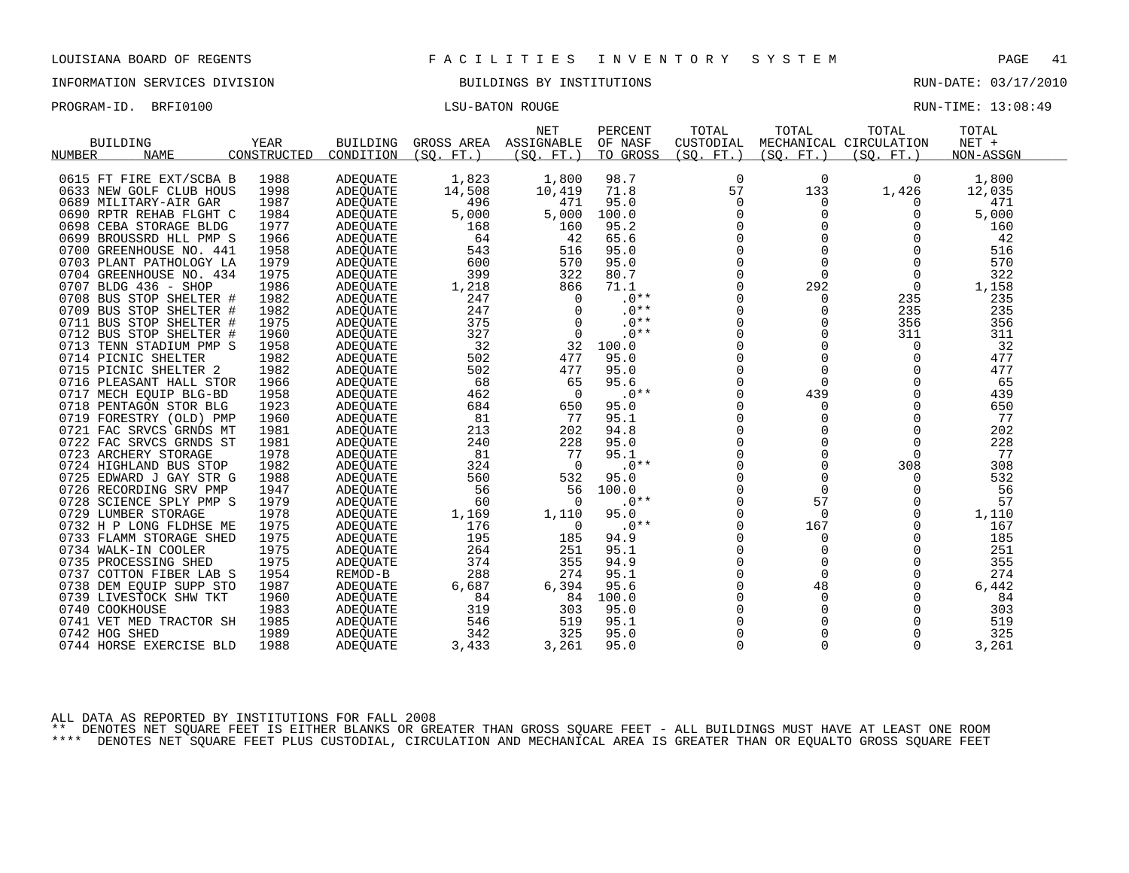INFORMATION SERVICES DIVISION BUILDINGS BY INSTITUTIONS RUN-DATE: 03/17/2010

PROGRAM-ID. BRFI0100 CONSTRUCTED BATON ROUGE LISU-BATON ROUGE RUN-TIME: 13:08:49

| <b>BUILDING</b><br><b>NUMBER</b><br><b>NAME</b>    |    | YEAR<br>CONSTRUCTED | <b>BUILDING</b><br>CONDITION | GROSS AREA<br>(SO.<br>$FT.$ ) | <b>NET</b><br>ASSIGNABLE<br>(SO. FT. ) | PERCENT<br>OF NASF<br>TO GROSS | TOTAL<br>CUSTODIAL<br>(SO. FT. ) | TOTAL<br>(SO. FT. | TOTAL<br>MECHANICAL CIRCULATION<br>(SO. FT. ) | TOTAL<br>$NET +$<br>NON-ASSGN |  |
|----------------------------------------------------|----|---------------------|------------------------------|-------------------------------|----------------------------------------|--------------------------------|----------------------------------|-------------------|-----------------------------------------------|-------------------------------|--|
| 0615 FT FIRE EXT/SCBA B<br>0633 NEW GOLF CLUB HOUS |    | 1988<br>1998        | ADEQUATE<br>ADEQUATE         | 1,823<br>14,508               | 1,800<br>10,419                        | 98.7<br>71.8                   | $\mathbf 0$<br>57                | 0<br>133          | 0<br>1,426                                    | 1,800<br>12,035               |  |
| 0689 MILITARY-AIR GAR                              |    | 1987                | ADEQUATE                     | 496                           | 471                                    | 95.0                           | 0                                | 0                 | U                                             | 471                           |  |
| 0690 RPTR REHAB FLGHT C                            |    | 1984                | ADEQUATE                     | 5,000                         | 5,000                                  | 100.0                          | $\Omega$                         | $\Omega$          | $\Omega$                                      | 5,000                         |  |
| CEBA STORAGE BLDG<br>0698                          |    | 1977                | ADEQUATE                     | 168                           | 160                                    | 95.2                           | 0                                | $\mathbf 0$       | 0                                             | 160                           |  |
| 0699 BROUSSRD HLL PMP S                            |    | 1966                | ADEQUATE                     | 64                            | 42                                     | 65.6                           | $\mathbf 0$                      | 0                 | $\Omega$                                      | 42                            |  |
| 0700 GREENHOUSE NO. 441                            |    | 1958                | ADEQUATE                     | 543                           | 516                                    | 95.0                           | $\mathbf 0$                      | $\Omega$          | $\Omega$                                      | 516                           |  |
| 0703<br>PLANT PATHOLOGY LA                         |    | 1979                | ADEQUATE                     | 600                           | 570                                    | 95.0                           | $\overline{0}$                   | $\Omega$          | $\Omega$                                      | 570                           |  |
| 0704 GREENHOUSE NO. 434                            |    | 1975                | <b>ADEQUATE</b>              | 399                           | 322                                    | 80.7                           | $\mathbf 0$                      | $\mathbf 0$       | 0                                             | 322                           |  |
| 0707 BLDG 436 - SHOP                               |    | 1986                | ADEQUATE                     | 1,218                         | 866                                    | 71.1                           | $\Omega$                         | 292               | $\Omega$                                      | 1,158                         |  |
| 0708 BUS STOP SHELTER #                            |    | 1982                | ADEQUATE                     | 247                           | $\Omega$                               | $.0**$                         | $\Omega$                         | 0                 | 235                                           | 235                           |  |
| 0709 BUS STOP SHELTER                              | —# | 1982                | <b>ADEQUATE</b>              | 247                           | $\Omega$                               | $.0**$                         | $\mathbf 0$                      | $\mathbf 0$       | 235                                           | 235                           |  |
| 0711 BUS STOP SHELTER #                            |    | 1975                | ADEQUATE                     | 375                           | $\Omega$                               | $.0**$                         | $\mathbf 0$                      | $\Omega$          | 356                                           | 356                           |  |
| 0712 BUS STOP SHELTER #                            |    | 1960                | ADEOUATE                     | 327                           | 0                                      | $.0**$                         | $\mathbf 0$                      | 0                 | 311                                           | 311                           |  |
| 0713<br>TENN STADIUM PMP S                         |    | 1958                | ADEQUATE                     | 32                            | 32                                     | 100.0                          | $\mathbf 0$                      | 0                 | $\Omega$                                      | 32                            |  |
| 0714 PICNIC SHELTER                                |    | 1982                | ADEQUATE                     | 502                           | 477                                    | 95.0                           | $\Omega$                         | $\Omega$          | $\Omega$                                      | 477                           |  |
| 0715 PICNIC SHELTER 2                              |    | 1982                | ADEOUATE                     | 502                           | 477                                    | 95.0                           | 0                                | $\mathbf 0$       | $\Omega$                                      | 477                           |  |
| 0716 PLEASANT HALL STOR                            |    | 1966                | <b>ADEQUATE</b>              | 68                            | 65                                     | 95.6                           | $\mathbf 0$                      | $\Omega$          | $\Omega$                                      | 65                            |  |
| 0717 MECH EQUIP BLG-BD                             |    | 1958                | ADEOUATE                     | 462                           | $\Omega$                               | $.0**$                         | $\Omega$                         | 439               | $\Omega$                                      | 439                           |  |
| PENTAGON STOR BLG<br>0718                          |    | 1923                | <b>ADEQUATE</b>              | 684                           | 650                                    | 95.0                           | $\Omega$                         | 0                 | $\Omega$                                      | 650                           |  |
| 0719<br>FORESTRY (OLD) PMP                         |    | 1960                | ADEQUATE                     | 81                            | 77                                     | 95.1                           | $\mathbf 0$                      | $\mathbf 0$       | $\Omega$                                      | 77                            |  |
| 0721 FAC SRVCS GRNDS MT                            |    | 1981                | ADEOUATE                     | 213                           | 202                                    | 94.8                           | $\Omega$                         | $\Omega$          | $\Omega$                                      | 202                           |  |
| 0722 FAC SRVCS GRNDS ST                            |    | 1981                | ADEQUATE                     | 240                           | 228                                    | 95.0                           | $\Omega$                         | $\Omega$          | $\Omega$                                      | 228                           |  |
| 0723 ARCHERY STORAGE                               |    | 1978                | ADEQUATE                     | 81                            | 77                                     | 95.1                           | $\mathbf 0$                      | $\mathbf 0$       | $\Omega$                                      | 77                            |  |
| 0724 HIGHLAND BUS STOP                             |    | 1982                | ADEOUATE                     | 324                           | $\Omega$                               | $.0**$                         | $\Omega$                         | $\Omega$          | 308                                           | 308                           |  |
| 0725 EDWARD J GAY STR G                            |    | 1988                | ADEQUATE                     | 560                           | 532                                    | 95.0                           | $\mathbf 0$                      | $\Omega$          | 0                                             | 532                           |  |
| 0726 RECORDING SRV PMP                             |    | 1947                | ADEOUATE                     | 56                            | 56                                     | 100.0                          | $\mathbf 0$                      | 0                 | $\Omega$                                      | 56                            |  |
| 0728 SCIENCE SPLY PMP S                            |    | 1979                | ADEQUATE                     | 60                            | $\Omega$                               | .0**                           | $\mathbf 0$                      | 57                | $\Omega$                                      | 57                            |  |
| 0729 LUMBER STORAGE                                |    | 1978                | ADEQUATE                     | 1,169                         | 1,110                                  | 95.0                           | $\mathbf 0$                      | $\Omega$          | $\mathbf 0$                                   | 1,110                         |  |
| 0732 H P LONG FLDHSE ME                            |    | 1975                | ADEQUATE                     | 176                           | 0                                      | $.0**$                         | 0                                | 167               | 0                                             | 167                           |  |
| 0733 FLAMM STORAGE SHED                            |    | 1975                | ADEQUATE                     | 195                           | 185                                    | 94.9                           | $\Omega$                         | $\Omega$          | $\Omega$                                      | 185                           |  |
| 0734 WALK-IN COOLER                                |    | 1975                | ADEQUATE                     | 264                           | 251                                    | 95.1                           | 0                                | $\mathbf 0$       | $\Omega$                                      | 251                           |  |
| 0735 PROCESSING SHED                               |    | 1975                | ADEQUATE                     | 374                           | 355                                    | 94.9                           | $\Omega$                         | $\mathbf 0$       | $\Omega$                                      | 355                           |  |
| 0737 COTTON FIBER LAB S                            |    | 1954                | REMOD-B                      | 288                           | 274                                    | 95.1                           | $\Omega$                         | $\Omega$          | $\Omega$                                      | 274                           |  |
| 0738 DEM EQUIP SUPP STO                            |    | 1987                | ADEQUATE                     | 6,687                         | 6,394                                  | 95.6                           | $\mathbf 0$                      | 48                | 0                                             | 6,442                         |  |
| 0739 LIVESTOCK SHW TKT                             |    | 1960                | ADEQUATE                     | 84                            | 84                                     | 100.0                          | $\Omega$                         | 0                 | 0                                             | 84                            |  |
| 0740 COOKHOUSE                                     |    | 1983                | ADEQUATE                     | 319                           | 303                                    | 95.0                           | $\Omega$                         | $\mathbf 0$       | $\Omega$                                      | 303                           |  |
| 0741 VET MED TRACTOR SH                            |    | 1985                | ADEQUATE                     | 546                           | 519                                    | 95.1                           | 0                                | 0                 | 0                                             | 519                           |  |
| 0742 HOG SHED                                      |    | 1989                | ADEQUATE                     | 342                           | 325                                    | 95.0                           | $\Omega$                         | $\Omega$          | $\Omega$                                      | 325                           |  |
| 0744 HORSE EXERCISE BLD                            |    | 1988                | ADEQUATE                     | 3,433                         | 3,261                                  | 95.0                           | $\Omega$                         | $\Omega$          | $\Omega$                                      | 3,261                         |  |

ALL DATA AS REPORTED BY INSTITUTIONS FOR FALL 2008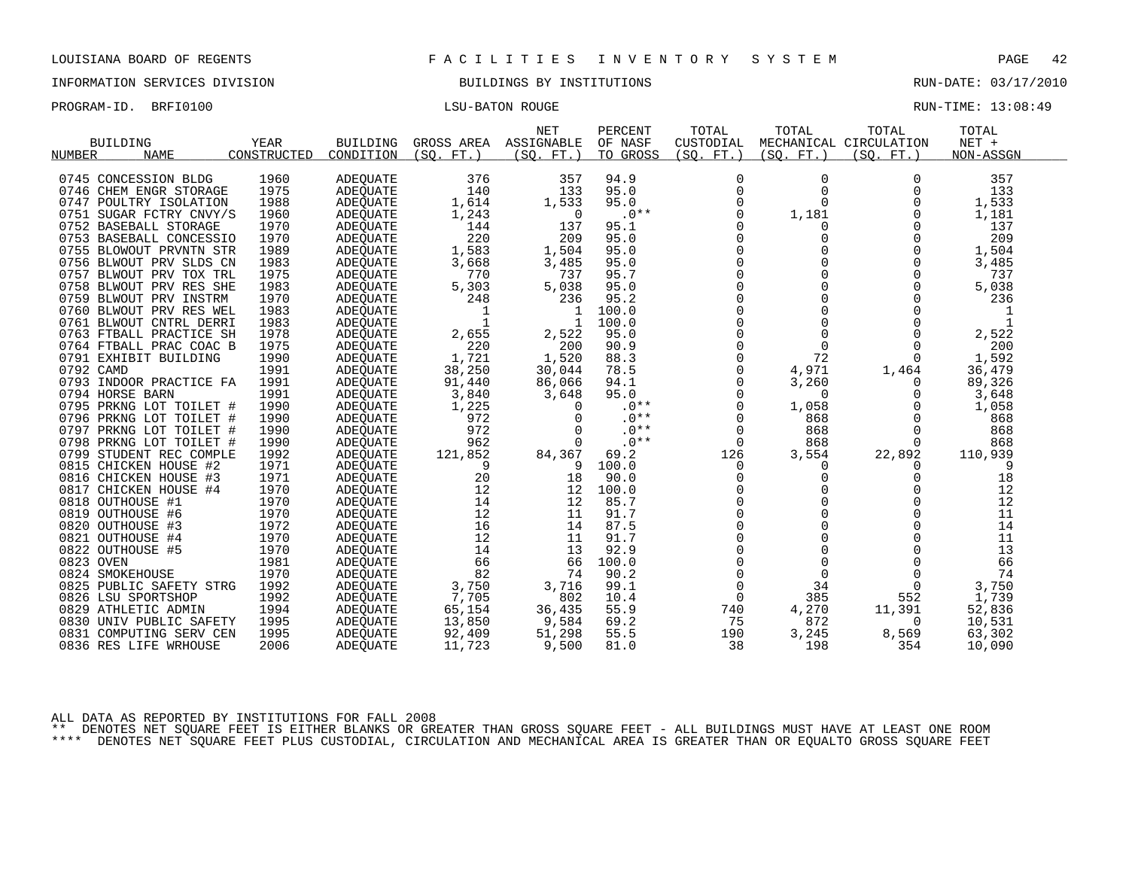INFORMATION SERVICES DIVISION BUILDINGS BY INSTITUTIONS RUN-DATE: 03/17/2010

| PROGRAM-ID. BRFI0100 | LSU-BATON ROUGE | RUN-TIME: 13:08:49 |
|----------------------|-----------------|--------------------|
|                      |                 |                    |

| <b>BUILDING</b><br><b>NAME</b><br>NUMBER | YEAR<br>CONSTRUCTED | <b>BUILDING</b><br>CONDITION | GROSS AREA<br>(SO, FT.) | <b>NET</b><br>ASSIGNABLE<br>(SO. FT. ) | PERCENT<br>OF NASF<br>TO GROSS | TOTAL<br>CUSTODIAL<br>(SO. FT. ) | TOTAL<br>(SO. FT. ) | TOTAL<br>MECHANICAL CIRCULATION<br>(SO. FT. ) | TOTAL<br>$NET +$<br>NON-ASSGN |
|------------------------------------------|---------------------|------------------------------|-------------------------|----------------------------------------|--------------------------------|----------------------------------|---------------------|-----------------------------------------------|-------------------------------|
|                                          |                     |                              |                         |                                        |                                |                                  |                     |                                               |                               |
| 0745 CONCESSION BLDG                     | 1960                | <b>ADEQUATE</b>              | 376                     | 357                                    | 94.9                           | 0                                | 0                   | $\Omega$                                      | 357                           |
| 0746 CHEM ENGR STORAGE                   | 1975                | <b>ADEOUATE</b>              | 140                     | 133                                    | 95.0                           | 0                                | 0                   | $\Omega$                                      | 133                           |
| 0747<br>POULTRY ISOLATION                | 1988                | <b>ADEQUATE</b>              | 1,614                   | 1,533                                  | 95.0                           | $\Omega$                         | 0                   | $\Omega$                                      | 1,533                         |
| 0751<br>SUGAR FCTRY CNVY/S               | 1960                | <b>ADEQUATE</b>              | 1,243                   | $\Omega$                               | $.0**$                         | $\Omega$                         | 1,181               | $\Omega$                                      | 1,181                         |
| 0752 BASEBALL STORAGE                    | 1970                | <b>ADEQUATE</b>              | 144                     | 137                                    | 95.1                           | O                                | 0                   | $\Omega$                                      | 137                           |
| 0753 BASEBALL CONCESSIO                  | 1970                | <b>ADEQUATE</b>              | 220                     | 209                                    | 95.0                           | $\Omega$                         | 0                   | $\Omega$                                      | 209                           |
| 0755 BLOWOUT PRVNTN STR                  | 1989                | <b>ADEQUATE</b>              | 1,583                   | 1,504                                  | 95.0                           | 0                                | 0                   | $\Omega$                                      | 1,504                         |
| 0756 BLWOUT PRV SLDS CN                  | 1983                | <b>ADEQUATE</b>              | 3,668                   | 3,485                                  | 95.0                           | O                                | O                   | $\Omega$                                      | 3,485                         |
| 0757 BLWOUT PRV TOX TRL                  | 1975                | <b>ADEOUATE</b>              | 770                     | 737                                    | 95.7                           | $\Omega$                         | 0                   | $\Omega$                                      | 737                           |
| 0758 BLWOUT PRV RES SHE                  | 1983                | ADEQUATE                     | 5,303                   | 5,038                                  | 95.0                           | 0                                | 0                   | $\Omega$                                      | 5,038                         |
| 0759 BLWOUT PRV INSTRM                   | 1970                | <b>ADEQUATE</b>              | 248                     | 236                                    | 95.2                           | O                                | 0                   | $\Omega$                                      | 236                           |
| 0760 BLWOUT PRV RES WEL                  | 1983                | <b>ADEOUATE</b>              |                         |                                        | 100.0                          | $\Omega$                         | 0                   | $\Omega$                                      |                               |
| 0761<br>BLWOUT CNTRL DERRI               | 1983                | ADEQUATE                     | $\mathbf 1$             |                                        | 100.0                          | 0                                | 0                   | $\Omega$                                      | $\mathbf{1}$                  |
| 0763 FTBALL PRACTICE SH                  | 1978                | <b>ADEOUATE</b>              | 2,655                   | 2,522                                  | 95.0                           | $\Omega$                         | $\Omega$            | $\Omega$                                      | 2,522                         |
| 0764 FTBALL PRAC COAC B                  | 1975                | <b>ADEOUATE</b>              | 220                     | 200                                    | 90.9                           | $\Omega$                         | $\Omega$            | $\Omega$                                      | 200                           |
| 0791 EXHIBIT BUILDING                    | 1990                | ADEQUATE                     | 1,721                   | 1,520                                  | 88.3                           | 0                                | 72                  | <sup>0</sup>                                  | 1,592                         |
| 0792 CAMD                                | 1991                | <b>ADEOUATE</b>              | 38,250                  | 30,044                                 | 78.5                           | $\Omega$                         | 4,971               | 1,464                                         | 36,479                        |
| 0793 INDOOR PRACTICE FA                  | 1991                | <b>ADEQUATE</b>              | 91,440                  | 86,066                                 | 94.1                           | $\Omega$                         | 3,260               | $\Omega$                                      | 89,326                        |
| 0794 HORSE BARN                          | 1991                | ADEOUATE                     | 3,840                   | 3,648                                  | 95.0                           | 0                                | 0                   | O                                             | 3,648                         |
| 0795 PRKNG LOT TOILET #                  | 1990                | <b>ADEQUATE</b>              | 1,225                   | $\Omega$                               | $.0**$                         | $\Omega$                         | 1,058               |                                               | 1,058                         |
| 0796 PRKNG LOT TOILET #                  | 1990                | <b>ADEOUATE</b>              | 972                     | $\Omega$                               | $.0**$                         | $\Omega$                         | 868                 | $\Omega$                                      | 868                           |
| 0797 PRKNG LOT TOILET #                  | 1990                | ADEOUATE                     | 972                     | $\Omega$                               | $.0**$                         | 0                                | 868                 | $\Omega$                                      | 868                           |
| 0798 PRKNG LOT TOILET #                  | 1990                | <b>ADEQUATE</b>              | 962                     | $\Omega$                               | $.0**$                         | $\mathbf 0$                      | 868                 | $\Omega$                                      | 868                           |
| 0799 STUDENT REC COMPLE                  | 1992                | <b>ADEOUATE</b>              | 121,852                 | 84,367                                 | 69.2                           | 126                              | 3,554               | 22,892                                        | 110,939                       |
| 0815 CHICKEN HOUSE #2                    | 1971                | ADEOUATE                     | 9                       | 9                                      | 100.0                          | 0                                | 0                   | 0                                             | 9                             |
| 0816 CHICKEN HOUSE #3                    | 1971                | <b>ADEQUATE</b>              | 20                      | 18                                     | 90.0                           | $\Omega$                         | 0                   | $\Omega$                                      | 18                            |
| 0817 CHICKEN HOUSE #4                    | 1970                | <b>ADEOUATE</b>              | 12                      | 12                                     | 100.0                          | $\Omega$                         | U                   | $\Omega$                                      | 12                            |
| 0818 OUTHOUSE #1                         | 1970                | ADEOUATE                     | 14                      | 12                                     | 85.7                           | 0                                | 0                   | $\Omega$                                      | 12                            |
| 0819 OUTHOUSE #6                         | 1970                | <b>ADEQUATE</b>              | 12                      | 11                                     | 91.7                           | $\Omega$                         | 0                   | $\Omega$                                      | 11                            |
| 0820 OUTHOUSE #3                         | 1972                | <b>ADEOUATE</b>              | 16                      | 14                                     | 87.5                           | $\Omega$                         | U                   | $\Omega$                                      | 14                            |
| 0821 OUTHOUSE #4                         | 1970                | ADEOUATE                     | 12                      | 11                                     | 91.7                           | $\Omega$                         | 0                   | $\Omega$                                      | 11                            |
| 0822 OUTHOUSE #5                         | 1970                | <b>ADEOUATE</b>              | 14                      | 13                                     | 92.9                           |                                  | 0                   |                                               | 13                            |
| 0823 OVEN                                | 1981                | <b>ADEQUATE</b>              | 66                      | 66                                     | 100.0                          | $\Omega$                         | $\Omega$            | $\Omega$                                      | 66                            |
| 0824 SMOKEHOUSE                          | 1970                | ADEOUATE                     | 82                      | 74                                     | 90.2                           | 0                                | $\mathbf 0$         | $\Omega$                                      | 74                            |
| 0825 PUBLIC SAFETY STRG                  | 1992                | <b>ADEQUATE</b>              | 3,750                   | 3,716                                  | 99.1                           | $\Omega$                         | 34                  | $\Omega$                                      | 3,750                         |
| 0826 LSU SPORTSHOP                       | 1992                | <b>ADEQUATE</b>              | 7,705                   | 802                                    | 10.4                           | $\Omega$                         | 385                 | 552                                           | 1,739                         |
| 0829 ATHLETIC ADMIN                      | 1994                | ADEOUATE                     | 65,154                  | 36,435                                 | 55.9                           | 740                              | 4,270               | 11,391                                        | 52,836                        |
| 0830 UNIV PUBLIC SAFETY                  | 1995                | ADEQUATE                     | 13,850                  | 9,584                                  | 69.2                           | 75                               | 872                 | $\Omega$                                      | 10,531                        |
| COMPUTING SERV CEN<br>0831               | 1995<br>2006        | <b>ADEOUATE</b>              | 92,409                  | 51,298                                 | 55.5                           | 190<br>38                        | 3,245<br>198        | 8,569<br>354                                  | 63,302                        |
| 0836 RES LIFE WRHOUSE                    |                     | ADEQUATE                     | 11,723                  | 9,500                                  | 81.0                           |                                  |                     |                                               | 10,090                        |

ALL DATA AS REPORTED BY INSTITUTIONS FOR FALL 2008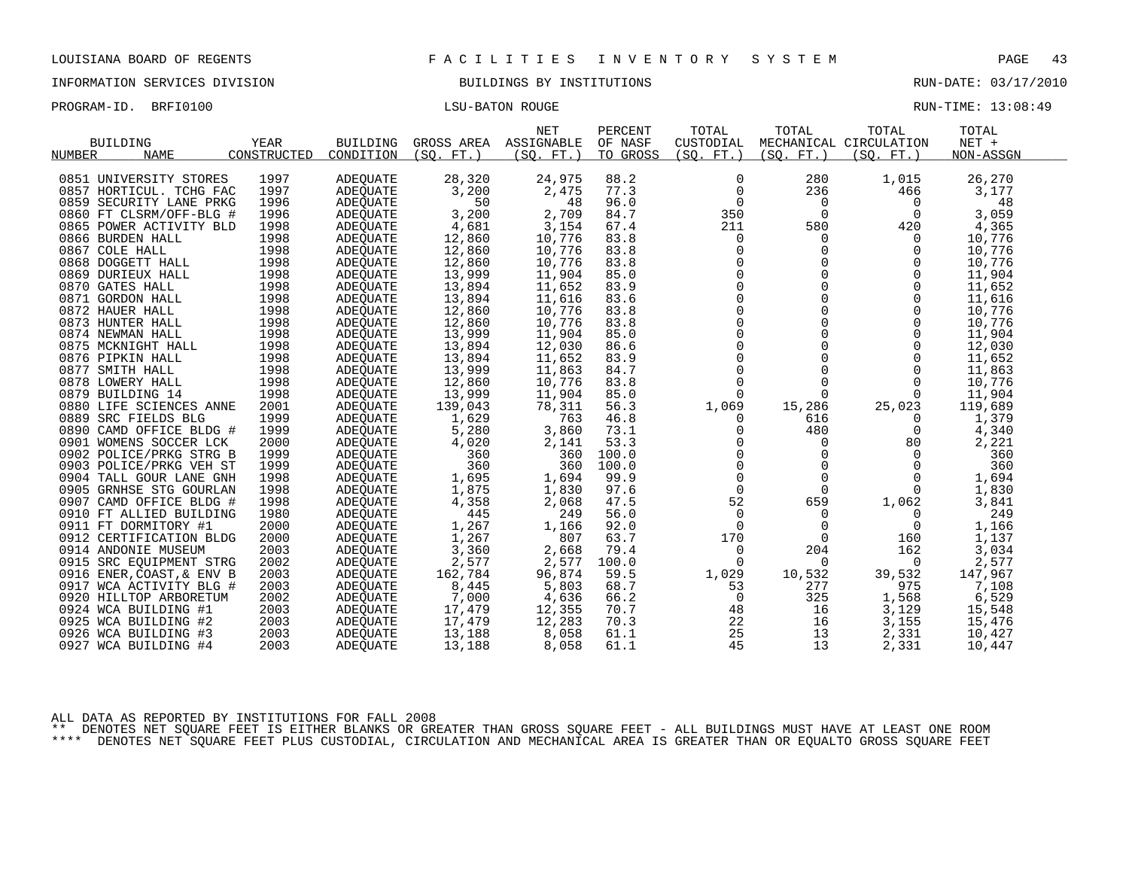INFORMATION SERVICES DIVISION BUILDINGS BY INSTITUTIONS RUN-DATE: 03/17/2010

PROGRAM-ID. BRFI0100 CHARGE LISU-BATON ROUGE LISU-BATON ROUGE RUN-TIME: 13:08:49

| <b>BUILDING</b><br><b>NAME</b><br><b>NUMBER</b> | YEAR<br>CONSTRUCTED | <b>BUILDING</b><br>CONDITION | GROSS AREA<br>(SO,<br>$FT.$ ) | <b>NET</b><br>ASSIGNABLE<br>(SO. FT. ) | PERCENT<br>OF NASF<br>TO GROSS | TOTAL<br>CUSTODIAL<br>(SO. FT.) | TOTAL<br>(SO. FT. ) | TOTAL<br>MECHANICAL CIRCULATION<br>(SO, FT.) | TOTAL<br>$NET +$<br>NON-ASSGN |  |
|-------------------------------------------------|---------------------|------------------------------|-------------------------------|----------------------------------------|--------------------------------|---------------------------------|---------------------|----------------------------------------------|-------------------------------|--|
|                                                 |                     |                              |                               |                                        |                                |                                 |                     |                                              |                               |  |
| 0851 UNIVERSITY STORES                          | 1997                | ADEOUATE                     | 28,320                        | 24,975                                 | 88.2                           | 0                               | 280                 | 1,015                                        | 26,270                        |  |
| 0857 HORTICUL. TCHG FAC                         | 1997                | ADEOUATE                     | 3,200                         | 2,475                                  | 77.3                           |                                 | 236                 | 466                                          | 3,177                         |  |
| 0859 SECURITY LANE PRKG                         | 1996                | ADEOUATE                     | 50                            | 48                                     | 96.0                           | $\Omega$                        | 0                   | $\Omega$                                     | 48                            |  |
| 0860 FT CLSRM/OFF-BLG #                         | 1996                | ADEQUATE                     | 3,200                         | 2,709                                  | 84.7                           | 350                             | $\Omega$            | $\Omega$                                     | 3,059                         |  |
| 0865 POWER ACTIVITY BLD                         | 1998                | ADEOUATE                     | 4,681                         | 3,154                                  | 67.4                           | 211                             | 580                 | 420                                          | 4,365                         |  |
| 0866 BURDEN HALL                                | 1998                | <b>ADEQUATE</b>              | 12,860                        | 10,776                                 | 83.8                           | 0                               | 0                   | 0                                            | 10,776                        |  |
| 0867 COLE HALL                                  | 1998                | ADEOUATE                     | 12,860                        | 10,776                                 | 83.8                           | 0                               | 0                   | $\Omega$                                     | 10,776                        |  |
| 0868 DOGGETT HALL                               | 1998                | ADEQUATE                     | 12,860                        | 10,776                                 | 83.8                           |                                 | $\Omega$            |                                              | 10,776                        |  |
| 0869 DURIEUX HALL                               | 1998                | <b>ADEQUATE</b>              | 13,999                        | 11,904                                 | 85.0                           | $\overline{0}$                  | $\Omega$            |                                              | 11,904                        |  |
| 0870 GATES HALL                                 | 1998                | ADEOUATE                     | 13,894                        | 11,652                                 | 83.9                           |                                 | 0                   |                                              | 11,652                        |  |
| 0871 GORDON HALL                                | 1998                | ADEQUATE                     | 13,894                        | 11,616                                 | 83.6                           | $\Omega$                        |                     |                                              | 11,616                        |  |
| 0872 HAUER HALL                                 | 1998                | ADEOUATE                     | 12,860                        | 10,776                                 | 83.8                           | $\Omega$                        |                     |                                              | 10,776                        |  |
| 0873 HUNTER HALL                                | 1998                | <b>ADEQUATE</b>              | 12,860                        | 10,776                                 | 83.8                           |                                 |                     |                                              | 10,776                        |  |
| 0874 NEWMAN HALL                                | 1998                | ADEOUATE                     | 13,999                        | 11,904                                 | 85.0                           |                                 |                     |                                              | 11,904                        |  |
| 0875 MCKNIGHT HALL                              | 1998                | ADEOUATE                     | 13,894                        | 12,030                                 | 86.6                           |                                 | 0                   |                                              | 12,030                        |  |
| 0876 PIPKIN HALL                                | 1998                | ADEQUATE                     | 13,894                        | 11,652                                 | 83.9                           | $\Omega$                        | $\cap$              |                                              | 11,652                        |  |
| 0877 SMITH HALL                                 | 1998                | ADEOUATE                     | 13,999                        | 11,863                                 | 84.7                           | $\Omega$                        | 0                   |                                              | 11,863                        |  |
| 0878 LOWERY HALL                                | 1998                | ADEQUATE                     | 12,860                        | 10,776                                 | 83.8                           | $\Omega$                        | 0                   | $\Omega$                                     | 10,776                        |  |
| 0879 BUILDING 14                                | 1998                | ADEOUATE                     | 13,999                        | 11,904                                 | 85.0                           | $\Omega$                        | 0                   | $\Omega$                                     | 11,904                        |  |
| 0880 LIFE SCIENCES ANNE                         | 2001                | <b>ADEOUATE</b>              | 139,043                       | 78,311                                 | 56.3                           | 1,069                           | 15,286              | 25,023                                       | 119,689                       |  |
| 0889 SRC FIELDS BLG                             | 1999                | ADEQUATE                     | 1,629                         | 763                                    | 46.8                           | $\Omega$                        | 616                 | 0                                            | 1,379                         |  |
| 0890 CAMD OFFICE BLDG #                         | 1999                | <b>ADEQUATE</b>              | 5,280                         | 3,860                                  | 73.1                           |                                 | 480                 |                                              | 4,340                         |  |
| 0901 WOMENS SOCCER LCK                          | 2000                | ADEQUATE                     | 4,020                         | 2,141                                  | 53.3                           |                                 | 0                   | 80                                           | 2,221                         |  |
| 0902 POLICE/PRKG STRG B                         | 1999                | ADEOUATE                     | 360                           | 360                                    | 100.0                          |                                 |                     | 0                                            | 360                           |  |
| 0903 POLICE/PRKG VEH ST                         | 1999                | <b>ADEQUATE</b>              | 360                           | 360                                    | 100.0                          |                                 |                     | $\Omega$                                     | 360                           |  |
| 0904 TALL GOUR LANE GNH                         | 1998                | ADEQUATE                     | 1,695                         | 1,694                                  | 99.9                           | $\Omega$                        | $\Omega$            | $\Omega$                                     | 1,694                         |  |
| 0905 GRNHSE STG GOURLAN                         | 1998                | <b>ADEQUATE</b>              | 1,875                         | 1,830                                  | 97.6                           | $\mathbf 0$                     | $\Omega$            |                                              | 1,830                         |  |
| 0907 CAMD OFFICE BLDG #                         | 1998                | ADEQUATE                     | 4,358                         | 2,068                                  | 47.5                           | 52                              | 659                 | 1,062                                        | 3,841                         |  |
| 0910 FT ALLIED BUILDING                         | 1980                | <b>ADEOUATE</b>              | 445                           | 249                                    | 56.0                           | $\Omega$                        | 0                   | 0                                            | 249                           |  |
| 0911 FT DORMITORY #1                            | 2000                | ADEQUATE                     | 1,267                         | 1,166                                  | 92.0                           | $\Omega$                        | 0                   | $\Omega$                                     | 1,166                         |  |
| 0912 CERTIFICATION BLDG                         | 2000                | ADEQUATE                     | 1,267                         | 807                                    | 63.7                           | 170                             | $\Omega$            | 160                                          | 1,137                         |  |
| 0914 ANDONIE MUSEUM                             | 2003                | ADEQUATE                     | 3,360                         | 2,668                                  | 79.4                           | 0                               | 204                 | 162                                          | 3,034                         |  |
| 0915<br>SRC EQUIPMENT STRG                      | 2002                | ADEQUATE                     | 2,577                         | 2,577                                  | 100.0                          | $\Omega$                        | 0                   | $\Omega$                                     | 2,577                         |  |
| 0916<br>ENER, COAST, & ENV B                    | 2003                | <b>ADEOUATE</b>              | 162,784                       | 96,874                                 | 59.5                           | 1,029                           | 10,532              | 39,532                                       | 147,967                       |  |

ALL DATA AS REPORTED BY INSTITUTIONS FOR FALL 2008

\*\* DENOTES NET SQUARE FEET IS EITHER BLANKS OR GREATER THAN GROSS SQUARE FEET - ALL BUILDINGS MUST HAVE AT LEAST ONE ROOM \*\*\*\* DENOTES NET SQUARE FEET PLUS CUSTODIAL, CIRCULATION AND MECHANICAL AREA IS GREATER THAN OR EQUALTO GROSS SQUARE FEET

 WCA ACTIVITY BLG # 2003 ADEQUATE 8,445 5,803 68.7 53 277 975 7,108 HILLTOP ARBORETUM 2002 ADEQUATE 7,000 4,636 66.2 0 325 1,568 6,529 WCA BUILDING #1 2003 ADEQUATE 17,479 12,355 70.7 48 16 3,129 15,548 WCA BUILDING #2 2003 ADEQUATE 17,479 12,283 70.3 22 16 3,155 15,476 WCA BUILDING #3 2003 ADEQUATE 13,188 8,058 61.1 25 13 2,331 10,427 WCA BUILDING #4 2003 ADEQUATE 13,188 8,058 61.1 45 13 2,331 10,447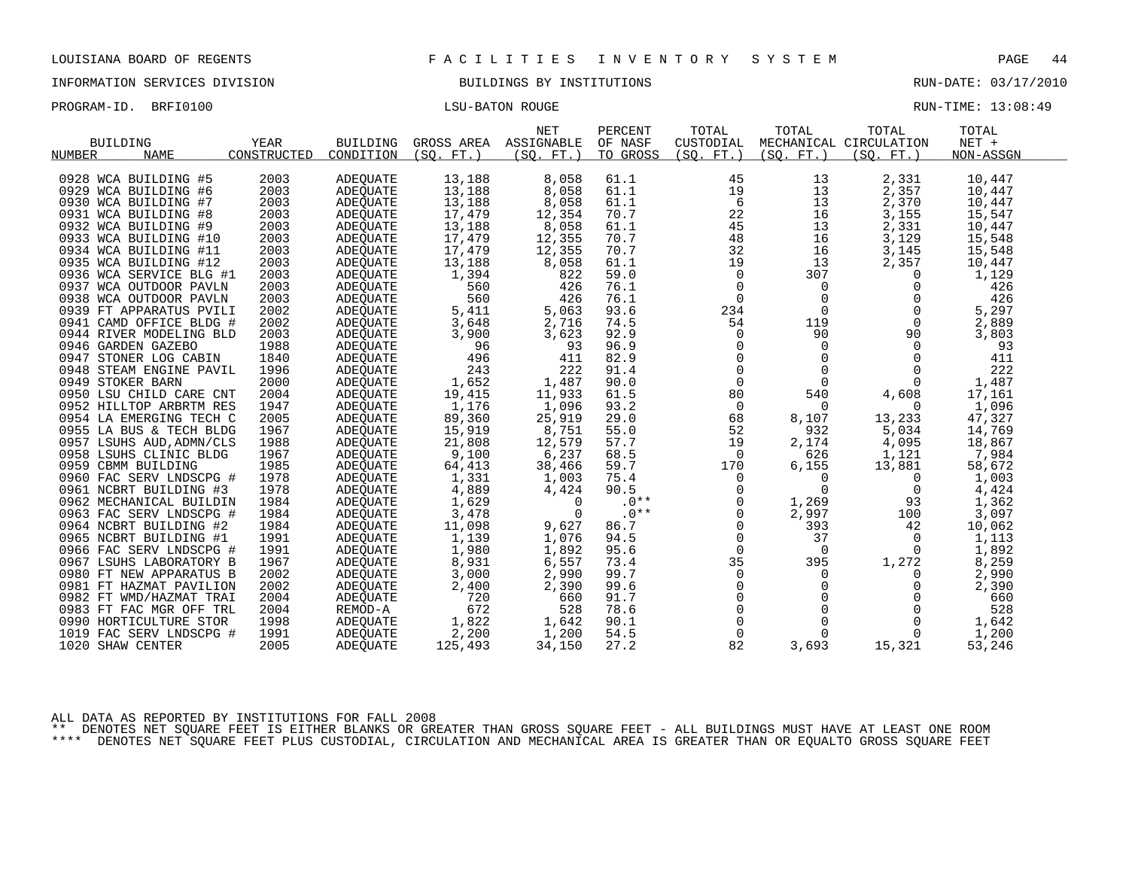INFORMATION SERVICES DIVISION BUILDINGS BY INSTITUTIONS RUN-DATE: 03/17/2010

PROGRAM-ID. BRFI0100 CONSTRUCTED BATON ROUGE LISU-BATON ROUGE RUN-TIME: 13:08:49

| <b>BUILDING</b><br>NUMBER<br><b>NAME</b> | YEAR<br>CONSTRUCTED | <b>BUILDING</b><br>CONDITION | GROSS AREA<br>(SO. FT. ) | <b>NET</b><br>ASSIGNABLE<br>(SO. FT. ) | PERCENT<br>OF NASF<br>TO GROSS | TOTAL<br>CUSTODIAL<br>(SO. FT. ) | TOTAL<br>(SO. FT. ) | TOTAL<br>MECHANICAL CIRCULATION<br>(SO. FT. ) | TOTAL<br>NET +<br>NON-ASSGN |  |
|------------------------------------------|---------------------|------------------------------|--------------------------|----------------------------------------|--------------------------------|----------------------------------|---------------------|-----------------------------------------------|-----------------------------|--|
| 0928 WCA BUILDING #5                     | 2003                | <b>ADEQUATE</b>              | 13,188                   | 8,058                                  | 61.1                           | 45                               | 13                  | 2,331                                         | 10,447                      |  |
| 0929 WCA BUILDING #6                     | 2003                | ADEOUATE                     | 13,188                   | 8,058                                  | 61.1                           | 19                               | 13                  | 2,357                                         | 10,447                      |  |
| 0930 WCA BUILDING #7                     | 2003                | <b>ADEQUATE</b>              | 13,188                   | 8,058                                  | 61.1                           | 6                                | 13                  | 2,370                                         | 10,447                      |  |
| 0931 WCA BUILDING #8                     | 2003                | <b>ADEOUATE</b>              | 17,479                   | 12,354                                 | 70.7                           | 22                               | 16                  | 3,155                                         | 15,547                      |  |
| 0932 WCA BUILDING #9                     | 2003                | ADEOUATE                     | 13,188                   | 8,058                                  | 61.1                           | 45                               | 13                  | 2,331                                         | 10,447                      |  |
| 0933 WCA BUILDING #10                    | 2003                | <b>ADEQUATE</b>              | 17,479                   | 12,355                                 | 70.7                           | 48                               | 16                  | 3,129                                         | 15,548                      |  |
| 0934 WCA BUILDING #11                    | 2003                | ADEOUATE                     | 17,479                   | 12,355                                 | 70.7                           | 32                               | 16                  | 3,145                                         | 15,548                      |  |
| 0935 WCA BUILDING #12                    | 2003                | <b>ADEQUATE</b>              | 13,188                   | 8,058                                  | 61.1                           | 19                               | 13                  | 2,357                                         | 10,447                      |  |
| 0936 WCA SERVICE BLG #1                  | 2003                | ADEOUATE                     | 1,394                    | 822                                    | 59.0                           | 0                                | 307                 | 0                                             | 1,129                       |  |
| 0937 WCA OUTDOOR PAVLN                   | 2003                | <b>ADEQUATE</b>              | 560                      | 426                                    | 76.1                           | $\Omega$                         | $\Omega$            | $\Omega$                                      | 426                         |  |
| 0938 WCA OUTDOOR PAVLN                   | 2003                | ADEQUATE                     | 560                      | 426                                    | 76.1                           | $\mathbf 0$                      | $\mathbf 0$         | 0                                             | 426                         |  |
| 0939 FT APPARATUS PVILI                  | 2002                | ADEQUATE                     | 5,411                    | 5,063                                  | 93.6                           | 234                              | $\Omega$            | $\Omega$                                      | 5,297                       |  |
| 0941 CAMD OFFICE BLDG #                  | 2002                | <b>ADEOUATE</b>              | 3,648                    | 2,716                                  | 74.5                           | 54                               | 119                 | 0                                             | 2,889                       |  |
| 0944 RIVER MODELING BLD                  | 2003                | <b>ADEQUATE</b>              | 3,900                    | 3,623                                  | 92.9                           | 0                                | 90                  | 90                                            | 3,803                       |  |
| 0946 GARDEN GAZEBO                       | 1988                | ADEQUATE                     | 96                       | 93                                     | 96.9                           | $\mathbf 0$                      | $\Omega$            | $\Omega$                                      | 93                          |  |
| 0947 STONER LOG CABIN                    | 1840                | ADEOUATE                     | 496                      | 411                                    | 82.9                           | $\mathbf 0$                      | $\Omega$            | $\Omega$                                      | 411                         |  |
| 0948 STEAM ENGINE PAVIL                  | 1996                | ADEOUATE                     | 243                      | 222                                    | 91.4                           | $\mathsf{O}$                     | $\mathsf{O}$        | 0                                             | 222                         |  |
| 0949 STOKER BARN                         | 2000                | ADEQUATE                     | 1,652                    | 1,487                                  | 90.0                           | $\mathbf 0$                      | $\Omega$            | $\Omega$                                      | 1,487                       |  |
| 0950 LSU CHILD CARE CNT                  | 2004                | ADEOUATE                     | 19,415                   | 11,933                                 | 61.5                           | 80                               | 540                 | 4,608                                         | 17,161                      |  |
| 0952 HILLTOP ARBRTM RES                  | 1947                | ADEQUATE                     | 1,176                    | 1,096                                  | 93.2                           | $\mathbf 0$                      | $\Omega$            | $\Omega$                                      | 1,096                       |  |
| 0954 LA EMERGING TECH C                  | 2005                | ADEOUATE                     | 89,360                   | 25,919                                 | 29.0                           | 68                               | 8,107               | 13,233                                        | 47,327                      |  |
| 0955 LA BUS & TECH BLDG                  | 1967                | ADEQUATE                     | 15,919                   | 8,751                                  | 55.0                           | 52                               | 932                 | 5,034                                         | 14,769                      |  |
| 0957 LSUHS AUD, ADMN/CLS                 | 1988                | ADEOUATE                     | 21,808                   | 12,579                                 | 57.7                           | 19                               | 2,174               | 4,095                                         | 18,867                      |  |
| 0958 LSUHS CLINIC BLDG                   | 1967                | ADEQUATE                     | 9,100                    | 6,237                                  | 68.5                           | $\overline{0}$                   | 626                 | 1,121                                         | 7,984                       |  |
| 0959 CBMM BUILDING                       | 1985                | ADEOUATE                     | 64,413                   | 38,466                                 | 59.7                           | 170                              | 6,155               | 13,881                                        | 58,672                      |  |
| 0960 FAC SERV LNDSCPG #                  | 1978                | <b>ADEQUATE</b>              | 1,331                    | 1,003                                  | 75.4                           | $\mathbf 0$                      | $\Omega$            | $\Omega$                                      | 1,003                       |  |
| 0961 NCBRT BUILDING #3                   | 1978                | ADEQUATE                     | 4,889                    | 4,424                                  | 90.5                           | $\mathbf 0$                      | $\mathbf 0$         | 0                                             | 4,424                       |  |
| 0962 MECHANICAL BUILDIN                  | 1984                | ADEQUATE                     | 1,629                    | $\Omega$                               | $.0**$                         | 0                                | 1,269               | 93                                            | 1,362                       |  |
| 0963 FAC SERV LNDSCPG #                  | 1984                | ADEOUATE                     | 3,478                    | $\Omega$                               | $.0**$                         | $\Omega$                         | 2,997               | 100                                           | 3,097                       |  |
| 0964 NCBRT BUILDING #2                   | 1984                | <b>ADEQUATE</b>              | 11,098                   | 9,627                                  | 86.7                           | $\mathbf 0$                      | 393                 | 42                                            | 10,062                      |  |
| 0965 NCBRT BUILDING #1                   | 1991                | ADEQUATE                     | 1,139                    | 1,076                                  | 94.5                           | 0                                | 37                  | 0                                             | 1,113                       |  |
| 0966 FAC SERV LNDSCPG #                  | 1991                | <b>ADEQUATE</b>              | 1,980                    | 1,892                                  | 95.6                           | $\Omega$                         | $\Omega$            | $\Omega$                                      | 1,892                       |  |
| 0967 LSUHS LABORATORY B                  | 1967                | ADEOUATE                     | 8,931                    | 6,557                                  | 73.4                           | 35                               | 395                 | 1,272                                         | 8,259                       |  |
| 0980 FT NEW APPARATUS B                  | 2002                | <b>ADEQUATE</b>              | 3,000                    | 2,990                                  | 99.7                           | $\mathbf 0$                      | $\Omega$            | $\Omega$                                      | 2,990                       |  |
| 0981 FT HAZMAT PAVILION                  | 2002                | ADEOUATE                     | 2,400                    | 2,390                                  | 99.6                           | $\mathbf 0$                      | $\Omega$            | $\Omega$                                      | 2,390                       |  |
| 0982 FT WMD/HAZMAT TRAI                  | 2004                | ADEQUATE                     | 720                      | 660                                    | 91.7                           | 0                                | $\Omega$            | $\mathbf 0$                                   | 660                         |  |
| 0983 FT FAC MGR OFF TRL                  | 2004                | REMOD-A                      | 672                      | 528                                    | 78.6                           | $\mathbf 0$                      | $\mathbf 0$         | $\mathbf 0$                                   | 528                         |  |
| 0990 HORTICULTURE STOR                   | 1998                | ADEQUATE                     | 1,822                    | 1,642                                  | 90.1                           | $\mathbf 0$                      | $\mathbf 0$         | $\Omega$                                      | 1,642                       |  |
| 1019 FAC SERV LNDSCPG #                  | 1991                | ADEOUATE                     | 2,200                    | 1,200                                  | 54.5                           | 0                                | $\Omega$            | $\Omega$                                      | 1,200                       |  |
| 1020 SHAW CENTER                         | 2005                | ADEQUATE                     | 125,493                  | 34,150                                 | 27.2                           | 82                               | 3,693               | 15,321                                        | 53,246                      |  |

ALL DATA AS REPORTED BY INSTITUTIONS FOR FALL 2008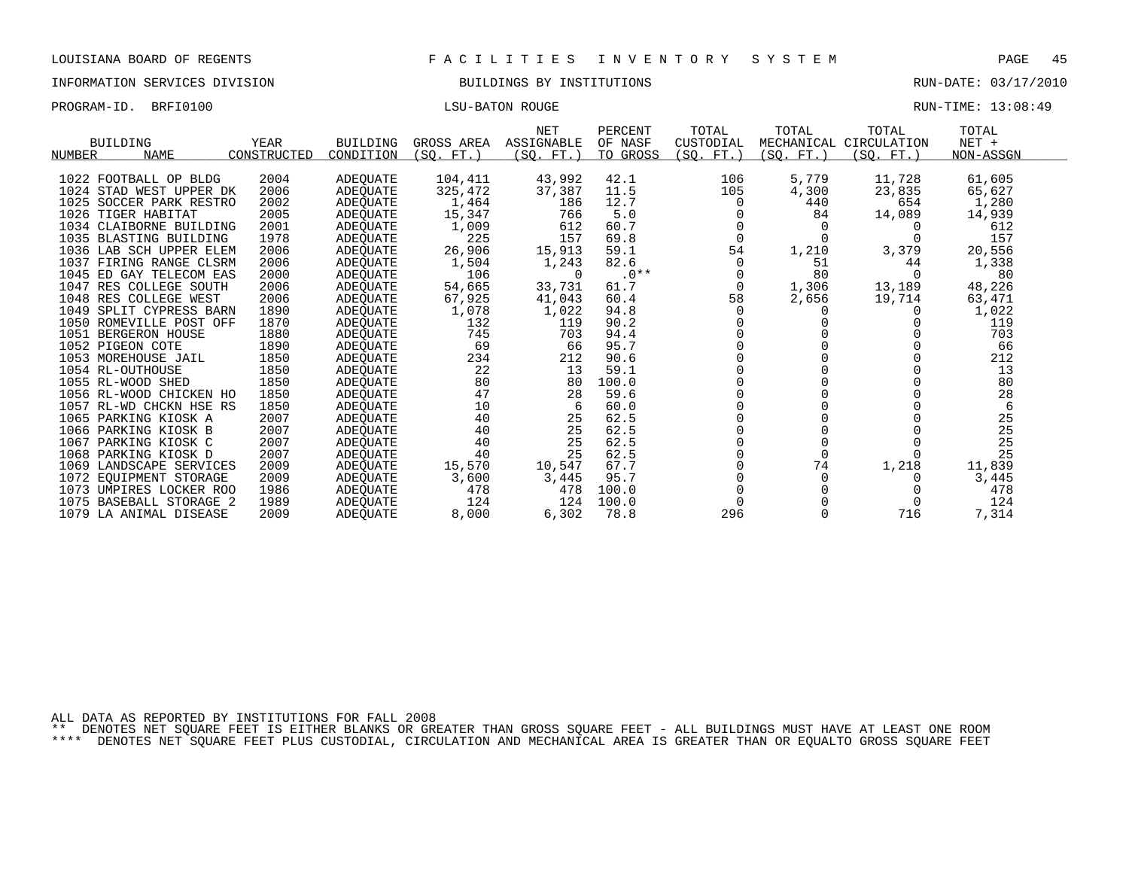INFORMATION SERVICES DIVISION BUILDINGS BY INSTITUTIONS RUN-DATE: 03/17/2010

PROGRAM-ID. BRFI0100 CONSTRUCTED BATON ROUGE LISU-BATON ROUGE RUN-TIME: 13:08:49

|                         |             |                 |            | <b>NET</b> | PERCENT  | TOTAL        | TOTAL     | TOTAL                  | TOTAL     |  |
|-------------------------|-------------|-----------------|------------|------------|----------|--------------|-----------|------------------------|-----------|--|
| BUILDING                | YEAR        | <b>BUILDING</b> | GROSS AREA | ASSIGNABLE | OF NASF  | CUSTODIAL    |           | MECHANICAL CIRCULATION | $NET +$   |  |
| NUMBER<br><b>NAME</b>   | CONSTRUCTED | CONDITION       | (SO. FT.)  | (SO. FT.)  | TO GROSS | (SO. FT.)    | (SO. FT.) | (SO. FT.)              | NON-ASSGN |  |
|                         |             |                 |            |            |          |              |           |                        |           |  |
| 1022 FOOTBALL OP BLDG   | 2004        | ADEQUATE        | 104,411    | 43,992     | 42.1     | 106          | 5,779     | 11,728                 | 61,605    |  |
| 1024 STAD WEST UPPER DK | 2006        | ADEQUATE        | 325,472    | 37,387     | 11.5     | 105          | 4,300     | 23,835                 | 65,627    |  |
| 1025 SOCCER PARK RESTRO | 2002        | ADEQUATE        | 1,464      | 186        | 12.7     | $\Omega$     | 440       | 654                    | 1,280     |  |
| 1026 TIGER HABITAT      | 2005        | ADEOUATE        | 15,347     | 766        | 5.0      |              | 84        | 14,089                 | 14,939    |  |
| 1034 CLAIBORNE BUILDING | 2001        | ADEOUATE        | 1,009      | 612        | 60.7     |              |           |                        | 612       |  |
| 1035 BLASTING BUILDING  | 1978        | ADEQUATE        | 225        | 157        | 69.8     | $\Omega$     |           |                        | 157       |  |
| 1036 LAB SCH UPPER ELEM | 2006        | ADEQUATE        | 26,906     | 15,913     | 59.1     | 54           | 1,210     | 3,379                  | 20,556    |  |
| 1037 FIRING RANGE CLSRM | 2006        | ADEOUATE        | 1,504      | 1,243      | 82.6     | <sup>0</sup> | 51        | 44                     | 1,338     |  |
| 1045 ED GAY TELECOM EAS | 2000        | ADEQUATE        | 106        | $\Omega$   | $.0**$   |              | 80        |                        | 80        |  |
| 1047 RES COLLEGE SOUTH  | 2006        | ADEOUATE        | 54,665     | 33,731     | 61.7     | 0            | 1,306     | 13,189                 | 48,226    |  |
| 1048 RES COLLEGE WEST   | 2006        | ADEQUATE        | 67,925     | 41,043     | 60.4     | 58           | 2,656     | 19,714                 | 63,471    |  |
| 1049 SPLIT CYPRESS BARN | 1890        | ADEQUATE        | 1,078      | 1,022      | 94.8     | $\Omega$     |           |                        | 1,022     |  |
| 1050 ROMEVILLE POST OFF | 1870        | ADEQUATE        | 132        | 119        | 90.2     |              |           |                        | 119       |  |
| 1051 BERGERON HOUSE     | 1880        | ADEQUATE        | 745        | 703        | 94.4     |              |           |                        | 703       |  |
| 1052 PIGEON COTE        | 1890        | ADEOUATE        | 69         | 66         | 95.7     |              |           |                        | 66        |  |
| 1053 MOREHOUSE JAIL     | 1850        | ADEQUATE        | 234        | 212        | 90.6     |              |           |                        | 212       |  |
| 1054 RL-OUTHOUSE        | 1850        | ADEOUATE        | 22         | 13         | 59.1     |              |           |                        | 13        |  |
| 1055 RL-WOOD SHED       | 1850        | ADEQUATE        | 80         | 80         | 100.0    |              |           |                        | 80        |  |
| 1056 RL-WOOD CHICKEN HO | 1850        | ADEQUATE        | 47         | 28         | 59.6     |              |           |                        | 28        |  |
| 1057 RL-WD CHCKN HSE RS | 1850        | ADEQUATE        | 10         | 6          | 60.0     |              |           |                        | 6         |  |
| 1065 PARKING KIOSK A    | 2007        | ADEQUATE        | 40         | 25         | 62.5     |              |           |                        | 25        |  |
| 1066 PARKING KIOSK B    | 2007        | ADEOUATE        | 40         | 25         | 62.5     |              |           |                        | 25        |  |
| 1067 PARKING KIOSK C    | 2007        | ADEQUATE        | 40         | 25         | 62.5     |              |           |                        | 25        |  |
| 1068 PARKING KIOSK D    | 2007        | ADEOUATE        | 40         | 25         | 62.5     |              |           |                        | 25        |  |
| 1069 LANDSCAPE SERVICES | 2009        | ADEQUATE        | 15,570     | 10,547     | 67.7     |              | 74        | 1,218                  | 11,839    |  |
| 1072 EQUIPMENT STORAGE  | 2009        | ADEQUATE        | 3,600      | 3,445      | 95.7     |              |           |                        | 3,445     |  |
| 1073 UMPIRES LOCKER ROO | 1986        | ADEOUATE        | 478        | 478        | 100.0    |              |           |                        | 478       |  |
| 1075 BASEBALL STORAGE 2 | 1989        | ADEQUATE        | 124        | 124        | 100.0    |              |           |                        | 124       |  |
| 1079 LA ANIMAL DISEASE  | 2009        | ADEOUATE        | 8,000      | 6,302      | 78.8     | 296          |           | 716                    | 7,314     |  |

ALL DATA AS REPORTED BY INSTITUTIONS FOR FALL 2008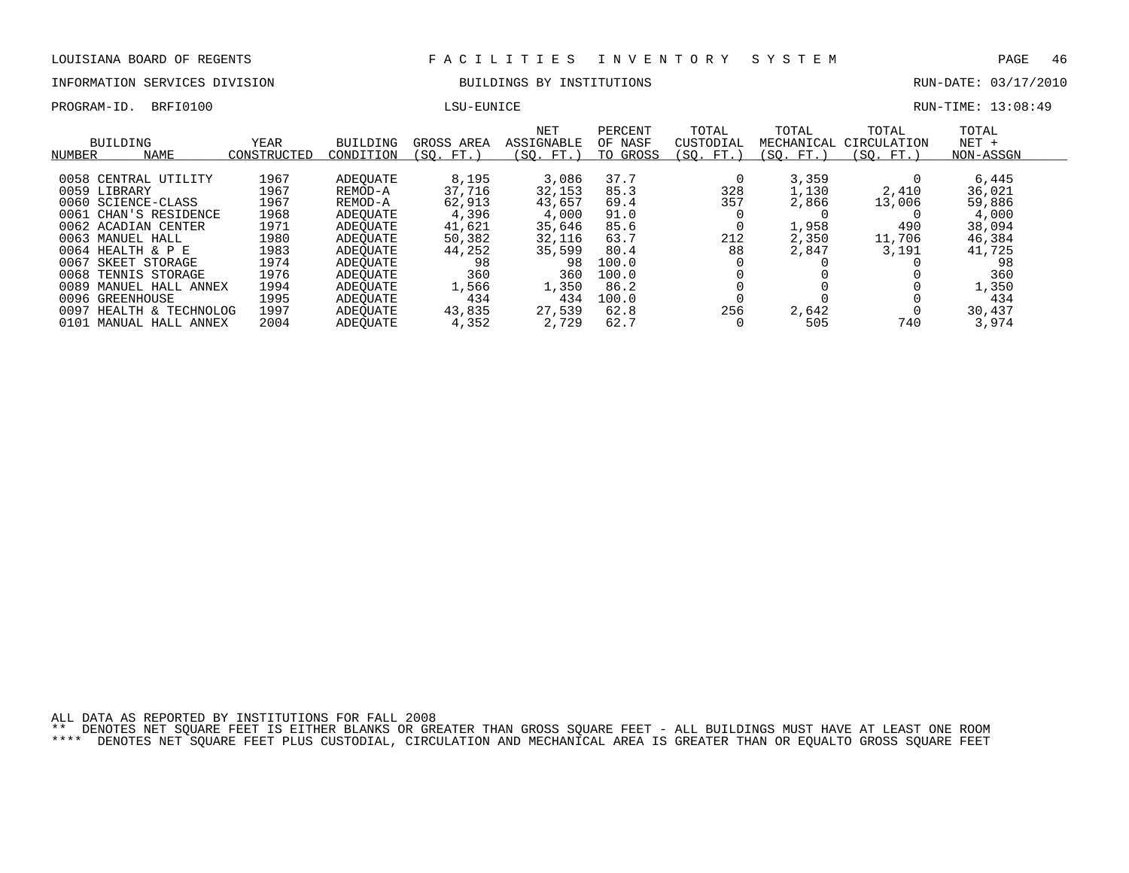# INFORMATION SERVICES DIVISION BUILDINGS BY INSTITUTIONS RUN-DATE: 03/17/2010

PROGRAM-ID. BRFI0100 LSU-EUNICE LESSEN LONGERAM-ID. BRETONOM LESSEN LONGERAM-ID. BRETONOM RUN-TIME: 13:08:49

| M-ID. | BRFI0100 |  |
|-------|----------|--|
|       |          |  |

|  | LSU-EUNICE |  |
|--|------------|--|
|--|------------|--|

| NUMBER       | BUILDING<br><b>NAME</b> | YEAR<br>CONSTRUCTED | BUILDING<br>CONDITION | GROSS AREA<br>(SO. FT.) | <b>NET</b><br>ASSIGNABLE<br>(SO. FT. ) | PERCENT<br>OF NASF<br>TO GROSS | TOTAL<br>CUSTODIAL<br>(SO. FT.) | TOTAL<br>MECHANICAL<br>(SO. FT.) | TOTAL<br>CIRCULATION<br>(SO. FT.) | TOTAL<br>$NET +$<br>NON-ASSGN |
|--------------|-------------------------|---------------------|-----------------------|-------------------------|----------------------------------------|--------------------------------|---------------------------------|----------------------------------|-----------------------------------|-------------------------------|
|              | 0058 CENTRAL UTILITY    | 1967                | ADEOUATE              | 8,195                   | 3,086                                  | 37.7                           |                                 | 3,359                            |                                   | 6,445                         |
| 0059 LIBRARY |                         | 1967                | REMOD-A               | 37,716                  | 32,153                                 | 85.3                           | 328                             | 1,130                            | 2,410                             | 36,021                        |
|              | 0060 SCIENCE-CLASS      | 1967                | REMOD-A               | 62,913                  | 43,657                                 | 69.4                           | 357                             | 2,866                            | 13,006                            | 59,886                        |
|              | 0061 CHAN'S RESIDENCE   | 1968                | ADEOUATE              | 4,396                   | 4,000                                  | 91.0                           |                                 |                                  |                                   | 4,000                         |
|              | 0062 ACADIAN CENTER     | 1971                | ADEOUATE              | 41,621                  | 35,646                                 | 85.6                           |                                 | 1,958                            | 490                               | 38,094                        |
|              | 0063 MANUEL HALL        | 1980                | ADEOUATE              | 50,382                  | 32,116                                 | 63.7                           | 212                             | 2,350                            | 11,706                            | 46,384                        |
|              | $0064$ HEALTH & P E     | 1983                | ADEOUATE              | 44,252                  | 35,599                                 | 80.4                           | 88                              | 2,847                            | 3,191                             | 41,725                        |
| 0067         | SKEET STORAGE           | 1974                | ADEOUATE              | 98                      | 98                                     | 100.0                          |                                 |                                  |                                   | 98                            |
| 0068         | TENNIS STORAGE          | 1976                | ADEOUATE              | 360                     | 360                                    | 100.0                          |                                 |                                  |                                   | 360                           |
| 0089         | MANUEL HALL ANNEX       | 1994                | ADEOUATE              | 1,566                   | 1,350                                  | 86.2                           |                                 |                                  |                                   | 1,350                         |
| 0096         | GREENHOUSE              | 1995                | ADEOUATE              | 434                     | 434                                    | 100.0                          |                                 |                                  |                                   | 434                           |
| 0097         | HEALTH & TECHNOLOG      | 1997                | ADEOUATE              | 43,835                  | 27,539                                 | 62.8                           | 256                             | 2,642                            |                                   | 30,437                        |
|              | 0101 MANUAL HALL ANNEX  | 2004                | ADEOUATE              | 4,352                   | 2,729                                  | 62.7                           |                                 | 505                              | 740                               | 3,974                         |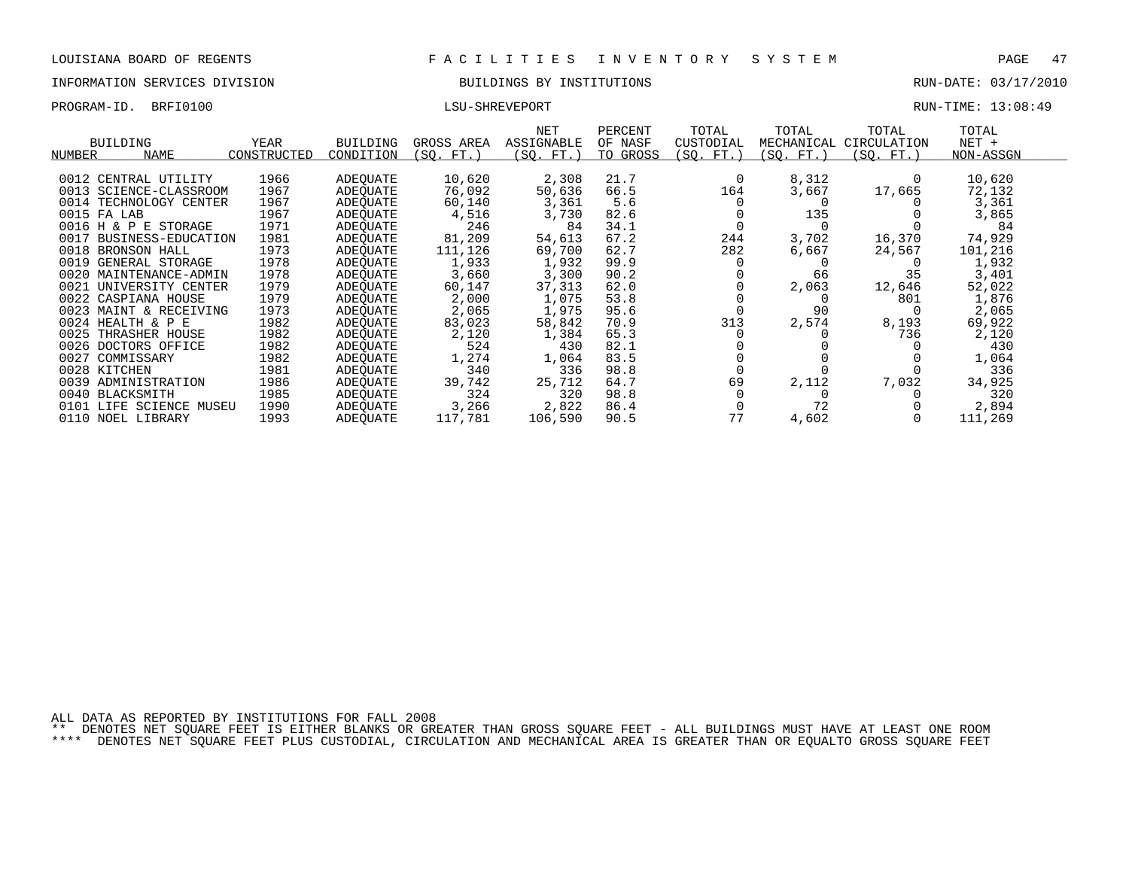# INFORMATION SERVICES DIVISION BUILDINGS BY INSTITUTIONS AND RUN-DATE: 03/17/2010

PROGRAM-ID. BRFI0100 LSU-SHREVEPORT RUN-TIME: 13:08:49

|              |                         |             |                 |            | NET        | PERCENT  | TOTAL     | TOTAL      | TOTAL       | TOTAL     |
|--------------|-------------------------|-------------|-----------------|------------|------------|----------|-----------|------------|-------------|-----------|
|              | <b>BUILDING</b>         | YEAR        | <b>BUILDING</b> | GROSS AREA | ASSIGNABLE | OF NASF  | CUSTODIAL | MECHANICAL | CIRCULATION | $NET +$   |
| NUMBER       | NAME                    | CONSTRUCTED | CONDITION       | (SO. FT. ) | (SO. FT.)  | TO GROSS | (SQ. FT.) | (SO. FT.)  | (SQ. FT.)   | NON-ASSGN |
|              |                         |             |                 |            |            |          |           |            |             |           |
|              | 0012 CENTRAL UTILITY    | 1966        | ADEOUATE        | 10,620     | 2,308      | 21.7     |           | 8,312      |             | 10,620    |
|              | 0013 SCIENCE-CLASSROOM  | 1967        | ADEOUATE        | 76,092     | 50,636     | 66.5     | 164       | 3,667      | 17,665      | 72,132    |
|              | 0014 TECHNOLOGY CENTER  | 1967        | ADEOUATE        | 60,140     | 3,361      | 5.6      |           |            |             | 3,361     |
| 0015 FA LAB  |                         | 1967        | ADEOUATE        | 4,516      | 3,730      | 82.6     |           | 135        |             | 3,865     |
|              | 0016 H & P E STORAGE    | 1971        | ADEOUATE        | 246        | 84         | 34.1     |           |            |             | 84        |
| 0017         | BUSINESS-EDUCATION      | 1981        | ADEOUATE        | 81,209     | 54,613     | 67.2     | 244       | 3,702      | 16,370      | 74,929    |
| 0018         | BRONSON HALL            | 1973        | ADEOUATE        | 111,126    | 69,700     | 62.7     | 282       | 6,667      | 24,567      | 101,216   |
| 0019         | GENERAL STORAGE         | 1978        | ADEOUATE        | 1,933      | 1,932      | 99.9     |           |            |             | 1,932     |
|              | 0020 MAINTENANCE-ADMIN  | 1978        | ADEOUATE        | 3,660      | 3,300      | 90.2     |           | 66         | 35          | 3,401     |
| 0021         | UNIVERSITY CENTER       | 1979        | ADEOUATE        | 60,147     | 37,313     | 62.0     |           | 2,063      | 12,646      | 52,022    |
|              | 0022 CASPIANA HOUSE     | 1979        | ADEQUATE        | 2,000      | 1,075      | 53.8     |           |            | 801         | 1,876     |
|              | 0023 MAINT & RECEIVING  | 1973        | ADEOUATE        | 2,065      | 1,975      | 95.6     |           | 90         |             | 2,065     |
|              | 0024 HEALTH & P E       | 1982        | ADEOUATE        | 83,023     | 58,842     | 70.9     | 313       | 2,574      | 8,193       | 69,922    |
| 0025         | THRASHER HOUSE          | 1982        | ADEOUATE        | 2,120      | 1,384      | 65.3     |           |            | 736         | 2,120     |
|              | 0026 DOCTORS OFFICE     | 1982        | ADEQUATE        | 524        | 430        | 82.1     |           |            |             | 430       |
| 0027         | COMMISSARY              | 1982        | ADEQUATE        | 1,274      | 1,064      | 83.5     |           |            |             | 1,064     |
| 0028 KITCHEN |                         | 1981        | ADEOUATE        | 340        | 336        | 98.8     |           |            |             | 336       |
| 0039         | ADMINISTRATION          | 1986        | ADEQUATE        | 39,742     | 25,712     | 64.7     | 69        | 2,112      | 7,032       | 34,925    |
|              | 0040 BLACKSMITH         | 1985        | ADEOUATE        | 324        | 320        | 98.8     |           |            |             | 320       |
|              | 0101 LIFE SCIENCE MUSEU | 1990        | ADEQUATE        | 3,266      | 2,822      | 86.4     |           | 72         |             | 2,894     |
|              | 0110 NOEL LIBRARY       | 1993        | ADEQUATE        | 117,781    | 106,590    | 90.5     | 77        | 4,602      |             | 111,269   |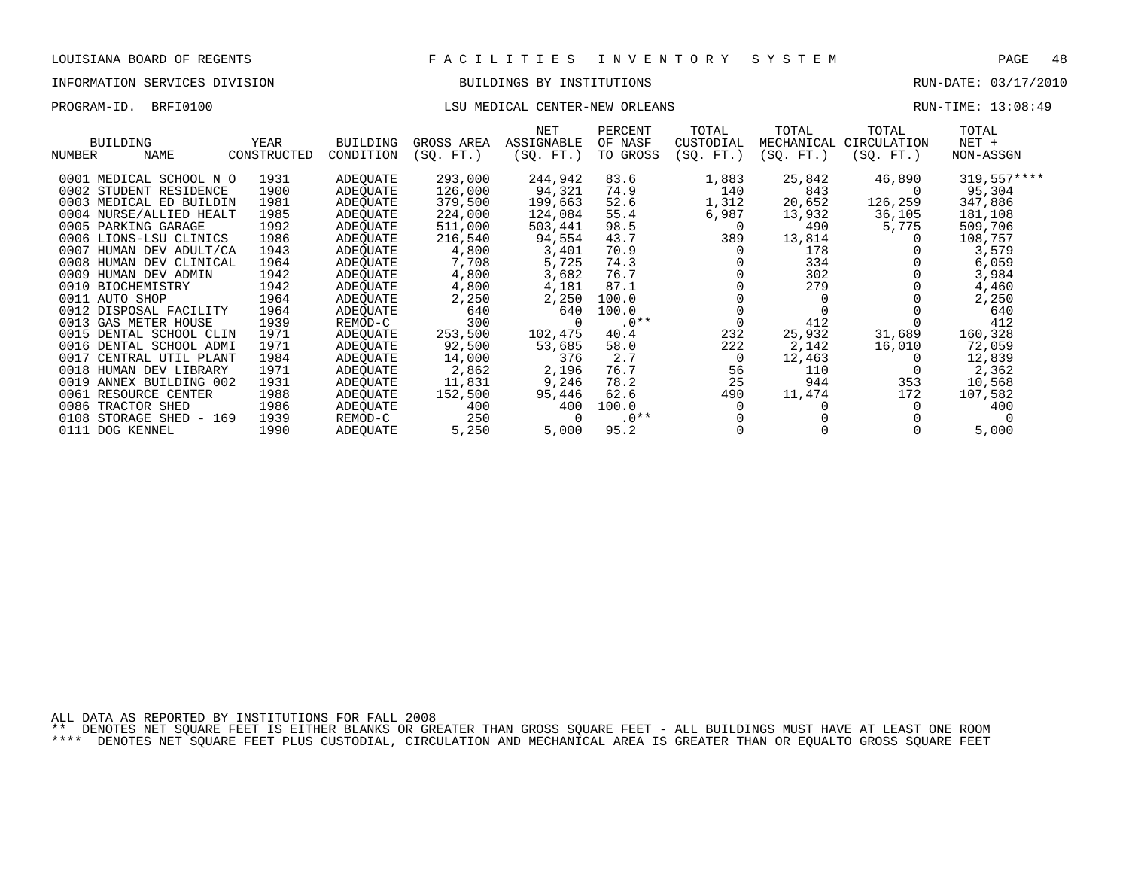# INFORMATION SERVICES DIVISION BUILDINGS BY INSTITUTIONS AND RUN-DATE: 03/17/2010

# PROGRAM-ID. BRFI0100 COMPUTER: 13:08:49 LSU MEDICAL CENTER-NEW ORLEANS

| <b>BUILDING</b><br><b>NAME</b><br>NUMBER | YEAR<br>CONSTRUCTED | <b>BUILDING</b><br>CONDITION | GROSS AREA<br>(SO. FT.) | NET<br>ASSIGNABLE<br>(SO. FT.) | PERCENT<br>OF NASF<br>TO GROSS | TOTAL<br>CUSTODIAL<br>(SO. FT.) | TOTAL<br>MECHANICAL<br>(SQ. FT.) | TOTAL<br>CIRCULATION<br>(SO. FT. ) | TOTAL<br>NET +<br>NON-ASSGN |
|------------------------------------------|---------------------|------------------------------|-------------------------|--------------------------------|--------------------------------|---------------------------------|----------------------------------|------------------------------------|-----------------------------|
| 0001 MEDICAL SCHOOL N O                  | 1931                | ADEOUATE                     | 293,000                 | 244,942                        | 83.6                           | 1,883                           | 25,842                           | 46,890                             | $319.557***$                |
| 0002 STUDENT RESIDENCE                   | 1900                | ADEOUATE                     | 126,000                 | 94,321                         | 74.9                           | 140                             | 843                              |                                    | 95,304                      |
| 0003 MEDICAL ED BUILDIN                  | 1981                | ADEOUATE                     | 379,500                 | 199,663                        | 52.6                           | 1,312                           | 20,652                           | 126,259                            | 347,886                     |
| 0004 NURSE/ALLIED HEALT                  | 1985                | ADEOUATE                     | 224,000                 | 124,084                        | 55.4                           | 6,987                           | 13,932                           | 36,105                             | 181,108                     |
| 0005 PARKING GARAGE                      | 1992                | ADEOUATE                     | 511,000                 | 503,441                        | 98.5                           | 0                               | 490                              | 5,775                              | 509,706                     |
| 0006 LIONS-LSU CLINICS                   | 1986                | ADEQUATE                     | 216,540                 | 94,554                         | 43.7                           | 389                             | 13,814                           |                                    | 108,757                     |
| 0007<br>HUMAN DEV ADULT/CA               | 1943                | ADEOUATE                     | 4,800                   | 3,401                          | 70.9                           |                                 | 178                              |                                    | 3,579                       |
| 0008<br>HUMAN DEV CLINICAL               | 1964                | ADEOUATE                     | 7,708                   | 5,725                          | 74.3                           |                                 | 334                              |                                    | 6,059                       |
| 0009<br>HUMAN DEV ADMIN                  | 1942                | ADEOUATE                     | 4,800                   | 3,682                          | 76.7                           |                                 | 302                              |                                    | 3,984                       |
| 0010 BIOCHEMISTRY                        | 1942                | ADEOUATE                     | 4,800                   | 4,181                          | 87.1                           |                                 | 279                              |                                    | 4,460                       |
| 0011 AUTO SHOP                           | 1964                | ADEQUATE                     | 2,250                   | 2,250                          | 100.0                          |                                 |                                  |                                    | 2,250                       |
| 0012 DISPOSAL FACILITY                   | 1964                | ADEOUATE                     | 640                     | 640                            | 100.0                          |                                 |                                  |                                    | 640                         |
| 0013 GAS METER HOUSE                     | 1939                | REMOD-C                      | 300                     |                                | $.0**$                         |                                 | 412                              |                                    | 412                         |
| 0015 DENTAL SCHOOL CLIN                  | 1971                | ADEOUATE                     | 253,500                 | 102,475                        | 40.4                           | 232                             | 25,932                           | 31,689                             | 160,328                     |
| 0016 DENTAL SCHOOL ADMI                  | 1971                | ADEOUATE                     | 92,500                  | 53,685                         | 58.0                           | 222                             | 2,142                            | 16,010                             | 72,059                      |
| 0017 CENTRAL UTIL PLANT                  | 1984                | ADEQUATE                     | 14,000                  | 376                            | 2.7                            | $\Omega$                        | 12,463                           |                                    | 12,839                      |
| 0018 HUMAN DEV LIBRARY                   | 1971                | ADEOUATE                     | 2,862                   | 2,196                          | 76.7                           | 56                              | 110                              |                                    | 2,362                       |
| 0019 ANNEX BUILDING 002                  | 1931                | ADEQUATE                     | 11,831                  | 9,246                          | 78.2                           | 25                              | 944                              | 353                                | 10,568                      |
| 0061<br>RESOURCE CENTER                  | 1988                | ADEOUATE                     | 152,500                 | 95,446                         | 62.6                           | 490                             | 11,474                           | 172                                | 107,582                     |
| 0086<br>TRACTOR SHED                     | 1986                | ADEOUATE                     | 400                     | 400                            | 100.0                          |                                 |                                  |                                    | 400                         |
| 0108<br>STORAGE SHED - 169               | 1939                | REMOD-C                      | 250                     |                                | $.0**$                         |                                 |                                  |                                    |                             |
| 0111 DOG KENNEL                          | 1990                | ADEOUATE                     | 5,250                   | 5,000                          | 95.2                           |                                 |                                  |                                    | 5,000                       |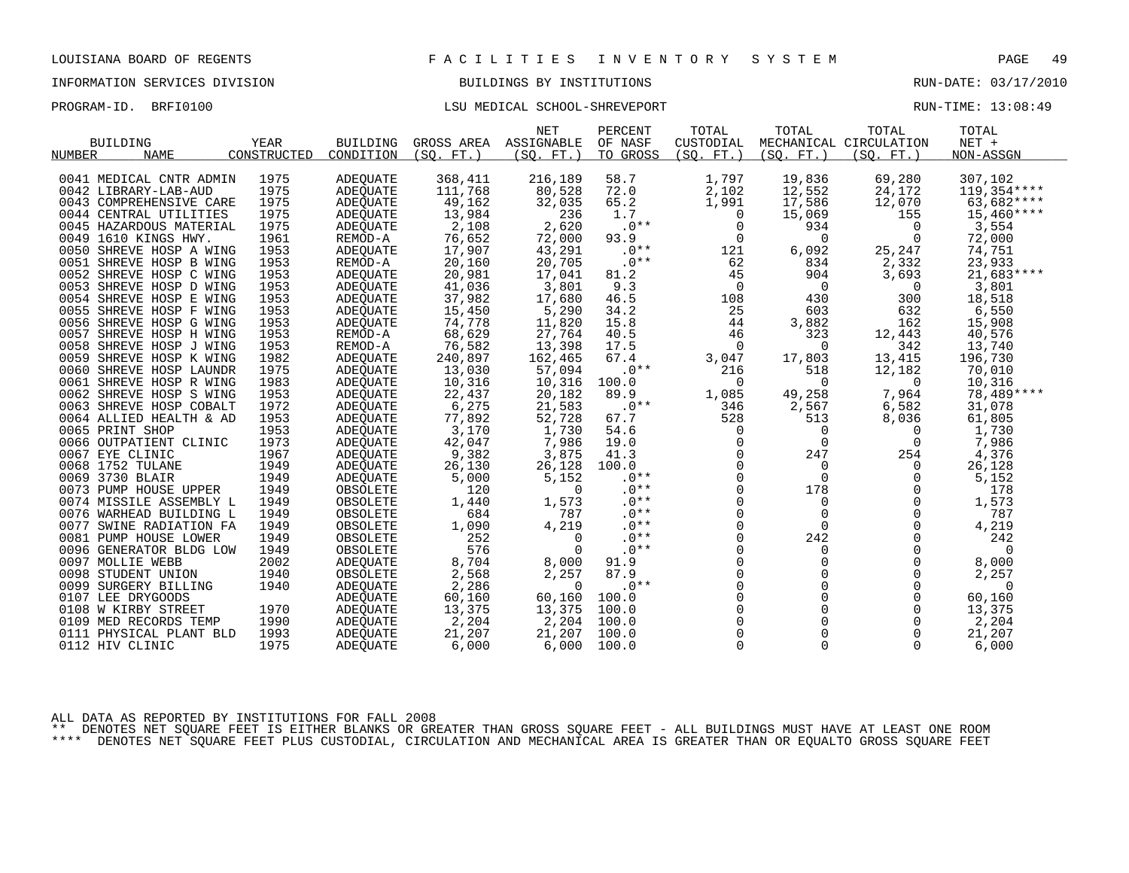# INFORMATION SERVICES DIVISION BUILDINGS BY INSTITUTIONS AND RUN-DATE: 03/17/2010

# PROGRAM-ID. BRFI0100 COMPUTE: 13:08:49

|                         |             |                 |            | <b>NET</b> | PERCENT  | TOTAL          | TOTAL          | TOTAL                  | TOTAL        |  |
|-------------------------|-------------|-----------------|------------|------------|----------|----------------|----------------|------------------------|--------------|--|
| <b>BUILDING</b>         | YEAR        | <b>BUILDING</b> | GROSS AREA | ASSIGNABLE | OF NASF  | CUSTODIAL      |                | MECHANICAL CIRCULATION | $NET +$      |  |
| <b>NAME</b><br>NUMBER   | CONSTRUCTED | CONDITION       | (SO. FT.)  | (SQ. FT. ) | TO GROSS | (SO. FT.)      | (SO. FT.)      | (SO. FT. )             | NON-ASSGN    |  |
|                         |             |                 |            |            |          |                |                |                        |              |  |
| 0041 MEDICAL CNTR ADMIN | 1975        | ADEOUATE        | 368,411    | 216,189    | 58.7     | 1,797          | 19,836         | 69,280                 | 307,102      |  |
| 0042 LIBRARY-LAB-AUD    | 1975        | ADEQUATE        | 111,768    | 80,528     | 72.0     | 2,102          | 12,552         | 24,172                 | 119,354 **** |  |
| 0043 COMPREHENSIVE CARE | 1975        | <b>ADEQUATE</b> | 49,162     | 32,035     | 65.2     | 1,991          | 17,586         | 12,070                 | 63,682****   |  |
| 0044 CENTRAL UTILITIES  | 1975        | ADEQUATE        | 13,984     | 236        | 1.7      | $\overline{0}$ | 15,069         | 155                    | $15,460***$  |  |
| 0045 HAZARDOUS MATERIAL | 1975        | <b>ADEOUATE</b> | 2,108      | 2,620      | $.0**$   | $\mathbf 0$    | 934            | 0                      | 3,554        |  |
| 0049 1610 KINGS HWY.    | 1961        | REMOD-A         | 76,652     | 72,000     | 93.9     | $\mathsf{O}$   | $\mathbf 0$    | 0                      | 72,000       |  |
| 0050 SHREVE HOSP A WING | 1953        | <b>ADEQUATE</b> | 17,907     | 43,291     | $.0**$   | 121            | 6,092          | 25,247                 | 74,751       |  |
| 0051 SHREVE HOSP B WING | 1953        | REMOD-A         | 20,160     | 20,705     | $.0**$   | 62             | 834            | 2,332                  | 23,933       |  |
| 0052 SHREVE HOSP C WING | 1953        | <b>ADEQUATE</b> | 20,981     | 17,041     | 81.2     | 45             | 904            | 3,693                  | $21,683***$  |  |
| 0053 SHREVE HOSP D WING | 1953        | ADEQUATE        | 41,036     | 3,801      | 9.3      | $\mathsf{O}$   | $\overline{0}$ | $\overline{0}$         | 3,801        |  |
| 0054 SHREVE HOSP E WING | 1953        | ADEQUATE        | 37,982     | 17,680     | 46.5     | 108            | 430            | 300                    | 18,518       |  |
| 0055 SHREVE HOSP F WING | 1953        | ADEQUATE        | 15,450     | 5,290      | 34.2     | 25             | 603            | 632                    | 6,550        |  |
| 0056 SHREVE HOSP G WING | 1953        | ADEQUATE        | 74,778     | 11,820     | 15.8     | 44             | 3,882          | 162                    | 15,908       |  |
| 0057 SHREVE HOSP H WING | 1953        | REMOD-A         | 68,629     | 27,764     | 40.5     | 46             | 323            | 12,443                 | 40,576       |  |
| 0058 SHREVE HOSP J WING | 1953        | REMOD-A         | 76,582     | 13,398     | 17.5     | $\Omega$       | $\Omega$       | 342                    | 13,740       |  |
| 0059 SHREVE HOSP K WING | 1982        | ADEQUATE        | 240,897    | 162,465    | 67.4     | 3,047          | 17,803         | 13,415                 | 196,730      |  |
| 0060 SHREVE HOSP LAUNDR | 1975        | ADEQUATE        | 13,030     | 57,094     | $.0**$   | 216            | 518            | 12,182                 | 70,010       |  |
| 0061 SHREVE HOSP R WING | 1983        | ADEOUATE        | 10,316     | 10,316     | 100.0    | $\Omega$       | $\Omega$       | 0                      | 10,316       |  |
| 0062 SHREVE HOSP S WING | 1953        | ADEOUATE        | 22,437     | 20,182     | 89.9     | 1,085          | 49,258         | 7,964                  | 78,489****   |  |
| 0063 SHREVE HOSP COBALT | 1972        | ADEQUATE        | 6,275      | 21,583     | $.0**$   | 346            | 2,567          | 6,582                  | 31,078       |  |
| 0064 ALLIED HEALTH & AD | 1953        | ADEQUATE        | 77,892     | 52,728     | 67.7     | 528            | 513            | 8,036                  | 61,805       |  |
| 0065 PRINT SHOP         | 1953        | ADEOUATE        | 3,170      | 1,730      | 54.6     | 0              | 0              | 0                      | 1,730        |  |
| 0066 OUTPATIENT CLINIC  | 1973        | ADEQUATE        | 42,047     | 7,986      | 19.0     | $\mathbf 0$    | $\mathbf 0$    | 0                      | 7,986        |  |
| 0067 EYE CLINIC         | 1967        | ADEOUATE        | 9,382      | 3,875      | 41.3     | $\mathbf 0$    | 247            | 254                    | 4,376        |  |
| 0068 1752 TULANE        | 1949        | <b>ADEQUATE</b> | 26,130     | 26,128     | 100.0    | $\Omega$       | $\Omega$       | 0                      | 26,128       |  |
| 0069 3730 BLAIR         | 1949        | ADEQUATE        | 5,000      | 5,152      | $.0**$   | $\mathbf 0$    | $\Omega$       | 0                      | 5,152        |  |
| 0073 PUMP HOUSE UPPER   | 1949        | OBSOLETE        | 120        | 0          | $.0**$   | $\mathbf 0$    | 178            | $\mathbf 0$            | 178          |  |
| 0074 MISSILE ASSEMBLY L | 1949        | OBSOLETE        | 1,440      | 1,573      | $.0**$   | $\Omega$       | $\Omega$       | $\Omega$               | 1,573        |  |
| 0076 WARHEAD BUILDING L | 1949        | OBSOLETE        | 684        | 787        | $.0**$   | $\mathbf 0$    | $\mathbf 0$    | $\mathbf 0$            | 787          |  |
| 0077 SWINE RADIATION FA | 1949        | OBSOLETE        | 1,090      | 4,219      | $.0**$   | $\mathbf 0$    | $\Omega$       | $\Omega$               | 4,219        |  |
| 0081 PUMP HOUSE LOWER   | 1949        | OBSOLETE        | 252        | 0          | $.0**$   | $\mathbf 0$    | 242            | $\Omega$               | 242          |  |
| 0096 GENERATOR BLDG LOW | 1949        | OBSOLETE        | 576        | 0          | $.0**$   | $\mathbf 0$    | 0              | 0                      | 0            |  |
| 0097 MOLLIE WEBB        | 2002        | ADEQUATE        | 8,704      | 8,000      | 91.9     | $\mathbf 0$    | $\Omega$       | $\Omega$               | 8,000        |  |
| 0098 STUDENT UNION      | 1940        | OBSOLETE        | 2,568      | 2,257      | 87.9     | $\mathbf 0$    | $\Omega$       | $\Omega$               | 2,257        |  |
| 0099 SURGERY BILLING    | 1940        | ADEQUATE        | 2,286      | $\Omega$   | $.0**$   | $\Omega$       | $\Omega$       | $\Omega$               | $\Omega$     |  |
| 0107 LEE DRYGOODS       |             | ADEQUATE        | 60,160     | 60,160     | 100.0    | $\mathsf{O}$   | $\mathbf 0$    | 0                      | 60,160       |  |
| 0108 W KIRBY STREET     | 1970        | <b>ADEOUATE</b> | 13,375     | 13,375     | 100.0    | $\mathsf{O}$   |                | 0                      | 13,375       |  |
| 0109 MED RECORDS TEMP   | 1990        | ADEQUATE        | 2,204      | 2,204      | 100.0    | $\Omega$       | $\Omega$       | $\Omega$               | 2,204        |  |
| 0111 PHYSICAL PLANT BLD | 1993        | ADEQUATE        | 21,207     | 21,207     | 100.0    | $\mathbf 0$    | 0              | $\mathbf 0$            | 21,207       |  |
| 0112 HIV CLINIC         | 1975        | ADEQUATE        | 6,000      | 6,000      | 100.0    | $\Omega$       | $\Omega$       | $\Omega$               | 6,000        |  |
|                         |             |                 |            |            |          |                |                |                        |              |  |

ALL DATA AS REPORTED BY INSTITUTIONS FOR FALL 2008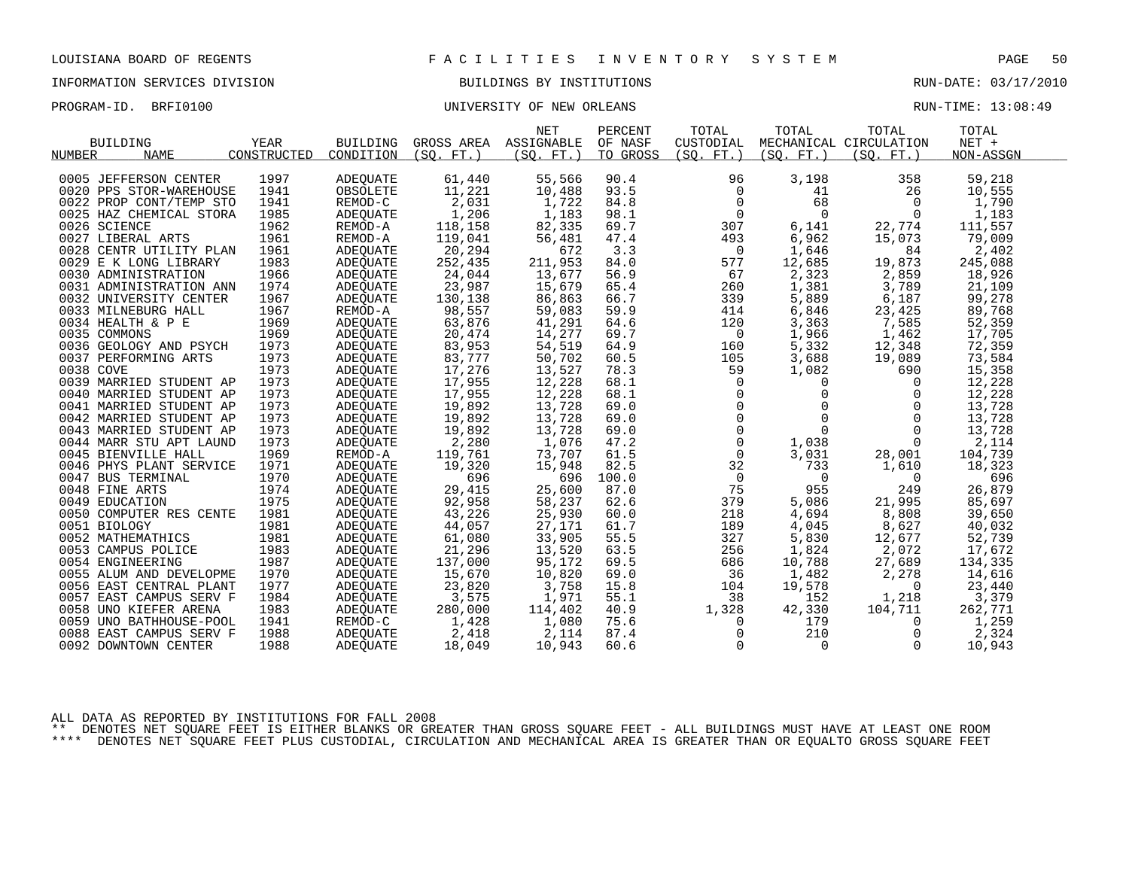# INFORMATION SERVICES DIVISION BUILDINGS BY INSTITUTIONS AND RUN-DATE: 03/17/2010

# PROGRAM-ID. BRFI0100 CONTROLLER STATE STATE OF NEW ORLEANS RUN-TIME: 13:08:49

|                         |             |                 |            | <b>NET</b>            | PERCENT  | TOTAL               | TOTAL                                                    | TOTAL                  | TOTAL     |  |
|-------------------------|-------------|-----------------|------------|-----------------------|----------|---------------------|----------------------------------------------------------|------------------------|-----------|--|
| <b>BUILDING</b>         | YEAR        | <b>BUILDING</b> |            | GROSS AREA ASSIGNABLE | OF NASF  | CUSTODIAL           |                                                          | MECHANICAL CIRCULATION | NET +     |  |
| <b>NAME</b><br>NUMBER   | CONSTRUCTED | CONDITION       | (SO. FT. ) | (SO. FT. )            | TO GROSS | (SO. FT. )          | (SO. FT. )                                               | (SO. FT. )             | NON-ASSGN |  |
| 0005 JEFFERSON CENTER   | 1997        | ADEQUATE        | 61,440     | 55,566                | 90.4     | 96                  | 3,198                                                    | 358                    | 59,218    |  |
| 0020 PPS STOR-WAREHOUSE | 1941        | OBSOLETE        | 11,221     | 10,488                | 93.5     | $\mathbf 0$         | 41                                                       | 26                     | 10,555    |  |
| 0022 PROP CONT/TEMP STO | 1941        | REMOD-C         | 2,031      | 1,722                 | 84.8     | $\overline{0}$      | 68                                                       | $\Omega$               | 1,790     |  |
| 0025 HAZ CHEMICAL STORA | 1985        | ADEQUATE        | 1,206      | 1,183                 | 98.1     | $\mathbf 0$         | $\Omega$                                                 | $\mathbf 0$            | 1,183     |  |
| 0026 SCIENCE            | 1962        | REMOD-A         | 118,158    | 82,335                | 69.7     | 307                 | 6,141                                                    | 22,774                 | 111,557   |  |
| 0027 LIBERAL ARTS       | 1961        | REMOD-A         | 119,041    | 56,481                | 47.4     | 493                 | 6,962                                                    | 15,073                 | 79,009    |  |
| 0028 CENTR UTILITY PLAN | 1961        | ADEOUATE        | 20,294     | 672                   | 3.3      | $\mathbf 0$         | 1,646                                                    | 84                     | 2,402     |  |
| 0029 E K LONG LIBRARY   | 1983        | ADEQUATE        | 252,435    | 211,953               | 84.0     | 577                 | 12,685                                                   | 19,873                 | 245,088   |  |
| 0030 ADMINISTRATION     | 1966        | ADEOUATE        | 24,044     | 13,677                | 56.9     | 67                  | 2,323                                                    | 2,859                  | 18,926    |  |
| 0031 ADMINISTRATION ANN | 1974        | ADEQUATE        | 23,987     | 15,679                | 65.4     | 260                 | 1,381                                                    | 3,789                  | 21,109    |  |
| 0032 UNIVERSITY CENTER  | 1967        | ADEQUATE        | 130,138    | 86,863                | 66.7     | 339                 | 5,889                                                    | 6,187                  | 99,278    |  |
| 0033 MILNEBURG HALL     | 1967        | REMOD-A         | 98,557     | 59,083                | 59.9     | 414                 | 6,846                                                    | 23,425                 | 89,768    |  |
| 0034 HEALTH & P E       | 1969        | ADEQUATE        | 63,876     | 41,291                | 64.6     | 120                 | 3,363                                                    | 7,585                  | 52,359    |  |
| 0035 COMMONS            | 1969        | ADEOUATE        | 20,474     | 14,277                | 69.7     | $\overline{0}$      | 1,966                                                    | 1,462                  | 17,705    |  |
| 0036 GEOLOGY AND PSYCH  | 1973        | ADEQUATE        | 83,953     | 54,519                | 64.9     | 160                 | 5,332                                                    | 12,348                 | 72,359    |  |
| 0037 PERFORMING ARTS    | 1973        | ADEQUATE        | 83,777     | 50,702                | 60.5     | 105                 | 3,688                                                    | 19,089                 | 73,584    |  |
| 0038 COVE               | 1973        | ADEQUATE        | 17,276     | 13,527                | 78.3     | 59                  | 1,082                                                    | 690                    | 15,358    |  |
| 0039 MARRIED STUDENT AP | 1973        | ADEOUATE        | 17,955     | 12,228                | 68.1     | $\overline{0}$      | $\mathbf{0}$                                             | $\overline{0}$         | 12,228    |  |
| 0040 MARRIED STUDENT AP | 1973        | ADEQUATE        | 17,955     | 12,228                | 68.1     | $\mathsf{O}$        | $\mathbf 0$                                              | $\mathbf 0$            | 12,228    |  |
| 0041 MARRIED STUDENT AP | 1973        | ADEOUATE        | 19,892     | 13,728                | 69.0     |                     | $\begin{matrix} 0 \\ 0 \\ 0 \end{matrix}$<br>$\mathbf 0$ | $\mathbf 0$            | 13,728    |  |
| 0042 MARRIED STUDENT AP | 1973        | ADEQUATE        | 19,892     | 13,728                | 69.0     |                     | $\Omega$                                                 | $\Omega$               | 13,728    |  |
| 0043 MARRIED STUDENT AP | 1973        | ADEQUATE        | 19,892     | 13,728                | 69.0     | $\mathsf{O}\xspace$ | $\mathbf{0}$                                             | $\mathbf 0$            | 13,728    |  |
| 0044 MARR STU APT LAUND | 1973        | ADEQUATE        | 2,280      | 1,076                 | 47.2     | $\mathbf 0$         | 1,038                                                    | $\mathbf 0$            | 2,114     |  |
| 0045 BIENVILLE HALL     | 1969        | REMOD-A         | 119,761    | 73,707                | 61.5     | $\mathbf 0$         | 3,031                                                    | 28,001                 | 104,739   |  |
| 0046 PHYS PLANT SERVICE | 1971        | ADEQUATE        | 19,320     | 15,948                | 82.5     | 32                  | 733                                                      | 1,610                  | 18,323    |  |
| 0047 BUS TERMINAL       | 1970        | ADEQUATE        | 696        | 696                   | 100.0    | $\overline{0}$      | $\overline{0}$                                           | $\overline{0}$         | 696       |  |
| 0048 FINE ARTS          | 1974        | ADEOUATE        | 29,415     | 25,600                | 87.0     | 75                  | 955                                                      | 249                    | 26,879    |  |
| 0049 EDUCATION          | 1975        | ADEQUATE        | 92,958     | 58,237                | 62.6     | 379                 | 5,086                                                    | 21,995                 | 85,697    |  |
| 0050 COMPUTER RES CENTE | 1981        | ADEQUATE        | 43,226     | 25,930                | 60.0     | 218                 | 4,694                                                    | 8,808                  | 39,650    |  |
| 0051 BIOLOGY            | 1981        | <b>ADEOUATE</b> | 44,057     | 27,171                | 61.7     | 189                 | 4,045                                                    | 8,627                  | 40,032    |  |
| 0052 MATHEMATHICS       | 1981        | ADEOUATE        | 61,080     | 33,905                | 55.5     | 327                 | 5,830                                                    | 12,677                 | 52,739    |  |
| 0053 CAMPUS POLICE      | 1983        | ADEQUATE        | 21,296     | 13,520                | 63.5     | 256                 | 1,824                                                    | 2,072                  | 17,672    |  |
| 0054 ENGINEERING        | 1987        | <b>ADEOUATE</b> | 137,000    | 95,172                | 69.5     | 686                 | 10,788                                                   | 27,689                 | 134,335   |  |
| 0055 ALUM AND DEVELOPME | 1970        | ADEOUATE        | 15,670     | 10,820                | 69.0     | 36                  | 1,482                                                    | 2,278                  | 14,616    |  |
| 0056 EAST CENTRAL PLANT | 1977        | ADEQUATE        | 23,820     | 3,758                 | 15.8     | 104                 | 19,578                                                   | $\overline{0}$         | 23,440    |  |
| 0057 EAST CAMPUS SERV F | 1984        | ADEQUATE        | 3,575      | 1,971                 | 55.1     | 38                  | 152                                                      | 1,218                  | 3,379     |  |
| 0058 UNO KIEFER ARENA   | 1983        | ADEQUATE        | 280,000    | 114,402               | 40.9     | 1,328               | 42,330                                                   | 104,711                | 262,771   |  |
| 0059 UNO BATHHOUSE-POOL | 1941        | REMOD-C         | 1,428      | 1,080                 | 75.6     | $\mathbf 0$         | 179                                                      | 0                      | 1,259     |  |
| 0088 EAST CAMPUS SERV F | 1988        | ADEQUATE        | 2,418      | 2,114                 | 87.4     | $\mathbf 0$         | 210                                                      | 0                      | 2,324     |  |
| 0092 DOWNTOWN CENTER    | 1988        | ADEOUATE        | 18,049     | 10,943                | 60.6     | $\mathbf 0$         | $\overline{0}$                                           | $\Omega$               | 10,943    |  |
|                         |             |                 |            |                       |          |                     |                                                          |                        |           |  |

ALL DATA AS REPORTED BY INSTITUTIONS FOR FALL 2008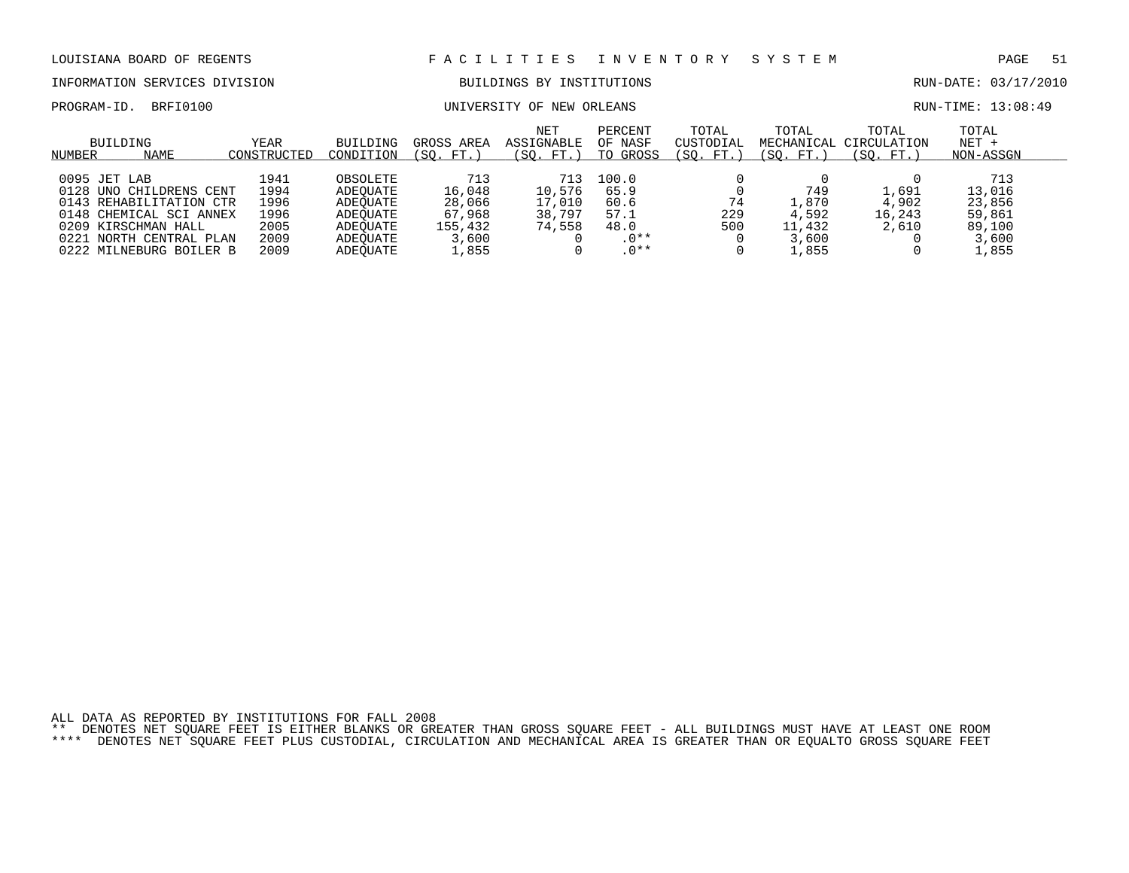### INFORMATION SERVICES DIVISION BUILDINGS BY INSTITUTIONS RUN-DATE: 03/17/2010

PROGRAM-ID. BRFI0100 CONTROLLER UNIVERSITY OF NEW ORLEANS CONTROLLER BUN-TIME: 13:08:49

| BUILDING<br>NAME<br>NUMBER                                                                                                                                                    | <b>YEAR</b><br>CONSTRUCTED                           | BUILDING<br>CONDITION                                                            | GROSS AREA<br>(SO. FT.                                         | <b>NET</b><br>ASSIGNABLE<br>(SO. FT.)       | PERCENT<br>OF NASF<br>TO GROSS                            | TOTAL<br>CUSTODIAL<br>(SO.<br>FT. | TOTAL<br>(SO. FT.)                                | TOTAL<br>MECHANICAL CIRCULATION<br>(SO. FT.) | TOTAL<br>$NET +$<br>NON-ASSGN                                 |  |
|-------------------------------------------------------------------------------------------------------------------------------------------------------------------------------|------------------------------------------------------|----------------------------------------------------------------------------------|----------------------------------------------------------------|---------------------------------------------|-----------------------------------------------------------|-----------------------------------|---------------------------------------------------|----------------------------------------------|---------------------------------------------------------------|--|
| 0095 JET LAB<br>0128 UNO CHILDRENS CENT<br>0143 REHABILITATION CTR<br>0148 CHEMICAL SCI ANNEX<br>0209 KIRSCHMAN HALL<br>0221<br>NORTH CENTRAL PLAN<br>0222 MILNEBURG BOILER B | 1941<br>1994<br>1996<br>1996<br>2005<br>2009<br>2009 | OBSOLETE<br>ADEOUATE<br>ADEOUATE<br>ADEOUATE<br>ADEOUATE<br>ADEOUATE<br>ADEOUATE | 713<br>16,048<br>28,066<br>67,968<br>155,432<br>3,600<br>1,855 | 713<br>10,576<br>17,010<br>38,797<br>74,558 | 100.0<br>65.9<br>60.6<br>57.1<br>48.0<br>$.0**$<br>$.0**$ | 74<br>229<br>500                  | 749<br>1,870<br>4,592<br>11,432<br>3,600<br>.,855 | 1,691<br>4,902<br>16,243<br>2,610            | 713<br>13,016<br>23,856<br>59,861<br>89,100<br>3,600<br>1,855 |  |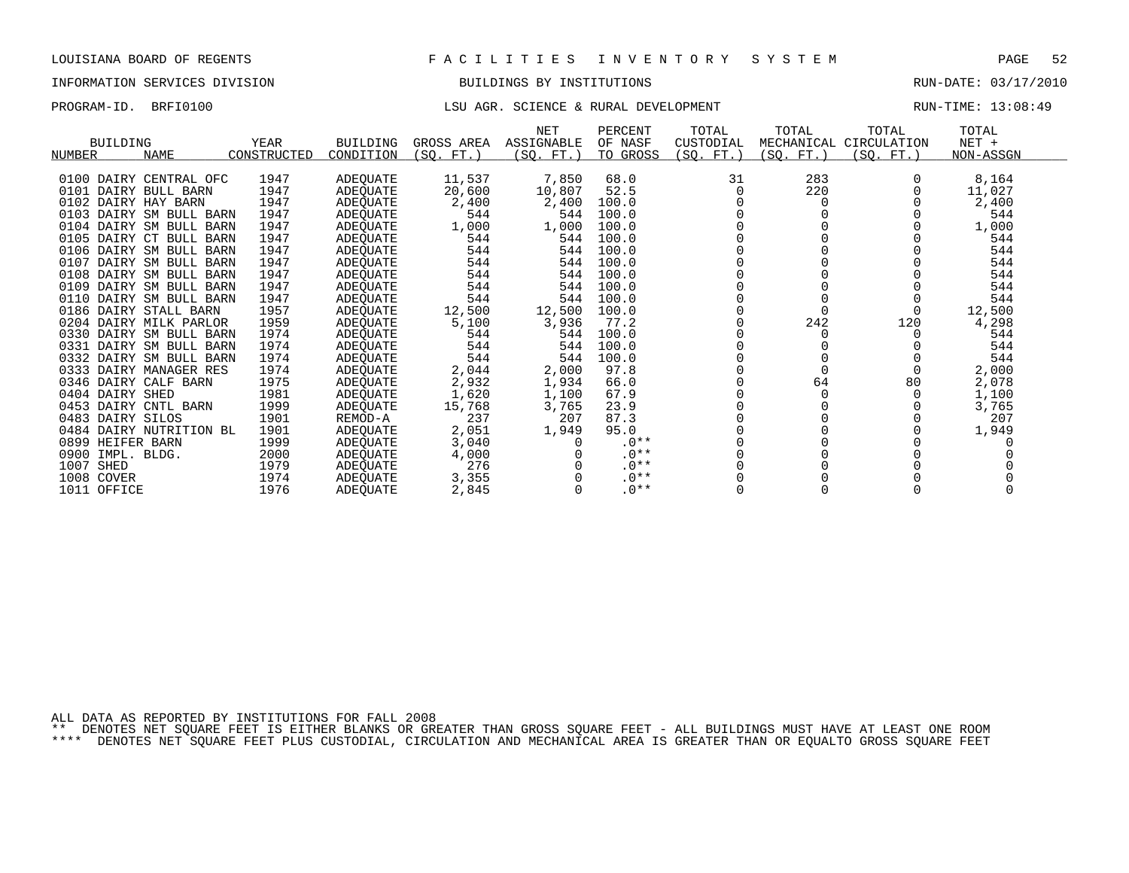### INFORMATION SERVICES DIVISION BUILDINGS BY INSTITUTIONS RUN-DATE: 03/17/2010

# PROGRAM-ID. BRFI0100 CHA CHAREL SOURCE & RURAL DEVELOPMENT RUN-TIME: 13:08:49

| <b>BUILDING</b><br><b>NAME</b><br>NUMBER | YEAR<br>CONSTRUCTED | <b>BUILDING</b><br>CONDITION | GROSS AREA<br>(SO. FT. ) | <b>NET</b><br>ASSIGNABLE<br>(SO. FT.) | PERCENT<br>OF NASF<br>TO GROSS | TOTAL<br>CUSTODIAL<br>(SO. FT.) | TOTAL<br>MECHANICAL<br>(SO. FT.) | TOTAL<br>CIRCULATION<br>(SO. FT.) | TOTAL<br>$NET +$<br>NON-ASSGN |
|------------------------------------------|---------------------|------------------------------|--------------------------|---------------------------------------|--------------------------------|---------------------------------|----------------------------------|-----------------------------------|-------------------------------|
| DAIRY CENTRAL OFC<br>0100                | 1947                |                              | 11,537                   | 7,850                                 | 68.0                           | 31                              | 283                              |                                   | 8,164                         |
| 0101<br>DAIRY BULL BARN                  | 1947                | ADEQUATE<br>ADEOUATE         | 20,600                   |                                       | 52.5                           |                                 | 220                              |                                   | 11,027                        |
| 0102 DAIRY HAY BARN                      | 1947                | ADEOUATE                     | 2,400                    | 10,807<br>2,400                       | 100.0                          |                                 |                                  |                                   | 2,400                         |
| DAIRY SM BULL BARN<br>0103               | 1947                | ADEOUATE                     | 544                      | 544                                   | 100.0                          |                                 |                                  |                                   | 544                           |
| 0104<br>DAIRY SM BULL BARN               | 1947                | ADEOUATE                     | 1,000                    | 1,000                                 | 100.0                          |                                 |                                  |                                   | 1,000                         |
| 0105<br>DAIRY CT BULL BARN               | 1947                | ADEQUATE                     | 544                      | 544                                   | 100.0                          |                                 |                                  |                                   | 544                           |
| 0106<br>DAIRY SM BULL BARN               | 1947                | ADEOUATE                     | 544                      | 544                                   | 100.0                          |                                 |                                  |                                   | 544                           |
| DAIRY SM BULL BARN<br>0107               | 1947                | ADEOUATE                     | 544                      | 544                                   | 100.0                          |                                 |                                  |                                   | 544                           |
| 0108<br>DAIRY SM BULL BARN               | 1947                | ADEQUATE                     | 544                      | 544                                   | 100.0                          |                                 |                                  |                                   | 544                           |
| DAIRY SM BULL BARN<br>0109               | 1947                | ADEQUATE                     | 544                      | 544                                   | 100.0                          |                                 |                                  |                                   | 544                           |
| 0110<br>DAIRY SM BULL BARN               | 1947                | ADEQUATE                     | 544                      | 544                                   | 100.0                          |                                 |                                  |                                   | 544                           |
| 0186 DAIRY STALL BARN                    | 1957                | ADEQUATE                     | 12,500                   | 12,500                                | 100.0                          |                                 |                                  |                                   | 12,500                        |
| 0204<br>DAIRY MILK PARLOR                | 1959                | ADEQUATE                     | 5,100                    | 3,936                                 | 77.2                           |                                 | 242                              | 120                               | 4,298                         |
| 0330<br>DAIRY SM BULL BARN               | 1974                | ADEOUATE                     | 544                      | 544                                   | 100.0                          |                                 |                                  |                                   | 544                           |
| 0331 DAIRY SM BULL BARN                  | 1974                | ADEQUATE                     | 544                      | 544                                   | 100.0                          |                                 |                                  |                                   | 544                           |
| 0332 DAIRY SM BULL BARN                  | 1974                | ADEOUATE                     | 544                      | 544                                   | 100.0                          |                                 |                                  |                                   | 544                           |
| 0333 DAIRY MANAGER RES                   | 1974                | ADEQUATE                     | 2,044                    | 2,000                                 | 97.8                           |                                 |                                  |                                   | 2,000                         |
| 0346 DAIRY CALF BARN                     | 1975                | ADEQUATE                     | 2,932                    | 1,934                                 | 66.0                           |                                 | 64                               | 80                                | 2,078                         |
| 0404 DAIRY SHED                          | 1981                | ADEQUATE                     | 1,620                    | 1,100                                 | 67.9                           |                                 |                                  |                                   | 1,100                         |
| 0453 DAIRY CNTL BARN                     | 1999                | ADEQUATE                     | 15,768                   | 3,765                                 | 23.9                           |                                 |                                  |                                   | 3,765                         |
| DAIRY SILOS<br>0483                      | 1901                | REMOD-A                      | 237                      | 207                                   | 87.3                           |                                 |                                  |                                   | 207                           |
| 0484<br>DAIRY NUTRITION BL               | 1901                | ADEQUATE                     | 2,051                    | 1,949                                 | 95.0                           |                                 |                                  |                                   | 1,949                         |
| 0899 HEIFER BARN                         | 1999                | ADEQUATE                     | 3,040                    |                                       | $.0**$                         |                                 |                                  |                                   |                               |
| 0900<br>IMPL. BLDG.                      | 2000                | ADEOUATE                     | 4,000                    |                                       | $.0**$                         |                                 |                                  |                                   |                               |
| 1007<br>SHED                             | 1979                | ADEQUATE                     | 276                      |                                       | $.0**$                         |                                 |                                  |                                   |                               |
| 1008 COVER                               | 1974                | ADEOUATE                     | 3,355                    |                                       | $.0**$                         |                                 |                                  |                                   |                               |
| 1011 OFFICE                              | 1976                | ADEQUATE                     | 2,845                    |                                       | $.0**$                         |                                 |                                  |                                   |                               |

ALL DATA AS REPORTED BY INSTITUTIONS FOR FALL 2008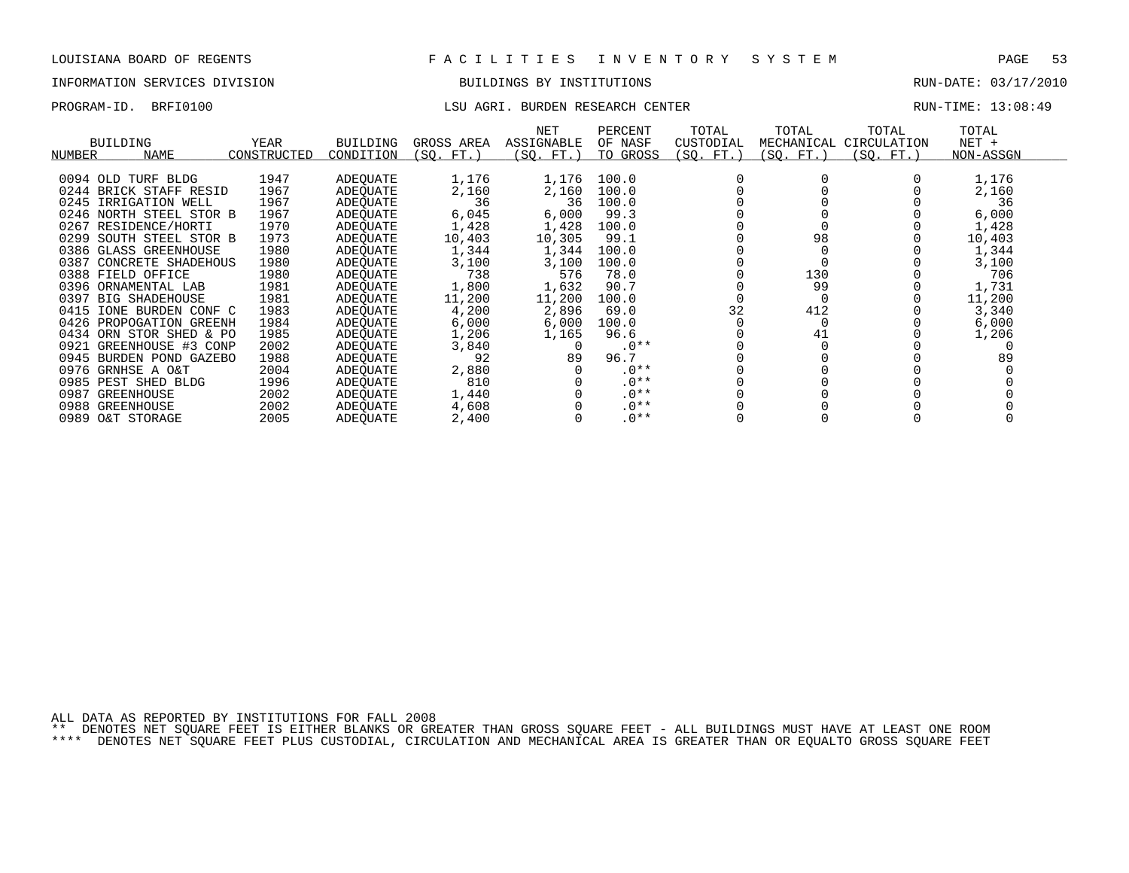# INFORMATION SERVICES DIVISION BUILDINGS BY INSTITUTIONS RUN-DATE: 03/17/2010

# PROGRAM-ID. BRFI0100 **EXELO AGRI. BURDEN RESEARCH CENTER** RUN-TIME: 13:08:49

| NUMBER | <b>BUILDING</b><br>NAME | YEAR<br>CONSTRUCTED | BUILDING<br>CONDITION | GROSS AREA<br>FT.<br>SO. | NET<br>ASSIGNABLE<br>SO. FT.) | PERCENT<br>OF NASF<br>TO GROSS | TOTAL<br>CUSTODIAL<br>(SQ. FT.) | TOTAL<br>MECHANICAL<br>(SO. FT.) | TOTAL<br>CIRCULATION<br>$SO. FT.$ ) | TOTAL<br>$NET +$<br>NON-ASSGN |
|--------|-------------------------|---------------------|-----------------------|--------------------------|-------------------------------|--------------------------------|---------------------------------|----------------------------------|-------------------------------------|-------------------------------|
|        |                         |                     |                       |                          |                               |                                |                                 |                                  |                                     |                               |
|        | 0094 OLD TURF BLDG      | 1947                | ADEQUATE              | 1,176                    | 1,176                         | 100.0                          |                                 |                                  |                                     | 1,176                         |
|        | 0244 BRICK STAFF RESID  | 1967                | ADEQUATE              | 2,160                    | 2,160                         | 100.0                          |                                 |                                  |                                     | 2,160                         |
|        | 0245 IRRIGATION WELL    | 1967                | ADEQUATE              | 36                       | 36                            | 100.0                          |                                 |                                  |                                     | 36                            |
|        | 0246 NORTH STEEL STOR B | 1967                | ADEOUATE              | 6,045                    | 6,000                         | 99.3                           |                                 |                                  |                                     | 6,000                         |
|        | 0267 RESIDENCE/HORTI    | 1970                | ADEQUATE              | 1,428                    | 1,428                         | 100.0                          |                                 |                                  |                                     | 1,428                         |
|        | 0299 SOUTH STEEL STOR B | 1973                | ADEOUATE              | 10,403                   | 10,305                        | 99.1                           |                                 | 98                               |                                     | 10,403                        |
|        | 0386 GLASS GREENHOUSE   | 1980                | ADEOUATE              | 1,344                    | 1,344                         | 100.0                          |                                 |                                  |                                     | 1,344                         |
|        | 0387 CONCRETE SHADEHOUS | 1980                | ADEQUATE              | 3,100                    | 3,100                         | 100.0                          |                                 |                                  |                                     | 3,100                         |
|        | 0388 FIELD OFFICE       | 1980                | ADEOUATE              | 738                      | 576                           | 78.0                           |                                 | 130                              |                                     | 706                           |
|        | 0396 ORNAMENTAL LAB     | 1981                | ADEOUATE              | 1,800                    | 1,632                         | 90.7                           |                                 | 99                               |                                     | 1,731                         |
|        | 0397 BIG SHADEHOUSE     | 1981                | ADEQUATE              | 11,200                   | 11,200                        | 100.0                          |                                 |                                  |                                     | 11,200                        |
|        | 0415 IONE BURDEN CONF C | 1983                | ADEOUATE              | 4,200                    | 2,896                         | 69.0                           | 32                              | 412                              |                                     | 3,340                         |
|        | 0426 PROPOGATION GREENH | 1984                | ADEOUATE              | 6,000                    | 6,000                         | 100.0                          |                                 |                                  |                                     | 6,000                         |
|        | 0434 ORN STOR SHED & PO | 1985                | ADEOUATE              | 1,206                    | 1,165                         | 96.6                           |                                 | 41                               |                                     | 1,206                         |
|        | 0921 GREENHOUSE #3 CONP | 2002                | ADEOUATE              | 3,840                    | 0                             | $.0**$                         |                                 |                                  |                                     |                               |
|        | 0945 BURDEN POND GAZEBO | 1988                | ADEOUATE              | 92                       | 89                            | 96.7                           |                                 |                                  |                                     | 89                            |
|        | 0976 GRNHSE A O&T       | 2004                | ADEOUATE              | 2,880                    |                               | $.0**$                         |                                 |                                  |                                     |                               |
|        | 0985 PEST SHED BLDG     | 1996                | ADEOUATE              | 810                      |                               | $.0**$                         |                                 |                                  |                                     |                               |
|        | 0987 GREENHOUSE         | 2002                | ADEOUATE              | 1,440                    |                               | $.0**$                         |                                 |                                  |                                     |                               |
|        | 0988 GREENHOUSE         | 2002                | ADEOUATE              | 4,608                    |                               | $.0**$                         |                                 |                                  |                                     |                               |
|        | 0989 O&T STORAGE        | 2005                | ADEQUATE              | 2,400                    |                               | $.0**$                         |                                 |                                  |                                     |                               |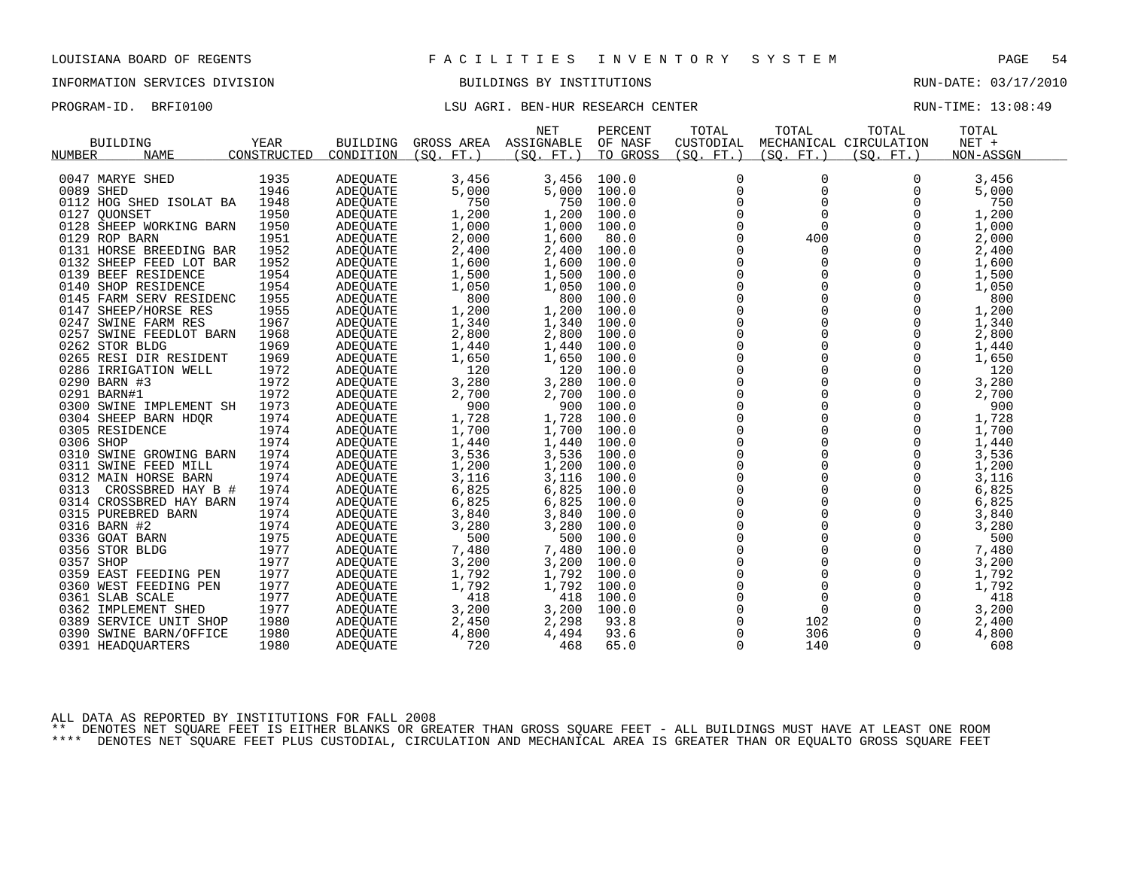# INFORMATION SERVICES DIVISION BUILDINGS BY INSTITUTIONS RUN-DATE: 03/17/2010

# PROGRAM-ID. BRFI0100 **EXELL**SU AGRI. BEN-HUR RESEARCH CENTER **RUN-TIME: 13:08:49**

|                              |             |                 |            | <b>NET</b> | PERCENT  | TOTAL        | TOTAL       | TOTAL                  | TOTAL     |  |
|------------------------------|-------------|-----------------|------------|------------|----------|--------------|-------------|------------------------|-----------|--|
| <b>BUILDING</b>              | YEAR        | <b>BUILDING</b> | GROSS AREA | ASSIGNABLE | OF NASF  | CUSTODIAL    |             | MECHANICAL CIRCULATION | NET +     |  |
| <b>NUMBER</b><br><b>NAME</b> | CONSTRUCTED | CONDITION       | (SO. FT. ) | (SO. FT.)  | TO GROSS | (SQ. FT. )   | (SO. FT.)   | (SO. FT.)              | NON-ASSGN |  |
|                              |             |                 |            |            |          |              |             |                        |           |  |
| 0047 MARYE SHED              | 1935        | ADEQUATE        | 3,456      | 3,456      | 100.0    | 0            | 0           | 0                      | 3,456     |  |
| 0089 SHED                    | 1946        | ADEQUATE        | 5,000      | 5,000      | 100.0    | $\Omega$     | $\Omega$    | $\Omega$               | 5,000     |  |
| 0112 HOG SHED ISOLAT BA      | 1948        | ADEQUATE        | 750        | 750        | 100.0    | 0            | 0           | 0                      | 750       |  |
| 0127 OUONSET                 | 1950        | ADEQUATE        | 1,200      | 1,200      | 100.0    | $\mathbf 0$  | $\Omega$    | $\Omega$               | 1,200     |  |
| 0128 SHEEP WORKING BARN      | 1950        | ADEQUATE        | 1,000      | 1,000      | 100.0    | $\Omega$     | $\Omega$    | $\Omega$               | 1,000     |  |
| 0129 ROP BARN                | 1951        | ADEQUATE        | 2,000      | 1,600      | 80.0     | 0            | 400         | 0                      | 2,000     |  |
| 0131 HORSE BREEDING BAR      | 1952        | ADEQUATE        | 2,400      | 2,400      | 100.0    | $\mathbf 0$  | $\Omega$    | $\Omega$               | 2,400     |  |
| 0132 SHEEP FEED LOT BAR      | 1952        | ADEQUATE        | 1,600      | 1,600      | 100.0    | $\Omega$     | $\Omega$    | $\Omega$               | 1,600     |  |
| 0139 BEEF RESIDENCE          | 1954        | ADEQUATE        | 1,500      | 1,500      | 100.0    | 0            | 0           | 0                      | 1,500     |  |
| 0140 SHOP RESIDENCE          | 1954        | ADEQUATE        | 1,050      | 1,050      | 100.0    | $\mathsf{0}$ | $\Omega$    | $\mathbf 0$            | 1,050     |  |
| 0145 FARM SERV RESIDENC      | 1955        | ADEQUATE        | 800        | 800        | 100.0    | $\Omega$     | $\Omega$    | $\Omega$               | 800       |  |
| 0147 SHEEP/HORSE RES         | 1955        | ADEQUATE        | 1,200      | 1,200      | 100.0    | $\mathbf 0$  | $\Omega$    | $\Omega$               | 1,200     |  |
| 0247 SWINE FARM RES          | 1967        | ADEQUATE        | 1,340      | 1,340      | 100.0    | $\mathsf{0}$ | $\mathbf 0$ | $\Omega$               | 1,340     |  |
| 0257 SWINE FEEDLOT BARN      | 1968        | ADEQUATE        | 2,800      | 2,800      | 100.0    | $\mathbf 0$  | 0           | 0                      | 2,800     |  |
| 0262 STOR BLDG               | 1969        | ADEQUATE        | 1,440      | 1,440      | 100.0    | $\mathbf 0$  | $\Omega$    | $\Omega$               | 1,440     |  |
| 0265 RESI DIR RESIDENT       | 1969        | ADEQUATE        | 1,650      | 1,650      | 100.0    | 0            | 0           | $\Omega$               | 1,650     |  |
| 0286 IRRIGATION WELL         | 1972        | ADEQUATE        | 120        | 120        | 100.0    | $\mathbf 0$  | 0           | 0                      | 120       |  |
| 0290 BARN #3                 | 1972        | ADEQUATE        | 3,280      | 3,280      | 100.0    | $\mathbf 0$  | $\Omega$    | $\Omega$               | 3,280     |  |
| 0291 BARN#1                  | 1972        | ADEQUATE        | 2,700      | 2,700      | 100.0    | 0            | $\mathbf 0$ | 0                      | 2,700     |  |
| 0300 SWINE IMPLEMENT SH      | 1973        | ADEQUATE        | 900        | 900        | 100.0    | $\mathbf 0$  | $\Omega$    | $\Omega$               | 900       |  |
| 0304 SHEEP BARN HDQR         | 1974        | ADEQUATE        | 1,728      | 1,728      | 100.0    | $\mathbf 0$  | $\Omega$    | $\Omega$               | 1,728     |  |
| 0305 RESIDENCE               | 1974        | ADEQUATE        | 1,700      | 1,700      | 100.0    | 0            | $\mathbf 0$ | $\Omega$               | 1,700     |  |
| 0306 SHOP                    | 1974        | ADEQUATE        | 1,440      | 1,440      | 100.0    | $\mathsf 0$  | $\Omega$    | $\Omega$               | 1,440     |  |
| 0310 SWINE GROWING BARN      | 1974        | ADEQUATE        | 3,536      | 3,536      | 100.0    | $\mathsf 0$  | $\mathbf 0$ | $\Omega$               | 3,536     |  |
| 0311 SWINE FEED MILL         | 1974        | ADEQUATE        | 1,200      | 1,200      | 100.0    | $\mathbf 0$  | $\Omega$    | $\Omega$               | 1,200     |  |
| 0312 MAIN HORSE BARN         | 1974        | ADEQUATE        | 3,116      | 3,116      | 100.0    | $\mathsf 0$  | $\mathbf 0$ | 0                      | 3,116     |  |
| 0313<br>CROSSBRED HAY B #    | 1974        | ADEQUATE        | 6,825      | 6,825      | 100.0    | 0            | $\mathbf 0$ | $\Omega$               | 6,825     |  |
| 0314 CROSSBRED HAY BARN      | 1974        | ADEQUATE        | 6,825      | 6,825      | 100.0    | $\mathbf 0$  | $\Omega$    | $\Omega$               | 6,825     |  |
| 0315 PUREBRED BARN           | 1974        | <b>ADEOUATE</b> | 3,840      | 3,840      | 100.0    | $\mathsf 0$  | $\mathbf 0$ | $\Omega$               | 3,840     |  |
| 0316 BARN #2                 | 1974        | ADEQUATE        | 3,280      | 3,280      | 100.0    | 0            | 0           | $\Omega$               | 3,280     |  |
| 0336 GOAT BARN               | 1975        | ADEQUATE        | 500        | 500        | 100.0    | $\mathbf 0$  | $\Omega$    | $\Omega$               | 500       |  |
| 0356 STOR BLDG               | 1977        | ADEOUATE        | 7,480      | 7,480      | 100.0    | $\mathsf 0$  | 0           | 0                      | 7,480     |  |
| 0357 SHOP                    | 1977        | ADEQUATE        | 3,200      | 3,200      | 100.0    | 0            | $\Omega$    | $\Omega$               | 3,200     |  |
| 0359 EAST FEEDING PEN        | 1977        | ADEQUATE        | 1,792      | 1,792      | 100.0    | $\mathbf 0$  | 0           | 0                      | 1,792     |  |
| 0360 WEST FEEDING PEN        | 1977        | ADEQUATE        | 1,792      | 1,792      | 100.0    | 0            | 0           | 0                      | 1,792     |  |
| 0361 SLAB SCALE              | 1977        | ADEQUATE        | 418        | 418        | 100.0    | $\mathbf 0$  | $\Omega$    | $\Omega$               | 418       |  |
| 0362 IMPLEMENT SHED          | 1977        | ADEQUATE        | 3,200      | 3,200      | 100.0    | $\mathbf 0$  | $\mathbf 0$ | $\mathbf 0$            | 3,200     |  |
| 0389 SERVICE UNIT SHOP       | 1980        | ADEQUATE        | 2,450      | 2,298      | 93.8     | 0            | 102         | 0                      | 2,400     |  |
| 0390 SWINE BARN/OFFICE       | 1980        | <b>ADEOUATE</b> | 4,800      | 4,494      | 93.6     | $\Omega$     | 306         | $\mathbf 0$            | 4,800     |  |
|                              | 1980        |                 | 720        | 468        | 65.0     | $\Omega$     | 140         | 0                      | 608       |  |
| 0391 HEADQUARTERS            |             | ADEQUATE        |            |            |          |              |             |                        |           |  |

ALL DATA AS REPORTED BY INSTITUTIONS FOR FALL 2008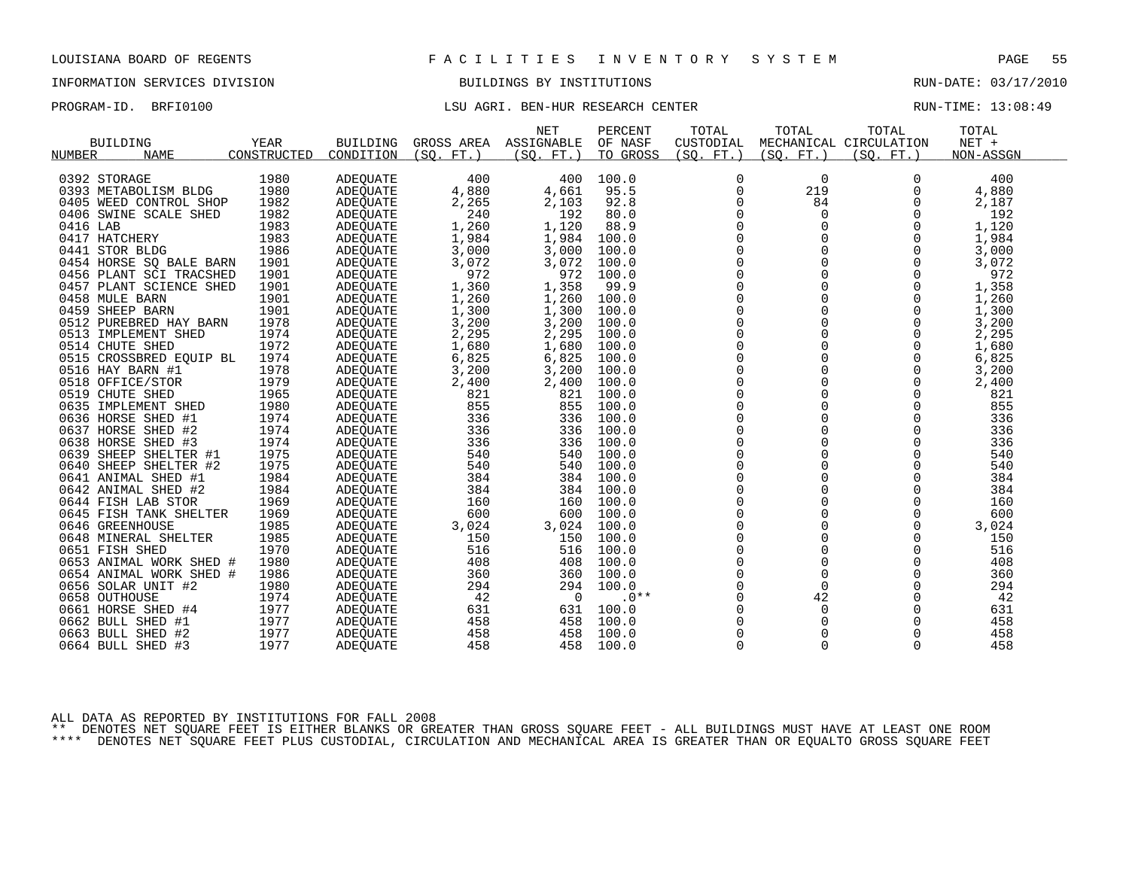# INFORMATION SERVICES DIVISION BUILDINGS BY INSTITUTIONS RUN-DATE: 03/17/2010

# PROGRAM-ID. BRFI0100 LSU AGRI. BEN-HUR RESEARCH CENTER RUN-TIME: 13:08:49

|                         |             |                 |            | <b>NET</b>     | PERCENT        | TOTAL          | TOTAL       | TOTAL                  | TOTAL     |  |
|-------------------------|-------------|-----------------|------------|----------------|----------------|----------------|-------------|------------------------|-----------|--|
| <b>BUILDING</b>         | <b>YEAR</b> | <b>BUILDING</b> | GROSS AREA | ASSIGNABLE     | OF NASF        | CUSTODIAL      |             | MECHANICAL CIRCULATION | NET +     |  |
| NUMBER<br><b>NAME</b>   | CONSTRUCTED | CONDITION       | (SO. FT.)  | (SO. FT.)      | TO GROSS       | (SO. FT. )     | (SO. FT. )  | (SO. FT.)              | NON-ASSGN |  |
|                         |             |                 |            |                |                |                |             |                        |           |  |
| 0392 STORAGE            | 1980        | ADEQUATE        | 400        | 400            | 100.0          | 0              | 0           | $\Omega$               | 400       |  |
| 0393 METABOLISM BLDG    | 1980        | <b>ADEOUATE</b> | 4,880      | 4,661          | 95.5           | $\mathbf 0$    | 219         | $\Omega$               | 4,880     |  |
| 0405 WEED CONTROL SHOP  | 1982        | ADEQUATE        | 2,265      | 2,103          | 92.8           | 0              | 84          | 0                      | 2,187     |  |
| 0406 SWINE SCALE SHED   | 1982        | ADEQUATE        | 240        | 192            | 80.0           | 0              | 0           | $\mathbf 0$            | 192       |  |
| 0416 LAB                | 1983        | ADEQUATE        | 1,260      | 1,120          | 88.9           | $\mathbf 0$    | 0           | $\Omega$               | 1,120     |  |
| 0417 HATCHERY           | 1983        | ADEQUATE        | 1,984      | 1,984          | 100.0          | 0              | 0           | 0                      | 1,984     |  |
| 0441 STOR BLDG          | 1986        | ADEQUATE        | 3,000      | 3,000          | 100.0          | $\mathsf 0$    | 0           |                        | 3,000     |  |
| 0454 HORSE SQ BALE BARN | 1901        | ADEQUATE        | 3,072      | 3,072          | 100.0          | 0              | 0           |                        | 3,072     |  |
| 0456 PLANT SCI TRACSHED | 1901        | <b>ADEOUATE</b> | 972        | 972            | 100.0          | $\Omega$       | $\Omega$    | $\Omega$               | 972       |  |
| 0457 PLANT SCIENCE SHED | 1901        | ADEQUATE        | 1,360      | 1,358          | 99.9           | 0              | $\mathbf 0$ | 0                      | 1,358     |  |
| 0458 MULE BARN          | 1901        | ADEQUATE        | 1,260      | 1,260          | 100.0          | 0              | 0           | 0                      | 1,260     |  |
| 0459 SHEEP BARN         | 1901        | <b>ADEOUATE</b> | 1,300      | 1,300          | 100.0          | $\mathbf 0$    | $\mathbf 0$ | $\Omega$               | 1,300     |  |
| 0512 PUREBRED HAY BARN  | 1978        | ADEQUATE        | 3,200      | 3,200          | 100.0          | $\mathsf{0}$   | $\mathbf 0$ | 0                      | 3,200     |  |
| 0513 IMPLEMENT SHED     | 1974        | ADEQUATE        | 2,295      | 2,295          | 100.0          | 0              | $\Omega$    | $\Omega$               | 2,295     |  |
| 0514 CHUTE SHED         | 1972        | <b>ADEOUATE</b> | 1,680      | 1,680          | 100.0          | $\overline{0}$ | 0           | $\Omega$               | 1,680     |  |
| 0515 CROSSBRED EQUIP BL | 1974        | ADEQUATE        | 6,825      | 6,825          | 100.0          | 0              | 0           | 0                      | 6,825     |  |
| 0516 HAY BARN #1        | 1978        | ADEQUATE        | 3,200      | 3,200          | 100.0          | $\mathsf 0$    | $\Omega$    | $\mathbf 0$            | 3,200     |  |
| 0518 OFFICE/STOR        | 1979        | ADEQUATE        | 2,400      | 2,400          | 100.0          | $\mathbf 0$    | 0           | 0                      | 2,400     |  |
| 0519 CHUTE SHED         | 1965        | ADEQUATE        | 821        | 821            | 100.0          | $\mathbf 0$    | $\mathbf 0$ | $\mathbf 0$            | 821       |  |
| 0635 IMPLEMENT SHED     | 1980        | ADEQUATE        | 855        | 855            | 100.0          | $\mathsf 0$    | $\mathbf 0$ | $\mathbf 0$            | 855       |  |
| 0636 HORSE SHED #1      | 1974        |                 | 336        | 336            | 100.0          | 0              | 0           | 0                      | 336       |  |
|                         | 1974        | ADEQUATE        |            | 336            |                | $\mathbf 0$    | $\Omega$    | $\Omega$               | 336       |  |
| 0637 HORSE SHED #2      | 1974        | ADEOUATE        | 336        | 336            | 100.0<br>100.0 | $\mathsf 0$    | $\mathbf 0$ | $\mathbf 0$            | 336       |  |
| 0638 HORSE SHED #3      |             | ADEQUATE        | 336        |                |                |                |             |                        |           |  |
| 0639 SHEEP SHELTER #1   | 1975        | ADEQUATE        | 540        | 540            | 100.0          | 0              | $\Omega$    | $\Omega$               | 540       |  |
| 0640 SHEEP SHELTER #2   | 1975        | ADEOUATE        | 540        | 540            | 100.0          | $\mathbf 0$    | $\Omega$    | $\Omega$               | 540       |  |
| 0641 ANIMAL SHED #1     | 1984        | ADEQUATE        | 384        | 384            | 100.0          | 0              | $\mathbf 0$ | 0                      | 384       |  |
| 0642 ANIMAL SHED #2     | 1984        | ADEQUATE        | 384        | 384            | 100.0          | 0              | $\Omega$    | $\Omega$               | 384       |  |
| 0644 FISH LAB STOR      | 1969        | ADEQUATE        | 160        | 160            | 100.0          | $\mathbf 0$    | 0           | $\Omega$               | 160       |  |
| 0645 FISH TANK SHELTER  | 1969        | ADEQUATE        | 600        | 600            | 100.0          | 0              | 0           | 0                      | 600       |  |
| 0646 GREENHOUSE         | 1985        | ADEQUATE        | 3,024      | 3,024          | 100.0          | $\mathsf 0$    | 0           | $\mathbf 0$            | 3,024     |  |
| 0648 MINERAL SHELTER    | 1985        | ADEQUATE        | 150        | 150            | 100.0          | $\mathbf 0$    | 0           | 0                      | 150       |  |
| 0651 FISH SHED          | 1970        | <b>ADEOUATE</b> | 516        | 516            | 100.0          | $\mathbf 0$    | $\Omega$    | $\mathbf 0$            | 516       |  |
| 0653 ANIMAL WORK SHED # | 1980        | ADEQUATE        | 408        | 408            | 100.0          | $\mathsf 0$    | $\mathbf 0$ | $\mathbf 0$            | 408       |  |
| 0654 ANIMAL WORK SHED # | 1986        | ADEQUATE        | 360        | 360            | 100.0          | 0              | $\mathbf 0$ | $\Omega$               | 360       |  |
| 0656 SOLAR UNIT #2      | 1980        | ADEQUATE        | 294        | 294            | 100.0          | $\mathbf 0$    | $\Omega$    | $\Omega$               | 294       |  |
| 0658 OUTHOUSE           | 1974        | ADEQUATE        | 42         | $\overline{0}$ | $.0**$         | 0              | 42          | $\mathbf 0$            | 42        |  |
| 0661 HORSE SHED #4      | 1977        | ADEQUATE        | 631        | 631            | 100.0          | 0              | 0           | $\Omega$               | 631       |  |
| 0662 BULL SHED #1       | 1977        | ADEQUATE        | 458        | 458            | 100.0          | $\mathbf 0$    | 0           | $\Omega$               | 458       |  |
| 0663 BULL SHED #2       | 1977        | ADEOUATE        | 458        | 458            | 100.0          | 0              | 0           | 0                      | 458       |  |
| 0664 BULL SHED #3       | 1977        | ADEQUATE        | 458        | 458            | 100.0          | $\Omega$       | $\Omega$    | $\Omega$               | 458       |  |

ALL DATA AS REPORTED BY INSTITUTIONS FOR FALL 2008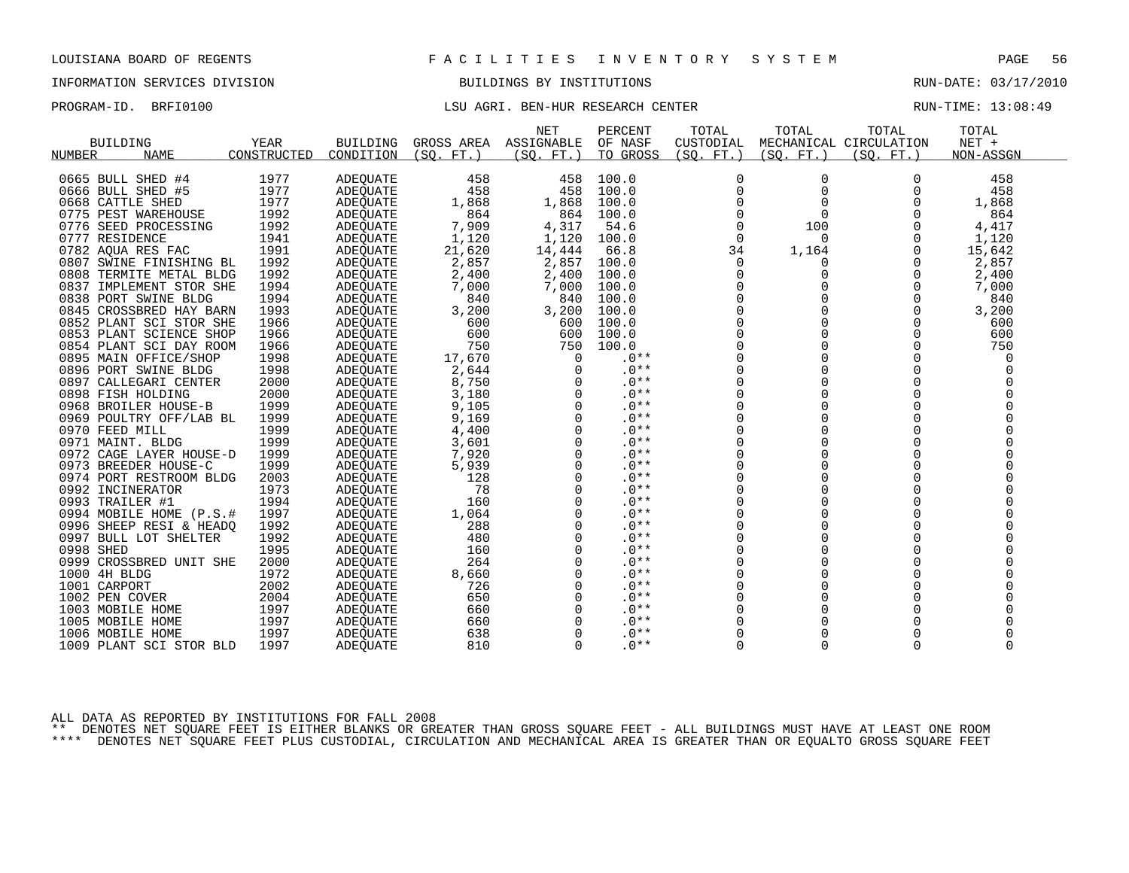# INFORMATION SERVICES DIVISION BUILDINGS BY INSTITUTIONS RUN-DATE: 03/17/2010

# PROGRAM-ID. BRFI0100 LSU AGRI. BEN-HUR RESEARCH CENTER RUN-TIME: 13:08:49

|                            |             |                 |            | <b>NET</b> | PERCENT  | TOTAL          | TOTAL        | TOTAL                  | TOTAL     |  |
|----------------------------|-------------|-----------------|------------|------------|----------|----------------|--------------|------------------------|-----------|--|
| <b>BUILDING</b>            | <b>YEAR</b> | <b>BUILDING</b> | GROSS AREA | ASSIGNABLE | OF NASF  | CUSTODIAL      |              | MECHANICAL CIRCULATION | NET +     |  |
| NUMBER<br><b>NAME</b>      | CONSTRUCTED | CONDITION       | (SO, FT.)  | (SO. FT. ) | TO GROSS | (SQ. FT. )     | (SO. FT. )   | (SO, FT.)              | NON-ASSGN |  |
|                            |             |                 |            |            |          |                |              |                        |           |  |
| 0665 BULL SHED #4          | 1977        | <b>ADEQUATE</b> | 458        | 458        | 100.0    | 0              | 0            | $\Omega$               | 458       |  |
| 0666 BULL SHED #5          | 1977        | ADEQUATE        | 458        | 458        | 100.0    | $\mathbf 0$    | 0            | 0                      | 458       |  |
| 0668 CATTLE SHED           | 1977        | ADEQUATE        | 1,868      | 1,868      | 100.0    | $\Omega$       | $\Omega$     | $\Omega$               | 1,868     |  |
| 0775 PEST WAREHOUSE        | 1992        | ADEOUATE        | 864        | 864        | 100.0    | 0              | 0            |                        | 864       |  |
| 0776 SEED PROCESSING       | 1992        | <b>ADEOUATE</b> | 7,909      | 4,317      | 54.6     | 0              | 100          | 0                      | 4,417     |  |
| 0777 RESIDENCE             | 1941        | ADEQUATE        | 1,120      | 1,120      | 100.0    | $\Omega$       | $\Omega$     | $\Omega$               | 1,120     |  |
| 0782 AQUA RES FAC          | 1991        | ADEQUATE        | 21,620     | 14,444     | 66.8     | 34             | 1,164        | 0                      | 15,642    |  |
| 0807 SWINE FINISHING BL    | 1992        | ADEQUATE        | 2,857      | 2,857      | 100.0    | 0              | 0            | O                      | 2,857     |  |
| 0808 TERMITE METAL BLDG    | 1992        | ADEOUATE        | 2,400      | 2,400      | 100.0    | $\Omega$       | $\Omega$     |                        | 2,400     |  |
| IMPLEMENT STOR SHE<br>0837 | 1994        | ADEQUATE        | 7,000      | 7,000      | 100.0    | 0              | 0            | 0                      | 7,000     |  |
| 0838 PORT SWINE BLDG       | 1994        | ADEQUATE        | 840        | 840        | 100.0    | $\Omega$       |              | $\Omega$               | 840       |  |
| 0845 CROSSBRED HAY BARN    | 1993        | ADEOUATE        | 3,200      | 3,200      | 100.0    | $\Omega$       |              | 0                      | 3,200     |  |
| 0852 PLANT SCI STOR SHE    | 1966        | <b>ADEOUATE</b> | 600        | 600        | 100.0    | 0              | 0            | 0                      | 600       |  |
| 0853 PLANT SCIENCE SHOP    | 1966        | ADEQUATE        | 600        | 600        | 100.0    |                |              | 0                      | 600       |  |
| 0854 PLANT SCI DAY ROOM    | 1966        | ADEQUATE        | 750        | 750        | 100.0    | $\Omega$       |              | $\Omega$               | 750       |  |
| 0895 MAIN OFFICE/SHOP      | 1998        | ADEQUATE        | 17,670     | $\Omega$   | $.0**$   | $\Omega$       | <sup>0</sup> | $\Omega$               | $\Omega$  |  |
| 0896 PORT SWINE BLDG       | 1998        | <b>ADEOUATE</b> | 2,644      |            | $.0**$   | $\mathbf 0$    |              |                        |           |  |
| 0897<br>CALLEGARI CENTER   | 2000        | ADEQUATE        | 8,750      |            | $.0**$   | $\mathbf 0$    | $\Omega$     | $\Omega$               |           |  |
| 0898 FISH HOLDING          | 2000        | <b>ADEOUATE</b> | 3,180      |            | $.0**$   | $\Omega$       | $\Omega$     |                        |           |  |
| 0968 BROILER HOUSE-B       | 1999        | ADEQUATE        | 9,105      |            | $.0**$   | $\mathbf 0$    | 0            |                        |           |  |
| 0969 POULTRY OFF/LAB BL    | 1999        | ADEQUATE        | 9,169      | ∩          | $.0**$   | $\Omega$       |              |                        |           |  |
| 0970 FEED MILL             | 1999        | <b>ADEQUATE</b> | 4,400      |            | $.0**$   | $\Omega$       |              | $\Omega$               |           |  |
| 0971 MAINT. BLDG           | 1999        | ADEQUATE        | 3,601      | 0          | $.0**$   | 0              | 0            | 0                      |           |  |
| 0972 CAGE LAYER HOUSE-D    | 1999        | ADEOUATE        | 7,920      |            | $.0**$   | $\mathbf 0$    |              |                        |           |  |
| 0973 BREEDER HOUSE-C       | 1999        | ADEOUATE        | 5,939      |            | $.0**$   | 0              | $\Omega$     | $\Omega$               |           |  |
| 0974 PORT RESTROOM BLDG    | 2003        | ADEQUATE        | 128        | $\Omega$   | $.0**$   | $\mathbf 0$    | $\Omega$     | $\Omega$               |           |  |
| 0992 INCINERATOR           | 1973        | <b>ADEOUATE</b> | 78         |            | $.0**$   | $\Omega$       |              |                        |           |  |
| 0993 TRAILER #1            | 1994        | ADEQUATE        | 160        |            | $.0**$   | 0              | $\Omega$     |                        |           |  |
| 0994 MOBILE HOME (P.S.#    | 1997        | <b>ADEOUATE</b> | 1,064      |            | $.0**$   | $\Omega$       | $\Omega$     | $\Omega$               |           |  |
| 0996 SHEEP RESI & HEADQ    | 1992        | ADEQUATE        | 288        |            | $.0**$   | 0              | 0            | $\Omega$               |           |  |
| 0997 BULL LOT SHELTER      | 1992        | ADEQUATE        | 480        | $\Omega$   | $.0**$   | 0              | 0            | $\Omega$               |           |  |
| 0998 SHED                  | 1995        | <b>ADEOUATE</b> | 160        | $\Omega$   | $.0**$   | $\Omega$       | 0            | O                      |           |  |
| 0999 CROSSBRED UNIT SHE    | 2000        | <b>ADEOUATE</b> | 264        | 0          | $.0**$   | 0              | 0            | 0                      |           |  |
| 1000 4H BLDG               | 1972        | <b>ADEQUATE</b> | 8,660      |            | $.0**$   | $\overline{0}$ |              |                        |           |  |
| 1001 CARPORT               | 2002        | ADEQUATE        | 726        |            | $.0**$   | $\Omega$       |              |                        |           |  |
| 1002 PEN COVER             | 2004        | ADEQUATE        | 650        | O          | $.0**$   | 0              | 0            | $\Omega$               |           |  |
| 1003 MOBILE HOME           | 1997        | ADEOUATE        | 660        |            | $.0**$   | $\mathbf 0$    |              |                        |           |  |
| 1005 MOBILE HOME           | 1997        | ADEQUATE        | 660        |            | $.0**$   | $\Omega$       |              |                        |           |  |
| 1006 MOBILE HOME           | 1997        |                 | 638        |            | $.0**$   |                |              |                        |           |  |
|                            | 1997        | ADEQUATE        | 810        | $\Omega$   | $.0**$   | $\Omega$       | $\Omega$     | $\Omega$               | $\Omega$  |  |
| 1009 PLANT SCI STOR BLD    |             | <b>ADEOUATE</b> |            |            |          |                |              |                        |           |  |

ALL DATA AS REPORTED BY INSTITUTIONS FOR FALL 2008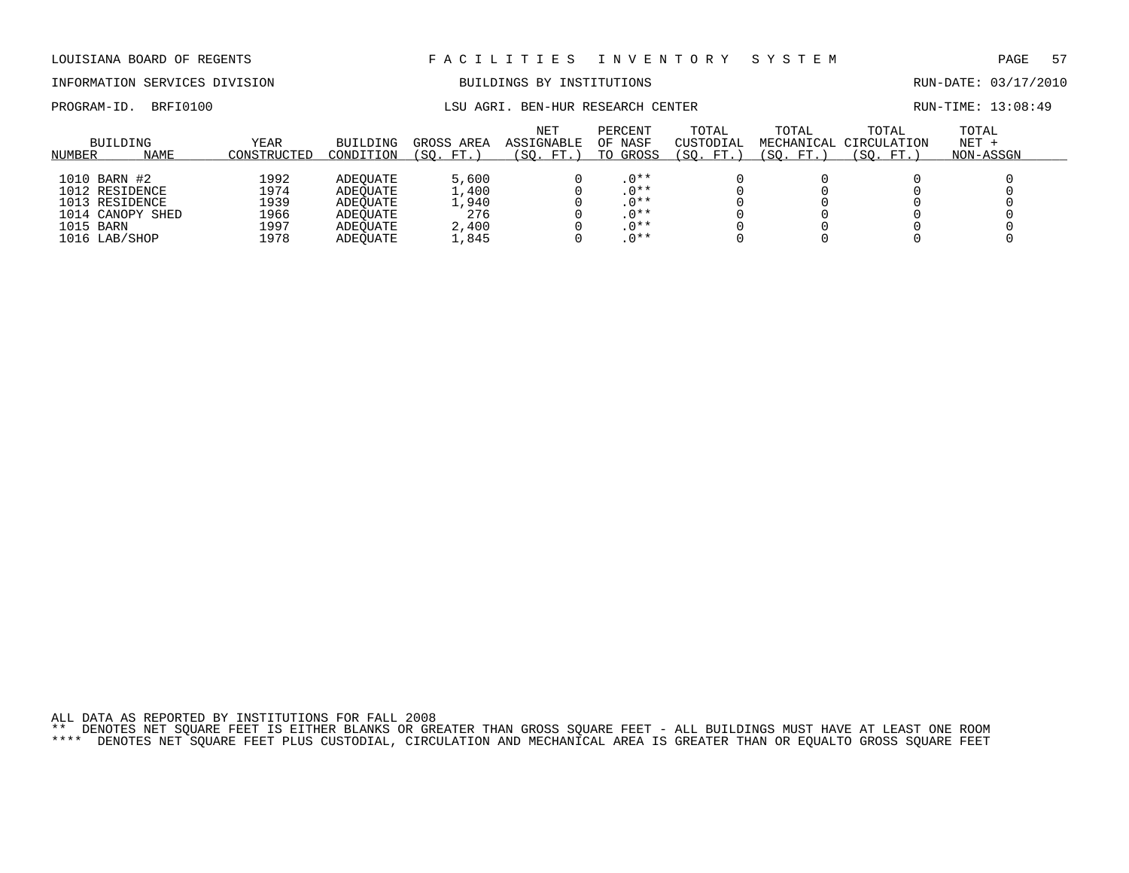# INFORMATION SERVICES DIVISION BUILDINGS BY INSTITUTIONS RUN-DATE: 03/17/2010

# PROGRAM-ID. BRFI0100 CHARGE CENTER LSU AGRI. BEN-HUR RESEARCH CENTER CENTER RUN-TIME: 13:08:49

| BUILDING<br>NUMBER                                                                                 | NAME | YEAR<br>CONSTRUCTED                          | BUILDING<br>CONDITION                                                | GROSS AREA<br>FT.<br>$^{\prime}$ SO .            | NET<br><b>ASSIGNABLE</b><br>(SO. FT.) | PERCENT<br>OF NASF<br>TO GROSS                             | TOTAL<br>CUSTODIAL<br>(SO. FT.) | TOTAL<br>MECHANICAL<br>(SO. FT.) | TOTAL<br>CIRCULATION<br>(SO. FT.) | TOTAL<br>$NET +$<br>NON-ASSGN |
|----------------------------------------------------------------------------------------------------|------|----------------------------------------------|----------------------------------------------------------------------|--------------------------------------------------|---------------------------------------|------------------------------------------------------------|---------------------------------|----------------------------------|-----------------------------------|-------------------------------|
| 1010 BARN #2<br>1012 RESIDENCE<br>1013 RESIDENCE<br>1014 CANOPY SHED<br>1015 BARN<br>1016 LAB/SHOP |      | 1992<br>1974<br>1939<br>1966<br>1997<br>1978 | ADEOUATE<br>ADEOUATE<br>ADEOUATE<br>ADEOUATE<br>ADEOUATE<br>ADEOUATE | 5,600<br>1,400<br>1,940<br>276<br>2,400<br>1,845 |                                       | $.0**$<br>$.0**$<br>$.0**$<br>. $0***$<br>$.0**$<br>$.0**$ |                                 |                                  |                                   |                               |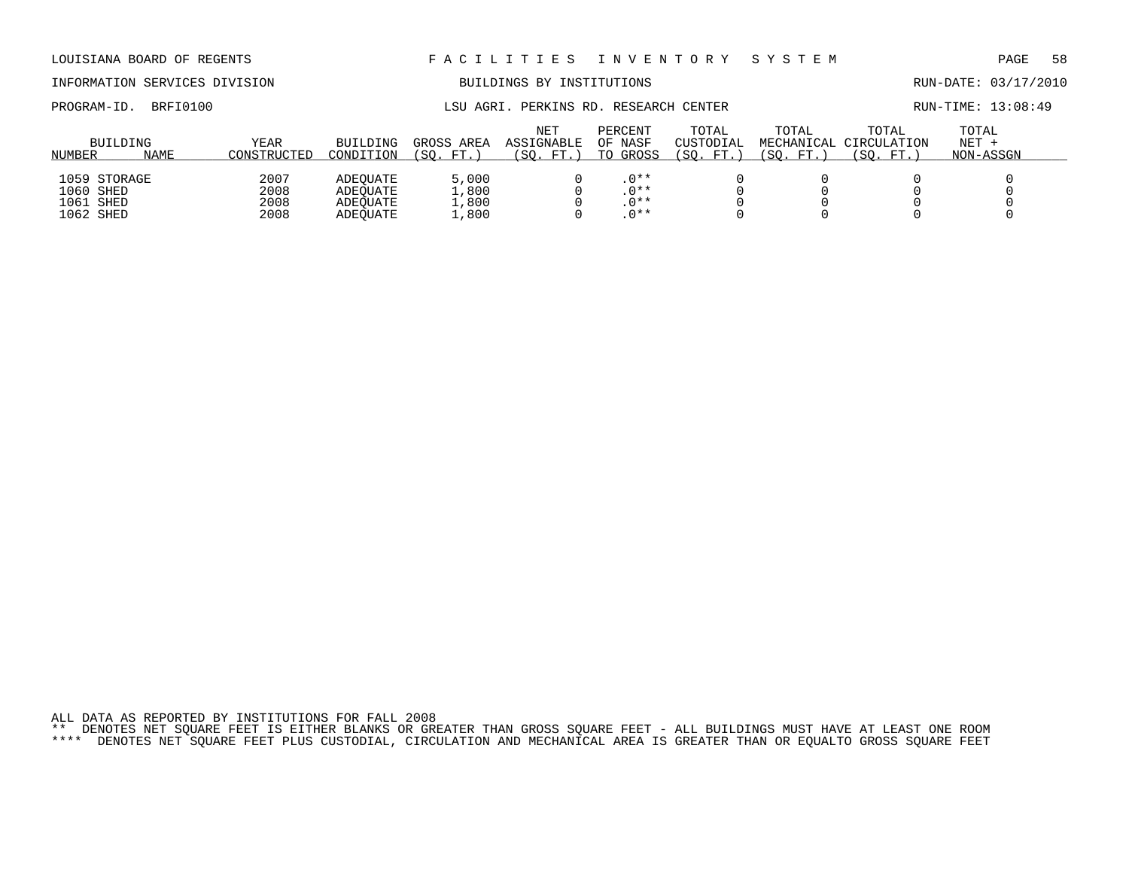# INFORMATION SERVICES DIVISION BUILDINGS BY INSTITUTIONS AND RUN-DATE: 03/17/2010

PROGRAM-ID. BRFI0100 **EXAM-ID.** BRFI0100 LSU AGRI. PERKINS RD. RESEARCH CENTER RUN-TIME: 13:08:49

| NUMBER    | BUILDING<br><b>NAME</b> | YEAR<br>CONSTRUCTED | BUILDING<br>CONDITION | GROSS AREA<br>SO.<br>FT. | <b>NET</b><br>ASSIGNABLE<br>SO.<br>FT. | PERCENT<br>OF NASF<br>TO GROSS | TOTAL<br>CUSTODIAL<br>$^{\prime}$ SO .<br>FT. | TOTAL<br>MECHANICAL<br>SO.<br>FT. | TOTAL<br>CIRCULATION<br>'SO.<br>FT. | TOTAL<br>$NET +$<br>NON-ASSGN |
|-----------|-------------------------|---------------------|-----------------------|--------------------------|----------------------------------------|--------------------------------|-----------------------------------------------|-----------------------------------|-------------------------------------|-------------------------------|
|           |                         |                     |                       |                          |                                        |                                |                                               |                                   |                                     |                               |
|           | 1059 STORAGE            | 2007                | ADEOUATE              | 5,000                    |                                        | $.0**$                         |                                               |                                   |                                     |                               |
| 1060 SHED |                         | 2008                | ADEOUATE              | 1,800                    |                                        | $.0**$                         |                                               |                                   |                                     |                               |
| 1061 SHED |                         | 2008                | ADEOUATE              | 1,800                    |                                        | $.0**$                         |                                               |                                   |                                     |                               |
| 1062 SHED |                         | 2008                | ADEOUATE              | 1,800                    |                                        | $.0**$                         |                                               |                                   |                                     |                               |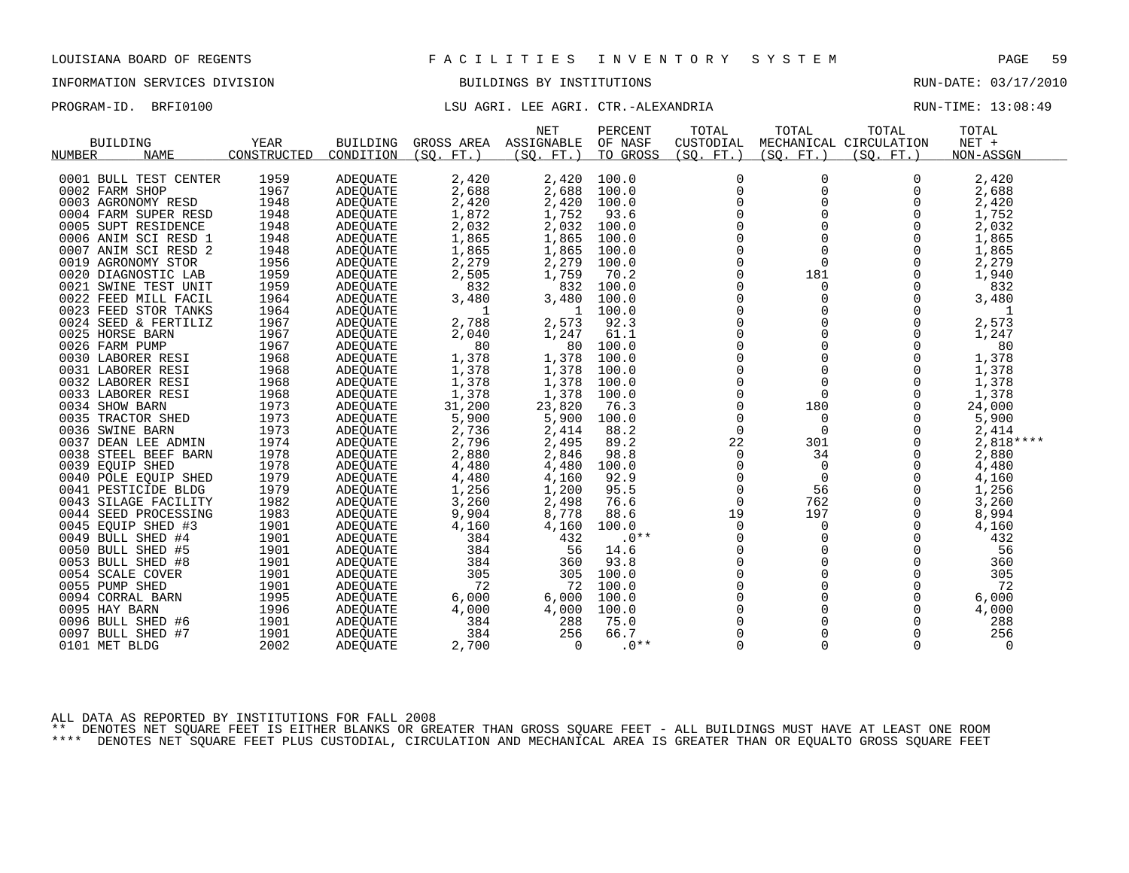# INFORMATION SERVICES DIVISION BUILDINGS BY INSTITUTIONS RUN-DATE: 03/17/2010

PROGRAM-ID. BRFI0100 **LSU AGRI. LEE AGRI. CTR.-ALEXANDRIA** RUN-TIME: 13:08:49

|                    |                       |             |                 |              | <b>NET</b> | PERCENT  | TOTAL          | TOTAL       | TOTAL                  | TOTAL       |
|--------------------|-----------------------|-------------|-----------------|--------------|------------|----------|----------------|-------------|------------------------|-------------|
| <b>BUILDING</b>    |                       | YEAR        | <b>BUILDING</b> | GROSS AREA   | ASSIGNABLE | OF NASF  | CUSTODIAL      |             | MECHANICAL CIRCULATION | NET +       |
| NUMBER             | <b>NAME</b>           | CONSTRUCTED | CONDITION       | (SO. FT. )   | (SO. FT.)  | TO GROSS | (SQ. FT.)      | (SO. FT.)   | (SO. FT.)              | NON-ASSGN   |
|                    |                       |             |                 |              |            |          |                |             |                        |             |
|                    | 0001 BULL TEST CENTER | 1959        | ADEQUATE        | 2,420        | 2,420      | 100.0    | 0              | 0           | $\Omega$               | 2,420       |
| 0002 FARM SHOP     |                       | 1967        | <b>ADEOUATE</b> | 2,688        | 2,688      | 100.0    | $\mathbf 0$    | 0           | $\Omega$               | 2,688       |
| 0003 AGRONOMY RESD |                       | 1948        | ADEOUATE        | 2,420        | 2,420      | 100.0    | $\mathbf 0$    | 0           | 0                      | 2,420       |
|                    | 0004 FARM SUPER RESD  | 1948        | ADEQUATE        | 1,872        | 1,752      | 93.6     | $\mathbf 0$    | $\Omega$    | $\mathbf 0$            | 1,752       |
|                    | 0005 SUPT RESIDENCE   | 1948        | ADEQUATE        | 2,032        | 2,032      | 100.0    | $\Omega$       | $\Omega$    | $\Omega$               | 2,032       |
|                    | 0006 ANIM SCI RESD 1  | 1948        | ADEQUATE        | 1,865        | 1,865      | 100.0    | $\mathbf 0$    | 0           | $\Omega$               | 1,865       |
|                    | 0007 ANIM SCI RESD 2  | 1948        | ADEOUATE        | 1,865        | 1,865      | 100.0    | $\mathsf 0$    | $\Omega$    | $\Omega$               | 1,865       |
| 0019 AGRONOMY STOR |                       | 1956        | <b>ADEOUATE</b> | 2,279        | 2,279      | 100.0    | $\mathbf 0$    | $\Omega$    | $\Omega$               | 2,279       |
|                    | 0020 DIAGNOSTIC LAB   | 1959        | <b>ADEOUATE</b> | 2,505        | 1,759      | 70.2     | $\Omega$       | 181         | $\Omega$               | 1,940       |
|                    | 0021 SWINE TEST UNIT  | 1959        | ADEQUATE        | 832          | 832        | 100.0    | $\mathbf 0$    | $\mathbf 0$ | $\Omega$               | 832         |
|                    | 0022 FEED MILL FACIL  | 1964        | ADEQUATE        | 3,480        | 3,480      | 100.0    | 0              | 0           | $\Omega$               | 3,480       |
|                    | 0023 FEED STOR TANKS  | 1964        | ADEOUATE        | $\mathbf{1}$ | -1         | 100.0    | $\mathbf 0$    | 0           | $\Omega$               | 1           |
|                    | 0024 SEED & FERTILIZ  | 1967        | ADEOUATE        | 2,788        | 2,573      | 92.3     | 0              | 0           | 0                      | 2,573       |
| 0025 HORSE BARN    |                       | 1967        | ADEQUATE        | 2,040        | 1,247      | 61.1     | $\mathbf 0$    | $\Omega$    | $\Omega$               | 1,247       |
| 0026 FARM PUMP     |                       | 1967        | <b>ADEOUATE</b> | 80           | 80         | 100.0    | $\Omega$       | $\Omega$    | $\Omega$               | 80          |
| 0030 LABORER RESI  |                       | 1968        | ADEOUATE        | 1,378        | 1,378      | 100.0    | $\mathbf 0$    | 0           | 0                      | 1,378       |
| 0031 LABORER RESI  |                       | 1968        | <b>ADEOUATE</b> | 1,378        | 1,378      | 100.0    | $\mathsf 0$    | $\mathbf 0$ | 0                      | 1,378       |
| 0032 LABORER RESI  |                       | 1968        | ADEQUATE        | 1,378        | 1,378      | 100.0    | $\mathbf 0$    | $\mathbf 0$ | $\Omega$               | 1,378       |
| 0033 LABORER RESI  |                       | 1968        | ADEQUATE        | 1,378        | 1,378      | 100.0    | $\Omega$       | $\Omega$    | $\Omega$               | 1,378       |
| 0034 SHOW BARN     |                       | 1973        | ADEQUATE        | 31,200       | 23,820     | 76.3     | 0              | 180         | 0                      | 24,000      |
| 0035 TRACTOR SHED  |                       | 1973        | ADEQUATE        | 5,900        | 5,900      | 100.0    | 0              | $\mathbf 0$ | 0                      | 5,900       |
| 0036 SWINE BARN    |                       | 1973        | <b>ADEOUATE</b> | 2,736        | 2,414      | 88.2     | $\Omega$       | $\Omega$    | $\Omega$               | 2,414       |
|                    | 0037 DEAN LEE ADMIN   | 1974        | ADEQUATE        | 2,796        | 2,495      | 89.2     | 22             | 301         | $\mathbf 0$            | $2,818***$  |
|                    | 0038 STEEL BEEF BARN  | 1978        | ADEQUATE        | 2,880        | 2,846      | 98.8     | $\mathbf 0$    | 34          | $\Omega$               | 2,880       |
| 0039 EOUIP SHED    |                       | 1978        | <b>ADEOUATE</b> | 4,480        | 4,480      | 100.0    | $\Omega$       | $\Omega$    | $\Omega$               | 4,480       |
|                    | 0040 POLE EQUIP SHED  | 1979        | ADEOUATE        | 4,480        | 4,160      | 92.9     | 0              | 0           | 0                      | 4,160       |
|                    | 0041 PESTICIDE BLDG   | 1979        | <b>ADEOUATE</b> | 1,256        | 1,200      | 95.5     | $\mathbf 0$    | 56          | $\mathbf 0$            | 1,256       |
|                    | 0043 SILAGE FACILITY  | 1982        | ADEQUATE        | 3,260        | 2,498      | 76.6     | $\mathbf 0$    | 762         | $\Omega$               | 3,260       |
|                    | 0044 SEED PROCESSING  | 1983        | ADEQUATE        | 9,904        | 8,778      | 88.6     | 19             | 197         | $\Omega$               | 8,994       |
| 0045 EQUIP SHED #3 |                       | 1901        | <b>ADEOUATE</b> | 4,160        | 4,160      | 100.0    | $\mathbf 0$    | $\mathbf 0$ | 0                      | 4,160       |
| 0049 BULL SHED #4  |                       | 1901        | ADEQUATE        | 384          | 432        | $.0**$   | 0              | 0           | 0                      | 432         |
| 0050 BULL SHED #5  |                       | 1901        | <b>ADEQUATE</b> | 384          | 56         | 14.6     | $\Omega$       | $\Omega$    | $\Omega$               | 56          |
| 0053 BULL SHED #8  |                       | 1901        | ADEQUATE        | 384          | 360        | 93.8     | 0              | 0           | $\Omega$               | 360         |
| 0054 SCALE COVER   |                       | 1901        | ADEQUATE        | 305          | 305        | 100.0    | 0              | $\Omega$    | $\Omega$               | 305         |
| 0055 PUMP SHED     |                       | 1901        | ADEOUATE        | 72           | 72         | 100.0    | $\mathbf 0$    | $\Omega$    | $\Omega$               | 72          |
| 0094 CORRAL BARN   |                       | 1995        | ADEQUATE        | 6,000        | 6,000      | 100.0    | 0              | $\mathbf 0$ | 0                      | 6,000       |
| 0095 HAY BARN      |                       | 1996        | ADEQUATE        | 4,000        | 4,000      | 100.0    | $\overline{0}$ | $\Omega$    | $\mathbf 0$            | 4,000       |
| 0096 BULL SHED #6  |                       | 1901        | ADEQUATE        | 384          | 288        | 75.0     | $\Omega$       | $\Omega$    | $\Omega$               | 288         |
| 0097 BULL SHED #7  |                       | 1901        | ADEQUATE        | 384          | 256        | 66.7     | $\Omega$       | $\Omega$    | $\Omega$               | 256         |
| 0101 MET BLDG      |                       | 2002        | <b>ADEOUATE</b> | 2,700        | $\Omega$   | $.0**$   | $\mathbf 0$    | $\Omega$    | $\Omega$               | $\mathbf 0$ |
|                    |                       |             |                 |              |            |          |                |             |                        |             |

ALL DATA AS REPORTED BY INSTITUTIONS FOR FALL 2008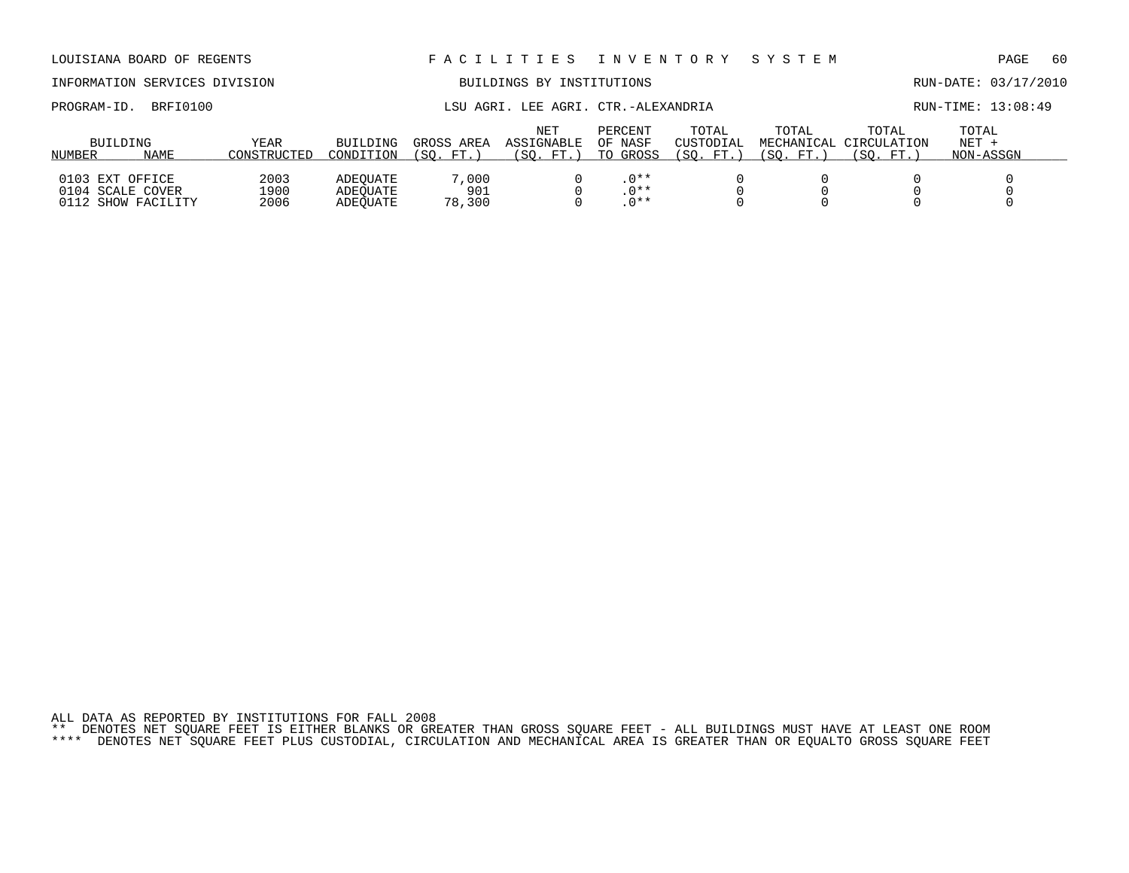ALL DATA AS REPORTED BY INSTITUTIONS FOR FALL 2008 \*\* DENOTES NET SQUARE FEET IS EITHER BLANKS OR GREATER THAN GROSS SQUARE FEET - ALL BUILDINGS MUST HAVE AT LEAST ONE ROOM \*\*\*\* DENOTES NET SQUARE FEET PLUS CUSTODIAL, CIRCULATION AND MECHANICAL AREA IS GREATER THAN OR EQUALTO GROSS SQUARE FEET

| BRFI0100<br>PROGRAM-ID.                                   |                      |                                  |                           | LSU AGRI. LEE AGRI. CTR.-ALEXANDRIA |                                |                                   |                     |                                               | RUN-TIME: 13:08:49            |  |
|-----------------------------------------------------------|----------------------|----------------------------------|---------------------------|-------------------------------------|--------------------------------|-----------------------------------|---------------------|-----------------------------------------------|-------------------------------|--|
| BUILDING<br><b>NAME</b><br>NUMBER                         | YEAR<br>CONSTRUCTED  | BUILDING<br>CONDITION            | GROSS AREA<br>'SO.<br>FT. | NET<br>ASSIGNABLE<br>(SO. FT.)      | PERCENT<br>OF NASF<br>TO GROSS | TOTAL<br>CUSTODIAL<br>(SO.<br>FT. | TOTAL<br>SO.<br>FT. | TOTAL<br>MECHANICAL CIRCULATION<br>SO.<br>FT. | TOTAL<br>$NET +$<br>NON-ASSGN |  |
| 0103 EXT OFFICE<br>0104 SCALE COVER<br>0112 SHOW FACILITY | 2003<br>1900<br>2006 | ADEOUATE<br>ADEOUATE<br>ADEOUATE | 7,000<br>901<br>78,300    |                                     | $.0**$<br>$.0**$<br>$0***$     |                                   |                     |                                               |                               |  |

# LOUISIANA BOARD OF REGENTS F A C I L I T I E S I N V E N T O R Y S Y S T E M PAGE 60

INFORMATION SERVICES DIVISION BUILDINGS BY INSTITUTIONS RUN-DATE: 03/17/2010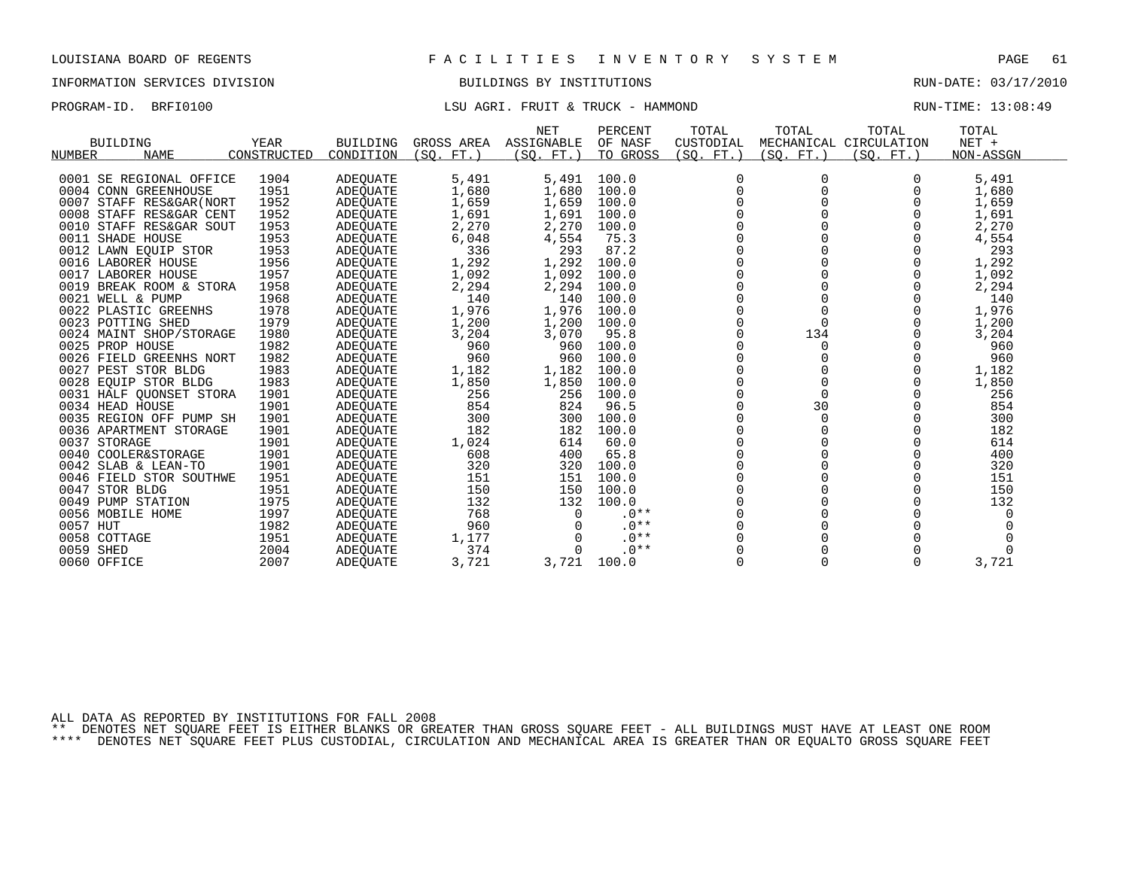# INFORMATION SERVICES DIVISION BUILDINGS BY INSTITUTIONS RUN-DATE: 03/17/2010

## PROGRAM-ID. BRFI0100 COMPUTE: 13:08:49 LSU AGRI. FRUIT & TRUCK - HAMMOND

| NUMBER         | <b>BUILDING</b><br>NAME  | <b>YEAR</b><br>CONSTRUCTED | <b>BUILDING</b><br>CONDITION | GROSS AREA<br>(SO. FT.) | NET<br>ASSIGNABLE<br>(SQ. FT. ) | PERCENT<br>OF NASF<br>TO GROSS | TOTAL<br>CUSTODIAL<br>(SQ. FT. ) | TOTAL<br>(SQ. FT.) | TOTAL<br>MECHANICAL CIRCULATION<br>(SQ. FT. ) | TOTAL<br>$NET +$<br>NON-ASSGN |
|----------------|--------------------------|----------------------------|------------------------------|-------------------------|---------------------------------|--------------------------------|----------------------------------|--------------------|-----------------------------------------------|-------------------------------|
|                |                          |                            |                              |                         |                                 |                                |                                  |                    |                                               |                               |
|                | 0001 SE REGIONAL OFFICE  | 1904                       | ADEQUATE                     | 5,491                   | 5,491                           | 100.0                          |                                  |                    |                                               | 5,491                         |
|                | 0004 CONN GREENHOUSE     | 1951                       | ADEOUATE                     | 1,680                   | 1,680                           | 100.0                          |                                  |                    |                                               | 1,680                         |
|                | 0007 STAFF RES&GAR (NORT | 1952                       | ADEQUATE                     | 1,659                   | 1,659                           | 100.0                          |                                  |                    |                                               | 1,659                         |
|                | 0008 STAFF RES&GAR CENT  | 1952                       | ADEQUATE                     | 1,691                   | 1,691                           | 100.0                          |                                  |                    |                                               | 1,691                         |
|                | 0010 STAFF RES&GAR SOUT  | 1953                       | ADEOUATE                     | 2,270                   | 2,270                           | 100.0                          |                                  |                    |                                               | 2,270                         |
|                | 0011 SHADE HOUSE         | 1953                       | ADEQUATE                     | 6,048                   | 4,554                           | 75.3                           |                                  |                    |                                               | 4,554                         |
|                | 0012 LAWN EQUIP STOR     | 1953                       | ADEQUATE                     | 336                     | 293                             | 87.2                           |                                  |                    |                                               | 293                           |
|                | 0016 LABORER HOUSE       | 1956                       | ADEQUATE                     | 1,292                   | 1,292                           | 100.0                          |                                  |                    |                                               | 1,292                         |
|                | 0017 LABORER HOUSE       | 1957                       | ADEQUATE                     | 1,092                   | 1,092                           | 100.0                          |                                  |                    |                                               | 1,092                         |
|                | 0019 BREAK ROOM & STORA  | 1958                       | ADEQUATE                     | 2,294                   | 2,294                           | 100.0                          |                                  |                    |                                               | 2,294                         |
|                | 0021 WELL & PUMP         | 1968                       | ADEQUATE                     | 140                     | 140                             | 100.0                          |                                  |                    |                                               | 140                           |
|                | 0022 PLASTIC GREENHS     | 1978                       | ADEQUATE                     | 1,976                   | 1,976                           | 100.0                          |                                  |                    |                                               | 1,976                         |
|                | 0023 POTTING SHED        | 1979                       | ADEQUATE                     | 1,200                   | 1,200                           | 100.0                          |                                  |                    |                                               | 1,200                         |
|                | 0024 MAINT SHOP/STORAGE  | 1980                       | ADEOUATE                     | 3,204                   | 3,070                           | 95.8                           |                                  | 134                |                                               | 3,204                         |
|                | 0025 PROP HOUSE          | 1982                       | ADEQUATE                     | 960                     | 960                             | 100.0                          |                                  | 0                  |                                               | 960                           |
|                | 0026 FIELD GREENHS NORT  | 1982                       | ADEQUATE                     | 960                     | 960                             | 100.0                          |                                  |                    |                                               | 960                           |
|                | 0027 PEST STOR BLDG      | 1983                       | ADEQUATE                     | 1,182                   | 1,182                           | 100.0                          |                                  |                    |                                               | 1,182                         |
|                | 0028 EQUIP STOR BLDG     | 1983                       | ADEQUATE                     | 1,850                   | 1,850                           | 100.0                          |                                  |                    |                                               | 1,850                         |
|                | 0031 HALF QUONSET STORA  | 1901                       | ADEQUATE                     | 256                     | 256                             | 100.0                          |                                  |                    |                                               | 256                           |
|                | 0034 HEAD HOUSE          | 1901                       | ADEQUATE                     | 854                     | 824                             | 96.5                           |                                  | 30                 |                                               | 854                           |
|                | 0035 REGION OFF PUMP SH  | 1901                       | ADEQUATE                     | 300                     | 300                             | 100.0                          |                                  | $\Omega$           |                                               | 300                           |
|                | 0036 APARTMENT STORAGE   | 1901                       | ADEOUATE                     | 182                     | 182                             | 100.0                          |                                  |                    |                                               | 182                           |
| 0037 STORAGE   |                          | 1901                       | ADEQUATE                     | 1,024                   | 614                             | 60.0                           |                                  |                    |                                               | 614                           |
|                | 0040 COOLER&STORAGE      | 1901                       | ADEQUATE                     | 608                     | 400                             | 65.8                           |                                  |                    |                                               | 400                           |
|                | 0042 SLAB & LEAN-TO      | 1901                       | ADEQUATE                     | 320                     | 320                             | 100.0                          |                                  |                    |                                               | 320                           |
|                | 0046 FIELD STOR SOUTHWE  | 1951                       | ADEQUATE                     | 151                     | 151                             | 100.0                          |                                  |                    |                                               | 151                           |
| 0047 STOR BLDG |                          | 1951                       | ADEQUATE                     | 150                     | 150                             | 100.0                          |                                  |                    |                                               | 150                           |
|                | 0049 PUMP STATION        | 1975                       | ADEQUATE                     | 132                     | 132                             | 100.0                          |                                  |                    |                                               | 132                           |
|                | 0056 MOBILE HOME         | 1997                       | <b>ADEOUATE</b>              | 768                     | $\Omega$                        | $.0**$                         |                                  |                    |                                               |                               |
| 0057 HUT       |                          | 1982                       | ADEOUATE                     | 960                     | $\Omega$                        | $.0**$                         |                                  |                    |                                               |                               |
| 0058 COTTAGE   |                          | 1951                       | ADEQUATE                     | 1,177                   | $\Omega$                        | $.0**$                         |                                  |                    |                                               |                               |
| 0059 SHED      |                          | 2004                       | <b>ADEOUATE</b>              | 374                     | $\Omega$                        | $.0**$                         |                                  |                    |                                               |                               |
| 0060 OFFICE    |                          | 2007                       | <b>ADEOUATE</b>              | 3,721                   | 3,721                           | 100.0                          | $\Omega$                         | $\Omega$           | $\Omega$                                      | 3,721                         |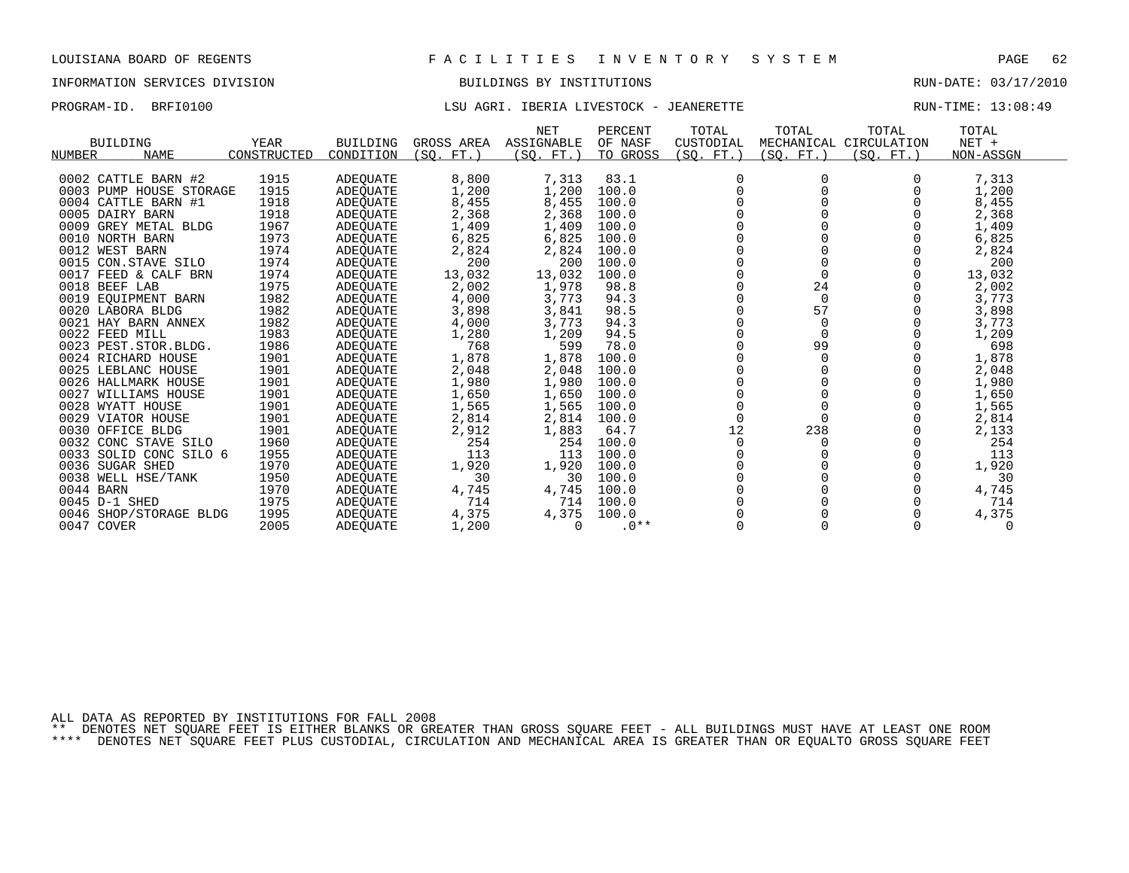# INFORMATION SERVICES DIVISION BUILDINGS BY INSTITUTIONS AND RUN-DATE: 03/17/2010

## PROGRAM-ID. BRFI0100 **LSU AGRI. IBERIA LIVESTOCK - JEANERETTE** RUN-TIME: 13:08:49

| <b>BUILDING</b><br><b>NAME</b><br>NUMBER | <b>YEAR</b><br>CONSTRUCTED | <b>BUILDING</b><br>CONDITION | GROSS AREA<br>(SO. FT. ) | <b>NET</b><br>ASSIGNABLE<br>(SO. FT.) | PERCENT<br>OF NASF<br>TO GROSS | TOTAL<br>CUSTODIAL<br>(SO. FT.) | TOTAL<br>(SO. FT.) | TOTAL<br>MECHANICAL CIRCULATION<br>(SO. FT.) | TOTAL<br>$NET +$<br>NON-ASSGN |  |
|------------------------------------------|----------------------------|------------------------------|--------------------------|---------------------------------------|--------------------------------|---------------------------------|--------------------|----------------------------------------------|-------------------------------|--|
|                                          |                            |                              |                          |                                       |                                |                                 |                    |                                              |                               |  |
| 0002 CATTLE BARN #2                      | 1915                       | ADEQUATE                     | 8,800                    | 7,313                                 | 83.1                           | $\Omega$                        |                    |                                              | 7,313                         |  |
| 0003 PUMP HOUSE STORAGE                  | 1915                       | ADEOUATE                     | 1,200                    | 1,200                                 | 100.0                          |                                 |                    |                                              | 1,200                         |  |
| 0004 CATTLE BARN #1                      | 1918                       | ADEQUATE                     | 8,455                    | 8,455                                 | 100.0                          |                                 |                    |                                              | 8,455                         |  |
| 0005 DAIRY BARN                          | 1918<br>1967               | ADEOUATE                     | 2,368                    | 2,368                                 | 100.0                          |                                 |                    |                                              | 2,368                         |  |
| 0009 GREY METAL BLDG                     |                            | ADEQUATE                     | 1,409                    | 1,409                                 | 100.0                          |                                 |                    |                                              | 1,409                         |  |
| 0010 NORTH BARN                          | 1973<br>1974               | ADEQUATE                     | 6,825                    | 6,825                                 | 100.0                          |                                 |                    |                                              | 6,825                         |  |
| 0012 WEST BARN<br>0015 CON.STAVE SILO    | 1974                       | ADEOUATE                     | 2,824<br>200             | 2,824<br>200                          | 100.0<br>100.0                 |                                 |                    |                                              | 2,824<br>200                  |  |
| 0017 FEED & CALF BRN                     | 1974                       | ADEOUATE                     |                          | 13,032                                | 100.0                          |                                 | $\Omega$           |                                              |                               |  |
| 0018 BEEF LAB                            | 1975                       | ADEOUATE<br>ADEOUATE         | 13,032<br>2,002          | 1,978                                 | 98.8                           |                                 | 24                 |                                              | 13,032<br>2,002               |  |
| 0019 EOUIPMENT BARN                      | 1982                       | ADEQUATE                     | 4,000                    | 3,773                                 | 94.3                           |                                 | $\Omega$           |                                              | 3,773                         |  |
| 0020 LABORA BLDG                         | 1982                       | ADEOUATE                     | 3,898                    | 3,841                                 | 98.5                           |                                 | 57                 |                                              | 3,898                         |  |
| 0021 HAY BARN ANNEX                      | 1982                       | ADEQUATE                     | 4,000                    | 3,773                                 | 94.3                           |                                 | 0                  |                                              | 3,773                         |  |
| 0022 FEED MILL                           | 1983                       | ADEQUATE                     | 1,280                    | 1,209                                 | 94.5                           |                                 | $\mathbf 0$        |                                              | 1,209                         |  |
| 0023 PEST. STOR. BLDG.                   | 1986                       | ADEOUATE                     | 768                      | 599                                   | 78.0                           |                                 | 99                 |                                              | 698                           |  |
| 0024 RICHARD HOUSE                       | 1901                       | ADEQUATE                     | 1,878                    | 1,878                                 | 100.0                          |                                 | $\Omega$           |                                              | 1,878                         |  |
| 0025 LEBLANC HOUSE                       | 1901                       | ADEOUATE                     | 2,048                    | 2,048                                 | 100.0                          |                                 |                    |                                              | 2,048                         |  |
| 0026 HALLMARK HOUSE                      | 1901                       | ADEQUATE                     | 1,980                    | 1,980                                 | 100.0                          |                                 |                    |                                              | 1,980                         |  |
| 0027 WILLIAMS HOUSE                      | 1901                       | ADEOUATE                     | 1,650                    | 1,650                                 | 100.0                          |                                 |                    |                                              | 1,650                         |  |
| 0028 WYATT HOUSE                         | 1901                       | ADEQUATE                     | 1,565                    | 1,565                                 | 100.0                          | $\Omega$                        |                    |                                              | 1,565                         |  |
| 0029 VIATOR HOUSE                        | 1901                       | ADEOUATE                     | 2,814                    | 2,814                                 | 100.0                          | $\Omega$                        |                    |                                              | 2,814                         |  |
| 0030 OFFICE BLDG                         | 1901                       | ADEOUATE                     | 2,912                    | 1,883                                 | 64.7                           | 12                              | 238                |                                              | 2,133                         |  |
| CONC STAVE SILO<br>0032                  | 1960                       | ADEQUATE                     | 254                      | 254                                   | 100.0                          | $\Omega$                        |                    |                                              | 254                           |  |
| 0033<br>SOLID CONC SILO 6                | 1955                       | ADEOUATE                     | 113                      | 113                                   | 100.0                          |                                 |                    |                                              | 113                           |  |
| 0036 SUGAR SHED                          | 1970                       | ADEQUATE                     | 1,920                    | 1,920                                 | 100.0                          |                                 |                    |                                              | 1,920                         |  |
| 0038 WELL HSE/TANK                       | 1950                       | ADEQUATE                     | 30                       | 30                                    | 100.0                          |                                 |                    |                                              | 30                            |  |
| 0044 BARN                                | 1970                       | ADEQUATE                     | 4,745                    | 4,745                                 | 100.0                          |                                 |                    |                                              | 4,745                         |  |
| 0045 D-1 SHED                            | 1975                       | ADEQUATE                     | 714                      | 714                                   | 100.0                          |                                 |                    |                                              | 714                           |  |
| 0046 SHOP/STORAGE BLDG                   | 1995                       | ADEOUATE                     | 4,375                    | 4,375                                 | 100.0                          |                                 |                    |                                              | 4,375                         |  |
| 0047 COVER                               | 2005                       | <b>ADEOUATE</b>              | 1,200                    | $\Omega$                              | $0***$                         |                                 |                    |                                              | $\Omega$                      |  |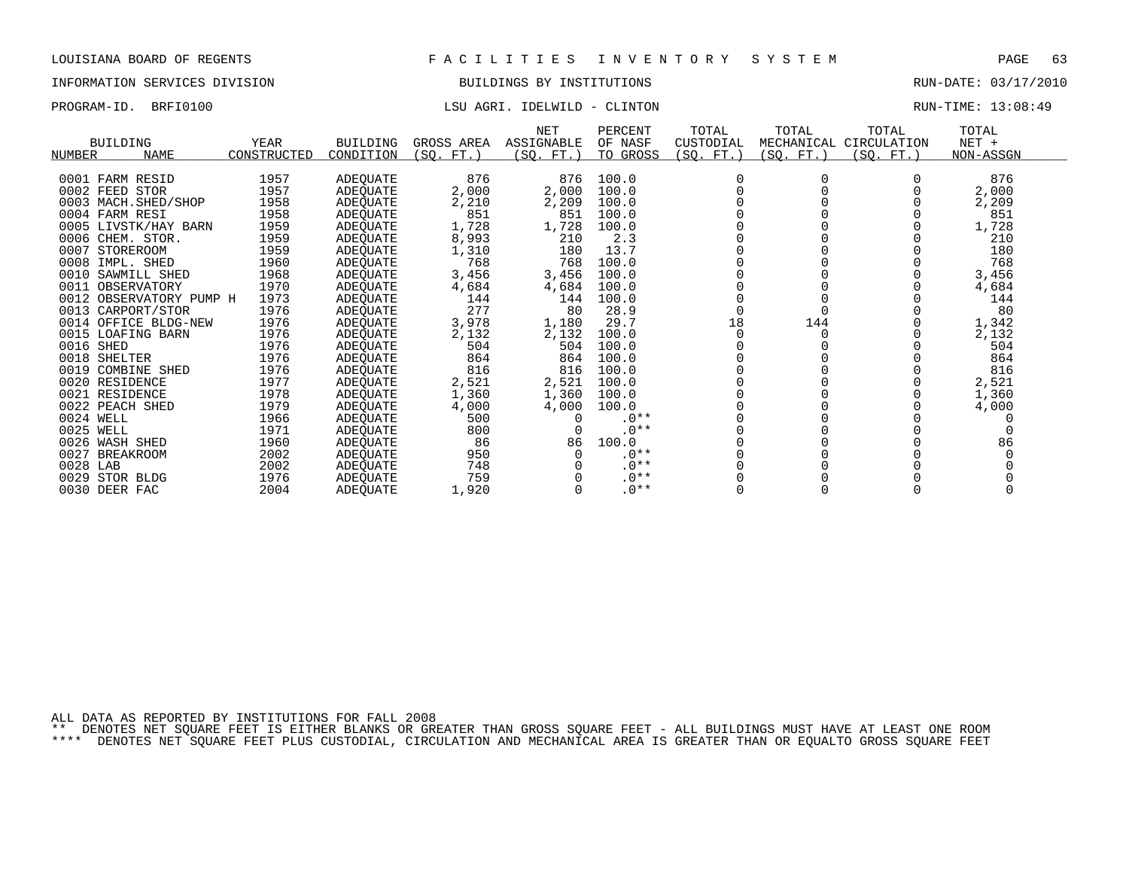# INFORMATION SERVICES DIVISION BUILDINGS BY INSTITUTIONS RUN-DATE: 03/17/2010

## PROGRAM-ID. BRFI0100 CONSTRUCTED SERVICES IN THE LOSS OF LATER SERVICES IN THE LOSS OF LATER RUN-TIME: 13:08:49

|                              |             |                 |            | <b>NET</b>      | PERCENT  | TOTAL     | TOTAL      | TOTAL                  | TOTAL     |  |
|------------------------------|-------------|-----------------|------------|-----------------|----------|-----------|------------|------------------------|-----------|--|
| <b>BUILDING</b>              | YEAR        | <b>BUILDING</b> | GROSS AREA | ASSIGNABLE      | OF NASF  | CUSTODIAL |            | MECHANICAL CIRCULATION | NET +     |  |
| <b>NUMBER</b><br><b>NAME</b> | CONSTRUCTED | CONDITION       | (SQ. FT. ) | (SQ.<br>$FT.$ ) | TO GROSS | (SQ. FT.) | (SQ. FT. ) | (SQ. FT.)              | NON-ASSGN |  |
|                              |             |                 |            |                 |          |           |            |                        |           |  |
| 0001 FARM RESID              | 1957        | ADEQUATE        | 876        | 876             | 100.0    | $\Omega$  |            |                        | 876       |  |
| 0002 FEED STOR               | 1957        | ADEOUATE        | 2,000      | 2,000           | 100.0    |           |            |                        | 2,000     |  |
| 0003 MACH. SHED/SHOP         | 1958        | ADEQUATE        | 2,210      | 2,209           | 100.0    |           |            |                        | 2,209     |  |
| 0004 FARM RESI               | 1958        | ADEOUATE        | 851        | 851             | 100.0    |           |            |                        | 851       |  |
| 0005 LIVSTK/HAY BARN         | 1959        | ADEQUATE        | 1,728      | 1,728           | 100.0    |           |            |                        | 1,728     |  |
| 0006 CHEM. STOR.             | 1959        | ADEQUATE        | 8,993      | 210             | 2.3      |           |            |                        | 210       |  |
| 0007 STOREROOM               | 1959        | ADEOUATE        | 1,310      | 180             | 13.7     |           |            |                        | 180       |  |
| 0008 IMPL. SHED              | 1960        | ADEQUATE        | 768        | 768             | 100.0    |           |            |                        | 768       |  |
| 0010 SAWMILL SHED            | 1968        | ADEQUATE        | 3,456      | 3,456           | 100.0    |           |            |                        | 3,456     |  |
| 0011 OBSERVATORY             | 1970        | ADEQUATE        | 4,684      | 4,684           | 100.0    |           |            |                        | 4,684     |  |
| 0012 OBSERVATORY PUMP H      | 1973        | ADEQUATE        | 144        | 144             | 100.0    |           |            |                        | 144       |  |
| 0013 CARPORT/STOR            | 1976        | ADEQUATE        | 277        | 80              | 28.9     |           |            |                        | 80        |  |
| 0014 OFFICE BLDG-NEW         | 1976        | ADEOUATE        | 3,978      | 1,180           | 29.7     | 18        | 144        |                        | 1,342     |  |
| 0015 LOAFING BARN            | 1976        | ADEQUATE        | 2,132      | 2,132           | 100.0    |           |            |                        | 2,132     |  |
| 0016 SHED                    | 1976        | ADEQUATE        | 504        | 504             | 100.0    |           |            |                        | 504       |  |
| 0018 SHELTER                 | 1976        | ADEQUATE        | 864        | 864             | 100.0    |           |            |                        | 864       |  |
| 0019 COMBINE SHED            | 1976        | ADEQUATE        | 816        | 816             | 100.0    |           |            |                        | 816       |  |
| 0020 RESIDENCE               | 1977        | ADEQUATE        | 2,521      | 2,521           | 100.0    |           |            |                        | 2,521     |  |
| 0021 RESIDENCE               | 1978        | ADEQUATE        | 1,360      | 1,360           | 100.0    |           |            |                        | 1,360     |  |
| 0022 PEACH SHED              | 1979        | ADEQUATE        | 4,000      | 4,000           | 100.0    |           |            |                        | 4,000     |  |
| 0024 WELL                    | 1966        | ADEQUATE        | 500        |                 | $.0**$   |           |            |                        |           |  |
| 0025 WELL                    | 1971        | ADEQUATE        | 800        |                 | $.0**$   |           |            |                        |           |  |
| 0026 WASH SHED               | 1960        | ADEOUATE        | 86         | 86              | 100.0    |           |            |                        | 86        |  |
| 0027<br><b>BREAKROOM</b>     | 2002        | ADEOUATE        | 950        |                 | $.0**$   |           |            |                        |           |  |
| 0028 LAB                     | 2002        | ADEQUATE        | 748        |                 | $.0**$   |           |            |                        |           |  |
| 0029 STOR BLDG               | 1976        | ADEQUATE        | 759        |                 | $.0**$   |           |            |                        |           |  |
| 0030 DEER FAC                | 2004        | <b>ADEOUATE</b> | 1,920      |                 | $.0**$   |           |            |                        |           |  |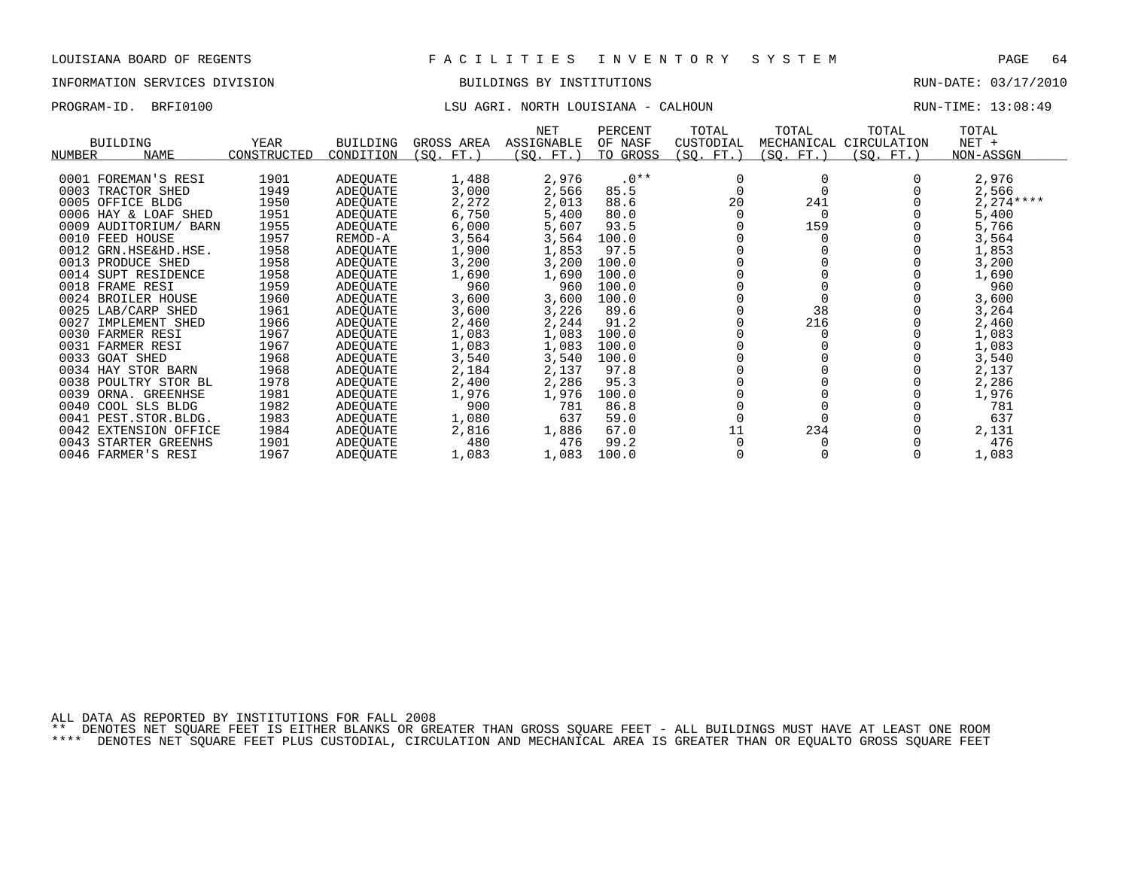# INFORMATION SERVICES DIVISION BUILDINGS BY INSTITUTIONS AND RUN-DATE: 03/17/2010

# PROGRAM-ID. BRFI0100 LSU AGRI. NORTH LOUISIANA - CALHOUN RUN-TIME: 13:08:49

| <b>BUILDING</b><br>NUMBER<br><b>NAME</b> | YEAR<br>CONSTRUCTED | <b>BUILDING</b><br>CONDITION | GROSS AREA<br>(SQ. FT.) | NET<br>ASSIGNABLE<br>(SQ. FT.) | PERCENT<br>OF NASF<br>TO GROSS | TOTAL<br>CUSTODIAL<br>(SQ. FT.) | TOTAL<br>MECHANICAL<br>SQ. FT.) | TOTAL<br>CIRCULATION<br>(SQ. FT.) | TOTAL<br>$NET +$<br>NON-ASSGN |
|------------------------------------------|---------------------|------------------------------|-------------------------|--------------------------------|--------------------------------|---------------------------------|---------------------------------|-----------------------------------|-------------------------------|
| 0001 FOREMAN'S RESI                      | 1901                | ADEQUATE                     | 1,488                   | 2,976                          | $.0**$                         | 0                               |                                 |                                   | 2,976                         |
| 0003 TRACTOR SHED                        | 1949                |                              |                         |                                |                                |                                 |                                 |                                   |                               |
| 0005 OFFICE BLDG                         | 1950                | ADEQUATE                     | 3,000<br>2,272          | 2,566<br>2,013                 | 85.5<br>88.6                   | 20                              | 241                             |                                   | 2,566<br>$2,274***$           |
| 0006 HAY & LOAF SHED                     |                     | ADEQUATE                     |                         |                                |                                |                                 |                                 |                                   |                               |
|                                          | 1951                | ADEOUATE                     | 6,750                   | 5,400                          | 80.0                           |                                 |                                 |                                   | 5,400                         |
| 0009 AUDITORIUM/ BARN                    | 1955                | ADEQUATE                     | 6,000                   | 5,607                          | 93.5                           |                                 | 159                             |                                   | 5,766                         |
| 0010 FEED HOUSE                          | 1957                | REMOD-A                      | 3,564                   | 3,564                          | 100.0                          |                                 |                                 |                                   | 3,564                         |
| 0012 GRN.HSE&HD.HSE.                     | 1958                | ADEQUATE                     | 1,900                   | 1,853                          | 97.5                           |                                 |                                 |                                   | 1,853                         |
| 0013 PRODUCE SHED                        | 1958                | ADEQUATE                     | 3,200                   | 3,200                          | 100.0                          |                                 |                                 |                                   | 3,200                         |
| 0014 SUPT RESIDENCE                      | 1958                | ADEOUATE                     | 1,690                   | 1,690                          | 100.0                          |                                 |                                 |                                   | 1,690                         |
| 0018 FRAME RESI                          | 1959                | ADEQUATE                     | 960                     | 960                            | 100.0                          |                                 |                                 |                                   | 960                           |
| 0024 BROILER HOUSE                       | 1960                | ADEQUATE                     | 3,600                   | 3,600                          | 100.0                          |                                 |                                 |                                   | 3,600                         |
| 0025 LAB/CARP SHED                       | 1961                | ADEOUATE                     | 3,600                   | 3,226                          | 89.6                           |                                 | 38                              |                                   | 3,264                         |
| 0027 IMPLEMENT SHED                      | 1966                | ADEQUATE                     | 2,460                   | 2,244                          | 91.2                           |                                 | 216                             |                                   | 2,460                         |
| 0030 FARMER RESI                         | 1967                | ADEQUATE                     | 1,083                   | 1,083                          | 100.0                          |                                 |                                 |                                   | 1,083                         |
| 0031 FARMER RESI                         | 1967                | ADEQUATE                     | 1,083                   | 1,083                          | 100.0                          |                                 |                                 |                                   | 1,083                         |
| 0033 GOAT SHED                           | 1968                | ADEQUATE                     | 3,540                   | 3,540                          | 100.0                          |                                 |                                 |                                   | 3,540                         |
| 0034 HAY STOR BARN                       | 1968                | ADEQUATE                     | 2,184                   | 2,137                          | 97.8                           |                                 |                                 |                                   | 2,137                         |
| 0038 POULTRY STOR BL                     | 1978                | ADEQUATE                     | 2,400                   | 2,286                          | 95.3                           |                                 |                                 |                                   | 2,286                         |
| 0039<br>ORNA. GREENHSE                   | 1981                | ADEQUATE                     | 1,976                   | 1,976                          | 100.0                          |                                 |                                 |                                   | 1,976                         |
| 0040 COOL SLS BLDG                       | 1982                | ADEQUATE                     | 900                     | 781                            | 86.8                           |                                 |                                 |                                   | 781                           |
| 0041 PEST. STOR. BLDG.                   | 1983                | ADEQUATE                     | 1,080                   | 637                            | 59.0                           |                                 |                                 |                                   | 637                           |
| 0042 EXTENSION OFFICE                    | 1984                | ADEQUATE                     | 2,816                   | 1,886                          | 67.0                           | 11                              | 234                             |                                   | 2,131                         |
| 0043 STARTER GREENHS                     | 1901                | ADEQUATE                     | 480                     | 476                            | 99.2                           |                                 |                                 |                                   | 476                           |
| 0046 FARMER'S RESI                       | 1967                | ADEQUATE                     | 1,083                   | 1,083                          | 100.0                          |                                 |                                 |                                   | 1,083                         |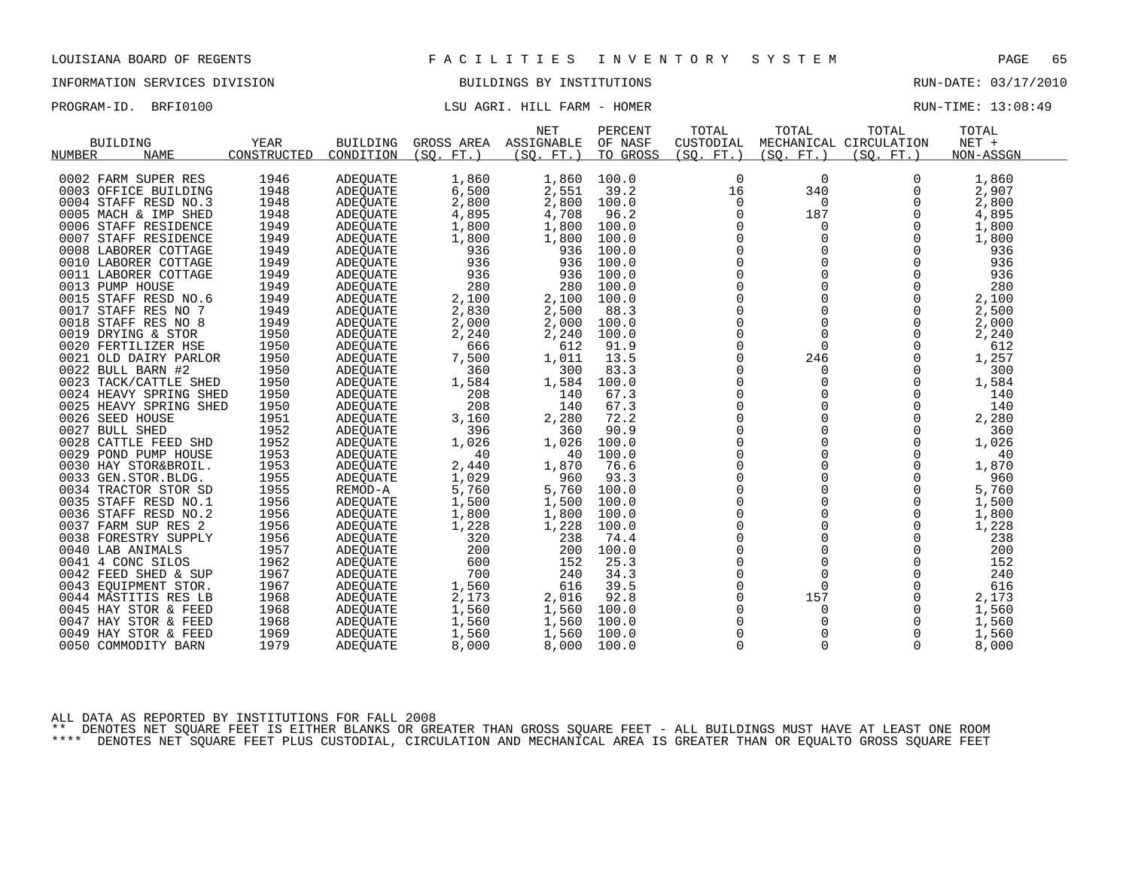# INFORMATION SERVICES DIVISION BUILDINGS BY INSTITUTIONS RUN-DATE: 03/17/2010

# PROGRAM-ID. BRFI0100 COMPUTE: 13:08:49 LSU AGRI. HILL FARM - HOMER COMPUTE: 13:08:49

|        |                        |             |                 |            | <b>NET</b> | PERCENT  | TOTAL          | TOTAL       | TOTAL                  | TOTAL     |  |
|--------|------------------------|-------------|-----------------|------------|------------|----------|----------------|-------------|------------------------|-----------|--|
|        | <b>BUILDING</b>        | <b>YEAR</b> | <b>BUILDING</b> | GROSS AREA | ASSIGNABLE | OF NASF  | CUSTODIAL      |             | MECHANICAL CIRCULATION | NET +     |  |
| NUMBER | <b>NAME</b>            | CONSTRUCTED | CONDITION       | (SO. FT. ) | (SO. FT. ) | TO GROSS | (SQ. FT. )     | (SO. FT. )  | (SO. FT. )             | NON-ASSGN |  |
|        |                        |             |                 |            |            |          |                |             |                        |           |  |
|        | 0002 FARM SUPER RES    | 1946        | <b>ADEOUATE</b> | 1,860      | 1,860      | 100.0    | 0              | 0           | 0                      | 1,860     |  |
|        | 0003 OFFICE BUILDING   | 1948        | <b>ADEQUATE</b> | 6,500      | 2,551      | 39.2     | 16             | 340         | $\Omega$               | 2,907     |  |
|        | 0004 STAFF RESD NO.3   | 1948        | ADEQUATE        | 2,800      | 2,800      | 100.0    | 0              | $\mathbf 0$ | 0                      | 2,800     |  |
|        | 0005 MACH & IMP SHED   | 1948        | ADEQUATE        | 4,895      | 4,708      | 96.2     | 0              | 187         | 0                      | 4,895     |  |
|        | 0006 STAFF RESIDENCE   | 1949        | <b>ADEQUATE</b> | 1,800      | 1,800      | 100.0    | $\Omega$       | $\Omega$    | $\Omega$               | 1,800     |  |
|        | 0007 STAFF RESIDENCE   | 1949        | ADEQUATE        | 1,800      | 1,800      | 100.0    | 0              | 0           | 0                      | 1,800     |  |
|        | 0008 LABORER COTTAGE   | 1949        | ADEQUATE        | 936        | 936        | 100.0    | $\mathbf 0$    | 0           | $\Omega$               | 936       |  |
|        | 0010 LABORER COTTAGE   | 1949        | ADEQUATE        | 936        | 936        | 100.0    | $\mathbf 0$    | $\Omega$    | $\Omega$               | 936       |  |
|        | 0011 LABORER COTTAGE   | 1949        | ADEQUATE        | 936        | 936        | 100.0    | $\mathbf 0$    | $\mathbf 0$ | $\mathbf 0$            | 936       |  |
|        | 0013 PUMP HOUSE        | 1949        | ADEQUATE        | 280        | 280        | 100.0    | 0              | $\mathbf 0$ | $\mathbf 0$            | 280       |  |
|        | 0015 STAFF RESD NO.6   | 1949        | <b>ADEOUATE</b> | 2,100      | 2,100      | 100.0    | $\mathbf 0$    | $\mathbf 0$ | $\Omega$               | 2,100     |  |
|        | 0017 STAFF RES NO 7    | 1949        | <b>ADEQUATE</b> | 2,830      | 2,500      | 88.3     | $\mathbf 0$    | $\Omega$    | $\Omega$               | 2,500     |  |
|        | 0018 STAFF RES NO 8    | 1949        | ADEQUATE        | 2,000      | 2,000      | 100.0    | $\mathsf 0$    | $\mathbf 0$ | 0                      | 2,000     |  |
|        | 0019 DRYING & STOR     | 1950        | <b>ADEOUATE</b> | 2,240      | 2,240      | 100.0    | 0              | $\mathbf 0$ | 0                      | 2,240     |  |
|        | 0020 FERTILIZER HSE    | 1950        | ADEQUATE        | 666        | 612        | 91.9     | $\Omega$       | $\Omega$    | $\Omega$               | 612       |  |
|        | 0021 OLD DAIRY PARLOR  | 1950        | ADEQUATE        | 7,500      | 1,011      | 13.5     | $\mathbf 0$    | 246         | 0                      | 1,257     |  |
|        | 0022 BULL BARN #2      | 1950        | ADEQUATE        | 360        | 300        | 83.3     | 0              | $\mathbf 0$ | 0                      | 300       |  |
|        | 0023 TACK/CATTLE SHED  | 1950        | <b>ADEQUATE</b> | 1,584      | 1,584      | 100.0    | $\Omega$       | $\Omega$    | $\Omega$               | 1,584     |  |
|        | 0024 HEAVY SPRING SHED | 1950        | <b>ADEQUATE</b> | 208        | 140        | 67.3     | 0              | 0           | 0                      | 140       |  |
|        | 0025 HEAVY SPRING SHED | 1950        | ADEQUATE        | 208        | 140        | 67.3     | 0              | 0           | $\Omega$               | 140       |  |
|        | 0026 SEED HOUSE        | 1951        | <b>ADEOUATE</b> | 3,160      | 2,280      | 72.2     | $\mathbf 0$    | $\Omega$    | $\Omega$               | 2,280     |  |
|        | 0027 BULL SHED         | 1952        | <b>ADEQUATE</b> | 396        | 360        | 90.9     | $\mathbf 0$    | $\mathbf 0$ | 0                      | 360       |  |
|        | 0028 CATTLE FEED SHD   | 1952        | ADEQUATE        | 1,026      | 1,026      | 100.0    | 0              | $\Omega$    | 0                      | 1,026     |  |
|        | 0029 POND PUMP HOUSE   | 1953        | <b>ADEOUATE</b> | 40         | 40         | 100.0    | $\mathbf 0$    | $\mathbf 0$ | 0                      | 40        |  |
|        | 0030 HAY STOR&BROIL.   | 1953        | ADEQUATE        | 2,440      | 1,870      | 76.6     | $\mathbf 0$    | $\Omega$    | $\Omega$               | 1,870     |  |
|        | 0033 GEN.STOR.BLDG.    | 1955        | ADEQUATE        | 1,029      | 960        | 93.3     | $\mathsf 0$    | $\mathbf 0$ | 0                      | 960       |  |
|        | 0034 TRACTOR STOR SD   | 1955        | REMOD-A         | 5,760      | 5,760      | 100.0    | 0              | 0           | 0                      | 5,760     |  |
|        | 0035 STAFF RESD NO.1   | 1956        | <b>ADEQUATE</b> | 1,500      | 1,500      | 100.0    | $\Omega$       | $\Omega$    | $\Omega$               | 1,500     |  |
|        | 0036 STAFF RESD NO.2   | 1956        | ADEQUATE        | 1,800      | 1,800      | 100.0    | $\mathsf 0$    | 0           | $\mathbf 0$            | 1,800     |  |
|        | 0037 FARM SUP RES 2    | 1956        | ADEQUATE        | 1,228      | 1,228      | 100.0    | 0              | 0           | 0                      | 1,228     |  |
|        | 0038 FORESTRY SUPPLY   | 1956        | <b>ADEQUATE</b> | 320        | 238        | 74.4     | $\Omega$       | $\Omega$    | $\Omega$               | 238       |  |
|        | 0040 LAB ANIMALS       | 1957        | <b>ADEQUATE</b> | 200        | 200        | 100.0    | 0              | $\mathbf 0$ | $\mathbf 0$            | 200       |  |
|        | 0041 4 CONC SILOS      | 1962        | ADEQUATE        | 600        | 152        | 25.3     | 0              | 0           | $\mathbf 0$            | 152       |  |
|        | 0042 FEED SHED & SUP   | 1967        | <b>ADEOUATE</b> | 700        | 240        | 34.3     | $\overline{0}$ | $\mathbf 0$ | $\Omega$               | 240       |  |
|        | 0043 EQUIPMENT STOR.   | 1967        | ADEQUATE        | 1,560      | 616        | 39.5     | $\mathbf 0$    | $\Omega$    | $\mathbf 0$            | 616       |  |
|        | 0044 MASTITIS RES LB   | 1968        | ADEQUATE        | 2,173      | 2,016      | 92.8     | $\mathbf 0$    | 157         | 0                      | 2,173     |  |
|        | 0045 HAY STOR & FEED   | 1968        | ADEQUATE        | 1,560      | 1,560      | 100.0    | 0              | 0           | 0                      | 1,560     |  |
|        | 0047 HAY STOR & FEED   | 1968        | ADEQUATE        | 1,560      | 1,560      | 100.0    | $\Omega$       | 0           | $\Omega$               | 1,560     |  |
|        | 0049 HAY STOR & FEED   | 1969        | <b>ADEOUATE</b> | 1,560      | 1,560      | 100.0    | $\Omega$       | 0           | $\Omega$               | 1,560     |  |
|        | 0050 COMMODITY BARN    | 1979        | ADEQUATE        | 8,000      | 8,000      | 100.0    | 0              | 0           | 0                      | 8,000     |  |
|        |                        |             |                 |            |            |          |                |             |                        |           |  |

ALL DATA AS REPORTED BY INSTITUTIONS FOR FALL 2008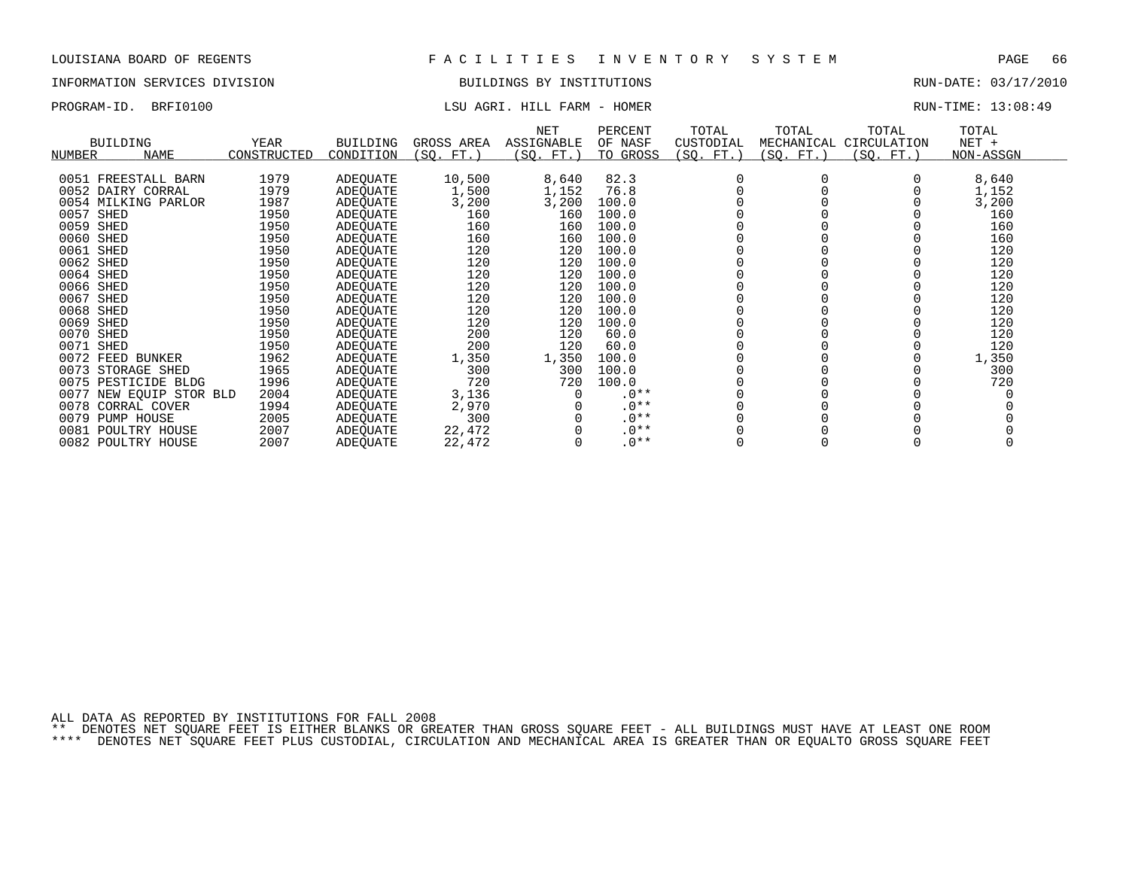# INFORMATION SERVICES DIVISION BUILDINGS BY INSTITUTIONS RUN-DATE: 03/17/2010

# PROGRAM-ID. BRFI0100 COMPUTE: 13:08:49 LSU AGRI. HILL FARM - HOMER COMPUTE: 13:08:49

| <b>BUILDING</b><br>NAME<br>NUMBER | YEAR<br>CONSTRUCTED | <b>BUILDING</b><br>CONDITION | GROSS AREA<br>(SO. FT. ) | <b>NET</b><br><b>ASSIGNABLE</b><br>(SQ. FT.) | PERCENT<br>OF NASF<br>TO GROSS | TOTAL<br>CUSTODIAL<br>(SQ. FT. ) | TOTAL<br>MECHANICAL<br>(SQ. FT. ) | TOTAL<br>CIRCULATION<br>(SQ. FT.) | TOTAL<br>$NET +$<br>NON-ASSGN |
|-----------------------------------|---------------------|------------------------------|--------------------------|----------------------------------------------|--------------------------------|----------------------------------|-----------------------------------|-----------------------------------|-------------------------------|
|                                   |                     |                              |                          |                                              |                                |                                  |                                   |                                   |                               |
| 0051 FREESTALL BARN               | 1979                | ADEQUATE                     | 10,500                   | 8,640                                        | 82.3                           |                                  |                                   |                                   | 8,640                         |
| 0052 DAIRY CORRAL                 | 1979                | ADEOUATE                     | 1,500                    | 1,152                                        | 76.8                           |                                  |                                   |                                   | 1,152                         |
| 0054 MILKING PARLOR               | 1987                | ADEQUATE                     | 3,200                    | 3,200                                        | 100.0                          |                                  |                                   |                                   | 3,200                         |
| 0057 SHED                         | 1950                | ADEOUATE                     | 160                      | 160                                          | 100.0                          |                                  |                                   |                                   | 160                           |
| 0059 SHED                         | 1950                | ADEQUATE                     | 160                      | 160                                          | 100.0                          |                                  |                                   |                                   | 160                           |
| 0060 SHED                         | 1950                | ADEQUATE                     | 160                      | 160                                          | 100.0                          |                                  |                                   |                                   | 160                           |
| 0061 SHED                         | 1950                | ADEOUATE                     | 120                      | 120                                          | 100.0                          |                                  |                                   |                                   | 120                           |
| 0062 SHED                         | 1950                | ADEQUATE                     | 120                      | 120                                          | 100.0                          |                                  |                                   |                                   | 120                           |
| 0064 SHED                         | 1950                | ADEOUATE                     | 120                      | 120                                          | 100.0                          |                                  |                                   |                                   | 120                           |
| 0066 SHED                         | 1950                | ADEOUATE                     | 120                      | 120                                          | 100.0                          |                                  |                                   |                                   | 120                           |
| 0067<br>SHED                      | 1950                | ADEQUATE                     | 120                      | 120                                          | 100.0                          |                                  |                                   |                                   | 120                           |
| 0068 SHED                         | 1950                | ADEOUATE                     | 120                      | 120                                          | 100.0                          |                                  |                                   |                                   | 120                           |
| 0069 SHED                         | 1950                | ADEQUATE                     | 120                      | 120                                          | 100.0                          |                                  |                                   |                                   | 120                           |
| 0070 SHED                         | 1950                | ADEQUATE                     | 200                      | 120                                          | 60.0                           |                                  |                                   |                                   | 120                           |
| 0071 SHED                         | 1950                | ADEOUATE                     | 200                      | 120                                          | 60.0                           |                                  |                                   |                                   | 120                           |
| 0072 FEED BUNKER                  | 1962                | ADEQUATE                     | 1,350                    | 1,350                                        | 100.0                          |                                  |                                   |                                   | 1,350                         |
| 0073 STORAGE SHED                 | 1965                | ADEOUATE                     | 300                      | 300                                          | 100.0                          |                                  |                                   |                                   | 300                           |
| 0075 PESTICIDE BLDG               | 1996                | ADEOUATE                     | 720                      | 720                                          | 100.0                          |                                  |                                   |                                   | 720                           |
| 0077<br>NEW EOUIP STOR BLD        | 2004                | ADEOUATE                     | 3,136                    |                                              | $.0**$                         |                                  |                                   |                                   |                               |
| 0078 CORRAL COVER                 | 1994                | ADEQUATE                     | 2,970                    |                                              | $.0**$                         |                                  |                                   |                                   |                               |
| 0079<br>PUMP HOUSE                | 2005                | ADEQUATE                     | 300                      |                                              | $.0**$                         |                                  |                                   |                                   |                               |
| 0081 POULTRY HOUSE                | 2007                | ADEOUATE                     | 22,472                   |                                              | $.0**$                         |                                  |                                   |                                   |                               |
| 0082 POULTRY HOUSE                | 2007                | <b>ADEOUATE</b>              | 22,472                   |                                              | $.0**$                         |                                  |                                   |                                   |                               |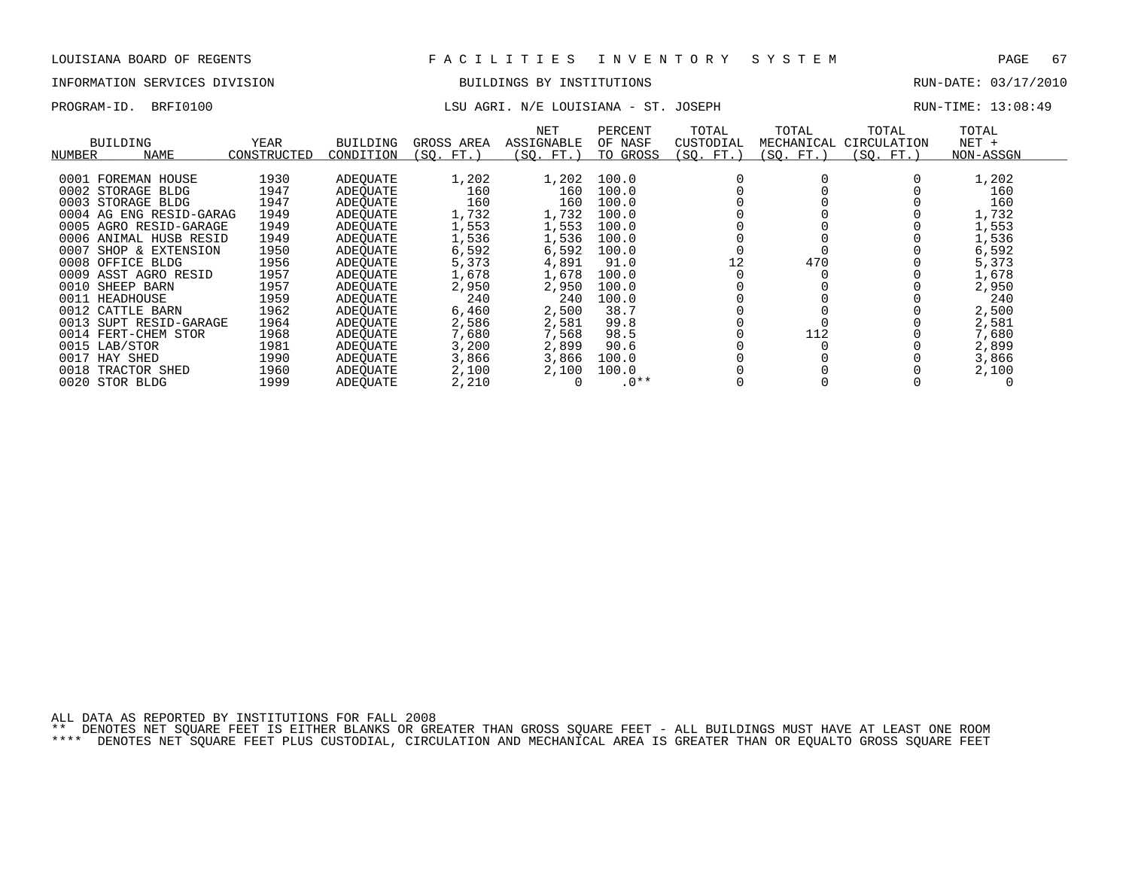# INFORMATION SERVICES DIVISION BUILDINGS BY INSTITUTIONS RUN-DATE: 03/17/2010

# PROGRAM-ID. BRFI0100 **LSU AGRI. N/E LOUISIANA - ST. JOSEPH** RUN-TIME: 13:08:49

| NUMBER | BUILDING<br>NAME        | YEAR<br>CONSTRUCTED | <b>BUILDING</b><br>CONDITION | GROSS AREA<br>(SO. FT.) | NET<br><b>ASSIGNABLE</b><br>(SQ. FT.) | PERCENT<br>OF NASF<br>TO GROSS | TOTAL<br>CUSTODIAL<br>(SQ. FT.) | TOTAL<br>MECHANICAL<br>(SQ. FT.) | TOTAL<br>CIRCULATION<br>(SQ. FT. ) | TOTAL<br>$NET +$<br>NON-ASSGN |
|--------|-------------------------|---------------------|------------------------------|-------------------------|---------------------------------------|--------------------------------|---------------------------------|----------------------------------|------------------------------------|-------------------------------|
|        |                         |                     |                              |                         |                                       |                                |                                 |                                  |                                    |                               |
|        | 0001 FOREMAN HOUSE      | 1930                | ADEOUATE                     | 1,202                   | 1,202                                 | 100.0                          |                                 |                                  |                                    | 1,202                         |
|        | 0002 STORAGE BLDG       | 1947                | ADEOUATE                     | 160                     | 160                                   | 100.0                          |                                 |                                  |                                    | 160                           |
|        | 0003 STORAGE BLDG       | 1947                | ADEOUATE                     | 160                     | 160                                   | 100.0                          |                                 |                                  |                                    | 160                           |
|        | 0004 AG ENG RESID-GARAG | 1949                | ADEOUATE                     | 1,732                   | 1,732                                 | 100.0                          |                                 |                                  |                                    | 1,732                         |
|        | 0005 AGRO RESID-GARAGE  | 1949                | ADEOUATE                     | 1,553                   | 1,553                                 | 100.0                          |                                 |                                  |                                    | 1,553                         |
|        | 0006 ANIMAL HUSB RESID  | 1949                | ADEOUATE                     | 1,536                   | 1,536                                 | 100.0                          |                                 |                                  |                                    | 1,536                         |
| 0007   | SHOP & EXTENSION        | 1950                | ADEOUATE                     | 6,592                   | 6,592                                 | 100.0                          |                                 |                                  |                                    | 6,592                         |
|        | 0008 OFFICE BLDG        | 1956                | ADEOUATE                     | 5,373                   | 4,891                                 | 91.0                           | 12                              | 470                              |                                    | 5,373                         |
|        | 0009 ASST AGRO RESID    | 1957                | ADEOUATE                     | 1,678                   | 1,678                                 | 100.0                          |                                 |                                  |                                    | 1,678                         |
| 0010   | SHEEP BARN              | 1957                | ADEOUATE                     | 2,950                   | 2,950                                 | 100.0                          |                                 |                                  |                                    | 2,950                         |
|        | 0011 HEADHOUSE          | 1959                | ADEQUATE                     | 240                     | 240                                   | 100.0                          |                                 |                                  |                                    | 240                           |
|        | 0012 CATTLE BARN        | 1962                | ADEOUATE                     | 6,460                   | 2,500                                 | 38.7                           |                                 |                                  |                                    | 2,500                         |
|        | 0013 SUPT RESID-GARAGE  | 1964                | ADEOUATE                     | 2,586                   | 2,581                                 | 99.8                           |                                 |                                  |                                    | 2,581                         |
|        | 0014 FERT-CHEM STOR     | 1968                | ADEOUATE                     | 7,680                   | 7,568                                 | 98.5                           |                                 | 112                              |                                    | 7,680                         |
|        | 0015 LAB/STOR           | 1981                | ADEQUATE                     | 3,200                   | 2,899                                 | 90.6                           |                                 |                                  |                                    | 2,899                         |
| 0017   | HAY SHED                | 1990                | ADEOUATE                     | 3,866                   | 3,866                                 | 100.0                          |                                 |                                  |                                    | 3,866                         |
| 0018   | TRACTOR SHED            | 1960                | ADEOUATE                     | 2,100                   | 2,100                                 | 100.0                          |                                 |                                  |                                    | 2,100                         |
|        | 0020 STOR BLDG          | 1999                | ADEOUATE                     | 2,210                   |                                       | $.0**$                         |                                 |                                  |                                    |                               |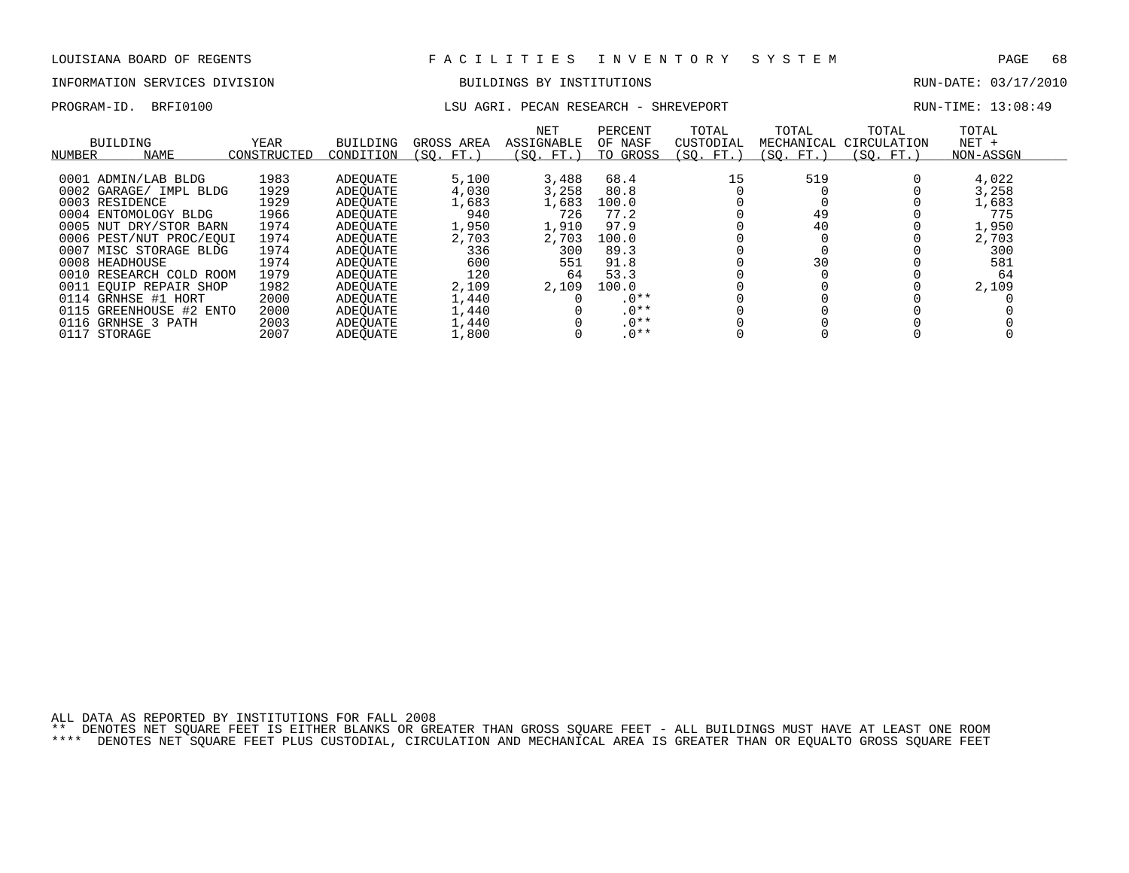# INFORMATION SERVICES DIVISION BUILDINGS BY INSTITUTIONS AND RUN-DATE: 03/17/2010

## PROGRAM-ID. BRFI0100 **LSU AGRI. PECAN RESEARCH - SHREVEPORT** RUN-TIME: 13:08:49

| BUILDING<br><b>NAME</b><br>NUMBER | <b>YEAR</b><br>CONSTRUCTED | <b>BUILDING</b><br>CONDITION | GROSS AREA<br>(SO. FT. | <b>NET</b><br>ASSIGNABLE<br>(SO. FT. ) | PERCENT<br>OF NASF<br>TO GROSS | TOTAL<br>CUSTODIAL<br>(SO. FT.) | TOTAL<br>MECHANICAL<br>(SO. FT.) | TOTAL<br>CIRCULATION<br>(SO. FT.) | TOTAL<br>$NET +$<br>NON-ASSGN |  |
|-----------------------------------|----------------------------|------------------------------|------------------------|----------------------------------------|--------------------------------|---------------------------------|----------------------------------|-----------------------------------|-------------------------------|--|
|                                   |                            |                              |                        |                                        |                                |                                 |                                  |                                   |                               |  |
| 0001 ADMIN/LAB BLDG               | 1983                       | ADEOUATE                     | 5,100                  | 3,488                                  | 68.4                           | 15                              | 519                              |                                   | 4,022                         |  |
| 0002 GARAGE/ IMPL BLDG            | 1929                       | ADEOUATE                     | 4,030                  | 3,258                                  | 80.8                           |                                 |                                  |                                   | 3,258                         |  |
| 0003 RESIDENCE                    | 1929                       | ADEOUATE                     | 1,683                  | 1,683                                  | 100.0                          |                                 |                                  |                                   | 1,683                         |  |
| 0004 ENTOMOLOGY BLDG              | 1966                       | ADEOUATE                     | 940                    | 726                                    | 77.2                           |                                 | 49                               |                                   | 775                           |  |
| 0005 NUT DRY/STOR BARN            | 1974                       | ADEOUATE                     | 1,950                  | 1,910                                  | 97.9                           |                                 | 40                               |                                   | 1,950                         |  |
| 0006 PEST/NUT PROC/EOUI           | 1974                       | ADEOUATE                     | 2,703                  | 2,703                                  | 100.0                          |                                 |                                  |                                   | 2,703                         |  |
| 0007 MISC STORAGE BLDG            | 1974                       | ADEOUATE                     | 336                    | 300                                    | 89.3                           |                                 |                                  |                                   | 300                           |  |
| 0008 HEADHOUSE                    | 1974                       | ADEOUATE                     | 600                    | 551                                    | 91.8                           |                                 | 30                               |                                   | 581                           |  |
| 0010 RESEARCH COLD ROOM           | 1979                       | ADEOUATE                     | 120                    | 64                                     | 53.3                           |                                 |                                  |                                   | 64                            |  |
| 0011 EOUIP REPAIR SHOP            | 1982                       | ADEOUATE                     | 2,109                  | 2,109                                  | 100.0                          |                                 |                                  |                                   | 2,109                         |  |
| 0114 GRNHSE #1 HORT               | 2000                       | ADEOUATE                     | 1,440                  |                                        | $.0**$                         |                                 |                                  |                                   |                               |  |
| 0115 GREENHOUSE #2 ENTO           | 2000                       | ADEOUATE                     | 1,440                  |                                        | $.0**$                         |                                 |                                  |                                   |                               |  |
| 0116 GRNHSE 3 PATH                | 2003                       | ADEOUATE                     | 1,440                  |                                        | $.0**$                         |                                 |                                  |                                   |                               |  |
| 0117 STORAGE                      | 2007                       | <b>ADEOUATE</b>              | 1,800                  |                                        | $.0**$                         |                                 |                                  |                                   |                               |  |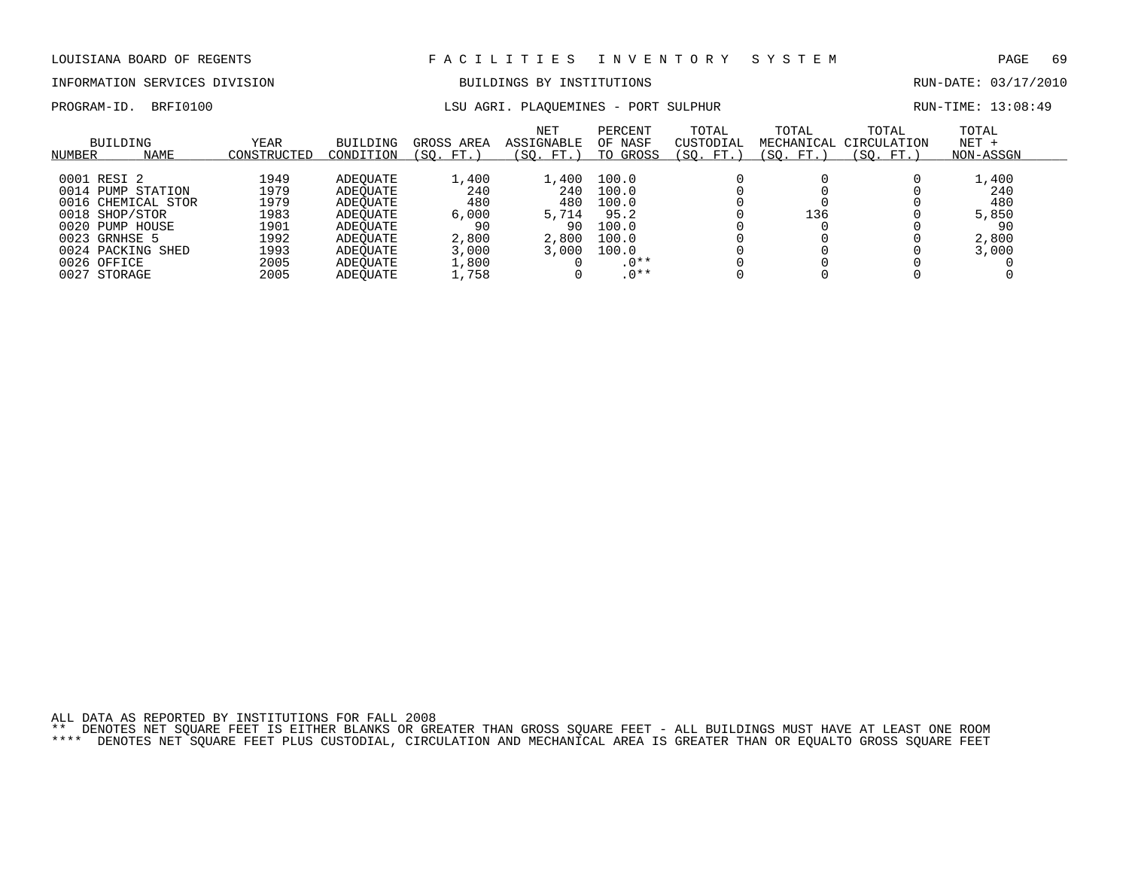### INFORMATION SERVICES DIVISION BUILDINGS BY INSTITUTIONS RUN-DATE: 03/17/2010

PROGRAM-ID. BRFI0100 **LSU AGRI. PLAQUEMINES - PORT SULPHUR** RUN-TIME: 13:08:49

| BUILDING<br><b>NAME</b><br>NUMBER                                                                            | <b>YEAR</b><br>CONSTRUCTED                   | BUILDING<br>CONDITION                                                | GROSS AREA<br>(SO. FT.)                     | <b>NET</b><br>ASSIGNABLE<br>'SO.<br>FT.)    | PERCENT<br>OF NASF<br>GROSS<br>TO                 | TOTAL<br>CUSTODIAL<br>(SO.<br>$FT.$ , | TOTAL<br>(SO. FT.) | TOTAL<br>MECHANICAL CIRCULATION<br>'SO.<br>FT. | TOTAL<br>$NET +$<br>NON-ASSGN               |  |
|--------------------------------------------------------------------------------------------------------------|----------------------------------------------|----------------------------------------------------------------------|---------------------------------------------|---------------------------------------------|---------------------------------------------------|---------------------------------------|--------------------|------------------------------------------------|---------------------------------------------|--|
| 0001 RESI 2<br>0014 PUMP STATION<br>0016 CHEMICAL STOR<br>0018 SHOP/STOR<br>0020 PUMP HOUSE<br>0023 GRNHSE 5 | 1949<br>1979<br>1979<br>1983<br>1901<br>1992 | ADEOUATE<br>ADEOUATE<br>ADEOUATE<br>ADEOUATE<br>ADEOUATE<br>ADEOUATE | 1,400<br>240<br>480<br>6,000<br>90<br>2,800 | L,400<br>240<br>480<br>5,714<br>90<br>2,800 | 100.0<br>100.0<br>100.0<br>95.2<br>100.0<br>100.0 |                                       | 136                |                                                | 1,400<br>240<br>480<br>5,850<br>90<br>2,800 |  |
| 0024 PACKING SHED<br>0026 OFFICE<br>0027 STORAGE                                                             | 1993<br>2005<br>2005                         | ADEOUATE<br>ADEOUATE<br>ADEOUATE                                     | 3,000<br>1,800<br>1,758                     | 3.000                                       | 100.0<br>$.0**$<br>$.0**$                         |                                       |                    |                                                | 3.000                                       |  |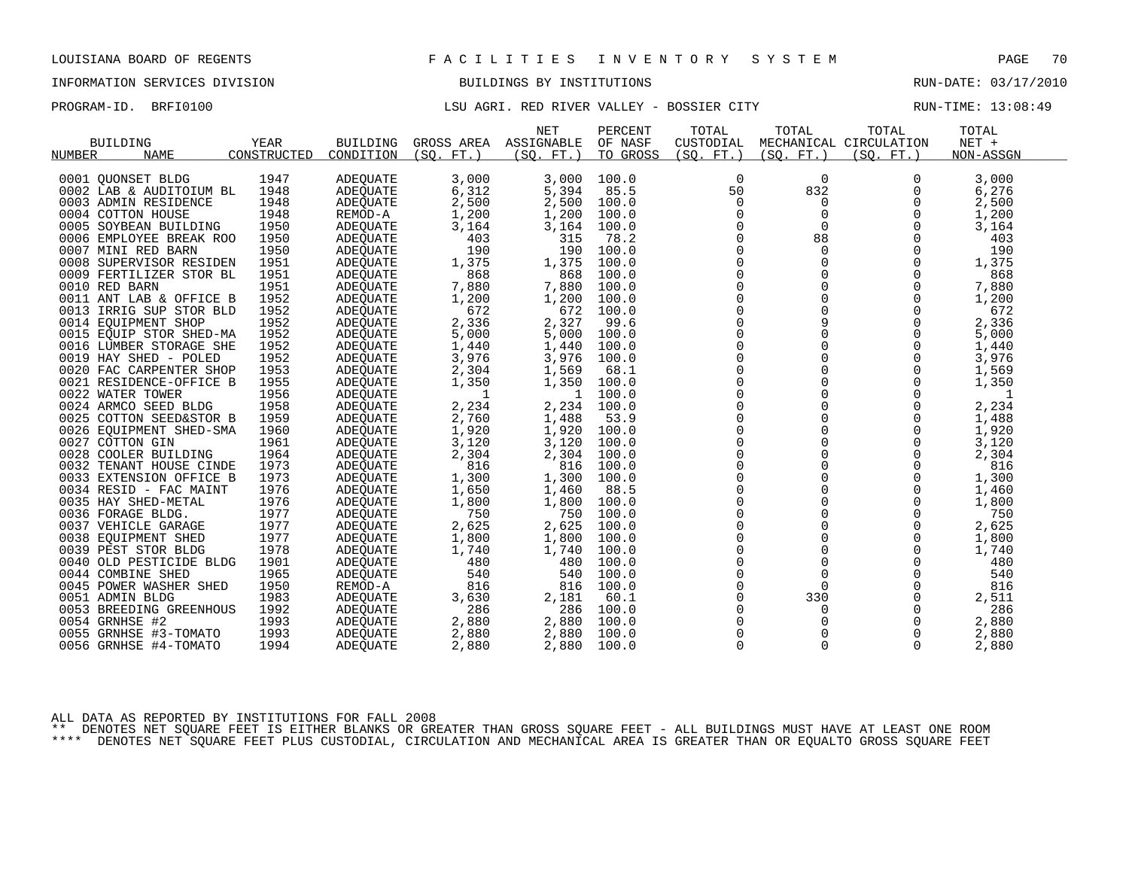### INFORMATION SERVICES DIVISION BUILDINGS BY INSTITUTIONS RUN-DATE: 03/17/2010

## PROGRAM-ID. BRFI0100 LSU AGRI. RED RIVER VALLEY - BOSSIER CITY RUN-TIME: 13:08:49

| <b>BUILDING</b><br><b>NUMBER</b><br><b>NAME</b> | YEAR<br>CONSTRUCTED | <b>BUILDING</b><br>CONDITION | GROSS AREA<br>(SO.<br>$FT.$ ) | <b>NET</b><br>ASSIGNABLE<br>(SO.<br>FT. | PERCENT<br>OF NASF<br>TO GROSS | TOTAL<br>CUSTODIAL<br>(SO. FT. ) | TOTAL<br>(SO. FT. ) | TOTAL<br>MECHANICAL CIRCULATION<br>(SO. FT.) | TOTAL<br>NET +<br>NON-ASSGN |
|-------------------------------------------------|---------------------|------------------------------|-------------------------------|-----------------------------------------|--------------------------------|----------------------------------|---------------------|----------------------------------------------|-----------------------------|
| 0001 QUONSET BLDG                               | 1947                | <b>ADEQUATE</b>              | 3,000                         | 3,000                                   | 100.0                          | 0                                | $\mathbf 0$         | 0                                            | 3,000                       |
| 0002 LAB & AUDITOIUM BL                         | 1948                | <b>ADEOUATE</b>              | 6,312                         | 5,394                                   | 85.5                           | 50                               | 832                 |                                              | 6,276                       |
| 0003 ADMIN RESIDENCE                            | 1948                |                              | 2,500                         | 2,500                                   | 100.0                          | $\Omega$                         | 0                   | $\Omega$                                     | 2,500                       |
|                                                 |                     | ADEQUATE                     |                               |                                         |                                |                                  |                     |                                              |                             |
| 0004 COTTON HOUSE                               | 1948                | REMOD-A                      | 1,200                         | 1,200                                   | 100.0                          | $\Omega$                         | $\mathbf 0$         | $\Omega$                                     | 1,200                       |
| 0005 SOYBEAN BUILDING                           | 1950                | ADEQUATE                     | 3,164                         | 3,164                                   | 100.0                          | $\Omega$                         | $\Omega$            | $\Omega$                                     | 3,164                       |
| 0006 EMPLOYEE BREAK ROO                         | 1950                | ADEQUATE                     | 403                           | 315                                     | 78.2                           | $\Omega$                         | 88                  | $\Omega$                                     | 403                         |
| 0007 MINI RED BARN                              | 1950                | <b>ADEQUATE</b>              | 190                           | 190                                     | 100.0                          | $\Omega$                         | $\Omega$            | $\Omega$                                     | 190                         |
| 0008 SUPERVISOR RESIDEN                         | 1951                | ADEQUATE                     | 1,375                         | 1,375                                   | 100.0                          | 0                                | 0                   | 0                                            | 1,375                       |
| 0009 FERTILIZER STOR BL                         | 1951                | <b>ADEQUATE</b>              | 868                           | 868                                     | 100.0                          | $\Omega$                         | 0                   | $\Omega$                                     | 868                         |
| 0010 RED BARN                                   | 1951                | ADEQUATE                     | 7,880                         | 7,880                                   | 100.0                          | $\Omega$                         | $\Omega$            | $\Omega$                                     | 7,880                       |
| 0011 ANT LAB & OFFICE B                         | 1952                | ADEQUATE                     | 1,200                         | 1,200                                   | 100.0                          | 0                                | 0                   | 0                                            | 1,200                       |
| 0013 IRRIG SUP STOR BLD                         | 1952                | <b>ADEQUATE</b>              | 672                           | 672                                     | 100.0                          | $\Omega$                         | 0                   | $\Omega$                                     | 672                         |
| 0014 EQUIPMENT SHOP                             | 1952                | ADEQUATE                     | 2,336                         | 2,327                                   | 99.6                           | $\Omega$                         | 9                   | $\Omega$                                     | 2,336                       |
| 0015 EOUIP STOR SHED-MA                         | 1952                | ADEQUATE                     | 5,000                         | 5,000                                   | 100.0                          | 0                                | $\Omega$            | $\Omega$                                     | 5,000                       |
| 0016 LUMBER STORAGE SHE                         | 1952                | ADEOUATE                     | 1,440                         | 1,440                                   | 100.0                          | 0                                | 0                   | 0                                            | 1,440                       |
| 0019 HAY SHED - POLED                           | 1952                | ADEQUATE                     | 3,976                         | 3,976                                   | 100.0                          | $\Omega$                         | 0                   | $\Omega$                                     | 3,976                       |
| 0020 FAC CARPENTER SHOP                         | 1953                | ADEOUATE                     | 2,304                         | 1,569                                   | 68.1                           | 0                                | 0                   | 0                                            | 1,569                       |
| 0021 RESIDENCE-OFFICE B                         | 1955                | <b>ADEQUATE</b>              | 1,350                         | 1,350                                   | 100.0                          | $\Omega$                         | 0                   | $\Omega$                                     | 1,350                       |
| 0022 WATER TOWER                                | 1956                | <b>ADEQUATE</b>              | 1                             | 1                                       | 100.0                          | $\Omega$                         | $\Omega$            | $\Omega$                                     | 1                           |
| 0024 ARMCO SEED BLDG                            | 1958                | ADEQUATE                     | 2,234                         | 2,234                                   | 100.0                          | 0                                | 0                   | 0                                            | 2,234                       |
| 0025 COTTON SEED&STOR B                         | 1959                | ADEQUATE                     | 2,760                         | 1,488                                   | 53.9                           | $\Omega$                         | 0                   | $\Omega$                                     | 1,488                       |
| 0026 EOUIPMENT SHED-SMA                         | 1960                | ADEOUATE                     | 1,920                         | 1,920                                   | 100.0                          | $\Omega$                         | $\Omega$            | $\Omega$                                     | 1,920                       |
| 0027 COTTON GIN                                 | 1961                | ADEQUATE                     | 3,120                         | 3,120                                   | 100.0                          | 0                                | 0                   | $\Omega$                                     | 3,120                       |
| 0028 COOLER BUILDING                            | 1964                | ADEQUATE                     | 2,304                         | 2,304                                   | 100.0                          | $\Omega$                         | $\Omega$            | 0                                            | 2,304                       |
| 0032 TENANT HOUSE CINDE                         | 1973                | <b>ADEQUATE</b>              | 816                           | 816                                     | 100.0                          | $\Omega$                         | $\Omega$            | $\Omega$                                     | 816                         |
| 0033 EXTENSION OFFICE B                         | 1973                | ADEQUATE                     | 1,300                         | 1,300                                   | 100.0                          | 0                                | 0                   | 0                                            | 1,300                       |
| 0034 RESID - FAC MAINT                          | 1976                | <b>ADEQUATE</b>              | 1,650                         | 1,460                                   | 88.5                           | $\Omega$                         | $\Omega$            | $\Omega$                                     | 1,460                       |
| 0035 HAY SHED-METAL                             | 1976                | ADEQUATE                     | 1,800                         | 1,800                                   | 100.0                          | $\Omega$                         | $\Omega$            | $\Omega$                                     | 1,800                       |
| 0036 FORAGE BLDG.                               | 1977                | <b>ADEQUATE</b>              | 750                           | 750                                     | 100.0                          | $\Omega$                         | 0                   | $\Omega$                                     | 750                         |
| 0037 VEHICLE GARAGE                             | 1977                | ADEQUATE                     | 2,625                         | 2,625                                   | 100.0                          | $\Omega$                         | $\Omega$            | $\Omega$                                     | 2,625                       |
| 0038 EQUIPMENT SHED                             | 1977                | ADEQUATE                     | 1,800                         | 1,800                                   | 100.0                          | $\Omega$                         | $\Omega$            | 0                                            | 1,800                       |
| 0039 PEST STOR BLDG                             | 1978                | ADEQUATE                     | 1,740                         | 1,740                                   | 100.0                          | $\Omega$                         | $\Omega$            | $\Omega$                                     | 1,740                       |
| 0040 OLD PESTICIDE BLDG                         | 1901                | ADEOUATE                     | 480                           | 480                                     | 100.0                          | 0                                | 0                   | $\Omega$                                     | 480                         |
| 0044 COMBINE SHED                               | 1965                | ADEQUATE                     | 540                           | 540                                     | 100.0                          | $\Omega$                         | 0                   | 0                                            | 540                         |
| 0045 POWER WASHER SHED                          | 1950                | REMOD-A                      | 816                           | 816                                     | 100.0                          | $\Omega$                         | $\Omega$            | $\Omega$                                     | 816                         |
| 0051 ADMIN BLDG                                 | 1983                | ADEQUATE                     | 3,630                         | 2,181                                   | 60.1                           | $\Omega$                         | 330                 | 0                                            | 2,511                       |
| 0053 BREEDING GREENHOUS                         | 1992                | ADEOUATE                     | 286                           | 286                                     | 100.0                          | $\Omega$                         | 0                   | 0                                            | 286                         |
| 0054 GRNHSE #2                                  | 1993                | ADEQUATE                     | 2,880                         | 2,880                                   | 100.0                          | $\Omega$                         | $\Omega$            | $\Omega$                                     | 2,880                       |
| 0055 GRNHSE #3-TOMATO                           | 1993                | ADEOUATE                     | 2,880                         | 2,880                                   | 100.0                          |                                  | $\Omega$            | $\Omega$                                     | 2,880                       |
| 0056 GRNHSE #4-TOMATO                           | 1994                | <b>ADEQUATE</b>              | 2,880                         | 2,880                                   | 100.0                          | $\Omega$                         | 0                   | $\Omega$                                     | 2,880                       |
|                                                 |                     |                              |                               |                                         |                                |                                  |                     |                                              |                             |

ALL DATA AS REPORTED BY INSTITUTIONS FOR FALL 2008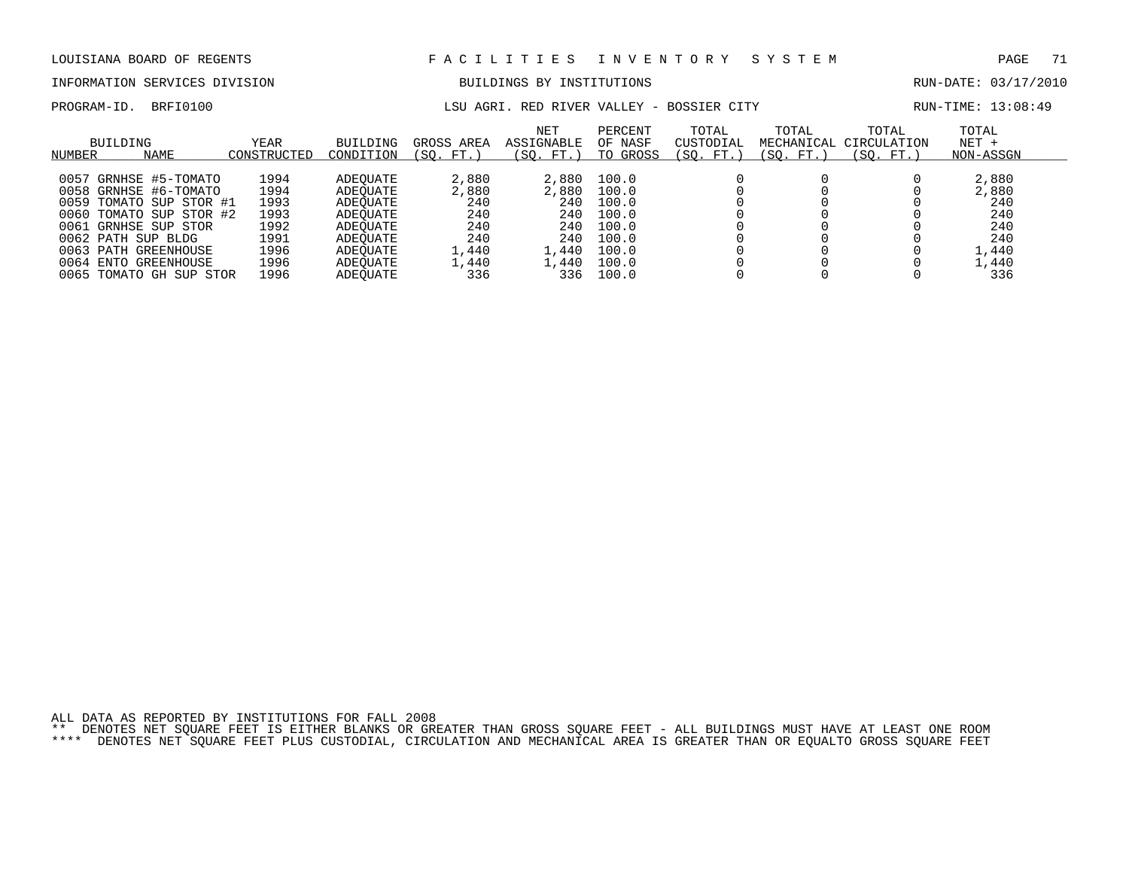# INFORMATION SERVICES DIVISION BUILDINGS BY INSTITUTIONS AND RUN-DATE: 03/17/2010

PROGRAM-ID. BRFI0100 **LSU AGRI. RED RIVER VALLEY - BOSSIER CITY** RUN-TIME: 13:08:49

| BUILDING<br><b>NAME</b><br>NUMBER                                                                                                                                                                                                              | <b>YEAR</b><br>CONSTRUCTED                                           | <b>BUILDING</b><br>CONDITION                                                                             | GROSS AREA<br>FT.<br>(SO.                                           | <b>NET</b><br>ASSIGNABLE<br>SO.<br>FT.)                               | PERCENT<br>OF NASF<br>TO GROSS                                                | TOTAL<br>CUSTODIAL<br>SO.<br>FT. | TOTAL<br>(SO. FT.) | TOTAL<br>MECHANICAL CIRCULATION<br>SO.<br>FT. | TOTAL<br>$NET +$<br>NON-ASSGN                                       |
|------------------------------------------------------------------------------------------------------------------------------------------------------------------------------------------------------------------------------------------------|----------------------------------------------------------------------|----------------------------------------------------------------------------------------------------------|---------------------------------------------------------------------|-----------------------------------------------------------------------|-------------------------------------------------------------------------------|----------------------------------|--------------------|-----------------------------------------------|---------------------------------------------------------------------|
| GRNHSE #5-TOMATO<br>0057<br>0058 GRNHSE #6-TOMATO<br>0059 TOMATO SUP STOR #1<br>0060 TOMATO SUP STOR #2<br>GRNHSE SUP STOR<br>0061<br>0062 PATH SUP BLDG<br>$0063$ PATH<br>GREENHOUSE<br>0064 ENTO<br>GREENHOUSE<br>0065<br>TOMATO GH SUP STOR | 1994<br>1994<br>1993<br>1993<br>1992<br>1991<br>1996<br>1996<br>1996 | ADEOUATE<br>ADEOUATE<br>ADEOUATE<br>ADEOUATE<br>ADEOUATE<br>ADEOUATE<br>ADEOUATE<br>ADEOUATE<br>ADEOUATE | 2,880<br>2,880<br>240<br>240<br>240<br>240<br>1,440<br>1,440<br>336 | 2,880<br>2,880<br>240<br>240<br>240<br>240<br>. . 440<br>1,440<br>336 | 100.0<br>100.0<br>100.0<br>100.0<br>100.0<br>100.0<br>100.0<br>100.0<br>100.0 |                                  |                    |                                               | 2,880<br>2,880<br>240<br>240<br>240<br>240<br>1,440<br>.,440<br>336 |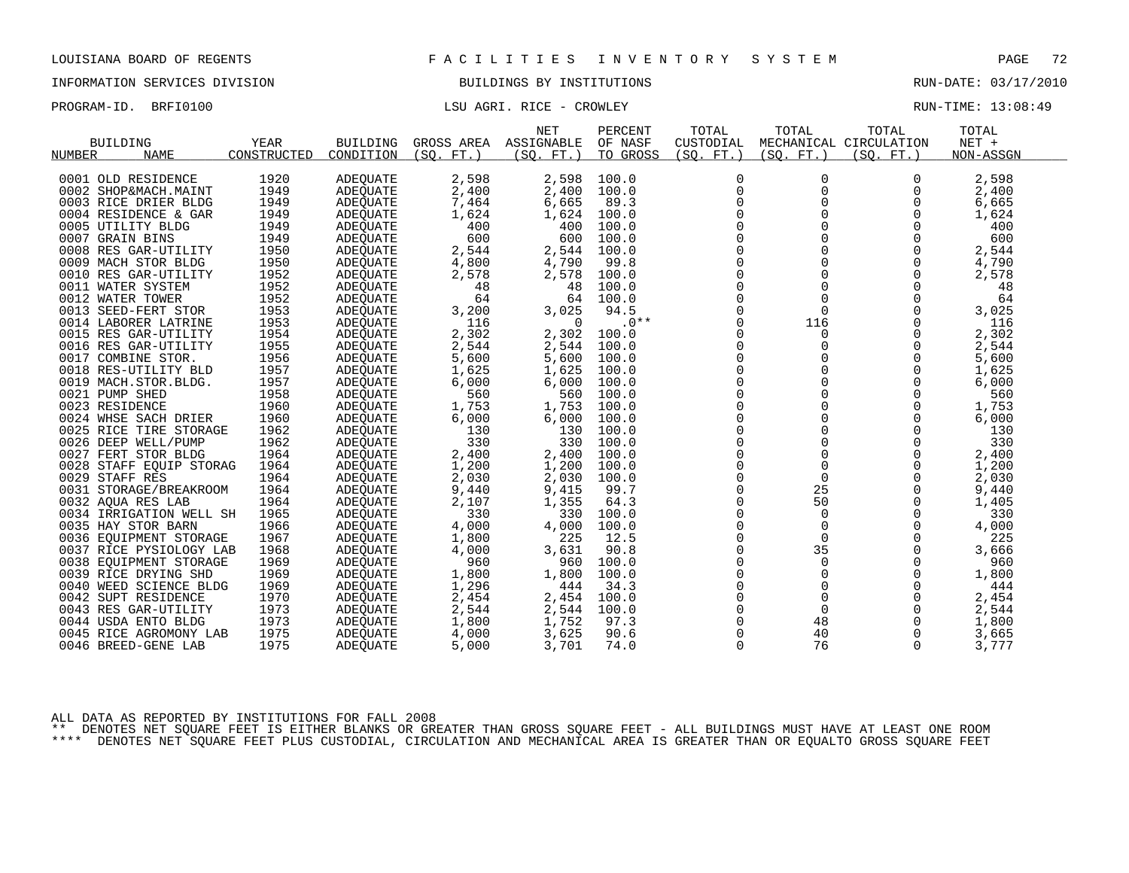INFORMATION SERVICES DIVISION BUILDINGS BY INSTITUTIONS RUN-DATE: 03/17/2010

PROGRAM-ID. BRFI0100 CONSTRUCTED BRFINING CONSTRUCTED ASSESSMENT RUN-TIME: 13:08:49

|                         |             |                 |            | <b>NET</b>  | PERCENT  | TOTAL               | TOTAL       | TOTAL                  | TOTAL     |  |
|-------------------------|-------------|-----------------|------------|-------------|----------|---------------------|-------------|------------------------|-----------|--|
| <b>BUILDING</b>         | <b>YEAR</b> | <b>BUILDING</b> | GROSS AREA | ASSIGNABLE  | OF NASF  | CUSTODIAL           |             | MECHANICAL CIRCULATION | NET +     |  |
| <b>NAME</b><br>NUMBER   | CONSTRUCTED | CONDITION       | (SO, FT.)  | (SO, FT.)   | TO GROSS | (SO, FT.)           | (SO. FT. )  | (SO, FT.)              | NON-ASSGN |  |
|                         |             |                 |            |             |          |                     |             |                        |           |  |
| 0001 OLD RESIDENCE      | 1920        | <b>ADEQUATE</b> | 2,598      | 2,598       | 100.0    | $\mathbf 0$         | $\Omega$    | $\Omega$               | 2,598     |  |
| 0002 SHOP&MACH.MAINT    | 1949        | <b>ADEQUATE</b> | 2,400      | 2,400       | 100.0    | $\mathbf 0$         | 0           | 0                      | 2,400     |  |
| 0003 RICE DRIER BLDG    | 1949        | ADEQUATE        | 7,464      | 6,665       | 89.3     | 0                   | 0           | 0                      | 6,665     |  |
| 0004 RESIDENCE & GAR    | 1949        | ADEQUATE        | 1,624      | 1,624       | 100.0    | 0                   |             | 0                      | 1,624     |  |
| 0005 UTILITY BLDG       | 1949        | ADEQUATE        | 400        | 400         | 100.0    | $\mathbf 0$         |             | 0                      | 400       |  |
| 0007 GRAIN BINS         | 1949        | ADEQUATE        | 600        | 600         | 100.0    | $\mathbf 0$         | $\Omega$    | $\Omega$               | 600       |  |
| 0008 RES GAR-UTILITY    | 1950        | <b>ADEOUATE</b> | 2,544      | 2,544       | 100.0    | 0                   |             | 0                      | 2,544     |  |
| 0009 MACH STOR BLDG     | 1950        | ADEQUATE        | 4,800      | 4,790       | 99.8     | $\mathbf 0$         |             | 0                      | 4,790     |  |
| 0010 RES GAR-UTILITY    | 1952        | ADEOUATE        | 2,578      | 2,578       | 100.0    | $\mathbf 0$         | $\Omega$    | $\Omega$               | 2,578     |  |
| 0011 WATER SYSTEM       | 1952        | ADEQUATE        | 48         | 48          | 100.0    | $\mathbf 0$         | 0           | 0                      | 48        |  |
| 0012 WATER TOWER        | 1952        | ADEQUATE        | 64         | 64          | 100.0    | 0                   | $\mathbf 0$ | 0                      | 64        |  |
| 0013 SEED-FERT STOR     | 1953        | <b>ADEOUATE</b> | 3,200      | 3,025       | 94.5     | $\mathbf 0$         | $\Omega$    | $\Omega$               | 3,025     |  |
| 0014 LABORER LATRINE    | 1953        | <b>ADEQUATE</b> | 116        | $\mathbf 0$ | $.0**$   | $\mathbf 0$         | 116         | 0                      | 116       |  |
| 0015 RES GAR-UTILITY    | 1954        | ADEQUATE        | 2,302      | 2,302       | 100.0    | 0                   | $\Omega$    | 0                      | 2,302     |  |
| 0016 RES GAR-UTILITY    | 1955        | <b>ADEOUATE</b> | 2,544      | 2,544       | 100.0    | $\mathbf 0$         | $\Omega$    | $\Omega$               | 2,544     |  |
| 0017 COMBINE STOR.      | 1956        | ADEQUATE        | 5,600      | 5,600       | 100.0    | $\mathbf 0$         | 0           | 0                      | 5,600     |  |
| 0018 RES-UTILITY BLD    | 1957        | ADEOUATE        | 1,625      | 1,625       | 100.0    | $\mathsf{O}\xspace$ | 0           | 0                      | 1,625     |  |
| 0019 MACH.STOR.BLDG.    | 1957        | ADEQUATE        | 6,000      | 6,000       | 100.0    | $\mathsf{O}$        | $\Omega$    | 0                      | 6,000     |  |
| 0021 PUMP SHED          | 1958        | <b>ADEQUATE</b> | 560        | 560         | 100.0    | $\Omega$            | $\Omega$    | $\Omega$               | 560       |  |
| 0023 RESIDENCE          | 1960        | ADEOUATE        | 1,753      | 1,753       | 100.0    | 0                   | 0           | 0                      | 1,753     |  |
| 0024 WHSE SACH DRIER    | 1960        | <b>ADEQUATE</b> | 6,000      | 6,000       | 100.0    | $\mathbf 0$         |             | 0                      | 6,000     |  |
| 0025 RICE TIRE STORAGE  | 1962        | <b>ADEQUATE</b> | 130        | 130         | 100.0    | $\Omega$            | $\Omega$    | $\Omega$               | 130       |  |
| 0026 DEEP WELL/PUMP     | 1962        | ADEQUATE        | 330        | 330         | 100.0    | $\mathbf 0$         | 0           | 0                      | 330       |  |
| 0027 FERT STOR BLDG     | 1964        | <b>ADEQUATE</b> | 2,400      | 2,400       | 100.0    | 0                   | $\Omega$    | $\mathbf 0$            | 2,400     |  |
| 0028 STAFF EQUIP STORAG | 1964        | ADEQUATE        | 1,200      | 1,200       | 100.0    | $\mathbf 0$         | $\Omega$    | $\Omega$               | 1,200     |  |
| 0029 STAFF RES          | 1964        | ADEQUATE        | 2,030      | 2,030       | 100.0    | $\mathbf 0$         | $\mathbf 0$ | 0                      | 2,030     |  |
| 0031 STORAGE/BREAKROOM  | 1964        | <b>ADEOUATE</b> | 9,440      | 9,415       | 99.7     | 0                   | 25          | 0                      | 9,440     |  |
| 0032 AQUA RES LAB       | 1964        | ADEQUATE        | 2,107      | 1,355       | 64.3     | $\mathbf 0$         | 50          | $\Omega$               | 1,405     |  |
| 0034 IRRIGATION WELL SH | 1965        | ADEQUATE        | 330        | 330         | 100.0    | $\mathbf 0$         | $\Omega$    | $\Omega$               | 330       |  |
| 0035 HAY STOR BARN      | 1966        | ADEOUATE        | 4,000      | 4,000       | 100.0    | 0                   | $\mathbf 0$ | 0                      | 4,000     |  |
| 0036 EQUIPMENT STORAGE  | 1967        | <b>ADEQUATE</b> | 1,800      | 225         | 12.5     | $\mathbf 0$         | $\Omega$    | $\Omega$               | 225       |  |
| 0037 RICE PYSIOLOGY LAB | 1968        | ADEOUATE        | 4,000      | 3,631       | 90.8     | $\Omega$            | 35          | $\Omega$               | 3,666     |  |
| 0038 EOUIPMENT STORAGE  | 1969        | ADEOUATE        | 960        | 960         | 100.0    | 0                   | 0           | 0                      | 960       |  |
| 0039 RICE DRYING SHD    | 1969        |                 | 1,800      | 1,800       | 100.0    | 0                   | $\mathbf 0$ | 0                      | 1,800     |  |
|                         |             | <b>ADEQUATE</b> |            | 444         |          | $\Omega$            | $\Omega$    | $\Omega$               | 444       |  |
| 0040 WEED SCIENCE BLDG  | 1969        | ADEOUATE        | 1,296      |             | 34.3     | $\mathbf 0$         | $\mathbf 0$ |                        |           |  |
| 0042 SUPT RESIDENCE     | 1970        | ADEQUATE        | 2,454      | 2,454       | 100.0    |                     |             | 0                      | 2,454     |  |
| 0043 RES GAR-UTILITY    | 1973        | ADEQUATE        | 2,544      | 2,544       | 100.0    | 0                   | $\mathbf 0$ | $\mathbf 0$            | 2,544     |  |
| 0044 USDA ENTO BLDG     | 1973        | ADEQUATE        | 1,800      | 1,752       | 97.3     | 0                   | 48          | 0                      | 1,800     |  |
| 0045 RICE AGROMONY LAB  | 1975        | ADEOUATE        | 4,000      | 3,625       | 90.6     | 0                   | 40          | 0                      | 3,665     |  |
| 0046 BREED-GENE LAB     | 1975        | ADEQUATE        | 5,000      | 3,701       | 74.0     | $\Omega$            | 76          | $\Omega$               | 3,777     |  |

ALL DATA AS REPORTED BY INSTITUTIONS FOR FALL 2008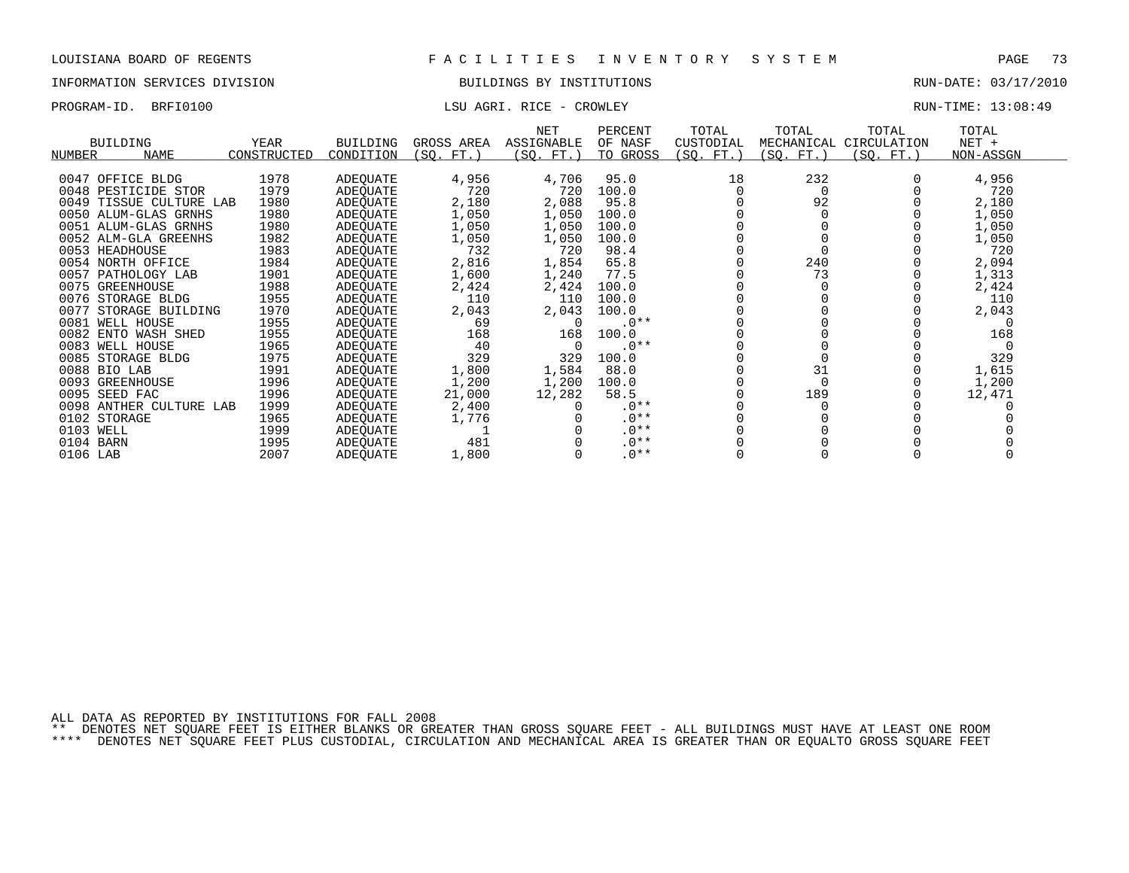## INFORMATION SERVICES DIVISION BUILDINGS BY INSTITUTIONS RUN-DATE: 03/17/2010

PROGRAM-ID. BRFI0100 CONSTRUCTED BRFINING CONSTRUCTED ASSESSMENT RUN-TIME: 13:08:49

| <b>BUILDING</b><br><b>NAME</b><br>NUMBER | <b>YEAR</b><br>CONSTRUCTED | <b>BUILDING</b><br>CONDITION | GROSS AREA<br>(SQ. FT.) | <b>NET</b><br>ASSIGNABLE<br>(SQ. FT.) | PERCENT<br>OF NASF<br>TO GROSS | TOTAL<br>CUSTODIAL<br>(SQ. FT.) | TOTAL<br>MECHANICAL<br>(SQ. FT.) | TOTAL<br>CIRCULATION<br>(SQ. FT.) | TOTAL<br>$NET +$<br>NON-ASSGN |  |
|------------------------------------------|----------------------------|------------------------------|-------------------------|---------------------------------------|--------------------------------|---------------------------------|----------------------------------|-----------------------------------|-------------------------------|--|
|                                          |                            |                              |                         |                                       |                                |                                 |                                  |                                   |                               |  |
| 0047 OFFICE BLDG                         | 1978                       | <b>ADEQUATE</b>              | 4,956                   | 4,706                                 | 95.0                           | 18                              | 232                              |                                   | 4,956                         |  |
| 0048 PESTICIDE STOR                      | 1979                       | ADEOUATE                     | 720                     | 720                                   | 100.0                          |                                 |                                  |                                   | 720                           |  |
| 0049<br>TISSUE CULTURE LAB               | 1980                       | ADEQUATE                     | 2,180                   | 2,088                                 | 95.8                           |                                 | 92                               |                                   | 2,180                         |  |
| 0050 ALUM-GLAS GRNHS                     | 1980                       | ADEQUATE                     | 1,050                   | 1,050                                 | 100.0                          |                                 |                                  |                                   | 1,050                         |  |
| 0051 ALUM-GLAS GRNHS                     | 1980                       | ADEQUATE                     | 1,050                   | 1,050                                 | 100.0                          |                                 |                                  |                                   | 1,050                         |  |
| 0052 ALM-GLA GREENHS                     | 1982                       | ADEQUATE                     | 1,050                   | 1,050                                 | 100.0                          |                                 |                                  |                                   | 1,050                         |  |
| 0053 HEADHOUSE                           | 1983                       | ADEQUATE                     | 732                     | 720                                   | 98.4                           |                                 |                                  |                                   | 720                           |  |
| 0054 NORTH OFFICE                        | 1984                       | ADEQUATE                     | 2,816                   | 1,854                                 | 65.8                           |                                 | 240                              |                                   | 2,094                         |  |
| 0057 PATHOLOGY LAB                       | 1901                       | ADEQUATE                     | 1,600                   | 1,240                                 | 77.5                           |                                 | 73                               |                                   | 1,313                         |  |
| 0075<br>GREENHOUSE                       | 1988                       | ADEOUATE                     | 2,424                   | 2,424                                 | 100.0                          |                                 |                                  |                                   | 2,424                         |  |
| 0076<br>STORAGE BLDG                     | 1955                       | ADEQUATE                     | 110                     | 110                                   | 100.0                          |                                 |                                  |                                   | 110                           |  |
| 0077<br>STORAGE BUILDING                 | 1970                       | ADEQUATE                     | 2,043                   | 2,043                                 | 100.0                          |                                 |                                  |                                   | 2,043                         |  |
| 0081<br>WELL HOUSE                       | 1955                       | ADEOUATE                     | 69                      |                                       | $.0**$                         |                                 |                                  |                                   |                               |  |
| 0082 ENTO WASH SHED                      | 1955                       | ADEOUATE                     | 168                     | 168                                   | 100.0                          |                                 |                                  |                                   | 168                           |  |
| 0083 WELL HOUSE                          | 1965                       | ADEQUATE                     | 40                      |                                       | $.0**$                         |                                 |                                  |                                   | $\Omega$                      |  |
| 0085<br>STORAGE BLDG                     | 1975                       | ADEQUATE                     | 329                     | 329                                   | 100.0                          |                                 |                                  |                                   | 329                           |  |
| 0088 BIO LAB                             | 1991                       | ADEOUATE                     | 1,800                   | 1,584                                 | 88.0                           |                                 | 31                               |                                   | 1,615                         |  |
| 0093<br>GREENHOUSE                       | 1996                       | ADEQUATE                     | 1,200                   | 1,200                                 | 100.0                          |                                 |                                  |                                   | 1,200                         |  |
| 0095 SEED FAC                            | 1996                       | ADEOUATE                     | 21,000                  | 12,282                                | 58.5                           |                                 | 189                              |                                   | 12,471                        |  |
| 0098 ANTHER CULTURE LAB                  | 1999                       | ADEQUATE                     | 2,400                   |                                       | $.0**$                         |                                 |                                  |                                   |                               |  |
| 0102 STORAGE                             | 1965                       | ADEQUATE                     | 1,776                   |                                       | $.0**$                         |                                 |                                  |                                   |                               |  |
| 0103 WELL                                | 1999                       | ADEQUATE                     |                         |                                       | $.0**$                         |                                 |                                  |                                   |                               |  |
| 0104 BARN                                | 1995                       | ADEQUATE                     | 481                     |                                       | $.0**$                         |                                 |                                  |                                   |                               |  |
| 0106 LAB                                 | 2007                       | ADEQUATE                     | 1,800                   |                                       | $.0**$                         |                                 |                                  |                                   |                               |  |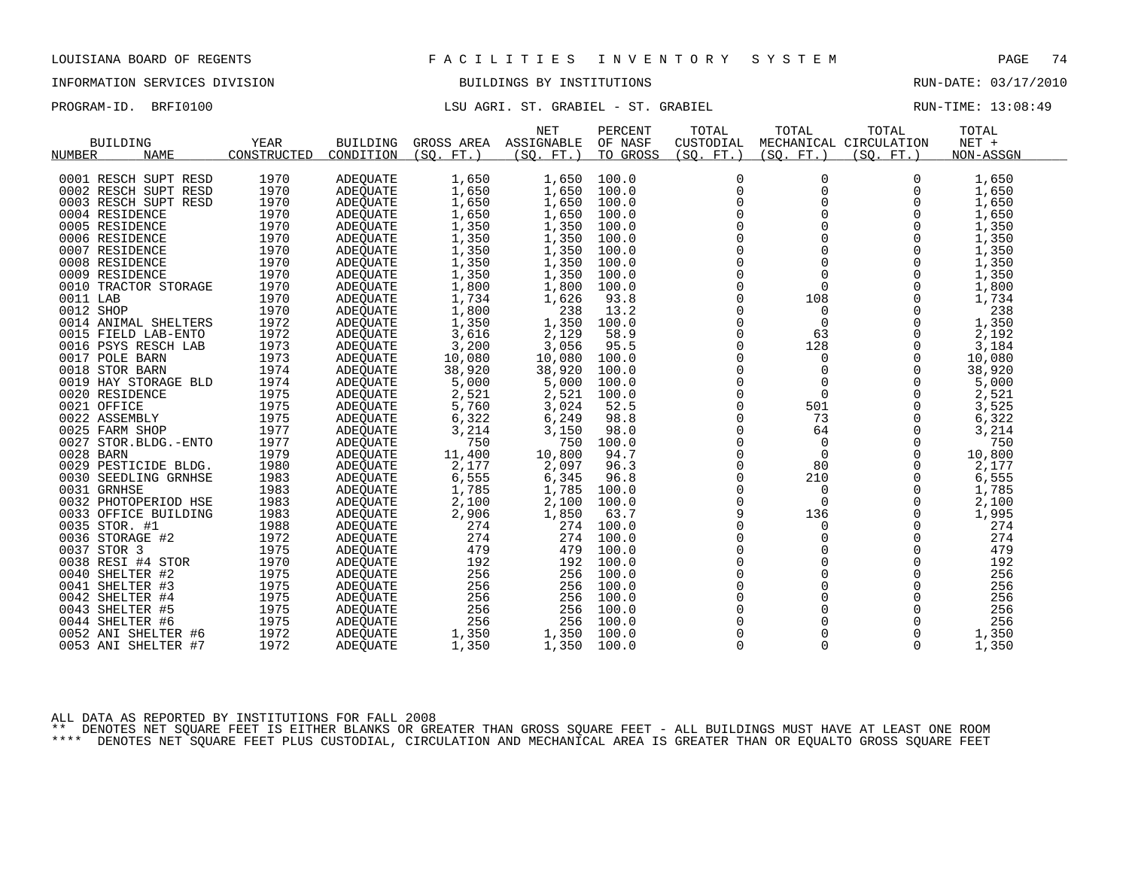## INFORMATION SERVICES DIVISION BUILDINGS BY INSTITUTIONS RUN-DATE: 03/17/2010

PROGRAM-ID. BRFI0100 **LSU AGRI. ST. GRABIEL - ST. GRABIEL** - COMPOSTED RUN-TIME: 13:08:49

|                       |             |                 |            | <b>NET</b> | PERCENT  | TOTAL       | TOTAL        | TOTAL                  | TOTAL     |
|-----------------------|-------------|-----------------|------------|------------|----------|-------------|--------------|------------------------|-----------|
| <b>BUILDING</b>       | <b>YEAR</b> | BUILDING        | GROSS AREA | ASSIGNABLE | OF NASF  | CUSTODIAL   |              | MECHANICAL CIRCULATION | $NET +$   |
| <b>NAME</b><br>NUMBER | CONSTRUCTED | CONDITION       | (SO. FT. ) | (SO. FT. ) | TO GROSS | (SO. FT. )  | (SO. FT.)    | (SO. FT.)              | NON-ASSGN |
|                       |             |                 |            |            |          |             |              |                        |           |
| 0001 RESCH SUPT RESD  | 1970        | <b>ADEQUATE</b> | 1,650      | 1,650      | 100.0    | $\mathbf 0$ | 0            | $\Omega$               | 1,650     |
| 0002 RESCH SUPT RESD  | 1970        | ADEQUATE        | 1,650      | 1,650      | 100.0    | $\mathbf 0$ | 0            | $\Omega$               | 1,650     |
| 0003 RESCH SUPT RESD  | 1970        | ADEOUATE        | 1,650      | 1,650      | 100.0    | 0           | 0            | 0                      | 1,650     |
| 0004 RESIDENCE        | 1970        | <b>ADEOUATE</b> | 1,650      | 1,650      | 100.0    | $\mathsf 0$ | $\Omega$     | 0                      | 1,650     |
| 0005 RESIDENCE        | 1970        | ADEQUATE        | 1,350      | 1,350      | 100.0    | $\Omega$    | $\Omega$     | $\Omega$               | 1,350     |
| 0006 RESIDENCE        | 1970        | <b>ADEOUATE</b> | 1,350      | 1,350      | 100.0    | $\mathbf 0$ | 0            | 0                      | 1,350     |
| 0007 RESIDENCE        | 1970        | ADEQUATE        | 1,350      | 1,350      | 100.0    | 0           | $\mathbf 0$  | $\mathbf 0$            | 1,350     |
| 0008 RESIDENCE        | 1970        | ADEQUATE        | 1,350      | 1,350      | 100.0    | $\mathbf 0$ | 0            | 0                      | 1,350     |
| 0009 RESIDENCE        | 1970        | <b>ADEOUATE</b> | 1,350      | 1,350      | 100.0    | $\Omega$    | $\Omega$     | $\Omega$               | 1,350     |
| 0010 TRACTOR STORAGE  | 1970        | ADEQUATE        | 1,800      | 1,800      | 100.0    | $\mathbf 0$ | $\Omega$     | $\Omega$               | 1,800     |
| 0011 LAB              | 1970        | ADEQUATE        | 1,734      | 1,626      | 93.8     | 0           | 108          | 0                      | 1,734     |
| 0012 SHOP             | 1970        | ADEQUATE        | 1,800      | 238        | 13.2     | $\Omega$    | $\Omega$     | $\Omega$               | 238       |
| 0014 ANIMAL SHELTERS  | 1972        | ADEOUATE        | 1,350      | 1,350      | 100.0    | $\mathbf 0$ | $\mathbf 0$  | 0                      | 1,350     |
| 0015 FIELD LAB-ENTO   | 1972        | ADEQUATE        | 3,616      | 2,129      | 58.9     | $\Omega$    | 63           | $\Omega$               | 2,192     |
| 0016 PSYS RESCH LAB   | 1973        | <b>ADEOUATE</b> | 3,200      | 3,056      | 95.5     | $\Omega$    | 128          | $\Omega$               | 3,184     |
| 0017 POLE BARN        | 1973        | ADEQUATE        | 10,080     | 10,080     | 100.0    | 0           | 0            | 0                      | 10,080    |
| 0018 STOR BARN        | 1974        | <b>ADEQUATE</b> | 38,920     | 38,920     | 100.0    | 0           | $\Omega$     | $\Omega$               | 38,920    |
| 0019 HAY STORAGE BLD  | 1974        | ADEQUATE        | 5,000      | 5,000      | 100.0    | $\mathbf 0$ | $\mathbf 0$  | $\Omega$               | 5,000     |
| 0020 RESIDENCE        | 1975        | ADEQUATE        | 2,521      | 2,521      | 100.0    | $\mathbf 0$ | $\mathbf 0$  | 0                      | 2,521     |
| 0021 OFFICE           | 1975        | ADEQUATE        | 5,760      | 3,024      | 52.5     | 0           | 501          | $\mathbf 0$            | 3,525     |
| 0022 ASSEMBLY         | 1975        | ADEQUATE        | 6,322      | 6,249      | 98.8     | $\Omega$    | 73           | $\Omega$               | 6,322     |
| 0025 FARM SHOP        | 1977        | ADEQUATE        | 3,214      | 3,150      | 98.0     | $\Omega$    | 64           | $\Omega$               | 3,214     |
| 0027 STOR.BLDG.-ENTO  | 1977        | <b>ADEOUATE</b> | 750        | 750        | 100.0    | $\mathbf 0$ | $\mathbf{0}$ | $\mathbf 0$            | 750       |
| 0028 BARN             | 1979        | ADEQUATE        | 11,400     | 10,800     | 94.7     | $\mathbf 0$ | $\mathbf 0$  | $\Omega$               | 10,800    |
| 0029 PESTICIDE BLDG.  | 1980        | ADEOUATE        | 2,177      | 2,097      | 96.3     | $\mathbf 0$ | 80           | $\Omega$               | 2,177     |
| 0030 SEEDLING GRNHSE  | 1983        | ADEQUATE        | 6,555      | 6,345      | 96.8     | 0           | 210          | $\mathbf 0$            | 6,555     |
| 0031 GRNHSE           | 1983        | ADEQUATE        | 1,785      | 1,785      | 100.0    | $\mathbf 0$ | $\mathbf 0$  | $\Omega$               | 1,785     |
| 0032 PHOTOPERIOD HSE  | 1983        | ADEQUATE        | 2,100      | 2,100      | 100.0    | $\Omega$    | $\Omega$     | $\Omega$               | 2,100     |
| 0033 OFFICE BUILDING  | 1983        | ADEQUATE        | 2,906      | 1,850      | 63.7     | 9           | 136          | $\mathbf 0$            | 1,995     |
| 0035 STOR. #1         | 1988        | ADEQUATE        | 274        | 274        | 100.0    | $\mathbf 0$ | 0            | 0                      | 274       |
| 0036 STORAGE #2       | 1972        | ADEQUATE        | 274        | 274        | 100.0    | $\Omega$    | $\Omega$     | $\Omega$               | 274       |
| 0037 STOR 3           | 1975        | <b>ADEOUATE</b> | 479        | 479        | 100.0    | 0           | $\mathbf 0$  | $\mathbf 0$            | 479       |
| 0038 RESI #4 STOR     | 1970        | ADEQUATE        | 192        | 192        | 100.0    | $\mathbf 0$ | $\Omega$     | $\Omega$               | 192       |
| 0040 SHELTER #2       | 1975        | <b>ADEOUATE</b> | 256        | 256        | 100.0    | $\Omega$    | $\Omega$     | $\Omega$               | 256       |
| 0041 SHELTER #3       | 1975        | ADEOUATE        | 256        | 256        | 100.0    | 0           | $\mathbf 0$  | 0                      | 256       |
| 0042 SHELTER #4       | 1975        | ADEQUATE        | 256        | 256        | 100.0    | $\mathbf 0$ | $\Omega$     | $\Omega$               | 256       |
| 0043 SHELTER #5       | 1975        | ADEQUATE        | 256        | 256        | 100.0    | $\Omega$    | $\Omega$     | $\Omega$               | 256       |
| 0044 SHELTER #6       | 1975        | ADEQUATE        | 256        | 256        | 100.0    | 0           | $\mathbf 0$  | 0                      | 256       |
| 0052 ANI SHELTER #6   | 1972        | <b>ADEOUATE</b> | 1,350      | 1,350      | 100.0    | $\Omega$    | $\mathbf 0$  | $\mathbf 0$            | 1,350     |
| 0053 ANI SHELTER #7   | 1972        | ADEOUATE        | 1,350      | 1,350      | 100.0    | $\mathbf 0$ | 0            | $\Omega$               | 1,350     |
|                       |             |                 |            |            |          |             |              |                        |           |

ALL DATA AS REPORTED BY INSTITUTIONS FOR FALL 2008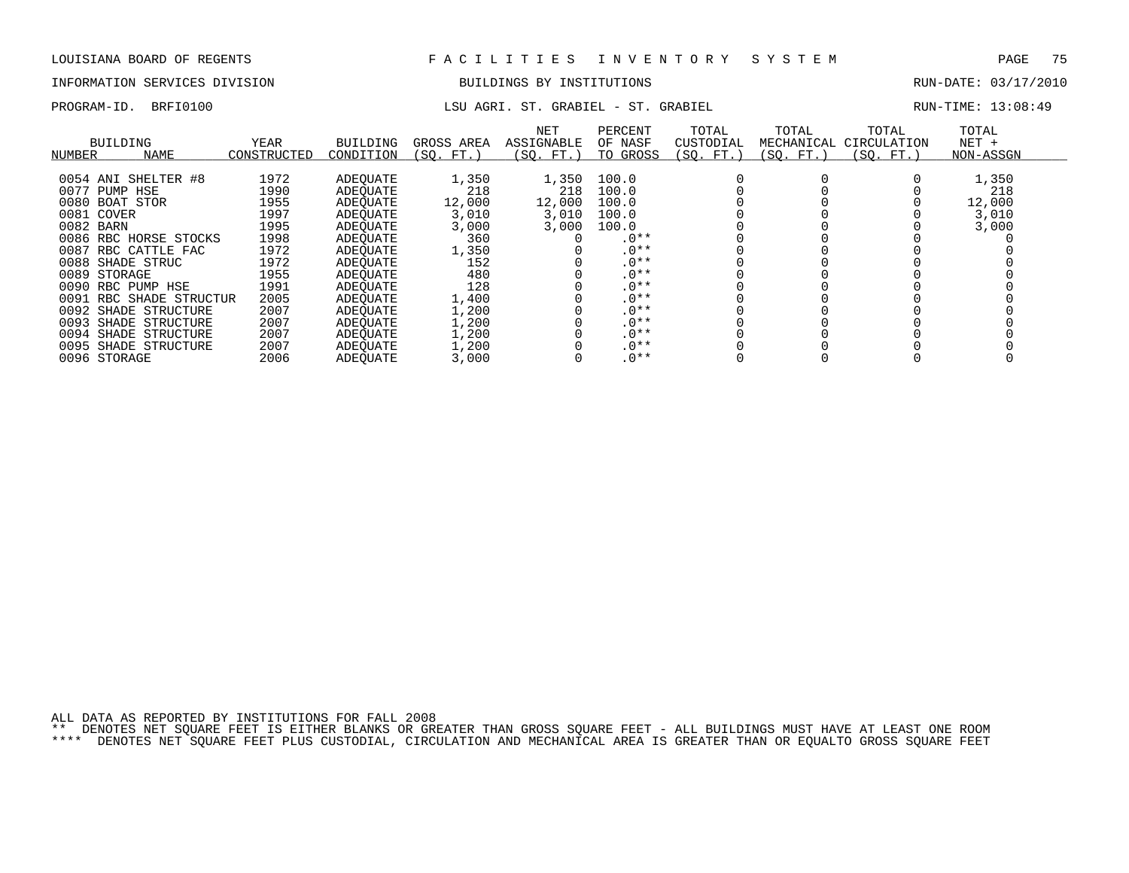## INFORMATION SERVICES DIVISION BUILDINGS BY INSTITUTIONS RUN-DATE: 03/17/2010

## PROGRAM-ID. BRFI0100 **LSU AGRI. ST. GRABIEL - ST. GRABIEL** - COMPOST AGRICAL RUN-TIME: 13:08:49

| NUMBER       | BUILDING<br><b>NAME</b> | YEAR<br>CONSTRUCTED | <b>BUILDING</b><br>CONDITION | GROSS AREA<br>(SO. FT. ) | <b>NET</b><br><b>ASSIGNABLE</b><br>(SO. FT. ) | PERCENT<br>OF NASF<br>TO GROSS | TOTAL<br>CUSTODIAL<br>(SQ. FT.) | TOTAL<br>MECHANICAL<br>(SO. FT.) | TOTAL<br>CIRCULATION<br>(SO. FT.) | TOTAL<br>$NET +$<br>NON-ASSGN |
|--------------|-------------------------|---------------------|------------------------------|--------------------------|-----------------------------------------------|--------------------------------|---------------------------------|----------------------------------|-----------------------------------|-------------------------------|
|              | 0054 ANI SHELTER #8     | 1972                | ADEOUATE                     | 1,350                    | 1,350                                         | 100.0                          |                                 |                                  |                                   | 1,350                         |
| 0077         | PUMP HSE                | 1990                | ADEOUATE                     | 218                      | 218                                           | 100.0                          |                                 |                                  |                                   | 218                           |
|              | 0080 BOAT STOR          | 1955                | ADEOUATE                     | 12,000                   | 12,000                                        | 100.0                          |                                 |                                  |                                   | 12,000                        |
| 0081         | COVER                   | 1997                | ADEOUATE                     | 3,010                    | 3,010                                         | 100.0                          |                                 |                                  |                                   | 3,010                         |
| 0082 BARN    |                         | 1995                | ADEOUATE                     | 3,000                    | 3,000                                         | 100.0                          |                                 |                                  |                                   | 3,000                         |
|              | 0086 RBC HORSE STOCKS   | 1998                | ADEOUATE                     | 360                      |                                               | $.0**$                         |                                 |                                  |                                   |                               |
| 0087         | RBC CATTLE FAC          | 1972                | ADEOUATE                     | 1,350                    |                                               | $.0**$                         |                                 |                                  |                                   |                               |
|              | 0088 SHADE STRUC        | 1972                | ADEOUATE                     | 152                      |                                               | $.0**$                         |                                 |                                  |                                   |                               |
| 0089 STORAGE |                         | 1955                | ADEOUATE                     | 480                      |                                               | $.0**$                         |                                 |                                  |                                   |                               |
|              | 0090 RBC PUMP HSE       | 1991                | ADEOUATE                     | 128                      |                                               | $.0**$                         |                                 |                                  |                                   |                               |
|              | 0091 RBC SHADE STRUCTUR | 2005                | ADEOUATE                     | 1,400                    |                                               | $.0**$                         |                                 |                                  |                                   |                               |
|              | 0092 SHADE STRUCTURE    | 2007                | ADEOUATE                     | 1,200                    |                                               | $.0**$                         |                                 |                                  |                                   |                               |
|              | 0093 SHADE STRUCTURE    | 2007                | ADEOUATE                     | 1,200                    |                                               | $.0**$                         |                                 |                                  |                                   |                               |
| 0094         | SHADE STRUCTURE         | 2007                | ADEOUATE                     | 1,200                    |                                               | $.0**$                         |                                 |                                  |                                   |                               |
|              | 0095 SHADE STRUCTURE    | 2007                | ADEOUATE                     | 1,200                    |                                               | $.0**$                         |                                 |                                  |                                   |                               |
| 0096 STORAGE |                         | 2006                | ADEOUATE                     | 3,000                    |                                               | $.0**$                         |                                 |                                  |                                   |                               |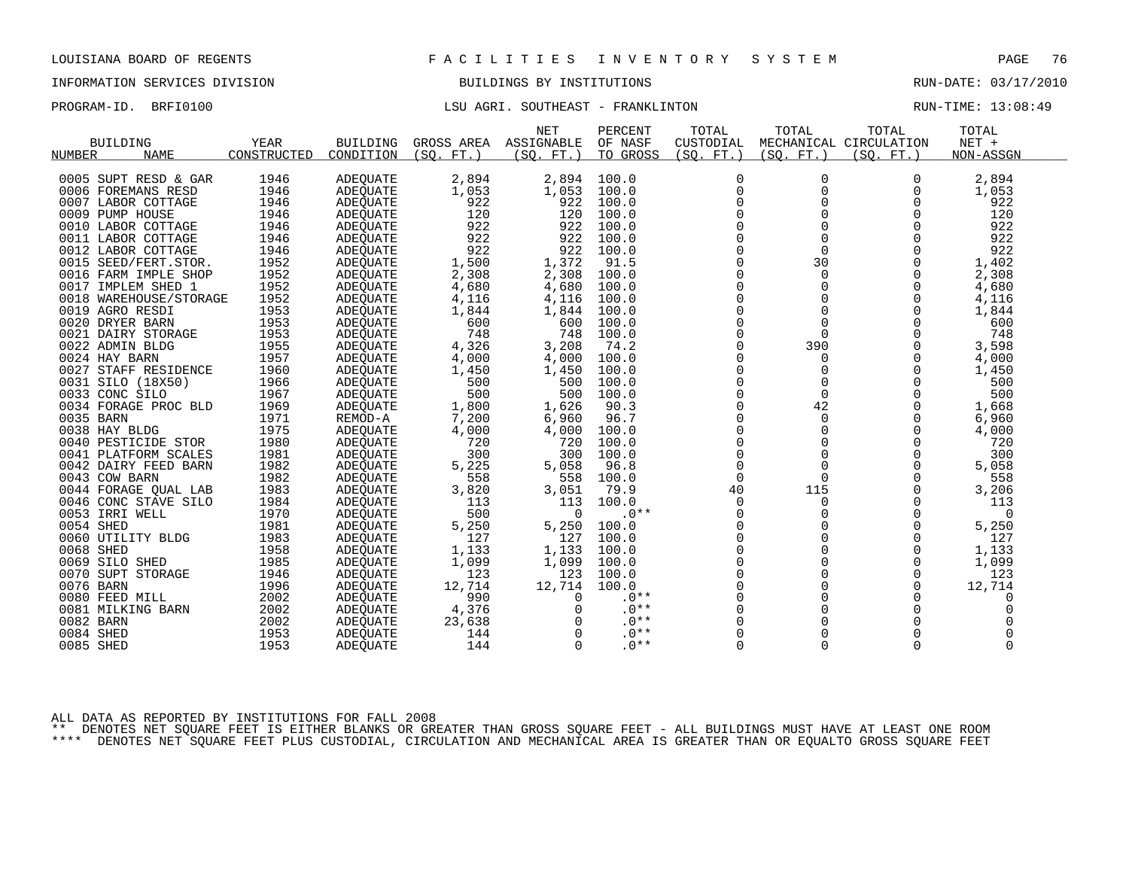## INFORMATION SERVICES DIVISION BUILDINGS BY INSTITUTIONS RUN-DATE: 03/17/2010

### PROGRAM-ID. BRFI0100 COMPUTED: LSU AGRI. SOUTHEAST - FRANKLINTON RUN-TIME: 13:08:49

|               |                        |             |                 |                 | <b>NET</b> | PERCENT  | TOTAL       | TOTAL       | TOTAL                  | TOTAL       |  |
|---------------|------------------------|-------------|-----------------|-----------------|------------|----------|-------------|-------------|------------------------|-------------|--|
|               | <b>BUILDING</b>        | YEAR        | <b>BUILDING</b> | GROSS AREA      | ASSIGNABLE | OF NASF  | CUSTODIAL   |             | MECHANICAL CIRCULATION | NET +       |  |
| <b>NUMBER</b> | <b>NAME</b>            | CONSTRUCTED | CONDITION       | (SO.<br>$FT.$ ) | (SO. FT. ) | TO GROSS | (SQ. FT.)   | (SO. FT.)   | (SO. FT.)              | NON-ASSGN   |  |
|               |                        |             |                 |                 |            |          |             |             |                        |             |  |
|               | 0005 SUPT RESD & GAR   | 1946        | ADEQUATE        | 2,894           | 2,894      | 100.0    | 0           | 0           | O                      | 2,894       |  |
|               | 0006 FOREMANS RESD     | 1946        | <b>ADEOUATE</b> | 1,053           | 1,053      | 100.0    | $\mathbf 0$ | 0           | 0                      | 1,053       |  |
|               | 0007 LABOR COTTAGE     | 1946        | <b>ADEQUATE</b> | 922             | 922        | 100.0    | $\mathbf 0$ | $\mathbf 0$ | $\Omega$               | 922         |  |
|               | 0009 PUMP HOUSE        | 1946        | <b>ADEQUATE</b> | 120             | 120        | 100.0    | $\mathbf 0$ | 0           | $\Omega$               | 120         |  |
|               | 0010 LABOR COTTAGE     | 1946        | ADEQUATE        | 922             | 922        | 100.0    | $\Omega$    | $\Omega$    | $\Omega$               | 922         |  |
|               | 0011 LABOR COTTAGE     | 1946        | ADEOUATE        | 922             | 922        | 100.0    | $\mathbf 0$ | $\mathbf 0$ | $\mathbf 0$            | 922         |  |
|               | 0012 LABOR COTTAGE     | 1946        | <b>ADEOUATE</b> | 922             | 922        | 100.0    | $\mathbf 0$ | $\Omega$    | $\Omega$               | 922         |  |
|               | 0015 SEED/FERT.STOR.   | 1952        | ADEQUATE        | 1,500           | 1,372      | 91.5     | $\Omega$    | 30          | $\Omega$               | 1,402       |  |
|               | 0016 FARM IMPLE SHOP   | 1952        | <b>ADEOUATE</b> | 2,308           | 2,308      | 100.0    | $\mathbf 0$ | $\mathbf 0$ | $\Omega$               | 2,308       |  |
|               | 0017 IMPLEM SHED 1     | 1952        | ADEQUATE        | 4,680           | 4,680      | 100.0    | $\mathbf 0$ | $\Omega$    | $\Omega$               | 4,680       |  |
|               | 0018 WAREHOUSE/STORAGE | 1952        | <b>ADEOUATE</b> | 4,116           | 4,116      | 100.0    | $\Omega$    | $\Omega$    | $\Omega$               | 4,116       |  |
|               | 0019 AGRO RESDI        | 1953        | ADEQUATE        | 1,844           | 1,844      | 100.0    | $\Omega$    | $\Omega$    | $\Omega$               | 1,844       |  |
|               | 0020 DRYER BARN        | 1953        | ADEQUATE        | 600             | 600        | 100.0    | $\mathbf 0$ | $\Omega$    | $\Omega$               | 600         |  |
|               | 0021 DAIRY STORAGE     | 1953        | ADEQUATE        | 748             | 748        | 100.0    | $\Omega$    | $\mathbf 0$ | 0                      | 748         |  |
|               | 0022 ADMIN BLDG        | 1955        | ADEOUATE        | 4,326           | 3,208      | 74.2     | $\Omega$    | 390         | $\Omega$               | 3,598       |  |
|               | 0024 HAY BARN          | 1957        | ADEQUATE        | 4,000           | 4,000      | 100.0    | $\mathbf 0$ | 0           | $\Omega$               | 4,000       |  |
|               | 0027 STAFF RESIDENCE   | 1960        | <b>ADEQUATE</b> | 1,450           | 1,450      | 100.0    | $\Omega$    | $\Omega$    | $\Omega$               | 1,450       |  |
|               | 0031 SILO (18X50)      | 1966        | ADEQUATE        | 500             | 500        | 100.0    | $\Omega$    | $\Omega$    | $\Omega$               | 500         |  |
|               | 0033 CONC SILO         | 1967        | ADEOUATE        | 500             | 500        | 100.0    | 0           | $\mathbf 0$ | $\Omega$               | 500         |  |
|               | 0034 FORAGE PROC BLD   | 1969        | ADEQUATE        | 1,800           | 1,626      | 90.3     | $\mathbf 0$ | 42          | $\Omega$               | 1,668       |  |
| 0035 BARN     |                        | 1971        | REMOD-A         | 7,200           | 6,960      | 96.7     | $\Omega$    | $\Omega$    | $\Omega$               | 6,960       |  |
|               | 0038 HAY BLDG          | 1975        | <b>ADEQUATE</b> | 4,000           | 4,000      | 100.0    | $\Omega$    | $\Omega$    | $\Omega$               | 4,000       |  |
|               | 0040 PESTICIDE STOR    | 1980        | ADEQUATE        | 720             | 720        | 100.0    | $\mathbf 0$ | $\mathbf 0$ | 0                      | 720         |  |
|               | 0041 PLATFORM SCALES   | 1981        | <b>ADEOUATE</b> | 300             | 300        | 100.0    | $\mathbf 0$ | 0           | 0                      | 300         |  |
|               | 0042 DAIRY FEED BARN   | 1982        | ADEOUATE        | 5,225           | 5,058      | 96.8     | $\Omega$    | $\Omega$    | $\Omega$               | 5,058       |  |
|               | 0043 COW BARN          | 1982        | ADEQUATE        | 558             | 558        | 100.0    | $\Omega$    | $\Omega$    | $\Omega$               | 558         |  |
|               | 0044 FORAGE OUAL LAB   | 1983        | ADEQUATE        | 3,820           | 3,051      | 79.9     | 40          | 115         | $\Omega$               | 3,206       |  |
|               | 0046 CONC STAVE SILO   | 1984        | <b>ADEOUATE</b> | 113             | 113        | 100.0    | 0           | 0           | $\Omega$               | 113         |  |
|               | 0053 IRRI WELL         | 1970        | ADEOUATE        | 500             | $\Omega$   | $.0**$   | 0           | 0           | 0                      | $\mathbf 0$ |  |
| 0054 SHED     |                        | 1981        | <b>ADEQUATE</b> | 5,250           | 5,250      | 100.0    | $\mathbf 0$ | $\Omega$    | $\Omega$               | 5,250       |  |
|               | 0060 UTILITY BLDG      | 1983        | ADEQUATE        | 127             | 127        | 100.0    | $\Omega$    | $\Omega$    | $\Omega$               | 127         |  |
| 0068 SHED     |                        | 1958        | ADEOUATE        | 1,133           | 1,133      | 100.0    | $\Omega$    | $\Omega$    | $\Omega$               | 1,133       |  |
|               | 0069 SILO SHED         | 1985        | ADEOUATE        | 1,099           | 1,099      | 100.0    | $\mathbf 0$ | $\Omega$    | 0                      | 1,099       |  |
|               | 0070 SUPT STORAGE      | 1946        | ADEOUATE        | 123             | 123        | 100.0    | $\mathbf 0$ | $\mathbf 0$ | 0                      | 123         |  |
| 0076 BARN     |                        | 1996        | <b>ADEQUATE</b> | 12,714          | 12,714     | 100.0    | $\Omega$    | $\Omega$    | $\Omega$               | 12,714      |  |
|               | 0080 FEED MILL         | 2002        | ADEQUATE        | 990             | $\Omega$   | $.0**$   | $\mathbf 0$ | 0           | 0                      | 0           |  |
|               | 0081 MILKING BARN      | 2002        | <b>ADEQUATE</b> | 4,376           | 0          | $.0**$   | $\mathbf 0$ | 0           | 0                      | 0           |  |
| 0082 BARN     |                        | 2002        | ADEOUATE        | 23,638          |            | $.0**$   | $\Omega$    | $\Omega$    | $\Omega$               |             |  |
| 0084 SHED     |                        | 1953        | ADEOUATE        | 144             | $\Omega$   | $.0**$   | $\Omega$    | $\mathbf 0$ |                        |             |  |
| 0085 SHED     |                        | 1953        | <b>ADEQUATE</b> | 144             | $\Omega$   | $.0**$   | $\Omega$    | $\Omega$    | $\Omega$               | $\Omega$    |  |
|               |                        |             |                 |                 |            |          |             |             |                        |             |  |

ALL DATA AS REPORTED BY INSTITUTIONS FOR FALL 2008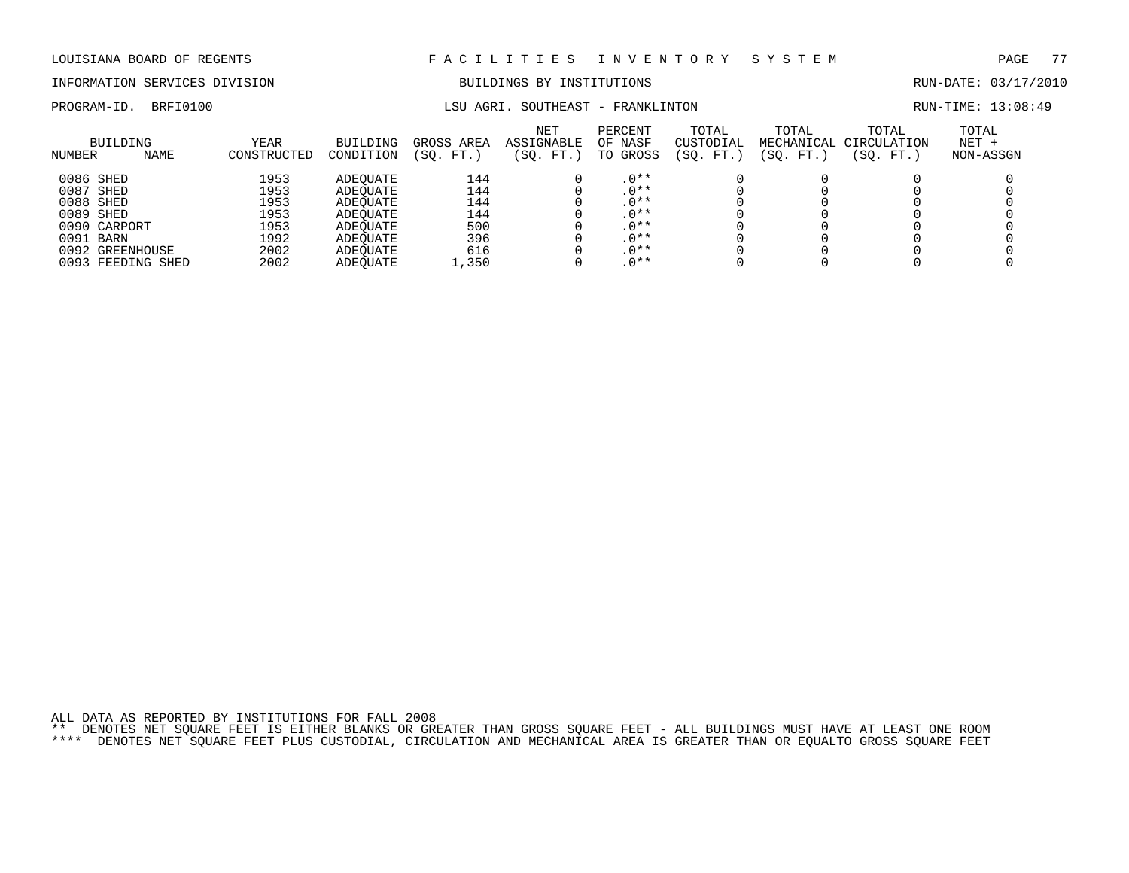# INFORMATION SERVICES DIVISION BUILDINGS BY INSTITUTIONS AND RUN-DATE: 03/17/2010

PROGRAM-ID. BRFI0100 **LSU AGRI. SOUTHEAST - FRANKLINTON** RUN-TIME: 13:08:49

| NUMBER    | <b>BUILDING</b><br><b>NAME</b> | <b>YEAR</b><br>CONSTRUCTED | BUILDING<br>CONDITION | GROSS AREA<br>FT.<br>SO. | NET<br>ASSIGNABLE<br>(SO. FT.) | PERCENT<br>OF NASF<br>TO GROSS | TOTAL<br>CUSTODIAL<br>(SO.<br>FT.) | TOTAL<br>MECHANICAL<br>(SO. FT.) | TOTAL<br>CIRCULATION<br>(SO. FT.) | TOTAL<br>$NET +$<br>NON-ASSGN |
|-----------|--------------------------------|----------------------------|-----------------------|--------------------------|--------------------------------|--------------------------------|------------------------------------|----------------------------------|-----------------------------------|-------------------------------|
|           |                                |                            |                       |                          |                                |                                |                                    |                                  |                                   |                               |
| 0086 SHED |                                | 1953                       | ADEOUATE              | 144                      |                                | $.0**$                         |                                    |                                  |                                   |                               |
| 0087 SHED |                                | 1953                       | ADEOUATE              | 144                      |                                | $.0**$                         |                                    |                                  |                                   |                               |
| 0088 SHED |                                | 1953                       | ADEOUATE              | 144                      |                                | $.0**$                         |                                    |                                  |                                   |                               |
| 0089 SHED |                                | 1953                       | ADEOUATE              | 144                      |                                | $.0**$                         |                                    |                                  |                                   |                               |
|           | 0090 CARPORT                   | 1953                       | ADEOUATE              | 500                      |                                | .0**                           |                                    |                                  |                                   |                               |
| 0091 BARN |                                | 1992                       | ADEOUATE              | 396                      |                                | $.0***$                        |                                    |                                  |                                   |                               |
|           | 0092 GREENHOUSE                | 2002                       | ADEOUATE              | 616                      |                                | $.0***$                        |                                    |                                  |                                   |                               |
|           | 0093 FEEDING SHED              | 2002                       | ADEOUATE              | 1,350                    |                                | $.0**$                         |                                    |                                  |                                   |                               |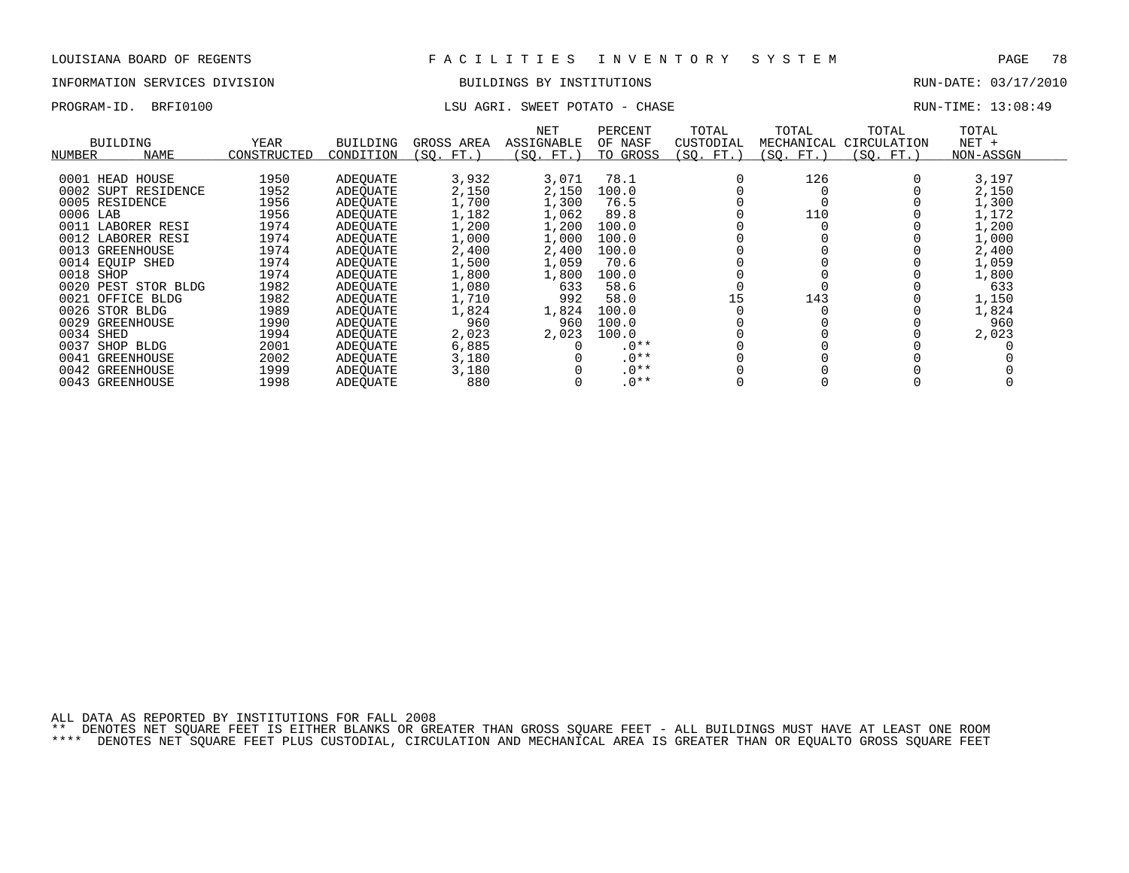## INFORMATION SERVICES DIVISION BUILDINGS BY INSTITUTIONS RUN-DATE: 03/17/2010

## PROGRAM-ID. BRFI0100 **LSU AGRI.** SWEET POTATO - CHASE **RUN-TIME: 13:08:49**

| NUMBER    | <b>BUILDING</b><br><b>NAME</b> | YEAR<br>CONSTRUCTED | <b>BUILDING</b><br>CONDITION | GROSS AREA<br>(SO. FT.) | NET<br><b>ASSIGNABLE</b><br>(SO. FT.) | PERCENT<br>OF NASF<br>TO GROSS | TOTAL<br>CUSTODIAL<br>(SO. FT.) | TOTAL<br>MECHANICAL<br>(SO. FT.) | TOTAL<br>CIRCULATION<br>(SO. FT.) | TOTAL<br>$NET +$<br>NON-ASSGN |  |
|-----------|--------------------------------|---------------------|------------------------------|-------------------------|---------------------------------------|--------------------------------|---------------------------------|----------------------------------|-----------------------------------|-------------------------------|--|
|           |                                |                     |                              |                         |                                       |                                |                                 |                                  |                                   |                               |  |
|           | 0001 HEAD HOUSE                | 1950                | ADEOUATE                     | 3,932                   | 3,071                                 | 78.1                           |                                 | 126                              |                                   | 3,197                         |  |
|           | 0002 SUPT RESIDENCE            | 1952                | ADEOUATE                     | 2,150                   | 2,150                                 | 100.0                          |                                 |                                  |                                   | 2,150                         |  |
|           | 0005 RESIDENCE                 | 1956                | ADEOUATE                     | 1,700                   | 1,300                                 | 76.5                           |                                 |                                  |                                   | 1,300                         |  |
| 0006 LAB  |                                | 1956                | ADEOUATE                     | 1,182                   | 1,062                                 | 89.8                           |                                 | 110                              |                                   | 1,172                         |  |
|           | 0011 LABORER RESI              | 1974                | ADEOUATE                     | 1,200                   | 1,200                                 | 100.0                          |                                 |                                  |                                   | 1,200                         |  |
|           | 0012 LABORER RESI              | 1974                | ADEOUATE                     | 1,000                   | 1,000                                 | 100.0                          |                                 |                                  |                                   | 1,000                         |  |
|           | 0013 GREENHOUSE                | 1974                | ADEOUATE                     | 2,400                   | 2,400                                 | 100.0                          |                                 |                                  |                                   | 2,400                         |  |
|           | 0014 EOUIP SHED                | 1974                | ADEOUATE                     | 1,500                   | 1,059                                 | 70.6                           |                                 |                                  |                                   | 1,059                         |  |
| 0018 SHOP |                                | 1974                | ADEOUATE                     | 1,800                   | 1,800                                 | 100.0                          |                                 |                                  |                                   | 1,800                         |  |
|           | 0020 PEST STOR BLDG            | 1982                | ADEOUATE                     | 1,080                   | 633                                   | 58.6                           |                                 |                                  |                                   | 633                           |  |
|           | 0021 OFFICE BLDG               | 1982                | ADEOUATE                     | 1,710                   | 992                                   | 58.0                           | 15                              | 143                              |                                   | 1,150                         |  |
|           |                                |                     |                              |                         |                                       |                                |                                 |                                  |                                   |                               |  |
|           | 0026 STOR BLDG                 | 1989                | ADEOUATE                     | 1,824                   | 1,824                                 | 100.0                          |                                 |                                  |                                   | 1,824                         |  |
|           | 0029 GREENHOUSE                | 1990                | ADEOUATE                     | 960                     | 960                                   | 100.0                          |                                 |                                  |                                   | 960                           |  |
| 0034 SHED |                                | 1994                | ADEOUATE                     | 2,023                   | 2,023                                 | 100.0                          |                                 |                                  |                                   | 2,023                         |  |
| 0037      | SHOP BLDG                      | 2001                | ADEOUATE                     | 6,885                   |                                       | $.0**$                         |                                 |                                  |                                   |                               |  |
| 0041      | GREENHOUSE                     | 2002                | ADEOUATE                     | 3,180                   |                                       | $.0**$                         |                                 |                                  |                                   |                               |  |
|           | 0042 GREENHOUSE                | 1999                | ADEOUATE                     | 3,180                   |                                       | $.0**$                         |                                 |                                  |                                   |                               |  |
|           | 0043 GREENHOUSE                | 1998                | ADEOUATE                     | 880                     |                                       | $.0**$                         |                                 |                                  |                                   |                               |  |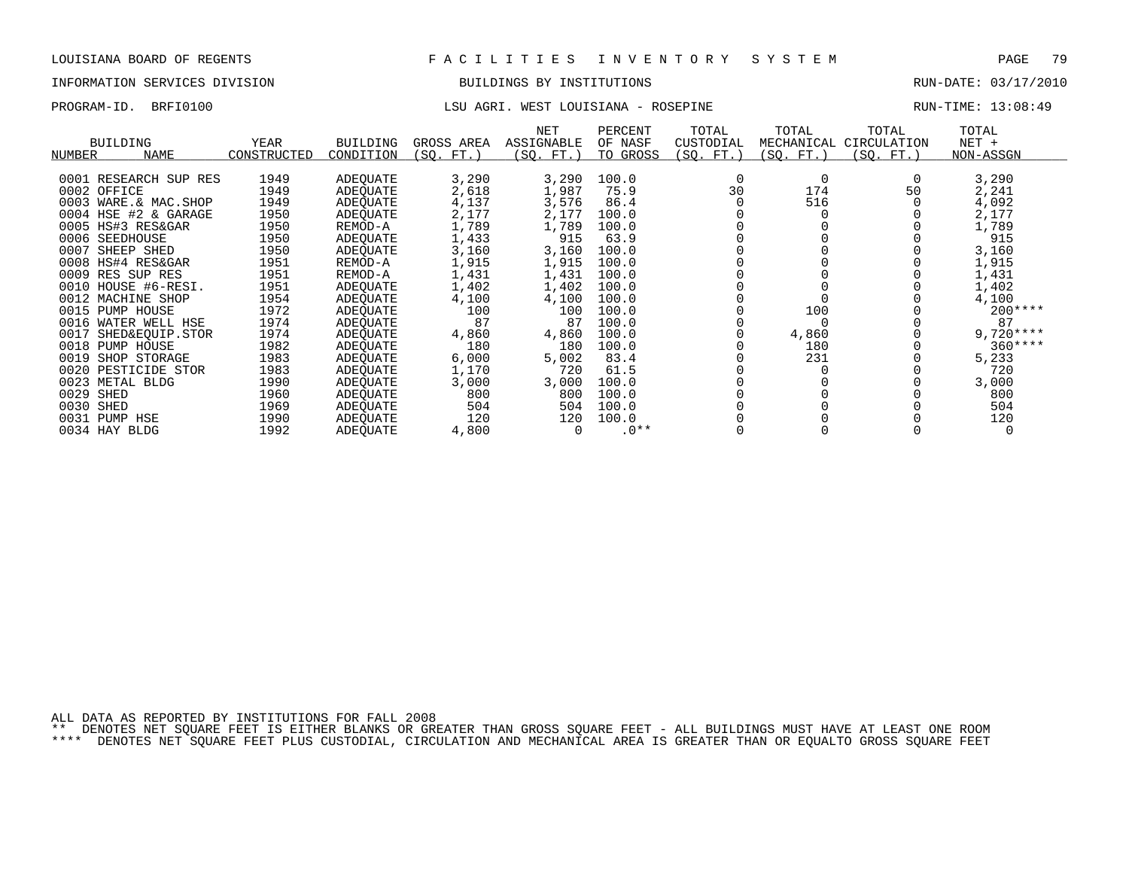## INFORMATION SERVICES DIVISION BUILDINGS BY INSTITUTIONS RUN-DATE: 03/17/2010

## PROGRAM-ID. BRFI0100 **EXAM-ID.** BRFI0100 LSU AGRI. WEST LOUISIANA - ROSEPINE RUN-TIME: 13:08:49

| <b>BUILDING</b>         | YEAR        | <b>BUILDING</b> | GROSS AREA | NET<br>ASSIGNABLE | PERCENT<br>OF NASF | TOTAL<br>CUSTODIAL | TOTAL<br>MECHANICAL | TOTAL<br>CIRCULATION | TOTAL<br>$NET +$ |
|-------------------------|-------------|-----------------|------------|-------------------|--------------------|--------------------|---------------------|----------------------|------------------|
| NAME<br>NUMBER          | CONSTRUCTED | CONDITION       | (SQ. FT. ) | (SQ. FT.)         | TO GROSS           | (SQ. FT.)          | (SO. FT.)           | (SQ. FT.)            | NON-ASSGN        |
|                         |             |                 |            |                   |                    |                    |                     |                      |                  |
| 0001 RESEARCH SUP RES   | 1949        | ADEQUATE        | 3,290      | 3,290             | 100.0              |                    | $\Omega$            |                      | 3,290            |
| 0002 OFFICE             | 1949        | ADEOUATE        | 2,618      | 1,987             | 75.9               | 30                 | 174                 | 50                   | 2,241            |
| 0003 WARE.& MAC.SHOP    | 1949        | ADEOUATE        | 4,137      | 3,576             | 86.4               |                    | 516                 |                      | 4,092            |
| 0004 HSE #2 & GARAGE    | 1950        | ADEOUATE        | 2,177      | 2,177             | 100.0              |                    |                     |                      | 2,177            |
| 0005 HS#3 RES&GAR       | 1950        | REMOD-A         | 1,789      | 1,789             | 100.0              |                    |                     |                      | 1,789            |
| 0006 SEEDHOUSE          | 1950        | ADEQUATE        | 1,433      | 915               | 63.9               |                    |                     |                      | 915              |
| 0007 SHEEP SHED         | 1950        | ADEOUATE        | 3,160      | 3,160             | 100.0              |                    |                     |                      | 3,160            |
| 0008 HS#4 RES&GAR       | 1951        | REMOD-A         | 1,915      | 1,915             | 100.0              |                    |                     |                      | 1,915            |
| 0009 RES SUP RES        | 1951        | REMOD-A         | 1,431      | 1,431             | 100.0              |                    |                     |                      | 1,431            |
| 0010 HOUSE #6-RESI.     | 1951        | ADEOUATE        | 1,402      | 1,402             | 100.0              |                    |                     |                      | 1,402            |
| 0012 MACHINE SHOP       | 1954        | ADEQUATE        | 4,100      | 4,100             | 100.0              |                    |                     |                      | 4,100            |
| 0015 PUMP HOUSE         | 1972        | ADEOUATE        | 100        | 100               | 100.0              |                    | 100                 |                      | $200***$         |
| 0016 WATER WELL HSE     | 1974        | ADEQUATE        | 87         | 87                | 100.0              |                    |                     |                      | 87               |
| 0017<br>SHED&EOUIP.STOR | 1974        | ADEOUATE        | 4,860      | 4,860             | 100.0              |                    | 4,860               |                      | $9.720***$       |
| 0018 PUMP HOUSE         | 1982        | ADEOUATE        | 180        | 180               | 100.0              |                    | 180                 |                      | $360***$         |
| 0019 SHOP STORAGE       | 1983        | ADEOUATE        | 6,000      | 5,002             | 83.4               |                    | 231                 |                      | 5,233            |
| 0020 PESTICIDE STOR     | 1983        | ADEOUATE        | 1,170      | 720               | 61.5               |                    |                     |                      | 720              |
| 0023 METAL BLDG         | 1990        | ADEQUATE        | 3,000      | 3,000             | 100.0              |                    |                     |                      | 3,000            |
| 0029<br>SHED            | 1960        | ADEOUATE        | 800        | 800               | 100.0              |                    |                     |                      | 800              |
| 0030 SHED               | 1969        | ADEOUATE        | 504        | 504               | 100.0              |                    |                     |                      | 504              |
| 0031 PUMP HSE           | 1990        | ADEOUATE        | 120        | 120               | 100.0              |                    |                     |                      | 120              |
| 0034 HAY BLDG           | 1992        | ADEOUATE        | 4,800      |                   | $.0**$             |                    |                     |                      | 0                |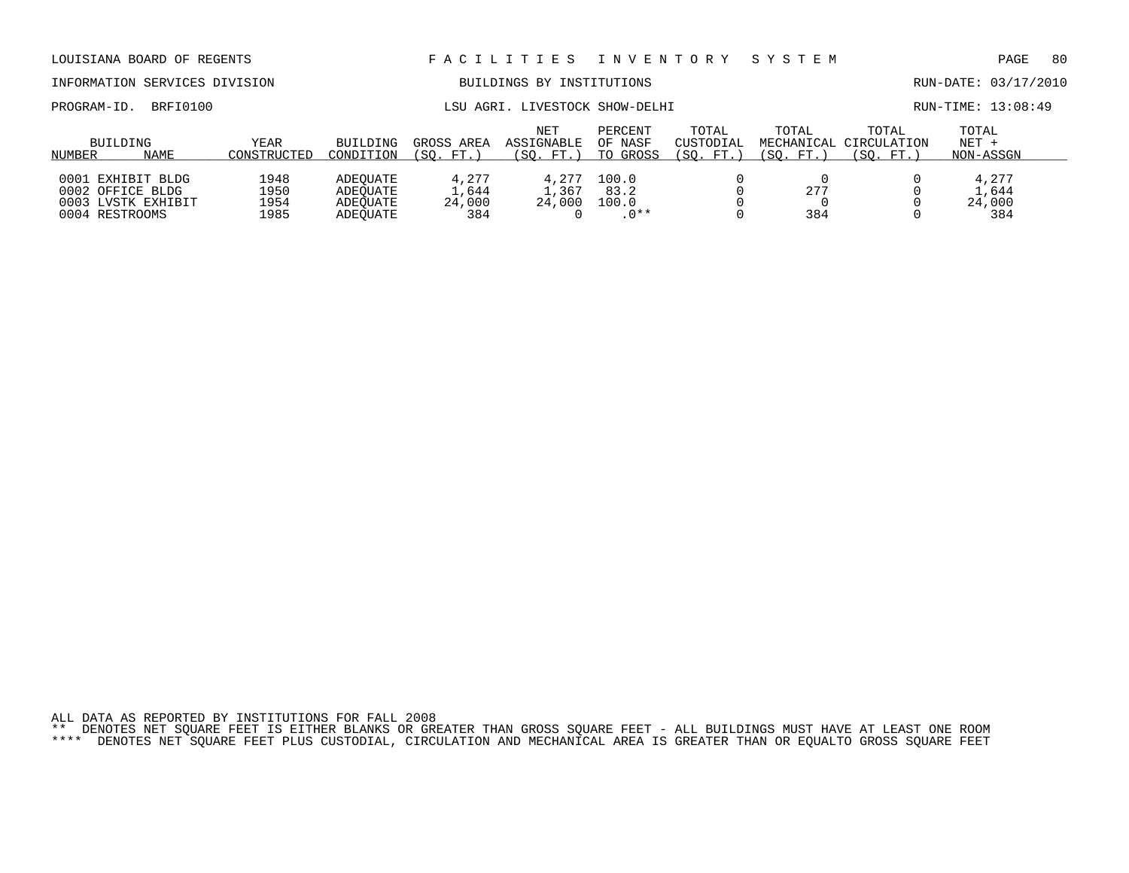## INFORMATION SERVICES DIVISION BUILDINGS BY INSTITUTIONS RUN-DATE: 03/17/2010

|            |          |       |                      |           | 13:08:49 |
|------------|----------|-------|----------------------|-----------|----------|
| PROGRAM-ID |          | AGRI. | LIVESTOCK SHOW-DELHI | RUN-TIME: |          |
|            | BRFI0100 | LSU   |                      |           |          |
|            |          |       |                      |           |          |

|        | BUILDING           | YEAR        | <b>BUILDING</b> | GROSS AREA | <b>NET</b><br>ASSIGNABLE | PERCENT<br>OF NASF | TOTAL<br>CUSTODIAL    | TOTAL      | TOTAL<br>MECHANICAL CIRCULATION | TOTAL<br>$NET +$ |
|--------|--------------------|-------------|-----------------|------------|--------------------------|--------------------|-----------------------|------------|---------------------------------|------------------|
| NUMBER | NAME               | CONSTRUCTED | CONDITION       | (SO. FT.)  | (SO. FT.)                | TO GROSS           | $\Gamma$ FT.,<br>(SO. | SO.<br>FT. | SO.<br>FT.                      | NON-ASSGN        |
|        |                    |             |                 |            |                          |                    |                       |            |                                 |                  |
|        | 0001 EXHIBIT BLDG  | 1948        | ADEOUATE        | 4,277      | 4.277                    | 100.0              |                       |            |                                 | 4.277            |
|        | 0002 OFFICE BLDG   | 1950        | ADEOUATE        | 1,644      | 1,367                    | 83.2               |                       | 277        |                                 | L.644            |
|        | 0003 LVSTK EXHIBIT | 1954        | ADEOUATE        | 24,000     | 24,000                   | 100.0              |                       |            |                                 | 24,000           |
|        | 0004 RESTROOMS     | 1985        | ADEOUATE        | 384        |                          | $0***$             |                       | 384        |                                 | 384              |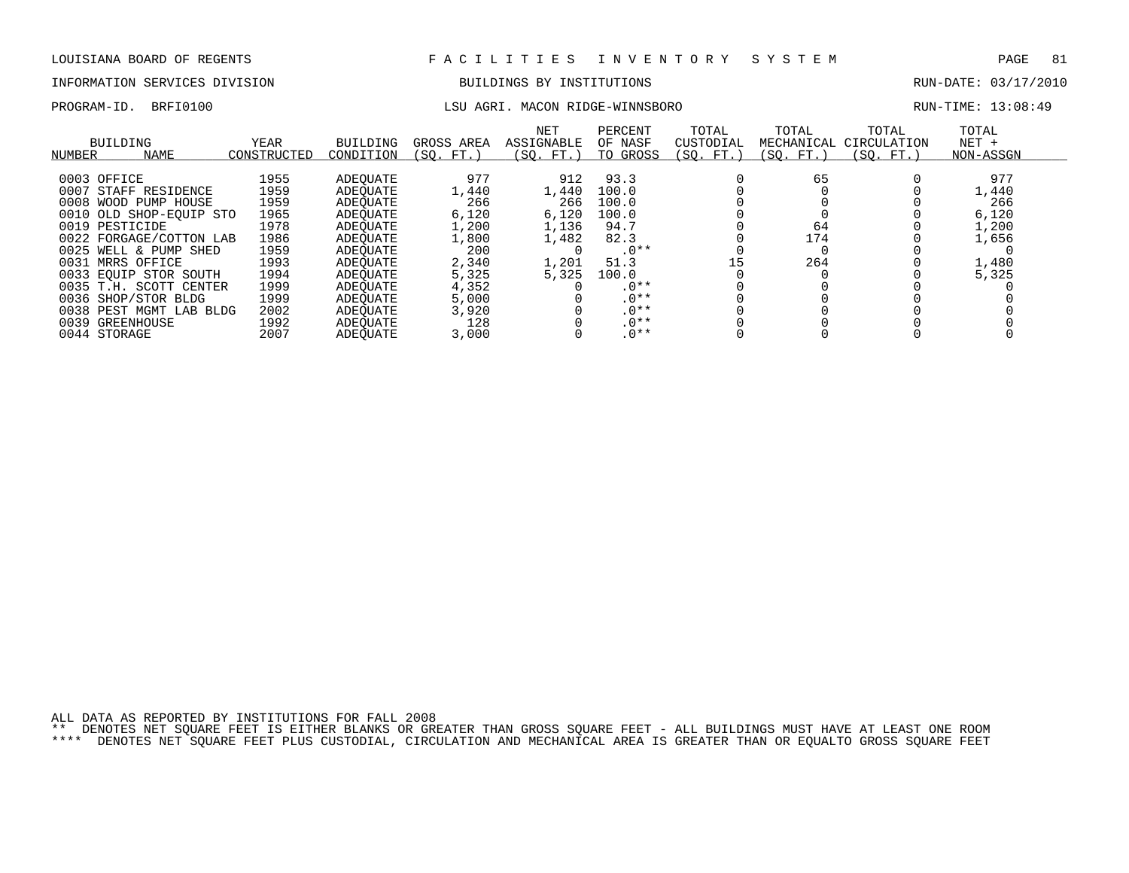# INFORMATION SERVICES DIVISION BUILDINGS BY INSTITUTIONS AND RUN-DATE: 03/17/2010

### PROGRAM-ID. BRFI0100 LSU AGRI. MACON RIDGE-WINNSBORO RUN-TIME: 13:08:49

| BUILDING<br>NAME<br>NUMBER | YEAR<br>CONSTRUCTED | BUILDING<br>CONDITION | GROSS AREA<br>(SO. FT. ) | NET<br>ASSIGNABLE<br>(SO. FT. ) | PERCENT<br>OF NASF<br>TO GROSS | TOTAL<br>CUSTODIAL<br>(SO. FT.) | TOTAL<br>MECHANICAL<br>(SO. FT.) | TOTAL<br>CIRCULATION<br>(SO. FT.) | TOTAL<br>$NET +$<br>NON-ASSGN |  |
|----------------------------|---------------------|-----------------------|--------------------------|---------------------------------|--------------------------------|---------------------------------|----------------------------------|-----------------------------------|-------------------------------|--|
| 0003 OFFICE                | 1955                | ADEOUATE              | 977                      | 912                             | 93.3                           |                                 | 65                               |                                   | 977                           |  |
| 0007                       |                     |                       |                          |                                 | 100.0                          |                                 |                                  |                                   |                               |  |
| STAFF RESIDENCE            | 1959                | ADEOUATE              | 1,440                    | 1,440                           |                                |                                 |                                  |                                   | 1,440                         |  |
| 0008 WOOD PUMP HOUSE       | 1959                | ADEOUATE              | 266                      | 266                             | 100.0                          |                                 |                                  |                                   | 266                           |  |
| 0010 OLD SHOP-EOUIP STO    | 1965                | ADEOUATE              | 6,120                    | 6,120                           | 100.0                          |                                 |                                  |                                   | 6,120                         |  |
| 0019 PESTICIDE             | 1978                | ADEOUATE              | 1,200                    | 1,136                           | 94.7                           |                                 | 64                               |                                   | 1,200                         |  |
| 0022 FORGAGE/COTTON LAB    | 1986                | ADEOUATE              | 1,800                    | 1,482                           | 82.3                           |                                 | 174                              |                                   | 1,656                         |  |
| 0025 WELL & PUMP SHED      | 1959                | ADEOUATE              | 200                      |                                 | $.0**$                         |                                 |                                  |                                   |                               |  |
| 0031 MRRS OFFICE           | 1993                | ADEOUATE              | 2,340                    | 1,201                           | 51.3                           | 15                              | 264                              |                                   | 1,480                         |  |
| 0033 EQUIP STOR SOUTH      | 1994                | ADEOUATE              | 5,325                    | 5,325                           | 100.0                          |                                 |                                  |                                   | 5,325                         |  |
| 0035 T.H. SCOTT CENTER     | 1999                | ADEOUATE              | 4,352                    |                                 | $.0**$                         |                                 |                                  |                                   |                               |  |
| 0036 SHOP/STOR BLDG        | 1999                | ADEOUATE              | 5,000                    |                                 | $.0**$                         |                                 |                                  |                                   |                               |  |
| 0038 PEST MGMT LAB BLDG    | 2002                | ADEOUATE              | 3,920                    |                                 | $.0**$                         |                                 |                                  |                                   |                               |  |
| 0039 GREENHOUSE            | 1992                | ADEOUATE              | 128                      |                                 | $.0**$                         |                                 |                                  |                                   |                               |  |
| 0044 STORAGE               | 2007                | ADEOUATE              | 3,000                    |                                 | $.0**$                         |                                 |                                  |                                   |                               |  |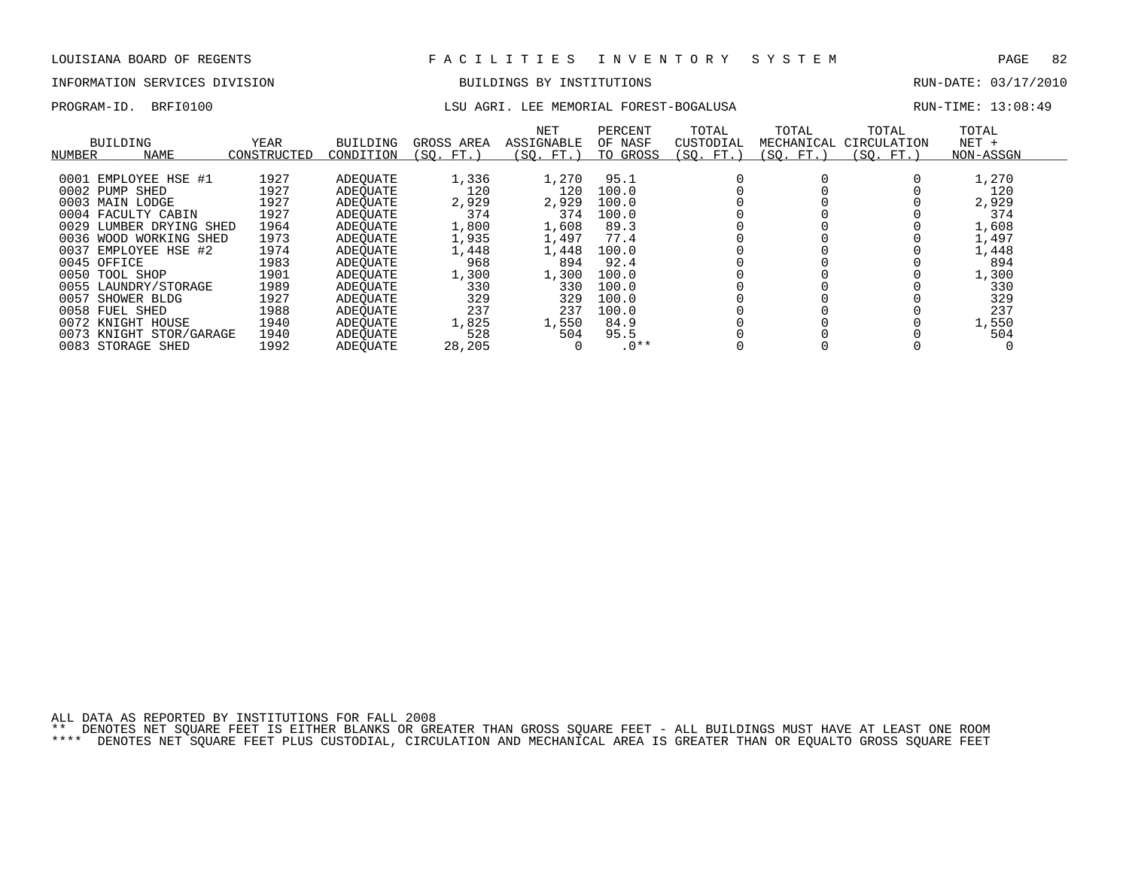## INFORMATION SERVICES DIVISION BUILDINGS BY INSTITUTIONS RUN-DATE: 03/17/2010

# PROGRAM-ID. BRFI0100 **LSU AGRI. LEE MEMORIAL FOREST-BOGALUSA** RUN-TIME: 13:08:49

| RUN-TIME: 13:08:49 |  |  |  |
|--------------------|--|--|--|
|--------------------|--|--|--|

| NUMBER | BUILDING<br><b>NAME</b> | YEAR<br>CONSTRUCTED | BUILDING<br>CONDITION | GROSS AREA<br>(SQ. FT. | NET<br>ASSIGNABLE<br>(SO. FT.) | PERCENT<br>OF NASF<br>TO GROSS | TOTAL<br>CUSTODIAL<br>(SO. FT.) | TOTAL<br>MECHANICAL<br>(SO. FT.) | TOTAL<br>CIRCULATION<br>(SO. FT.) | TOTAL<br>$NET +$<br>NON-ASSGN |  |
|--------|-------------------------|---------------------|-----------------------|------------------------|--------------------------------|--------------------------------|---------------------------------|----------------------------------|-----------------------------------|-------------------------------|--|
|        |                         |                     |                       |                        |                                |                                |                                 |                                  |                                   |                               |  |
|        | 0001 EMPLOYEE HSE #1    | 1927                | ADEOUATE              | 1,336                  | 1,270                          | 95.1                           |                                 |                                  |                                   | 1,270                         |  |
|        | 0002 PUMP SHED          | 1927                | ADEOUATE              | 120                    | 120                            | 100.0                          |                                 |                                  |                                   | 120                           |  |
|        | 0003 MAIN LODGE         | 1927                | ADEOUATE              | 2,929                  | 2,929                          | 100.0                          |                                 |                                  |                                   | 2,929                         |  |
|        | 0004 FACULTY CABIN      | 1927                | ADEOUATE              | 374                    | 374                            | 100.0                          |                                 |                                  |                                   | 374                           |  |
| 0029   | LUMBER DRYING SHED      | 1964                | ADEOUATE              | 1,800                  | 1,608                          | 89.3                           |                                 |                                  |                                   | 1,608                         |  |
| 0036   | WORKING SHED<br>WOOD    | 1973                | ADEOUATE              | 1,935                  | 1,497                          | 77.4                           |                                 |                                  |                                   | 1,497                         |  |
| 0037   | EMPLOYEE HSE #2         | 1974                | ADEOUATE              | 1,448                  | 1,448                          | 100.0                          |                                 |                                  |                                   | 1,448                         |  |
|        | 0045 OFFICE             | 1983                | ADEOUATE              | 968                    | 894                            | 92.4                           |                                 |                                  |                                   | 894                           |  |
|        | 0050 TOOL SHOP          | 1901                | ADEOUATE              | 1,300                  | 1,300                          | 100.0                          |                                 |                                  |                                   | 1,300                         |  |
|        | 0055 LAUNDRY/STORAGE    | 1989                | ADEOUATE              | 330                    | 330                            | 100.0                          |                                 |                                  |                                   | 330                           |  |
| 0057   | SHOWER BLDG             | 1927                | ADEOUATE              | 329                    | 329                            | 100.0                          |                                 |                                  |                                   | 329                           |  |
|        | 0058 FUEL SHED          | 1988                | ADEOUATE              | 237                    | 237                            | 100.0                          |                                 |                                  |                                   | 237                           |  |
|        | 0072 KNIGHT HOUSE       | 1940                | ADEOUATE              | 1,825                  | 1,550                          | 84.9                           |                                 |                                  |                                   | 1,550                         |  |
| 0073   | KNIGHT STOR/GARAGE      | 1940                | ADEOUATE              | 528                    | 504                            | 95.5                           |                                 |                                  |                                   | 504                           |  |
|        | 0083 STORAGE SHED       | 1992                | <b>ADEOUATE</b>       | 28,205                 |                                | $.0**$                         |                                 |                                  |                                   |                               |  |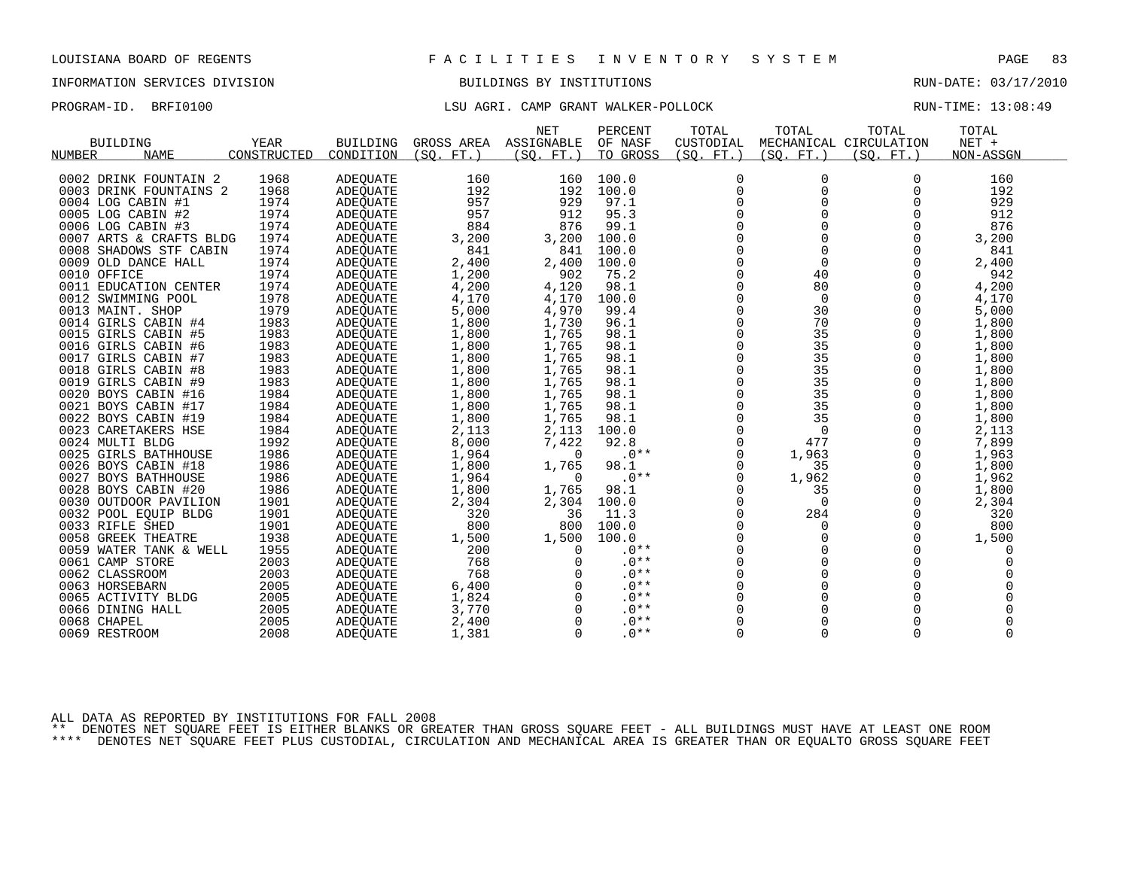# INFORMATION SERVICES DIVISION BUILDINGS BY INSTITUTIONS AND RUN-DATE: 03/17/2010

## PROGRAM-ID. BRFI0100 **LSU AGRI.** CAMP GRANT WALKER-POLLOCK RUN-TIME: 13:08:49

|                         |             |                 |            | <b>NET</b> | PERCENT  | TOTAL       | TOTAL       | TOTAL                  | TOTAL     |  |
|-------------------------|-------------|-----------------|------------|------------|----------|-------------|-------------|------------------------|-----------|--|
| <b>BUILDING</b>         | YEAR        | <b>BUILDING</b> | GROSS AREA | ASSIGNABLE | OF NASF  | CUSTODIAL   |             | MECHANICAL CIRCULATION | NET +     |  |
| <b>NAME</b><br>NUMBER   | CONSTRUCTED | CONDITION       | (SO. FT. ) | (SO. FT. ) | TO GROSS | (SO. FT.)   | (SO. FT. )  | (SO. FT.)              | NON-ASSGN |  |
|                         |             |                 |            |            |          |             |             |                        |           |  |
| 0002 DRINK FOUNTAIN 2   | 1968        | <b>ADEQUATE</b> | 160        | 160        | 100.0    | $\mathbf 0$ | 0           | 0                      | 160       |  |
| 0003 DRINK FOUNTAINS 2  | 1968        | ADEQUATE        | 192        | 192        | 100.0    | $\mathbf 0$ | $\Omega$    | $\Omega$               | 192       |  |
| 0004 LOG CABIN #1       | 1974        | <b>ADEQUATE</b> | 957        | 929        | 97.1     | $\Omega$    | $\Omega$    | $\Omega$               | 929       |  |
| 0005 LOG CABIN #2       | 1974        | <b>ADEQUATE</b> | 957        | 912        | 95.3     | $\Omega$    | $\Omega$    | $\Omega$               | 912       |  |
| 0006 LOG CABIN #3       | 1974        | <b>ADEOUATE</b> | 884        | 876        | 99.1     | $\mathbf 0$ | 0           |                        | 876       |  |
| 0007 ARTS & CRAFTS BLDG | 1974        | ADEQUATE        | 3,200      | 3,200      | 100.0    | $\mathbf 0$ | 0           | 0                      | 3,200     |  |
| 0008 SHADOWS STF CABIN  | 1974        | <b>ADEOUATE</b> | 841        | 841        | 100.0    | $\Omega$    | 0           | $\Omega$               | 841       |  |
| 0009 OLD DANCE HALL     | 1974        | ADEQUATE        | 2,400      | 2,400      | 100.0    | $\mathbf 0$ | $\mathbf 0$ | $\Omega$               | 2,400     |  |
| 0010 OFFICE             | 1974        | ADEQUATE        | 1,200      | 902        | 75.2     | $\Omega$    | 40          | O                      | 942       |  |
| 0011 EDUCATION CENTER   | 1974        | ADEQUATE        | 4,200      | 4,120      | 98.1     | $\Omega$    | 80          | $\Omega$               | 4,200     |  |
| 0012 SWIMMING POOL      | 1978        | <b>ADEQUATE</b> | 4,170      | 4,170      | 100.0    | $\Omega$    | $\mathbf 0$ | $\Omega$               | 4,170     |  |
| 0013 MAINT, SHOP        | 1979        | <b>ADEOUATE</b> | 5,000      | 4,970      | 99.4     | $\mathbf 0$ | 30          | $\mathbf 0$            | 5,000     |  |
| 0014 GIRLS CABIN #4     | 1983        | ADEQUATE        | 1,800      | 1,730      | 96.1     | 0           | 70          | 0                      | 1,800     |  |
| 0015 GIRLS CABIN #5     | 1983        | ADEQUATE        | 1,800      | 1,765      | 98.1     | $\Omega$    | 35          | $\Omega$               | 1,800     |  |
| 0016 GIRLS CABIN #6     | 1983        | ADEQUATE        | 1,800      | 1,765      | 98.1     | 0           | 35          | 0                      | 1,800     |  |
| 0017 GIRLS CABIN #7     | 1983        | ADEQUATE        | 1,800      | 1,765      | 98.1     | 0           | 35          |                        | 1,800     |  |
| 0018 GIRLS CABIN #8     | 1983        | <b>ADEOUATE</b> | 1,800      | 1,765      | 98.1     | 0           | 35          | 0                      | 1,800     |  |
| 0019 GIRLS CABIN #9     | 1983        | <b>ADEOUATE</b> | 1,800      | 1,765      | 98.1     | $\Omega$    | 35          | $\Omega$               | 1,800     |  |
| 0020 BOYS CABIN #16     | 1984        | ADEQUATE        | 1,800      | 1,765      | 98.1     | 0           | 35          | 0                      | 1,800     |  |
| 0021 BOYS CABIN #17     | 1984        | ADEQUATE        | 1,800      | 1,765      | 98.1     | $\mathbf 0$ | 35          | $\Omega$               | 1,800     |  |
| 0022 BOYS CABIN #19     | 1984        | ADEQUATE        | 1,800      | 1,765      | 98.1     | $\Omega$    | 35          | $\Omega$               | 1,800     |  |
| 0023 CARETAKERS HSE     | 1984        | <b>ADEQUATE</b> | 2,113      | 2,113      | 100.0    | $\mathbf 0$ | $\Omega$    | $\Omega$               | 2,113     |  |
| 0024 MULTI BLDG         | 1992        | <b>ADEOUATE</b> | 8,000      | 7,422      | 92.8     | $\mathbf 0$ | 477         |                        | 7,899     |  |
| 0025 GIRLS BATHHOUSE    | 1986        | ADEQUATE        | 1,964      | $\Omega$   | $.0**$   | 0           | 1,963       | $\Omega$               | 1,963     |  |
| 0026 BOYS CABIN #18     | 1986        | <b>ADEOUATE</b> | 1,800      | 1,765      | 98.1     | $\Omega$    | 35          |                        | 1,800     |  |
| 0027 BOYS BATHHOUSE     | 1986        | ADEQUATE        | 1,964      | $\Omega$   | $.0**$   | 0           | 1,962       | 0                      | 1,962     |  |
| 0028 BOYS CABIN #20     | 1986        | ADEQUATE        | 1,800      | 1,765      | 98.1     | 0           | 35          | 0                      | 1,800     |  |
| 0030 OUTDOOR PAVILION   | 1901        | ADEQUATE        | 2,304      | 2,304      | 100.0    | 0           | $\Omega$    | $\Omega$               | 2,304     |  |
| 0032 POOL EQUIP BLDG    | 1901        | <b>ADEOUATE</b> | 320        | 36         | 11.3     | $\Omega$    | 284         | $\Omega$               | 320       |  |
| 0033 RIFLE SHED         | 1901        | <b>ADEOUATE</b> | 800        | 800        | 100.0    | $\mathbf 0$ | 0           | $\Omega$               | 800       |  |
| 0058 GREEK THEATRE      | 1938        | ADEQUATE        | 1,500      | 1,500      | 100.0    | $\mathbf 0$ | 0           | $\Omega$               | 1,500     |  |
| 0059 WATER TANK & WELL  | 1955        | <b>ADEOUATE</b> | 200        | 0          | $.0**$   | $\Omega$    | $\Omega$    |                        | 0         |  |
| 0061 CAMP STORE         | 2003        | ADEQUATE        | 768        | $\Omega$   | $.0**$   | 0           | 0           | $\Omega$               |           |  |
| 0062 CLASSROOM          | 2003        | <b>ADEOUATE</b> | 768        |            | $.0**$   | $\mathbf 0$ | 0           |                        |           |  |
| 0063 HORSEBARN          | 2005        | <b>ADEOUATE</b> | 6,400      |            | $.0**$   | 0           | 0           |                        |           |  |
| 0065 ACTIVITY BLDG      | 2005        | ADEQUATE        | 1,824      | $\Omega$   | $.0**$   | $\Omega$    | $\Omega$    | $\Omega$               |           |  |
| 0066 DINING HALL        | 2005        | ADEQUATE        | 3,770      | 0          | $.0**$   | $\mathbf 0$ | 0           |                        |           |  |
| 0068 CHAPEL             | 2005        | ADEQUATE        | 2,400      | $\Omega$   | $.0**$   | $\Omega$    |             |                        |           |  |
| 0069 RESTROOM           | 2008        | ADEQUATE        | 1,381      | $\Omega$   | $.0**$   | 0           | $\Omega$    | $\Omega$               | $\Omega$  |  |
|                         |             |                 |            |            |          |             |             |                        |           |  |

ALL DATA AS REPORTED BY INSTITUTIONS FOR FALL 2008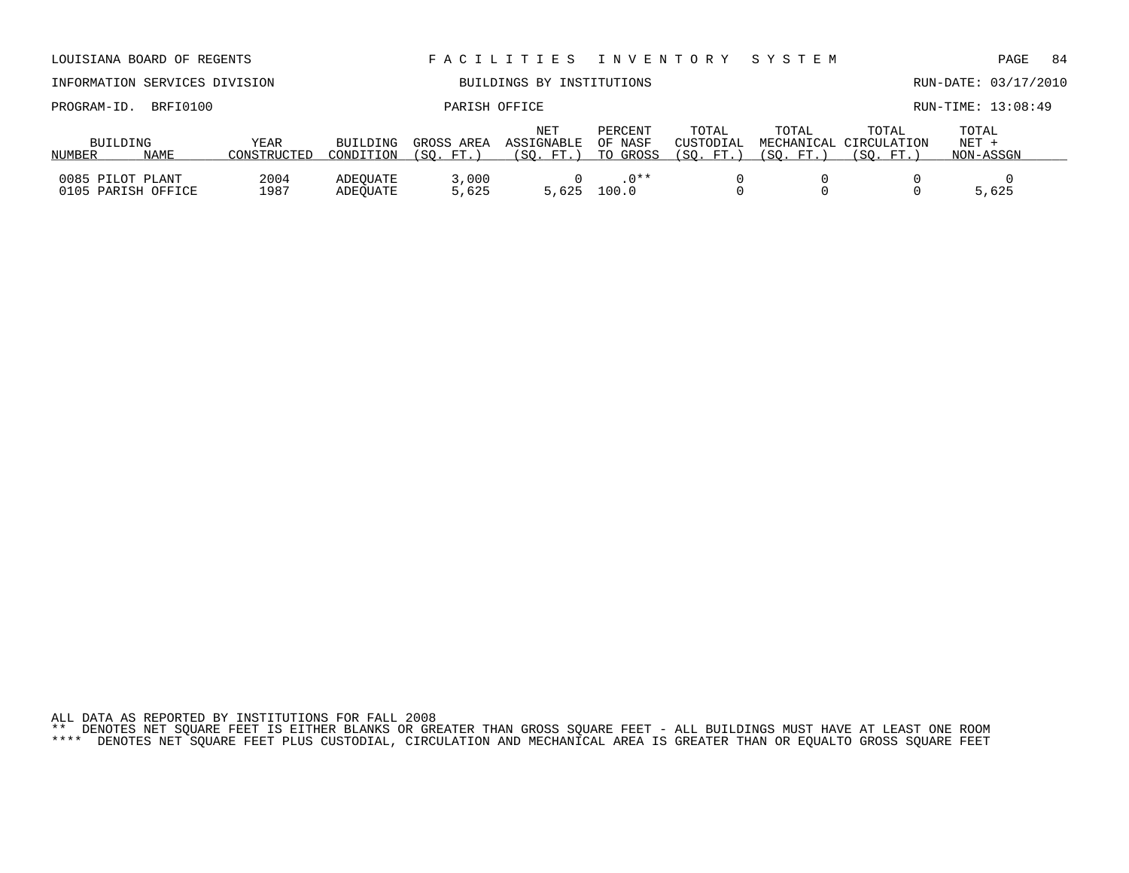| INFORMATION SERVICES DIVISION          |          |                            |                       | BUILDINGS BY INSTITUTIONS |                                |                                |                                |                    |                                              | RUN-DATE: 03/17/2010          |  |  |
|----------------------------------------|----------|----------------------------|-----------------------|---------------------------|--------------------------------|--------------------------------|--------------------------------|--------------------|----------------------------------------------|-------------------------------|--|--|
| PROGRAM-ID.                            | BRFI0100 |                            |                       | PARISH OFFICE             |                                |                                |                                |                    |                                              | RUN-TIME: 13:08:49            |  |  |
| BUILDING<br>NUMBER                     | NAME     | <b>YEAR</b><br>CONSTRUCTED | BUILDING<br>CONDITION | GROSS AREA<br>(SO. FT. )  | NET<br>ASSIGNABLE<br>(SO. FT.) | PERCENT<br>OF NASF<br>TO GROSS | TOTAL<br>CUSTODIAL<br>(SO. FT. | TOTAL<br>(SO. FT.) | TOTAL<br>MECHANICAL CIRCULATION<br>(SO. FT.) | TOTAL<br>$NET +$<br>NON-ASSGN |  |  |
| 0085 PILOT PLANT<br>0105 PARISH OFFICE |          | 2004<br>1987               | ADEOUATE<br>ADEOUATE  | 3,000<br>5,625            | 5,625                          | $.0**$<br>100.0                |                                |                    |                                              | 5,625                         |  |  |

LOUISIANA BOARD OF REGENTS F A C I L I T I E S I N V E N T O R Y S Y S T E M PAGE 84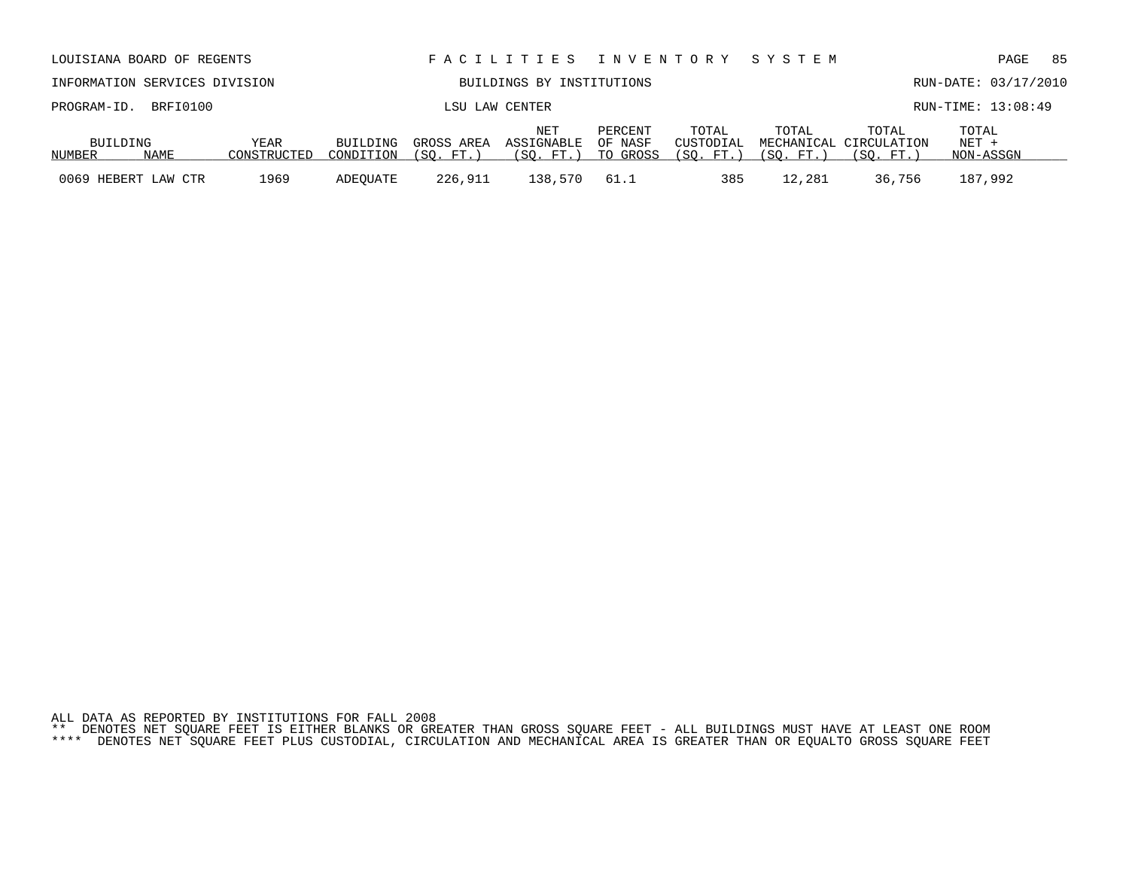|  |  |  | ALL DATA AS REPORTED BY INSTITUTIONS FOR FALL 2008 |                                                                                                                                                                                                                                |  |  |  |  |  |  |
|--|--|--|----------------------------------------------------|--------------------------------------------------------------------------------------------------------------------------------------------------------------------------------------------------------------------------------|--|--|--|--|--|--|
|  |  |  |                                                    | ** DENOTES NET SQUARE FEET IS EITHER BLANKS OR GREATER THAN GROSS SQUARE FEET - ALL BUILDINGS MUST HAVE AT LEAST ONE ROOM                                                                                                      |  |  |  |  |  |  |
|  |  |  |                                                    | put action once on the put and manufacturer of the Marchi and Maritimizer in the Transport and the contract on the three deals and the transporter and the transporter and the service or the service or the service or the se |  |  |  |  |  |  |

| PROGRAM-ID.         | BRFI0100 |                     |                       |                         | LSU LAW CENTER                             |                                |                                  |                    |                                              | RUN-TIME: 13:08:49            |
|---------------------|----------|---------------------|-----------------------|-------------------------|--------------------------------------------|--------------------------------|----------------------------------|--------------------|----------------------------------------------|-------------------------------|
| BUILDING<br>NUMBER  | NAME     | YEAR<br>CONSTRUCTED | BUILDING<br>CONDITION | GROSS AREA<br>(SO, FT.) | NE <sup>1</sup><br>ASSIGNABLE<br>(SO. FT.) | PERCENT<br>OF NASF<br>TO GROSS | TOTAL<br>CUSTODIAL<br>(SO. FT. ) | TOTAL<br>(SO, FT.) | TOTAL<br>MECHANICAL CIRCULATION<br>(SO. FT.) | TOTAL<br>$NET +$<br>NON-ASSGN |
| 0069 HEBERT LAW CTR |          | 1969                | ADEOUATE              | 226,911                 | 138,570                                    | 61.1                           | 385                              | 12,281             | 36,756                                       | 187,992                       |

INFORMATION SERVICES DIVISION BUILDINGS BY INSTITUTIONS RUN-DATE: 03/17/2010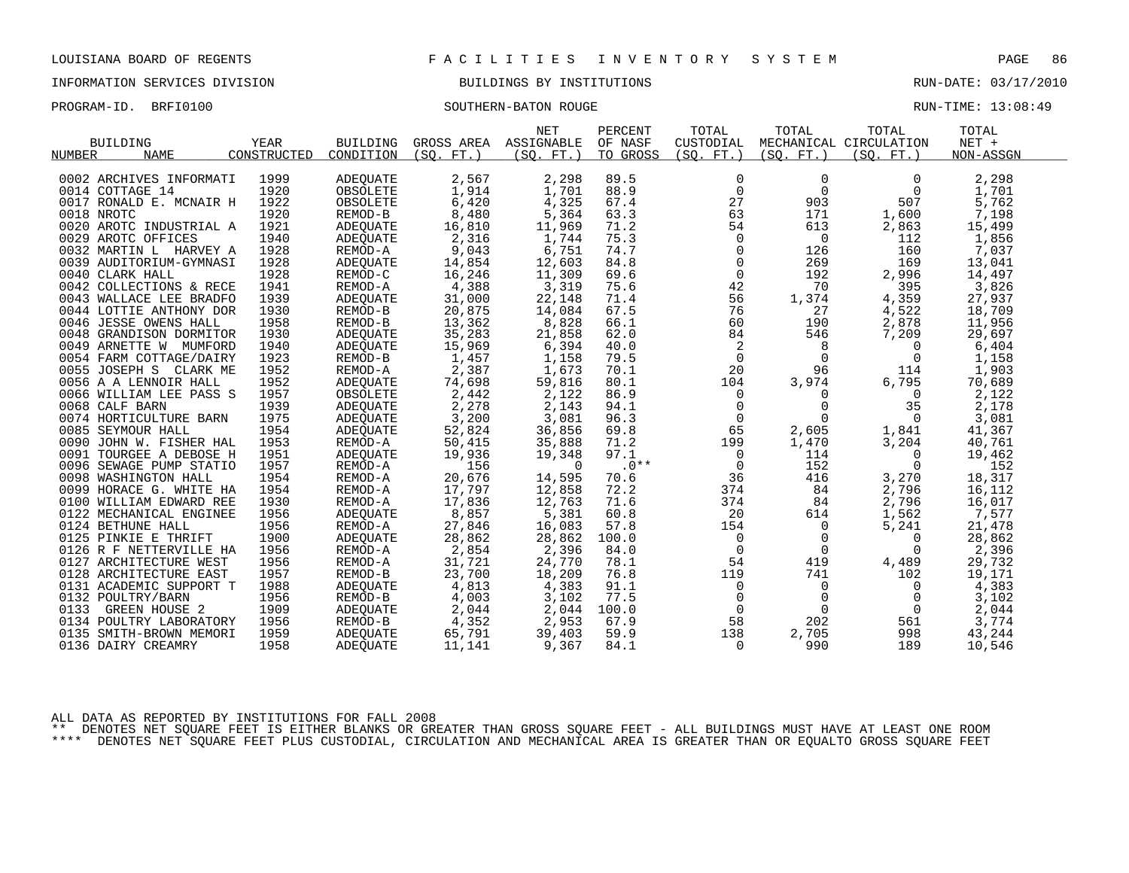## INFORMATION SERVICES DIVISION BUILDINGS BY INSTITUTIONS RUN-DATE: 03/17/2010

PROGRAM-ID. BRFI0100 SOUTHERN-BATON ROUGE RUN-TIME: 13:08:49

|                              |             |                     |            | <b>NET</b> | PERCENT  | TOTAL          | TOTAL          | TOTAL                  | TOTAL           |
|------------------------------|-------------|---------------------|------------|------------|----------|----------------|----------------|------------------------|-----------------|
| <b>BUILDING</b>              | <b>YEAR</b> | <b>BUILDING</b>     | GROSS AREA | ASSIGNABLE | OF NASF  | CUSTODIAL      |                | MECHANICAL CIRCULATION | $NET +$         |
| <b>NUMBER</b><br><b>NAME</b> | CONSTRUCTED | CONDITION           | (SO. FT. ) | (SO. FT. ) | TO GROSS | (SO. FT. )     | (SO. FT. )     | (SO. FT.)              | NON-ASSGN       |
|                              |             |                     |            |            |          |                |                |                        |                 |
| 0002 ARCHIVES INFORMATI      | 1999        | ADEQUATE            | 2,567      | 2,298      | 89.5     | 0              | $\mathbf 0$    | $\Omega$               | 2,298           |
| 0014 COTTAGE 14              | 1920        | OBSOLETE            | 1,914      | 1,701      | 88.9     | $\overline{0}$ | $\mathbf{0}$   | 0                      | 1,701           |
| 0017 RONALD E. MCNAIR H      | 1922        | OBSOLETE            | 6,420      | 4,325      | 67.4     | 27             | 903            | 507                    | 5,762           |
| 0018 NROTC                   | 1920        | REMOD-B             | 8,480      | 5,364      | 63.3     | 63             | 171            | 1,600                  | 7,198           |
| 0020 AROTC INDUSTRIAL A      | 1921        | ADEQUATE            | 16,810     | 11,969     | 71.2     | 54             | 613            | 2,863                  | 15,499          |
| 0029 AROTC OFFICES           | 1940        | ADEQUATE            | 2,316      | 1,744      | 75.3     | $\mathbf 0$    | $\overline{0}$ | 112                    | 1,856           |
| 0032 MARTIN L HARVEY A       | 1928        | REMOD-A             | 9,043      | 6,751      | 74.7     | $\mathsf{O}$   | 126            | 160                    | 7,037           |
| 0039 AUDITORIUM-GYMNASI      | 1928        | ADEOUATE            | 14,854     | 12,603     | 84.8     | 0              | 269            | 169                    | 13,041          |
| 0040 CLARK HALL              | 1928        | REMOD-C             | 16,246     | 11,309     | 69.6     | $\mathbf 0$    | 192            | 2,996                  | 14,497          |
| 0042 COLLECTIONS & RECE      | 1941        | REMOD-A             | 4,388      | 3,319      | 75.6     | 42             | 70             | 395                    | 3,826           |
| 0043 WALLACE LEE BRADFO      | 1939        | ADEQUATE            | 31,000     | 22,148     | 71.4     | 56             | 1,374          | 4,359                  | 27,937          |
| 0044 LOTTIE ANTHONY DOR      | 1930        | REMOD-B             | 20,875     | 14,084     | 67.5     | 76             | 27             | 4,522                  | 18,709          |
| 0046 JESSE OWENS HALL        | 1958        | REMOD-B             | 13,362     | 8,828      | 66.1     | 60             | 190            | 2,878                  | 11,956          |
| 0048 GRANDISON DORMITOR      | 1930        | ADEOUATE            | 35,283     | 21,858     | 62.0     | 84             | 546            | 7,209                  | 29,697          |
| 0049 ARNETTE W MUMFORD       | 1940        | ADEQUATE            | 15,969     | 6,394      | 40.0     | 2              | 8              | $\Omega$               | 6,404           |
| 0054 FARM COTTAGE/DAIRY      | 1923        | REMOD-B             | 1,457      | 1,158      | 79.5     | $\mathsf{O}$   | $\mathbf 0$    | 0                      | 1,158           |
| 0055 JOSEPH S CLARK ME       | 1952        | REMOD-A             | 2,387      | 1,673      | 70.1     | 20             | 96             | 114                    | 1,903           |
| 0056 A A LENNOIR HALL        | 1952        | ADEQUATE            | 74,698     | 59,816     | 80.1     | 104            | 3,974          | 6,795                  | 70,689          |
| 0066 WILLIAM LEE PASS S      | 1957        | OBSOLETE            | 2,442      | 2,122      | 86.9     | 0              | 0              | $\Omega$               | 2,122           |
| 0068 CALF BARN               | 1939        | ADEQUATE            | 2,278      | 2,143      | 94.1     | 0              | $\mathbf 0$    | 35                     | 2,178           |
| 0074 HORTICULTURE BARN       | 1975        | ADEOUATE            | 3,200      | 3,081      | 96.3     | 0              | $\Omega$       | 0                      | 3,081           |
| 0085 SEYMOUR HALL            | 1954        | ADEQUATE            | 52,824     | 36,856     | 69.8     | 65             | 2,605          | 1,841                  | 41,367          |
| 0090 JOHN W. FISHER HAL      | 1953        | REMOD-A             | 50,415     | 35,888     | 71.2     | 199            | 1,470          | 3,204                  | 40,761          |
| 0091 TOURGEE A DEBOSE H      | 1951        | ADEQUATE            | 19,936     | 19,348     | 97.1     | 0              | 114            | 0                      | 19,462          |
| 0096 SEWAGE PUMP STATIO      | 1957        | REMOD-A             | 156        | $\Omega$   | $.0**$   | 0              | 152            | 0                      | 152             |
| 0098 WASHINGTON HALL         | 1954        | REMOD-A             | 20,676     | 14,595     | 70.6     | 36             | 416            | 3,270                  | 18,317          |
| 0099 HORACE G. WHITE HA      | 1954        | REMOD-A             | 17,797     | 12,858     | 72.2     | 374            | 84             | 2,796                  | 16,112          |
| 0100 WILLIAM EDWARD REE      | 1930        | REMOD-A             | 17,836     | 12,763     | 71.6     | 374            | 84             | 2,796                  | 16,017          |
| 0122 MECHANICAL ENGINEE      | 1956        | ADEOUATE            | 8,857      | 5,381      | 60.8     | 20             | 614            | 1,562                  | 7,577           |
| 0124 BETHUNE HALL            | 1956        | REMOD-A             | 27,846     | 16,083     | 57.8     | 154            | $\overline{0}$ |                        | 21,478          |
| 0125 PINKIE E THRIFT         | 1900        |                     | 28,862     | 28,862     | 100.0    | 0              | 0              | 5,241<br>0             | 28,862          |
| 0126 R F NETTERVILLE HA      | 1956        | ADEQUATE<br>REMOD-A |            | 2,396      | 84.0     | $\mathsf{O}$   | $\overline{0}$ | $\Omega$               |                 |
|                              |             |                     | 2,854      |            |          | 54             |                |                        | 2,396<br>29,732 |
| 0127 ARCHITECTURE WEST       | 1956        | REMOD-A             | 31,721     | 24,770     | 78.1     |                | 419            | 4,489                  |                 |
| 0128 ARCHITECTURE EAST       | 1957        | REMOD-B             | 23,700     | 18,209     | 76.8     | 119            | 741            | 102                    | 19,171          |
| 0131 ACADEMIC SUPPORT T      | 1988        | ADEOUATE            | 4,813      | 4,383      | 91.1     | 0              | 0              | 0                      | 4,383           |
| 0132 POULTRY/BARN            | 1956        | REMOD-B             | 4,003      | 3,102      | 77.5     | 0              | 0              | 0                      | 3,102           |
| 0133<br><b>GREEN HOUSE 2</b> | 1909        | ADEOUATE            | 2,044      | 2,044      | 100.0    | $\mathbf 0$    | $\Omega$       | 0                      | 2,044           |
| 0134 POULTRY LABORATORY      | 1956        | REMOD-B             | 4,352      | 2,953      | 67.9     | 58             | 202            | 561                    | 3,774           |
| 0135<br>SMITH-BROWN MEMORI   | 1959        | ADEOUATE            | 65,791     | 39,403     | 59.9     | 138            | 2,705          | 998                    | 43,244          |
| 0136 DAIRY CREAMRY           | 1958        | <b>ADEQUATE</b>     | 11,141     | 9,367      | 84.1     | $\Omega$       | 990            | 189                    | 10,546          |

ALL DATA AS REPORTED BY INSTITUTIONS FOR FALL 2008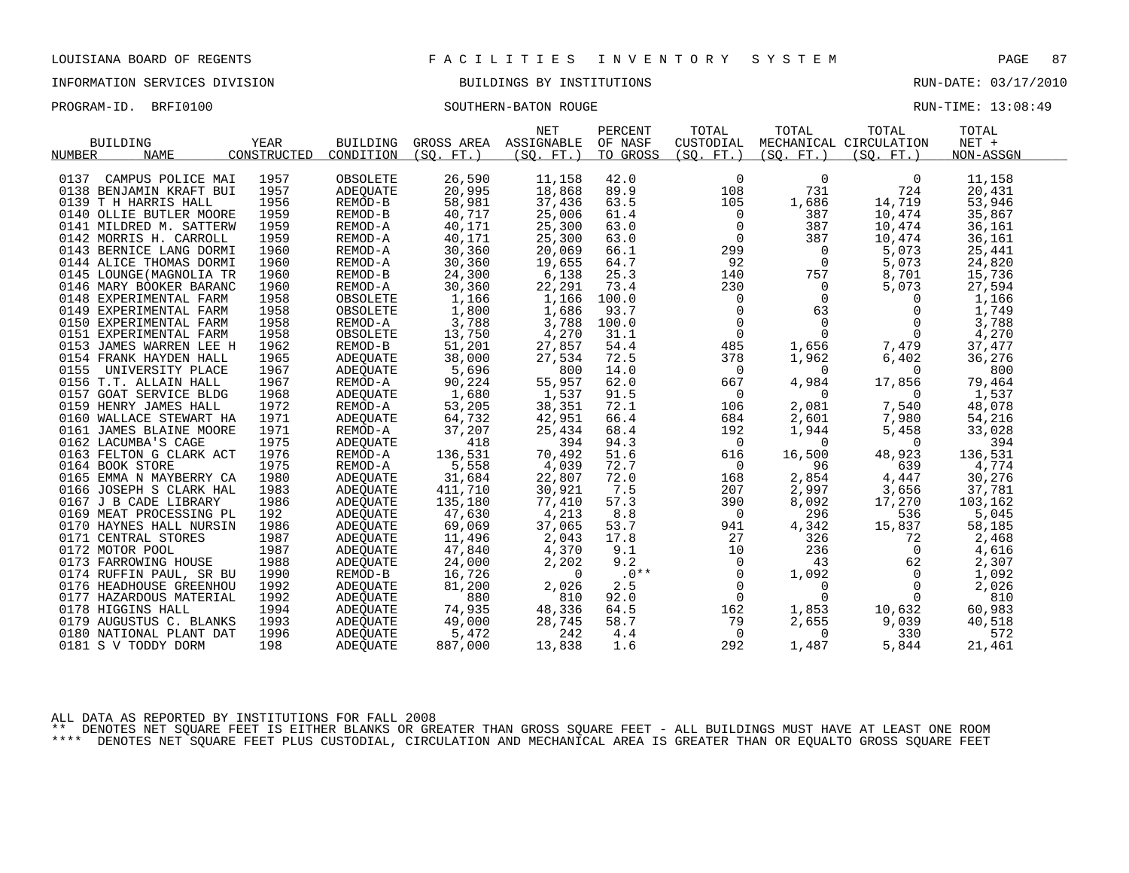INFORMATION SERVICES DIVISION BUILDINGS BY INSTITUTIONS RUN-DATE: 03/17/2010

PROGRAM-ID. BRFI0100 SOUTHERN-BATON ROUGE RUN-TIME: 13:08:49

| BUILDING<br><b>NAME</b><br>NUMBER | YEAR<br>CONSTRUCTED | <b>BUILDING</b><br>CONDITION | (SO. FT.) | <b>NET</b><br>GROSS AREA ASSIGNABLE<br>(SO. FT.) | PERCENT<br>OF NASF<br>TO GROSS | TOTAL<br>CUSTODIAL<br>(SO. FT. ) | TOTAL<br>(SQ. FT. ) | TOTAL<br>MECHANICAL CIRCULATION<br>(SO. FT.) | TOTAL<br>$NET +$<br>NON-ASSGN |  |
|-----------------------------------|---------------------|------------------------------|-----------|--------------------------------------------------|--------------------------------|----------------------------------|---------------------|----------------------------------------------|-------------------------------|--|
| CAMPUS POLICE MAI<br>0137         | 1957                | OBSOLETE                     | 26,590    | 11,158                                           | 42.0                           | 0                                | $\mathbf 0$         | 0                                            | 11,158                        |  |
| 0138 BENJAMIN KRAFT BUI           | 1957                | ADEQUATE                     | 20,995    | 18,868                                           | 89.9                           | 108                              | 731                 | 724                                          | 20,431                        |  |
| 0139 T H HARRIS HALL              | 1956                | REMOD-B                      | 58,981    | 37,436                                           | 63.5                           | 105                              | 1,686               | 14,719                                       | 53,946                        |  |
| 0140 OLLIE BUTLER MOORE           | 1959                | REMOD-B                      | 40,717    | 25,006                                           | 61.4                           | $\overline{0}$                   | 387                 | 10,474                                       | 35,867                        |  |
| 0141 MILDRED M. SATTERW           | 1959                | REMOD-A                      | 40,171    | 25,300                                           | 63.0                           | 0                                | 387                 | 10,474                                       | 36,161                        |  |
| 0142 MORRIS H. CARROLL            | 1959                | REMOD-A                      | 40,171    | 25,300                                           | 63.0                           | $\overline{0}$                   | 387                 | 10,474                                       | 36,161                        |  |
| 0143 BERNICE LANG DORMI           | 1960                | REMOD-A                      | 30,360    | 20,069                                           | 66.1                           | 299                              | $\overline{0}$      | 5,073                                        | 25,441                        |  |
| 0144 ALICE THOMAS DORMI           | 1960                | REMOD-A                      | 30,360    | 19,655                                           | 64.7                           | 92                               | $\overline{0}$      | 5,073                                        | 24,820                        |  |
| 0145 LOUNGE (MAGNOLIA TR          | 1960                | REMOD-B                      | 24,300    | 6,138                                            | 25.3                           | 140                              | 757                 | 8,701                                        | 15,736                        |  |
| 0146 MARY BOOKER BARANC           | 1960                | REMOD-A                      | 30,360    | 22,291                                           | 73.4                           | 230                              | $\overline{0}$      | 5,073                                        | 27,594                        |  |
| 0148 EXPERIMENTAL FARM            | 1958                | OBSOLETE                     | 1,166     | 1,166                                            | 100.0                          | $\mathsf{O}$                     | $\overline{0}$      | $\overline{0}$                               | 1,166                         |  |
| 0149 EXPERIMENTAL FARM            | 1958                | OBSOLETE                     | 1,800     | 1,686                                            | 93.7                           | $\mathsf{O}$                     | 63                  | 0                                            | 1,749                         |  |
| 0150 EXPERIMENTAL FARM            | 1958                | REMOD-A                      | 3,788     | 3,788                                            | 100.0                          | $\mathsf{O}$                     | $\overline{0}$      | 0                                            | 3,788                         |  |
| 0151 EXPERIMENTAL FARM            | 1958                | OBSOLETE                     | 13,750    | 4,270                                            | 31.1                           | $\overline{0}$                   | $\overline{0}$      | $\overline{0}$                               | 4,270                         |  |
| 0153 JAMES WARREN LEE H           | 1962                | REMOD-B                      | 51,201    | 27,857                                           | 54.4                           | 485                              | 1,656               | 7,479                                        | 37,477                        |  |
| 0154 FRANK HAYDEN HALL            | 1965                | ADEQUATE                     | 38,000    | 27,534                                           | 72.5                           | 378                              | 1,962               | 6,402                                        | 36,276                        |  |
| 0155<br>UNIVERSITY PLACE          | 1967                | ADEQUATE                     | 5,696     | 800                                              | 14.0                           | $\overline{0}$                   | $\Omega$            | $\Omega$                                     | 800                           |  |
| 0156 T.T. ALLAIN HALL             | 1967                | REMOD-A                      | 90,224    | 55,957                                           | 62.0                           | 667                              | 4,984               | 17,856                                       | 79,464                        |  |
| 0157 GOAT SERVICE BLDG            | 1968                | ADEQUATE                     | 1,680     | 1,537                                            | 91.5                           | $\mathbf 0$                      | $\Omega$            | $\overline{0}$                               | 1,537                         |  |
| 0159 HENRY JAMES HALL             | 1972                | REMOD-A                      | 53,205    | 38,351                                           | 72.1                           | 106                              | 2,081               | 7,540                                        | 48,078                        |  |
| 0160 WALLACE STEWART HA           | 1971                | ADEQUATE                     | 64,732    | 42,951                                           | 66.4                           | 684                              | 2,601               | 7,980                                        | 54,216                        |  |
| 0161 JAMES BLAINE MOORE           | 1971                | REMOD-A                      | 37,207    | 25,434                                           | 68.4                           | 192                              | 1,944               | 5,458                                        | 33,028                        |  |
| 0162 LACUMBA'S CAGE               | 1975                | ADEQUATE                     | 418       | 394                                              | 94.3                           | $\overline{0}$                   | $\mathbf 0$         | $\overline{0}$                               | 394                           |  |
| 0163 FELTON G CLARK ACT           | 1976                | REMOD-A                      |           | 70,492                                           | 51.6                           | 616                              | 16,500              | 48,923                                       | 136,531                       |  |
| 0164 BOOK STORE                   | 1975                | REMOD-A                      | 136,531   |                                                  | 72.7                           | $\overline{0}$                   | 96                  | 639                                          |                               |  |
|                                   | 1980                |                              | 5,558     | 4,039                                            | 72.0                           | 168                              |                     |                                              | 4,774                         |  |
| 0165 EMMA N MAYBERRY CA           |                     | ADEQUATE                     | 31,684    | 22,807                                           | 7.5                            |                                  | 2,854               | 4,447                                        | 30,276                        |  |
| 0166 JOSEPH S CLARK HAL           | 1983                | ADEQUATE                     | 411,710   | 30,921                                           |                                | 207                              | 2,997               | 3,656                                        | 37,781                        |  |
| 0167 J B CADE LIBRARY             | 1986                | ADEQUATE                     | 135,180   | 77,410                                           | 57.3                           | 390                              | 8,092               | 17,270                                       | 103,162                       |  |
| 0169 MEAT PROCESSING PL           | 192                 | ADEQUATE                     | 47,630    | 4,213                                            | 8.8                            | $\overline{0}$                   | 296                 | 536                                          | 5,045                         |  |
| 0170 HAYNES HALL NURSIN           | 1986                | ADEQUATE                     | 69,069    | 37,065                                           | 53.7                           | 941                              | 4,342               | 15,837                                       | 58,185                        |  |
| 0171 CENTRAL STORES               | 1987                | ADEQUATE                     | 11,496    | 2,043                                            | 17.8                           | 27                               | 326                 | 72                                           | 2,468                         |  |
| 0172 MOTOR POOL                   | 1987                | ADEQUATE                     | 47,840    | 4,370                                            | 9.1                            | 10                               | 236                 | $\Omega$                                     | 4,616                         |  |
| 0173 FARROWING HOUSE              | 1988                | ADEQUATE                     | 24,000    | 2,202                                            | 9.2                            | $\mathsf{O}$                     | 43                  | 62                                           | 2,307                         |  |
| 0174 RUFFIN PAUL, SR BU           | 1990                | REMOD-B                      | 16,726    | $\Omega$                                         | $.0**$                         | $\mathbf{0}$                     | 1,092               | $\Omega$                                     | 1,092                         |  |
| 0176 HEADHOUSE GREENHOU           | 1992                | ADEOUATE                     | 81,200    | 2,026                                            | 2.5                            | $\mathsf{O}$                     | $\mathbf 0$         | 0                                            | 2,026                         |  |
| 0177 HAZARDOUS MATERIAL           | 1992                | ADEQUATE                     | 880       | 810                                              | 92.0                           | $\mathbf{0}$                     | $\Omega$            | $\Omega$                                     | 810                           |  |
| 0178 HIGGINS HALL                 | 1994                | ADEQUATE                     | 74,935    | 48,336                                           | 64.5                           | 162                              | 1,853               | 10,632                                       | 60,983                        |  |
| 0179 AUGUSTUS C. BLANKS           | 1993                | ADEQUATE                     | 49,000    | 28,745                                           | 58.7                           | 79                               | 2,655               | 9,039                                        | 40,518                        |  |
| 0180 NATIONAL PLANT DAT           | 1996                | ADEOUATE                     | 5,472     | 242                                              | 4.4                            | $\overline{0}$                   | $\mathbf 0$         | 330                                          | 572                           |  |
| 0181 S V TODDY DORM               | 198                 | <b>ADEQUATE</b>              | 887,000   | 13,838                                           | 1.6                            | 292                              | 1,487               | 5,844                                        | 21,461                        |  |

ALL DATA AS REPORTED BY INSTITUTIONS FOR FALL 2008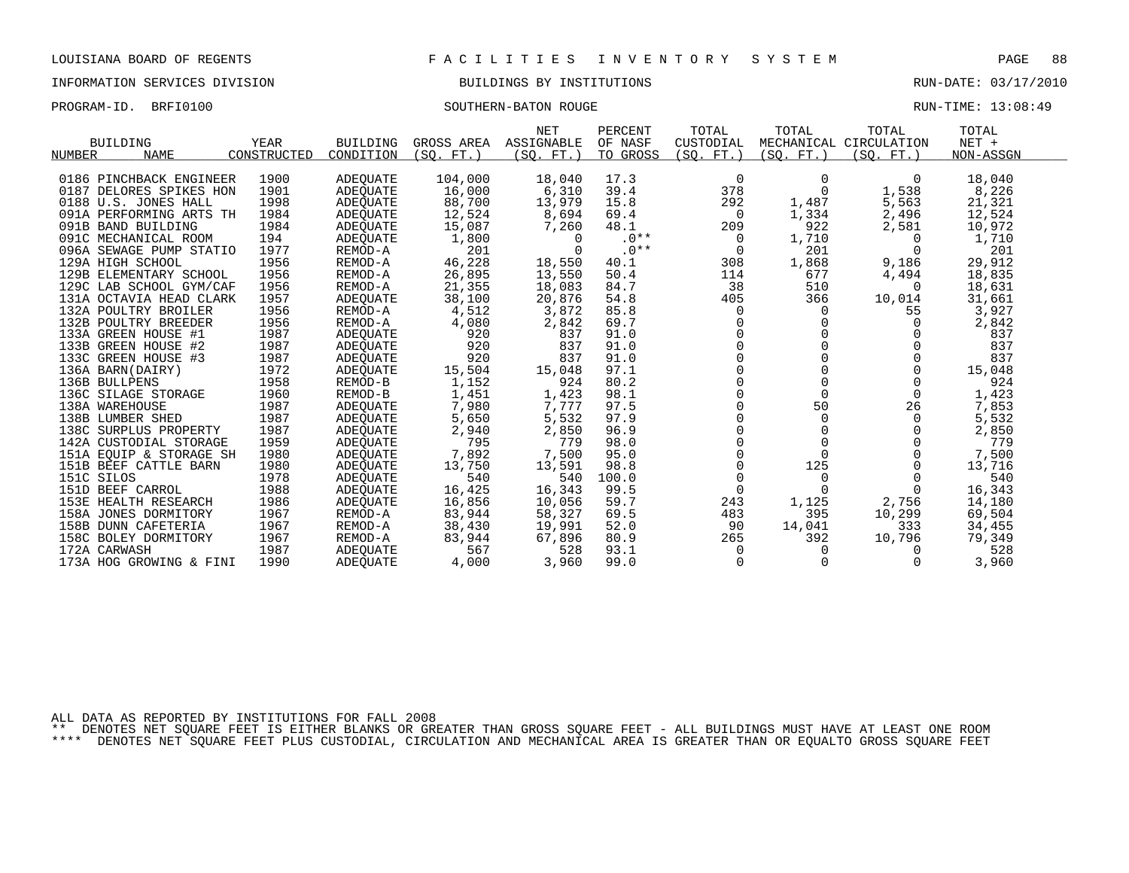## INFORMATION SERVICES DIVISION BUILDINGS BY INSTITUTIONS AND RUN-DATE: 03/17/2010

PROGRAM-ID. BRFI0100 SOUTHERN-BATON ROUGE RUN-TIME: 13:08:49

|                         |             |                 |            | <b>NET</b> | PERCENT  | TOTAL          | TOTAL      | TOTAL                  | TOTAL     |  |
|-------------------------|-------------|-----------------|------------|------------|----------|----------------|------------|------------------------|-----------|--|
| <b>BUILDING</b>         | <b>YEAR</b> | <b>BUILDING</b> | GROSS AREA | ASSIGNABLE | OF NASF  | CUSTODIAL      |            | MECHANICAL CIRCULATION | $NET +$   |  |
| NUMBER<br><b>NAME</b>   | CONSTRUCTED | CONDITION       | (SO. FT. ) | (SO. FT. ) | TO GROSS | (SQ. FT.)      | (SO. FT. ) | (SO. FT.)              | NON-ASSGN |  |
|                         |             |                 |            |            |          |                |            |                        |           |  |
| 0186 PINCHBACK ENGINEER | 1900        | ADEQUATE        | 104,000    | 18,040     | 17.3     | $\Omega$       | $\Omega$   | $\Omega$               | 18,040    |  |
| 0187 DELORES SPIKES HON | 1901        | ADEQUATE        | 16,000     | 6,310      | 39.4     | 378            | $\Omega$   | 1,538                  | 8,226     |  |
| 0188 U.S. JONES HALL    | 1998        | ADEQUATE        | 88,700     | 13,979     | 15.8     | 292            | 1,487      | 5,563                  | 21,321    |  |
| 091A PERFORMING ARTS TH | 1984        | ADEOUATE        | 12,524     | 8,694      | 69.4     | $\overline{0}$ | 1,334      | 2,496                  | 12,524    |  |
| 091B BAND BUILDING      | 1984        | ADEOUATE        | 15,087     | 7,260      | 48.1     | 209            | 922        | 2,581                  | 10,972    |  |
| 091C MECHANICAL ROOM    | 194         | ADEQUATE        | 1,800      | $\Omega$   | $.0**$   | 0              | 1,710      | $\Omega$               | 1,710     |  |
| 096A SEWAGE PUMP STATIO | 1977        | REMOD-A         | 201        | $\Omega$   | $.0**$   | $\overline{0}$ | 201        |                        | 201       |  |
| 129A HIGH SCHOOL        | 1956        | REMOD-A         | 46,228     | 18,550     | 40.1     | 308            | 1,868      | 9,186                  | 29,912    |  |
| 129B ELEMENTARY SCHOOL  | 1956        | REMOD-A         | 26,895     | 13,550     | 50.4     | 114            | 677        | 4,494                  | 18,835    |  |
| 129C LAB SCHOOL GYM/CAF | 1956        | REMOD-A         | 21,355     | 18,083     | 84.7     | 38             | 510        | $\Omega$               | 18,631    |  |
| 131A OCTAVIA HEAD CLARK | 1957        | ADEQUATE        | 38,100     | 20,876     | 54.8     | 405            | 366        | 10,014                 | 31,661    |  |
| 132A POULTRY BROILER    | 1956        | REMOD-A         | 4,512      | 3,872      | 85.8     | 0              | 0          | 55                     | 3,927     |  |
| 132B POULTRY BREEDER    | 1956        | REMOD-A         | 4,080      | 2,842      | 69.7     |                |            | $\Omega$               | 2,842     |  |
| 133A GREEN HOUSE #1     | 1987        | ADEOUATE        | 920        | 837        | 91.0     |                |            |                        | 837       |  |
| 133B GREEN HOUSE #2     | 1987        | ADEQUATE        | 920        | 837        | 91.0     |                |            |                        | 837       |  |
| 133C GREEN HOUSE #3     | 1987        | ADEQUATE        | 920        | 837        | 91.0     |                |            |                        | 837       |  |
| 136A BARN(DAIRY)        | 1972        | ADEQUATE        | 15,504     | 15,048     | 97.1     |                |            |                        | 15,048    |  |
| 136B BULLPENS           | 1958        | REMOD-B         | 1,152      | 924        | 80.2     |                |            |                        | 924       |  |
| 136C SILAGE STORAGE     | 1960        | REMOD-B         | 1,451      | 1,423      | 98.1     |                |            | 0                      | 1,423     |  |
| 138A WAREHOUSE          | 1987        | ADEQUATE        | 7,980      | 7,777      | 97.5     |                | 50         | 26                     | 7,853     |  |
| 138B LUMBER SHED        | 1987        | ADEQUATE        | 5,650      | 5,532      | 97.9     |                | $\Omega$   | 0                      | 5,532     |  |
| 138C SURPLUS PROPERTY   | 1987        | ADEQUATE        | 2,940      | 2,850      | 96.9     | 0              |            | 0                      | 2,850     |  |
| 142A CUSTODIAL STORAGE  | 1959        | ADEQUATE        | 795        | 779        | 98.0     | 0              |            |                        | 779       |  |
| 151A EQUIP & STORAGE SH | 1980        | ADEQUATE        | 7,892      | 7,500      | 95.0     |                | $\Omega$   |                        | 7,500     |  |
| 151B BEEF CATTLE BARN   | 1980        | ADEQUATE        | 13,750     | 13,591     | 98.8     | 0              | 125        |                        | 13,716    |  |
| 151C SILOS              | 1978        | ADEQUATE        | 540        | 540        | 100.0    | $\mathbf 0$    | 0          |                        | 540       |  |
| 151D BEEF CARROL        | 1988        | ADEQUATE        | 16,425     | 16,343     | 99.5     | $\mathbf 0$    | $\Omega$   |                        | 16,343    |  |
| 153E HEALTH RESEARCH    | 1986        | ADEQUATE        | 16,856     | 10,056     | 59.7     | 243            | 1,125      | 2,756                  | 14,180    |  |
| 158A JONES DORMITORY    | 1967        | REMOD-A         | 83,944     | 58,327     | 69.5     | 483            | 395        | 10,299                 | 69,504    |  |
| 158B DUNN CAFETERIA     | 1967        | REMOD-A         | 38,430     | 19,991     | 52.0     | 90             | 14,041     | 333                    | 34,455    |  |
| 158C BOLEY DORMITORY    | 1967        | REMOD-A         | 83,944     | 67,896     | 80.9     | 265            | 392        | 10,796                 | 79,349    |  |
| 172A CARWASH            | 1987        | <b>ADEOUATE</b> | 567        | 528        | 93.1     | 0              |            | $\Omega$               | 528       |  |
| 173A HOG GROWING & FINI | 1990        | ADEOUATE        | 4,000      | 3,960      | 99.0     | $\mathbf 0$    |            |                        | 3,960     |  |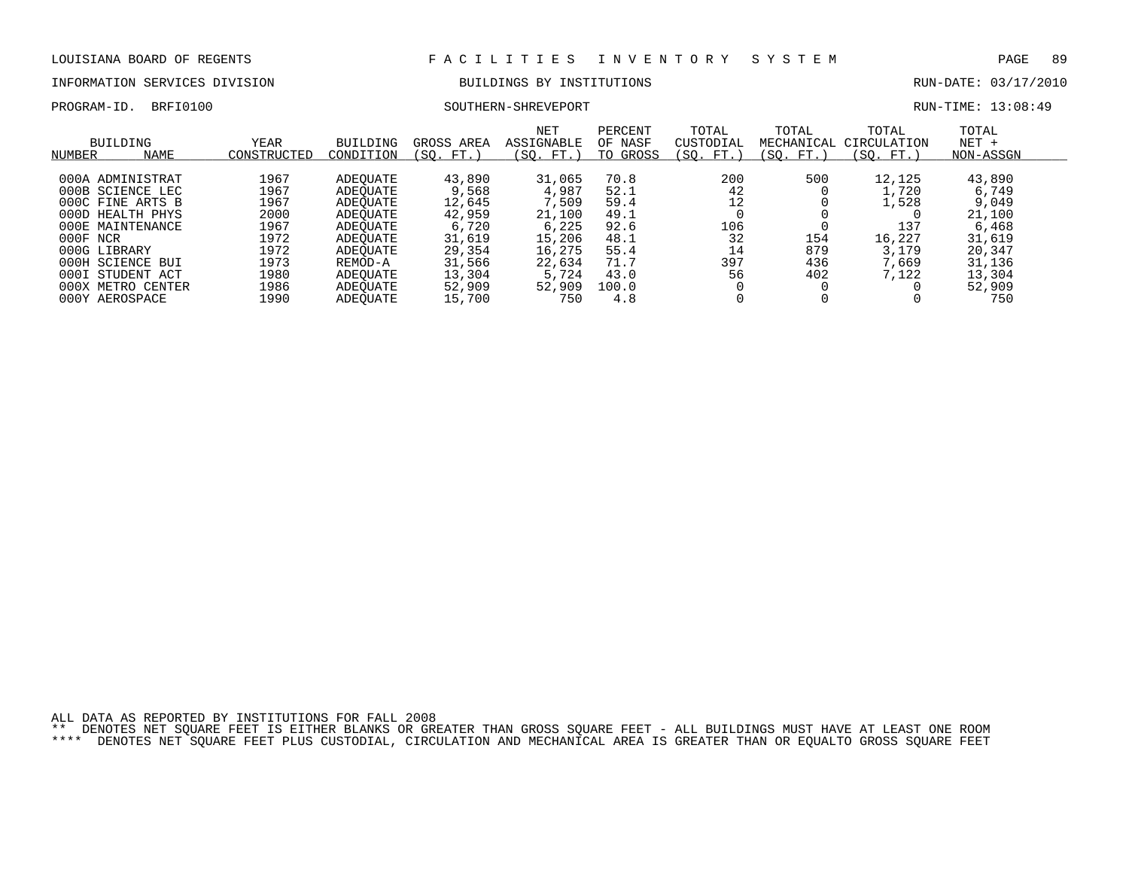# INFORMATION SERVICES DIVISION BUILDINGS BY INSTITUTIONS AND RUN-DATE: 03/17/2010

PROGRAM-ID. BRFI0100 SOUTHERN-SHREVEPORT RUN-TIME: 13:08:49

| NUMBER   | <b>BUILDING</b><br><b>NAME</b> | <b>YEAR</b><br>CONSTRUCTED | <b>BUILDING</b><br>CONDITION | GROSS AREA<br>SO.<br>FT. | NET<br>ASSIGNABLE<br>(SO. FT.) | PERCENT<br>OF NASF<br>GROSS<br>TO | TOTAL<br>CUSTODIAL<br>SO.<br>FT.) | TOTAL<br>MECHANICAL<br>(SO. FT.) | TOTAL<br>CIRCULATION<br>(SO.<br>FT. | TOTAL<br>$NET +$<br>NON-ASSGN |
|----------|--------------------------------|----------------------------|------------------------------|--------------------------|--------------------------------|-----------------------------------|-----------------------------------|----------------------------------|-------------------------------------|-------------------------------|
|          | 000A ADMINISTRAT               | 1967                       |                              | 43,890                   | 31,065                         | 70.8                              | 200                               | 500                              | 12,125                              | 43,890                        |
|          |                                | 1967                       | ADEOUATE                     |                          |                                | 52.1                              |                                   |                                  | 1,720                               |                               |
|          | 000B SCIENCE LEC               |                            | ADEOUATE                     | 9,568                    | 4,987                          |                                   | 42                                |                                  |                                     | 6,749                         |
|          | 000C FINE ARTS B               | 1967                       | ADEOUATE                     | 12,645                   | 7,509                          | 59.4                              | 12                                |                                  | 1,528                               | 9,049                         |
|          | 000D HEALTH PHYS               | 2000                       | ADEOUATE                     | 42,959                   | 21,100                         | 49.1                              |                                   |                                  |                                     | 21,100                        |
|          | 000E MAINTENANCE               | 1967                       | ADEOUATE                     | 6,720                    | 6,225                          | 92.6                              | 106                               |                                  | 137                                 | 6,468                         |
| 000F NCR |                                | 1972                       | ADEOUATE                     | 31,619                   | 15,206                         | 48.1                              | 32                                | 154                              | 16,227                              | 31,619                        |
|          | 000G LIBRARY                   | 1972                       | ADEOUATE                     | 29,354                   | 16,275                         | 55.4                              | 14                                | 879                              | 3,179                               | 20,347                        |
|          | 000H SCIENCE BUI               | 1973                       | REMOD-A                      | 31,566                   | 22,634                         | 71.7                              | 397                               | 436                              | 669,                                | 31,136                        |
| 000I     | STUDENT ACT                    | 1980                       | ADEOUATE                     | 13,304                   | 5,724                          | 43.0                              | 56                                | 402                              | 7,122                               | 13,304                        |
|          | 000X METRO CENTER              | 1986                       | ADEOUATE                     | 52,909                   | 52,909                         | 100.0                             |                                   |                                  |                                     | 52,909                        |
|          | 000Y AEROSPACE                 | 1990                       | ADEOUATE                     | 15,700                   | 750                            | 4.8                               |                                   |                                  |                                     | 750                           |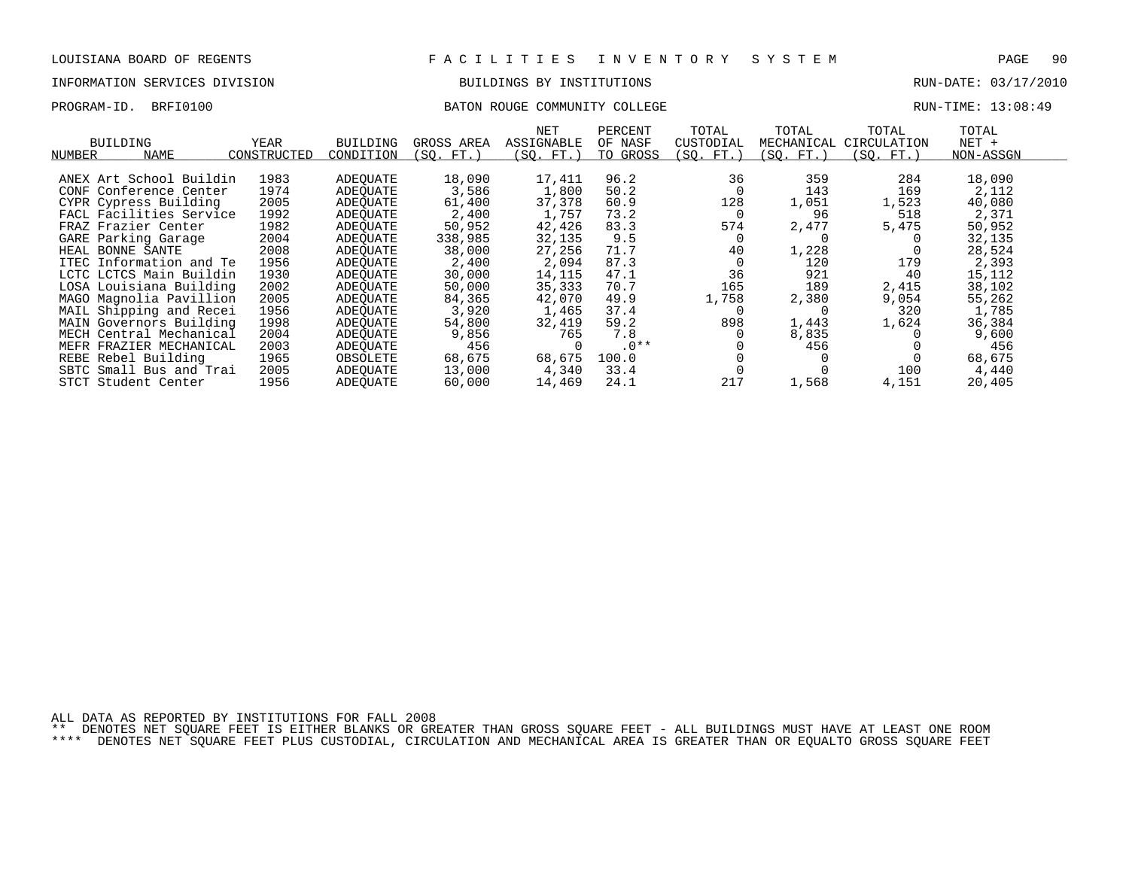# INFORMATION SERVICES DIVISION BUILDINGS BY INSTITUTIONS AND RUN-DATE: 03/17/2010

### PROGRAM-ID. BRFI0100 BATON ROUGE COMMUNITY COLLEGE RUN-TIME: 13:08:49

| NUMBER | <b>BUILDING</b><br><b>NAME</b> | <b>YEAR</b><br>CONSTRUCTED | <b>BUILDING</b><br>CONDITION | GROSS AREA<br>(SO. FT.) | NET<br><b>ASSIGNABLE</b><br>(SO. FT.) | PERCENT<br>OF NASF<br>TO GROSS | TOTAL<br>CUSTODIAL<br>(SO. FT.) | TOTAL<br>MECHANICAL<br>(SO. FT.) | TOTAL<br>CIRCULATION<br>(SO. FT.) | TOTAL<br>$NET +$<br>NON-ASSGN |  |
|--------|--------------------------------|----------------------------|------------------------------|-------------------------|---------------------------------------|--------------------------------|---------------------------------|----------------------------------|-----------------------------------|-------------------------------|--|
|        |                                |                            |                              |                         |                                       |                                |                                 |                                  |                                   |                               |  |
|        | ANEX Art School Buildin        | 1983                       | ADEQUATE                     | 18,090                  | 17,411                                | 96.2                           | 36                              | 359                              | 284                               | 18,090                        |  |
|        | CONF Conference Center         | 1974                       | ADEOUATE                     | 3,586                   | 1,800                                 | 50.2                           | 0                               | 143                              | 169                               | 2,112                         |  |
|        | CYPR Cypress Building          | 2005                       | ADEOUATE                     | 61,400                  | 37,378                                | 60.9                           | 128                             | 1,051                            | 1,523                             | 40,080                        |  |
|        | FACL Facilities Service        | 1992                       | ADEOUATE                     | 2,400                   | 1,757                                 | 73.2                           | - 0                             | 96                               | 518                               | 2,371                         |  |
|        | FRAZ Frazier Center            | 1982                       | ADEQUATE                     | 50,952                  | 42,426                                | 83.3                           | 574                             | 2,477                            | 5,475                             | 50,952                        |  |
|        | GARE Parking Garage            | 2004                       | ADEOUATE                     | 338,985                 | 32,135                                | 9.5                            |                                 |                                  |                                   | 32,135                        |  |
|        | HEAL BONNE SANTE               | 2008                       | ADEOUATE                     | 38,000                  | 27,256                                | 71.7                           | 40                              | 1,228                            |                                   | 28,524                        |  |
|        | ITEC Information and Te        | 1956                       | ADEOUATE                     | 2,400                   | 2,094                                 | 87.3                           |                                 | 120                              | 179                               | 2,393                         |  |
|        | LCTC LCTCS Main Buildin        | 1930                       | ADEOUATE                     | 30,000                  | 14,115                                | 47.1                           | 36                              | 921                              | 40                                | 15,112                        |  |
|        | LOSA Louisiana Building        | 2002                       | ADEOUATE                     | 50,000                  | 35,333                                | 70.7                           | 165                             | 189                              | 2,415                             | 38,102                        |  |
|        | MAGO Magnolia Pavillion        | 2005                       | ADEQUATE                     | 84,365                  | 42,070                                | 49.9                           | 1,758                           | 2,380                            | 9,054                             | 55,262                        |  |
|        | MAIL Shipping and Recei        | 1956                       | ADEOUATE                     | 3,920                   | 1,465                                 | 37.4                           |                                 |                                  | 320                               | 1,785                         |  |
|        | MAIN Governors Building        | 1998                       | ADEOUATE                     | 54,800                  | 32,419                                | 59.2                           | 898                             | 1,443                            | 1,624                             | 36,384                        |  |
|        | MECH Central Mechanical        | 2004                       | ADEQUATE                     | 9,856                   | 765                                   | 7.8                            |                                 | 8,835                            |                                   | 9,600                         |  |
|        | MEFR FRAZIER MECHANICAL        | 2003                       | ADEOUATE                     | 456                     | 0                                     | $.0**$                         |                                 | 456                              |                                   | 456                           |  |
|        | REBE Rebel Building            | 1965                       | OBSOLETE                     | 68,675                  | 68,675                                | 100.0                          |                                 |                                  |                                   | 68,675                        |  |
|        | SBTC Small Bus and Trai        | 2005                       | ADEOUATE                     | 13,000                  | 4,340                                 | 33.4                           |                                 |                                  | 100                               | 4,440                         |  |
|        | STCT Student Center            | 1956                       | ADEOUATE                     | 60,000                  | 14,469                                | 24.1                           | 217                             | 1,568                            | 4,151                             | 20,405                        |  |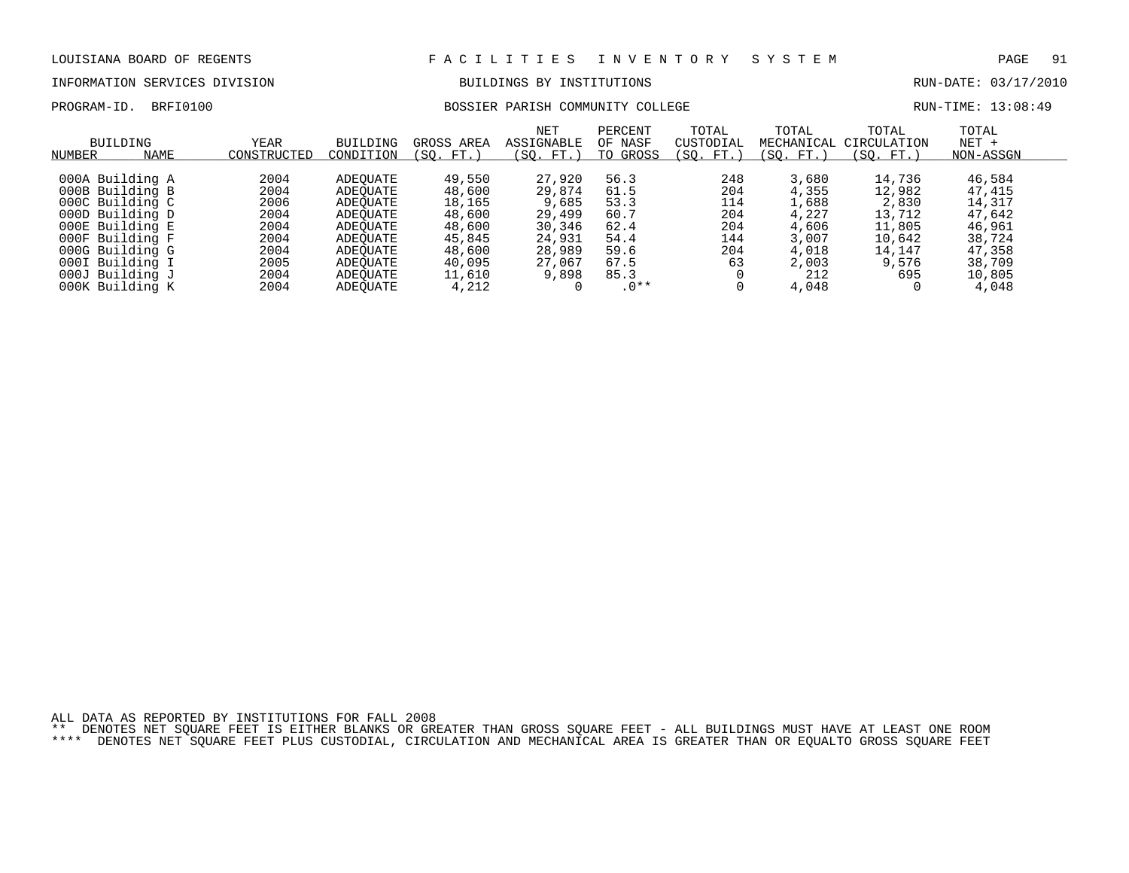PROGRAM-ID. BRFI0100 BOSSIER PARISH COMMUNITY COLLEGE RESERVED BOOKS RUN-TIME: 13:08:49

# INFORMATION SERVICES DIVISION BUILDINGS BY INSTITUTIONS CONTROLLED BUILDINGS BY ENSEMBLE RUN-DATE: 03/17/2010

| NUMBER | BUILDING<br><b>NAME</b>            | YEAR<br>CONSTRUCTED | <b>BUILDING</b><br>CONDITION | GROSS AREA<br>(SO. FT.) | NET<br>ASSIGNABLE<br>FT.<br>SO. | PERCENT<br>OF NASF<br>TO GROSS | TOTAL<br>CUSTODIAL<br>(SO. FT.) | TOTAL<br>MECHANICAL<br>FT.<br>SO. | TOTAL<br>CIRCULATION<br>(SO. FT.) | TOTAL<br>$NET +$<br>NON-ASSGN |  |
|--------|------------------------------------|---------------------|------------------------------|-------------------------|---------------------------------|--------------------------------|---------------------------------|-----------------------------------|-----------------------------------|-------------------------------|--|
|        | 000A Building A                    | 2004                | ADEOUATE                     | 49,550                  | 27,920                          | 56.3                           | 248                             | 3,680                             | 14,736                            | 46,584                        |  |
|        | 000B Building B                    | 2004                | ADEOUATE                     | 48,600                  | 29,874                          | 61.5                           | 204                             | 4,355                             | 12,982                            | 47,415                        |  |
|        | 000C Building C                    | 2006                | ADEOUATE                     | 18,165                  | 9,685                           | 53.3                           | 114                             | 1,688                             | 2,830                             | 14,317                        |  |
|        | 000D Building D<br>000E Building E | 2004<br>2004        | ADEOUATE                     | 48,600<br>48,600        | 29,499<br>30,346                | 60.7<br>62.4                   | 204<br>204                      | 4,227<br>4,606                    | 13,712<br>11,805                  | 47,642<br>46,961              |  |
|        | 000F Building F                    | 2004                | ADEOUATE<br>ADEOUATE         | 45,845                  | 24,931                          | 54.4                           | 144                             | 3,007                             | 10,642                            | 38,724                        |  |
|        | 000G Building G                    | 2004                | ADEOUATE                     | 48,600                  | 28,989                          | 59.6                           | 204                             | 4,018                             | 14,147                            | 47,358                        |  |
|        | 000I Building I                    | 2005                | ADEOUATE                     | 40,095                  | 27,067                          | 67.5                           | 63                              | 2,003                             | 9,576                             | 38,709                        |  |
|        | 000J Building J                    | 2004                | ADEOUATE                     | 11,610                  | 9,898                           | 85.3                           |                                 | 212                               | 695                               | 10,805                        |  |
|        | 000K Building K                    | 2004                | ADEOUATE                     | 4,212                   |                                 | $.0**$                         |                                 | 4,048                             |                                   | 4,048                         |  |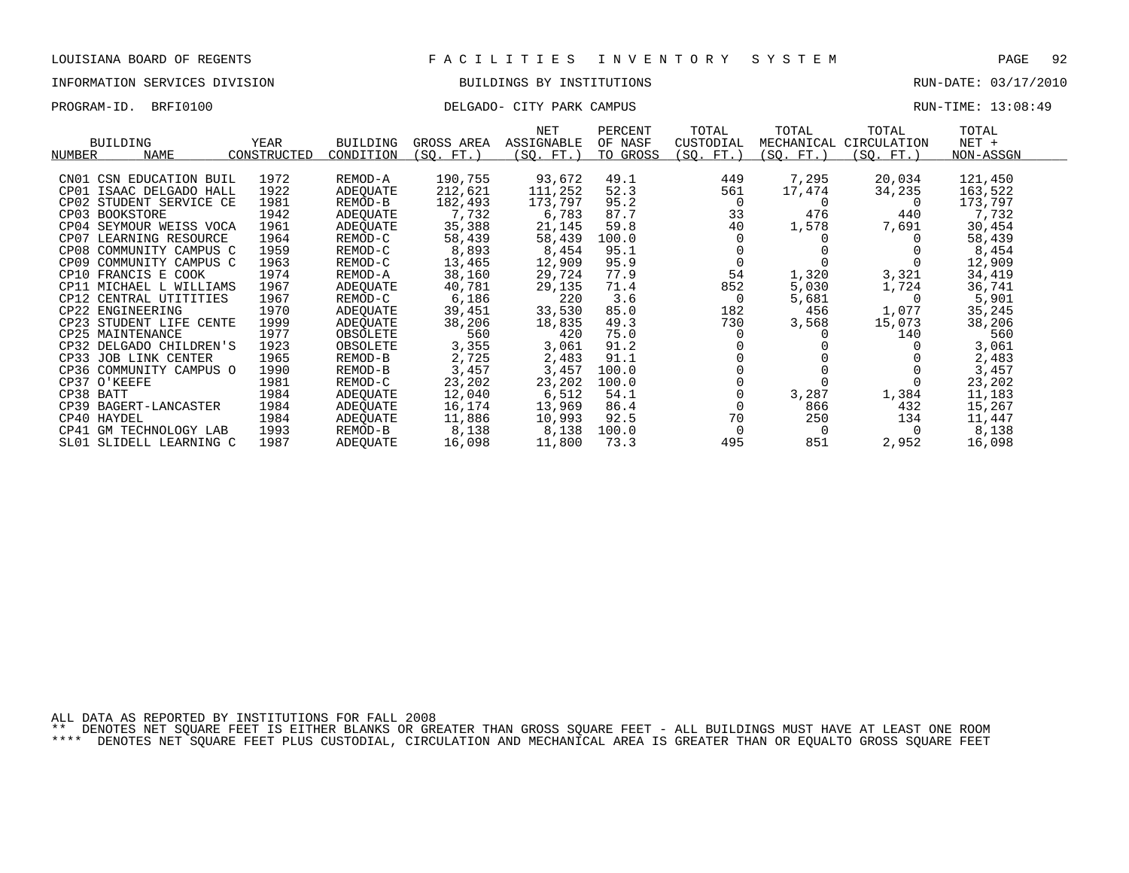## INFORMATION SERVICES DIVISION BUILDINGS BY INSTITUTIONS RUN-DATE: 03/17/2010

## PROGRAM-ID. BRFI0100 CITY PARK CAMPUS DELGADO- CITY PARK CAMPUS RUN-TIME: 13:08:49

|           |                         |             |                 |            | NET        | PERCENT  | TOTAL     | TOTAL      | TOTAL       | TOTAL     |  |
|-----------|-------------------------|-------------|-----------------|------------|------------|----------|-----------|------------|-------------|-----------|--|
|           | <b>BUILDING</b>         | <b>YEAR</b> | <b>BUILDING</b> | GROSS AREA | ASSIGNABLE | OF NASF  | CUSTODIAL | MECHANICAL | CIRCULATION | $NET +$   |  |
| NUMBER    | <b>NAME</b>             | CONSTRUCTED | CONDITION       | (SQ. FT.)  | (SQ. FT.)  | TO GROSS | (SQ. FT.) | (SQ. FT.)  | (SQ. FT.)   | NON-ASSGN |  |
|           |                         |             |                 |            |            |          |           |            |             |           |  |
| CN01      | CSN EDUCATION BUIL      | 1972        | REMOD-A         | 190,755    | 93,672     | 49.1     | 449       | 7,295      | 20,034      | 121,450   |  |
| CP01      | ISAAC DELGADO HALL      | 1922        | ADEQUATE        | 212,621    | 111,252    | 52.3     | 561       | 17,474     | 34,235      | 163,522   |  |
|           | CP02 STUDENT SERVICE CE | 1981        | REMOD-B         | 182,493    | 173,797    | 95.2     | 0         | $\Omega$   | 0           | 173,797   |  |
|           | CP03 BOOKSTORE          | 1942        | ADEQUATE        | 7,732      | 6,783      | 87.7     | 33        | 476        | 440         | 7,732     |  |
|           | CP04 SEYMOUR WEISS VOCA | 1961        | ADEQUATE        | 35,388     | 21,145     | 59.8     | 40        | 1,578      | 7,691       | 30,454    |  |
| CP07      | LEARNING RESOURCE       | 1964        | REMOD-C         | 58,439     | 58,439     | 100.0    |           |            |             | 58,439    |  |
|           | CP08 COMMUNITY CAMPUS C | 1959        | REMOD-C         | 8,893      | 8,454      | 95.1     |           |            |             | 8,454     |  |
| CP09      | COMMUNITY CAMPUS C      | 1963        | REMOD-C         | 13,465     | 12,909     | 95.9     |           |            |             | 12,909    |  |
|           | CP10 FRANCIS E COOK     | 1974        | REMOD-A         | 38,160     | 29,724     | 77.9     | 54        | 1,320      | 3,321       | 34,419    |  |
|           | CP11 MICHAEL L WILLIAMS | 1967        | ADEOUATE        | 40,781     | 29,135     | 71.4     | 852       | 5,030      | 1,724       | 36,741    |  |
|           | CP12 CENTRAL UTITITIES  | 1967        | REMOD-C         | 6,186      | 220        | 3.6      | 0         | 5,681      | $\Omega$    | 5,901     |  |
|           | CP22 ENGINEERING        | 1970        | ADEOUATE        | 39,451     | 33,530     | 85.0     | 182       | 456        | 1,077       | 35,245    |  |
|           | CP23 STUDENT LIFE CENTE | 1999        | ADEQUATE        | 38,206     | 18,835     | 49.3     | 730       | 3,568      | 15,073      | 38,206    |  |
|           | CP25 MAINTENANCE        | 1977        | OBSOLETE        | 560        | 420        | 75.0     |           |            | 140         | 560       |  |
|           | CP32 DELGADO CHILDREN'S | 1923        | OBSOLETE        | 3,355      | 3,061      | 91.2     |           |            |             | 3,061     |  |
|           | CP33 JOB LINK CENTER    | 1965        | REMOD-B         | 2,725      | 2,483      | 91.1     |           |            |             | 2,483     |  |
|           | CP36 COMMUNITY CAMPUS O | 1990        | REMOD-B         | 3,457      | 3,457      | 100.0    |           |            |             | 3,457     |  |
|           | CP37 O'KEEFE            | 1981        | REMOD-C         | 23,202     | 23,202     | 100.0    |           |            |             | 23,202    |  |
| CP38 BATT |                         | 1984        | ADEOUATE        | 12,040     | 6,512      | 54.1     |           | 3,287      | 1,384       | 11,183    |  |
|           | CP39 BAGERT-LANCASTER   | 1984        | ADEOUATE        | 16,174     | 13,969     | 86.4     |           | 866        | 432         | 15,267    |  |
|           | CP40 HAYDEL             | 1984        | ADEQUATE        | 11,886     | 10,993     | 92.5     | 70        | 250        | 134         | 11,447    |  |
| CP41      | GM TECHNOLOGY LAB       | 1993        | REMOD-B         | 8,138      | 8,138      | 100.0    |           |            |             | 8,138     |  |
|           | SL01 SLIDELL LEARNING C | 1987        | ADEOUATE        | 16,098     | 11,800     | 73.3     | 495       | 851        | 2,952       | 16,098    |  |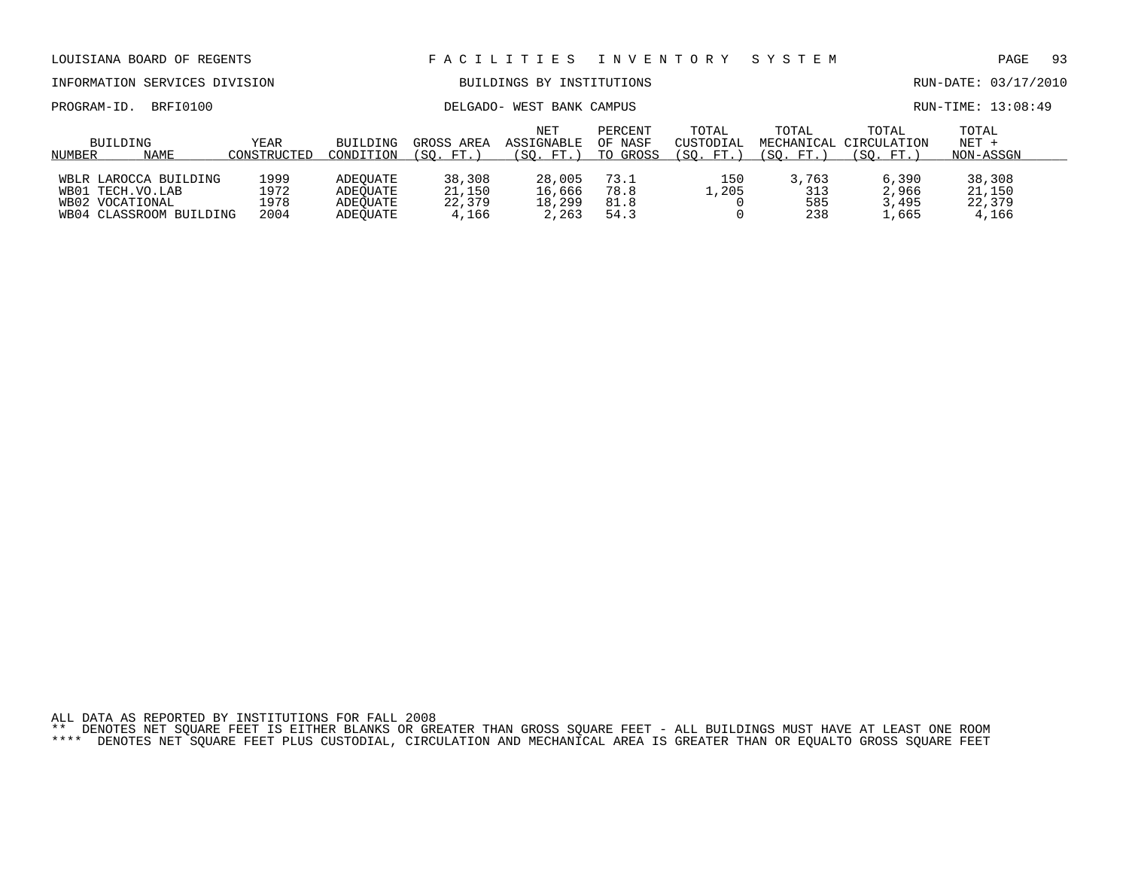| LOUISIANA BOARD OF REGENTS                                                                   |                              |                                              |                                     | FACILITIES                          | I N V E N T O R Y              |                                 | SYSTEM                           |                                   | 93<br>PAGE                          |  |
|----------------------------------------------------------------------------------------------|------------------------------|----------------------------------------------|-------------------------------------|-------------------------------------|--------------------------------|---------------------------------|----------------------------------|-----------------------------------|-------------------------------------|--|
| INFORMATION SERVICES DIVISION                                                                |                              |                                              |                                     | BUILDINGS BY                        | INSTITUTIONS                   |                                 |                                  |                                   | RUN-DATE: 03/17/2010                |  |
| BRFI0100<br>PROGRAM-ID.                                                                      |                              |                                              |                                     | DELGADO- WEST BANK CAMPUS           |                                |                                 |                                  |                                   | RUN-TIME: 13:08:49                  |  |
| BUILDING<br>NAME<br>NUMBER                                                                   | <b>YEAR</b><br>CONSTRUCTED   | <b>BUILDING</b><br>CONDITION                 | GROSS AREA<br>(SO. FT.)             | NET<br>ASSIGNABLE<br>(SO. FT.)      | PERCENT<br>OF NASF<br>TO GROSS | TOTAL<br>CUSTODIAL<br>(SO. FT.) | TOTAL<br>MECHANICAL<br>(SO. FT.) | TOTAL<br>CIRCULATION<br>(SO. FT.) | TOTAL<br>$NET +$<br>NON-ASSGN       |  |
| WBLR LAROCCA BUILDING<br>. TECH.VO.LAB<br>WB01<br>WB02 VOCATIONAL<br>WB04 CLASSROOM BUILDING | 1999<br>1972<br>1978<br>2004 | ADEOUATE<br>ADEOUATE<br>ADEOUATE<br>ADEOUATE | 38,308<br>21,150<br>22,379<br>4,166 | 28,005<br>16,666<br>18,299<br>2,263 | 73.1<br>78.8<br>81.8<br>54.3   | 150<br>1,205                    | 3,763<br>313<br>585<br>238       | 6,390<br>2,966<br>3,495<br>,665   | 38,308<br>21,150<br>22,379<br>4,166 |  |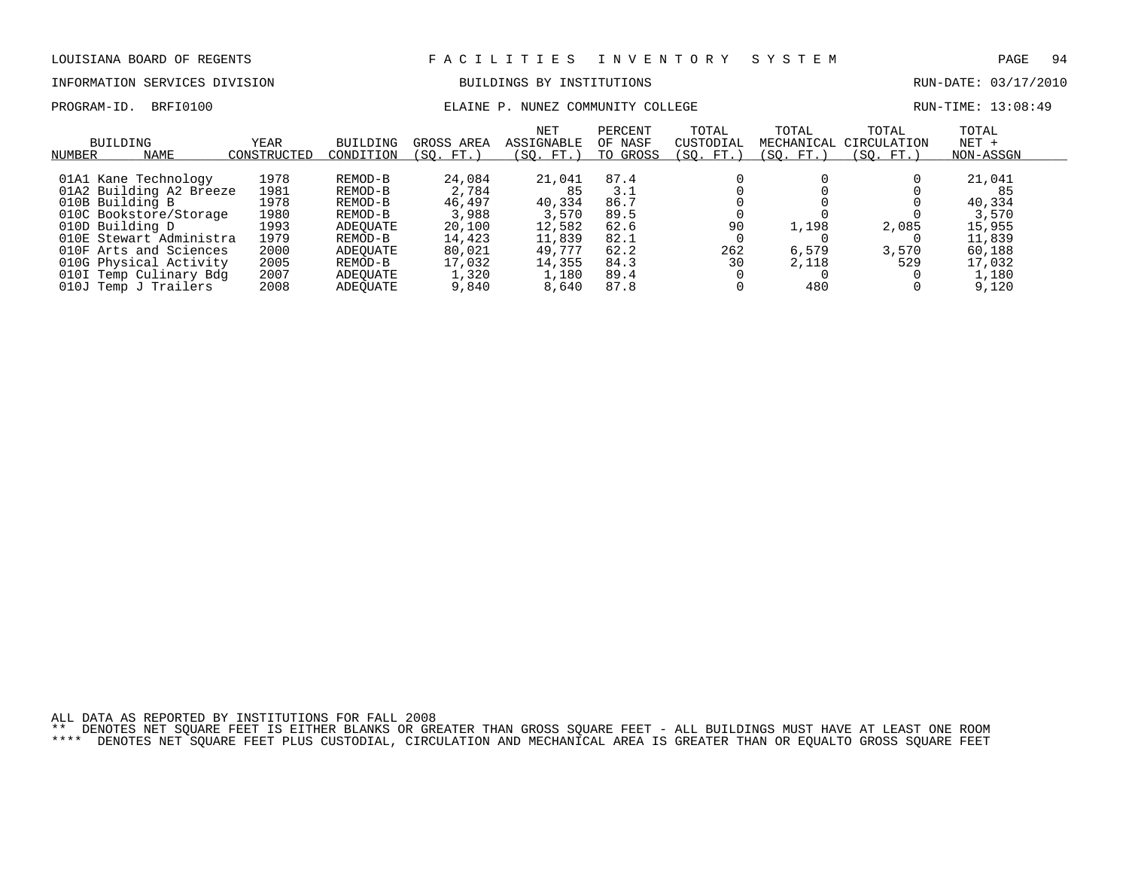### INFORMATION SERVICES DIVISION BUILDINGS BY INSTITUTIONS RUN-DATE: 03/17/2010

## PROGRAM-ID. BRFI0100 COMMUNITY COLLEGE RUN-TIME: 13:08:49

| BUILDING<br><b>NAME</b><br>NUMBER | YEAR<br>CONSTRUCTED | <b>BUILDING</b><br>CONDITION | GROSS<br>AREA<br>ISO.<br>FT. | <b>NET</b><br>ASSIGNABLE<br>(SO. FT.) | PERCENT<br>OF NASF<br>TO GROSS | TOTAL<br>CUSTODIAL<br>(SO. FT.) | TOTAL<br>MECHANICAL<br>(SO. FT.) | TOTAL<br>CIRCULATION<br>(SO. FT.) | TOTAL<br>$NET +$<br>NON-ASSGN |  |
|-----------------------------------|---------------------|------------------------------|------------------------------|---------------------------------------|--------------------------------|---------------------------------|----------------------------------|-----------------------------------|-------------------------------|--|
| 01A1 Kane Technology              | 1978                | REMOD-B                      | 24,084                       | 21,041                                | 87.4                           |                                 |                                  |                                   | 21,041                        |  |
| 01A2 Building A2 Breeze           | 1981                | REMOD-B                      | 2,784                        | 85                                    | $\overline{3}$ . 1             |                                 |                                  |                                   | 85                            |  |
| 010B Building B                   | 1978                | REMOD-B                      | 46,497                       | 40,334                                | 86.7                           |                                 |                                  |                                   | 40,334                        |  |
| 010C Bookstore/Storage            | 1980                | REMOD-B                      | 3,988                        | 3,570                                 | 89.5                           |                                 |                                  |                                   | 3,570                         |  |
| 010D Building D                   | 1993                | ADEOUATE                     | 20,100                       | 12,582                                | 62.6                           | 90                              | 1,198                            | 2,085                             | 15,955                        |  |
| 010E Stewart Administra           | 1979                | REMOD-B                      | 14,423                       | 11,839                                | 82.1                           |                                 |                                  |                                   | 11,839                        |  |
| 010F Arts and Sciences            | 2000                | ADEOUATE                     | 80,021                       | 49.777                                | 62.2                           | 262                             | 6,579                            | 3,570                             | 60,188                        |  |
| 010G Physical Activity            | 2005                | REMOD-B                      | 17,032                       | 14,355                                | 84.3                           | 30                              | 2,118                            | 529                               | 17,032                        |  |
| 010I Temp Culinary Bdg            | 2007                | ADEOUATE                     | 1,320                        | 1,180                                 | 89.4                           |                                 |                                  |                                   | 1,180                         |  |
| 010J Temp J Trailers              | 2008                | ADEOUATE                     | 9,840                        | 8,640                                 | 87.8                           |                                 | 480                              |                                   | 9,120                         |  |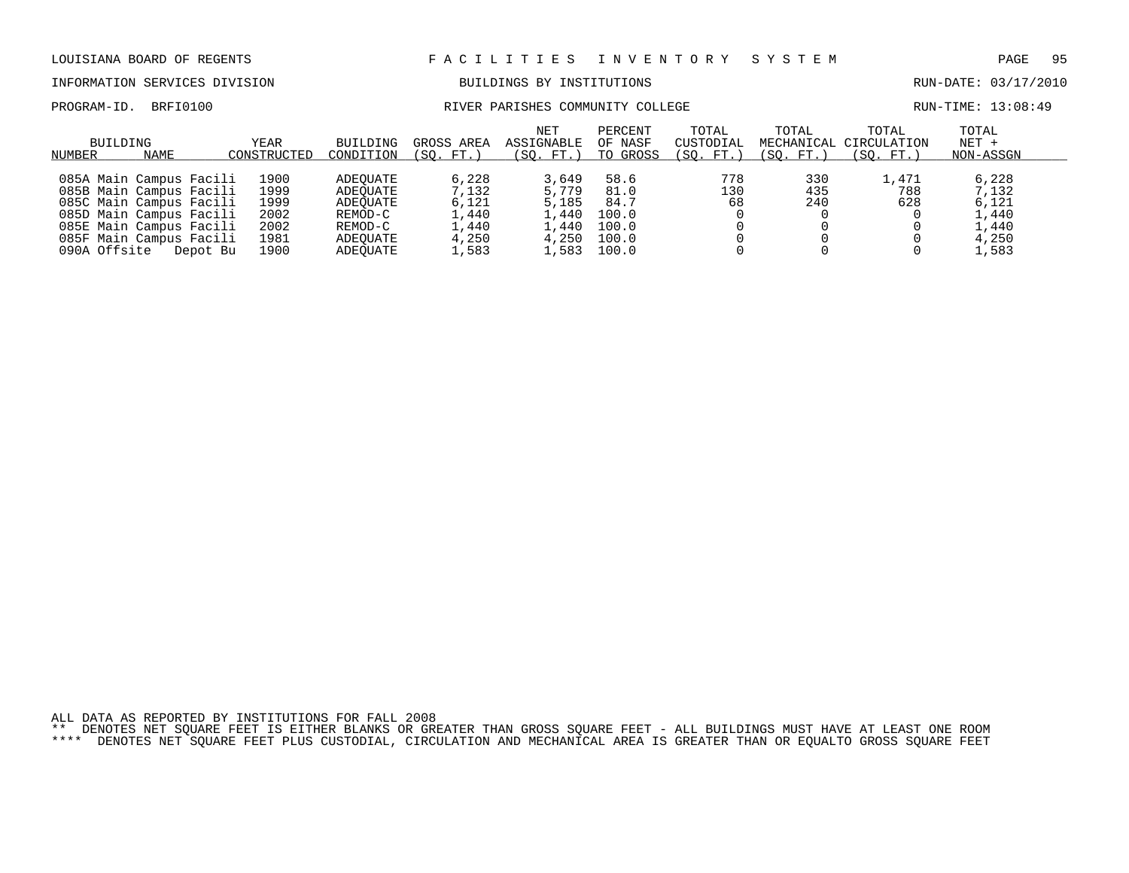### INFORMATION SERVICES DIVISION BUILDINGS BY INSTITUTIONS RUN-DATE: 03/17/2010

### PROGRAM-ID. BRFI0100 COMMUNITY COLLEGE ROMANITY COLLEGE RUN-TIME: 13:08:49

| BUILDING<br>NAME<br>NUMBER                                                                                                                                                                 | YEAR<br>CONSTRUCTED                                  | BUILDING<br>CONDITION                                                          | GROSS AREA<br>(SO. FT.)                                     | NET<br>ASSIGNABLE<br>'SO.<br>FT.)                            | PERCENT<br>OF NASF<br>TO GROSS                           | TOTAL<br>CUSTODIAL<br>'SO.<br>$FT.$ . | TOTAL<br>(SO. FT.) | TOTAL<br>MECHANICAL CIRCULATION<br>'SO.<br>FT. | TOTAL<br>$NET +$<br>NON-ASSGN                               |  |
|--------------------------------------------------------------------------------------------------------------------------------------------------------------------------------------------|------------------------------------------------------|--------------------------------------------------------------------------------|-------------------------------------------------------------|--------------------------------------------------------------|----------------------------------------------------------|---------------------------------------|--------------------|------------------------------------------------|-------------------------------------------------------------|--|
| 085A Main Campus Facili<br>085B Main Campus Facili<br>085C Main Campus Facili<br>085D Main Campus Facili<br>085E Main Campus Facili<br>085F Main Campus Facili<br>090A Offsite<br>Depot Bu | 1900<br>1999<br>1999<br>2002<br>2002<br>1981<br>1900 | ADEOUATE<br>ADEOUATE<br>ADEOUATE<br>REMOD-C<br>REMOD-C<br>ADEOUATE<br>ADEOUATE | 6,228<br>7,132<br>6,121<br>1,440<br>1,440<br>4,250<br>1,583 | 3,649<br>5,779<br>5,185<br>. . 440<br>.,440<br>4,250<br>.583 | 58.6<br>81.0<br>84.7<br>100.0<br>100.0<br>100.0<br>100.0 | 778<br>130<br>68                      | 330<br>435<br>240  | 1,471<br>788<br>628                            | 6,228<br>7,132<br>6,121<br>1,440<br>1,440<br>4,250<br>1,583 |  |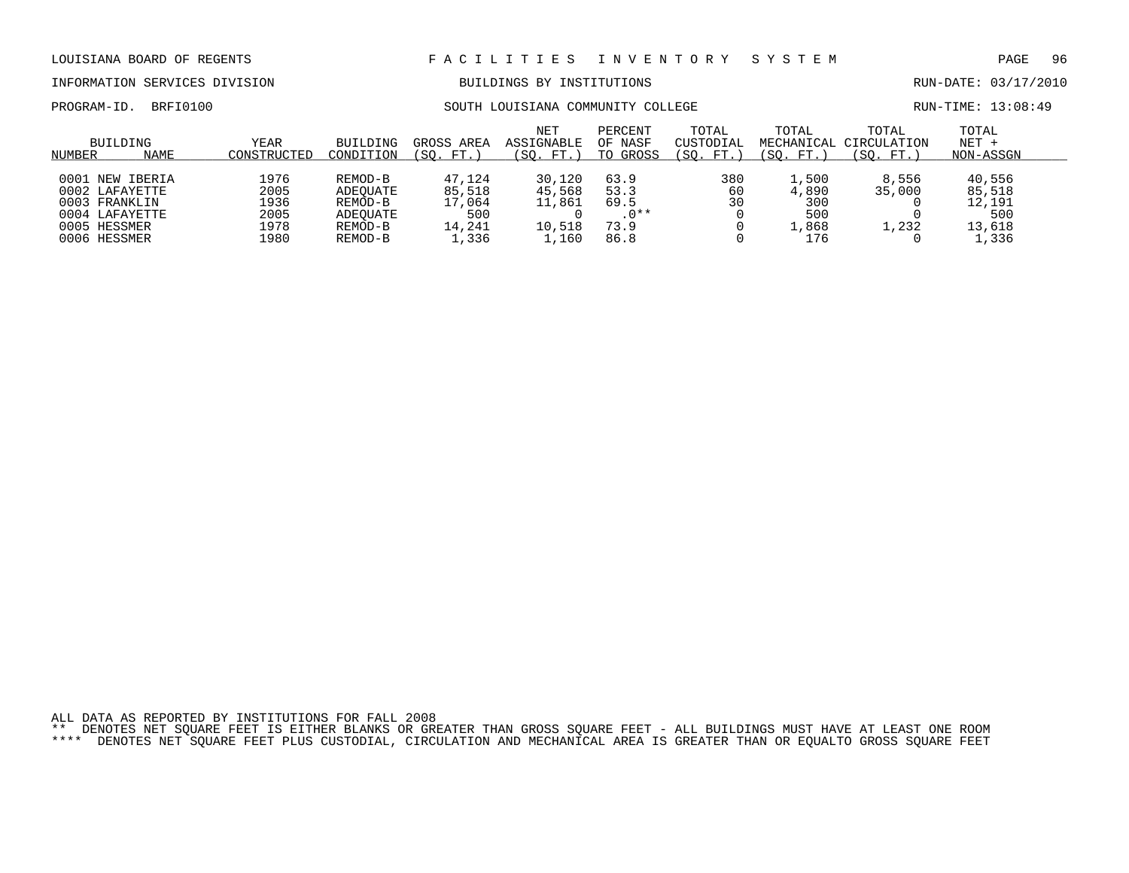# INFORMATION SERVICES DIVISION BUILDINGS BY INSTITUTIONS AND RUN-DATE: 03/17/2010

## PROGRAM-ID. BRFI0100 SOUTH LOUISIANA COMMUNITY COLLEGE RUN-TIME: 13:08:49

| NUMBER | BUILDING<br><b>NAME</b> | YEAR<br>CONSTRUCTED | BUILDING<br>CONDITION | GROSS AREA<br>FT.<br>SO. | <b>NET</b><br>ASSIGNABLE<br>'SO.<br>FT. | PERCENT<br>OF NASF<br>GROSS<br>TO | TOTAL<br>CUSTODIAL<br>FT.<br>SO. | TOTAL<br>MECHANICAL<br>SO.<br>FT. | TOTAL<br>CIRCULATION<br>FT.<br>SO. | TOTAL<br>NET +<br>NON-ASSGN |  |
|--------|-------------------------|---------------------|-----------------------|--------------------------|-----------------------------------------|-----------------------------------|----------------------------------|-----------------------------------|------------------------------------|-----------------------------|--|
|        |                         |                     |                       |                          |                                         |                                   |                                  |                                   |                                    |                             |  |
|        | 0001 NEW IBERIA         | 1976                | REMOD-B               | 47,124                   | 30,120                                  | 63.9                              | 380                              | $\overline{1}$ , 500              | 8,556                              | 40,556                      |  |
|        | 0002 LAFAYETTE          | 2005                | ADEOUATE              | 85,518                   | 45,568                                  | 53.3                              | 60                               | 4,890                             | 35,000                             | 85,518                      |  |
|        | 0003 FRANKLIN           | 1936                | REMOD-B               | 17,064                   | 11,861                                  | 69.5                              | 30                               | 300                               |                                    | 12,191                      |  |
|        | 0004 LAFAYETTE          | 2005                | ADEOUATE              | 500                      |                                         | $.0**$                            |                                  | 500                               |                                    | 500                         |  |
|        | 0005 HESSMER            | 1978                | REMOD-B               | 14,241                   | 10,518                                  | 73.9                              |                                  | ,868                              | 1,232                              | 13,618                      |  |
|        | 0006 HESSMER            | 1980                | REMOD-B               | ⊥,336                    | ,160                                    | 86.8                              |                                  | 176                               |                                    | L,336                       |  |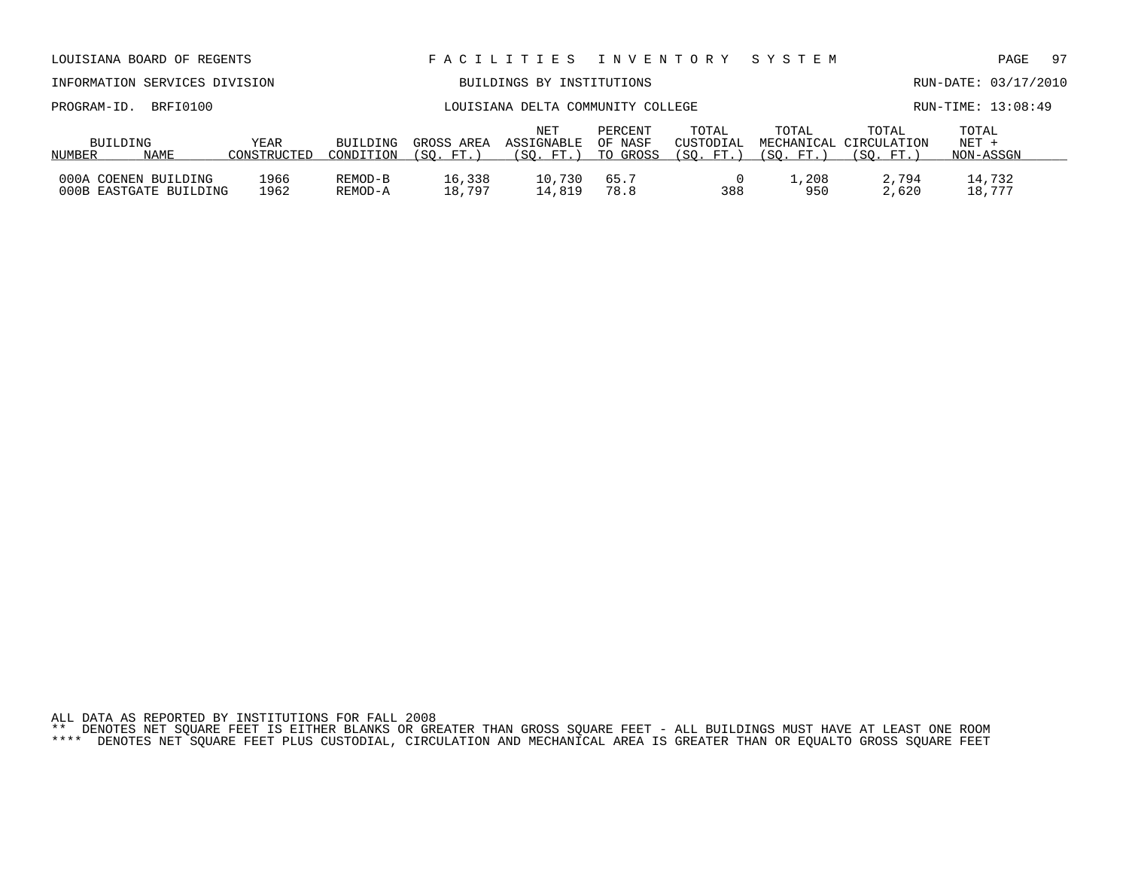| INFORMATION SERVICES DIVISION                  |                     |                       |                         | BUILDINGS BY INSTITUTIONS         |                                |                                 |                                  |                                   | RUN-DATE: 03/17/2010          |  |
|------------------------------------------------|---------------------|-----------------------|-------------------------|-----------------------------------|--------------------------------|---------------------------------|----------------------------------|-----------------------------------|-------------------------------|--|
| BRFI0100<br>PROGRAM-ID.                        |                     |                       |                         | LOUISIANA DELTA COMMUNITY COLLEGE | RUN-TIME: 13:08:49             |                                 |                                  |                                   |                               |  |
| BUILDING<br>NAME<br>NUMBER                     | YEAR<br>CONSTRUCTED | BUILDING<br>CONDITION | GROSS AREA<br>(SO. FT.) | NET<br>ASSIGNABLE<br>(SO. FT.)    | PERCENT<br>OF NASF<br>TO GROSS | TOTAL<br>CUSTODIAL<br>(SO. FT.) | TOTAL<br>MECHANICAL<br>(SO. FT.) | TOTAL<br>CIRCULATION<br>(SO. FT.) | TOTAL<br>$NET +$<br>NON-ASSGN |  |
| 000A COENEN BUILDING<br>000B EASTGATE BUILDING | 1966<br>1962        | REMOD-B<br>REMOD-A    | 16,338<br>18,797        | 10,730<br>14,819                  | 65.7<br>78.8                   | 388                             | 1,208<br>950                     | 2,794<br>2,620                    | 14,732<br>18,777              |  |

# LOUISIANA BOARD OF REGENTS F A C I L I T I E S I N V E N T O R Y S Y S T E M PAGE 97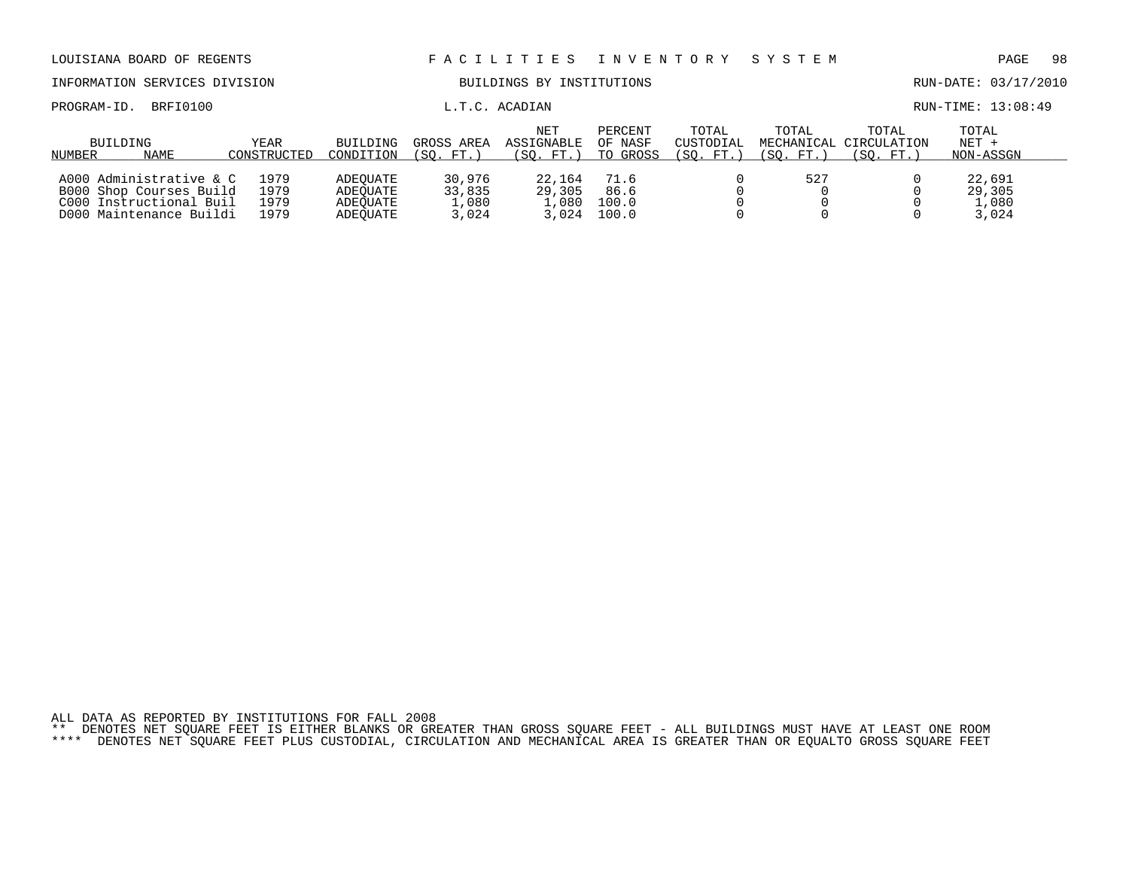| LOUISIANA BOARD OF REGENTS                                                                               |                              |                                              |                                    | FACILITIES                            | I N V E N T O R Y              |                                 | SYSTEM                           |                                   | PAGE                               | -98 |
|----------------------------------------------------------------------------------------------------------|------------------------------|----------------------------------------------|------------------------------------|---------------------------------------|--------------------------------|---------------------------------|----------------------------------|-----------------------------------|------------------------------------|-----|
| INFORMATION SERVICES DIVISION                                                                            |                              |                                              |                                    | BUILDINGS BY INSTITUTIONS             |                                |                                 |                                  |                                   | RUN-DATE: 03/17/2010               |     |
| BRFI0100<br>PROGRAM-ID.                                                                                  |                              |                                              |                                    | L.T.C. ACADIAN                        |                                |                                 |                                  |                                   | RUN-TIME: 13:08:49                 |     |
| BUILDING<br>NAME<br>NUMBER                                                                               | <b>YEAR</b><br>CONSTRUCTED   | <b>BUILDING</b><br>CONDITION                 | GROSS AREA<br>FT.<br>(SO.          | <b>NET</b><br>ASSIGNABLE<br>(SO. FT.) | PERCENT<br>OF NASF<br>TO GROSS | TOTAL<br>CUSTODIAL<br>(SO. FT.) | TOTAL<br>MECHANICAL<br>(SO. FT.) | TOTAL<br>CIRCULATION<br>(SO. FT.) | TOTAL<br>$NET +$<br>NON-ASSGN      |     |
| A000 Administrative & C<br>B000 Shop Courses Build<br>C000 Instructional Buil<br>D000 Maintenance Buildi | 1979<br>1979<br>1979<br>1979 | ADEOUATE<br>ADEOUATE<br>ADEOUATE<br>ADEOUATE | 30,976<br>33,835<br>1,080<br>3,024 | 22,164<br>29,305<br>1,080<br>3.024    | 71.6<br>86.6<br>100.0<br>100.0 |                                 | 527                              |                                   | 22,691<br>29,305<br>1,080<br>3,024 |     |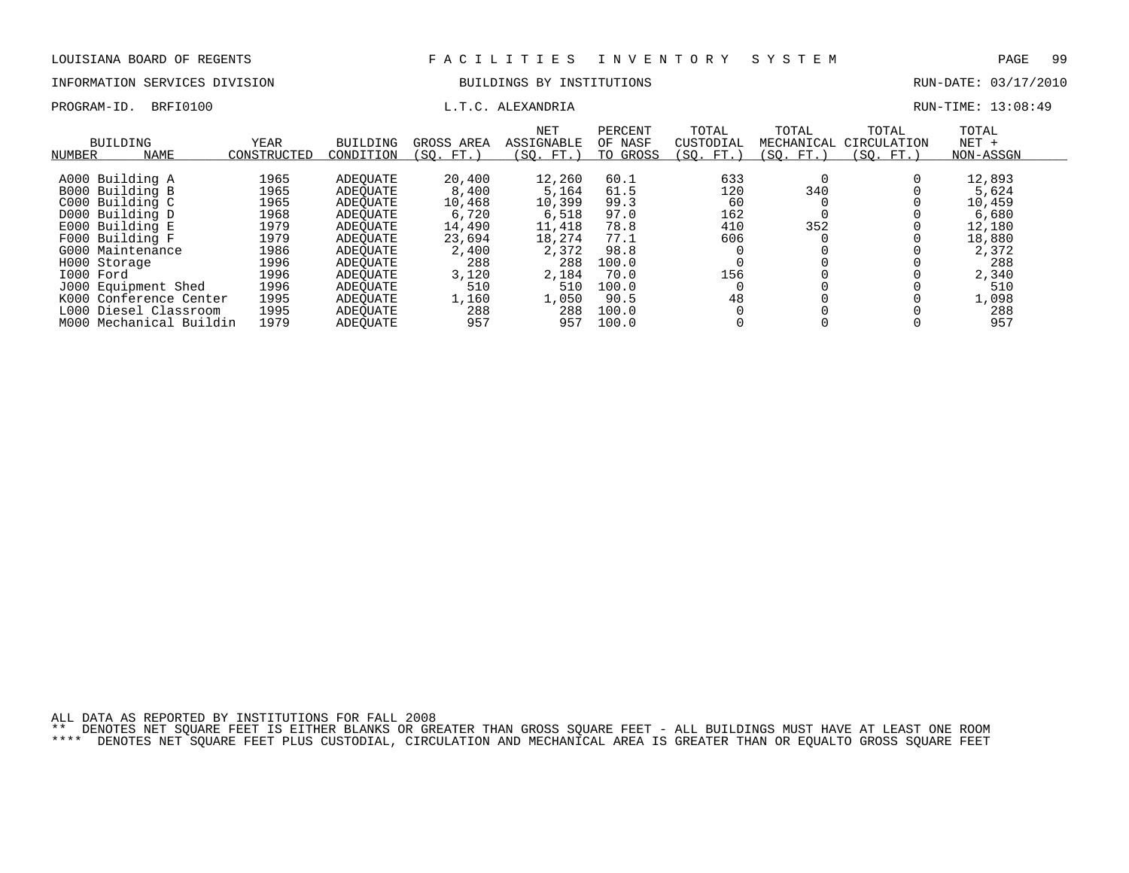# INFORMATION SERVICES DIVISION BUILDINGS BY INSTITUTIONS AND RUN-DATE: 03/17/2010

PROGRAM-ID. BRFI0100 **EXAMPLE EXAMPLE EXAMPLE EXAMPLE EXAMPLE EXAMPLE EXAMPLE EXAMPLE EXAMPLE EXAMPLE EXAMPLE E** 

| <b>BUILDING</b><br>NUMBER | NAME                   | <b>YEAR</b><br>CONSTRUCTED | <b>BUILDING</b><br>CONDITION | GROSS AREA<br>SO.<br>FT. | NET<br><b>ASSIGNABLE</b><br>(SO. FT.) | PERCENT<br>OF NASF<br>TO GROSS | TOTAL<br>CUSTODIAL<br>(SO. FT.) | TOTAL<br>MECHANICAL<br>SO. FT. | TOTAL<br>CIRCULATION<br>(SO. FT.) | TOTAL<br>$NET +$<br>NON-ASSGN |
|---------------------------|------------------------|----------------------------|------------------------------|--------------------------|---------------------------------------|--------------------------------|---------------------------------|--------------------------------|-----------------------------------|-------------------------------|
| A000 Building A           |                        | 1965                       | ADEOUATE                     | 20,400                   | 12,260                                | 60.1                           | 633                             |                                |                                   | 12,893                        |
| B000 Building B           |                        | 1965                       | ADEOUATE                     | 8,400                    | 5,164                                 | 61.5                           | 120                             | 340                            |                                   | 5,624                         |
| C000 Building C           |                        | 1965                       | ADEOUATE                     | 10,468                   | 10,399                                | 99.3                           | 60                              |                                |                                   | 10,459                        |
| D000 Building D           |                        | 1968                       | ADEOUATE                     | 6,720                    | 6,518                                 | 97.0                           | 162                             |                                |                                   | 6,680                         |
| E000 Building E           |                        | 1979                       | ADEOUATE                     | 14,490                   | 11,418                                | 78.8                           | 410                             | 352                            |                                   | 12,180                        |
| F000 Building F           |                        | 1979                       | ADEOUATE                     | 23,694                   | 18,274                                | 77.1                           | 606                             |                                |                                   | 18,880                        |
| G000 Maintenance          |                        | 1986                       | ADEOUATE                     | 2,400                    | 2,372                                 | 98.8                           |                                 |                                |                                   | 2,372                         |
| H000 Storage              |                        | 1996                       | ADEOUATE                     | 288                      | 288                                   | 100.0                          |                                 |                                |                                   | 288                           |
| I000 Ford                 |                        | 1996                       | ADEOUATE                     | 3,120                    | 2,184                                 | 70.0                           | 156                             |                                |                                   | 2,340                         |
| J000 Equipment Shed       |                        | 1996                       | ADEOUATE                     | 510                      | 510                                   | 100.0                          |                                 |                                |                                   | 510                           |
|                           | K000 Conference Center | 1995                       | ADEOUATE                     | 1,160                    | 1,050                                 | 90.5                           | 48                              |                                |                                   | 1,098                         |
| L000                      | Diesel Classroom       | 1995                       | ADEOUATE                     | 288                      | 288                                   | 100.0                          |                                 |                                |                                   | 288                           |
| MO O O                    | Mechanical Buildin     | 1979                       | ADEOUATE                     | 957                      | 957                                   | 100.0                          |                                 |                                |                                   | 957                           |

ALL DATA AS REPORTED BY INSTITUTIONS FOR FALL 2008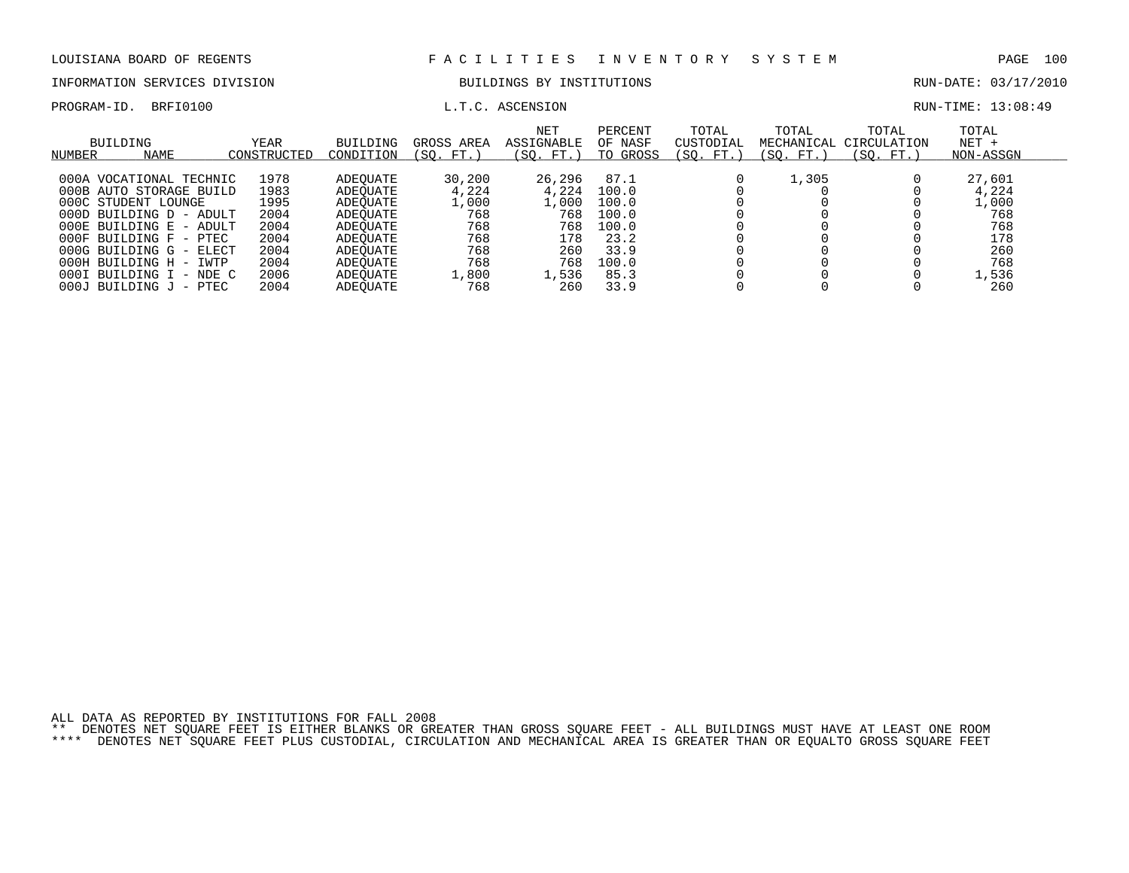# INFORMATION SERVICES DIVISION BUILDINGS BY INSTITUTIONS CONTROLLER BUN-DATE: 03/17/2010

PROGRAM-ID. BRFI0100 **EXAM-ID.** BRFI0100 **L.T.C. ASCENSION L.T.C. ASCENSION** 

| <b>BUILDING</b><br>NAME<br>NUMBER | YEAR<br>CONSTRUCTED | <b>BUILDING</b><br>CONDITION | GROSS AREA<br>FT.<br>SO. | <b>NET</b><br>ASSIGNABLE<br>'SO.<br>. FT.) | PERCENT<br>OF NASF<br>TO GROSS | TOTAL<br>CUSTODIAL<br>(SO.<br>FT. | TOTAL<br>MECHANICAL<br>SO.<br>FT. 1 | TOTAL<br>CIRCULATION<br>SO.<br>FT. | TOTAL<br>$NET +$<br>NON-ASSGN |  |
|-----------------------------------|---------------------|------------------------------|--------------------------|--------------------------------------------|--------------------------------|-----------------------------------|-------------------------------------|------------------------------------|-------------------------------|--|
| 000A VOCATIONAL TECHNIC           | 1978                | ADEOUATE                     | 30,200                   | 26,296                                     | 87.1                           |                                   | 1,305                               |                                    | 27,601                        |  |
| 000B AUTO STORAGE BUILD           | 1983                | ADEOUATE                     | 4,224                    | 4,224                                      | 100.0                          |                                   |                                     |                                    | 4,224                         |  |
| 000C STUDENT LOUNGE               | 1995                | ADEOUATE                     | 1,000                    | .,000                                      | 100.0                          |                                   |                                     |                                    | L,000                         |  |
| $000D$ BUILDING $D$ - ADULT       | 2004                | ADEOUATE                     | 768                      | 768                                        | 100.0                          |                                   |                                     |                                    | 768                           |  |
| 000E BUILDING E - ADULT           | 2004                | ADEOUATE                     | 768                      | 768                                        | 100.0                          |                                   |                                     |                                    | 768                           |  |
| $000F$ BUILDING $F$ - PTEC        | 2004                | ADEOUATE                     | 768                      | 178                                        | 23.2                           |                                   |                                     |                                    | 178                           |  |
| 000G BUILDING G - ELECT           | 2004                | ADEOUATE                     | 768                      | 260                                        | 33.9                           |                                   |                                     |                                    | 260                           |  |
| 000H BUILDING H - IWTP            | 2004                | ADEOUATE                     | 768                      | 768                                        | 100.0                          |                                   |                                     |                                    | 768                           |  |
| 000I BUILDING I - NDE C           | 2006                | ADEOUATE                     | 1,800                    | 1,536                                      | 85.3                           |                                   |                                     |                                    | 1,536                         |  |
| 000J<br>BUILDING J - PTEC         | 2004                | ADEOUATE                     | 768                      | 260                                        | 33.9                           |                                   |                                     |                                    | 260                           |  |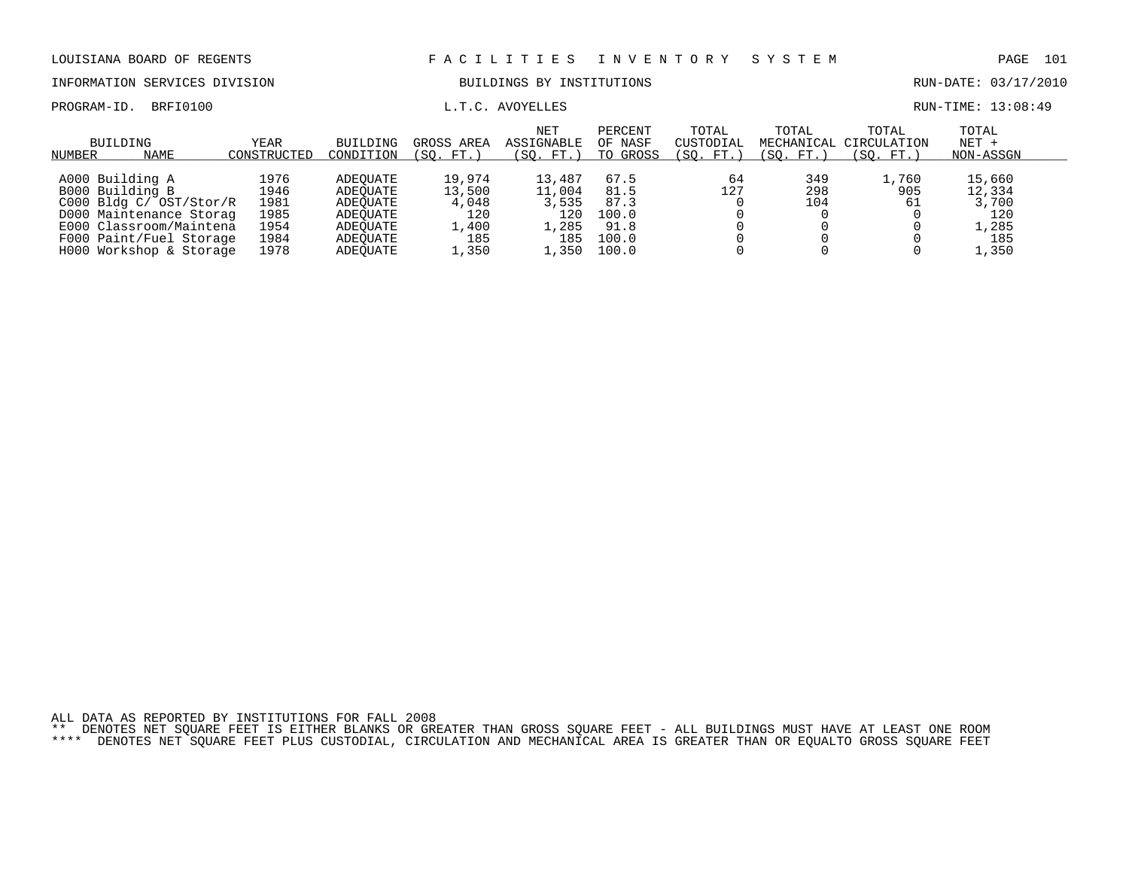INFORMATION SERVICES DIVISION BUILDINGS BY INSTITUTIONS RUN-DATE: 03/17/2010

PROGRAM-ID. BRFI0100 **EXAM-** L.T.C. AVOYELLES **EXAM-** TO RUN-TIME: 13:08:49

| NUMBER | BUILDING<br>NAME        | YEAR<br>CONSTRUCTED | BUILDING<br>CONDITION | GROSS AREA<br>(SO. FT. | <b>NET</b><br>ASSIGNABLE<br>SO.<br>FT.) | PERCENT<br>OF NASF<br>TO GROSS | TOTAL<br>CUSTODIAL<br>'SO.<br>$FT.$ . | TOTAL<br>(SO. FT.) | TOTAL<br>MECHANICAL CIRCULATION<br>'SO.<br>FT. | TOTAL<br>$NET +$<br>NON-ASSGN |  |
|--------|-------------------------|---------------------|-----------------------|------------------------|-----------------------------------------|--------------------------------|---------------------------------------|--------------------|------------------------------------------------|-------------------------------|--|
|        | A000 Building A         | 1976                | ADEOUATE              | 19,974                 | 13,487                                  | 67.5                           | 64                                    | 349                | 1,760                                          | 15,660                        |  |
|        | B000 Building B         | 1946                | ADEOUATE              | 13,500                 | 11,004                                  | 81.5                           | 127                                   | 298                | 905                                            | 12,334                        |  |
|        | C000 Bldg C/ OST/Stor/R | 1981                | ADEOUATE              | 4,048                  | 3,535                                   | 87.3                           |                                       | 104                | 61                                             | 3,700                         |  |
|        | D000 Maintenance Storag | 1985                | ADEOUATE              | 120                    | 120                                     | 100.0                          |                                       |                    |                                                | 120                           |  |
|        | E000 Classroom/Maintena | 1954                | ADEOUATE              | 1,400                  | ., 285                                  | 91.8                           |                                       |                    |                                                | 1,285                         |  |
|        | F000 Paint/Fuel Storage | 1984                | ADEOUATE              | 185                    | 185                                     | 100.0                          |                                       |                    |                                                | 185                           |  |
|        | H000 Workshop & Storage | 1978                | ADEOUATE              | 1,350                  | .350                                    | 100.0                          |                                       |                    |                                                | $\perp$ , 350                 |  |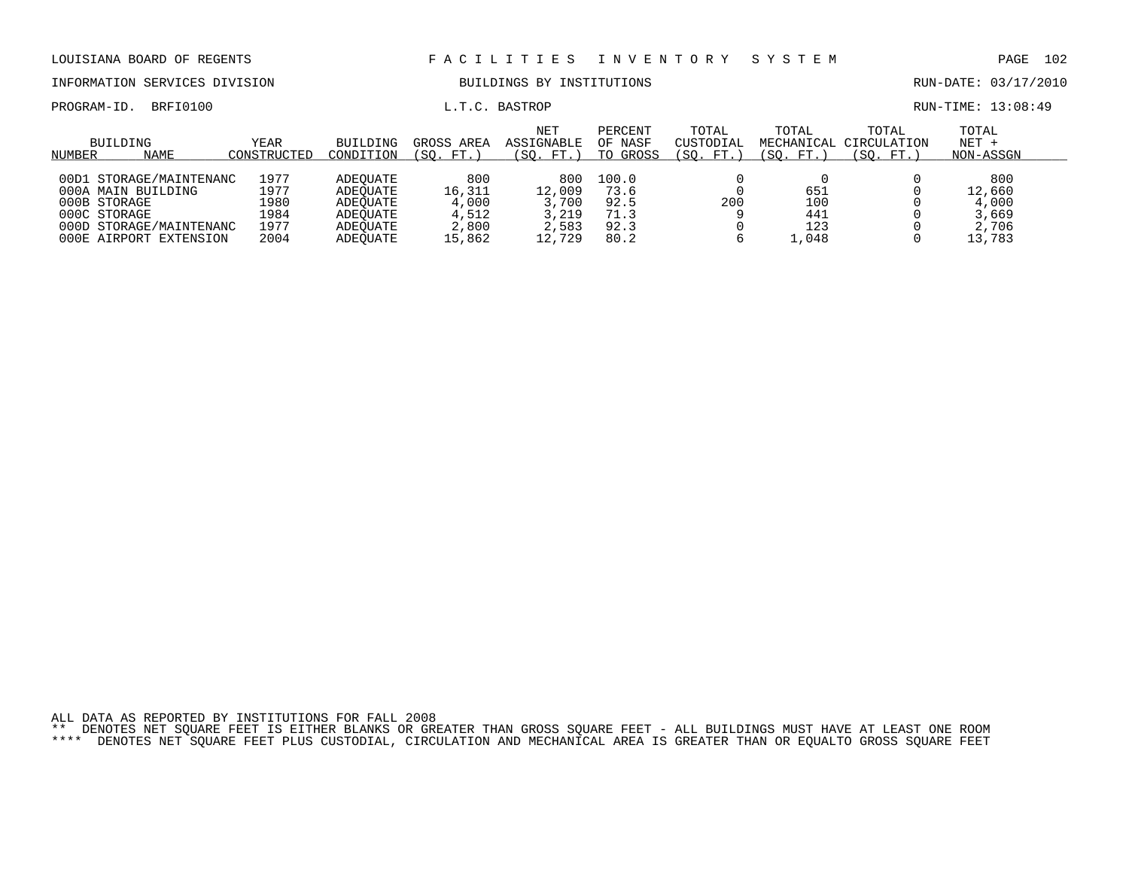INFORMATION SERVICES DIVISION BUILDINGS BY INSTITUTIONS RUN-DATE: 03/17/2010

PROGRAM-ID. BRFI0100 **EXAM-ID.** BRFI0100 **L.T.C. BASTROP EXAMINE: 13:08:49** 

| NUMBER | BUILDING<br>NAME                                                                                                              | YEAR<br>CONSTRUCTED                          | BUILDING<br>CONDITION                                                | GROSS AREA<br>(SO. FT.                             | <b>NET</b><br>ASSIGNABLE<br>(SO. FT.)              | PERCENT<br>OF NASF<br>TO GROSS                | TOTAL<br>CUSTODIAL<br>(SO. FT. | TOTAL<br>MECHANICAL<br>(SO. FT.) | TOTAL<br>CIRCULATION<br>(SO. FT. | TOTAL<br>$NET +$<br>NON-ASSGN                      |  |
|--------|-------------------------------------------------------------------------------------------------------------------------------|----------------------------------------------|----------------------------------------------------------------------|----------------------------------------------------|----------------------------------------------------|-----------------------------------------------|--------------------------------|----------------------------------|----------------------------------|----------------------------------------------------|--|
| 00D1   | STORAGE/MAINTENANC<br>000A MAIN BUILDING<br>000B STORAGE<br>000C STORAGE<br>000D STORAGE/MAINTENANC<br>000E AIRPORT EXTENSION | 1977<br>1977<br>1980<br>1984<br>1977<br>2004 | ADEOUATE<br>ADEOUATE<br>ADEOUATE<br>ADEOUATE<br>ADEOUATE<br>ADEOUATE | 800<br>16,311<br>4,000<br>4,512<br>2,800<br>15,862 | 800<br>12,009<br>3,700<br>3,219<br>2,583<br>12,729 | 100.0<br>73.6<br>92.5<br>71.3<br>92.3<br>80.2 | 200                            | 651<br>100<br>441<br>123<br>.048 |                                  | 800<br>12,660<br>4,000<br>3,669<br>2,706<br>13,783 |  |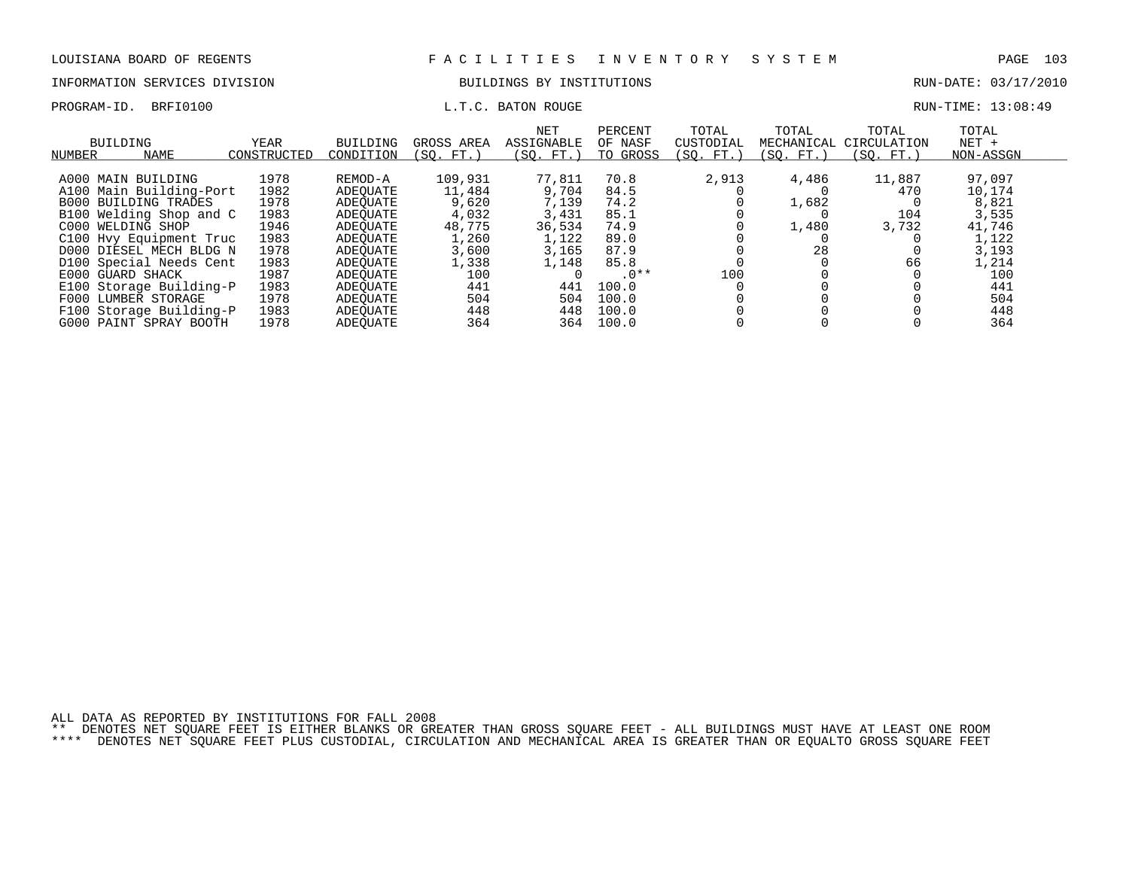# INFORMATION SERVICES DIVISION BUILDINGS BY INSTITUTIONS AND RUN-DATE: 03/17/2010

### PROGRAM-ID. BRFI0100 **EXAM-** L.T.C. BATON ROUGE **EXAM-TIME: 13:08:49**

| NUMBER | <b>BUILDING</b><br>NAME     | YEAR<br>CONSTRUCTED | BUILDING<br>CONDITION | GROSS AREA<br>FT.<br>(SO. | NET<br>ASSIGNABLE<br>(SO. FT. | PERCENT<br>OF NASF<br>TO GROSS | TOTAL<br>CUSTODIAL<br>(SO. FT.) | TOTAL<br>MECHANICAL<br>(SO. FT.) | TOTAL<br>CIRCULATION<br>SO.<br>FT.) | TOTAL<br>$NET +$<br>NON-ASSGN |
|--------|-----------------------------|---------------------|-----------------------|---------------------------|-------------------------------|--------------------------------|---------------------------------|----------------------------------|-------------------------------------|-------------------------------|
|        | A000 MAIN BUILDING          | 1978                | REMOD-A               | 109,931                   | 77,811                        | 70.8                           | 2,913                           | 4,486                            | 11,887                              | 97,097                        |
|        | A100 Main Building-Port     | 1982                | ADEOUATE              | 11,484                    | 9,704                         | 84.5                           |                                 |                                  | 470                                 | 10,174                        |
|        | <b>B000 BUILDING TRADES</b> | 1978                | ADEOUATE              | 9,620                     | 7,139                         | 74.2                           |                                 | 1,682                            |                                     | 8,821                         |
|        | B100 Welding Shop and C     | 1983                | ADEOUATE              | 4,032                     | 3,431                         | 85.1                           |                                 |                                  | 104                                 | 3,535                         |
|        | C000 WELDING SHOP           | 1946                | ADEOUATE              | 48,775                    | 36,534                        | 74.9                           |                                 | 1,480                            | 3,732                               | 41,746                        |
|        | C100 Hvy Equipment Truc     | 1983                | ADEOUATE              | 1,260                     | 1,122                         | 89.0                           |                                 |                                  |                                     | 1,122                         |
|        | D000 DIESEL MECH BLDG N     | 1978                | ADEOUATE              | 3,600                     | 3,165                         | 87.9                           |                                 | 28                               |                                     | 3,193                         |
|        | D100 Special Needs Cent     | 1983                | ADEOUATE              | 1,338                     | 1,148                         | 85.8                           |                                 |                                  | 66                                  | 1,214                         |
|        | E000 GUARD SHACK            | 1987                | ADEOUATE              | 100                       |                               | $.0**$                         | 100                             |                                  |                                     | 100                           |
|        | E100 Storage Building-P     | 1983                | ADEOUATE              | 441                       | 441                           | 100.0                          |                                 |                                  |                                     | 441                           |
|        | F000 LUMBER STORAGE         | 1978                | ADEOUATE              | 504                       | 504                           | 100.0                          |                                 |                                  |                                     | 504                           |
|        | F100 Storage Building-P     | 1983                | ADEOUATE              | 448                       | 448                           | 100.0                          |                                 |                                  |                                     | 448                           |
|        | G000 PAINT SPRAY BOOTH      | 1978                | ADEOUATE              | 364                       | 364                           | 100.0                          |                                 |                                  |                                     | 364                           |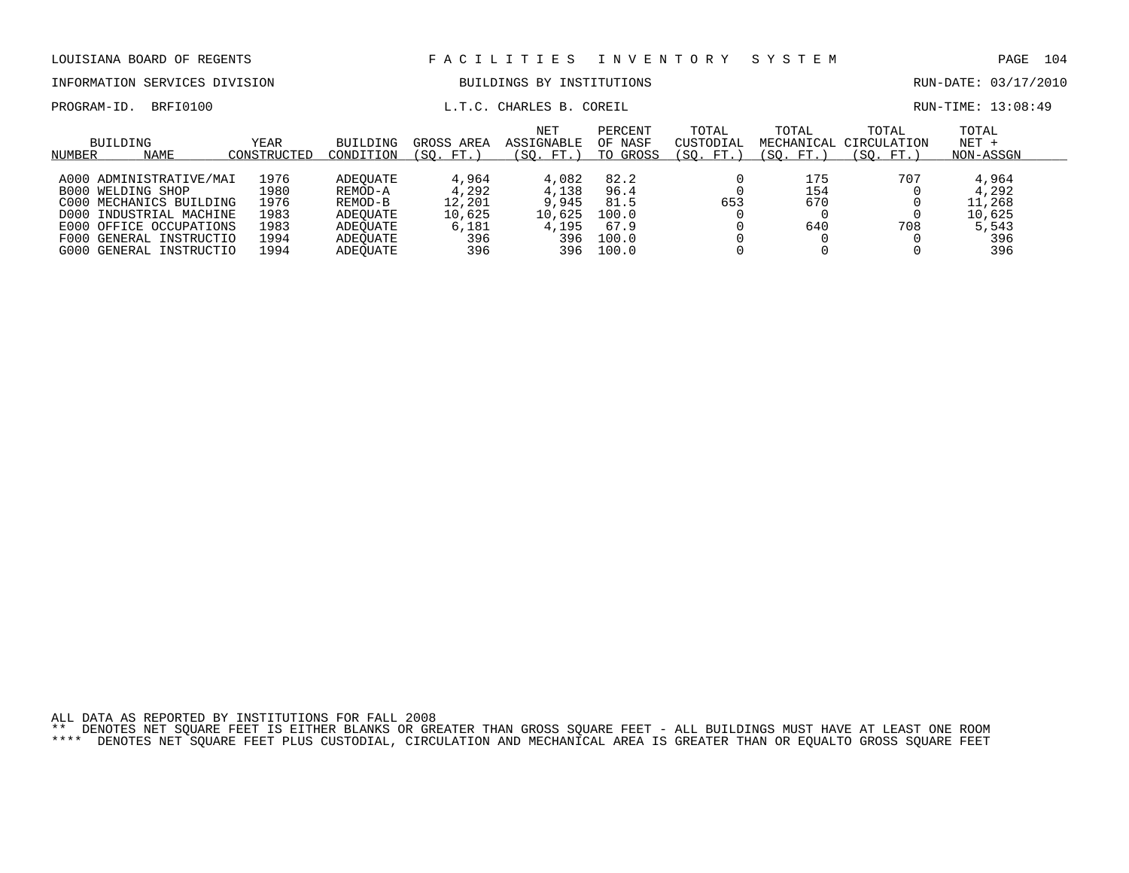| LOUISIANA BOARD OF REGENTS    |                     |                       | FACILITIES INVENTORY SYSTEM |                                           |                                |                                  |                    | PAGE 104                                     |                               |  |
|-------------------------------|---------------------|-----------------------|-----------------------------|-------------------------------------------|--------------------------------|----------------------------------|--------------------|----------------------------------------------|-------------------------------|--|
| INFORMATION SERVICES DIVISION |                     |                       | BUILDINGS BY INSTITUTIONS   |                                           |                                |                                  |                    | RUN-DATE: 03/17/2010                         |                               |  |
| PROGRAM-ID. BRFI0100          |                     |                       |                             | L.T.C. CHARLES B. COREIL                  |                                |                                  |                    |                                              | RUN-TIME: 13:08:49            |  |
| BUILDING<br>NAME<br>NUMBER    | YEAR<br>CONSTRUCTED | BUILDING<br>CONDITION | (SO. FT.)                   | NET<br>GROSS AREA ASSIGNABLE<br>(SO. FT.) | PERCENT<br>OF NASF<br>TO GROSS | TOTAL<br>CUSTODIAL<br>(SO. FT. ) | TOTAL<br>(SO. FT.) | TOTAL<br>MECHANICAL CIRCULATION<br>(SO. FT.) | TOTAL<br>$NET +$<br>NON-ASSGN |  |

| <b>NUMBER</b> | <b>INAILL</b>           | COMPIRACIED | COMPITION | 1. DU . P . P | 1.JV. FI. <i>I</i> | GGUAD UI | 1.JV. FI. <i>I</i> | (JV. FI. <i>)</i> | 1.JV. FI. <i>1</i> | INUINT AID DUIN |  |
|---------------|-------------------------|-------------|-----------|---------------|--------------------|----------|--------------------|-------------------|--------------------|-----------------|--|
|               |                         |             |           |               |                    |          |                    |                   |                    |                 |  |
|               | A000 ADMINISTRATIVE/MAI | 1976        | ADEOUATE  | 4,964         | 4,082              | 82.2     |                    | 175               | 707                | 4,964           |  |
|               | B000 WELDING SHOP       | L980        | REMOD-A   | 4,292         | 4,138              | 96.4     |                    | 154               |                    | 4,292           |  |
|               | C000 MECHANICS BUILDING | 1976        | REMOD-B   | 12,201        | 9,945              | 81.5     | 653                | 670               |                    | 11,268          |  |
|               | D000 INDUSTRIAL MACHINE | 1983        | ADEOUATE  | 10,625        | 10,625             | 100.0    |                    |                   |                    | 10,625          |  |
|               | E000 OFFICE OCCUPATIONS | 1983        | ADEOUATE  | 6,181         | 4,195              | 67.9     |                    | 640               | 708                | 5,543           |  |
|               | F000 GENERAL INSTRUCTIO | 1994        | ADEOUATE  | 396           | 396                | 100.0    |                    |                   |                    | 396             |  |
|               | G000 GENERAL INSTRUCTIO | 1994        | ADEOUATE  | 396           | 396                | 100.0    |                    |                   |                    | 396             |  |
|               |                         |             |           |               |                    |          |                    |                   |                    |                 |  |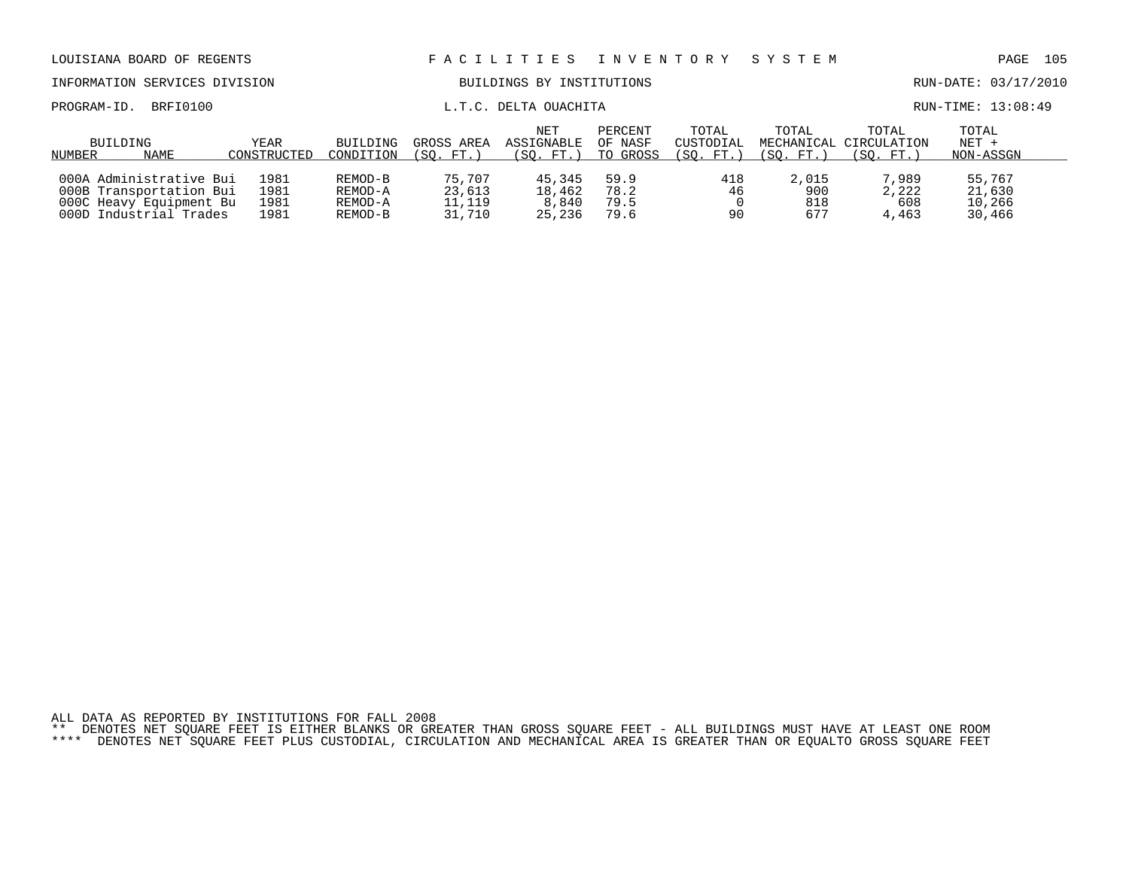| LOUISIANA BOARD OF REGENTS                                                                              |                              |                                          |                                      | FACILITIES                          | I N V E N T O R Y              | SYSTEM                          |                            | 105<br>PAGE                                  |                                      |  |
|---------------------------------------------------------------------------------------------------------|------------------------------|------------------------------------------|--------------------------------------|-------------------------------------|--------------------------------|---------------------------------|----------------------------|----------------------------------------------|--------------------------------------|--|
| INFORMATION SERVICES DIVISION                                                                           |                              | BUILDINGS BY INSTITUTIONS                |                                      |                                     |                                |                                 | RUN-DATE: 03/17/2010       |                                              |                                      |  |
| BRFI0100<br>PROGRAM-ID.                                                                                 |                              | L.T.C. DELTA OUACHITA                    |                                      |                                     |                                |                                 |                            | RUN-TIME: 13:08:49                           |                                      |  |
| BUILDING<br>NAME<br>NUMBER                                                                              | YEAR<br>CONSTRUCTED          | <b>BUILDING</b><br>CONDITION             | GROSS AREA<br>(SO. FT.)              | NET<br>ASSIGNABLE<br>(SO. FT.)      | PERCENT<br>OF NASF<br>TO GROSS | TOTAL<br>CUSTODIAL<br>(SO. FT.) | TOTAL<br>(SO. FT.)         | TOTAL<br>MECHANICAL CIRCULATION<br>(SO. FT.) | TOTAL<br>$NET +$<br>NON-ASSGN        |  |
| 000A Administrative Bui<br>000B Transportation Bui<br>000C Heavy Equipment Bu<br>000D Industrial Trades | 1981<br>1981<br>1981<br>1981 | REMOD-B<br>REMOD-A<br>REMOD-A<br>REMOD-B | 75,707<br>23,613<br>11,119<br>31,710 | 45,345<br>18,462<br>8,840<br>25,236 | 59.9<br>78.2<br>79.5<br>79.6   | 418<br>46<br>90                 | 2,015<br>900<br>818<br>677 | 7,989<br>2,222<br>608<br>4,463               | 55,767<br>21,630<br>10,266<br>30,466 |  |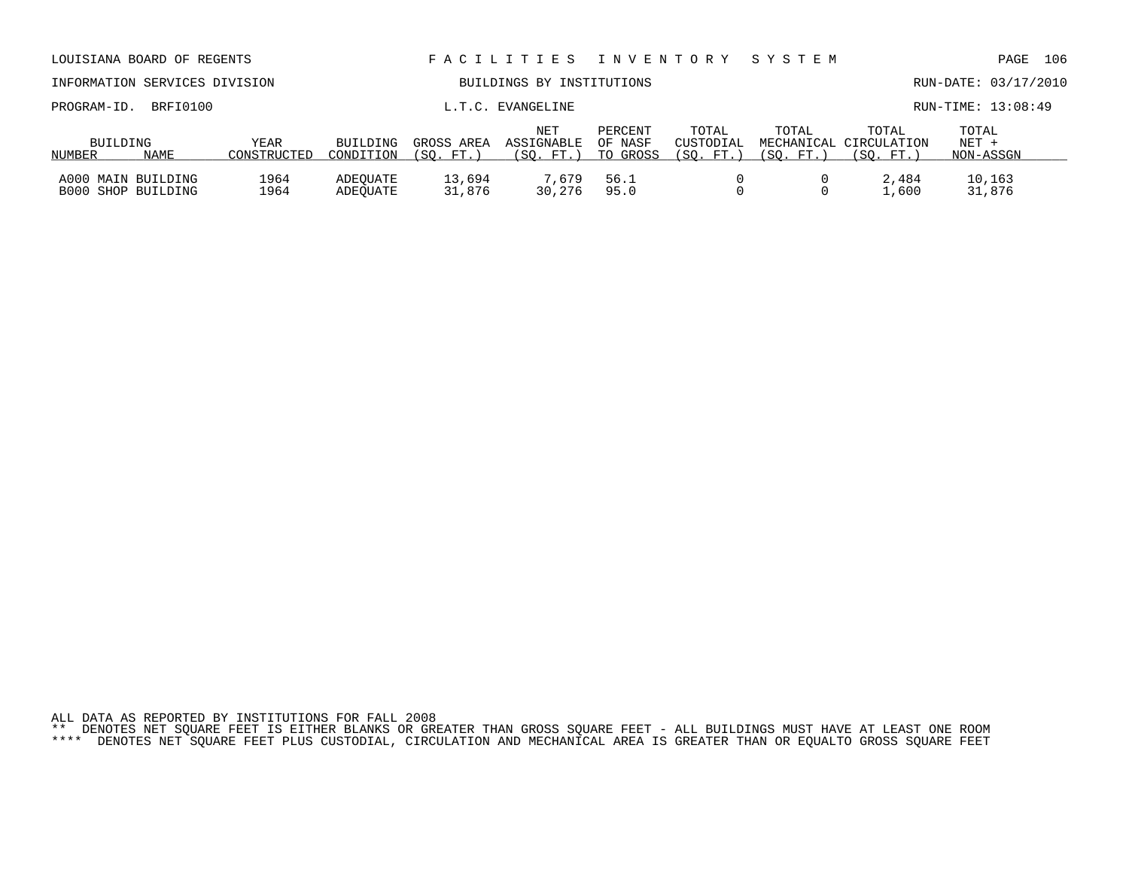| INFORMATION SERVICES DIVISION               |                     |                       | BUILDINGS BY INSTITUTIONS |                                 |                                |                                 |                                  |                                   | RUN-DATE: 03/17/2010        |  |  |
|---------------------------------------------|---------------------|-----------------------|---------------------------|---------------------------------|--------------------------------|---------------------------------|----------------------------------|-----------------------------------|-----------------------------|--|--|
| BRFI0100<br>PROGRAM-ID.                     |                     |                       |                           | L.T.C. EVANGELINE               |                                |                                 |                                  |                                   | RUN-TIME: 13:08:49          |  |  |
| BUILDING<br><b>NAME</b><br>NUMBER           | YEAR<br>CONSTRUCTED | BUILDING<br>CONDITION | GROSS AREA<br>SO. FT.)    | NET<br>ASSIGNABLE<br>(SO. FT. ) | PERCENT<br>OF NASF<br>TO GROSS | TOTAL<br>CUSTODIAL<br>(SO. FT.) | TOTAL<br>MECHANICAL<br>(SO. FT.) | TOTAL<br>CIRCULATION<br>(SO. FT.) | TOTAL<br>NET +<br>NON-ASSGN |  |  |
| A000 MAIN BUILDING<br>SHOP BUILDING<br>B000 | 1964<br>1964        | ADEOUATE<br>ADEOUATE  | 13,694<br>31,876          | 7.679<br>30,276                 | 56.1<br>95.0                   |                                 |                                  | 2,484<br>1,600                    | 10,163<br>31,876            |  |  |

LOUISIANA BOARD OF REGENTS F A C I L I T I E S I N V E N T O R Y S Y S T E M PAGE 106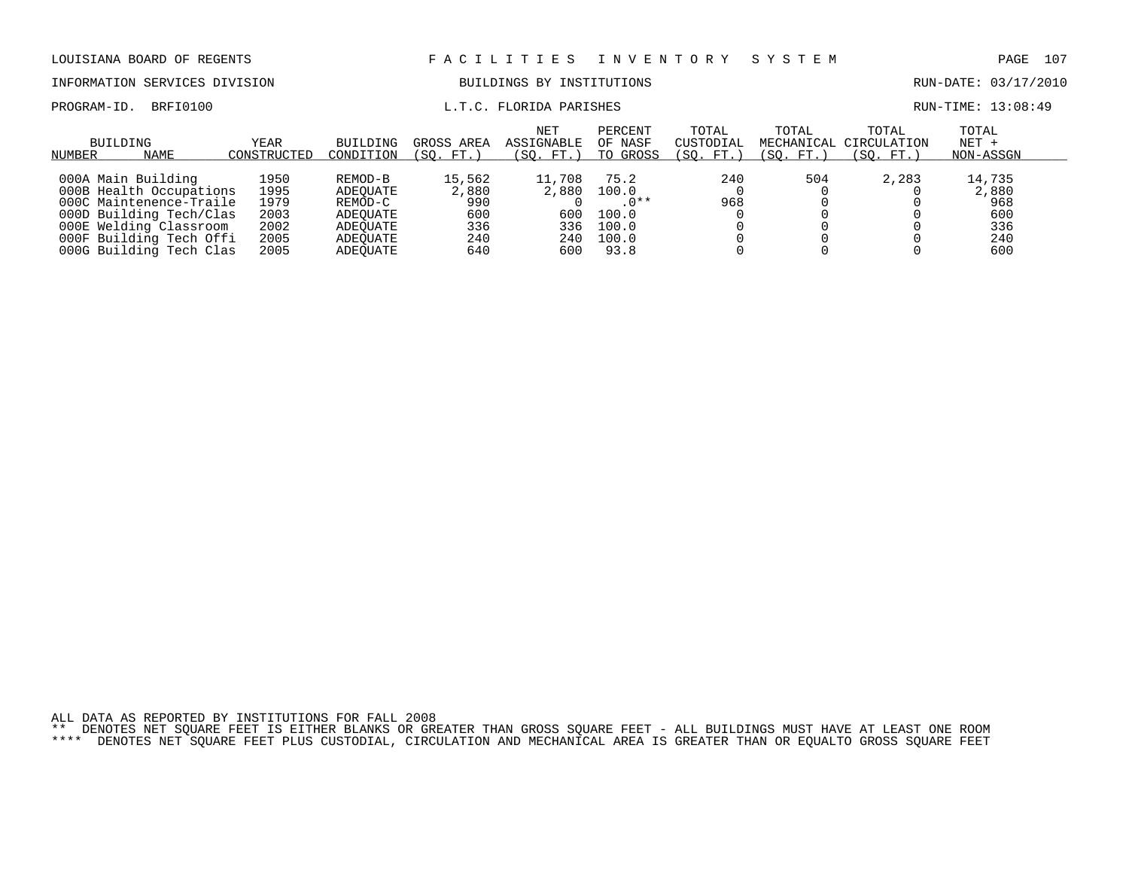## INFORMATION SERVICES DIVISION BUILDINGS BY INSTITUTIONS AND RUN-DATE: 03/17/2010

## PROGRAM-ID. BRFI0100 CONTENTION CONTROLLER IN THE LORIDA PARISHES CONTROLLER RUN-TIME: 13:08:49

| BUILDING<br><b>NAME</b> | YEAR        | <b>BUILDING</b> | GROSS AREA  | <b>NET</b><br><b>ASSIGNABLE</b><br>(SO. FT. | PERCENT<br>OF NASF<br>TO GROSS | TOTAL<br>CUSTODIAL | TOTAL<br>MECHANICAL | TOTAL<br>CIRCULATION | TOTAL<br>$NET +$ |  |
|-------------------------|-------------|-----------------|-------------|---------------------------------------------|--------------------------------|--------------------|---------------------|----------------------|------------------|--|
| NUMBER                  | CONSTRUCTED | CONDITION       | 'SO.<br>FT. |                                             |                                | 'SO.<br>FT.        | SO.<br>FT.          | (SO. FT.             | NON-ASSGN        |  |
| 000A Main Building      | 1950        | REMOD-B         | 15,562      | 11,708                                      | 75.2                           | 240                | 504                 | 2,283                | 14,735           |  |
| 000B Health Occupations | 1995        | ADEOUATE        | 2,880       | 2,880                                       | 100.0                          |                    |                     |                      | 2,880            |  |
| 000C Maintenence-Traile | 1979        | REMOD-C         | 990         |                                             | $.0**$                         | 968                |                     |                      | 968              |  |
| 000D Building Tech/Clas | 2003        | ADEOUATE        | 600         | 600                                         | 100.0                          |                    |                     |                      | 600              |  |
| 000E Welding Classroom  | 2002        | ADEOUATE        | 336         | 336                                         | 100.0                          |                    |                     |                      | 336              |  |
| 000F Building Tech Offi | 2005        | ADEOUATE        | 240         | 240                                         | 100.0                          |                    |                     |                      | 240              |  |
| 000G Building Tech Clas | 2005        | ADEOUATE        | 640         | 600                                         | 93.8                           |                    |                     |                      | 600              |  |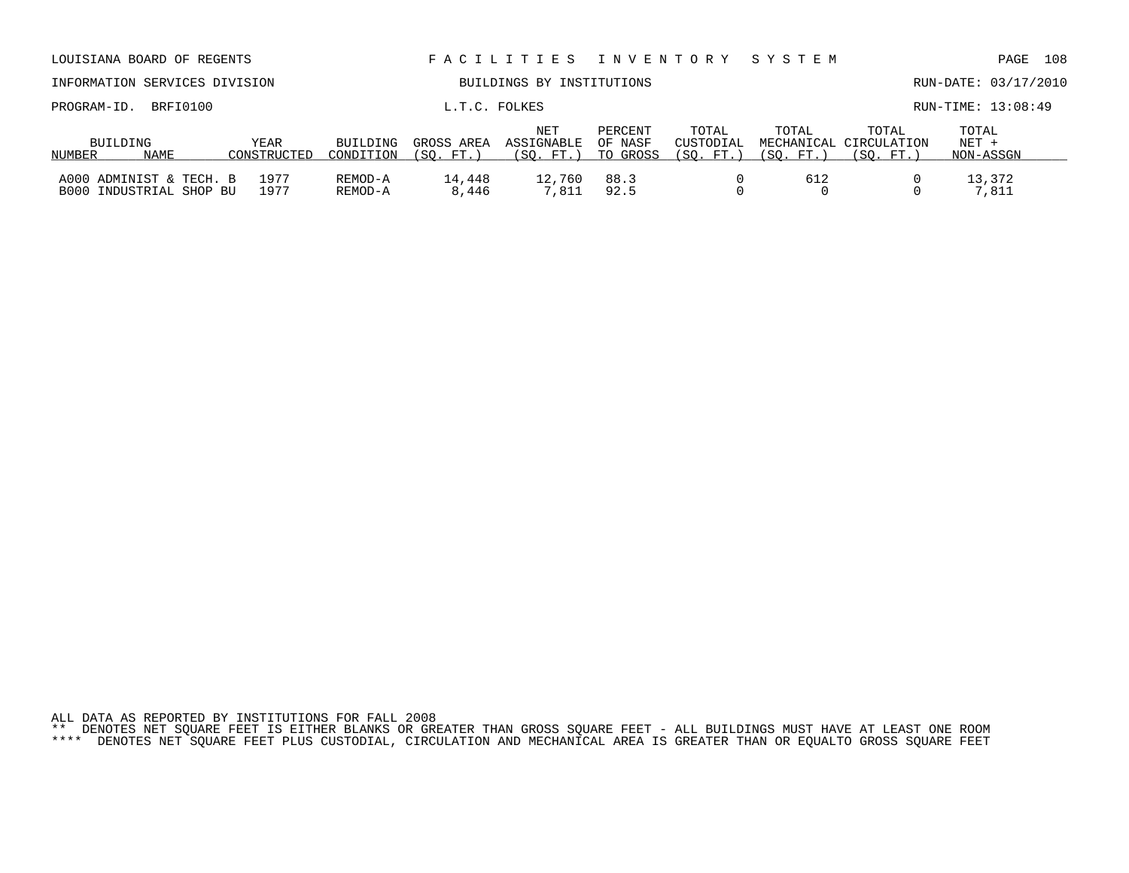| INFORMATION SERVICES DIVISION                         |                            | BUILDINGS BY INSTITUTIONS |                          |                                 |                                |                                 |                   | RUN-DATE: 03/17/2010                         |                             |  |
|-------------------------------------------------------|----------------------------|---------------------------|--------------------------|---------------------------------|--------------------------------|---------------------------------|-------------------|----------------------------------------------|-----------------------------|--|
| BRFI0100<br>PROGRAM-ID.                               |                            |                           | L.T.C. FOLKES            |                                 |                                |                                 |                   |                                              | RUN-TIME: 13:08:49          |  |
| BUILDING<br><b>NAME</b><br>NUMBER                     | <b>YEAR</b><br>CONSTRUCTED | BUILDING<br>CONDITION     | GROSS AREA<br>SO.<br>FT. | NET<br>ASSIGNABLE<br>(SO. FT. ) | PERCENT<br>OF NASF<br>TO GROSS | TOTAL<br>CUSTODIAL<br>(SO. FT.) | TOTAL<br>(SO. FT. | TOTAL<br>MECHANICAL CIRCULATION<br>(SO. FT.) | TOTAL<br>NET +<br>NON-ASSGN |  |
| A000 ADMINIST & TECH. B<br>B000<br>INDUSTRIAL SHOP BU | 1977<br>1977               | REMOD-A<br>REMOD-A        | 14,448<br>8,446          | 12,760<br>7,811                 | 88.3<br>92.5                   |                                 | 612               |                                              | 13,372<br>7,811             |  |

LOUISIANA BOARD OF REGENTS F A C I L I T I E S I N V E N T O R Y S Y S T E M PAGE 108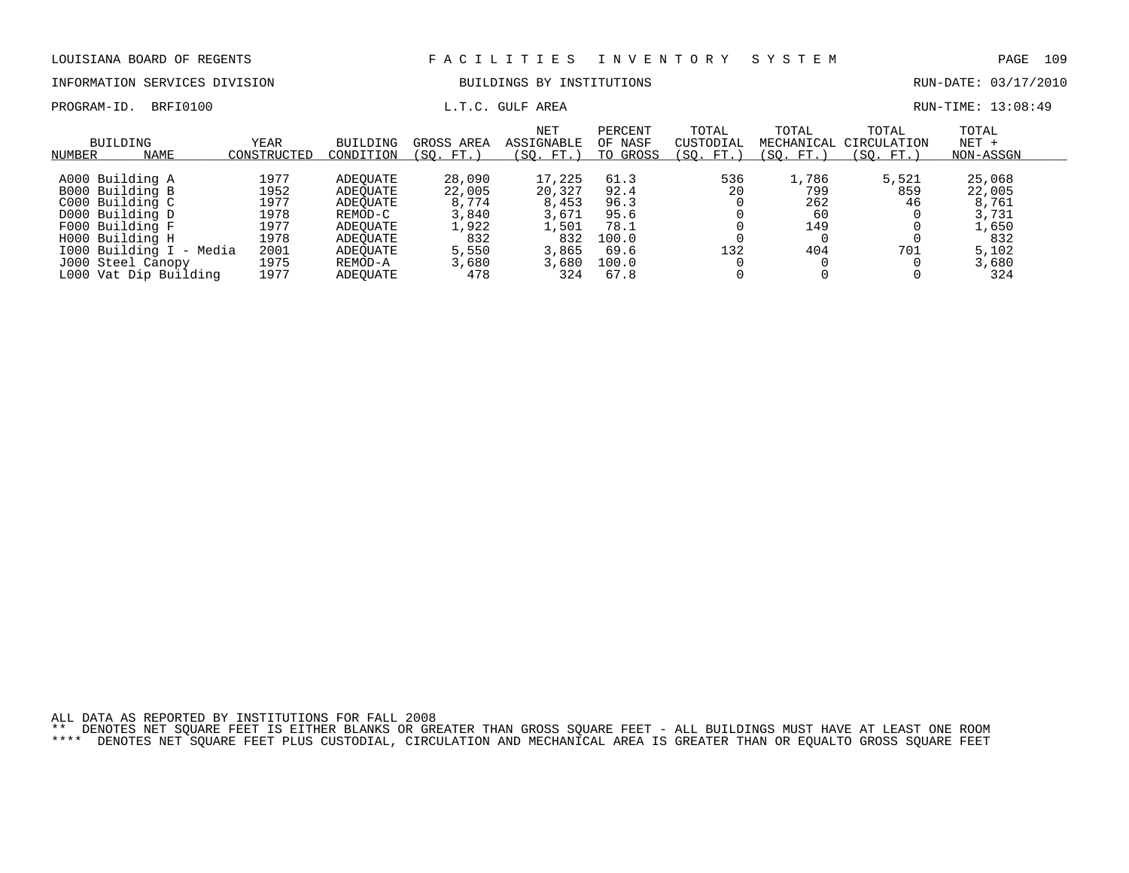### INFORMATION SERVICES DIVISION BUILDINGS BY INSTITUTIONS RUN-DATE: 03/17/2010

PROGRAM-ID. BRFI0100 **EXAM-ID.** BRFI0100 **L.T.C. GULF AREA** BOOK AND RUN-TIME: 13:08:49

| BUILDING<br>NAME<br>NUMBER                                                                                                                                     | YEAR<br>CONSTRUCTEL                                          | BUILDING<br>CONDITION                                                                      | GROSS AREA<br>FT.<br>(SO.                                            | NET<br>ASSIGNABLE<br>(SO. FT.                                        | PERCENT<br>OF NASF<br>TO GROSS                                 | TOTAL<br>CUSTODIAL<br>'SO.<br>FT. | TOTAL<br>MECHANICAL<br>FT. 1<br>(SO.    | TOTAL<br>CIRCULATION<br>SO.<br>FT. | TOTAL<br>$NET +$<br>NON-ASSGN                                        |  |
|----------------------------------------------------------------------------------------------------------------------------------------------------------------|--------------------------------------------------------------|--------------------------------------------------------------------------------------------|----------------------------------------------------------------------|----------------------------------------------------------------------|----------------------------------------------------------------|-----------------------------------|-----------------------------------------|------------------------------------|----------------------------------------------------------------------|--|
| A000 Building A<br>B000 Building B<br>C000 Building C<br>D000 Building D<br>F000 Building F<br>H000 Building H<br>1000 Building I - Media<br>J000 Steel Canopy | 1977<br>1952<br>1977<br>1978<br>1977<br>1978<br>2001<br>1975 | ADEOUATE<br>ADEOUATE<br>ADEOUATE<br>REMOD-C<br>ADEOUATE<br>ADEOUATE<br>ADEOUATE<br>REMOD-A | 28,090<br>22,005<br>8,774<br>3,840<br>1,922<br>832<br>5,550<br>3,680 | 17,225<br>20,327<br>8,453<br>3,671<br>1,501<br>832<br>3,865<br>3,680 | 61.3<br>92.4<br>96.3<br>95.6<br>78.1<br>100.0<br>69.6<br>100.0 | 536<br>20<br>132                  | 1,786<br>799<br>262<br>60<br>149<br>404 | 5,521<br>859<br>46<br>701          | 25,068<br>22,005<br>8,761<br>3,731<br>1,650<br>832<br>5,102<br>3,680 |  |
| L000 Vat Dip Building                                                                                                                                          | 1977                                                         | ADEOUATE                                                                                   | 478                                                                  | 324                                                                  | 67.8                                                           |                                   |                                         |                                    | 324                                                                  |  |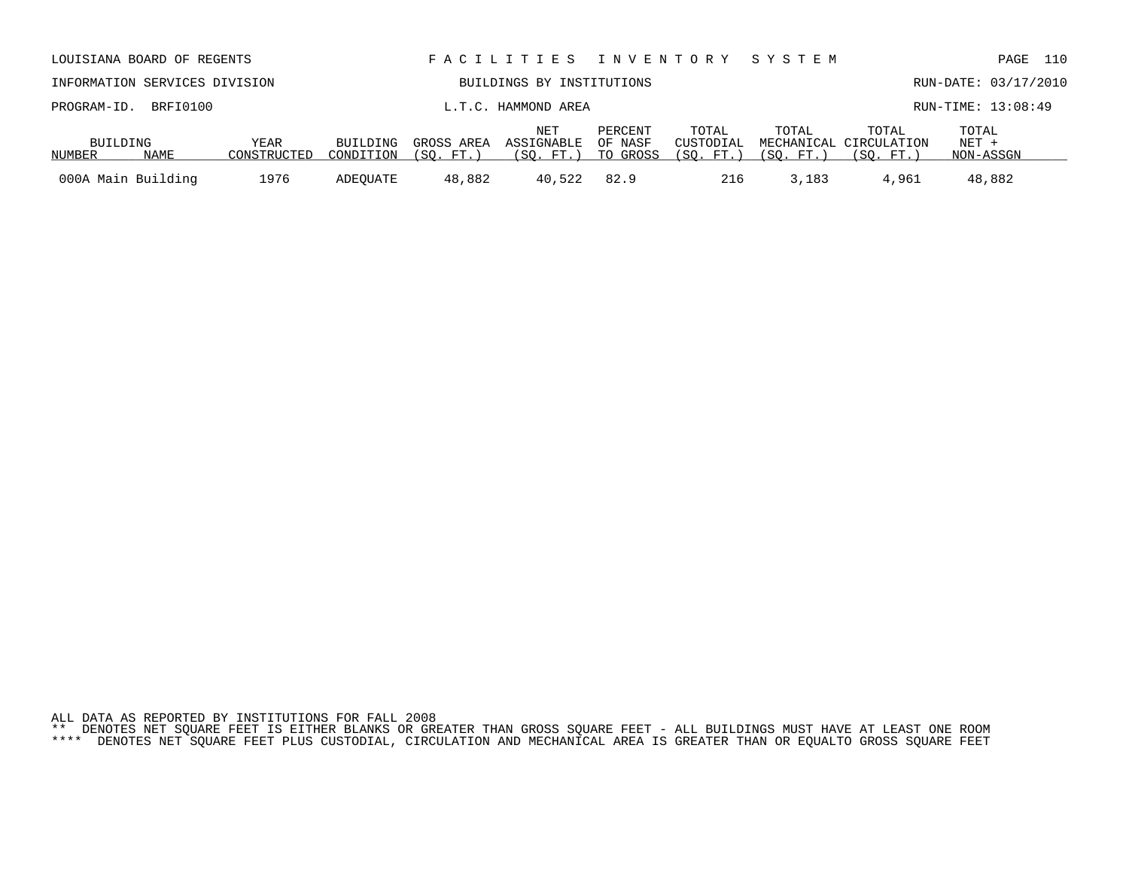| ALL DATA AS REPORTED BY INSTITUTIONS FOR FALL 2008 |  |  |  |  |  |  |                                                                                                                           |  |  |  |
|----------------------------------------------------|--|--|--|--|--|--|---------------------------------------------------------------------------------------------------------------------------|--|--|--|
|                                                    |  |  |  |  |  |  | ** DENOTES NET SOUARE FEET IS EITHER BLANKS OR GREATER THAN GROSS SOUARE FEET – ALL BUILDINGS MUST HAVE AT LEAST ONE ROOM |  |  |  |

|                                                                                                                                                                           | LOUISIANA BOARD OF REGENTS |      |          |                     | FACILITIES INVENTORY            |                   |                                              | S Y S T E M                   |                      | 110<br>PAGE        |  |  |
|---------------------------------------------------------------------------------------------------------------------------------------------------------------------------|----------------------------|------|----------|---------------------|---------------------------------|-------------------|----------------------------------------------|-------------------------------|----------------------|--------------------|--|--|
| INFORMATION SERVICES DIVISION<br>BUILDINGS BY INSTITUTIONS                                                                                                                |                            |      |          |                     |                                 |                   |                                              |                               | RUN-DATE: 03/17/2010 |                    |  |  |
| PROGRAM-ID.                                                                                                                                                               | BRFI0100                   |      |          | L.T.C. HAMMOND AREA |                                 |                   |                                              |                               |                      | RUN-TIME: 13:08:49 |  |  |
| NET<br>PERCENT<br>BUILDING<br>YEAR<br>ASSIGNABLE<br>OF NASF<br>BUILDING<br>GROSS AREA<br>NAME<br>CONSTRUCTED<br>TO GROSS<br>(SO. FT.)<br>(SO. FT.)<br>NUMBER<br>CONDITION |                            |      |          |                     | TOTAL<br>CUSTODIAL<br>(SO. FT.) | TOTAL<br>(SO. FT. | TOTAL<br>MECHANICAL CIRCULATION<br>(SO. FT.) | TOTAL<br>$NET +$<br>NON-ASSGN |                      |                    |  |  |
| 000A Main Building                                                                                                                                                        |                            | 1976 | ADEOUATE | 48,882              | 40,522                          | 82.9              | 216                                          | 3,183                         | 4,961                | 48,882             |  |  |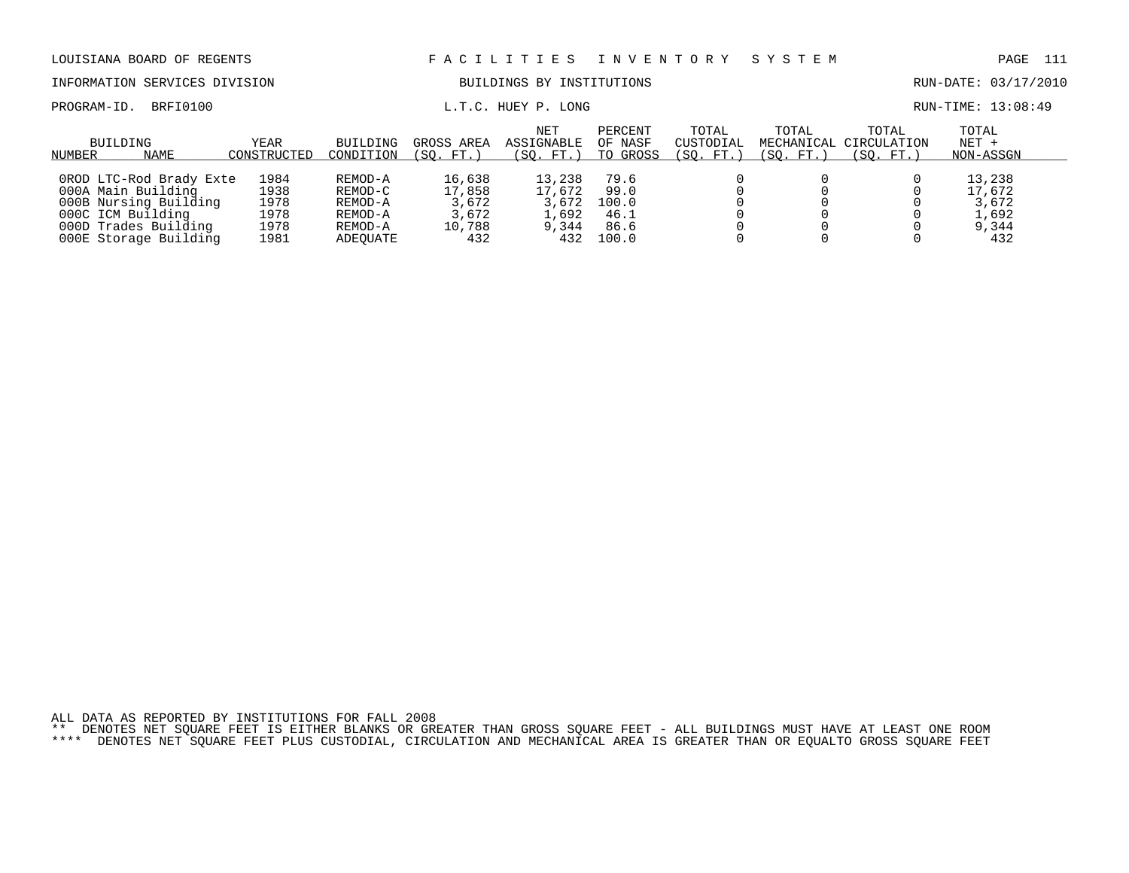| LOUISIANA BOARD OF REGENTS                                                                                          |                                      |                                                     |                                              | FACILITIES                                  | I N V E N T O R Y                     |                                 | SYSTEM                           |                                   | - 111<br>PAGE                               |
|---------------------------------------------------------------------------------------------------------------------|--------------------------------------|-----------------------------------------------------|----------------------------------------------|---------------------------------------------|---------------------------------------|---------------------------------|----------------------------------|-----------------------------------|---------------------------------------------|
| INFORMATION SERVICES DIVISION                                                                                       |                                      |                                                     |                                              | BUILDINGS BY INSTITUTIONS                   |                                       |                                 |                                  |                                   | RUN-DATE: 03/17/2010                        |
| BRFI0100<br>PROGRAM-ID.                                                                                             |                                      |                                                     |                                              | L.T.C. HUEY P. LONG                         |                                       |                                 |                                  |                                   | RUN-TIME: 13:08:49                          |
| BUILDING<br>NAME<br>NUMBER                                                                                          | YEAR<br>CONSTRUCTED                  | <b>BUILDING</b><br>CONDITION                        | GROSS AREA<br>(SO. FT.)                      | NET<br><b>ASSIGNABLE</b><br>(SO. FT.)       | PERCENT<br>OF NASF<br>TO GROSS        | TOTAL<br>CUSTODIAL<br>(SO. FT.) | TOTAL<br>MECHANICAL<br>(SO. FT.) | TOTAL<br>CIRCULATION<br>(SO. FT.) | TOTAL<br>$NET +$<br>NON-ASSGN               |
| OROD LTC-Rod Brady Exte<br>000A Main Building<br>000B Nursing Building<br>000C ICM Building<br>000D Trades Building | 1984<br>1938<br>1978<br>1978<br>1978 | REMOD-A<br>REMOD-C<br>REMOD-A<br>REMOD-A<br>REMOD-A | 16,638<br>17,858<br>3,672<br>3,672<br>10,788 | 13,238<br>17,672<br>3,672<br>1,692<br>9,344 | 79.6<br>99.0<br>100.0<br>46.1<br>86.6 |                                 |                                  |                                   | 13,238<br>17,672<br>3,672<br>1,692<br>9,344 |

000E Storage Building 1981 ADEQUATE 432 432 100.0 0 0 0 432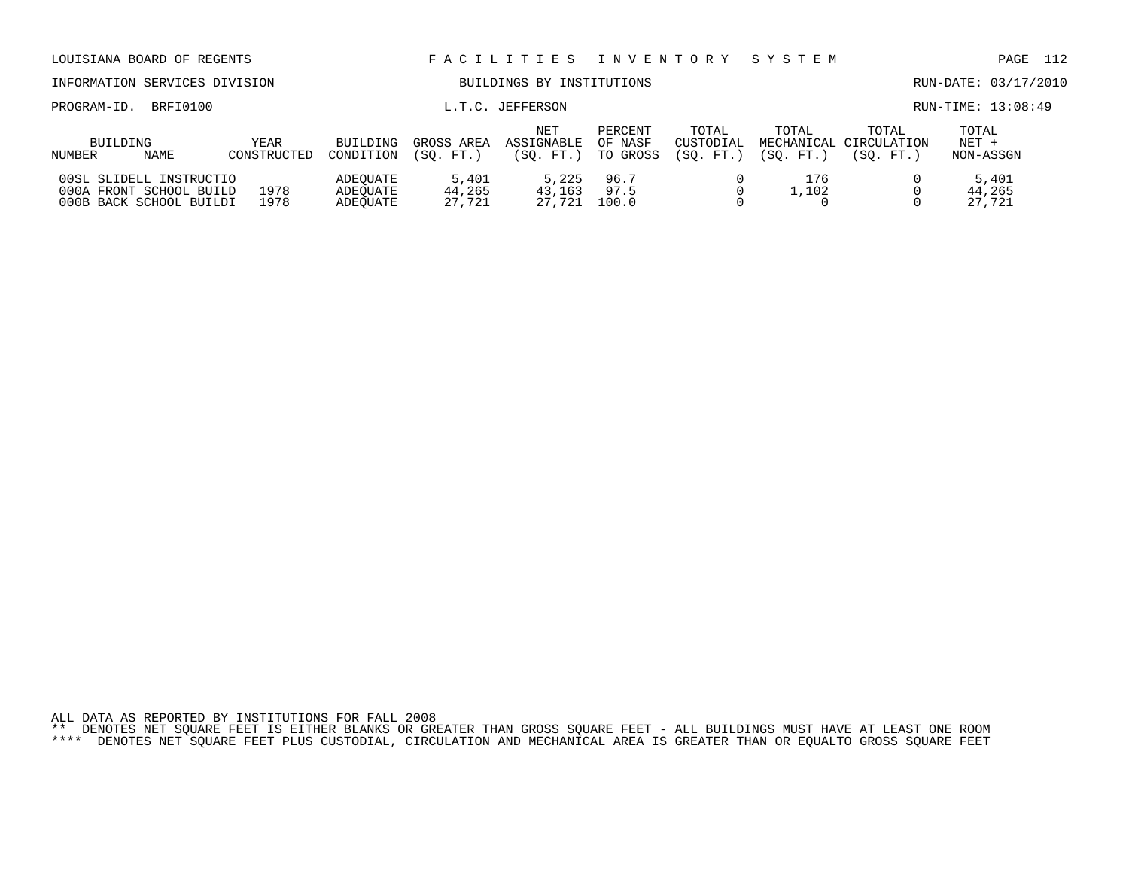| LOUISIANA BOARD OF REGENTS                                                    |                     |                                  |                           | F A C I L I T I E S             |                                |                                 | INVENTORY SYSTEM   |                                              | PAGE                          | 112 |
|-------------------------------------------------------------------------------|---------------------|----------------------------------|---------------------------|---------------------------------|--------------------------------|---------------------------------|--------------------|----------------------------------------------|-------------------------------|-----|
| INFORMATION SERVICES DIVISION                                                 |                     |                                  |                           | BUILDINGS BY INSTITUTIONS       |                                |                                 |                    |                                              | RUN-DATE: 03/17/2010          |     |
| BRFI0100<br>PROGRAM-ID.                                                       |                     |                                  |                           | L.T.C. JEFFERSON                |                                |                                 |                    |                                              | RUN-TIME: 13:08:49            |     |
| BUILDING<br>NAME<br>NUMBER                                                    | YEAR<br>CONSTRUCTED | BUILDING<br>CONDITION            | GROSS AREA<br>FT.<br>ISO. | NET<br>ASSIGNABLE<br>(SO. FT. ) | PERCENT<br>OF NASF<br>TO GROSS | TOTAL<br>CUSTODIAL<br>(SO. FT.) | TOTAL<br>(SO. FT.) | TOTAL<br>MECHANICAL CIRCULATION<br>(SO. FT.) | TOTAL<br>$NET +$<br>NON-ASSGN |     |
| 00SL SLIDELL INSTRUCTIO<br>000A FRONT SCHOOL BUILD<br>000B BACK SCHOOL BUILDI | 1978<br>1978        | ADEOUATE<br>ADEOUATE<br>ADEOUATE | 5,401<br>44,265<br>27.721 | 5,225<br>43,163<br>27,721       | 96.7<br>97.5<br>100.0          |                                 | 176<br>1,102       |                                              | 5,401<br>44,265<br>27,721     |     |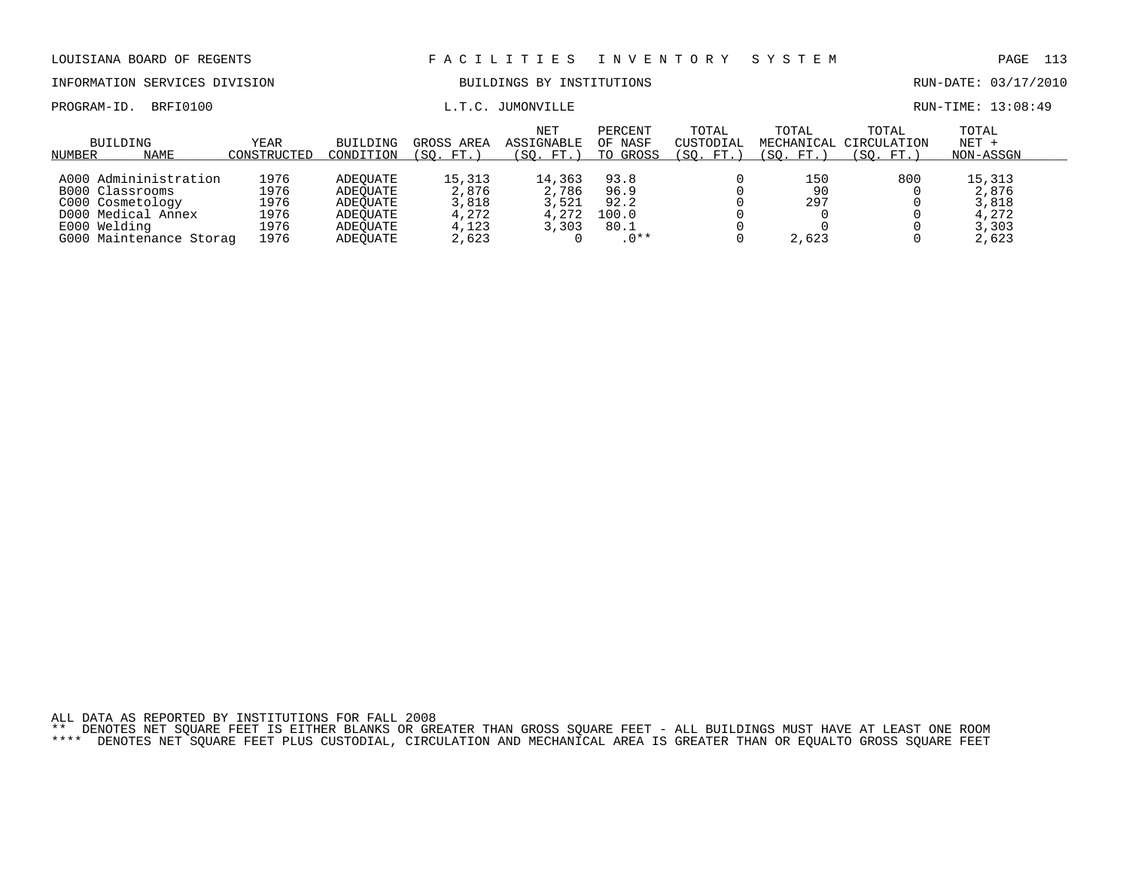INFORMATION SERVICES DIVISION BUILDINGS BY INSTITUTIONS AND RUN-DATE: 03/17/2010

PROGRAM-ID. BRFI0100  $L.T.C.$  JUMONVILLE RUN-TIME: 13:08:49

| BUILDING<br><b>NAME</b><br>NUMBER | YEAR<br>CONSTRUCTED | <b>BUILDING</b><br>CONDITION | GROSS<br>AREA<br>FT.<br>'SO. | <b>NET</b><br>ASSIGNABLE<br>SO.<br>FT. | PERCENT<br>OF NASF<br>GROSS<br>TO | TOTAL<br>CUSTODIAL<br>'SO.<br>FT. | TOTAL<br>MECHANICAL<br>SO.<br>FT. | TOTAL<br>CIRCULATION<br>(SO. FT.) | TOTAL<br>$NET +$<br>NON-ASSGN |
|-----------------------------------|---------------------|------------------------------|------------------------------|----------------------------------------|-----------------------------------|-----------------------------------|-----------------------------------|-----------------------------------|-------------------------------|
| A000 Admininistration             | 1976                | ADEOUATE                     | 15,313                       | 14,363                                 | 93.8                              |                                   | 150                               | 800                               | 15,313                        |
| B000 Classrooms                   | 1976                | ADEOUATE                     | 2,876                        | 2,786                                  | 96.9                              |                                   | 90                                |                                   | 2,876                         |
| C000 Cosmetology                  | 1976                | ADEOUATE                     | 3,818                        | 3,521                                  | 92.2                              |                                   | 297                               |                                   | 3,818                         |
| D000 Medical Annex                | 1976                | ADEOUATE                     | 4,272                        | 4,272                                  | 100.0                             |                                   |                                   |                                   | 4.272                         |
| E000 Welding                      | 1976                | ADEOUATE                     | 4,123                        | 3,303                                  | 80.1                              |                                   |                                   |                                   | 3,303                         |
| G000 Maintenance Storag           | 1976                | ADEOUATE                     | 2,623                        |                                        | $.0**$                            |                                   | 2,623                             |                                   | 2,623                         |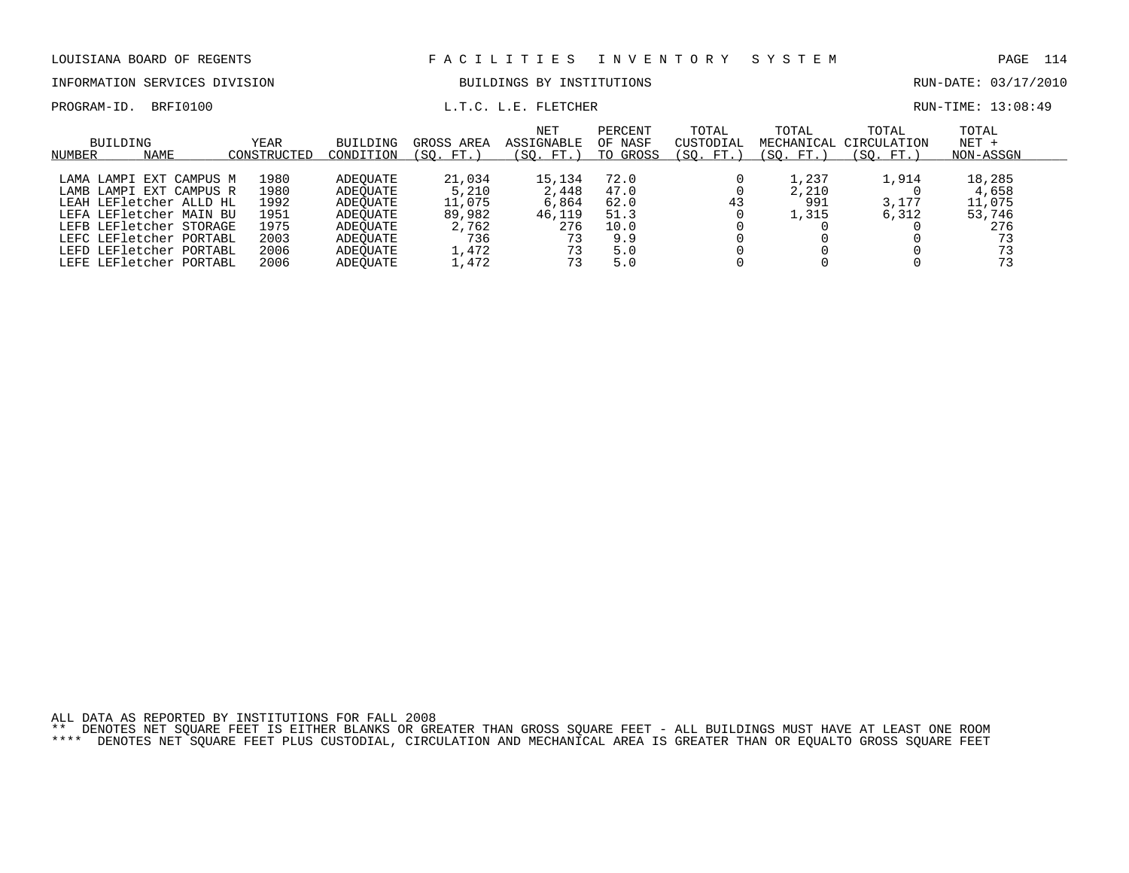INFORMATION SERVICES DIVISION BUILDINGS BY INSTITUTIONS AND RUN-DATE: 03/17/2010

### PROGRAM-ID. BRFI0100 **EXAM-ID.** BRFI0100 **L.T.C. L.E. FLETCHER EXAM-TIME: 13:08:49**

| BUILDING<br>NAME<br>NUMBER | <b>YEAR</b><br>CONSTRUCTED | BUILDING<br>CONDITION | GROSS AREA<br>FT.<br>'SO. | NET<br>ASSIGNABLE<br>(SO. FT.) | PERCENT<br>OF NASF<br>TO GROSS | TOTAL<br>CUSTODIAL<br>(SO.<br>FT.) | TOTAL<br>MECHANICAL<br>(SO. FT.) | TOTAL<br>CIRCULATION<br>SO.<br>. FT.) | TOTAL<br>$NET +$<br>NON-ASSGN |  |
|----------------------------|----------------------------|-----------------------|---------------------------|--------------------------------|--------------------------------|------------------------------------|----------------------------------|---------------------------------------|-------------------------------|--|
|                            |                            |                       |                           |                                |                                |                                    |                                  |                                       |                               |  |
| LAMA LAMPI EXT CAMPUS M    | 1980                       | ADEOUATE              | 21,034                    | 15,134                         | 72.0                           |                                    | 1,237                            | 1,914                                 | 18,285                        |  |
| LAMB LAMPI EXT CAMPUS R    | 1980                       | ADEOUATE              | 5,210                     | 2,448                          | 47.0                           |                                    | 2,210                            |                                       | 4,658                         |  |
| LEAH LEFletcher ALLD HL    | 1992                       | ADEOUATE              | 11,075                    | 6,864                          | 62.0                           | 43                                 | 991                              | 3,177                                 | 11,075                        |  |
| LEFA LEFletcher MAIN BU    | 1951                       | ADEOUATE              | 89,982                    | 46,119                         | 51.3                           |                                    | 1,315                            | 6,312                                 | 53,746                        |  |
| LEFB LEFletcher STORAGE    | 1975                       | ADEOUATE              | 2,762                     | 276                            | 10.0                           |                                    |                                  |                                       | 276                           |  |
| LEFC LEFletcher PORTABL    | 2003                       | ADEOUATE              | 736                       | 73                             | 9.9                            |                                    |                                  |                                       | 73                            |  |
| LEFD LEFletcher PORTABL    | 2006                       | ADEOUATE              | 1,472                     | 73                             | 5.0                            |                                    |                                  |                                       | 73                            |  |
| LEFE LEFletcher PORTABL    | 2006                       | <b>ADEOUATE</b>       | 1,472                     | 73                             | 5.0                            |                                    |                                  |                                       | 73                            |  |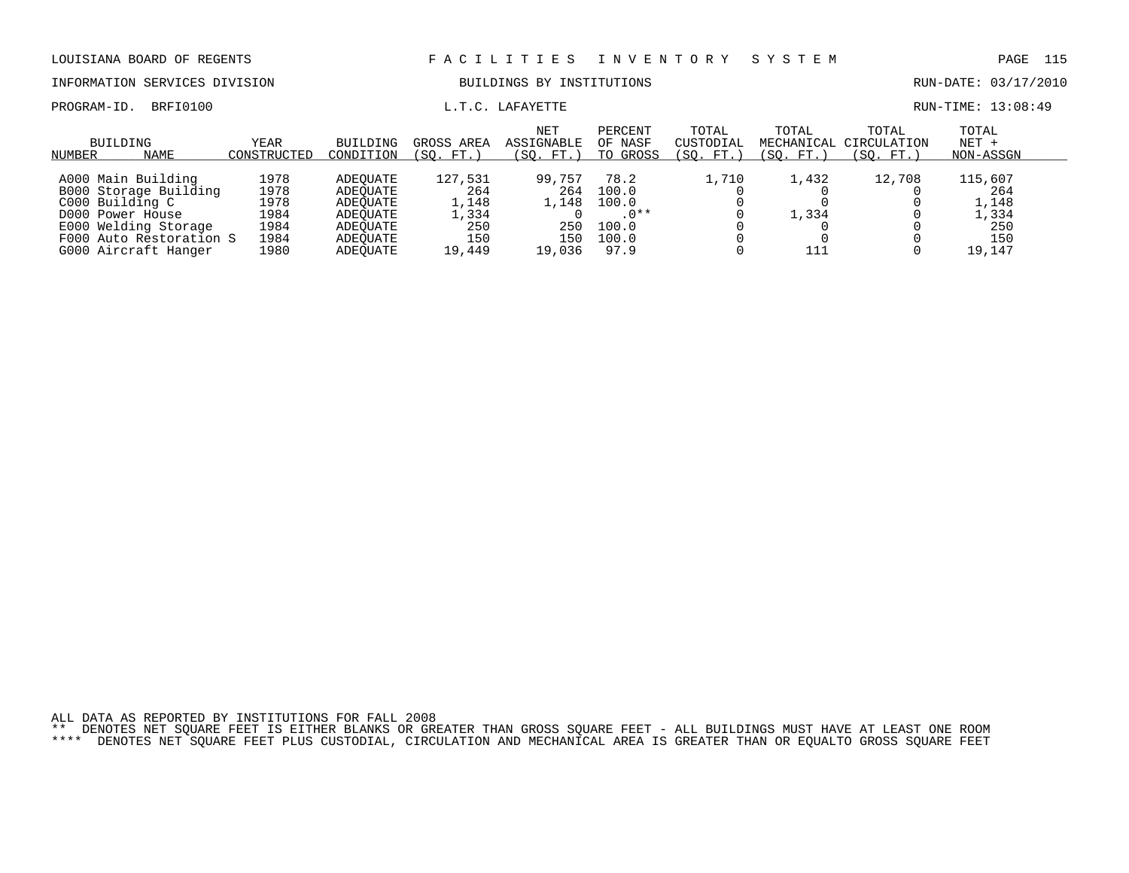INFORMATION SERVICES DIVISION BUILDINGS BY INSTITUTIONS RUN-DATE: 03/17/2010

### PROGRAM-ID. BRFI0100 **EXAM-** L.T.C. LAFAYETTE **RUN-TIME: 13:08:49**

| BUILDING<br><b>NAME</b><br>NUMBER                                                                                                                             | YEAR<br>CONSTRUCTED                                  | BUILDING<br>CONDITION                                                            | GROSS AREA<br>(SO. FT.                                   | <b>NET</b><br>ASSIGNABLE<br>(SO. FT.)          | PERCENT<br>OF NASF<br>TO GROSS                             | TOTAL<br>CUSTODIAL<br>(SO. FT. | TOTAL<br>MECHANICAL<br>(SO. FT.) | TOTAL<br>CIRCULATION<br>(SO. FT. | TOTAL<br>$NET +$<br>NON-ASSGN                            |  |
|---------------------------------------------------------------------------------------------------------------------------------------------------------------|------------------------------------------------------|----------------------------------------------------------------------------------|----------------------------------------------------------|------------------------------------------------|------------------------------------------------------------|--------------------------------|----------------------------------|----------------------------------|----------------------------------------------------------|--|
| A000 Main Building<br>B000 Storage Building<br>C000 Building C<br>D000 Power House<br>E000 Welding Storage<br>F000 Auto Restoration S<br>G000 Aircraft Hanger | 1978<br>1978<br>1978<br>1984<br>1984<br>1984<br>1980 | ADEOUATE<br>ADEOUATE<br>ADEOUATE<br>ADEOUATE<br>ADEOUATE<br>ADEOUATE<br>ADEOUATE | 127,531<br>264<br>1,148<br>1,334<br>250<br>150<br>19,449 | 99,757<br>264<br>1,148<br>250<br>150<br>19,036 | 78.2<br>100.0<br>100.0<br>$.0**$<br>100.0<br>100.0<br>97.9 | 1,710                          | 1,432<br>1,334<br>111            | 12,708                           | 115,607<br>264<br>1,148<br>1,334<br>250<br>150<br>19,147 |  |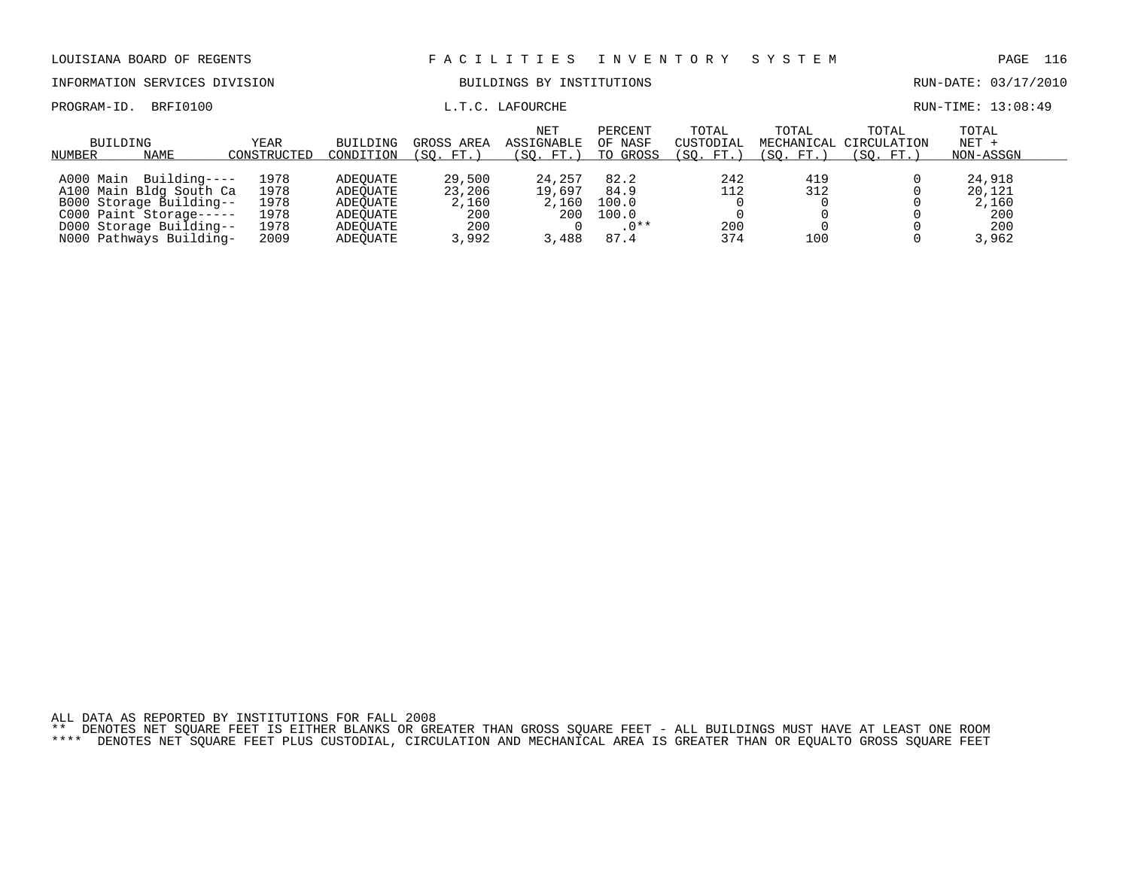INFORMATION SERVICES DIVISION BUILDINGS BY INSTITUTIONS RUN-DATE: 03/17/2010

PROGRAM-ID. BRFI0100 **EXAM-ID.** BRFI0100 **L.T.C. LAFOURCHE EXAMINEMENT RUN-TIME:** 13:08:49

| BUILDING<br>NUMBER | NAME                                                                                                                                                | YEAR<br>CONSTRUCTED                          | BUILDING<br>CONDITION                                                | GROSS AREA<br>(SO. FT.                           | <b>NET</b><br>ASSIGNABLE<br>(SO. FT.)    | PERCENT<br>OF NASF<br>TO GROSS                   | TOTAL<br>CUSTODIAL<br>(SO. FT.) | TOTAL<br>(SO. FT.) | TOTAL<br>MECHANICAL CIRCULATION<br>(SO. FT. | TOTAL<br>$NET +$<br>NON-ASSGN                    |
|--------------------|-----------------------------------------------------------------------------------------------------------------------------------------------------|----------------------------------------------|----------------------------------------------------------------------|--------------------------------------------------|------------------------------------------|--------------------------------------------------|---------------------------------|--------------------|---------------------------------------------|--------------------------------------------------|
| A000 Main          | Building----<br>A100 Main Bldg South Ca<br>B000 Storage Building--<br>C000 Paint Storage-----<br>D000 Storage Building--<br>N000 Pathways Building- | 1978<br>1978<br>1978<br>1978<br>1978<br>2009 | ADEOUATE<br>ADEOUATE<br>ADEOUATE<br>ADEOUATE<br>ADEOUATE<br>ADEOUATE | 29,500<br>23,206<br>2,160<br>200<br>200<br>3,992 | 24,257<br>19,697<br>2,160<br>200<br>,488 | 82.2<br>84.9<br>100.0<br>100.0<br>$.0**$<br>87.4 | 242<br>112<br>200<br>374        | 419<br>312<br>100  |                                             | 24,918<br>20,121<br>2,160<br>200<br>200<br>3,962 |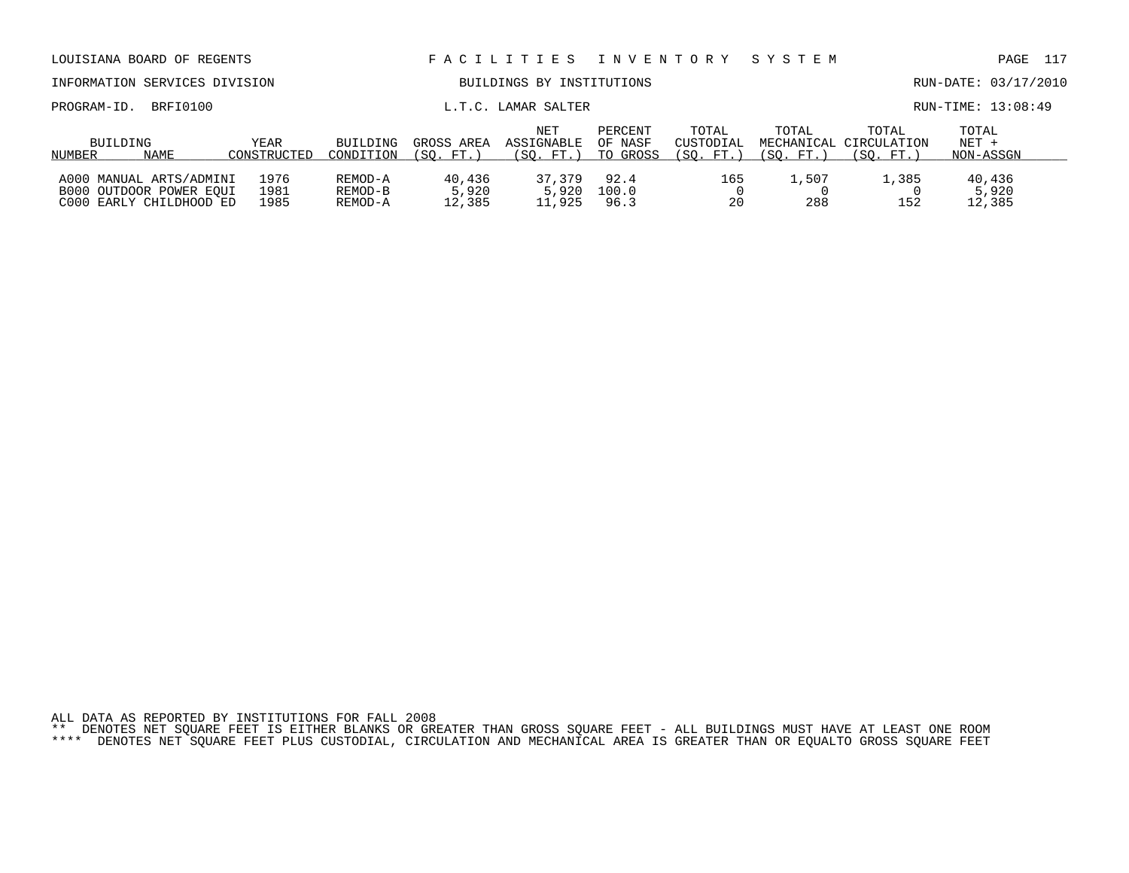| INFORMATION SERVICES DIVISION                                                 |                      |                               |                           | BUILDINGS BY INSTITUTIONS      |                                |                                 |                    |                                              | RUN-DATE: 03/17/2010          |  |
|-------------------------------------------------------------------------------|----------------------|-------------------------------|---------------------------|--------------------------------|--------------------------------|---------------------------------|--------------------|----------------------------------------------|-------------------------------|--|
| PROGRAM-ID.<br>BRFI0100                                                       |                      |                               |                           | L.T.C. LAMAR SALTER            |                                |                                 |                    |                                              | RUN-TIME: 13:08:49            |  |
| BUILDING<br>NUMBER<br>NAME                                                    | YEAR<br>CONSTRUCTED  | <b>BUILDING</b><br>CONDITION  | GROSS AREA<br>(SO. FT.)   | NET<br>ASSIGNABLE<br>(SO. FT.) | PERCENT<br>OF NASF<br>TO GROSS | TOTAL<br>CUSTODIAL<br>(SO. FT.) | TOTAL<br>(SO. FT.) | TOTAL<br>MECHANICAL CIRCULATION<br>(SO. FT.) | TOTAL<br>$NET +$<br>NON-ASSGN |  |
| A000 MANUAL ARTS/ADMINI<br>B000 OUTDOOR POWER EOUI<br>C000 EARLY CHILDHOOD ED | 1976<br>1981<br>1985 | REMOD-A<br>REMOD-B<br>REMOD-A | 40,436<br>5,920<br>12,385 | 37,379<br>5,920<br>11,925      | 92.4<br>100.0<br>96.3          | 165<br>20                       | 1,507<br>288       | 1,385<br>152                                 | 40,436<br>5,920<br>12,385     |  |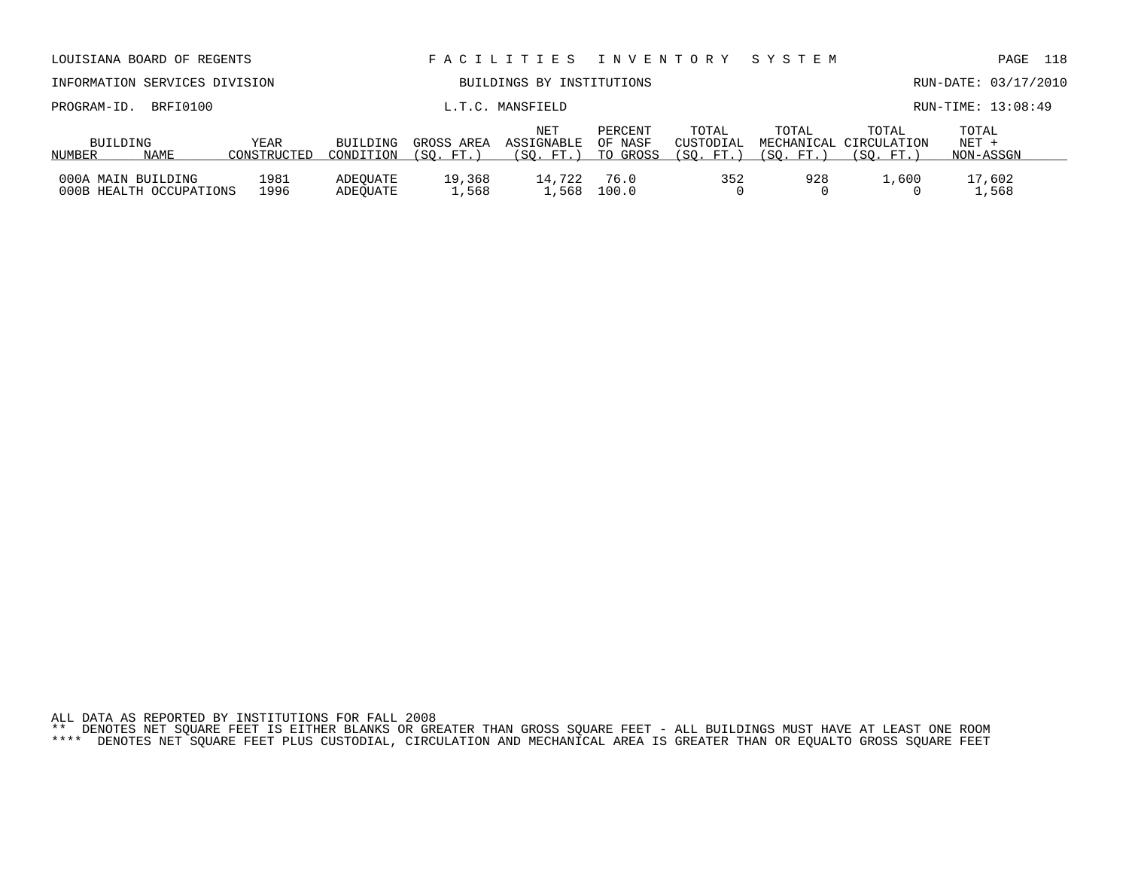|                    | INFORMATION SERVICES DIVISION |                     |                              |                           | BUILDINGS BY INSTITUTIONS             |                                |                                 |                  |                                              | RUN-DATE: 03/17/2010          |
|--------------------|-------------------------------|---------------------|------------------------------|---------------------------|---------------------------------------|--------------------------------|---------------------------------|------------------|----------------------------------------------|-------------------------------|
| PROGRAM-ID.        | BRFI0100                      |                     |                              |                           | L.T.C. MANSFIELD                      |                                |                                 |                  |                                              | RUN-TIME: 13:08:49            |
| BUILDING<br>NUMBER | <b>NAME</b>                   | YEAR<br>CONSTRUCTED | <b>BUILDING</b><br>CONDITION | GROSS AREA<br>FT.<br>(SO. | <b>NET</b><br>ASSIGNABLE<br>(SO. FT.) | PERCENT<br>OF NASF<br>TO GROSS | TOTAL<br>CUSTODIAL<br>(SO. FT.) | TOTAL<br>SO. FT. | TOTAL<br>MECHANICAL CIRCULATION<br>(SO. FT.) | TOTAL<br>$NET +$<br>NON-ASSGN |
| 000A MAIN BUILDING | 000B HEALTH OCCUPATIONS       | 1981<br>1996        | ADEOUATE<br>ADEOUATE         | 19,368<br>1,568           | 14,722<br>1,568                       | 76.0<br>100.0                  | 352                             | 928              | 1,600                                        | 17,602<br>1,568               |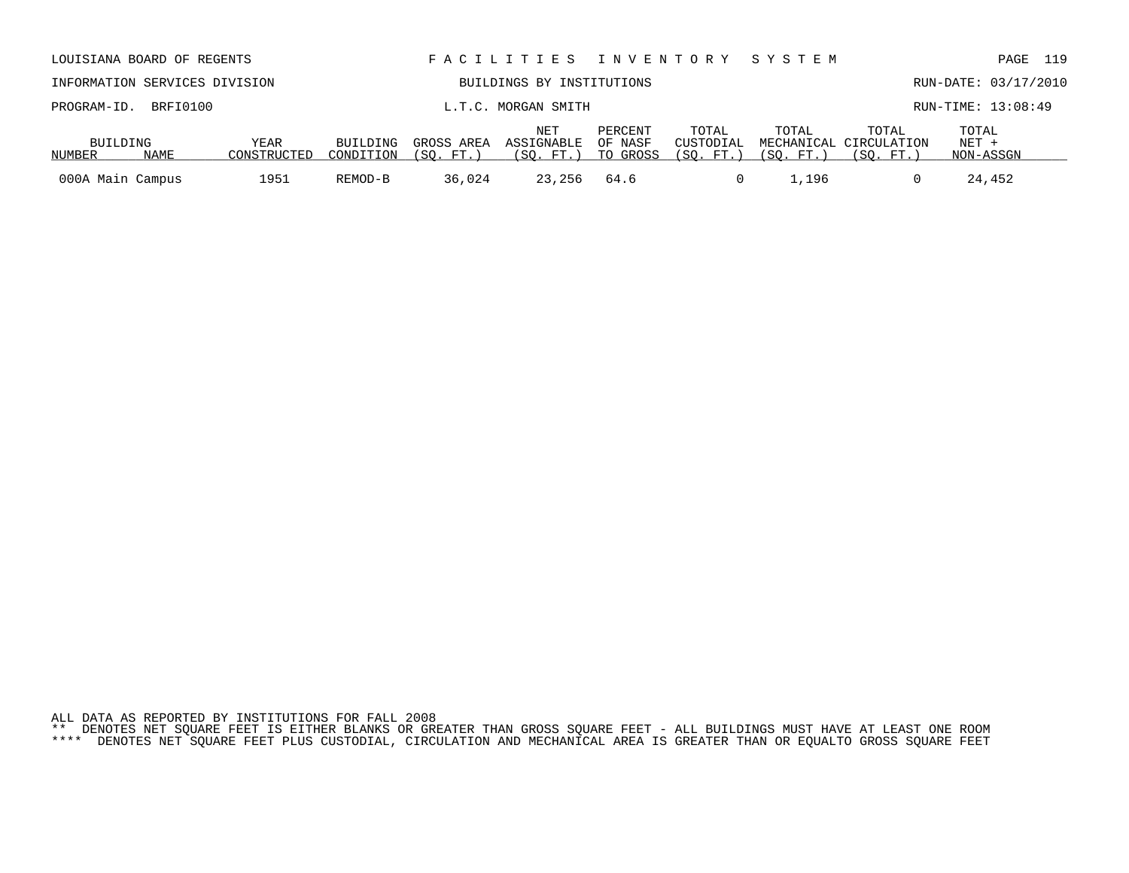| INFORMATION SERVICES DIVISION |                                             |             | BUILDINGS BY INSTITUTIONS |            |                           |          |                    |           |                                 | RUN-DATE: 03/17/2010 |  |
|-------------------------------|---------------------------------------------|-------------|---------------------------|------------|---------------------------|----------|--------------------|-----------|---------------------------------|----------------------|--|
|                               | PROGRAM-ID. BRFI0100<br>L.T.C. MORGAN SMITH |             |                           |            |                           |          |                    |           |                                 | RUN-TIME: 13:08:49   |  |
| BUILDING                      |                                             | YEAR        | BUILDING                  | GROSS AREA | NET<br>ASSIGNABLE OF NASF | PERCENT  | TOTAL<br>CUSTODIAL | TOTAL     | TOTAL<br>MECHANICAL CIRCULATION | TOTAL<br>NET +       |  |
| NUMBER                        | NAME                                        | CONSTRUCTED | CONDITION                 | (SO. FT.   | (SO. FT.)                 | TO GROSS | (SO. FT. )         | 'SO. FT.) | (SO. FT.)                       | NON-ASSGN            |  |

000A Main Campus 1951 REMOD-B 36,024 23,256 64.6 0 1,196 0 24,452

LOUISIANA BOARD OF REGENTS F A C I L I T I E S I N V E N T O R Y S Y S T E M PAGE 119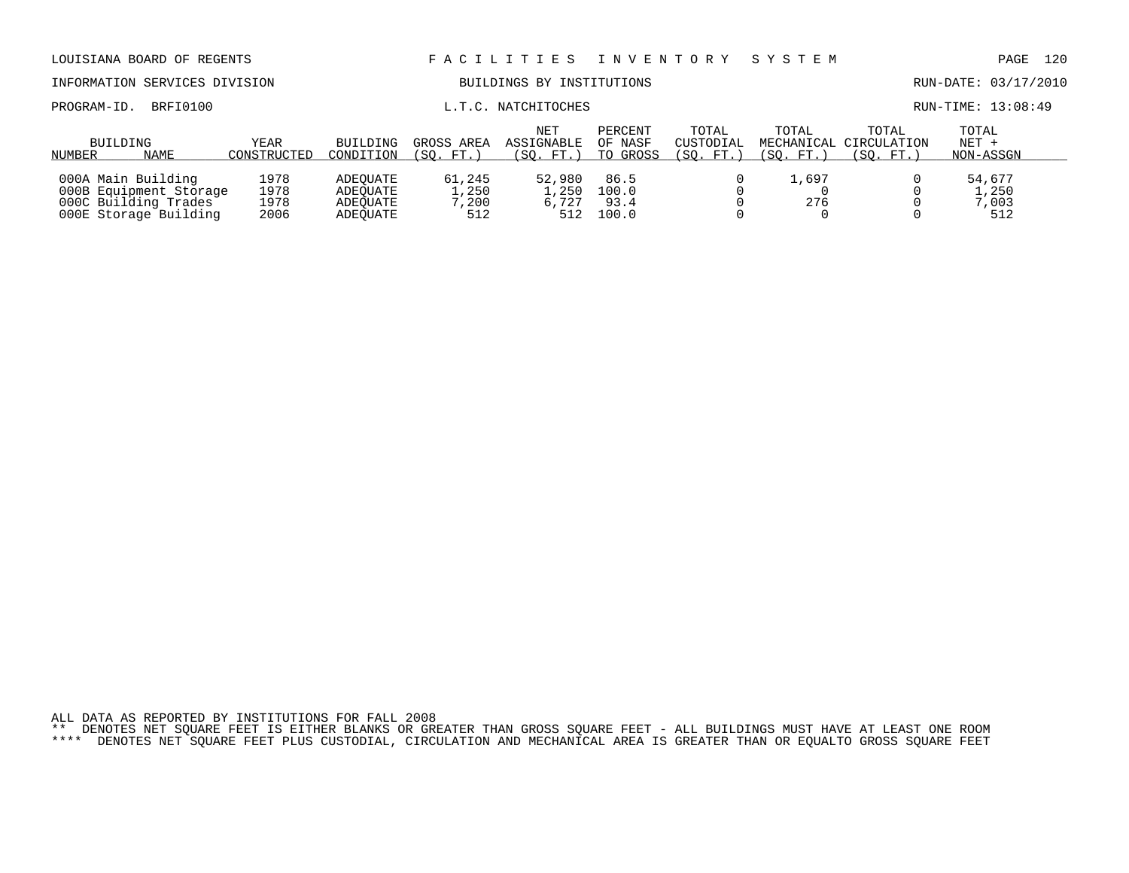| LOUISIANA BOARD OF REGENTS                                                                    |                              |                                              | FACILITIES                      | I N V E N T O R Y                            |                                | SYSTEM                          |                                  | 120<br>PAGE                       |                                 |  |  |
|-----------------------------------------------------------------------------------------------|------------------------------|----------------------------------------------|---------------------------------|----------------------------------------------|--------------------------------|---------------------------------|----------------------------------|-----------------------------------|---------------------------------|--|--|
| INFORMATION SERVICES DIVISION                                                                 |                              |                                              | BUILDINGS BY INSTITUTIONS       |                                              |                                |                                 |                                  |                                   | RUN-DATE: 03/17/2010            |  |  |
| BRFI0100<br>PROGRAM-ID.                                                                       |                              | L.T.C. NATCHITOCHES                          |                                 |                                              |                                |                                 |                                  |                                   | RUN-TIME: 13:08:49              |  |  |
| BUILDING<br><b>NAME</b><br>NUMBER                                                             | YEAR<br>CONSTRUCTED          | <b>BUILDING</b><br>CONDITION                 | GROSS AREA<br>(SO. FT.)         | <b>NET</b><br><b>ASSIGNABLE</b><br>(SO. FT.) | PERCENT<br>OF NASF<br>TO GROSS | TOTAL<br>CUSTODIAL<br>(SO. FT.) | TOTAL<br>MECHANICAL<br>(SO. FT.) | TOTAL<br>CIRCULATION<br>(SO. FT.) | TOTAL<br>$NET +$<br>NON-ASSGN   |  |  |
| 000A Main Building<br>000B Equipment Storage<br>000C Building Trades<br>000E Storage Building | 1978<br>1978<br>1978<br>2006 | ADEOUATE<br>ADEOUATE<br>ADEOUATE<br>ADEOUATE | 61,245<br>1,250<br>7,200<br>512 | 52,980<br>1,250<br>6,727<br>512              | 86.5<br>100.0<br>93.4<br>100.0 |                                 | 1,697<br>276                     |                                   | 54,677<br>1,250<br>7,003<br>512 |  |  |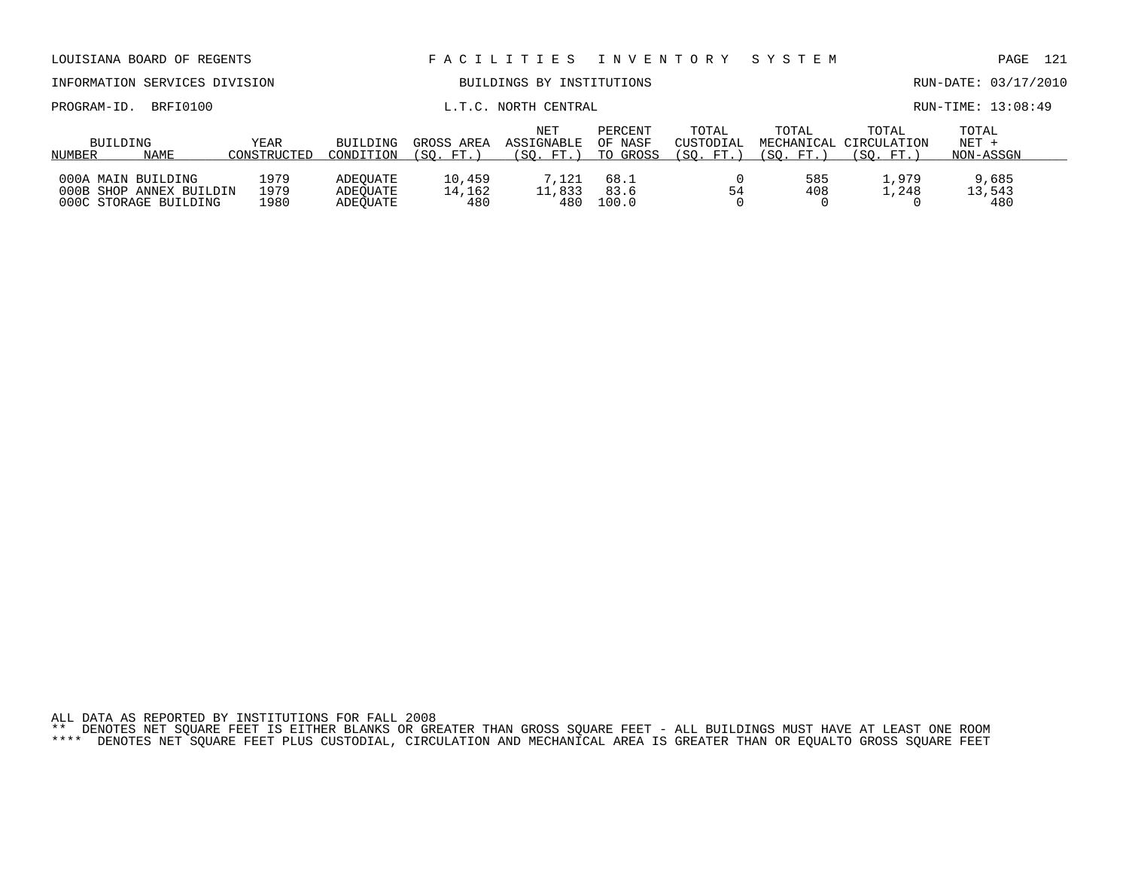| LOUISIANA BOARD OF REGENTS                                             |                       |                                  | FACILITIES INVENTORY           |                                |                                | SYSTEM             |                                                | 121<br>PAGE                   |                        |  |  |
|------------------------------------------------------------------------|-----------------------|----------------------------------|--------------------------------|--------------------------------|--------------------------------|--------------------|------------------------------------------------|-------------------------------|------------------------|--|--|
| INFORMATION SERVICES DIVISION                                          |                       |                                  |                                | BUILDINGS BY INSTITUTIONS      |                                |                    |                                                |                               | RUN-DATE: 03/17/2010   |  |  |
| BRFI0100<br>PROGRAM-ID.                                                |                       |                                  | L.T.C. NORTH CENTRAL           |                                |                                |                    |                                                |                               | RUN-TIME: 13:08:49     |  |  |
| BUILDING<br>NAME<br>NUMBER                                             | BUILDING<br>CONDITION | GROSS AREA<br>(SO. FT.)          | NET<br>ASSIGNABLE<br>(SO. FT.) | PERCENT<br>OF NASF<br>TO GROSS | TOTAL<br>CUSTODIAL<br>(SO. FT. | TOTAL<br>(SO. FT.) | TOTAL<br>MECHANICAL CIRCULATION<br>(SO.<br>FT. | TOTAL<br>$NET +$<br>NON-ASSGN |                        |  |  |
| 000A MAIN BUILDING<br>000B SHOP ANNEX BUILDIN<br>000C STORAGE BUILDING | 1979<br>1979<br>1980  | ADEOUATE<br>ADEOUATE<br>ADEOUATE | 10,459<br>14,162<br>480        | 7.121<br>11,833<br>480         | 68.1<br>83.6<br>100.0          | 54                 | 585<br>408                                     | 1,979<br>1,248                | 9,685<br>13,543<br>480 |  |  |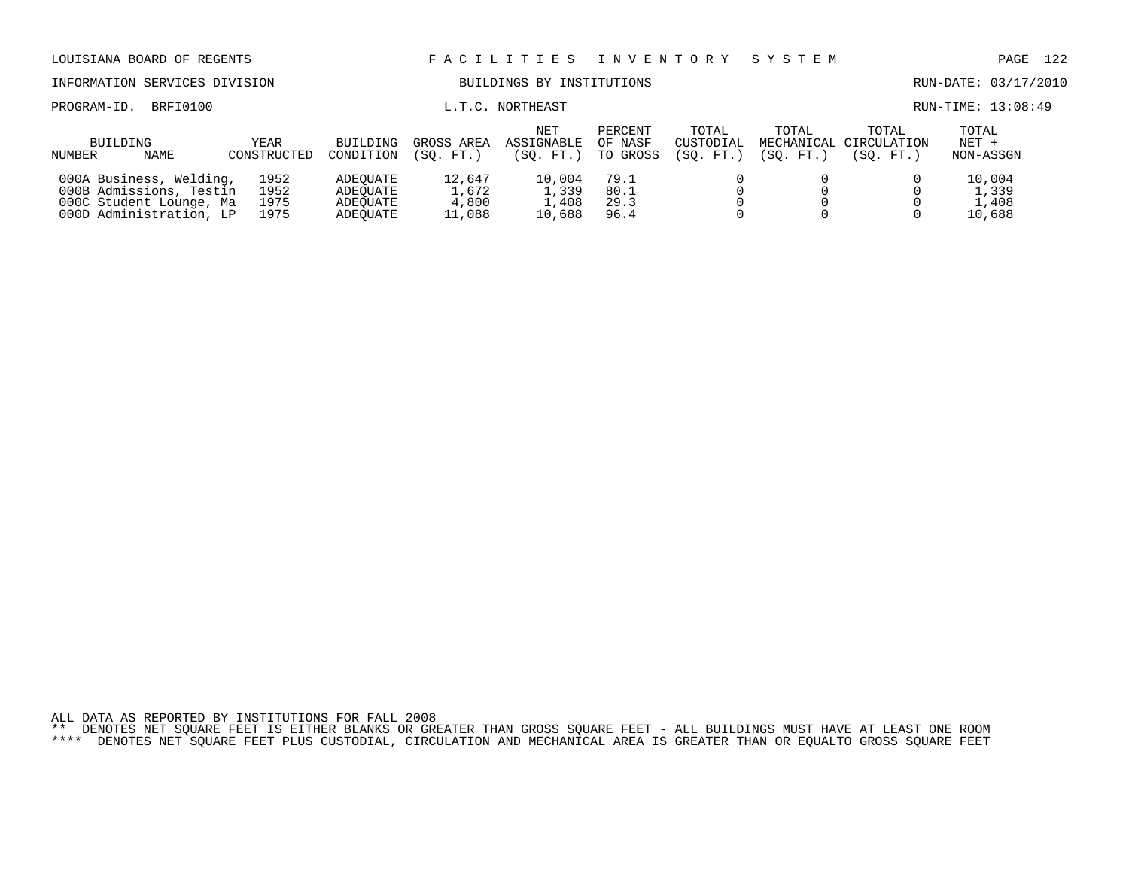| LOUISIANA BOARD OF REGENTS                                                                               |                              |                                              |                                    | FACILITIES                         |                                | I N V E N T O R Y               | SYSTEM               |                                              | PAGE                               | - 122 |
|----------------------------------------------------------------------------------------------------------|------------------------------|----------------------------------------------|------------------------------------|------------------------------------|--------------------------------|---------------------------------|----------------------|----------------------------------------------|------------------------------------|-------|
| INFORMATION SERVICES DIVISION                                                                            |                              |                                              |                                    | BUILDINGS BY INSTITUTIONS          |                                |                                 | RUN-DATE: 03/17/2010 |                                              |                                    |       |
| BRFI0100<br>PROGRAM-ID.                                                                                  |                              | L.T.C. NORTHEAST                             |                                    |                                    |                                |                                 |                      |                                              | RUN-TIME: 13:08:49                 |       |
| BUILDING<br>NAME<br>NUMBER                                                                               | YEAR<br>CONSTRUCTED          | BUILDING<br>CONDITION                        | GROSS AREA<br>(SO. FT. )           | NET<br>ASSIGNABLE<br>(SO. FT. )    | PERCENT<br>OF NASF<br>TO GROSS | TOTAL<br>CUSTODIAL<br>(SO. FT.) | TOTAL<br>(SO. FT.)   | TOTAL<br>MECHANICAL CIRCULATION<br>(SO. FT.) | TOTAL<br>$NET +$<br>NON-ASSGN      |       |
| 000A Business, Welding,<br>000B Admissions, Testin<br>000C Student Lounge, Ma<br>000D Administration, LP | 1952<br>1952<br>1975<br>1975 | ADEOUATE<br>ADEOUATE<br>ADEOUATE<br>ADEOUATE | 12,647<br>1,672<br>4,800<br>11,088 | 10,004<br>1,339<br>1,408<br>10,688 | 79.1<br>80.1<br>29.3<br>96.4   |                                 |                      |                                              | 10,004<br>1,339<br>1,408<br>10,688 |       |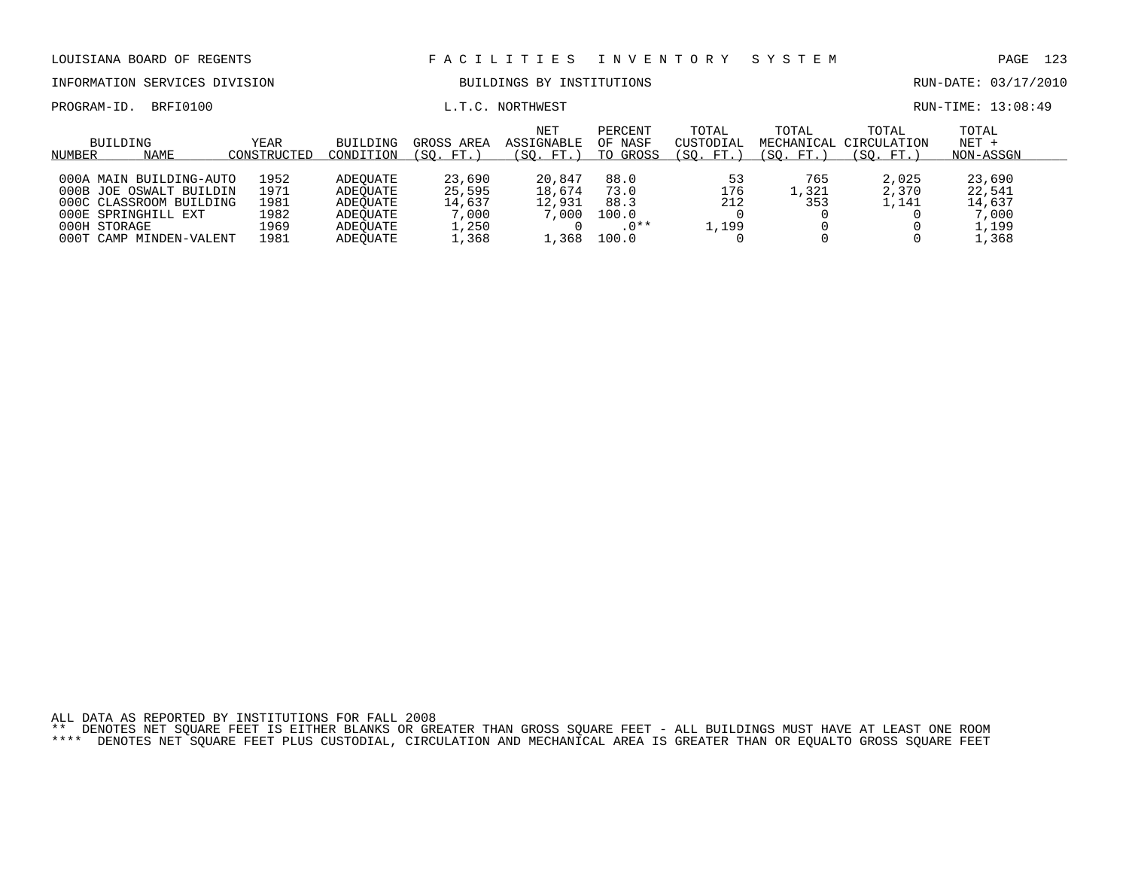INFORMATION SERVICES DIVISION BUILDINGS BY INSTITUTIONS AND RUN-DATE: 03/17/2010

PROGRAM-ID. BRFI0100 **EXAM-ID.** BRFI0100 **L.T.C. NORTHWEST** EXAMPLE EXAMPLE EXAMPLE EXAMPLE EXAMPLE EXAMPLE EXAMPLE EXAMPLE EXAMPLE EXAMPLE EXAMPLE EXAMPLE EXAMPLE EXAMPLE EXAMPLE EXAMPLE EXAMPLE EXAMPLE EXAMPLE EXAMPLE EX

| BUILDING<br><b>NAME</b><br>NUMBER | YEAR<br>CONSTRUCTED | <b>BUILDING</b><br>CONDITION | GROSS AREA<br>(SO. FT. ) | <b>NET</b><br>ASSIGNABLE<br>(SO. FT.) | PERCENT<br>OF NASF<br>TO GROSS | TOTAL<br>CUSTODIAL<br>(SO. FT. | TOTAL<br>(SO. FT.) | TOTAL<br>MECHANICAL CIRCULATION<br>(SO. FT. | TOTAL<br>$NET +$<br>NON-ASSGN |  |
|-----------------------------------|---------------------|------------------------------|--------------------------|---------------------------------------|--------------------------------|--------------------------------|--------------------|---------------------------------------------|-------------------------------|--|
|                                   |                     |                              |                          |                                       |                                |                                |                    |                                             |                               |  |
| 000A MAIN BUILDING-AUTO           | 1952                | ADEOUATE                     | 23,690                   | 20,847                                | 88.0                           | 53                             | 765                | 2,025                                       | 23,690                        |  |
| 000B JOE OSWALT BUILDIN           | 1971                | ADEOUATE                     | 25,595                   | 18,674                                | 73.0                           | 176                            | .321               | 2,370                                       | 22,541                        |  |
| 000C CLASSROOM BUILDING           | 1981                | ADEOUATE                     | 14,637                   | 12,931                                | 88.3                           | 212                            | 353                | 1,141                                       | 14,637                        |  |
| 000E SPRINGHILL EXT               | 1982                | ADEOUATE                     | 7,000                    | 7,000                                 | 100.0                          |                                |                    |                                             | 7,000                         |  |
| 000H STORAGE                      | 1969                | ADEOUATE                     | 1,250                    |                                       | $.0**$                         | ⊥,199                          |                    |                                             | 1,199                         |  |
| 000T CAMP MINDEN-VALENT           | 1981                | ADEOUATE                     | .,368                    | .368                                  | 100.0                          |                                |                    |                                             | L,368                         |  |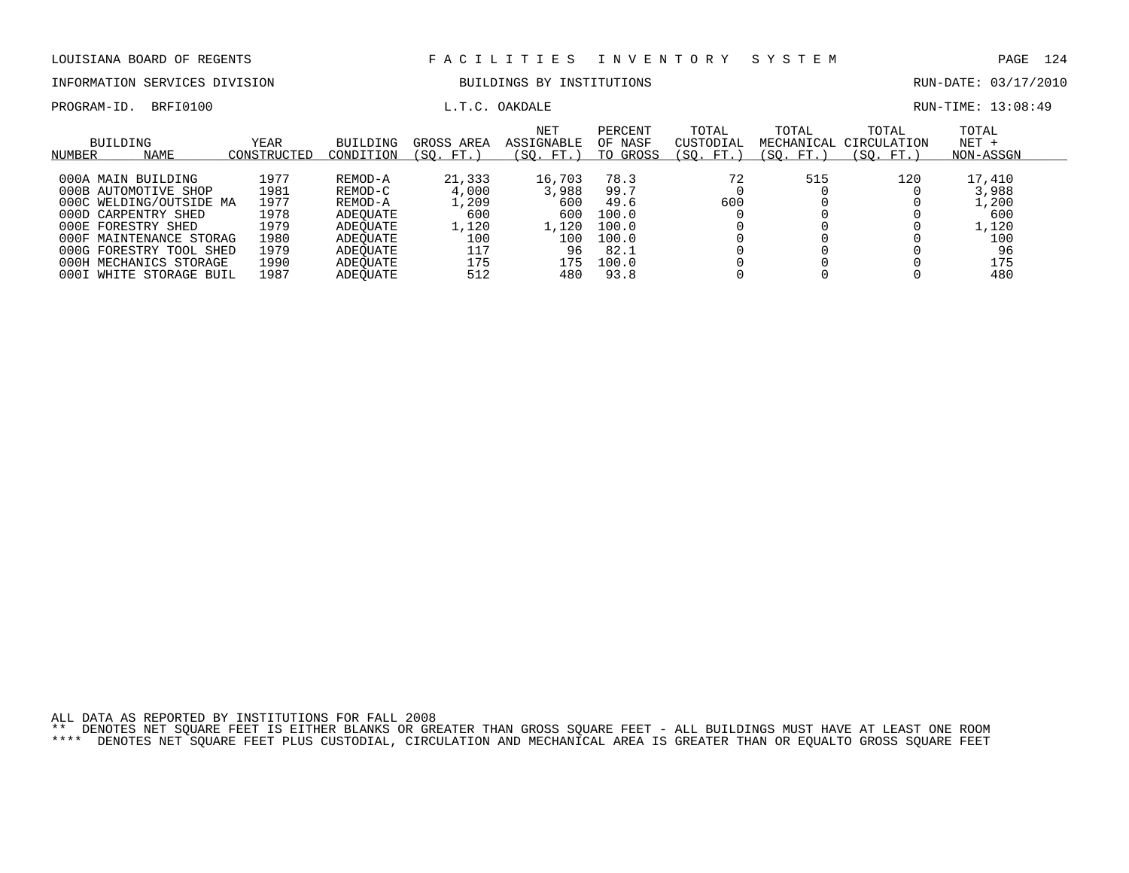# INFORMATION SERVICES DIVISION BUILDINGS BY INSTITUTIONS CONTROLLER BUN-DATE: 03/17/2010

PROGRAM-ID. BRFI0100 **EXAM-ID.** BRFI0100 **L.T.C. OAKDALE L.T.C. OAKDALE** 

| BUILDING<br>NAME<br>NUMBER | <b>YEAR</b><br>CONSTRUCTED | <b>BUILDING</b><br>CONDITION | GROSS AREA<br>FT.<br>SO. | <b>NET</b><br><b>ASSIGNABLE</b><br>'SO.<br>FT. | PERCENT<br>OF NASF<br>TO GROSS | TOTAL<br>CUSTODIAI<br>'SO.<br>FT. | TOTAL<br>MECHANICAL<br>SO.<br>FT. | TOTAL<br>CIRCULATION<br>SO.<br>FT. | TOTAL<br>$NET +$<br>NON-ASSGN |  |
|----------------------------|----------------------------|------------------------------|--------------------------|------------------------------------------------|--------------------------------|-----------------------------------|-----------------------------------|------------------------------------|-------------------------------|--|
|                            |                            |                              |                          |                                                |                                |                                   |                                   |                                    |                               |  |
| 000A MAIN BUILDING         | 1977                       | REMOD-A                      | 21,333                   | 16,703                                         | 78.3                           | 72                                | 515                               | 120                                | 17,410                        |  |
| 000B AUTOMOTIVE SHOP       | 1981                       | REMOD-C                      | 4,000                    | 3,988                                          | 99.7                           |                                   |                                   |                                    | 3,988                         |  |
| 000C WELDING/OUTSIDE MA    | 1977                       | REMOD-A                      | .,209                    | 600                                            | 49.6                           | 600                               |                                   |                                    | L,200                         |  |
| 000D CARPENTRY SHED        | 1978                       | ADEOUATE                     | 600                      | 600                                            | 100.0                          |                                   |                                   |                                    | 600                           |  |
| 000E FORESTRY SHED         | 1979                       | ADEOUATE                     | 1,120                    | 1,120                                          | 100.0                          |                                   |                                   |                                    | L,120                         |  |
| 000F MAINTENANCE STORAG    | 1980                       | ADEOUATE                     | 100                      | 100                                            | 100.0                          |                                   |                                   |                                    | 100                           |  |
| 000G FORESTRY TOOL SHED    | 1979                       | ADEOUATE                     | 117                      | 96                                             | 82.1                           |                                   |                                   |                                    | 96                            |  |
| 000H MECHANICS STORAGE     | 1990                       | ADEOUATE                     | 175                      | 175                                            | 100.0                          |                                   |                                   |                                    | 175                           |  |
| 000I WHITE STORAGE BUIL    | 1987                       | ADEOUATE                     | 512                      | 480                                            | 93.8                           |                                   |                                   |                                    | 480                           |  |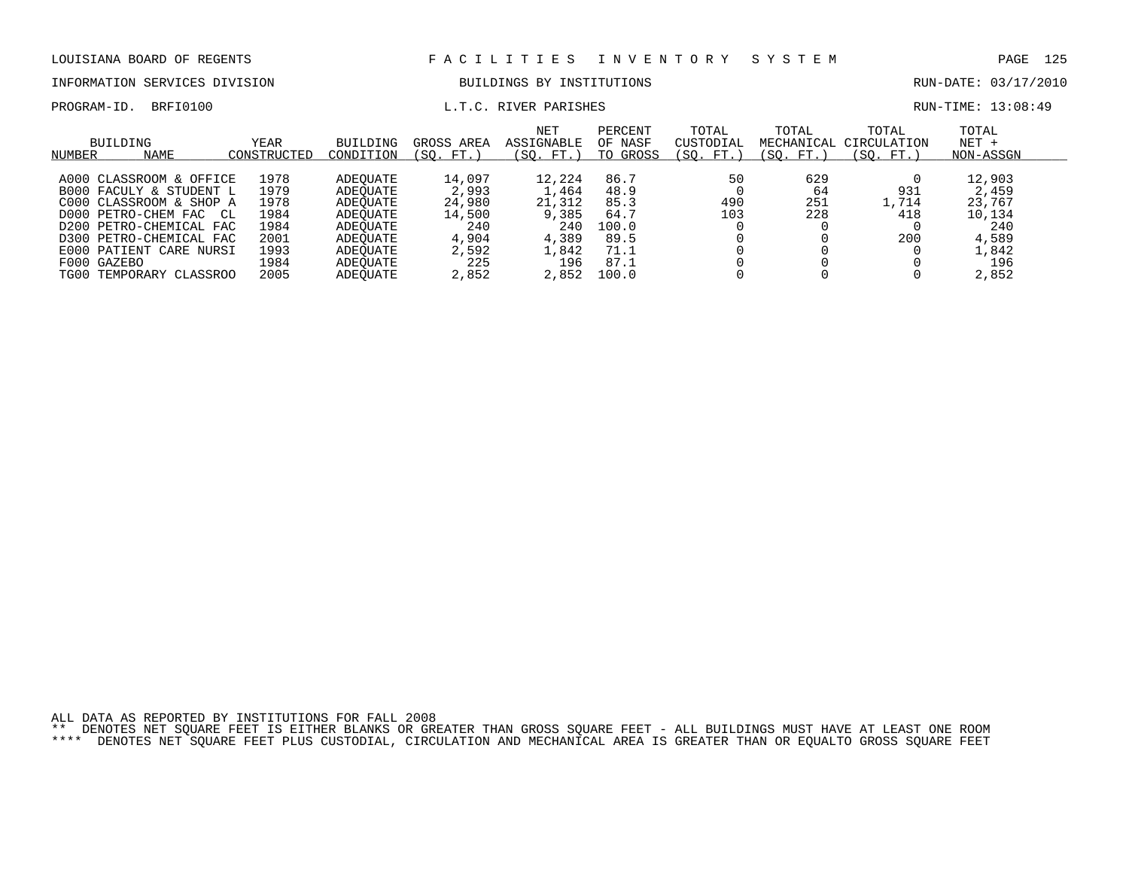## INFORMATION SERVICES DIVISION BUILDINGS BY INSTITUTIONS AND RUN-DATE: 03/17/2010

### PROGRAM-ID. BRFI0100 **EXAM-ID.** BRFI0100 **RUN-TIME:** 13:08:49

| BUILDING<br>NAME<br>NUMBER                                                                                                                                                                              | YEAR<br>CONSTRUCTED                                          | <b>BUILDING</b><br>CONDITION                                                                 | GROSS AREA<br>(SO.<br>FT.                                           | <b>NET</b><br>ASSIGNABLE<br>$^{\prime}$ SO.<br>FT.                 | PERCENT<br>OF NASF<br>TO GROSS                                | TOTAL<br>CUSTODIAL<br>'SO.<br>FT. | TOTAL<br>MECHANICAL<br>(SO.<br>FT. | TOTAL<br>CIRCULATION<br>SO.<br>FT. | TOTAL<br>$NET +$<br>NON-ASSGN                                       |  |
|---------------------------------------------------------------------------------------------------------------------------------------------------------------------------------------------------------|--------------------------------------------------------------|----------------------------------------------------------------------------------------------|---------------------------------------------------------------------|--------------------------------------------------------------------|---------------------------------------------------------------|-----------------------------------|------------------------------------|------------------------------------|---------------------------------------------------------------------|--|
| A000 CLASSROOM & OFFICE<br>B000 FACULY & STUDENT L<br>C000 CLASSROOM & SHOP A<br>D000 PETRO-CHEM FAC CL<br>D200 PETRO-CHEMICAL FAC<br>D300 PETRO-CHEMICAL FAC<br>E000 PATIENT CARE NURSI<br>F000 GAZEBO | 1978<br>1979<br>1978<br>1984<br>1984<br>2001<br>1993<br>1984 | ADEOUATE<br>ADEOUATE<br>ADEOUATE<br>ADEOUATE<br>ADEOUATE<br>ADEOUATE<br>ADEOUATE<br>ADEOUATE | 14,097<br>2,993<br>24,980<br>14,500<br>240<br>4,904<br>2,592<br>225 | 12,224<br>1,464<br>21,312<br>9,385<br>240<br>4,389<br>1,842<br>196 | 86.7<br>48.9<br>85.3<br>64.7<br>100.0<br>89.5<br>71.1<br>87.1 | 50<br>490<br>103                  | 629<br>64<br>251<br>228            | 931<br>1,714<br>418<br>200         | 12,903<br>2,459<br>23,767<br>10,134<br>240<br>4,589<br>1,842<br>196 |  |
| TG00 TEMPORARY CLASSROO                                                                                                                                                                                 | 2005                                                         | ADEOUATE                                                                                     | 2,852                                                               | 2,852                                                              | 100.0                                                         |                                   |                                    |                                    | 2,852                                                               |  |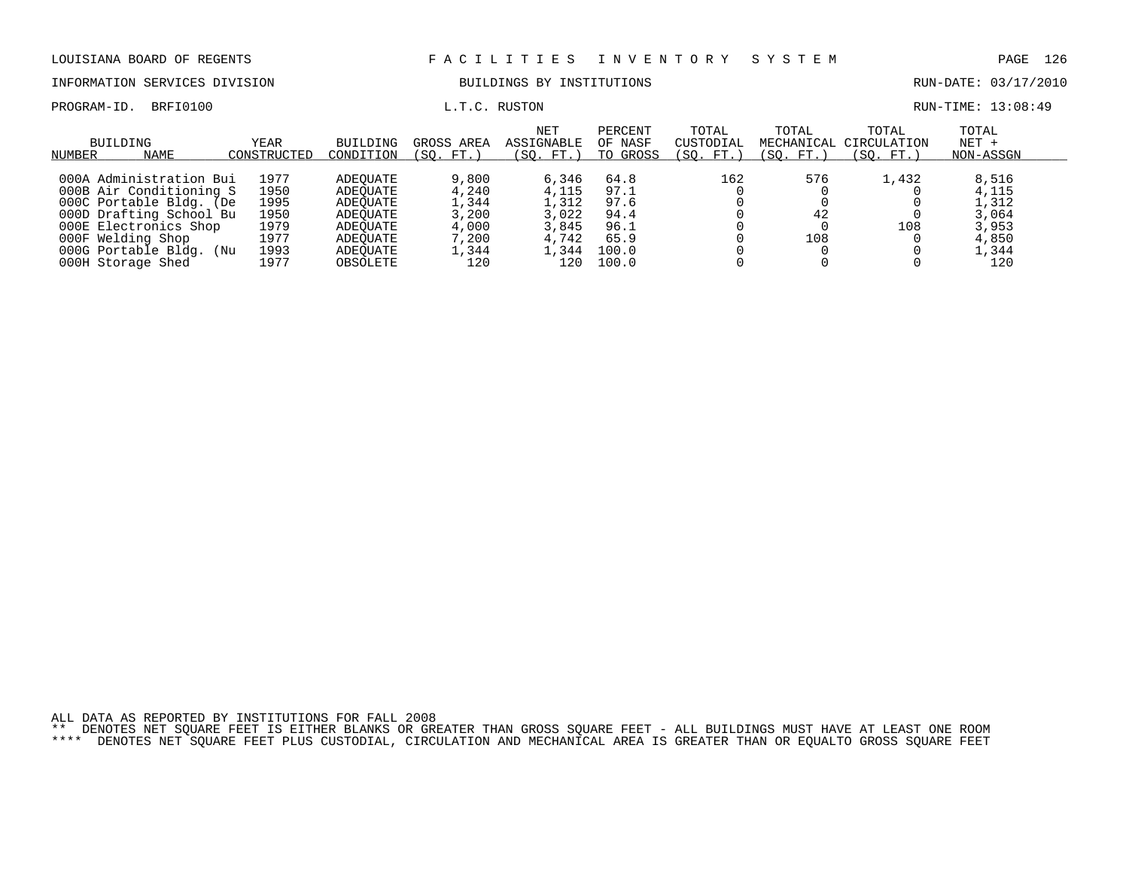INFORMATION SERVICES DIVISION BUILDINGS BY INSTITUTIONS AND RUN-DATE: 03/17/2010

PROGRAM-ID. BRFI0100 **EXAM-ID.** BRFI0100 **L.T.C. RUSTON L.T.C. RUSTON** 

| BUILDING<br>NAME<br>NUMBER | YEAR<br>CONSTRUCTED | <b>BUILDING</b><br>CONDITION | GROSS AREA<br>(SO. FT. | <b>NET</b><br>ASSIGNABLE<br>(SO. FT.) | PERCENT<br>OF NASF<br>TO GROSS | TOTAL<br>CUSTODIAL<br>(SO. FT.) | TOTAL<br>(SO. FT.) | TOTAL<br>MECHANICAL CIRCULATION<br>(SO. FT.) | TOTAL<br>$NET +$<br>NON-ASSGN |  |
|----------------------------|---------------------|------------------------------|------------------------|---------------------------------------|--------------------------------|---------------------------------|--------------------|----------------------------------------------|-------------------------------|--|
|                            |                     |                              |                        |                                       |                                |                                 |                    |                                              |                               |  |
| 000A Administration Bui    | 1977                | ADEOUATE                     | 9,800                  | 6,346                                 | 64.8                           | 162                             | 576                | 1,432                                        | 8,516                         |  |
| 000B Air Conditioning S    | 1950                | ADEOUATE                     | 4,240                  | 4,115                                 | 97.1                           |                                 |                    |                                              | 4,115                         |  |
| 000C Portable Bldg. (De    | 1995                | ADEOUATE                     | 1,344                  | 1,312                                 | 97.6                           |                                 |                    |                                              | 1,312                         |  |
| 000D Drafting School Bu    | 1950                | ADEOUATE                     | 3,200                  | 3.022                                 | 94.4                           |                                 | 42                 |                                              | 3,064                         |  |
| 000E Electronics Shop      | 1979                | ADEOUATE                     | 4,000                  | 3,845                                 | 96.1                           |                                 |                    | 108                                          | 3,953                         |  |
| 000F Welding Shop          | 1977                | ADEOUATE                     | 7,200                  | 4,742                                 | 65.9                           |                                 | 108                |                                              | 4,850                         |  |
| 000G Portable Bldg. (Nu    | 1993                | ADEOUATE                     | .,344                  | $\perp$ , 344                         | 100.0                          |                                 |                    |                                              | 1,344                         |  |
| 000H Storage Shed          | 1977                | OBSOLETE                     | 120                    | 120                                   | 100.0                          |                                 |                    |                                              | 120                           |  |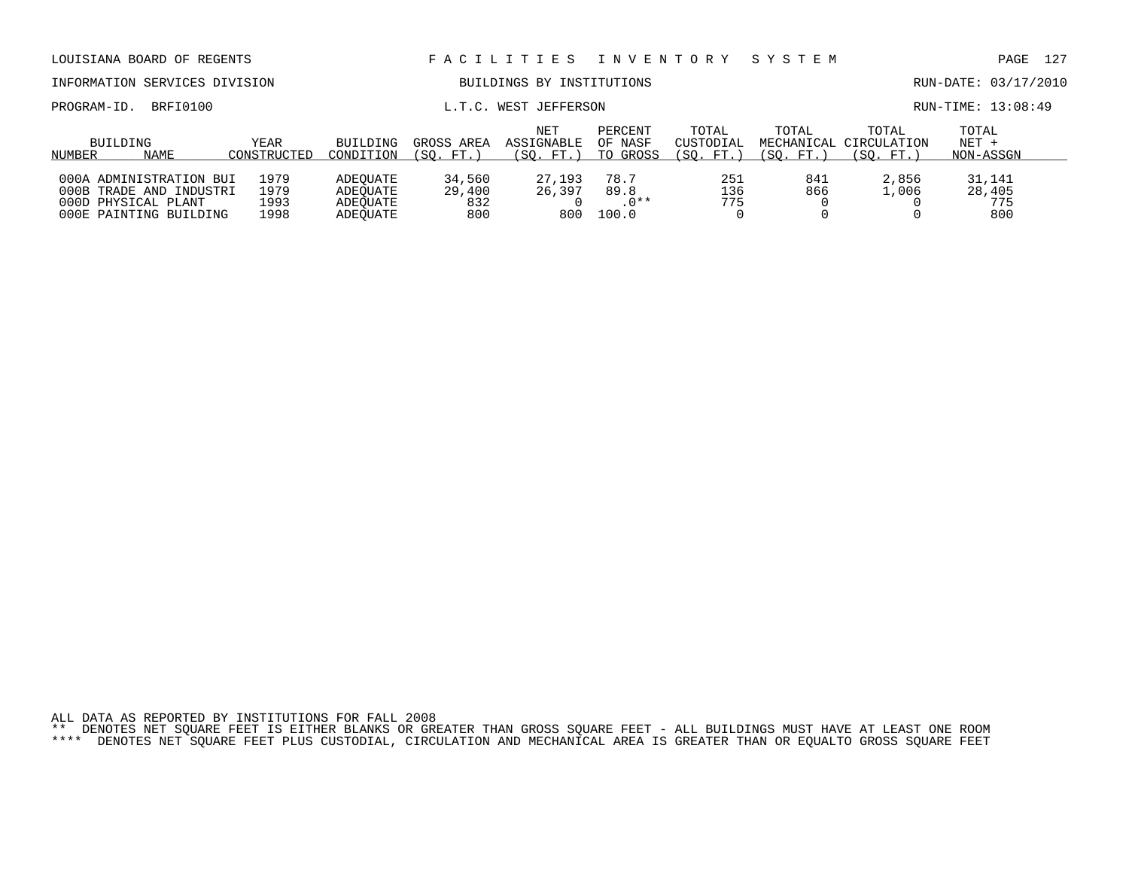| LOUISIANA BOARD OF REGENTS                                                                          |                              |                                              |                                | FACILITIES                     |                                 | I N V E N T O R Y  | SYSTEM                                      |                               | 127<br>PAGE                    |  |  |
|-----------------------------------------------------------------------------------------------------|------------------------------|----------------------------------------------|--------------------------------|--------------------------------|---------------------------------|--------------------|---------------------------------------------|-------------------------------|--------------------------------|--|--|
| INFORMATION SERVICES DIVISION                                                                       |                              |                                              |                                | BUILDINGS BY INSTITUTIONS      |                                 |                    |                                             |                               | RUN-DATE: 03/17/2010           |  |  |
| BRFI0100<br>PROGRAM-ID.                                                                             |                              | WEST JEFFERSON<br>L.T.C.                     |                                |                                |                                 |                    |                                             |                               | RUN-TIME: 13:08:49             |  |  |
| BUILDING<br>NAME<br>NUMBER                                                                          | <b>BUILDING</b><br>CONDITION | GROSS AREA<br>(SO. FT.)                      | NET<br>ASSIGNABLE<br>(SO. FT.) | PERCENT<br>OF NASF<br>TO GROSS | TOTAL<br>CUSTODIAL<br>(SO. FT.) | TOTAL<br>(SO. FT.) | TOTAL<br>MECHANICAL CIRCULATION<br>(SO. FT. | TOTAL<br>$NET +$<br>NON-ASSGN |                                |  |  |
| 000A ADMINISTRATION BUI<br>000B TRADE AND INDUSTRI<br>000D PHYSICAL PLANT<br>000E PAINTING BUILDING | 1979<br>1979<br>1993<br>1998 | ADEOUATE<br>ADEOUATE<br>ADEOUATE<br>ADEOUATE | 34,560<br>29,400<br>832<br>800 | 27,193<br>26,397<br>800        | 78.7<br>89.8<br>$.0**$<br>100.0 | 251<br>136<br>775  | 841<br>866                                  | 2,856<br>1,006                | 31,141<br>28,405<br>775<br>800 |  |  |

ALL DATA AS REPORTED BY INSTITUTIONS FOR FALL 2008 \*\* DENOTES NET SQUARE FEET IS EITHER BLANKS OR GREATER THAN GROSS SQUARE FEET - ALL BUILDINGS MUST HAVE AT LEAST ONE ROOM

\*\*\*\* DENOTES NET SQUARE FEET PLUS CUSTODIAL, CIRCULATION AND MECHANICAL AREA IS GREATER THAN OR EQUALTO GROSS SQUARE FEET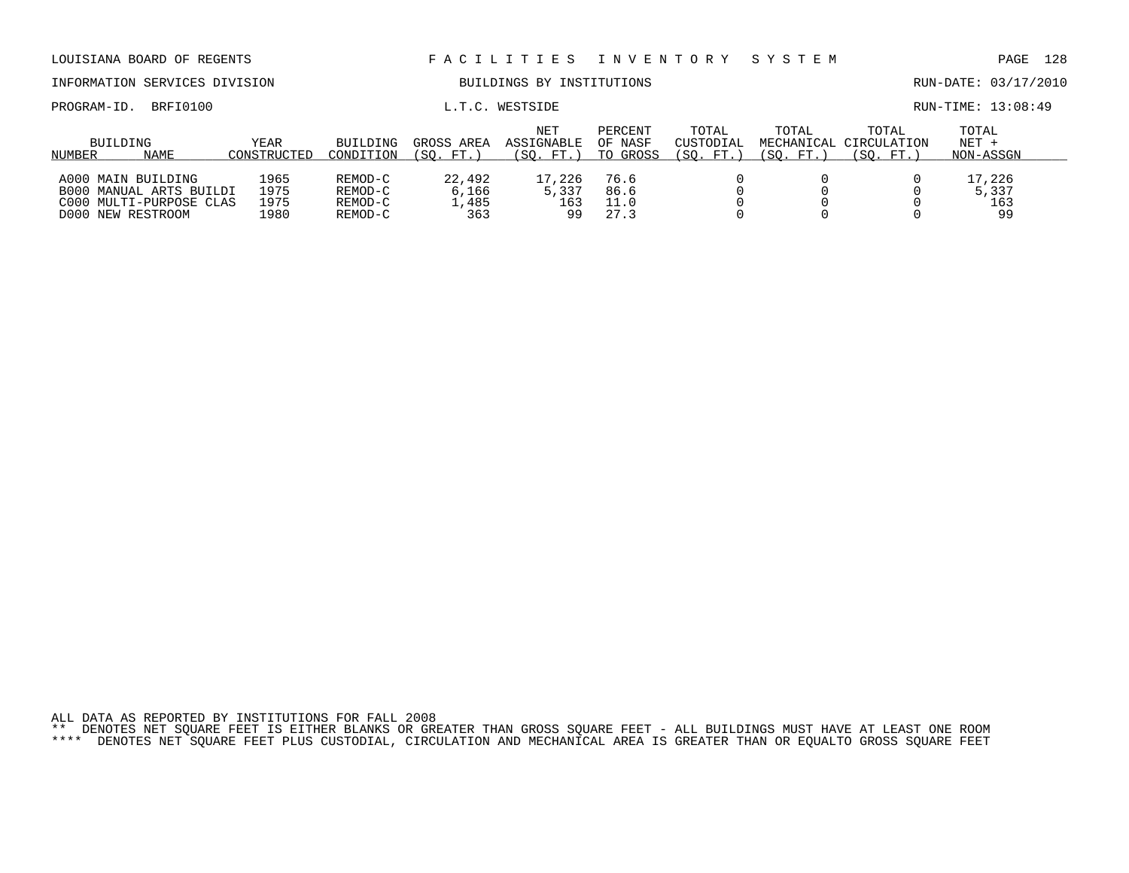| LOUISIANA BOARD OF REGENTS                                                                    |                              | FACILITIES<br>I N V E N T O R Y          |                                 |                                 |                                |                                 | SYSTEM                           |                                   | -128<br>PAGE                  |
|-----------------------------------------------------------------------------------------------|------------------------------|------------------------------------------|---------------------------------|---------------------------------|--------------------------------|---------------------------------|----------------------------------|-----------------------------------|-------------------------------|
| INFORMATION SERVICES DIVISION                                                                 |                              |                                          |                                 | BUILDINGS BY INSTITUTIONS       |                                |                                 |                                  |                                   | RUN-DATE: 03/17/2010          |
| BRFI0100<br>PROGRAM-ID.                                                                       |                              |                                          |                                 | L.T.C. WESTSIDE                 |                                |                                 |                                  |                                   | RUN-TIME: 13:08:49            |
| BUILDING<br>NAME<br>NUMBER                                                                    | YEAR<br>CONSTRUCTED          | <b>BUILDING</b><br>CONDITION             | GROSS AREA<br>(SO. FT.)         | NET<br>ASSIGNABLE<br>(SO. FT. ) | PERCENT<br>OF NASF<br>TO GROSS | TOTAL<br>CUSTODIAL<br>(SO. FT.) | TOTAL<br>MECHANICAL<br>(SO. FT.) | TOTAL<br>CIRCULATION<br>(SO. FT.) | TOTAL<br>$NET +$<br>NON-ASSGN |
| A000 MAIN BUILDING<br>B000 MANUAL ARTS BUILDI<br>C000 MULTI-PURPOSE CLAS<br>D000 NEW RESTROOM | 1965<br>1975<br>1975<br>L980 | REMOD-C<br>REMOD-C<br>REMOD-C<br>REMOD-C | 22,492<br>6,166<br>1,485<br>363 | 17,226<br>5,337<br>163<br>99    | 76.6<br>86.6<br>11.0<br>27.3   |                                 |                                  |                                   | 17,226<br>5,337<br>163<br>99  |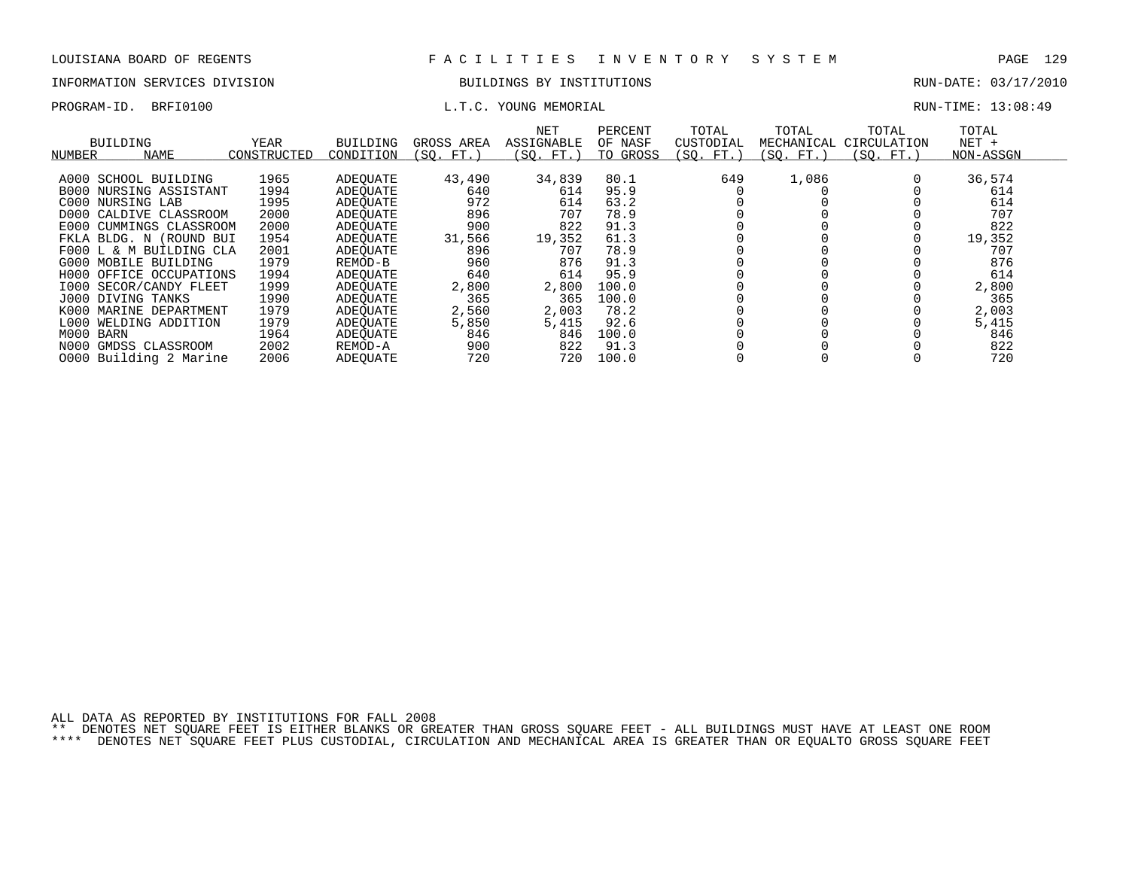## INFORMATION SERVICES DIVISION BUILDINGS BY INSTITUTIONS AND RUN-DATE: 03/17/2010

### PROGRAM-ID. BRFI0100 **EXAM-ID.** BRFI0100 **RUN-TIME:** 13:08:49

| NUMBER    | BUILDING<br><b>NAME</b>       | YEAR<br>CONSTRUCTED | BUILDING<br>CONDITION | GROSS AREA<br>(SO. FT.) | NET<br>ASSIGNABLE<br>(SO. FT.) | PERCENT<br>OF NASF<br>TO GROSS | TOTAL<br>CUSTODIAL<br>(SQ. FT. | TOTAL<br>MECHANICAL<br>(SO. FT.) | TOTAL<br>CIRCULATION<br>(SO. FT.) | TOTAL<br>$NET +$<br>NON-ASSGN |  |
|-----------|-------------------------------|---------------------|-----------------------|-------------------------|--------------------------------|--------------------------------|--------------------------------|----------------------------------|-----------------------------------|-------------------------------|--|
|           | A000 SCHOOL BUILDING          | 1965                | ADEOUATE              | 43,490                  | 34,839                         | 80.1                           | 649                            | 1,086                            |                                   | 36,574                        |  |
|           | <b>B000 NURSING ASSISTANT</b> | 1994                | ADEOUATE              | 640                     | 614                            | 95.9                           |                                |                                  |                                   | 614                           |  |
|           | C000 NURSING LAB              | 1995                | ADEOUATE              | 972                     | 614                            | 63.2                           |                                |                                  |                                   | 614                           |  |
|           | D000 CALDIVE CLASSROOM        | 2000                | ADEOUATE              | 896                     | 707                            | 78.9                           |                                |                                  |                                   | 707                           |  |
| E000      | CUMMINGS CLASSROOM            | 2000                | ADEOUATE              | 900                     | 822                            | 91.3                           |                                |                                  |                                   | 822                           |  |
|           | FKLA BLDG. N (ROUND BUI       | 1954                | ADEOUATE              | 31,566                  | 19,352                         | 61.3                           |                                |                                  |                                   | 19,352                        |  |
|           | F000 L & M BUILDING CLA       | 2001                | ADEOUATE              | 896                     | 707                            | 78.9                           |                                |                                  |                                   | 707                           |  |
|           | G000 MOBILE BUILDING          | 1979                | REMOD-B               | 960                     | 876                            | 91.3                           |                                |                                  |                                   | 876                           |  |
|           | H000 OFFICE OCCUPATIONS       | 1994                | ADEOUATE              | 640                     | 614                            | 95.9                           |                                |                                  |                                   | 614                           |  |
|           | 1000 SECOR/CANDY FLEET        | 1999                | ADEOUATE              | 2,800                   | 2,800                          | 100.0                          |                                |                                  |                                   | 2,800                         |  |
|           | J000 DIVING TANKS             | 1990                | ADEOUATE              | 365                     | 365                            | 100.0                          |                                |                                  |                                   | 365                           |  |
| K000      | MARINE DEPARTMENT             | 1979                | ADEOUATE              | 2,560                   | 2,003                          | 78.2                           |                                |                                  |                                   | 2,003                         |  |
|           | L000 WELDING ADDITION         | 1979                | ADEOUATE              | 5,850                   | 5,415                          | 92.6                           |                                |                                  |                                   | 5,415                         |  |
| M000 BARN |                               | 1964                | ADEOUATE              | 846                     | 846                            | 100.0                          |                                |                                  |                                   | 846                           |  |
| N000      | GMDSS CLASSROOM               | 2002                | REMOD-A               | 900                     | 822                            | 91.3                           |                                |                                  |                                   | 822                           |  |
|           | 0000 Building 2 Marine        | 2006                | ADEOUATE              | 720                     | 720                            | 100.0                          |                                |                                  |                                   | 720                           |  |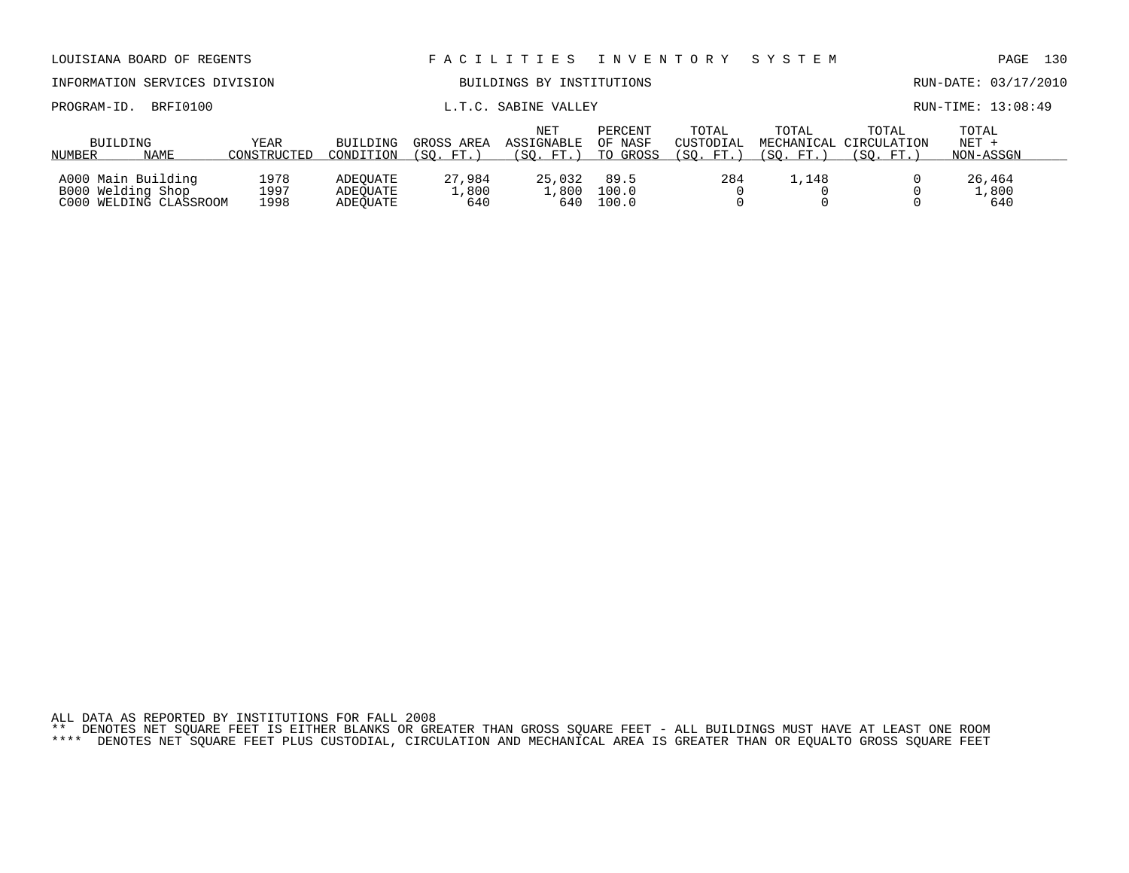| LOUISIANA BOARD OF REGENTS                                        |          |                           |                                  |                         | FACILITIES                     | I N V E N T O R Y              |                                 | SYSTEM             |                                               | 130<br>PAGE                   |
|-------------------------------------------------------------------|----------|---------------------------|----------------------------------|-------------------------|--------------------------------|--------------------------------|---------------------------------|--------------------|-----------------------------------------------|-------------------------------|
| INFORMATION SERVICES DIVISION                                     |          | BUILDINGS BY INSTITUTIONS |                                  |                         |                                |                                | RUN-DATE: 03/17/2010            |                    |                                               |                               |
| PROGRAM-ID.                                                       | BRFI0100 |                           | SABINE VALLEY<br>L.T.C.          |                         |                                |                                |                                 |                    |                                               | RUN-TIME: 13:08:49            |
| BUILDING<br>NAME<br>NUMBER                                        |          | YEAR<br>CONSTRUCTED       | BUILDING<br>CONDITION            | GROSS AREA<br>(SO. FT.) | NET<br>ASSIGNABLE<br>(SO. FT.) | PERCENT<br>OF NASF<br>TO GROSS | TOTAL<br>CUSTODIAL<br>(SO. FT.) | TOTAL<br>(SO. FT.) | TOTAL<br>MECHANICAL CIRCULATION<br>(SO. FT. ) | TOTAL<br>$NET +$<br>NON-ASSGN |
| A000 Main Building<br>B000 Welding Shop<br>C000 WELDING CLASSROOM |          | 1978<br>1997<br>1998      | ADEOUATE<br>ADEOUATE<br>ADEOUATE | 27,984<br>1,800<br>640  | 25,032<br>1,800<br>640         | 89.5<br>100.0<br>100.0         | 284                             | 1,148              |                                               | 26,464<br>1,800<br>640        |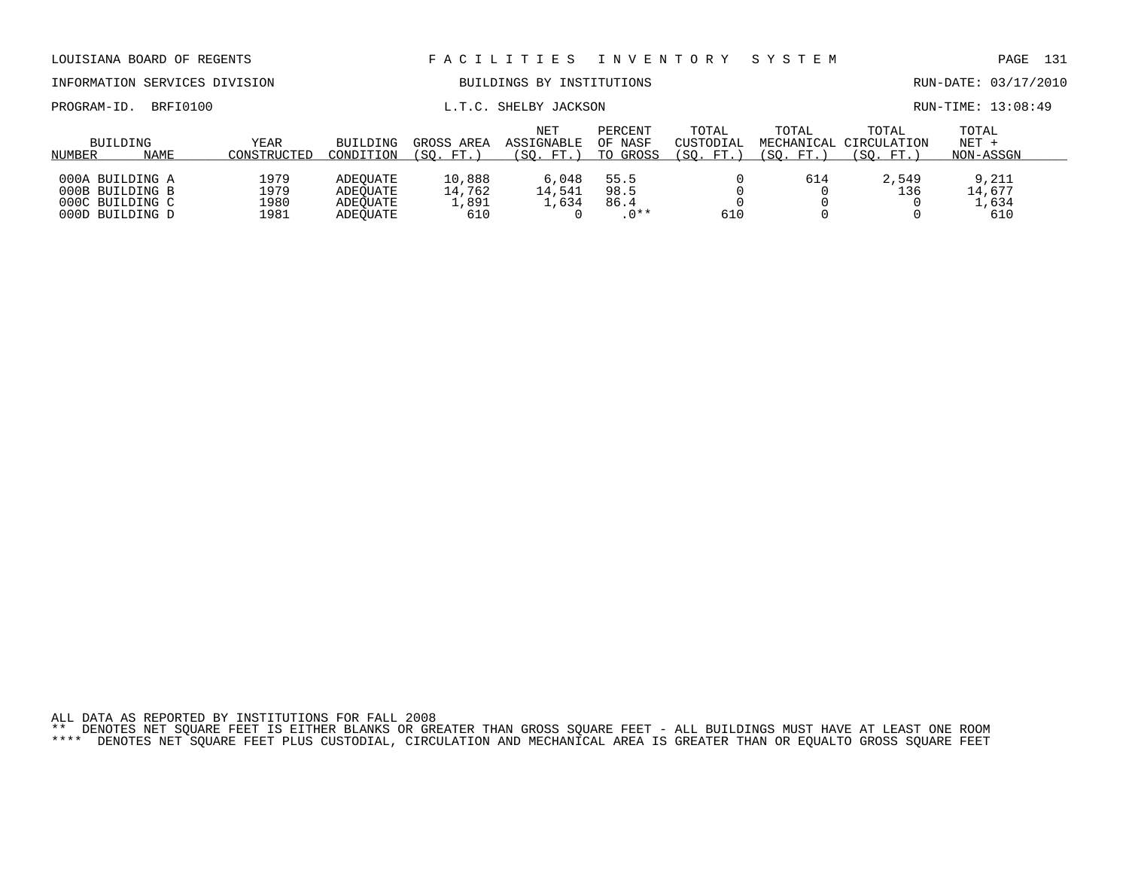| TMLOWERTTOM SERVICES DIVISION                         |      |                            |                                  |                           | PULLUUD DI INDIIIUILUND               |                                | 1011- <i>DA</i> 18. 03/1/2010    |                    |                                              |                               |  |
|-------------------------------------------------------|------|----------------------------|----------------------------------|---------------------------|---------------------------------------|--------------------------------|----------------------------------|--------------------|----------------------------------------------|-------------------------------|--|
| BRFI0100<br>PROGRAM-ID.                               |      |                            |                                  |                           | L.T.C. SHELBY JACKSON                 | RUN-TIME: 13:08:49             |                                  |                    |                                              |                               |  |
| BUILDING<br>NUMBER                                    | NAME | <b>YEAR</b><br>CONSTRUCTED | BUILDING<br>CONDITION            | GROSS AREA<br>(SO. FT.)   | <b>NET</b><br>ASSIGNABLE<br>(SO. FT.) | PERCENT<br>OF NASF<br>TO GROSS | TOTAL<br>CUSTODIAL<br>(SO. FT. ) | TOTAL<br>(SO. FT.) | TOTAL<br>MECHANICAL CIRCULATION<br>(SO. FT.) | TOTAL<br>$NET +$<br>NON-ASSGN |  |
| 000A BUILDING A<br>000B BUILDING B<br>000C BUILDING C |      | 1979<br>1979<br>1980       | ADEOUATE<br>ADEOUATE<br>ADEOUATE | 10,888<br>14,762<br>1,891 | 6,048<br>14,541<br>.,634              | 55.5<br>98.5<br>86.4           |                                  | 614                | 2,549<br>136                                 | 9,211<br>14,677<br>1,634      |  |

000D BUILDING D 1981 ADEQUATE 610 0 .0\*\* 610 0 0 610

ALL DATA AS REPORTED BY INSTITUTIONS FOR FALL 2008 \*\* DENOTES NET SQUARE FEET IS EITHER BLANKS OR GREATER THAN GROSS SQUARE FEET - ALL BUILDINGS MUST HAVE AT LEAST ONE ROOM \*\*\*\* DENOTES NET SQUARE FEET PLUS CUSTODIAL, CIRCULATION AND MECHANICAL AREA IS GREATER THAN OR EQUALTO GROSS SQUARE FEET

LOUISIANA BOARD OF REGENTS F A C I L I T I E S I N V E N T O R Y S Y S T E M PAGE 131

INFORMATION SERVICES DIVISION BUILDINGS BY INSTITUTIONS RUN-DATE: 03/17/2010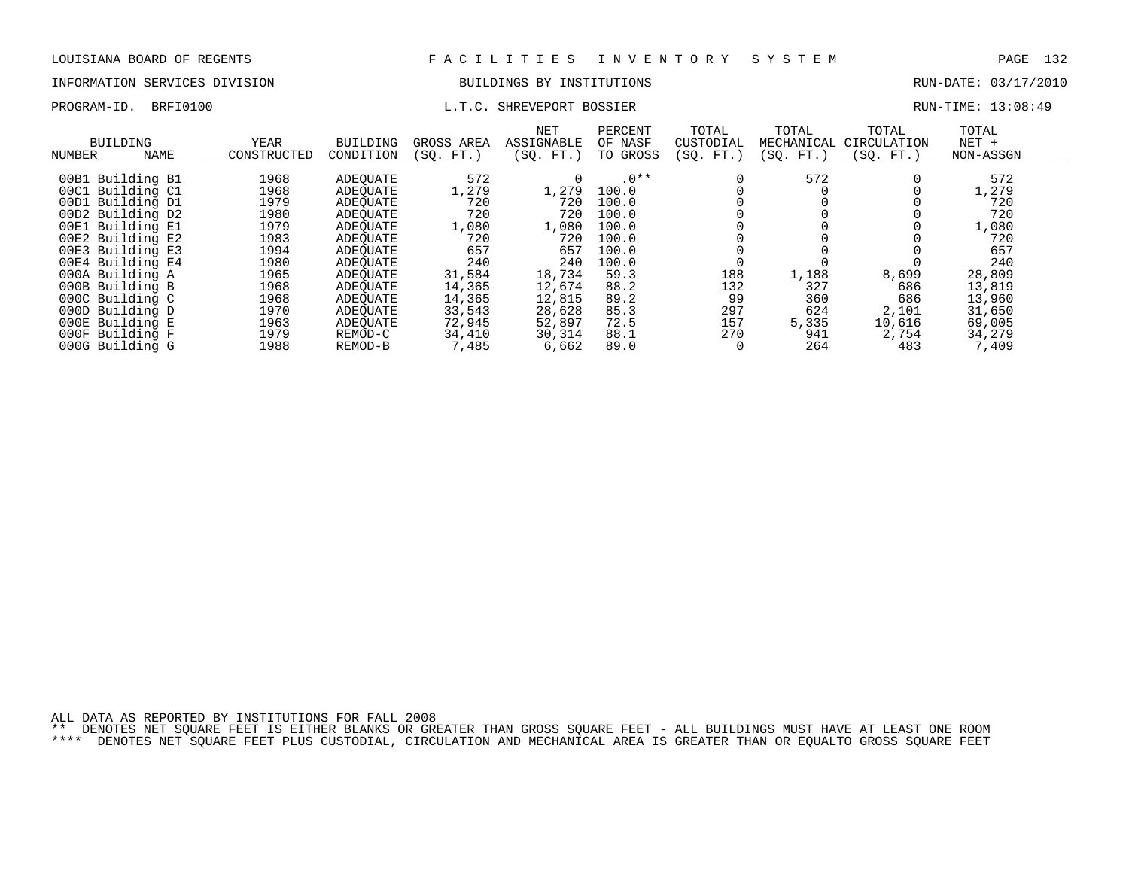# INFORMATION SERVICES DIVISION BUILDINGS BY INSTITUTIONS CONTROLLED BUILDINGS BY ENSEMBLE RUN-DATE: 03/17/2010

## PROGRAM-ID. BRFI0100 L.T.C. SHREVEPORT BOSSIER RUN-TIME: 13:08:49

| NUMBER | <b>BUILDING</b><br><b>NAME</b> | YEAR<br>CONSTRUCTED | BUILDING<br>CONDITION | GROSS AREA<br>FT.<br>(SO. | NET<br>ASSIGNABLE<br>(SO. FT.) | PERCENT<br>OF NASF<br>TO GROSS | TOTAL<br>CUSTODIAL<br>(SQ. FT.) | TOTAL<br>MECHANICAL<br>(SO. FT.) | TOTAL<br>CIRCULATION<br>(SQ. FT.) | TOTAL<br>$NET +$<br>NON-ASSGN |
|--------|--------------------------------|---------------------|-----------------------|---------------------------|--------------------------------|--------------------------------|---------------------------------|----------------------------------|-----------------------------------|-------------------------------|
|        | 00B1 Building B1               | 1968                | ADEOUATE              | 572                       |                                | $.0**$                         |                                 | 572                              | 0                                 | 572                           |
|        | 00C1 Building C1               | 1968                | ADEOUATE              | 1,279                     | 1,279                          | 100.0                          |                                 |                                  |                                   | 1,279                         |
|        | 00D1 Building D1               | 1979                | ADEOUATE              | 720                       | 720                            | 100.0                          |                                 |                                  |                                   | 720                           |
|        | 00D2 Building D2               | 1980                | ADEOUATE              | 720                       | 720                            | 100.0                          |                                 |                                  |                                   | 720                           |
| 00E1   | Building El                    | 1979                | ADEOUATE              | 1,080                     | 1,080                          | 100.0                          |                                 |                                  |                                   | 1,080                         |
|        | 00E2 Building E2               | 1983                | ADEOUATE              | 720                       | 720                            | 100.0                          |                                 |                                  |                                   | 720                           |
|        | 00E3 Building E3               | 1994                | ADEOUATE              | 657                       | 657                            | 100.0                          |                                 |                                  |                                   | 657                           |
|        | 00E4 Building E4               | 1980                | ADEQUATE              | 240                       | 240                            | 100.0                          |                                 |                                  |                                   | 240                           |
|        | 000A Building A                | 1965                | ADEOUATE              | 31,584                    | 18,734                         | 59.3                           | 188                             | 1,188                            | 8,699                             | 28,809                        |
|        | 000B Building B                | 1968                | ADEOUATE              | 14,365                    | 12,674                         | 88.2                           | 132                             | 327                              | 686                               | 13,819                        |
|        | 000C Building C                | 1968                | ADEOUATE              | 14,365                    | 12,815                         | 89.2                           | 99                              | 360                              | 686                               | 13,960                        |
|        | 000D Building D                | 1970                | ADEOUATE              | 33,543                    | 28,628                         | 85.3                           | 297                             | 624                              | 2,101                             | 31,650                        |
|        | 000E Building E                | 1963                | ADEOUATE              | 72,945                    | 52,897                         | 72.5                           | 157                             | 5,335                            | 10,616                            | 69,005                        |
|        | 000F Building F                | 1979                | REMOD-C               | 34,410                    | 30,314                         | 88.1                           | 270                             | 941                              | 2,754                             | 34,279                        |
|        | 000G Building G                | 1988                | REMOD-B               | 7,485                     | 6,662                          | 89.0                           |                                 | 264                              | 483                               | 7,409                         |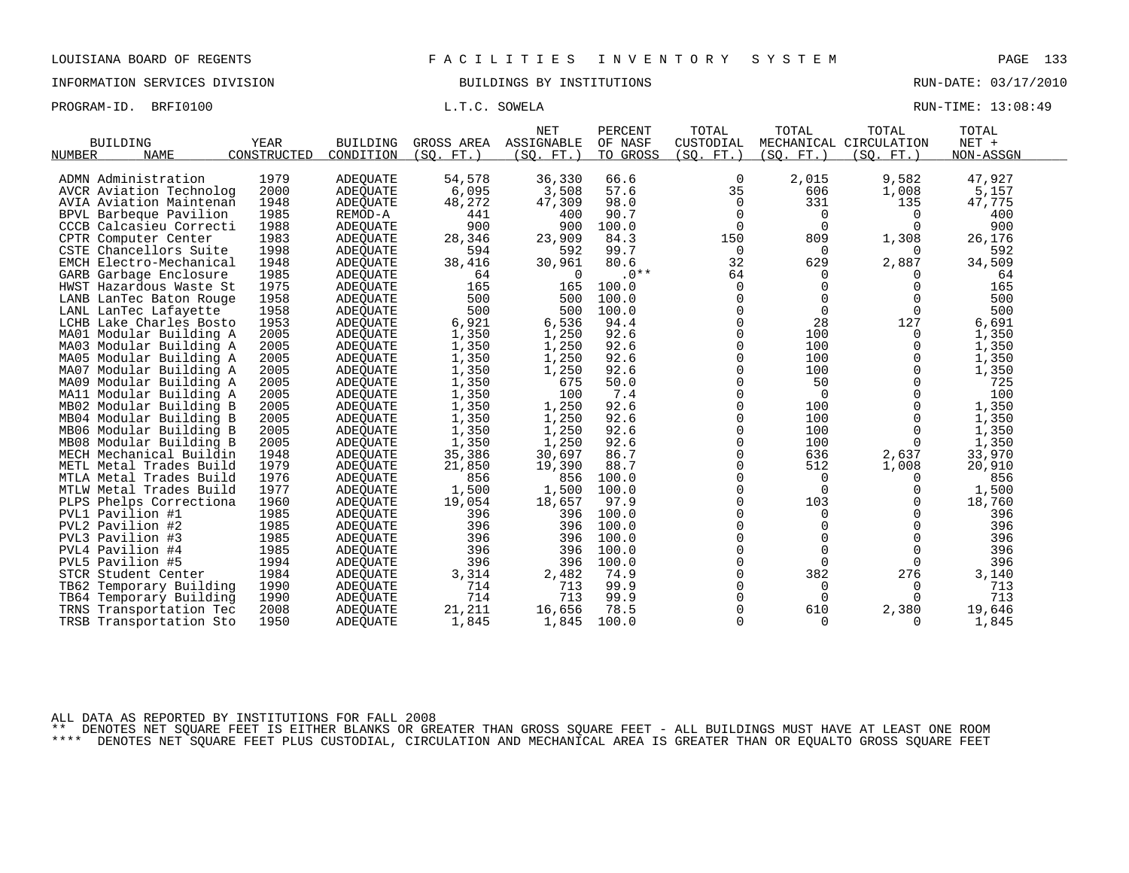INFORMATION SERVICES DIVISION BUILDINGS BY INSTITUTIONS RUN-DATE: 03/17/2010

PROGRAM-ID. BRFI0100 **EXAM-ID.** BRFI0100 **RUN-TIME:** 13:08:49

| <b>BUILDING</b>              | YEAR        | <b>BUILDING</b> | GROSS AREA | <b>NET</b><br>ASSIGNABLE | PERCENT<br>OF NASF | TOTAL<br>CUSTODIAL | TOTAL       | TOTAL<br>MECHANICAL CIRCULATION | TOTAL<br>NET + |
|------------------------------|-------------|-----------------|------------|--------------------------|--------------------|--------------------|-------------|---------------------------------|----------------|
| <b>NAME</b><br><b>NUMBER</b> | CONSTRUCTED | CONDITION       | (SO, FT.)  | (SO.<br>FT.              | TO GROSS           | (SO. FT. )         | (SO.<br>FT. | (SO. FT.)                       | NON-ASSGN      |
|                              |             |                 |            |                          |                    |                    |             |                                 |                |
| ADMN Administration          | 1979        | <b>ADEOUATE</b> | 54,578     | 36,330                   | 66.6               | 0                  | 2,015       | 9,582                           | 47,927         |
| AVCR Aviation Technolog      | 2000        | <b>ADEOUATE</b> | 6,095      | 3,508                    | 57.6               | 35                 | 606         | 1,008                           | 5,157          |
| AVIA Aviation Maintenan      | 1948        | <b>ADEQUATE</b> | 48,272     | 47,309                   | 98.0               | $\Omega$           | 331         | 135                             | 47,775         |
| BPVL Barbeque Pavilion       | 1985        | REMOD-A         | 441        | 400                      | 90.7               | $\Omega$           | 0           | $\Omega$                        | 400            |
| CCCB Calcasieu Correcti      | 1988        | <b>ADEOUATE</b> | 900        | 900                      | 100.0              | $\Omega$           | $\Omega$    | $\Omega$                        | 900            |
| CPTR Computer Center         | 1983        | ADEQUATE        | 28,346     | 23,909                   | 84.3               | 150                | 809         | 1,308                           | 26,176         |
| CSTE Chancellors Suite       | 1998        | <b>ADEQUATE</b> | 594        | 592                      | 99.7               | $\mathbf 0$        | 0           | $\Omega$                        | 592            |
| EMCH Electro-Mechanical      | 1948        | <b>ADEQUATE</b> | 38,416     | 30,961                   | 80.6               | 32                 | 629         | 2,887                           | 34,509         |
| GARB Garbage Enclosure       | 1985        | ADEQUATE        | 64         | $\Omega$                 | $.0**$             | 64                 | $\Omega$    | $\Omega$                        | 64             |
| HWST Hazardous Waste St      | 1975        | <b>ADEQUATE</b> | 165        | 165                      | 100.0              | $\Omega$           | $\mathbf 0$ | $\Omega$                        | 165            |
| LANB LanTec Baton Rouge      | 1958        | ADEQUATE        | 500        | 500                      | 100.0              | 0                  | $\mathbf 0$ | $\mathbf 0$                     | 500            |
| LANL LanTec Lafayette        | 1958        | <b>ADEOUATE</b> | 500        | 500                      | 100.0              | $\Omega$           | $\mathbf 0$ | $\Omega$                        | 500            |
| LCHB Lake Charles Bosto      | 1953        | <b>ADEQUATE</b> | 6,921      | 6,536                    | 94.4               | $\Omega$           | 28          | 127                             | 6,691          |
| MA01 Modular Building A      | 2005        | <b>ADEQUATE</b> | 1,350      | 1,250                    | 92.6               | $\Omega$           | 100         | $\Omega$                        | 1,350          |
| MA03 Modular Building A      | 2005        | <b>ADEQUATE</b> | 1,350      | 1,250                    | 92.6               | 0                  | 100         | $\mathbf 0$                     | 1,350          |
| MA05 Modular Building A      | 2005        | ADEQUATE        | 1,350      | 1,250                    | 92.6               | $\Omega$           | 100         | 0                               | 1,350          |
| MA07 Modular Building A      | 2005        | <b>ADEOUATE</b> | 1,350      | 1,250                    | 92.6               | $\Omega$           | 100         | 0                               | 1,350          |
| MA09 Modular Building A      | 2005        | <b>ADEQUATE</b> | 1,350      | 675                      | 50.0               | $\Omega$           | 50          | $\Omega$                        | 725            |
| MA11 Modular Building A      | 2005        | ADEQUATE        | 1,350      | 100                      | 7.4                | $\Omega$           | $\mathbf 0$ | 0                               | 100            |
| MB02 Modular Building B      | 2005        | <b>ADEOUATE</b> | 1,350      | 1,250                    | 92.6               | 0                  | 100         | 0                               | 1,350          |
| MB04 Modular Building B      | 2005        | ADEQUATE        | 1,350      | 1,250                    | 92.6               | $\Omega$           | 100         | $\Omega$                        | 1,350          |
| MB06 Modular Building B      | 2005        | ADEOUATE        | 1,350      | 1,250                    | 92.6               | $\Omega$           | 100         | $\Omega$                        | 1,350          |
| MB08 Modular Building B      | 2005        | <b>ADEQUATE</b> | 1,350      | 1,250                    | 92.6               | $\Omega$           | 100         | $\Omega$                        | 1,350          |
| MECH Mechanical Buildin      | 1948        | <b>ADEQUATE</b> | 35,386     | 30,697                   | 86.7               | $\Omega$           | 636         | 2,637                           | 33,970         |
| METL Metal Trades Build      | 1979        | <b>ADEQUATE</b> | 21,850     | 19,390                   | 88.7               | $\Omega$           | 512         | 1,008                           | 20,910         |
| MTLA Metal Trades Build      | 1976        | ADEOUATE        | 856        | 856                      | 100.0              | $\Omega$           | $\Omega$    | 0                               | 856            |
| MTLW Metal Trades Build      | 1977        | ADEQUATE        | 1,500      | 1,500                    | 100.0              | $\Omega$           | $\Omega$    | $\Omega$                        | 1,500          |
| PLPS Phelps Correctiona      | 1960        | ADEQUATE        | 19,054     | 18,657                   | 97.9               | $\Omega$           | 103         | 0                               | 18,760         |
| PVL1 Pavilion #1             | 1985        | <b>ADEQUATE</b> | 396        | 396                      | 100.0              | $\Omega$           | $\Omega$    | $\Omega$                        | 396            |
| PVL2 Pavilion #2             | 1985        | <b>ADEOUATE</b> | 396        | 396                      | 100.0              | $\Omega$           | $\Omega$    | $\Omega$                        | 396            |
| PVL3 Pavilion #3             | 1985        | ADEQUATE        | 396        | 396                      | 100.0              | $\Omega$           | $\Omega$    | $\Omega$                        | 396            |
| PVL4 Pavilion #4             | 1985        | ADEQUATE        | 396        | 396                      | 100.0              | 0                  | 0           | 0                               | 396            |
| PVL5 Pavilion #5             | 1994        | ADEQUATE        | 396        | 396                      | 100.0              | $\Omega$           | $\Omega$    | $\Omega$                        | 396            |
| STCR Student Center          | 1984        | <b>ADEQUATE</b> | 3,314      | 2,482                    | 74.9               | $\Omega$           | 382         | 276                             | 3,140          |
| TB62 Temporary Building      | 1990        | ADEQUATE        | 714        | 713                      | 99.9               | $\Omega$           | $\Omega$    | $\Omega$                        | 713            |
| TB64 Temporary Building      | 1990        | ADEQUATE        | 714        | 713                      | 99.9               | $\Omega$           | $\mathbf 0$ | $\Omega$                        | 713            |
| TRNS Transportation Tec      | 2008        | ADEOUATE        | 21,211     | 16,656                   | 78.5               | $\Omega$           | 610         | 2,380                           | 19,646         |
| TRSB Transportation Sto      | 1950        | <b>ADEQUATE</b> | 1,845      | 1,845                    | 100.0              | $\Omega$           | $\Omega$    | 0                               | 1,845          |

ALL DATA AS REPORTED BY INSTITUTIONS FOR FALL 2008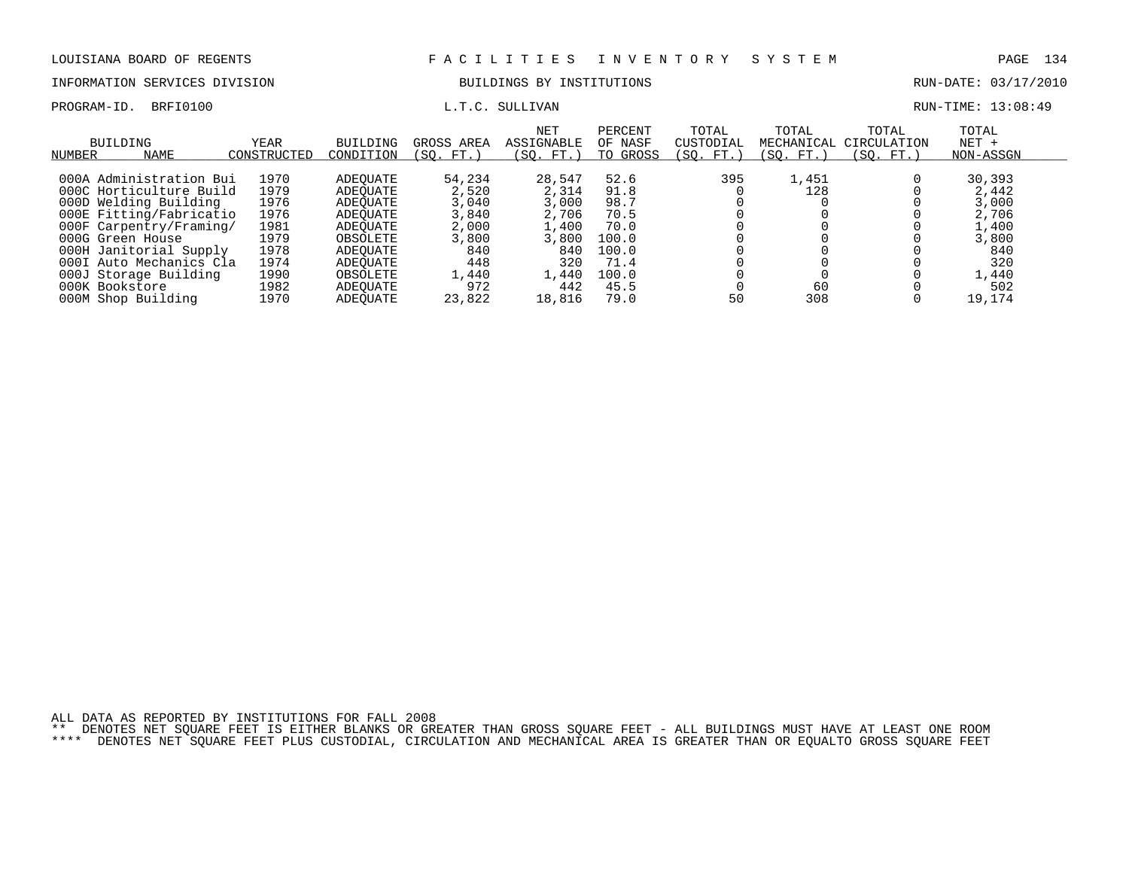PROGRAM-ID. BRFI0100 **EXAM-ID.** BRFI0100 **L.T.C. SULLIVAN L.T.C. SULLIVAN** 

## INFORMATION SERVICES DIVISION BUILDINGS BY INSTITUTIONS AND RUN-DATE: 03/17/2010

| NUMBER         | <b>BUILDING</b><br><b>NAME</b> | <b>YEAR</b><br>CONSTRUCTED | <b>BUILDING</b><br>CONDITION | GROSS AREA<br>(SO. FT.) | NET<br>ASSIGNABLE<br>SO.<br>FT. | PERCENT<br>OF NASF<br>TO<br>GROSS | TOTAL<br>CUSTODIAL<br>SO. FT. | TOTAL<br>MECHANICAL<br>SO.<br>FT. | TOTAL<br>CIRCULATION<br>(SO. FT.) | TOTAL<br>$NET +$<br>NON-ASSGN |  |
|----------------|--------------------------------|----------------------------|------------------------------|-------------------------|---------------------------------|-----------------------------------|-------------------------------|-----------------------------------|-----------------------------------|-------------------------------|--|
|                | 000A Administration Bui        | 1970                       | ADEOUATE                     | 54,234                  | 28,547                          | 52.6                              | 395                           | 1,451                             |                                   | 30,393                        |  |
|                | 000C Horticulture Build        | 1979                       | ADEOUATE                     | 2,520                   | 2,314                           | 91.8                              |                               | 128                               |                                   | 2,442                         |  |
|                | 000D Welding Building          | 1976                       | ADEOUATE                     | 3,040                   | 3,000                           | 98.7                              |                               |                                   |                                   | 3,000                         |  |
|                | 000E Fitting/Fabricatio        | 1976                       | ADEOUATE                     | 3,840                   | 2,706                           | 70.5                              |                               |                                   |                                   | 2,706                         |  |
|                | 000F Carpentry/Framing/        | 1981                       | ADEOUATE                     | 2,000                   | 1,400                           | 70.0                              |                               |                                   |                                   | 1,400                         |  |
|                | 000G Green House               | 1979                       | OBSOLETE                     | 3,800                   | 3,800                           | 100.0                             |                               |                                   |                                   | 3,800                         |  |
|                | 000H Janitorial Supply         | 1978                       | ADEOUATE                     | 840                     | 840                             | 100.0                             |                               |                                   |                                   | 840                           |  |
|                | 000I Auto Mechanics Cla        | 1974                       | ADEOUATE                     | 448                     | 320                             | 71.4                              |                               |                                   |                                   | 320                           |  |
|                | 000J Storage Building          | 1990                       | OBSOLETE                     | 1,440                   | 1,440                           | 100.0                             |                               |                                   |                                   | 1,440                         |  |
| 000K Bookstore |                                | 1982                       | ADEOUATE                     | 972                     | 442                             | 45.5                              |                               | 60                                |                                   | 502                           |  |
|                | 000M Shop Building             | 1970                       | ADEOUATE                     | 23,822                  | 18,816                          | 79.0                              | 50                            | 308                               |                                   | 19,174                        |  |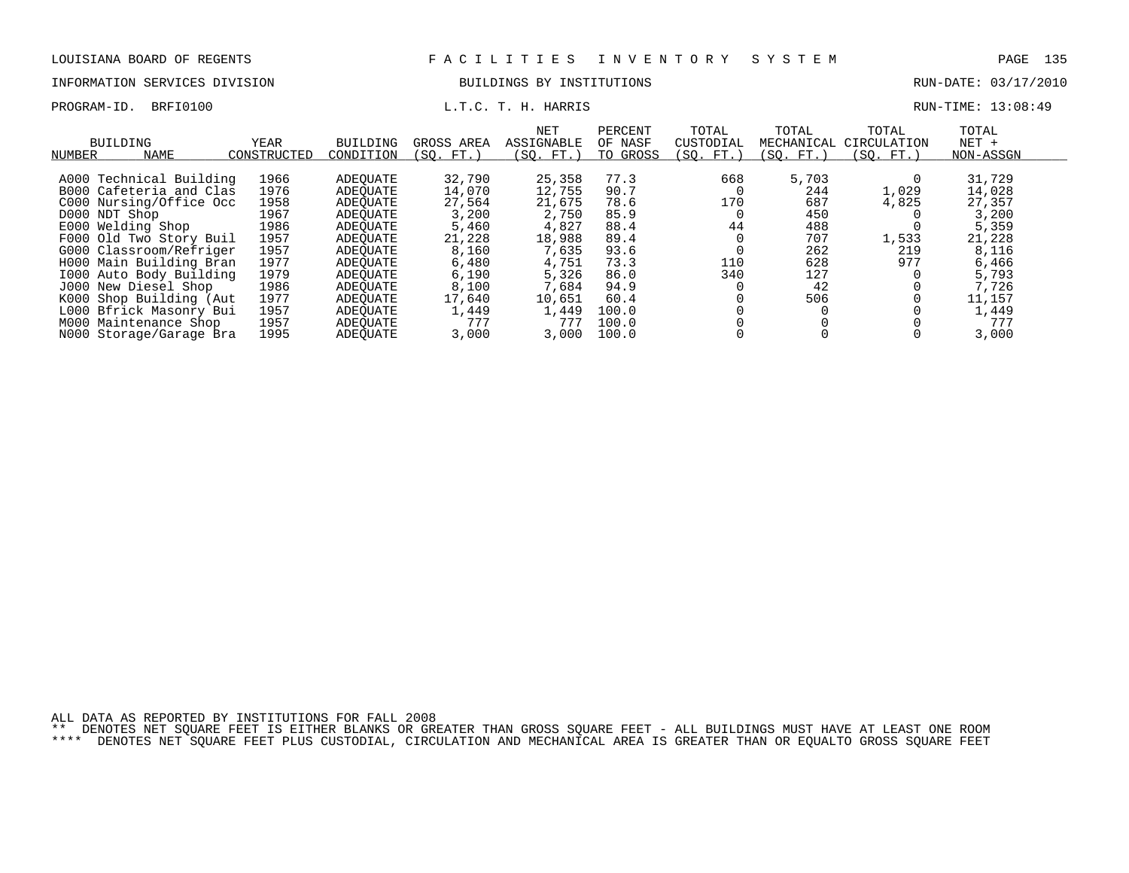### INFORMATION SERVICES DIVISION BUILDINGS BY INSTITUTIONS RUN-DATE: 03/17/2010

PROGRAM-ID. BRFI0100 **EXAM-ID.** BRFI0100 **L.T.C. T. H. HARRIS** BOOK CONSUMING THE RUN-TIME: 13:08:49

| NUMBER        | BUILDING<br><b>NAME</b> | YEAR<br>CONSTRUCTED | BUILDING<br>CONDITION | GROSS AREA<br>SO.<br>FT. | NET<br>ASSIGNABLE<br>(SO. FT. | PERCENT<br>OF NASF<br>TO GROSS | TOTAL<br>CUSTODIAL<br>(SO. FT.) | TOTAL<br>MECHANICAL<br>SO. FT. | TOTAL<br>CIRCULATION<br>(SO. FT. ) | TOTAL<br>$NET +$<br>NON-ASSGN |  |
|---------------|-------------------------|---------------------|-----------------------|--------------------------|-------------------------------|--------------------------------|---------------------------------|--------------------------------|------------------------------------|-------------------------------|--|
|               |                         |                     |                       |                          |                               |                                |                                 |                                |                                    |                               |  |
|               | A000 Technical Building | 1966                | ADEOUATE              | 32,790                   | 25,358                        | 77.3                           | 668                             | 5,703                          |                                    | 31,729                        |  |
|               | B000 Cafeteria and Clas | 1976                | ADEOUATE              | 14,070                   | 12,755                        | 90.7                           |                                 | 244                            | 1,029                              | 14,028                        |  |
|               | C000 Nursing/Office Occ | 1958                | ADEOUATE              | 27,564                   | 21,675                        | 78.6                           | 170                             | 687                            | 4,825                              | 27,357                        |  |
| D000 NDT Shop |                         | 1967                | ADEOUATE              | 3,200                    | 2,750                         | 85.9                           |                                 | 450                            |                                    | 3,200                         |  |
|               | E000 Welding Shop       | 1986                | ADEOUATE              | 5,460                    | 4,827                         | 88.4                           | 44                              | 488                            |                                    | 5,359                         |  |
|               | F000 Old Two Story Buil | 1957                | ADEOUATE              | 21,228                   | 18,988                        | 89.4                           |                                 | 707                            | 1,533                              | 21,228                        |  |
|               | G000 Classroom/Refriger | 1957                | ADEOUATE              | 8,160                    | 7,635                         | 93.6                           |                                 | 262                            | 219                                | 8,116                         |  |
|               | H000 Main Building Bran | 1977                | ADEOUATE              | 6,480                    | 4,751                         | 73.3                           | 110                             | 628                            | 977                                | 6,466                         |  |
|               | 1000 Auto Body Building | 1979                | ADEOUATE              | 6,190                    | 5,326                         | 86.0                           | 340                             | 127                            |                                    | 5,793                         |  |
|               | J000 New Diesel Shop    | 1986                | ADEOUATE              | 8,100                    | 7.684                         | 94.9                           |                                 | 42                             |                                    | 7,726                         |  |
|               | K000 Shop Building (Aut | 1977                | ADEOUATE              | 17,640                   | 10,651                        | 60.4                           |                                 | 506                            |                                    | 11,157                        |  |
|               | L000 Bfrick Masonry Bui | 1957                | ADEOUATE              | 1,449                    | 1,449                         | 100.0                          |                                 |                                |                                    | 1,449                         |  |
|               | M000 Maintenance Shop   | 1957                | ADEOUATE              | 777                      | 777                           | 100.0                          |                                 |                                |                                    | 777                           |  |
|               | N000 Storage/Garage Bra | 1995                | ADEOUATE              | 3.000                    | 3,000                         | 100.0                          |                                 |                                |                                    | 3,000                         |  |

ALL DATA AS REPORTED BY INSTITUTIONS FOR FALL 2008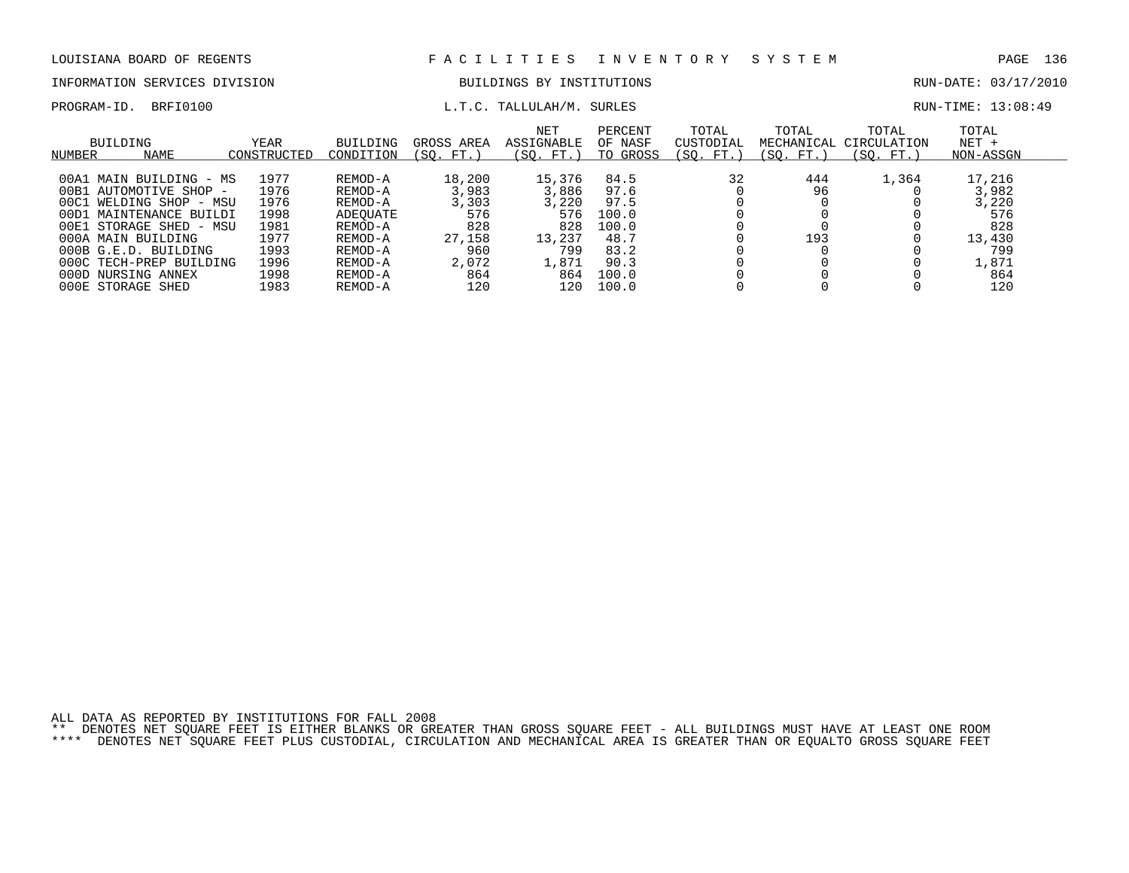# INFORMATION SERVICES DIVISION BUILDINGS BY INSTITUTIONS CONTROLLED BUILDINGS BY ENSEMBLE RUN-DATE: 03/17/2010

### PROGRAM-ID. BRFI0100  $L.T.C. TALLULAH/M. SURLES$  RUN-TIME: 13:08:49

| BUILDING<br>NUMBER | <b>NAME</b>             | YEAR<br>CONSTRUCTED | <b>BUILDING</b><br>CONDITION | GROSS AREA<br>FT.<br>SO. | <b>NET</b><br>ASSIGNABLE<br>SO.<br>FT. | PERCENT<br>OF NASF<br>GROSS<br>TO | TOTAL<br>CUSTODIAL<br>(SO.<br>FT. | TOTAL<br>MECHANICAL<br>FT.<br>SO. | TOTAL<br>CIRCULATION<br>$FT.$ $^{\circ}$<br>SO. | TOTAL<br>$NET +$<br>NON-ASSGN |  |
|--------------------|-------------------------|---------------------|------------------------------|--------------------------|----------------------------------------|-----------------------------------|-----------------------------------|-----------------------------------|-------------------------------------------------|-------------------------------|--|
|                    | 00A1 MAIN BUILDING - MS | 1977                | REMOD-A                      | 18,200                   | 15,376                                 | 84.5                              | 32                                | 444                               | 1,364                                           | 17,216                        |  |
| 00B1               | AUTOMOTIVE SHOP -       | 1976                | REMOD-A                      | 3,983                    | 3,886                                  | 97.6                              |                                   | 96                                |                                                 | 3,982                         |  |
| 00C1               | WELDING SHOP - MSU      | 1976                | REMOD-A                      | 3,303                    | 3.220                                  | 97.5                              |                                   |                                   |                                                 | 3,220                         |  |
| 1ת00               | MAINTENANCE BUILDI      | 1998                | ADEOUATE                     | 576                      | 576                                    | 100.0                             |                                   |                                   |                                                 | 576                           |  |
| 00E1               | . STORAGE SHED - MSU    | 1981                | REMOD-A                      | 828                      | 828                                    | 100.0                             |                                   |                                   |                                                 | 828                           |  |
|                    | 000A MAIN BUILDING      | 1977                | REMOD-A                      | 27,158                   | 13,237                                 | 48.7                              |                                   | 193                               |                                                 | 13,430                        |  |
|                    | 000B G.E.D. BUILDING    | 1993                | REMOD-A                      | 960                      | 799                                    | 83.2                              |                                   |                                   |                                                 | 799                           |  |
|                    | 000C TECH-PREP BUILDING | 1996                | REMOD-A                      | 2,072                    | 1,871                                  | 90.3                              |                                   |                                   |                                                 | 1,871                         |  |
|                    | 000D NURSING ANNEX      | 1998                | REMOD-A                      | 864                      | 864                                    | 100.0                             |                                   |                                   |                                                 | 864                           |  |
|                    | 000E STORAGE SHED       | 1983                | REMOD-A                      | 120                      | 120                                    | 100.0                             |                                   |                                   |                                                 | 120                           |  |